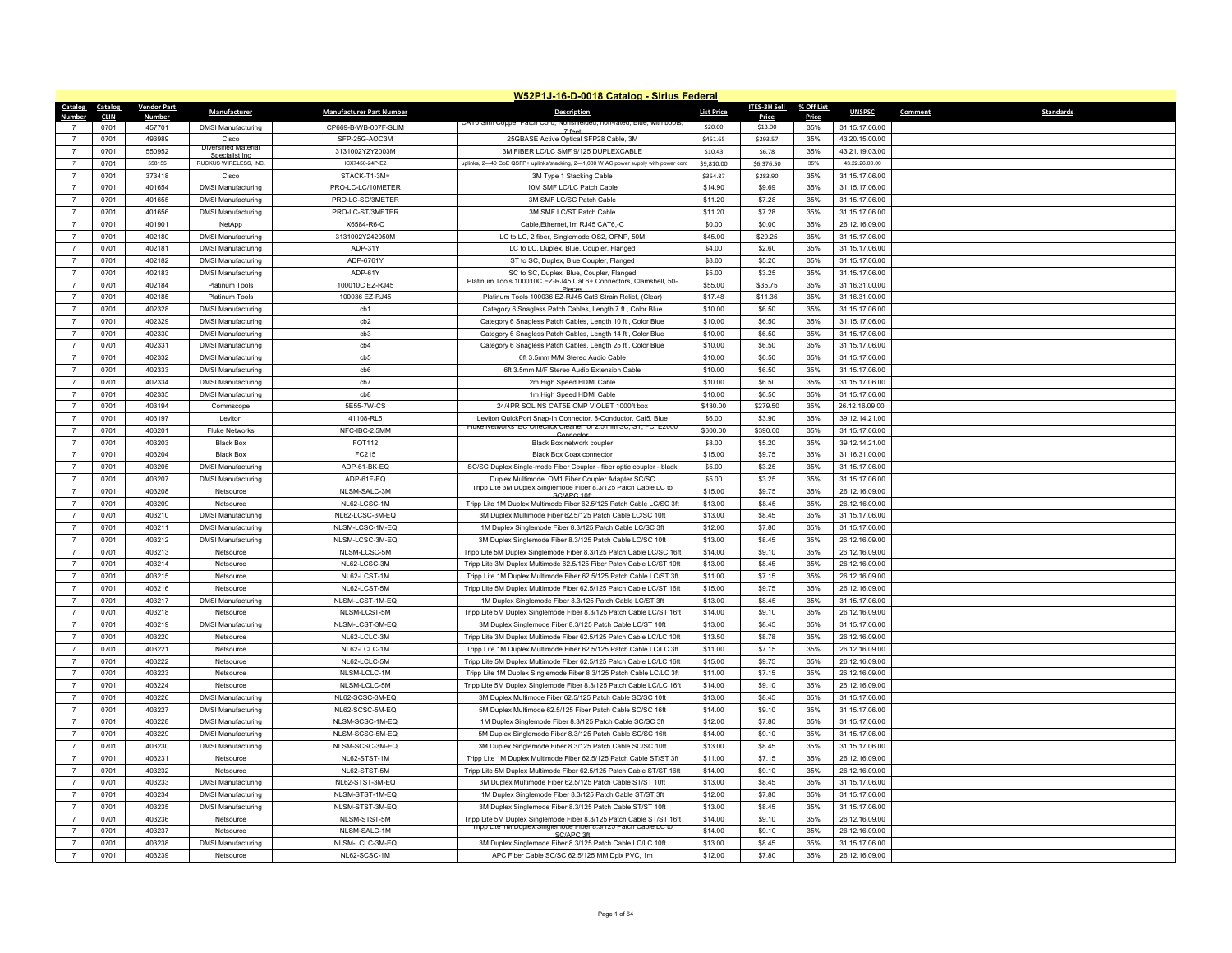|                |             |                    |                              |                                 | W52P1J-16-D-0018 Catalog - Sirius Federal                                                                                               |                   |              |            |                |         |                  |
|----------------|-------------|--------------------|------------------------------|---------------------------------|-----------------------------------------------------------------------------------------------------------------------------------------|-------------------|--------------|------------|----------------|---------|------------------|
| Catalog        | Catalog     | <b>Vendor Part</b> | Manufacturer                 | <b>Manufacturer Part Number</b> | <b>Description</b>                                                                                                                      | <b>List Price</b> | ITES-3H Sell | % Off List | <b>UNSPSC</b>  | Comment | <b>Standards</b> |
| Numbe          | <b>CLIN</b> | Number             |                              |                                 | A TO SIIM COPPE                                                                                                                         |                   | Price        | Price      |                |         |                  |
|                | 0701        | 457701             | <b>DMSI Manufacturing</b>    | CP669-B-WB-007F-SLIM            | 7 feet                                                                                                                                  | \$20.00           | \$13.00      | 35%        | 31.15.17.06.00 |         |                  |
| $\overline{7}$ | 0701        | 493989             | Cisco<br>Diversified Materia | SFP-25G-AOC3M                   | 25GBASE Active Optical SFP28 Cable, 3M                                                                                                  | \$451.65          | \$293.57     | 35%        | 43.20.15.00.00 |         |                  |
| $\overline{7}$ | 0701        | 550952             | Specialist Inc.              | 3131002Y2Y2003M                 | 3M FIBER LC/LC SMF 9/125 DUPLEXCABLE                                                                                                    | \$10.43           | \$6.78       | 35%        | 43.21.19.03.00 |         |                  |
| $\overline{7}$ | 0701        | 558155             | RUCKUS WIRELESS. INC.        | ICX7450-24P-E2                  | uplinks, 2-40 GbE QSFP+ uplinks/stacking, 2-1,000 W AC power supply with power cor-                                                     | \$9,810.00        | \$6,376.50   | 35%        | 43.22.26.00.00 |         |                  |
| $\overline{7}$ | 0701        | 373418             | Cisco                        | STACK-T1-3M=                    | 3M Type 1 Stacking Cable                                                                                                                | \$354.87          | \$283.90     | 35%        | 31.15.17.06.00 |         |                  |
| $\overline{7}$ | 0701        | 401654             | <b>DMSI Manufacturing</b>    | PRO-LC-LC/10METER               | 10M SMF LC/LC Patch Cable                                                                                                               | \$14.90           | \$9.69       | 35%        | 31.15.17.06.00 |         |                  |
| $\overline{7}$ | 0701        | 401655             | <b>DMSI Manufacturing</b>    | PRO-LC-SC/3METER                | 3M SMF LC/SC Patch Cable                                                                                                                | \$11.20           | \$7.28       | 35%        | 31.15.17.06.00 |         |                  |
| $\overline{7}$ | 0701        | 401656             | <b>DMSI Manufacturing</b>    | PRO-LC-ST/3METER                | 3M SMF LC/ST Patch Cable                                                                                                                | \$11.20           | \$7.28       | 35%        | 31.15.17.06.00 |         |                  |
| $\overline{7}$ | 0701        | 401901             | NetApp                       | X6584-R6-C                      | Cable, Ethernet, 1m RJ45 CAT6,-C                                                                                                        | \$0.00            | \$0.00       | 35%        | 26.12.16.09.00 |         |                  |
| $\overline{7}$ | 0701        | 402180             | <b>DMSI Manufacturing</b>    | 3131002Y242050M                 | LC to LC, 2 fiber, Singlemode OS2, OFNP, 50M                                                                                            | \$45.00           | \$29.25      | 35%        | 31.15.17.06.00 |         |                  |
| $\overline{7}$ | 0701        | 402181             | <b>DMSI Manufacturing</b>    | ADP-31Y                         | LC to LC, Duplex, Blue, Coupler, Flanged                                                                                                | \$4.00            | \$2.60       | 35%        | 31.15.17.06.00 |         |                  |
| $\overline{7}$ | 0701        | 402182             | <b>DMSI Manufacturing</b>    | ADP-6761Y                       | ST to SC, Duplex, Blue Coupler, Flanged                                                                                                 | \$8.00            | \$5.20       | 35%        | 31.15.17.06.00 |         |                  |
| $\overline{7}$ | 0701        | 402183             | <b>DMSI Manufacturing</b>    | ADP-61Y                         | SC to SC. Duplex, Blue, Coupler, Flanged<br>Platinum Tools 100010C EZ-RJ45 Cat 6+ Connectors, Clamshell, 50-                            | \$5.00            | \$3.25       | 35%        | 31.15.17.06.00 |         |                  |
| $\overline{7}$ | 0701        | 402184             | Platinum Tools               | 100010C EZ-RJ45                 | Pieces                                                                                                                                  | \$55.00           | \$35.75      | 35%        | 31.16.31.00.00 |         |                  |
| $\overline{7}$ | 0701        | 402185             | Platinum Tools               | 100036 EZ-RJ45                  | Platinum Tools 100036 EZ-RJ45 Cat6 Strain Relief, (Clear)                                                                               | \$17.48           | \$11.36      | 35%        | 31.16.31.00.00 |         |                  |
| $\overline{7}$ | 0701        | 402328             | <b>DMSI Manufacturing</b>    | cb1                             | Category 6 Snagless Patch Cables, Length 7 ft, Color Blue                                                                               | \$10.00           | \$6.50       | 35%        | 31.15.17.06.00 |         |                  |
| $\overline{7}$ | 0701        | 402329             | <b>DMSI Manufacturing</b>    | cb2                             | Category 6 Snagless Patch Cables, Length 10 ft, Color Blue                                                                              | \$10.00           | \$6.50       | 35%        | 31.15.17.06.00 |         |                  |
| $\overline{7}$ | 0701        | 402330             | <b>DMSI Manufacturing</b>    | cb3                             | Category 6 Snagless Patch Cables, Length 14 ft, Color Blue                                                                              | \$10.00           | \$6.50       | 35%        | 31.15.17.06.00 |         |                  |
| $\overline{7}$ | 0701        | 402331             | <b>DMSI Manufacturing</b>    | cb4                             | Category 6 Snagless Patch Cables, Length 25 ft, Color Blue                                                                              | \$10.00           | \$6.50       | 35%        | 31.15.17.06.00 |         |                  |
| $\overline{7}$ | 0701        | 402332             | <b>DMSI Manufacturing</b>    | $ch5$                           | 6ft 3.5mm M/M Stereo Audio Cable                                                                                                        | \$10.00           | \$6.50       | 35%        | 31.15.17.06.00 |         |                  |
| $\overline{7}$ | 0701        | 402333             | <b>DMSI Manufacturing</b>    | cb6                             | 6ft 3.5mm M/F Stereo Audio Extension Cable                                                                                              | \$10.00           | \$6.50       | 35%        | 31.15.17.06.00 |         |                  |
| $\overline{7}$ | 0701        | 402334             | <b>DMSI Manufacturing</b>    | cb7                             | 2m High Speed HDMI Cable                                                                                                                | \$10.00           | \$6.50       | 35%        | 31.15.17.06.00 |         |                  |
| $\overline{7}$ | 0701        | 402335             | <b>DMSI Manufacturing</b>    | $ch8$                           | 1m High Speed HDMI Cable                                                                                                                | \$10.00           | \$6.50       | 35%        | 31.15.17.06.00 |         |                  |
| $\overline{7}$ | 0701        | 403194             | Commscope                    | 5E55-7W-CS                      | 24/4PR SOL NS CAT5E CMP VIOLET 1000ft box                                                                                               | \$430.00          | \$279.50     | 35%        | 26.12.16.09.00 |         |                  |
| $\overline{7}$ | 0701        | 403197             | Leviton                      | 41108-RL5                       | Leviton QuickPort Snap-In Connector, 8-Conductor, Cat5, Blue<br>luke Networks IBC OneClick Cleaner for 2.5 mm SC, ST, FC, E2000         | \$6.00            | \$3.90       | 35%        | 39.12.14.21.00 |         |                  |
| $\overline{7}$ | 0701        | 403201             | <b>Fluke Networks</b>        | NFC-IBC-2.5MM                   |                                                                                                                                         | \$600.00          | \$390.00     | 35%        | 31.15.17.06.00 |         |                  |
| $\overline{7}$ | 0701        | 403203             | <b>Black Box</b>             | FOT112                          | Black Box network coupler                                                                                                               | \$8.00            | \$5.20       | 35%        | 39.12.14.21.00 |         |                  |
| $\overline{7}$ | 0701        | 403204             | <b>Black Box</b>             | FC215                           | Black Box Coax connector                                                                                                                | \$15.00           | \$9.75       | 35%        | 31.16.31.00.00 |         |                  |
| $\overline{7}$ | 0701        | 403205             | <b>DMSI Manufacturing</b>    | ADP-61-BK-EQ                    | SC/SC Duplex Single-mode Fiber Coupler - fiber optic coupler - black                                                                    | \$5.00            | \$3.25       | 35%        | 31.15.17.06.00 |         |                  |
| $\overline{7}$ | 0701        | 403207             | <b>DMSI Manufacturing</b>    | ADP-61F-EQ                      | Duplex Multimode OM1 Fiber Coupler Adapter SC/SC<br>I ripp Lite 3M Duplex Singlemode Fiber 8.3/125 Patch Cable LC to                    | \$5.00            | \$3.25       | 35%        | 31.15.17.06.00 |         |                  |
| $\overline{7}$ | 0701        | 403208             | Netsource                    | NLSM-SALC-3M                    | SC/APC 10ft                                                                                                                             | \$15.00           | \$9.75       | 35%        | 26.12.16.09.00 |         |                  |
| $\overline{7}$ | 0701        | 403209             | Netsource                    | NL62-LCSC-1M                    | Tripp Lite 1M Duplex Multimode Fiber 62.5/125 Patch Cable LC/SC 3ft                                                                     | \$13.00           | \$8.45       | 35%        | 26.12.16.09.00 |         |                  |
| $\overline{7}$ | 0701        | 403210             | <b>DMSI Manufacturing</b>    | NL62-LCSC-3M-EQ                 | 3M Duplex Multimode Fiber 62.5/125 Patch Cable LC/SC 10ft                                                                               | \$13.00           | \$8.45       | 35%        | 31.15.17.06.00 |         |                  |
| $\overline{7}$ | 0701        | 403211             | <b>DMSI Manufacturing</b>    | NLSM-LCSC-1M-EQ                 | 1M Duplex Singlemode Fiber 8.3/125 Patch Cable LC/SC 3ft                                                                                | \$12.00           | \$7.80       | 35%        | 31.15.17.06.00 |         |                  |
| $\overline{7}$ | 0701        | 403212             | <b>DMSI Manufacturing</b>    | NLSM-LCSC-3M-EQ                 | 3M Duplex Singlemode Fiber 8.3/125 Patch Cable LC/SC 10ft                                                                               | \$13.00           | \$8.45       | 35%        | 26.12.16.09.00 |         |                  |
| $\overline{7}$ | 0701        | 403213             | Netsource                    | NLSM-LCSC-5M                    | Tripp Lite 5M Duplex Singlemode Fiber 8.3/125 Patch Cable LC/SC 16ft                                                                    | \$14.00           | \$9.10       | 35%        | 26.12.16.09.00 |         |                  |
| $\overline{7}$ | 0701        | 403214             | Netsource                    | NL62-LCSC-3M                    | Tripp Lite 3M Duplex Multimode 62.5/125 Fiber Patch Cable LC/ST 10ft                                                                    | \$13.00           | \$8.45       | 35%        | 26.12.16.09.00 |         |                  |
| $\overline{7}$ | 0701        | 403215             | Netsource                    | NL62-LCST-1M                    | Tripp Lite 1M Duplex Multimode Fiber 62.5/125 Patch Cable LC/ST 3ft                                                                     | \$11.00           | \$7.15       | 35%        | 26.12.16.09.00 |         |                  |
| $\overline{7}$ | 0701        | 403216             | Netsource                    | NL62-LCST-5M                    | Tripp Lite 5M Duplex Multimode Fiber 62.5/125 Patch Cable LC/ST 16ft                                                                    | \$15.00           | \$9.75       | 35%        | 26.12.16.09.00 |         |                  |
| $\overline{7}$ | 0701        | 403217             | <b>DMSI Manufacturing</b>    | NLSM-LCST-1M-EQ                 | 1M Duplex Singlemode Fiber 8.3/125 Patch Cable LC/ST 3ft                                                                                | \$13.00           | \$8.45       | 35%        | 31.15.17.06.00 |         |                  |
| $\overline{7}$ | 0701        | 403218             | Netsource                    | NLSM-LCST-5M                    | Tripp Lite 5M Duplex Singlemode Fiber 8.3/125 Patch Cable LC/ST 16ft                                                                    | \$14.00           | \$9.10       | 35%        | 26.12.16.09.00 |         |                  |
| $\overline{7}$ | 0701        | 403219             | <b>DMSI Manufacturing</b>    | NLSM-LCST-3M-EQ                 | 3M Duplex Singlemode Fiber 8.3/125 Patch Cable LC/ST 10ft                                                                               | \$13.00           | \$8.45       | 35%        | 31.15.17.06.00 |         |                  |
| $\overline{7}$ | 0701        | 403220             | Netsource                    | NI 62-I CI C-3M                 | Tripp Lite 3M Duplex Multimode Fiber 62.5/125 Patch Cable LC/LC 10ft                                                                    | \$13.50           | \$8.78       | 35%        | 26.12.16.09.00 |         |                  |
| $\overline{7}$ | 0701        | 403221             | Netsource                    | NI 62-I CI C-1M                 | Tripp Life 1M Duplex Multimode Fiber 62.5/125 Patch Cable LC/LC 3ft                                                                     | \$11.00           | \$7.15       | 35%        | 26.12.16.09.00 |         |                  |
| $\overline{7}$ | 0701        | 403222             | Netsource                    | NL62-LCLC-5M                    | Tripp Lite 5M Duplex Multimode Fiber 62.5/125 Patch Cable LC/LC 16ft                                                                    | \$15.00           | \$9.75       | 35%        | 26.12.16.09.00 |         |                  |
| $\overline{7}$ | 0701        | 403223             | Netsource                    | NLSM-LCLC-1M                    | Tripp Lite 1M Duplex Singlemode Fiber 8.3/125 Patch Cable LC/LC 3ft                                                                     | \$11.00           | \$7.15       | 35%        | 26.12.16.09.00 |         |                  |
| $\overline{7}$ | 0701        | 403224             | Netsource                    | NI SM-I CLC-5M                  | Tripp Lite 5M Duplex Singlemode Fiber 8.3/125 Patch Cable LC/LC 16ft                                                                    | \$14.00           | \$9.10       | 35%        | 26.12.16.09.00 |         |                  |
| $\overline{7}$ | 0701        | 403226             | <b>DMSI Manufacturing</b>    | NL62-SCSC-3M-EQ                 | 3M Duplex Multimode Fiber 62.5/125 Patch Cable SC/SC 10ft                                                                               | \$13.00           | \$8.45       | 35%        | 31.15.17.06.00 |         |                  |
| $\overline{7}$ | 0701        | 403227             | <b>DMSI Manufacturing</b>    | NL62-SCSC-5M-EQ                 | 5M Duplex Multimode 62.5/125 Fiber Patch Cable SC/SC 16ft                                                                               | \$14.00           | \$9.10       | 35%        | 31.15.17.06.00 |         |                  |
| $\overline{7}$ | 0701        | 403228             | <b>DMSI Manufacturing</b>    | NLSM-SCSC-1M-EQ                 | 1M Duplex Singlemode Fiber 8.3/125 Patch Cable SC/SC 3ft                                                                                | \$12.00           | \$7.80       | 35%        | 31.15.17.06.00 |         |                  |
| $\overline{7}$ | 0701        | 403229             | <b>DMSI Manufacturing</b>    | NLSM-SCSC-5M-EQ                 | 5M Duplex Singlemode Fiber 8.3/125 Patch Cable SC/SC 16ft                                                                               | \$14.00           | \$9.10       | 35%        | 31.15.17.06.00 |         |                  |
| $\overline{7}$ | 0701        | 403230             | <b>DMSI Manufacturing</b>    | NLSM-SCSC-3M-EQ                 | 3M Duplex Singlemode Fiber 8.3/125 Patch Cable SC/SC 10ft                                                                               | \$13.00           | \$8.45       | 35%        | 31.15.17.06.00 |         |                  |
| $\overline{7}$ | 0701        | 403231             | Netsource                    | NL62-STST-1M                    | Tripp Lite 1M Duplex Multimode Fiber 62.5/125 Patch Cable ST/ST 3ft                                                                     | \$11.00           | \$7.15       | 35%        | 26.12.16.09.00 |         |                  |
| $\overline{7}$ | 0701        | 403232             | Netsource                    | NI 62-STST-5M                   | Tripp Lite 5M Duplex Multimode Fiber 62.5/125 Patch Cable ST/ST 16ft                                                                    | \$14.00           | \$9.10       | 35%        | 26.12.16.09.00 |         |                  |
| $\overline{7}$ | 0701        | 403233             | <b>DMSI Manufacturing</b>    | NL62-STST-3M-EQ                 | 3M Duplex Multimode Fiber 62.5/125 Patch Cable ST/ST 10ft                                                                               | \$13.00           | \$8.45       | 35%        | 31.15.17.06.00 |         |                  |
| $\overline{7}$ | 0701        | 403234             | <b>DMSI Manufacturing</b>    | NLSM-STST-1M-EQ                 | 1M Duplex Singlemode Fiber 8.3/125 Patch Cable ST/ST 3ft                                                                                | \$12.00           | \$7.80       | 35%        | 31.15.17.06.00 |         |                  |
| $\overline{7}$ | 0701        | 403235             | <b>DMSI Manufacturing</b>    | NLSM-STST-3M-EQ                 | 3M Duplex Singlemode Fiber 8.3/125 Patch Cable ST/ST 10ft                                                                               | \$13.00           | \$8.45       | 35%        | 31.15.17.06.00 |         |                  |
| $\overline{7}$ | 0701        | 403236             | Netsource                    | NLSM-STST-5M                    | Tripp Lite 5M Duplex Singlemode Fiber 8.3/125 Patch Cable ST/ST 16ft<br>Tripp Lite 1M Duplex Singlemode Fiber 8.3/125 Patch Cable LC to | \$14.00           | \$9.10       | 35%        | 26.12.16.09.00 |         |                  |
| $\overline{7}$ | 0701        | 403237             | Netsource                    | NLSM-SALC-1M                    | SC/APC 3ft                                                                                                                              | \$14.00           | \$9.10       | 35%        | 26.12.16.09.00 |         |                  |
| $\overline{7}$ | 0701        | 403238             | <b>DMSI Manufacturing</b>    | NLSM-LCLC-3M-EQ                 | 3M Duplex Singlemode Fiber 8.3/125 Patch Cable LC/LC 10ft                                                                               | \$13.00           | \$8.45       | 35%        | 31.15.17.06.00 |         |                  |
| $\overline{7}$ | 0701        | 403239             | Netsource                    | NI 62-SCSC-1M                   | APC Fiber Cable SC/SC 62.5/125 MM Dplx PVC, 1m                                                                                          | \$12.00           | \$7.80       | 35%        | 26.12.16.09.00 |         |                  |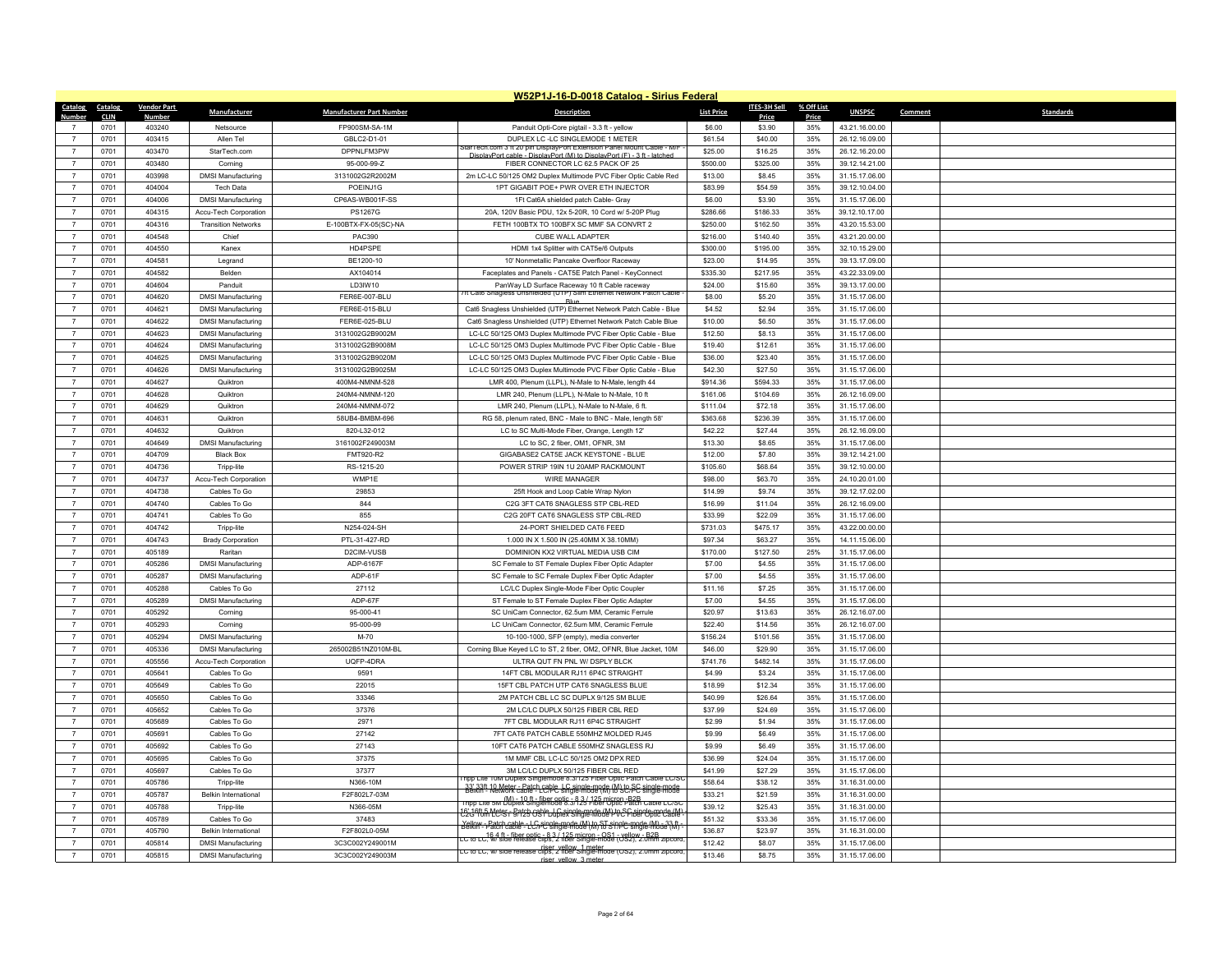|                |              |                    |                             |                                 | W52P1J-16-D-0018 Catalog - Sirius Federal                                                                                                                   |                    |                     |            |                                  |         |                  |
|----------------|--------------|--------------------|-----------------------------|---------------------------------|-------------------------------------------------------------------------------------------------------------------------------------------------------------|--------------------|---------------------|------------|----------------------------------|---------|------------------|
| Catalog        | Catalog      | <b>Vendor Part</b> | Manufacturer                | <b>Manufacturer Part Number</b> | <b>Description</b>                                                                                                                                          | <b>List Price</b>  | <b>ITES-3H Sell</b> | % Off List | <b>UNSPSC</b>                    | Comment | <b>Standards</b> |
| Numbe          | <b>CLIN</b>  | Number             |                             |                                 |                                                                                                                                                             |                    | Price               | Price      |                                  |         |                  |
| $\overline{7}$ | 0701<br>0701 | 403240<br>403415   | Netsource                   | FP900SM-SA-1M                   | Panduit Opti-Core pigtail - 3.3 ft - yellow                                                                                                                 | \$6.00             | \$3.90<br>\$40.00   | 35%<br>35% | 43.21.16.00.00                   |         |                  |
| $\overline{7}$ | 0701         | 403470             | Allen Tel<br>StarTech.com   | GBLC2-D1-01<br>DPPNLFM3PW       | DUPLEX LC -LC SINGLEMODE 1 METER<br>itar i ech.com 3 ft 20 pin DisplayPort Extension Panel Mount Cable - M/                                                 | \$61.54<br>\$25.00 | \$16.25             | 35%        | 26.12.16.09.00<br>26.12.16.20.00 |         |                  |
|                |              |                    |                             |                                 | DisplayPort cable - DisplayPort (M) to DisplayPort (F) - 3 ft - latched                                                                                     |                    |                     |            |                                  |         |                  |
| $\overline{7}$ | 0701         | 403480             | Corning                     | 95-000-99-Z                     | FIBER CONNECTOR LC 62.5 PACK OF 25                                                                                                                          | \$500.00           | \$325.00            | 35%        | 39.12.14.21.00                   |         |                  |
| $\overline{7}$ | 0701         | 403998             | <b>DMSI Manufacturing</b>   | 3131002G2R2002M                 | 2m LC-LC 50/125 OM2 Duplex Multimode PVC Fiber Optic Cable Red                                                                                              | \$13.00            | \$8.45              | 35%        | 31.15.17.06.00                   |         |                  |
| $\overline{7}$ | 0701         | 404004             | Tech Data                   | POFINJ1G                        | 1PT GIGABIT POF+ PWR OVER FTH INJECTOR                                                                                                                      | \$83.99            | \$54.59             | 35%        | 39.12.10.04.00                   |         |                  |
| $\overline{7}$ | 0701         | 404006             | <b>DMSI Manufacturing</b>   | CP6AS-WB001F-SS                 | 1Ft Cat6A shielded patch Cable- Gray                                                                                                                        | \$6.00             | \$3.90              | 35%        | 31.15.17.06.00                   |         |                  |
| $\overline{7}$ | 0701         | 404315             | Accu-Tech Corporation       | PS1267G                         | 20A, 120V Basic PDU, 12x 5-20R, 10 Cord w/ 5-20P Plug                                                                                                       | \$286.66           | \$186.33            | 35%        | 39.12.10.17.00                   |         |                  |
| $\overline{7}$ | 0701         | 404316             | <b>Transition Networks</b>  | E-100BTX-FX-05(SC)-NA           | FETH 100BTX TO 100BFX SC MMF SA CONVRT 2                                                                                                                    | \$250.00           | \$162.50            | 35%        | 43.20.15.53.00                   |         |                  |
| $\overline{7}$ | 0701         | 404548             | Chief                       | PAC390                          | CUBE WALL ADAPTER                                                                                                                                           | \$216.00           | \$140.40            | 35%        | 43.21.20.00.00                   |         |                  |
| $\overline{7}$ | 0701         | 404550             | Kanex                       | HD4PSPF                         | HDMI 1x4 Splitter with CAT5e/6 Outputs                                                                                                                      | \$300.00           | \$195.00            | 35%        | 32.10.15.29.00                   |         |                  |
| $\overline{7}$ | 0701         | 404581             | Legrand                     | BE1200-10                       | 10' Nonmetallic Pancake Overfloor Raceway                                                                                                                   | \$23.00            | \$14.95             | 35%        | 39.13.17.09.00                   |         |                  |
| $\overline{7}$ | 0701         | 404582             | <b>Belden</b>               | AX104014                        | Faceplates and Panels - CAT5E Patch Panel - KeyConnect                                                                                                      | \$335.30           | \$217.95            | 35%        | 43.22.33.09.00                   |         |                  |
| $\overline{7}$ | 0701         | 404604             | Panduit                     | LD3IW10                         | PanWay LD Surface Raceway 10 ft Cable raceway<br>ft Cat6 Snagless Unshielded (UTP) Slim Ethernet Network Patch Cable                                        | \$24.00            | \$15.60             | 35%        | 39.13.17.00.00                   |         |                  |
| $\overline{7}$ | 0701         | 404620             | <b>DMSI Manufacturing</b>   | FER6E-007-BLU                   | <b>Blue</b>                                                                                                                                                 | \$8.00             | \$5.20              | 35%        | 31.15.17.06.00                   |         |                  |
| $\overline{7}$ | 0701         | 404621             | <b>DMSI Manufacturing</b>   | FER6E-015-BLU                   | Cat6 Snagless Unshielded (UTP) Ethernet Network Patch Cable - Blue                                                                                          | \$4.52             | \$2.94              | 35%        | 31.15.17.06.00                   |         |                  |
| $\overline{7}$ | 0701         | 404622             | <b>DMSI Manufacturing</b>   | FER6E-025-BLU                   | Cat6 Snagless Unshielded (UTP) Ethernet Network Patch Cable Blue                                                                                            | \$10.00            | \$6.50              | 35%        | 31.15.17.06.00                   |         |                  |
| $\overline{7}$ | 0701         | 404623             | <b>DMSI Manufacturing</b>   | 3131002G2B9002M                 | LC-LC 50/125 OM3 Duplex Multimode PVC Fiber Optic Cable - Blue                                                                                              | \$12.50            | \$8.13              | 35%        | 31.15.17.06.00                   |         |                  |
| $\overline{7}$ | 0701         | 404624             | <b>DMSI Manufacturing</b>   | 3131002G2B9008M                 | LC-LC 50/125 OM3 Duplex Multimode PVC Fiber Optic Cable - Blue                                                                                              | \$19.40            | \$12.61             | 35%        | 31.15.17.06.00                   |         |                  |
| $\overline{7}$ | 0701         | 404625             | <b>DMSI Manufacturing</b>   | 3131002G2B9020M                 | LC-LC 50/125 OM3 Duplex Multimode PVC Fiber Optic Cable - Blue                                                                                              | \$36.00            | \$23.40             | 35%        | 31.15.17.06.00                   |         |                  |
| $\overline{7}$ | 0701         | 404626             | <b>DMSI Manufacturing</b>   | 3131002G2B9025M                 | LC-LC 50/125 OM3 Duplex Multimode PVC Fiber Optic Cable - Blue                                                                                              | \$42.30            | \$27.50             | 35%        | 31.15.17.06.00                   |         |                  |
| $\overline{7}$ | 0701         | 404627             | Quiktron                    | 400M4-NMNM-528                  | LMR 400, Plenum (LLPL), N-Male to N-Male, length 44                                                                                                         | \$914.36           | \$594.33            | 35%        | 31.15.17.06.00                   |         |                  |
| $\overline{7}$ | 0701         | 404628             | Quiktron                    | 240M4-NMNM-120                  | LMR 240, Plenum (LLPL), N-Male to N-Male, 10 ft                                                                                                             | \$161.06           | \$104.69            | 35%        | 26.12.16.09.00                   |         |                  |
| $\overline{7}$ | 0701         | 404629             | Quiktron                    | 240M4-NMNM-072                  | LMR 240, Plenum (LLPL), N-Male to N-Male, 6 ft.                                                                                                             | \$111.04           | \$72.18             | 35%        | 31.15.17.06.00                   |         |                  |
| $\overline{7}$ | 0701         | 404631             | Quiktron                    | 58UB4-BMBM-696                  | RG 58, plenum rated, BNC - Male to BNC - Male, length 58'                                                                                                   | \$363.68           | \$236.39            | 35%        | 31.15.17.06.00                   |         |                  |
| $\overline{7}$ | 0701         | 404632             | Quiktron                    | 820-L32-012                     | LC to SC Multi-Mode Fiber, Orange, Length 12'                                                                                                               | \$42.22            | \$27.44             | 35%        | 26.12.16.09.00                   |         |                  |
| $\overline{7}$ | 0701         | 404649             | <b>DMSI Manufacturing</b>   | 3161002F249003M                 | LC to SC, 2 fiber, OM1, OFNR, 3M                                                                                                                            | \$13.30            | \$8.65              | 35%        | 31.15.17.06.00                   |         |                  |
| $\overline{7}$ | 0701         | 404709             | <b>Black Box</b>            | FMT920-R2                       | GIGABASE2 CAT5E JACK KEYSTONE - BLUE                                                                                                                        | \$12.00            | \$7.80              | 35%        | 39.12.14.21.00                   |         |                  |
| $\overline{7}$ | 0701         | 404736             | Tripp-lite                  | RS-1215-20                      | POWER STRIP 19IN 1U 20AMP RACKMOUNT                                                                                                                         | \$105.60           | \$68.64             | 35%        | 39.12.10.00.00                   |         |                  |
| $\overline{7}$ | 0701         | 404737             | Accu-Tech Corporation       | WMP1E                           | <b>WIRE MANAGER</b>                                                                                                                                         | \$98.00            | \$63.70             | 35%        | 24.10.20.01.00                   |         |                  |
| $\overline{7}$ | 0701         | 404738             | Cables To Go                | 29853                           | 25ft Hook and Loop Cable Wrap Nylon                                                                                                                         | \$14.99            | \$9.74              | 35%        | 39.12.17.02.00                   |         |                  |
| $\overline{7}$ | 0701         | 404740             | Cables To Go                | 844                             | C2G 3FT CAT6 SNAGLESS STP CBL-RED                                                                                                                           | \$16.99            | \$11.04             | 35%        | 26.12.16.09.00                   |         |                  |
| $\overline{7}$ | 0701         | 404741             | Cables To Go                | 855                             | C2G 20FT CAT6 SNAGLESS STP CBL-RED                                                                                                                          | \$33.99            | \$22.09             | 35%        | 31.15.17.06.00                   |         |                  |
| $\overline{7}$ | 0701         | 404742             | Tripp-lite                  | N254-024-SH                     | 24-PORT SHIELDED CAT6 FEED                                                                                                                                  | \$731.03           | \$475.17            | 35%        | 43.22.00.00.00                   |         |                  |
| $\overline{7}$ | 0701         | 404743             | <b>Brady Corporation</b>    | PTL-31-427-RD                   | 1.000 IN X 1.500 IN (25.40MM X 38.10MM)                                                                                                                     | \$97.34            | \$63.27             | 35%        | 14.11.15.06.00                   |         |                  |
| $\overline{7}$ | 0701         | 405189             | Raritan                     | D2CIM-VUSB                      | DOMINION KX2 VIRTUAL MEDIA USB CIM                                                                                                                          | \$170.00           | \$127.50            | 25%        | 31.15.17.06.00                   |         |                  |
| $\overline{7}$ | 0701         | 405286             | <b>DMSI Manufacturing</b>   | ADP-6167F                       | SC Female to ST Female Duplex Fiber Optic Adapter                                                                                                           | \$7.00             | \$4.55              | 35%        | 31.15.17.06.00                   |         |                  |
| $\overline{7}$ | 0701         | 405287             | <b>DMSI Manufacturing</b>   | ADP-61F                         | SC Female to SC Female Duplex Fiber Optic Adapte                                                                                                            | \$7.00             | \$4.55              | 35%        | 31.15.17.06.00                   |         |                  |
| $\overline{7}$ | 0701         | 405288             | Cables To Go                | 27112                           | LC/LC Duplex Single-Mode Fiber Optic Coupler                                                                                                                | \$11.16            | \$7.25              | 35%        | 31.15.17.06.00                   |         |                  |
| $\overline{7}$ | 0701         | 405289             | <b>DMSI Manufacturing</b>   | ADP-67F                         | ST Female to ST Female Duplex Fiber Optic Adapter                                                                                                           | \$7.00             | \$4.55              | 35%        | 31.15.17.06.00                   |         |                  |
| $\overline{7}$ | 0701         | 405292             | Corning                     | 95-000-41                       | SC UniCam Connector, 62.5um MM, Ceramic Ferrule                                                                                                             | \$20.97            | \$13.63             | 35%        | 26.12.16.07.00                   |         |                  |
| $\overline{7}$ | 0701         | 405293             | Corning                     | 95-000-99                       | LC UniCam Connector, 62.5um MM, Ceramic Ferrule                                                                                                             | \$22.40            | \$14.56             | 35%        | 26.12.16.07.00                   |         |                  |
| $\overline{7}$ | 0701         | 405294             | <b>DMSI Manufacturing</b>   | M-70                            | 10-100-1000, SFP (empty), media converter                                                                                                                   | \$156.24           | \$101.56            | 35%        | 31.15.17.06.00                   |         |                  |
| $\overline{7}$ | 0701         | 405336             | <b>DMSI Manufacturing</b>   | 265002B51NZ010M-BL              | Corning Blue Keyed LC to ST, 2 fiber, OM2, OFNR, Blue Jacket, 10M                                                                                           | \$46.00            | \$29.90             | 35%        | 31.15.17.06.00                   |         |                  |
| $\overline{7}$ | 0701         | 405556             | Accu-Tech Corporation       | UQFP-4DRA                       | ULTRA QUT FN PNL W/ DSPLY BLCK                                                                                                                              | \$741.76           | \$482.14            | 35%        | 31.15.17.06.00                   |         |                  |
| $\overline{7}$ | 0701         | 405641             | Cables To Go                | 9591                            | 14FT CBL MODULAR RJ11 6P4C STRAIGHT                                                                                                                         | \$4.99             | \$3.24              | 35%        | 31.15.17.06.00                   |         |                  |
| $\overline{7}$ | 0701         | 405649             | Cables To Go                | 22015                           | 15FT CBL PATCH UTP CAT6 SNAGLESS BLUE                                                                                                                       | \$18.99            | \$12.34             | 35%        | 31.15.17.06.00                   |         |                  |
| $\overline{7}$ | 0701         | 405650             | Cables To Go                | 33346                           | 2M PATCH CBL LC SC DUPLX 9/125 SM BLUE                                                                                                                      | \$40.99            | \$26.64             | 35%        | 31.15.17.06.00                   |         |                  |
| $\overline{7}$ | 0701         | 405652             | Cables To Go                | 37376                           | 2M LC/LC DUPLX 50/125 FIBER CBL RED                                                                                                                         | \$37.99            | \$24.69             | 35%        | 31.15.17.06.00                   |         |                  |
| $\overline{7}$ | 0701         | 405689             | Cables To Go                | 2971                            | 7FT CBL MODULAR RJ11 6P4C STRAIGHT                                                                                                                          | \$2.99             | \$1.94              | 35%        | 31.15.17.06.00                   |         |                  |
| $\overline{7}$ | 0701         | 405691             | Cables To Go                | 27142                           | 7FT CAT6 PATCH CABLE 550MHZ MOLDED RJ45                                                                                                                     | \$9.99             | \$6.49              | 35%        | 31.15.17.06.00                   |         |                  |
| $\overline{7}$ | 0701         | 405692             | Cables To Go                | 27143                           | 10FT CAT6 PATCH CABLE 550MHZ SNAGLESS RJ                                                                                                                    | \$9.99             | \$6.49              | 35%        | 31.15.17.06.00                   |         |                  |
| $\overline{7}$ | 0701         | 405695             | Cables To Go                | 37375                           | 1M MMF CBL LC-LC 50/125 OM2 DPX RED                                                                                                                         | \$36.99            | \$24.04             | 35%        | 31.15.17.06.00                   |         |                  |
| $\overline{7}$ | 0701         | 405697             | Cables To Go                | 37377                           | 3M LC/LC DUPLX 50/125 FIBER CBL RED                                                                                                                         | \$41.99            | \$27.29             | 35%        | 31.15.17.06.00                   |         |                  |
| $\overline{7}$ | 0701         | 405786             | Tripp-lite                  | N366-10M                        | ripp Lite 10M Duplex Singlemode 8.3/125 Fiber Optic Patch Cable LC/SC                                                                                       | \$58.64            | \$38.12             | 35%        | 31.16.31.00.00                   |         |                  |
| $\overline{7}$ | 0701         | 405787             | <b>Belkin International</b> | F2F802L7-03M                    | 33' 33ft 10 Meter - Patch cable, L.C. single-mode (M) to StCrPC single-mode                                                                                 | \$33.21            | \$21.59             | 35%        | 31.16.31.00.00                   |         |                  |
| $\overline{7}$ | 0701         | 405788             | Tripp-lite                  | N366-05M                        | Tripp Lite 5M Duplex Singlemode 8.3/125 micron -B2B<br>Tripp Lite 5M Duplex Singlemode 8.3/125 Fiber Optic Patch Cable LC/SC                                | \$39.12            | \$25.43             | 35%        | 31.16.31.00.00                   |         |                  |
| $\overline{7}$ | 0701         | 405789             | Cables To Go                | 37483                           | <u> 15 1911 A Meter - Batch centrul C single-mode (M) to SC single-mode (M</u>                                                                              | \$51.32            | \$33.36             | 35%        | 31.15.17.06.00                   |         |                  |
| $\overline{7}$ | 0701         | 405790             | <b>Relkin International</b> | F2F802L0-05M                    | Yellow - Patch cable - LC single-mode (M) to ST single-mode (M) - 33 ft -<br>Belkin - Patch cable - LC/PC single-mode (M) to ST/PC single-mode (M)          | \$36.87            | \$23.97             | 35%        | 31.16.31.00.00                   |         |                  |
| $\overline{7}$ | 0701         | 405814             | <b>DMSI Manufacturing</b>   | 3C3C002Y249001M                 | C to LC <sup>16</sup> 4 ft - fiber ontic - 8.3 / 125 micron - OS1 - Vellow - B2B<br>C to LC. W side release clips. 2 fiber Single-mode rOS2). 2.0mm zipcord | \$12.42            | \$8.07              | 35%        | 31.15.17.06.00                   |         |                  |
| $\overline{7}$ | 0701         | 405815             | <b>DMSI Manufacturing</b>   | 3C3C002Y249003M                 | riser_vellow_1 meter<br>LC to LC, w/ side release clips, 2 fiber Single-mode (OS2), 2.0mm zipcord                                                           | \$13.46            | \$8.75              | 35%        | 31.15.17.06.00                   |         |                  |
|                |              |                    |                             |                                 | riser vellow 3 meter                                                                                                                                        |                    |                     |            |                                  |         |                  |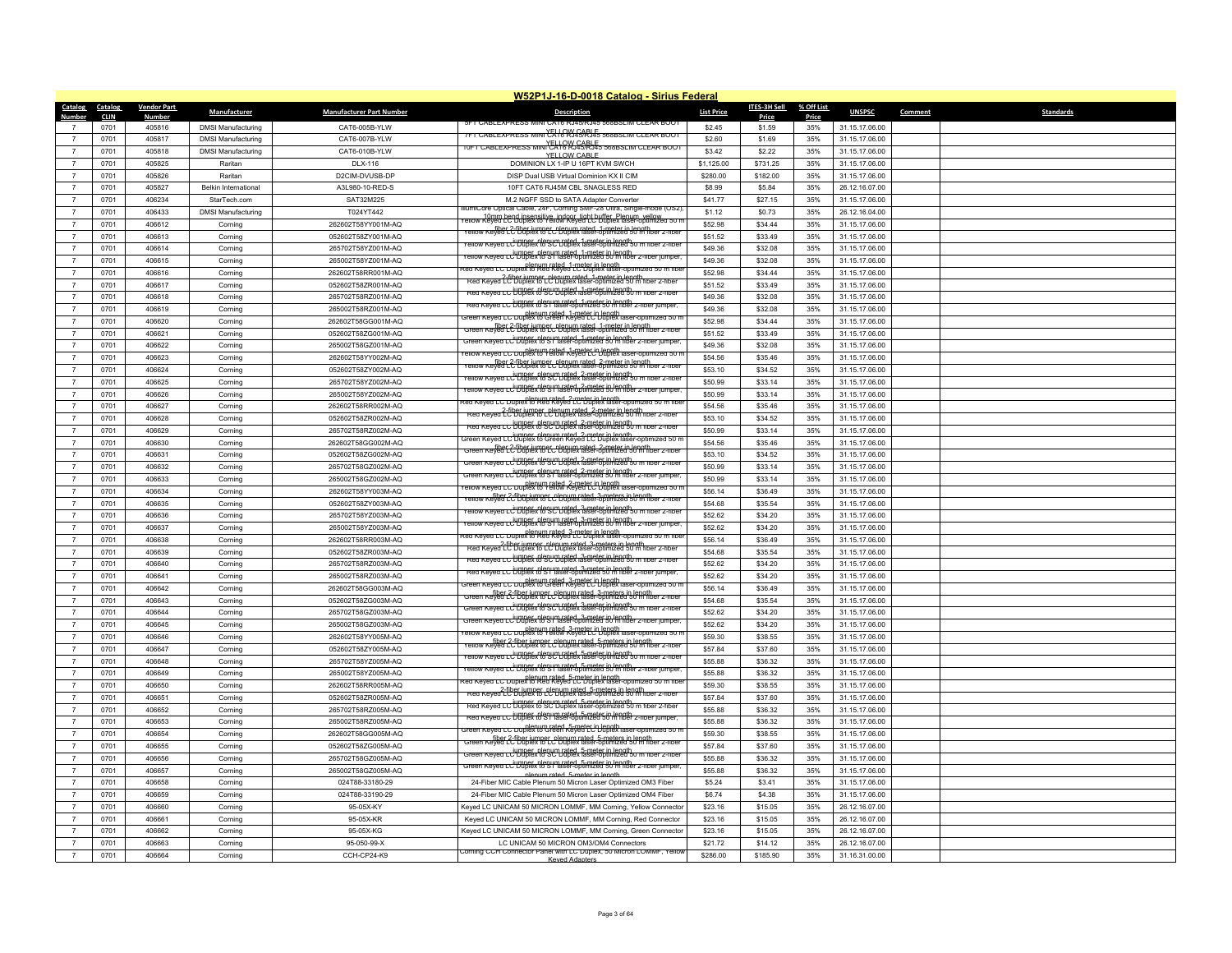|                                  |              |                    |                             |                                          | W52P1J-16-D-0018 Catalog - Sirius Federal                                                                                                        |                    |                    |            |                                  |         |                  |
|----------------------------------|--------------|--------------------|-----------------------------|------------------------------------------|--------------------------------------------------------------------------------------------------------------------------------------------------|--------------------|--------------------|------------|----------------------------------|---------|------------------|
| Catalog                          | Catalog      | <b>Vendor Part</b> | Manufacturer                | <b>Manufacturer Part Number</b>          | <b>Description</b>                                                                                                                               | <b>List Price</b>  | ITES-3H Sell       | % Off List | <b>UNSPSC</b>                    | Comment | <b>Standards</b> |
| Numbe                            | <b>CLIN</b>  | Number             |                             |                                          | <b>FILABLEXP</b>                                                                                                                                 |                    | Price              | Price      |                                  |         |                  |
| $\overline{7}$                   | 0701<br>0701 | 405816<br>405817   | <b>DMSI Manufacturing</b>   | CAT6-005B-YLW                            | 7FT CABLEXPRESS MINI CA 16 RY45 RJ45 568BSLIM CLEAR BOOT                                                                                         | \$2.45             | \$1.59             | 35%<br>35% | 31.15.17.06.00                   |         |                  |
| $\overline{7}$                   | 0701         | 405818             | <b>DMSI Manufacturing</b>   | CAT6-007B-YLW<br>CAT6-010B-YLW           | 10FT CABLEXPRESS MINI CATO WAS RIFS 568BSLIM CLEAR BOOT                                                                                          | \$2.60<br>\$3.42   | \$1.69<br>\$2.22   | 35%        | 31.15.17.06.00<br>31.15.17.06.00 |         |                  |
|                                  |              |                    | <b>DMSI Manufacturing</b>   |                                          | YELLOW CABLE                                                                                                                                     |                    |                    |            |                                  |         |                  |
| $\overline{7}$                   | 0701         | 405825             | Raritar                     | <b>DLX-116</b>                           | DOMINION LX 1-IP U 16PT KVM SWCH                                                                                                                 | \$1,125.00         | \$731.25           | 35%        | 31.15.17.06.00                   |         |                  |
| $\overline{7}$                   | 0701         | 405826             | Raritan                     | D2CIM-DVUSB-DP                           | DISP Dual USB Virtual Dominion KX II CIM                                                                                                         | \$280.00           | \$182.00           | 35%        | 31.15.17.06.00                   |         |                  |
| $\overline{7}$                   | 0701         | 405827             | <b>Belkin International</b> | A3L980-10-RED-S                          | 10FT CAT6 RJ45M CBL SNAGLESS RED                                                                                                                 | \$8.99             | \$5.84             | 35%        | 26.12.16.07.00                   |         |                  |
| $\overline{7}$<br>$\overline{7}$ | 0701         | 406234             | StarTech.com                | SAT32M225                                | M.2 NGFF SSD to SATA Adapter Converter<br>umiCore Optical Cable, 24F. Corning SMF-28 Ultra, Single-mode (OS2                                     | \$41.77            | \$27.15            | 35%        | 31.15.17.06.00                   |         |                  |
|                                  | 0701         | 406433<br>406612   | <b>DMSI Manufacturing</b>   | T024YT442<br>262602T58YY001M-AQ          | 10mm bend insensitive, indoor, tight buffer, Plenum, vellow,<br>"ellow Keyed LC Duplex to Yellow Keyed LC Duplex laser-optimized 50 r            | \$1.12<br>\$52.98  | \$0.73<br>\$34.44  | 35%<br>35% | 26.12.16.04.00<br>31.15.17.06.00 |         |                  |
| $\overline{7}$                   | 0701         |                    | Corning                     |                                          | fiber 2-fiber jumper, plenum rated, 1-meter in length<br>How Keyed LC Duplex to LC Duplex laser-optimized 50 m fiber 2-fibe                      |                    |                    |            |                                  |         |                  |
| $\overline{7}$                   | 0701         | 406613             | Corning                     | 052602T58ZY001M-AQ                       | ellow Keyea Lü Düpfex Versich Labels 1a9eter in Jenath ו- Tellow Keyea Lü Düpfex Versich Labels 1a9eter in Jena                                  | \$51.52            | \$33.49            | 35%        | 31.15.17.06.00                   |         |                  |
| $\overline{7}$<br>$\overline{7}$ | 0701         | 406614             | Corning                     | 265702T58YZ001M-AQ<br>265002T58YZ001M-AO | Yellow Keyed LC Duplex to ST laser-optimized 50 m fiber 2-fiber jumper                                                                           | \$49.36<br>\$49.36 | \$32.08            | 35%        | 31.15.17.06.00                   |         |                  |
| $\overline{7}$                   | 0701<br>0701 | 406615<br>406616   | Corning                     | 262602T58RR001M-AQ                       | ed Keyed LC Duplex to Red Reyed LC Duplex laser-optimized 50 m fibi                                                                              | \$52.98            | \$32.08<br>\$34.44 | 35%<br>35% | 31.15.17.06.00<br>31.15.17.06.00 |         |                  |
| $\overline{7}$                   |              | 406617             | Corning                     |                                          | Red Reved { the iumper plenum rated 1-meter in length<br>Red Reved { the bublex to LC Duplex laser-optimized 50 m fiber 2-fiber                  |                    |                    | 35%        |                                  |         |                  |
|                                  | 0701         |                    | Corning                     | 052602T58ZR001M-AQ                       | Red Keyed LC Uuplex to SC Duplex laser-optimized 50 m fiber 2-fiber                                                                              | \$51.52            | \$33.49            |            | 31.15.17.06.00                   |         |                  |
| $\overline{7}$<br>$\overline{7}$ | 0701         | 406618             | Corning                     | 265702T58RZ001M-AQ                       | e <del>a Keyea LC UDDBK D<sup>i</sup>sh marated 1-meter in length z-moer</del>                                                                   | \$49.36            | \$32.08            | 35%        | 31.15.17.06.00                   |         |                  |
| $\overline{7}$                   | 0701         | 406619<br>406620   | Corning                     | 265002T58RZ001M-AQ<br>262602T58GG001M-AO | Green Keyed LC Duplex to Green Keyed LC Duplex laser-optimized 50 n                                                                              | \$49.36<br>\$52.98 | \$32.08<br>\$34.44 | 35%<br>35% | 31.15.17.06.00                   |         |                  |
|                                  | 0701         |                    | Corning                     |                                          | Green Keyed LC Duplex to LC Duplex faser-optimized 50 m fiber 2-fiber                                                                            |                    |                    |            | 31.15.17.06.00                   |         |                  |
| $\overline{7}$<br>$\overline{7}$ | 0701<br>0701 | 406621<br>406622   | Corning                     | 052602T58ZG001M-AQ<br>265002T58GZ001M-AQ | Green Keyed LC Duplex to ST laser-optimized 50 m fiber 2-fiber jumper.                                                                           | \$51.52<br>\$49.36 | \$33.49<br>\$32.08 | 35%<br>35% | 31.15.17.06.00                   |         |                  |
|                                  |              |                    | Corning                     |                                          | ellow Keyed LC Duplex to Yellow Keyed LC Duplex laser-optimized 50 r                                                                             |                    |                    |            | 31.15.17.06.00                   |         |                  |
| $\overline{7}$                   | 0701         | 406623             | Corning                     | 262602T58YY002M-AQ                       | enow Keyed LC-Duplex Ret_Planum rated-3-meter in Jonather z-moer                                                                                 | \$54.56            | \$35.46            | 35%        | 31.15.17.06.00                   |         |                  |
| $\overline{7}$<br>$\overline{7}$ | 0701<br>0701 | 406624<br>406625   | Corning                     | 052602T58ZY002M-AQ                       | ellow Keyed LC Duplex to SC Duplex laser-optimized 50 m fiber 2-fiber                                                                            | \$53.10<br>\$50.99 | \$34.52<br>\$33.14 | 35%<br>35% | 31.15.17.06.00                   |         |                  |
| $\overline{7}$                   | 0701         | 406626             | Corning                     | 265702T58YZ002M-AQ<br>265002T58YZ002M-AQ | rellow Keyed LC Duplex hlep im rated. 2-meter in length.<br>rellow Keyed LC Duplex to ST laser-optimized 50 m fiber 2-fiber jumper               | \$50.99            | \$33.14            | 35%        | 31.15.17.06.00<br>31.15.17.06.00 |         |                  |
| $\overline{7}$                   | 0701         | 406627             | Corning                     | 262602T58RR002M-AQ                       | nlenum rated, 2-meter in length.<br>The Keyed LC Duplex to Red Reyed LC Duplex laser-optimized 50 m fiber                                        | \$54.56            | \$35.46            | 35%        |                                  |         |                  |
| $\overline{7}$                   |              | 406628             | Corning                     |                                          | Fred Keyed LC Duplex to LC Duplex laser-optimized 50 m fiber 2-fiber<br>Red Keyed LC Duplex to LC Duplex laser-optimized 50 m fiber 2-fiber      |                    |                    |            | 31.15.17.06.00                   |         |                  |
|                                  | 0701         |                    | Corning                     | 052602T58ZR002M-AQ                       | Red Keyed LC Uuplex to SC Duplex laser-optimized 50 m fiber 2-fiber                                                                              | \$53.10            | \$34.52            | 35%        | 31.15.17.06.00                   |         |                  |
| $\overline{7}$<br>$\overline{7}$ | 0701         | 406629             | Corning                     | 265702T58RZ002M-AQ                       | Freen Keyed LC Duplex to Green Keyed LC Duplex laser-optimized 50 n                                                                              | \$50.99<br>\$54.56 | \$33.14            | 35%        | 31.15.17.06.00                   |         |                  |
| $\overline{7}$                   | 0701         | 406630             | Corning                     | 262602T58GG002M-AQ                       | Green Keyed LC Duplex to LC Duplex laser-optimized 50 m fiber 2-meet                                                                             |                    | \$35.46            | 35%        | 31.15.17.06.00                   |         |                  |
|                                  | 0701         | 406631<br>406632   | Corning                     | 052602T58ZG002M-AQ                       | Green Keyed LC Duplex to SC Duplex laser-optimized 50 m fiber 2-fiber                                                                            | \$53.10            | \$34.52            | 35%        | 31.15.17.06.00                   |         |                  |
| $\overline{7}$<br>$\overline{7}$ | 0701         |                    | Corning                     | 265702T58GZ002M-AQ                       | Green Keyed LC Duplex to ST laser-optimized 50 m fiber 2-fiber jumper                                                                            | \$50.99            | \$33.14            | 35%        | 31.15.17.06.00                   |         |                  |
|                                  | 0701         | 406633             | Corning                     | 265002T58GZ002M-AQ                       | ellow Keyed LC Duplex to Yellow Keyed LC Duplex laser-optimized 50 r                                                                             | \$50.99            | \$33.14            | 35%        | 31.15.17.06.00                   |         |                  |
| $\overline{7}$                   | 0701<br>0701 | 406634<br>406635   | Corning                     | 262602T58YY003M-AQ<br>052602T58ZY003M-AQ | fiber 2-fiber jumper, plenum rated, 3-meters in length<br>Yellow Keyed LC Duplex to LC Duplex laser-optimized 50 m fiber 2-fiber                 | \$56.14<br>\$54.68 | \$36.49<br>\$35.54 | 35%<br>35% | 31.15.17.06.00<br>31.15.17.06.00 |         |                  |
| $\overline{7}$<br>$\overline{7}$ | 0701         | 406636             | Corning<br>Corning          | 265702T58YZ003M-AQ                       | ellow Keyed LC Duplex to SC Duplex laser-optimized 50 m fiber 2-fibe                                                                             | \$52.62            | \$34.20            | 35%        | 31.15.17.06.00                   |         |                  |
| $\overline{7}$                   |              | 406637             |                             | 265002T58YZ003M-AO                       | rellow Keved LC UDDer plenum rated, 3-meter in length<br>reliow Keved LC UDDex to SIT laser-optimized 50 m fiber 2-hiber jumper                  | \$52.62            |                    | 35%        | 31.15.17.06.00                   |         |                  |
| $\overline{7}$                   | 0701         |                    | Corning                     | 262602T58RR003M-AO                       | ed Keyed LC Duplex to Red Reyed LC Duplex laser-optimized 50 m fibe                                                                              | \$56.14            | \$34.20            |            |                                  |         |                  |
| $\overline{7}$                   | 0701<br>0701 | 406638<br>406639   | Corning                     | 052602T58ZR003M-AQ                       | Red Keyed LC Duplex to LC Duplex laser-optimized 50 m fiber 2-fiber                                                                              | \$54.68            | \$36.49<br>\$35.54 | 35%<br>35% | 31.15.17.06.00<br>31.15.17.06.00 |         |                  |
| $\overline{7}$                   | 0701         | 406640             | Corning<br>Corning          | 265702T58RZ003M-AQ                       | Red Keyed LC UUDDEX to SC Duplex laser-optimized 50 m fiber 2-fiber                                                                              | \$52.62            | \$34.20            | 35%        | 31.15.17.06.00                   |         |                  |
| $\overline{7}$                   | 0701         | 406641             | Corning                     | 265002T58RZ003M-AO                       | Red Keyed LC Uuplex to SI laser-optimized 50 m fiber 2-fiber jumper,                                                                             | \$52.62            | \$34.20            | 35%        | 31.15.17.06.00                   |         |                  |
| $\overline{7}$                   | 0701         | 406642             |                             | 262602T58GG003M-AQ                       | Freen Keyed LC Duplex to Green Keyed LC Duplex laser-optimized 50 n                                                                              | \$56.14            | \$36.49            | 35%        | 31.15.17.06.00                   |         |                  |
| $\overline{7}$                   | 0701         | 406643             | Corning<br>Corning          | 052602T58ZG003M-AQ                       | Green Keved LC Dublex to LC Dublex laser-optimized 50 m floer 2-meters.<br>Green Keved LC Dublex to LC Dublex laser-optimized 50 m floer 2-meter | \$54.68            | \$35.54            | 35%        | 31.15.17.06.00                   |         |                  |
| $\overline{7}$                   | 0701         | 406644             | Corning                     | 265702T58GZ003M-AQ                       | Green Keyed LC Duplex to SC Duplex laser-optimized 50 m fiber 2-fiber                                                                            | \$52.62            | \$34.20            | 35%        | 31.15.17.06.00                   |         |                  |
| $\overline{7}$                   | 0701         | 406645             | Corning                     | 265002T58GZ003M-AQ                       | Green Keyed LC Duplex to ST laser-optimized 50 m fiber 2-fiber jumper                                                                            | \$52.62            | \$34.20            | 35%        | 31.15.17.06.00                   |         |                  |
| $\overline{7}$                   | 0701         | 406646             | Corning                     | 262602T58YY005M-AQ                       | rellow Keyed LC Duplex to Yellow Keyed LC Duplex laser-optimized 50 m                                                                            | \$59.30            | \$38.55            | 35%        | 31.15.17.06.00                   |         |                  |
| $\overline{7}$                   | 0701         | 406647             | Corning                     | 052602T58ZY005M-AQ                       | fiber 2-fiber jumper, plenum rated, 5-meters in length.<br>Yellow Keyed LC Duplex to LC Duplex laser-optimized 50 m fiber 2-fiber                | \$57.84            | \$37.60            | 35%        | 31.15.17.06.00                   |         |                  |
| $\overline{7}$                   | 0701         | 406648             | Corning                     | 265702T58YZ005M-AQ                       | rellow Keved LC Dublex to SC Dublex laser-optimized 50 m fiber 2-fiber<br>reliow Keved LC Dublex to SC Dublex laser-optimized 50 m fiber 2-fiber | \$55.88            | \$36.32            | 35%        | 31.15.17.06.00                   |         |                  |
| $\overline{7}$                   | 0701         | 406649             | Corning                     | 265002T58YZ005M-AQ                       | rellow Keyed LC Duplex to SIT laser-optimized 50 m fiber 2-fiber jumpe                                                                           | \$55.88            | \$36.32            | 35%        | 31.15.17.06.00                   |         |                  |
| $\overline{7}$                   | 0701         | 406650             | Corning                     | 262602T58RR005M-AQ                       | ed Keyed LC Duplex to Red Reyed LC Duplex laser-optimized 50 m fibe                                                                              | \$59.30            | \$38.55            | 35%        | 31.15.17.06.00                   |         |                  |
| $\overline{7}$                   | 0701         | 406651             | Corning                     | 052602T58ZR005M-AQ                       | Red Keyed LC Duplex to LC Duplex laser-optimized 50 m fiber 2-fiber                                                                              | \$57.84            | \$37.60            | 35%        | 31.15.17.06.00                   |         |                  |
| $\overline{7}$                   | 0701         | 406652             | Corning                     | 265702T58R7005M-AO                       | Red Keyed LC Duplex to SC Duplex laser-optimized 50 m fiber 2-fiber<br>Red Keyed LC Duplex to SC Duplex laser-optimized 50 m fiber 2-fiber       | \$55.88            | \$36.32            | 35%        | 31.15.17.06.00                   |         |                  |
| $\overline{7}$                   | 0701         | 406653             | Corning                     | 265002T58RZ005M-AQ                       | Red Keyed LC Umper, plenum rated. 5-meter in length<br>Red Keyed LC Uuplex to ST laser-optimized 50 m fiber 2-fiber jumper                       | \$55.88            | \$36.32            | 35%        | 31.15.17.06.00                   |         |                  |
| $\overline{7}$                   | 0701         | 406654             | Corning                     | 262602T58GG005M-AQ                       | Freen Keyed LC Duplex to Green Keyed LC Duplex laser-optimized 50 n                                                                              | \$59.30            | \$38.55            | 35%        | 31.15.17.06.00                   |         |                  |
| $\overline{7}$                   | 0701         | 406655             | Corning                     | 052602T58ZG005M-AQ                       | Green Keyed LC Duplex to LC Duplex laser-optimized 50 m fiber 2-fiber<br>Green Keyed LC Duplex to LC Duplex laser-optimized 50 m fiber 2-fiber   | \$57.84            | \$37.60            | 35%        | 31.15.17.06.00                   |         |                  |
| $\overline{7}$                   | 0701         | 406656             | Corning                     | 265702T58GZ005M-AQ                       | Green Keyed LC Duplex to SC Duplex laser-optimized 50 m fibe                                                                                     | \$55.88            | \$36.32            | 35%        | 31.15.17.06.00                   |         |                  |
| $\overline{7}$                   | 0701         | 406657             | Corning                     | 265002T58GZ005M-AQ                       | Green Keved LC Dublex to SIT laser-optimized 50 m fiber 2-fiber jumper                                                                           | \$55.88            | \$36.32            | 35%        | 31.15.17.06.00                   |         |                  |
| $\overline{7}$                   | 0701         | 406658             | Corning                     | 024T88-33180-29                          | nlenum rated. 5-meter in lenu<br>24-Fiber MIC Cable Plenum 50 Micron Laser Optimized OM3 Fiber                                                   | \$5.24             | \$3.41             | 35%        | 31.15.17.06.00                   |         |                  |
| $\overline{7}$                   | 0701         | 406659             | Corning                     | 024T88-33190-29                          | 24-Fiber MIC Cable Plenum 50 Micron Laser Optimized OM4 Fiber                                                                                    | \$6.74             | \$4.38             | 35%        | 31.15.17.06.00                   |         |                  |
| $\overline{7}$                   | 0701         | 406660             | Corning                     | 95-05X-KY                                | Keyed LC UNICAM 50 MICRON LOMMF, MM Corning, Yellow Connector                                                                                    | \$23.16            | \$15.05            | 35%        | 26.12.16.07.00                   |         |                  |
| $\overline{7}$                   | 0701         | 406661             | Corning                     | 95-05X-KR                                | Keyed LC UNICAM 50 MICRON LOMMF, MM Corning, Red Connector                                                                                       | \$23.16            | \$15.05            | 35%        | 26.12.16.07.00                   |         |                  |
| $\overline{7}$                   | 0701         | 406662             | Corning                     | 95-05X-KG                                | Keyed LC UNICAM 50 MICRON LOMMF, MM Corning, Green Connector                                                                                     | \$23.16            | \$15.05            | 35%        | 26.12.16.07.00                   |         |                  |
|                                  | 0701         | 406663             | Corning                     | 95-050-99-X                              | LC UNICAM 50 MICRON OM3/OM4 Connectors                                                                                                           | \$21.72            | \$14.12            | 35%        | 26.12.16.07.00                   |         |                  |
| $\overline{7}$                   | 0701         | 406664             | Corning                     | CCH-CP24-K9                              | orning CCH Connector Panel with LC Duplex, 50 Micron LOMMF, Yello                                                                                | \$286.00           | \$185.90           | 35%        | 31.16.31.00.00                   |         |                  |
|                                  |              |                    |                             |                                          | Keyed Adapt                                                                                                                                      |                    |                    |            |                                  |         |                  |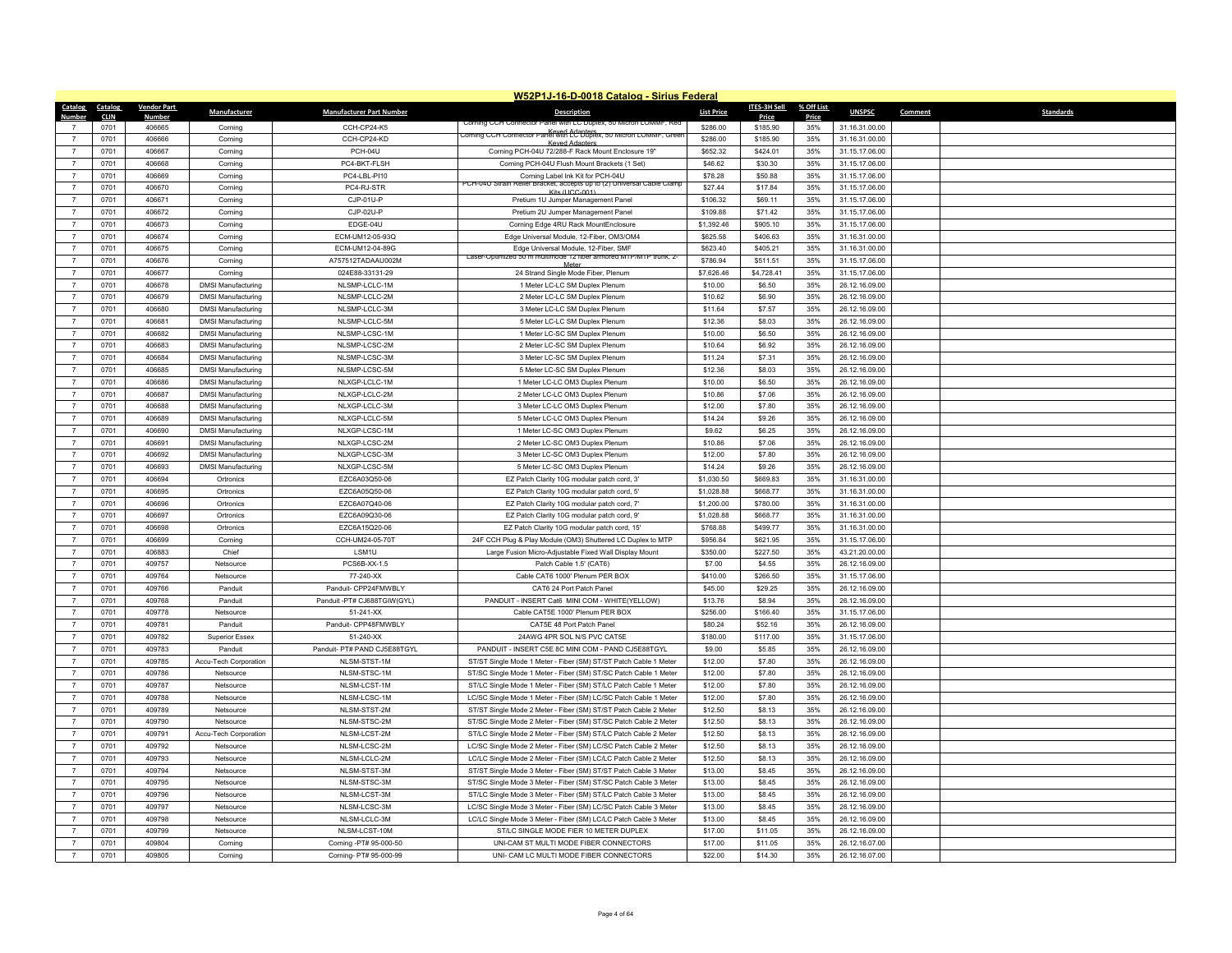|                                  |             |                    |                           |                                 | W52P1J-16-D-0018 Catalog - Sirius Federal                                    |                   |              |            |                |                             |
|----------------------------------|-------------|--------------------|---------------------------|---------------------------------|------------------------------------------------------------------------------|-------------------|--------------|------------|----------------|-----------------------------|
| Catalog                          | Catalog     | <b>Vendor Part</b> | Manufacturer              | <b>Manufacturer Part Number</b> | <b>Description</b>                                                           | <b>List Price</b> | ITES-3H Sell | % Off List | <b>UNSPSC</b>  | <b>Standards</b><br>Comment |
| Number                           | <b>CLIN</b> | Number             |                           |                                 | Corning CCH Connector Panel With LC Dublex, 50                               |                   | Price        | Price      |                |                             |
|                                  | 0701        | 406665             | Corning                   | CCH-CP24-K5                     | Corning CCH Connector Panel With LC Duplex, 50 Micron LOMMF, Greet           | \$286.00          | \$185.90     | 35%        | 31.16.31.00.00 |                             |
| $\overline{7}$                   | 0701        | 406666             | Corning                   | CCH-CP24-KD                     | Keyed Adanter                                                                | \$286.00          | \$185.90     | 35%        | 31.16.31.00.00 |                             |
| $\overline{7}$                   | 0701        | 406667             | Corning                   | PCH-04U                         | Corning PCH-04U 72/288-F Rack Mount Enclosure 19"                            | \$652.32          | \$424.01     | 35%        | 31.15.17.06.00 |                             |
| $\overline{7}$                   | 0701        | 406668             | Corning                   | PC4-BKT-FLSH                    | Corning PCH-04U Flush Mount Brackets (1 Set)                                 | \$46.62           | \$30.30      | 35%        | 31.15.17.06.00 |                             |
| $\overline{7}$                   | 0701        | 406669             | Corning                   | PC4-LBL-PI10                    | Corning Label Ink Kit for PCH-04U<br>°CH-∪4∪ Strail<br>keller Bracket, accel | \$78.28           | \$50.88      | 35%        | 31.15.17.06.00 |                             |
| $\overline{7}$                   | 0701        | 406670             | Corning                   | PC4-RJ-STR                      | Kits (LICC-001)                                                              | \$27.44           | \$17.84      | 35%        | 31.15.17.06.00 |                             |
| $\overline{7}$                   | 0701        | 406671             | Corning                   | CJP-01U-P                       | Pretium 1U Jumper Management Panel                                           | \$106.32          | \$69.11      | 35%        | 31.15.17.06.00 |                             |
| $\overline{7}$                   | 0701        | 406672             | Corning                   | CJP-02U-P                       | Pretium 2U Jumper Management Panel                                           | \$109.88          | \$71.42      | 35%        | 31.15.17.06.00 |                             |
| $\overline{7}$                   | 0701        | 406673             | Corning                   | EDGE-04U                        | Corning Edge 4RU Rack MountEnclosure                                         | \$1,392.46        | \$905.10     | 35%        | 31.15.17.06.00 |                             |
| $\overline{7}$                   | 0701        | 406674             | Corning                   | ECM-UM12-05-93Q                 | Edge Universal Module, 12-Fiber, OM3/OM4                                     | \$625.58          | \$406.63     | 35%        | 31.16.31.00.00 |                             |
| $\overline{7}$                   | 0701        | 406675             | Corning                   | ECM-UM12-04-89G                 | Edge Universal Module, 12-Fiber, SMF                                         | \$623.40          | \$405.21     | 35%        | 31.16.31.00.00 |                             |
| $\overline{7}$                   | 0701        | 406676             | Corning                   | A757512TADAAU002M               | Laser-Optimized 50 m multimode 12 fiber armored MTP/MTP trunk, 2-            | \$786.94          | \$511.51     | 35%        | 31.15.17.06.00 |                             |
| $\overline{7}$                   | 0701        | 406677             | Corning                   | 024E88-33131-29                 | 24 Strand Single Mode Fiber, Plenum                                          | \$7,626.46        | \$4,728.41   | 35%        | 31.15.17.06.00 |                             |
| $\overline{7}$                   | 0701        | 406678             | <b>DMSI Manufacturing</b> | NLSMP-LCLC-1M                   | 1 Meter LC-LC SM Duplex Plenum                                               | \$10.00           | \$6.50       | 35%        | 26.12.16.09.00 |                             |
| $\overline{7}$                   | 0701        | 406679             | <b>DMSI Manufacturing</b> | NLSMP-LCLC-2M                   | 2 Meter LC-LC SM Duplex Plenum                                               | \$10.62           | \$6.90       | 35%        | 26.12.16.09.00 |                             |
| $\overline{7}$                   | 0701        | 406680             | <b>DMSI Manufacturing</b> | NLSMP-LCLC-3M                   | 3 Meter LC-LC SM Duplex Plenum                                               | \$11.64           | \$7.57       | 35%        | 26.12.16.09.00 |                             |
| $\overline{7}$                   | 0701        | 406681             | <b>DMSI Manufacturing</b> | NLSMP-LCLC-5M                   | 5 Meter LC-LC SM Duplex Plenum                                               | \$12.36           | \$8.03       | 35%        | 26.12.16.09.00 |                             |
| $\overline{7}$                   | 0701        | 406682             | <b>DMSI Manufacturing</b> | NLSMP-LCSC-1M                   | 1 Meter LC-SC SM Duplex Plenum                                               | \$10.00           | \$6.50       | 35%        | 26.12.16.09.00 |                             |
| $\overline{7}$                   | 0701        | 406683             | <b>DMSI Manufacturing</b> | NLSMP-LCSC-2M                   | 2 Meter LC-SC SM Duplex Plenum                                               | \$10.64           | \$6.92       | 35%        | 26.12.16.09.00 |                             |
| $\overline{7}$                   | 0701        | 406684             | <b>DMSI Manufacturing</b> | NLSMP-LCSC-3M                   | 3 Meter LC-SC SM Duplex Plenum                                               | \$11.24           | \$7.31       | 35%        | 26.12.16.09.00 |                             |
| $\overline{7}$                   | 0701        | 406685             | <b>DMSI Manufacturing</b> | NLSMP-LCSC-5M                   | 5 Meter LC-SC SM Duplex Plenum                                               | \$12.36           | \$8.03       | 35%        | 26.12.16.09.00 |                             |
| $\overline{7}$                   | 0701        | 406686             | <b>DMSI Manufacturing</b> | NLXGP-LCLC-1M                   | 1 Meter LC-LC OM3 Duplex Plenum                                              | \$10.00           | \$6.50       | 35%        | 26.12.16.09.00 |                             |
| $\overline{7}$                   | 0701        | 406687             | <b>DMSI Manufacturing</b> | NLXGP-LCLC-2M                   | 2 Meter LC-LC OM3 Duplex Plenum                                              | \$10.86           | \$7.06       | 35%        | 26.12.16.09.00 |                             |
| $\overline{7}$                   | 0701        | 406688             | <b>DMSI Manufacturing</b> | NLXGP-LCLC-3M                   | 3 Meter LC-LC OM3 Duplex Plenum                                              | \$12.00           | \$7.80       | 35%        | 26.12.16.09.00 |                             |
| $\overline{7}$                   | 0701        | 406689             | <b>DMSI Manufacturing</b> | NLXGP-LCLC-5M                   | 5 Meter LC-LC OM3 Duplex Plenum                                              | \$14.24           | \$9.26       | 35%        | 26.12.16.09.00 |                             |
| $\overline{7}$                   | 0701        | 406690             | <b>DMSI Manufacturing</b> | NLXGP-LCSC-1M                   | 1 Meter LC-SC OM3 Duplex Plenum                                              | \$9.62            | \$6.25       | 35%        | 26.12.16.09.00 |                             |
| $\overline{7}$                   | 0701        | 406691             | <b>DMSI Manufacturing</b> | NLXGP-LCSC-2M                   | 2 Meter LC-SC OM3 Duplex Plenum                                              | \$10.86           | \$7.06       | 35%        | 26.12.16.09.00 |                             |
| $\overline{7}$                   | 0701        | 406692             | <b>DMSI Manufacturing</b> | NLXGP-LCSC-3M                   | 3 Meter LC-SC OM3 Duplex Plenum                                              | \$12.00           | \$7.80       | 35%        | 26.12.16.09.00 |                             |
| $\overline{7}$                   | 0701        | 406693             | <b>DMSI Manufacturing</b> | NLXGP-LCSC-5M                   | 5 Meter LC-SC OM3 Duplex Plenum                                              | \$14.24           | \$9.26       | 35%        | 26.12.16.09.00 |                             |
| $\overline{7}$                   | 0701        | 406694             | Ortronics                 | EZC6A03Q50-06                   | EZ Patch Clarity 10G modular patch cord, 3'                                  | \$1,030.50        | \$669.83     | 35%        | 31.16.31.00.00 |                             |
| $\overline{7}$                   | 0701        | 406695             | Ortronics                 | EZC6A05Q50-06                   | EZ Patch Clarity 10G modular patch cord, 5'                                  | \$1,028.88        | \$668.77     | 35%        | 31.16.31.00.00 |                             |
| $\overline{7}$                   | 0701        | 406696             | Ortronics                 | FZC6A07Q40-06                   | EZ Patch Clarity 10G modular patch cord, 7'                                  | \$1,200.00        | \$780.00     | 35%        | 31.16.31.00.00 |                             |
| $\overline{7}$                   | 0701        | 406697             | Ortronics                 | EZC6A09Q30-06                   | EZ Patch Clarity 10G modular patch cord, 9'                                  | \$1,028.88        | \$668.77     | 35%        | 31.16.31.00.00 |                             |
| $\overline{7}$                   | 0701        | 406698             | Ortronics                 | EZC6A15Q20-06                   | EZ Patch Clarity 10G modular patch cord, 15'                                 | \$768.88          | \$499.77     | 35%        | 31.16.31.00.00 |                             |
| $\overline{7}$                   | 0701        | 406699             | Corning                   | CCH-UM24-05-70T                 | 24F CCH Plug & Play Module (OM3) Shuttered LC Duplex to MTP                  | \$956.84          | \$621.95     | 35%        | 31.15.17.06.00 |                             |
| $\overline{7}$                   | 0701        | 406883             | Chief                     | LSM1U                           | Large Fusion Micro-Adjustable Fixed Wall Display Mount                       | \$350.00          | \$227.50     | 35%        | 43.21.20.00.00 |                             |
| $\overline{7}$                   | 0701        | 409757             | Netsource                 | PCS6B-XX-1.5                    | Patch Cable 1.5' (CAT6)                                                      | \$7.00            | \$4.55       | 35%        | 26.12.16.09.00 |                             |
| $\overline{7}$                   | 0701        | 409764             | Netsource                 | 77-240-XX                       | Cable CAT6 1000' Plenum PER BOX                                              | \$410.00          | \$266.50     | 35%        | 31.15.17.06.00 |                             |
| $\overline{7}$                   | 0701        |                    |                           | Panduit- CPP24FMWBLY            |                                                                              |                   |              | 35%        |                |                             |
|                                  |             | 409766             | Panduit                   |                                 | CAT6 24 Port Patch Panel                                                     | \$45.00           | \$29.25      |            | 26.12.16.09.00 |                             |
| $\overline{7}$                   | 0701        | 409768             | Panduit                   | Panduit -PT# CJ688TGIW(GYL)     | PANDUIT - INSERT Cat6 MINI COM - WHITE(YELLOW)                               | \$13.76           | \$8.94       | 35%        | 26.12.16.09.00 |                             |
| $\overline{7}$<br>$\overline{7}$ | 0701        | 409778             | Netsource                 | 51-241-XX                       | Cable CAT5E 1000' Plenum PER BOX                                             | \$256.00          | \$166.40     | 35%        | 31.15.17.06.00 |                             |
|                                  | 0701        | 409781             | Panduit                   | Panduit- CPP48FMWBLY            | CAT5E 48 Port Patch Panel                                                    | \$80.24           | \$52.16      | 35%        | 26.12.16.09.00 |                             |
| $\overline{7}$                   | 0701        | 409782             | <b>Superior Essex</b>     | 51-240-XX                       | 24AWG 4PR SOL N/S PVC CAT5E                                                  | \$180.00          | \$117.00     | 35%        | 31.15.17.06.00 |                             |
| $\overline{7}$                   | 0701        | 409783             | Panduit                   | Panduit- PT# PAND CJ5E88TGYL    | PANDUIT - INSERT C5E 8C MINI COM - PAND CJ5E88TGYL                           | \$9.00            | \$5.85       | 35%        | 26.12.16.09.00 |                             |
| $\overline{7}$                   | 0701        | 409785             | Accu-Tech Corporation     | NLSM-STST-1M                    | ST/ST Single Mode 1 Meter - Fiber (SM) ST/ST Patch Cable 1 Meter             | \$12.00           | \$7.80       | 35%        | 26.12.16.09.00 |                             |
| $\overline{7}$                   | 0701        | 409786             | Netsource                 | NLSM-STSC-1M                    | ST/SC Single Mode 1 Meter - Fiber (SM) ST/SC Patch Cable 1 Meter             | \$12.00           | \$7.80       | 35%        | 26.12.16.09.00 |                             |
| $\overline{7}$                   | 0701        | 409787             | Netsource                 | NLSM-LCST-1M                    | ST/LC Single Mode 1 Meter - Fiber (SM) ST/LC Patch Cable 1 Meter             | \$12.00           | \$7.80       | 35%        | 26.12.16.09.00 |                             |
| $\overline{7}$                   | 0701        | 409788             | Netsource                 | NLSM-LCSC-1M                    | LC/SC Single Mode 1 Meter - Fiber (SM) LC/SC Patch Cable 1 Meter             | \$12.00           | \$7.80       | 35%        | 26.12.16.09.00 |                             |
| $\overline{7}$                   | 0701        | 409789             | Netsource                 | NLSM-STST-2M                    | ST/ST Single Mode 2 Meter - Fiber (SM) ST/ST Patch Cable 2 Meter             | \$12.50           | \$8.13       | 35%        | 26.12.16.09.00 |                             |
| $\overline{7}$                   | 0701        | 409790             | Netsource                 | NLSM-STSC-2M                    | ST/SC Single Mode 2 Meter - Fiber (SM) ST/SC Patch Cable 2 Meter             | \$12.50           | \$8.13       | 35%        | 26.12.16.09.00 |                             |
| $\overline{7}$                   | 0701        | 409791             | Accu-Tech Corporation     | NLSM-LCST-2M                    | ST/LC Single Mode 2 Meter - Fiber (SM) ST/LC Patch Cable 2 Meter             | \$12.50           | \$8.13       | 35%        | 26.12.16.09.00 |                             |
| $\overline{7}$                   | 0701        | 409792             | Netsource                 | NLSM-LCSC-2M                    | LC/SC Single Mode 2 Meter - Fiber (SM) LC/SC Patch Cable 2 Meter             | \$12.50           | \$8.13       | 35%        | 26.12.16.09.00 |                             |
| $\overline{7}$                   | 0701        | 409793             | Netsource                 | NLSM-LCLC-2M                    | LC/LC Single Mode 2 Meter - Fiber (SM) LC/LC Patch Cable 2 Meter             | \$12.50           | \$8.13       | 35%        | 26.12.16.09.00 |                             |
| $\overline{7}$                   | 0701        | 409794             | Netsource                 | NLSM-STST-3M                    | ST/ST Single Mode 3 Meter - Fiber (SM) ST/ST Patch Cable 3 Meter             | \$13.00           | \$8.45       | 35%        | 26.12.16.09.00 |                             |
| $\overline{7}$                   | 0701        | 409795             | Netsource                 | NLSM-STSC-3M                    | ST/SC Single Mode 3 Meter - Fiber (SM) ST/SC Patch Cable 3 Meter             | \$13.00           | \$8.45       | 35%        | 26.12.16.09.00 |                             |
| $\overline{7}$                   | 0701        | 409796             | Netsource                 | NLSM-LCST-3M                    | ST/LC Single Mode 3 Meter - Fiber (SM) ST/LC Patch Cable 3 Meter             | \$13.00           | \$8.45       | 35%        | 26.12.16.09.00 |                             |
| $\overline{7}$                   | 0701        | 409797             | Netsource                 | NLSM-LCSC-3M                    | LC/SC Single Mode 3 Meter - Fiber (SM) LC/SC Patch Cable 3 Meter             | \$13.00           | \$8.45       | 35%        | 26.12.16.09.00 |                             |
| $\overline{7}$                   | 0701        | 409798             | Netsource                 | NLSM-LCLC-3M                    | LC/LC Single Mode 3 Meter - Fiber (SM) LC/LC Patch Cable 3 Meter             | \$13.00           | \$8.45       | 35%        | 26.12.16.09.00 |                             |
| $\overline{7}$                   | 0701        | 409799             | Netsource                 | NLSM-LCST-10M                   | ST/LC SINGLE MODE FIER 10 METER DUPLEX                                       | \$17.00           | \$11.05      | 35%        | 26.12.16.09.00 |                             |
| $\overline{7}$                   | 0701        | 409804             | Corning                   | Corning -PT# 95-000-50          | UNI-CAM ST MULTI MODE FIBER CONNECTORS                                       | \$17.00           | \$11.05      | 35%        | 26.12.16.07.00 |                             |
| $\overline{7}$                   | 0701        | 409805             | Corning                   | Corning-PT# 95-000-99           | UNI- CAM LC MULTI MODE FIBER CONNECTORS                                      | \$22.00           | \$14.30      | 35%        | 26.12.16.07.00 |                             |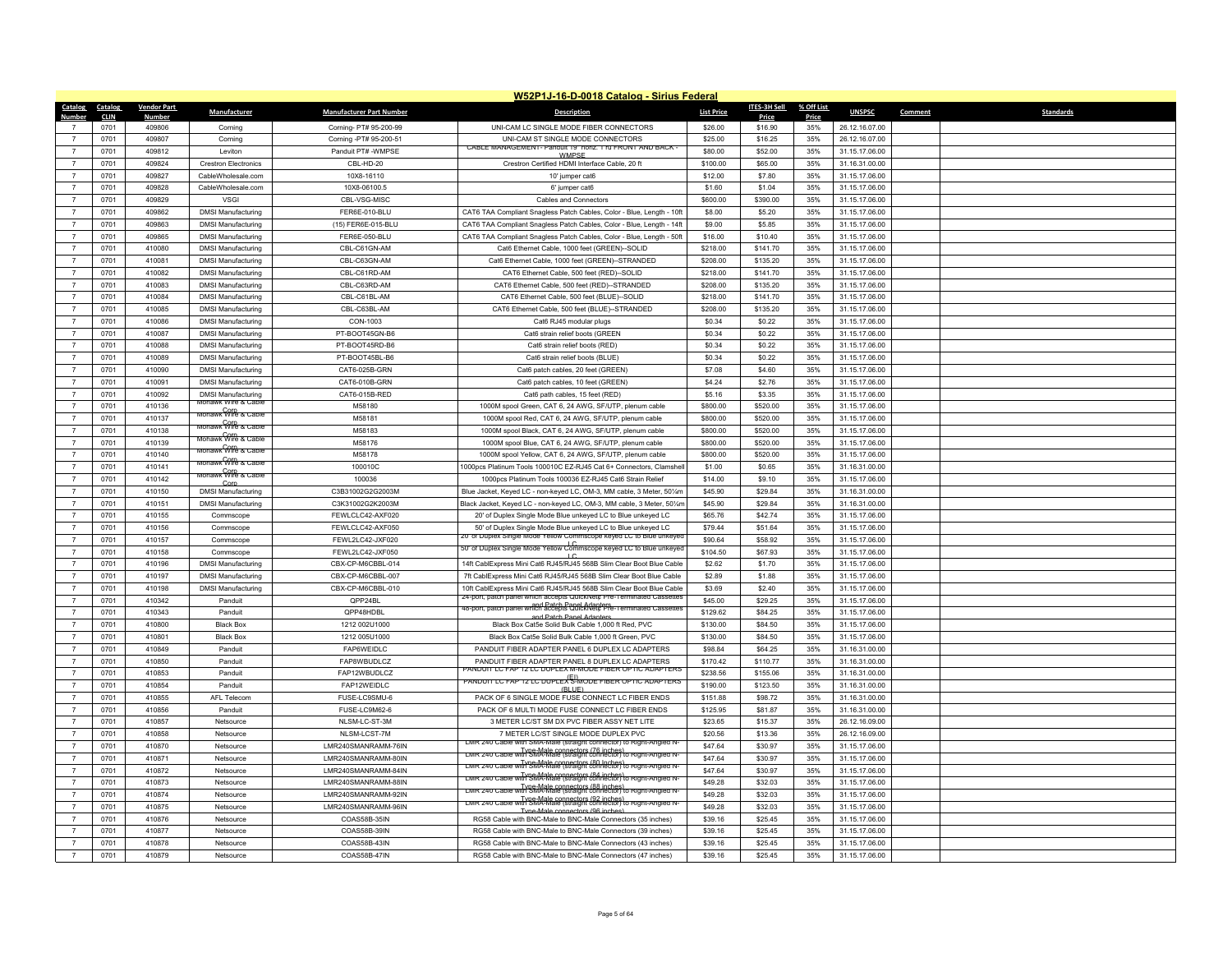|                  |             |                    |                                        |                                 | W52P1J-16-D-0018 Catalog - Sirius Federal                                                                                 |                   |              |            |                |                             |
|------------------|-------------|--------------------|----------------------------------------|---------------------------------|---------------------------------------------------------------------------------------------------------------------------|-------------------|--------------|------------|----------------|-----------------------------|
| Catalog Catalog  |             | <b>Vendor Part</b> | Manufacturer                           | <b>Manufacturer Part Number</b> | <b>Description</b>                                                                                                        | <b>List Price</b> | ITES-3H Sell | % Off List | <b>UNSPSC</b>  | <b>Standards</b><br>Comment |
| Number           | <b>CLIN</b> | Number             |                                        |                                 |                                                                                                                           |                   | Price        | Price      |                |                             |
|                  | 0701        | 409806             | Corning                                | Corning- PT# 95-200-99          | UNI-CAM LC SINGLE MODE FIBER CONNECTORS                                                                                   | \$26.00           | \$16.90      | 35%        | 26.12.16.07.00 |                             |
| $\overline{7}$   | 0701        | 409807             | Corning                                | Corning -PT# 95-200-51          | UNI-CAM ST SINGLE MODE CONNECTORS<br>CABLE MANAGEMENT- Panduit 19" horiz. 1 ru FRONT AND BACK                             | \$25.00           | \$16.25      | 35%        | 26.12.16.07.00 |                             |
| $\overline{7}$   | 0701        | 409812             | I eviton                               | Panduit PT# -WMPSE              | WMPSF                                                                                                                     | \$80.00           | \$52.00      | 35%        | 31.15.17.06.00 |                             |
| $\overline{7}$   | 0701        | 409824             | <b>Crestron Electronics</b>            | CBL-HD-20                       | Crestron Certified HDMI Interface Cable, 20 ft                                                                            | \$100.00          | \$65.00      | 35%        | 31.16.31.00.00 |                             |
| $\overline{7}$   | 0701        | 409827             | CableWholesale.com                     | 10X8-16110                      | 10' iumper cat6                                                                                                           | \$12.00           | \$7.80       | 35%        | 31.15.17.06.00 |                             |
| $\overline{7}$   | 0701        | 409828             | CableWholesale.com                     | 10X8-06100.5                    | 6' iumper cat6                                                                                                            | \$1.60            | \$1.04       | 35%        | 31.15.17.06.00 |                             |
| $\overline{7}$   | 0701        | 409829             | <b>VSGI</b>                            | CBL-VSG-MISC                    | Cables and Connectors                                                                                                     | \$600.00          | \$390.00     | 35%        | 31.15.17.06.00 |                             |
| $\overline{7}$   | 0701        | 409862             | <b>DMSI Manufacturing</b>              | FER6E-010-BLU                   | CAT6 TAA Compliant Snagless Patch Cables, Color - Blue, Length - 10ft                                                     | \$8.00            | \$5.20       | 35%        | 31.15.17.06.00 |                             |
| $\overline{7}$   | 0701        | 409863             | <b>DMSI Manufacturing</b>              | (15) FER6E-015-BLU              | CAT6 TAA Compliant Snagless Patch Cables, Color - Blue, Length - 14ft                                                     | \$9.00            | \$5.85       | 35%        | 31.15.17.06.00 |                             |
| $\overline{7}$   | 0701        | 409865             | <b>DMSI Manufacturing</b>              | FER6E-050-BLU                   | CAT6 TAA Compliant Snagless Patch Cables, Color - Blue, Length - 50ft                                                     | \$16.00           | \$10.40      | 35%        | 31.15.17.06.00 |                             |
| $\overline{7}$   | 0701        | 410080             | <b>DMSI Manufacturing</b>              | CBL-C61GN-AM                    | Cat6 Ethernet Cable, 1000 feet (GREEN)--SOLID                                                                             | \$218.00          | \$141.70     | 35%        | 31.15.17.06.00 |                             |
| $\overline{7}$   | 0701        | 410081             | <b>DMSI Manufacturing</b>              | CBL-C63GN-AM                    | Cat6 Ethernet Cable, 1000 feet (GREEN)--STRANDED                                                                          | \$208.00          | \$135.20     | 35%        | 31.15.17.06.00 |                             |
| $\overline{7}$   | 0701        | 410082             | <b>DMSI Manufacturing</b>              | CBL-C61RD-AM                    | CAT6 Ethernet Cable, 500 feet (RED)--SOLID                                                                                | \$218.00          | \$141.70     | 35%        | 31.15.17.06.00 |                             |
| $\overline{7}$   | 0701        | 410083             | <b>DMSI Manufacturing</b>              | CBL-C63RD-AM                    | CAT6 Ethernet Cable, 500 feet (RED)-STRANDED                                                                              | \$208.00          | \$135.20     | 35%        | 31.15.17.06.00 |                             |
| $\overline{7}$   | 0701        | 410084             | <b>DMSI Manufacturing</b>              | CBI-C61BI-AM                    | CAT6 Ethernet Cable, 500 feet (BLUE)--SOLID                                                                               | \$218.00          | \$141.70     | 35%        | 31.15.17.06.00 |                             |
| $\overline{7}$   | 0701        | 410085             | <b>DMSI Manufacturing</b>              | CBL-C63BL-AM                    | CAT6 Ethernet Cable, 500 feet (BLUE)--STRANDED                                                                            | \$208.00          | \$135.20     | 35%        | 31.15.17.06.00 |                             |
| $\overline{7}$   | 0701        | 410086             | <b>DMSI Manufacturing</b>              | CON-1003                        | Cat6 RJ45 modular plugs                                                                                                   | \$0.34            | \$0.22       | 35%        | 31.15.17.06.00 |                             |
| $\overline{7}$   | 0701        | 410087             | <b>DMSI Manufacturing</b>              | PT-BOOT45GN-B6                  | Cat6 strain relief boots (GREEN                                                                                           | \$0.34            | \$0.22       | 35%        | 31.15.17.06.00 |                             |
| $\overline{7}$   | 0701        | 410088             | <b>DMSI Manufacturing</b>              | PT-BOOT45RD-B6                  | Cat6 strain relief boots (RED)                                                                                            | \$0.34            | \$0.22       | 35%        | 31.15.17.06.00 |                             |
| $\overline{7}$   | 0701        | 410089             | <b>DMSI Manufacturing</b>              | PT-BOOT45BL-B6                  | Cat6 strain relief boots (BLUE)                                                                                           | \$0.34            | \$0.22       | 35%        | 31.15.17.06.00 |                             |
| $\boldsymbol{7}$ | 0701        | 410090             | <b>DMSI Manufacturing</b>              | CAT6-025B-GRN                   | Cat6 patch cables, 20 feet (GREEN)                                                                                        | \$7.08            | \$4.60       | 35%        | 31.15.17.06.00 |                             |
| $\overline{7}$   | 0701        | 410091             | <b>DMSI Manufacturing</b>              | CAT6-010B-GRN                   | Cat6 patch cables, 10 feet (GREEN)                                                                                        | \$4.24            | \$2.76       | 35%        | 31.15.17.06.00 |                             |
| $\overline{7}$   | 0701        | 410092             | <b>DMSI Manufacturing</b>              | CAT6-015B-RED                   | Cat6 path cables, 15 feet (RED)                                                                                           | \$5.16            | \$3.35       | 35%        | 31.15.17.06.00 |                             |
| $\overline{7}$   | 0701        | 410136             | Mohawk Wire & Cable                    | M58180                          | 1000M spool Green, CAT 6, 24 AWG, SF/UTP, plenum cable                                                                    | \$800.00          | \$520.00     | 35%        | 31.15.17.06.00 |                             |
| $\overline{7}$   | 0701        | 410137             | моһаwк Wire & Cable                    | M58181                          | 1000M spool Red, CAT 6, 24 AWG, SF/UTP, plenum cable                                                                      | \$800.00          | \$520.00     | 35%        | 31.15.17.06.00 |                             |
| $\overline{7}$   | 0701        | 410138             | Mohawk Wire & Cable                    | M58183                          | 1000M spool Black, CAT 6, 24 AWG, SF/UTP, plenum cable                                                                    | \$800.00          | \$520.00     | 35%        | 31.15.17.06.00 |                             |
| $\overline{7}$   | 0701        | 410139             | Mohawk Wire & Cable                    | M58176                          | 1000M spool Blue, CAT 6, 24 AWG, SF/UTP, plenum cable                                                                     | \$800.00          | \$520.00     | 35%        | 31.15.17.06.00 |                             |
| $\overline{7}$   | 0701        | 410140             | моһаwк <sup>00</sup> ire & Саые        | M58178                          | 1000M spool Yellow, CAT 6, 24 AWG, SF/UTP, plenum cable                                                                   | \$800.00          | \$520.00     | 35%        | 31.15.17.06.00 |                             |
| $\overline{7}$   | 0701        | 410141             | моһаwк <sup>00гр</sup> & Саые          | 100010C                         | 1000pcs Platinum Tools 100010C EZ-RJ45 Cat 6+ Connectors, Clamshell                                                       | \$1.00            | \$0.65       | 35%        | 31.16.31.00.00 |                             |
| $\overline{7}$   | 0701        | 410142             | Mohawk Wire & Cable<br>$C_{\text{or}}$ | 100036                          | 1000pcs Platinum Tools 100036 EZ-RJ45 Cat6 Strain Relief                                                                  | \$14.00           | \$9.10       | 35%        | 31.15.17.06.00 |                             |
| $\overline{7}$   | 0701        | 410150             | <b>DMSI Manufacturing</b>              | C3B31002G2G2003M                | Blue Jacket, Keyed LC - non-keyed LC, OM-3, MM cable, 3 Meter, 501/4m                                                     | \$45.90           | \$29.84      | 35%        | 31.16.31.00.00 |                             |
| $\overline{7}$   | 0701        | 410151             | <b>DMSI Manufacturing</b>              | C3K31002G2K2003M                | Black Jacket, Keyed LC - non-keyed LC, OM-3, MM cable, 3 Meter, 501/m                                                     | \$45.90           | \$29.84      | 35%        | 31.16.31.00.00 |                             |
| $\overline{7}$   | 0701        | 410155             | Commscope                              | FEWLCLC42-AXF020                | 20' of Duplex Single Mode Blue unkeyed LC to Blue unkeyed LC                                                              | \$65.76           | \$42.74      | 35%        | 31.15.17.06.00 |                             |
| $\overline{7}$   | 0701        | 410156             | Commscope                              | FEWLCLC42-AXF050                | 50' of Duplex Single Mode Blue unkeyed LC to Blue unkeyed LC                                                              | \$79.44           | \$51.64      | 35%        | 31.15.17.06.00 |                             |
| $\overline{7}$   | 0701        | 410157             | Commscope                              | FEWL2LC42-JXF020                | 20" of Duplex Single Mode Yellow Commscope keyed LC to Blue unkeyed                                                       | \$90.64           | \$58.92      | 35%        | 31.15.17.06.00 |                             |
| $\overline{7}$   | 0701        | 410158             | Commscope                              | FEWL2LC42-JXF050                | 50" of Duplex Single Mode Yellow Commscope keyed LC to Blue unkeyed<br>$\overline{1}$                                     | \$104.50          | \$67.93      | 35%        | 31.15.17.06.00 |                             |
| $\overline{7}$   | 0701        | 410196             | <b>DMSI Manufacturing</b>              | CBX-CP-M6CBBL-014               | 14ft CablExpress Mini Cat6 RJ45/RJ45 568B Slim Clear Boot Blue Cable                                                      | \$2.62            | \$1.70       | 35%        | 31.15.17.06.00 |                             |
| $\overline{7}$   | 0701        | 410197             | <b>DMSI Manufacturing</b>              | CBX-CP-M6CBBL-007               | 7ft CablExpress Mini Cat6 RJ45/RJ45 568B Slim Clear Boot Blue Cable                                                       | \$2.89            | \$1.88       | 35%        | 31.15.17.06.00 |                             |
| $\overline{7}$   | 0701        | 410198             | <b>DMSI Manufacturing</b>              | CBX-CP-M6CBBL-010               | 10ft CablExpress Mini Cat6 RJ45/RJ45 568B Slim Clear Boot Blue Cable                                                      | \$3.69            | \$2.40       | 35%        | 31.15.17.06.00 |                             |
| $\overline{7}$   | 0701        | 410342             | Panduit                                | OPP24BL                         | 24-port, patch panel which accepts QuickNet¢ Pre-1erminated Cassettes                                                     | \$45.00           | \$29.25      | 35%        | 31.15.17.06.00 |                             |
| $\overline{7}$   | 0701        | 410343             | Panduit                                | QPP48HDBL                       | and Patch Panel Adapters<br>48-port, patch panel which accepts QuickNet¢ Pre-1erminated Cassettes                         | \$129.62          | \$84.25      | 35%        | 31.15.17.06.00 |                             |
| $\overline{7}$   | 0701        | 410800             | <b>Black Box</b>                       | 1212 002U1000                   | and Patch Panel Adanter<br>Black Box Cat5e Solid Bulk Cable 1,000 ft Red, PVC                                             | \$130.00          | \$84.50      | 35%        | 31.15.17.06.00 |                             |
| $\overline{7}$   | 0701        | 410801             | <b>Black Box</b>                       | 1212 005U1000                   | Black Box Cat5e Solid Bulk Cable 1,000 ft Green, PVC                                                                      | \$130.00          | \$84.50      | 35%        | 31.15.17.06.00 |                             |
| $\boldsymbol{7}$ | 0701        | 410849             | Panduit                                | FAP6WEIDLC                      | PANDUIT FIBER ADAPTER PANEL 6 DUPLEX LC ADAPTERS                                                                          | \$98.84           | \$64.25      | 35%        | 31.16.31.00.00 |                             |
| $\overline{7}$   | 0701        | 410850             | Panduit                                | FAP8WBUDLCZ                     | PANDUIT FIBER ADAPTER PANEL 8 DUPLEX LC ADAPTERS                                                                          | \$170.42          | \$110.77     | 35%        | 31.16.31.00.00 |                             |
| $\overline{7}$   | 0701        | 410853             | Panduit                                | FAP12WBUDLCZ                    | ANDUIT LC FAP 12 LC DUPLEX M-MODE FIBER OPTIC ADAPTERS                                                                    | \$238.56          | \$155.06     | 35%        | 31.16.31.00.00 |                             |
| $\overline{7}$   | 0701        | 410854             | Panduit                                | FAP12WEIDLC                     | PANDUIT LC FAP 12 LC DUPLEX <sup>(EI)</sup> MODE FIBER OPTIC ADAPTERS                                                     | \$190.00          | \$123.50     | 35%        | 31.16.31.00.00 |                             |
| $\overline{7}$   | 0701        | 410855             | AFI Telecom                            | FUSE-LC9SMU-6                   | (RI IIF)<br>PACK OF 6 SINGLE MODE FUSE CONNECT LC FIBER ENDS                                                              | \$151.88          | \$98.72      | 35%        | 31.16.31.00.00 |                             |
| $\overline{7}$   | 0701        | 410856             | Panduit                                | FUSE-LC9M62-6                   | PACK OF 6 MULTI MODE FUSE CONNECT LC FIBER ENDS                                                                           | \$125.95          | \$81.87      | 35%        | 31.16.31.00.00 |                             |
| $\overline{7}$   | 0701        | 410857             | Netsource                              | NLSM-LC-ST-3M                   | 3 METER LC/ST SM DX PVC FIBER ASSY NET LITE                                                                               | \$23.65           | \$15.37      | 35%        | 26.12.16.09.00 |                             |
| $\overline{7}$   | 0701        | 410858             | Netsource                              | NLSM-LCST-7M                    | 7 METER LC/ST SINGLE MODE DUPLEX PVC                                                                                      | \$20.56           | \$13.36      | 35%        | 26.12.16.09.00 |                             |
|                  | 0701        | 410870             | Netsource                              | LMR240SMANRAMM-76IN             | LMR 240 Cable with SMA-Male (straight connector) to Right-Angled N                                                        | \$47.64           | \$30.97      | 35%        | 31.15.17.06.00 |                             |
| $\overline{7}$   | 0701        | 410871             | Netsource                              | LMR240SMANRAMM-80IN             | LMR 240 Cable with SMA-Male connectors (76 inches)<br>LMR 240 Cable with SMA-Male (straight connector) to Right-Angled N- | \$47.64           | \$30.97      | 35%        | 31.15.17.06.00 |                             |
| $\overline{7}$   | 0701        | 410872             | Netsource                              | LMR240SMANRAMM-84IN             | LMR 240 Cable with SMA-Male connectors (80 Inches)<br>LMR 240 Cable with SMA-Male (straight connector) to Right-Angled N- | \$47.64           | \$30.97      | 35%        | 31.15.17.06.00 |                             |
| $\overline{7}$   | 0701        | 410873             | Netsource                              | LMR240SMANRAMM-88IN             | Type-Male connectors (84 inches)<br>LMR 240 Cable with SMA-Male (straight connector) to Right-Angled N-                   | \$49.28           | \$32.03      | 35%        | 31.15.17.06.00 |                             |
| $\overline{7}$   | 0701        | 410874             | Netsource                              | LMR240SMANRAMM-92IN             | LMR 240 Cable with SMA-Male connectors (88 inches)<br>LMR 240 Cable with SMA-Male (straight connector) to Right-Angled N  | \$49.28           | \$32.03      | 35%        | 31.15.17.06.00 |                             |
| $\overline{7}$   | 0701        | 410875             | Netsource                              | LMR240SMANRAMM-96IN             | LMR 240 Cable with SMA-Male connectors (92 inches)<br>LMR 240 Cable with SMA-Male (straight connector) to Right-Angled N  | \$49.28           | \$32.03      | 35%        | 31.15.17.06.00 |                             |
|                  | 0701        | 410876             | Netsource                              | COAS58B-35IN                    | Tyne-Male connectors (96 inches<br>RG58 Cable with BNC-Male to BNC-Male Connectors (35 inches)                            | \$39.16           | \$25.45      | 35%        | 31.15.17.06.00 |                             |
| $\overline{7}$   | 0701        | 410877             | Netsource                              | COAS58B-39IN                    | RG58 Cable with BNC-Male to BNC-Male Connectors (39 inches)                                                               | \$39.16           | \$25.45      | 35%        | 31.15.17.06.00 |                             |
|                  | 0701        | 410878             | Netsource                              | COAS58B-43IN                    | RG58 Cable with BNC-Male to BNC-Male Connectors (43 inches)                                                               | \$39.16           | \$25.45      | 35%        | 31.15.17.06.00 |                             |
| $\overline{7}$   | 0701        | 410879             | Netsource                              | COAS58B-47IN                    | RG58 Cable with BNC-Male to BNC-Male Connectors (47 inches)                                                               | \$39.16           | \$25.45      | 35%        | 31.15.17.06.00 |                             |
|                  |             |                    |                                        |                                 |                                                                                                                           |                   |              |            |                |                             |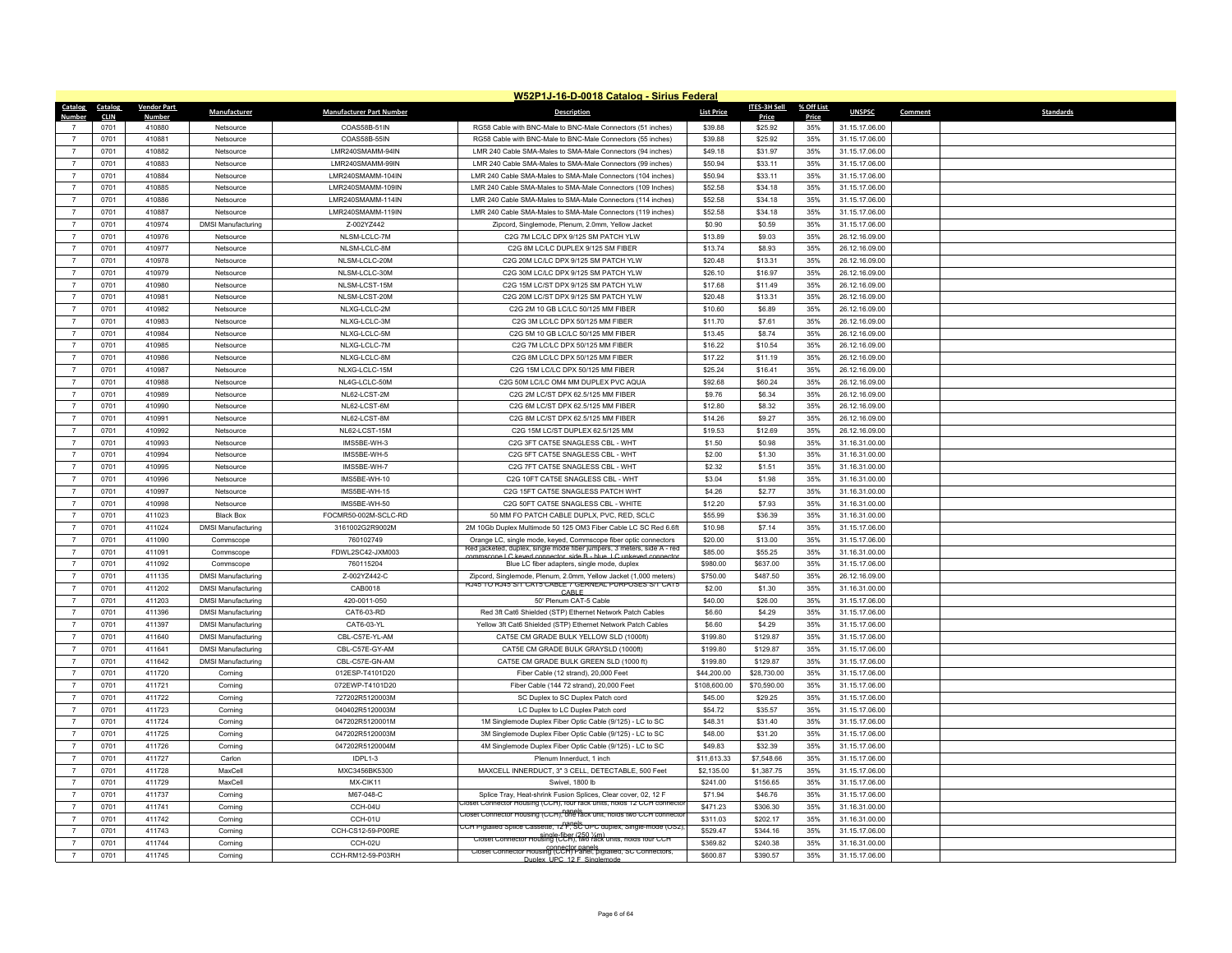|                                  |              |                    |                           |                                         | W52P1J-16-D-0018 Catalog - Sirius Federal                                                                                                      |                   |                     |            |                |         |                  |
|----------------------------------|--------------|--------------------|---------------------------|-----------------------------------------|------------------------------------------------------------------------------------------------------------------------------------------------|-------------------|---------------------|------------|----------------|---------|------------------|
| Catalog                          | Catalog      | <b>Vendor Part</b> | <b>Manufacturer</b>       | <b>Manufacturer Part Number</b>         | <b>Description</b>                                                                                                                             | <b>List Price</b> | <b>ITES-3H Sell</b> | % Off List | <b>UNSPSC</b>  | Comment | <b>Standards</b> |
| Number                           | <b>CLIN</b>  | Number             |                           | COAS58B-51IN                            |                                                                                                                                                |                   | <b>Price</b>        | Price      |                |         |                  |
| $\overline{7}$                   | 0701         | 410880             | Netsource                 |                                         | RG58 Cable with BNC-Male to BNC-Male Connectors (51 inches)                                                                                    | \$39.88           | \$25.92             | 35%        | 31.15.17.06.00 |         |                  |
|                                  | 0701         | 410881             | Netsource                 | COAS58B-55IN                            | RG58 Cable with BNC-Male to BNC-Male Connectors (55 inches)                                                                                    | \$39.88           | \$25.92             | 35%        | 31.15.17.06.00 |         |                  |
| $\overline{7}$                   | 0701         | 410882             | Netsource                 | LMR240SMAMM-94IN<br>LMR240SMAMM-99IN    | LMR 240 Cable SMA-Males to SMA-Male Connectors (94 inches)                                                                                     | \$49.18           | \$31.97             | 35%        | 31.15.17.06.00 |         |                  |
| $\overline{7}$                   | 0701         | 410883             | Netsource                 |                                         | LMR 240 Cable SMA-Males to SMA-Male Connectors (99 inches)                                                                                     | \$50.94           | \$33.11             | 35%        | 31.15.17.06.00 |         |                  |
| $\overline{7}$                   | 0701         | 410884             | Netsource                 | I MR240SMAMM-104IN                      | LMR 240 Cable SMA-Males to SMA-Male Connectors (104 inches)                                                                                    | \$50.94           | \$33.11             | 35%        | 31.15.17.06.00 |         |                  |
| $\overline{7}$                   | 0701         | 410885             | Netsource                 | LMR240SMAMM-109IN<br>I MR240SMAMM-114IN | LMR 240 Cable SMA-Males to SMA-Male Connectors (109 Inches)                                                                                    | \$52.58           | \$34.18             | 35%        | 31.15.17.06.00 |         |                  |
| $\overline{7}$<br>$\overline{7}$ | 0701<br>0701 | 410886<br>410887   | Netsource                 | LMR240SMAMM-119IN                       | LMR 240 Cable SMA-Males to SMA-Male Connectors (114 inches)                                                                                    | \$52.58           | \$34.18<br>\$34.18  | 35%<br>35% | 31.15.17.06.00 |         |                  |
| $\overline{7}$                   |              |                    | Netsource                 |                                         | LMR 240 Cable SMA-Males to SMA-Male Connectors (119 inches)                                                                                    | \$52.58           |                     |            | 31.15.17.06.00 |         |                  |
|                                  | 0701         | 410974             | <b>DMSI Manufacturing</b> | Z-002YZ442                              | Zipcord, Singlemode, Plenum, 2.0mm, Yellow Jacket                                                                                              | \$0.90            | \$0.59              | 35%        | 31.15.17.06.00 |         |                  |
| $\overline{7}$<br>$\overline{7}$ | 0701         | 410976             | Netsource                 | NLSM-LCLC-7M                            | C2G 7M LC/LC DPX 9/125 SM PATCH YLW                                                                                                            | \$13.89           | \$9.03              | 35%        | 26.12.16.09.00 |         |                  |
|                                  | 0701         | 410977             | Netsource                 | NLSM-LCLC-8M                            | C2G 8M LC/LC DUPLEX 9/125 SM FIBER                                                                                                             | \$13.74           | \$8.93              | 35%        | 26.12.16.09.00 |         |                  |
| $\overline{7}$                   | 0701         | 410978             | Netsource                 | NLSM-LCLC-20M                           | C2G 20M LC/LC DPX 9/125 SM PATCH YLW                                                                                                           | \$20.48           | \$13.31             | 35%        | 26.12.16.09.00 |         |                  |
| $\overline{7}$                   | 0701         | 410979             | Netsource                 | NLSM-LCLC-30M                           | C2G 30M LC/LC DPX 9/125 SM PATCH YLW                                                                                                           | \$26.10           | \$16.97             | 35%        | 26.12.16.09.00 |         |                  |
| $\overline{7}$                   | 0701         | 410980             | Netsource                 | NLSM-LCST-15M                           | C2G 15M LC/ST DPX 9/125 SM PATCH YLW                                                                                                           | \$17.68           | \$11.49             | 35%        | 26.12.16.09.00 |         |                  |
| $\overline{7}$                   | 0701         | 410981             | Netsource                 | NLSM-LCST-20M                           | C2G 20M LC/ST DPX 9/125 SM PATCH YLW                                                                                                           | \$20.48           | \$13.31             | 35%        | 26.12.16.09.00 |         |                  |
| $\overline{7}$                   | 0701         | 410982             | Netsource                 | NLXG-LCLC-2M                            | C2G 2M 10 GB LC/LC 50/125 MM FIBER                                                                                                             | \$10.60           | \$6.89              | 35%        | 26.12.16.09.00 |         |                  |
| $\overline{7}$                   | 0701         | 410983             | Netsource                 | NLXG-LCLC-3M                            | C2G 3M LC/LC DPX 50/125 MM FIBER                                                                                                               | \$11.70           | \$7.61              | 35%        | 26.12.16.09.00 |         |                  |
| $\overline{7}$                   | 0701         | 410984             | Netsource                 | NLXG-LCLC-5M                            | C2G 5M 10 GB LC/LC 50/125 MM FIBER                                                                                                             | \$13.45           | \$8.74              | 35%        | 26.12.16.09.00 |         |                  |
| $\overline{7}$                   | 0701         | 410985             | Netsource                 | NLXG-LCLC-7M                            | C2G 7M LC/LC DPX 50/125 MM FIBER                                                                                                               | \$16.22           | \$10.54             | 35%        | 26.12.16.09.00 |         |                  |
| $\overline{7}$                   | 0701         | 410986             | Netsource                 | NLXG-LCLC-8M                            | C2G 8M LC/LC DPX 50/125 MM FIBER                                                                                                               | \$17.22           | \$11.19             | 35%        | 26.12.16.09.00 |         |                  |
| $\overline{7}$                   | 0701         | 410987             | Netsource                 | NLXG-LCLC-15M                           | C2G 15M LC/LC DPX 50/125 MM FIBER                                                                                                              | \$25.24           | \$16.41             | 35%        | 26.12.16.09.00 |         |                  |
| $\overline{7}$                   | 0701         | 410988             | Netsource                 | NL4G-LCLC-50M                           | C2G 50M LC/LC OM4 MM DUPLEX PVC AQUA                                                                                                           | \$92.68           | \$60.24             | 35%        | 26.12.16.09.00 |         |                  |
| $\overline{7}$                   | 0701         | 410989             | Netsource                 | NL62-LCST-2M                            | C2G 2M LC/ST DPX 62.5/125 MM FIBER                                                                                                             | \$9.76            | \$6.34              | 35%        | 26.12.16.09.00 |         |                  |
| $\overline{7}$                   | 0701         | 410990             | Netsource                 | NL62-LCST-6M                            | C2G 6M LC/ST DPX 62.5/125 MM FIBER                                                                                                             | \$12.80           | \$8.32              | 35%        | 26.12.16.09.00 |         |                  |
| $\overline{7}$                   | 0701         | 410991             | Netsource                 | NL62-LCST-8M                            | C2G 8M LC/ST DPX 62.5/125 MM FIBER                                                                                                             | \$14.26           | \$9.27              | 35%        | 26.12.16.09.00 |         |                  |
| $\overline{7}$                   | 0701         | 410992             | Netsource                 | NL62-LCST-15M                           | C2G 15M LC/ST DUPLEX 62.5/125 MM                                                                                                               | \$19.53           | \$12.69             | 35%        | 26.12.16.09.00 |         |                  |
| $\overline{7}$                   | 0701         | 410993             | Netsource                 | IMS5BE-WH-3                             | C2G 3FT CAT5E SNAGLESS CBL - WHT                                                                                                               | \$1.50            | \$0.98              | 35%        | 31.16.31.00.00 |         |                  |
| $\overline{7}$                   | 0701         | 410994             | Netsource                 | IMS5BE-WH-5                             | C2G 5FT CAT5E SNAGLESS CBL - WHT                                                                                                               | \$2.00            | \$1.30              | 35%        | 31.16.31.00.00 |         |                  |
| $\overline{7}$                   | 0701         | 410995             | Netsource                 | IMS5BE-WH-7                             | C2G 7FT CAT5E SNAGLESS CBL - WHT                                                                                                               | \$2.32            | \$1.51              | 35%        | 31.16.31.00.00 |         |                  |
| $\overline{7}$                   | 0701         | 410996             | Netsource                 | IMS5BE-WH-10                            | C2G 10FT CAT5E SNAGLESS CBL - WHT                                                                                                              | \$3.04            | \$1.98              | 35%        | 31.16.31.00.00 |         |                  |
| $\overline{7}$                   | 0701         | 410997             | Netsource                 | IMS5BE-WH-15                            | C2G 15FT CAT5E SNAGLESS PATCH WHT                                                                                                              | \$4.26            | \$2.77              | 35%        | 31.16.31.00.00 |         |                  |
| $\overline{7}$                   | 0701         | 410998             | Netsource                 | IMS5BE-WH-50                            | C2G 50FT CAT5E SNAGLESS CBL - WHITE                                                                                                            | \$12.20           | \$7.93              | 35%        | 31.16.31.00.00 |         |                  |
| $\overline{7}$                   | 0701         | 411023             | <b>Black Box</b>          | FOCMR50-002M-SCLC-RD                    | 50 MM FO PATCH CABLE DUPLX, PVC, RED, SCLC                                                                                                     | \$55.99           | \$36.39             | 35%        | 31.16.31.00.00 |         |                  |
| $\overline{7}$                   | 0701         | 411024             | <b>DMSI Manufacturing</b> | 3161002G2R9002M                         | 2M 10Gb Duplex Multimode 50 125 OM3 Fiber Cable LC SC Red 6.6ft                                                                                | \$10.98           | \$7.14              | 35%        | 31.15.17.06.00 |         |                  |
| $\overline{7}$                   | 0701         | 411090             | Commscope                 | 760102749                               | Orange LC, single mode, keyed, Commscope fiber optic connectors<br>Red jacketed, duplex, single mode fiber jumpers, 3 meters, side A - red     | \$20.00           | \$13.00             | 35%        | 31.15.17.06.00 |         |                  |
| $\overline{7}$                   | 0701         | 411091             | Commscope                 | FDWL2SC42-JXM003                        | e LC keved connector side B - blue LC unkeved connector                                                                                        | \$85.00           | \$55.25             | 35%        | 31.16.31.00.00 |         |                  |
| $\overline{7}$                   | 0701         | 411092             | Commscope                 | 760115204                               | Blue LC fiber adapters, single mode, duple:                                                                                                    | \$980.00          | \$637.00            | 35%        | 31.15.17.06.00 |         |                  |
| $\overline{7}$                   | 0701         | 411135             | <b>DMSI Manufacturing</b> | Z-002YZ442-C                            | Zipcord, Singlemode, Plenum, 2.0mm, Yellow Jacket (1.000 meters)<br>RJ45 TO RJ45 S/T CAT5 CABLE 7 GERNEAL PURPOSES S/T CAT5                    | \$750.00          | \$487.50            | 35%        | 26.12.16.09.00 |         |                  |
| $\overline{7}$                   | 0701         | 411202             | <b>DMSI Manufacturing</b> | CAB0018                                 | CARLE                                                                                                                                          | \$2.00            | \$1.30              | 35%        | 31.16.31.00.00 |         |                  |
| $\overline{7}$                   | 0701         | 411203             | <b>DMSI Manufacturing</b> | 420-0011-050                            | 50' Plenum CAT-5 Cable                                                                                                                         | \$40.00           | \$26.00             | 35%        | 31.15.17.06.00 |         |                  |
| $\overline{7}$                   | 0701         | 411396             | <b>DMSI Manufacturing</b> | CAT6-03-RD                              | Red 3ft Cat6 Shielded (STP) Ethernet Network Patch Cables                                                                                      | \$6.60            | \$4.29              | 35%        | 31.15.17.06.00 |         |                  |
| $\overline{7}$                   | 0701         | 411397             | <b>DMSI Manufacturing</b> | CAT6-03-YL                              | Yellow 3ft Cat6 Shielded (STP) Ethernet Network Patch Cables                                                                                   | \$6.60            | \$4.29              | 35%        | 31.15.17.06.00 |         |                  |
| $\overline{7}$                   | 0701         | 411640             | <b>DMSI Manufacturing</b> | CBL-C57E-YL-AM                          | CAT5E CM GRADE BULK YELLOW SLD (1000ft)                                                                                                        | \$199.80          | \$129.87            | 35%        | 31.15.17.06.00 |         |                  |
| $\overline{7}$                   | 0701         | 411641             | <b>DMSI Manufacturing</b> | CBL-C57E-GY-AM                          | CAT5E CM GRADE BULK GRAYSLD (1000ft)                                                                                                           | \$199.80          | \$129.87            | 35%        | 31.15.17.06.00 |         |                  |
| $\overline{7}$                   | 0701         | 411642             | <b>DMSI Manufacturing</b> | CBL-C57E-GN-AM                          | CAT5E CM GRADE BULK GREEN SLD (1000 ft)                                                                                                        | \$199.80          | \$129.87            | 35%        | 31.15.17.06.00 |         |                  |
| $\overline{7}$                   | 0701         | 411720             | Corning                   | 012ESP-T4101D20                         | Fiber Cable (12 strand), 20,000 Feet                                                                                                           | \$44,200.00       | \$28,730.00         | 35%        | 31.15.17.06.00 |         |                  |
| $\overline{7}$                   | 0701         | 411721             | Corning                   | 072EWP-T4101D20                         | Fiber Cable (144 72 strand), 20,000 Feet                                                                                                       | \$108,600.00      | \$70,590.00         | 35%        | 31.15.17.06.00 |         |                  |
| $\overline{7}$                   | 0701         | 411722             | Corning                   | 727202R5120003M                         | SC Duplex to SC Duplex Patch cord                                                                                                              | \$45.00           | \$29.25             | 35%        | 31.15.17.06.00 |         |                  |
| $\overline{7}$                   | 0701         | 411723             | Corning                   | 040402R5120003M                         | LC Duplex to LC Duplex Patch cord                                                                                                              | \$54.72           | \$35.57             | 35%        | 31.15.17.06.00 |         |                  |
| $\overline{7}$                   | 0701         | 411724             | Corning                   | 047202R5120001M                         | 1M Singlemode Duplex Fiber Optic Cable (9/125) - LC to SC                                                                                      | \$48.31           | \$31.40             | 35%        | 31.15.17.06.00 |         |                  |
| $\overline{7}$                   | 0701         | 411725             | Corning                   | 047202R5120003M                         | 3M Singlemode Duplex Fiber Optic Cable (9/125) - LC to SC                                                                                      | \$48.00           | \$31.20             | 35%        | 31.15.17.06.00 |         |                  |
| $\overline{7}$                   | 0701         | 411726             | Corning                   | 047202R5120004M                         | 4M Singlemode Duplex Fiber Optic Cable (9/125) - LC to SC                                                                                      | \$49.83           | \$32.39             | 35%        | 31.15.17.06.00 |         |                  |
| $\overline{7}$                   | 0701         | 411727             | Carlon                    | IDPL1-3                                 | Plenum Innerduct, 1 inch                                                                                                                       | \$11,613.33       | \$7,548.66          | 35%        | 31.15.17.06.00 |         |                  |
| $\overline{7}$                   | 0701         | 411728             | MaxCell                   | MXC3456BK5300                           | MAXCELL INNERDUCT, 3" 3 CELL, DETECTABLE, 500 Feet                                                                                             | \$2,135.00        | \$1,387.75          | 35%        | 31.15.17.06.00 |         |                  |
| $\overline{7}$                   | 0701         | 411729             | MaxCell                   | MX-CIK11                                | Swivel 1800 lb                                                                                                                                 | \$241.00          | \$156.65            | 35%        | 31.15.17.06.00 |         |                  |
| $\overline{7}$                   | 0701         | 411737             | Corning                   | M67-048-C                               | Splice Tray, Heat-shrink Fusion Splices, Clear cover, 02, 12 F                                                                                 | \$71.94           | \$46.76             | 35%        | 31.15.17.06.00 |         |                  |
| $\overline{7}$                   | 0701         | 411741             | Corning                   | CCH-04U                                 | loset Connector Housing (CCH), four rack units, holds 12 CCH connect                                                                           | \$471.23          | \$306.30            | 35%        | 31.16.31.00.00 |         |                  |
| $\overline{7}$                   | 0701         | 411742             | Corning                   | <b>CCH-01U</b>                          | Closet Connector Housing (CCH), one rack unit, holds two CCH connecto<br>CCH Pigtailed Splice Cassette, 12 F, SC UPC duplex, Single-mode (OS2) | \$311.03          | \$202.17            | 35%        | 31.16.31.00.00 |         |                  |
| $\overline{7}$                   | 0701         | 411743             | Corning                   | CCH-CS12-59-P00RE                       | Closet Connector Housing (CCH), two rack units, holds four CCH                                                                                 | \$529.47          | \$344.16            | 35%        | 31.15.17.06.00 |         |                  |
| $\overline{7}$                   | 0701         | 411744             | Corning                   | <b>CCH-02U</b>                          | Closet Connector Housing (CCH) Panels pigtalled, SC Connectors,                                                                                | \$369.82          | \$240.38            | 35%        | 31.16.31.00.00 |         |                  |
| $\overline{7}$                   | 0701         | 411745             | Corning                   | CCH-RM12-59-P03RH                       | Dunley LIPC 12 E Singlemode                                                                                                                    | \$600.87          | \$390.57            | 35%        | 31.15.17.06.00 |         |                  |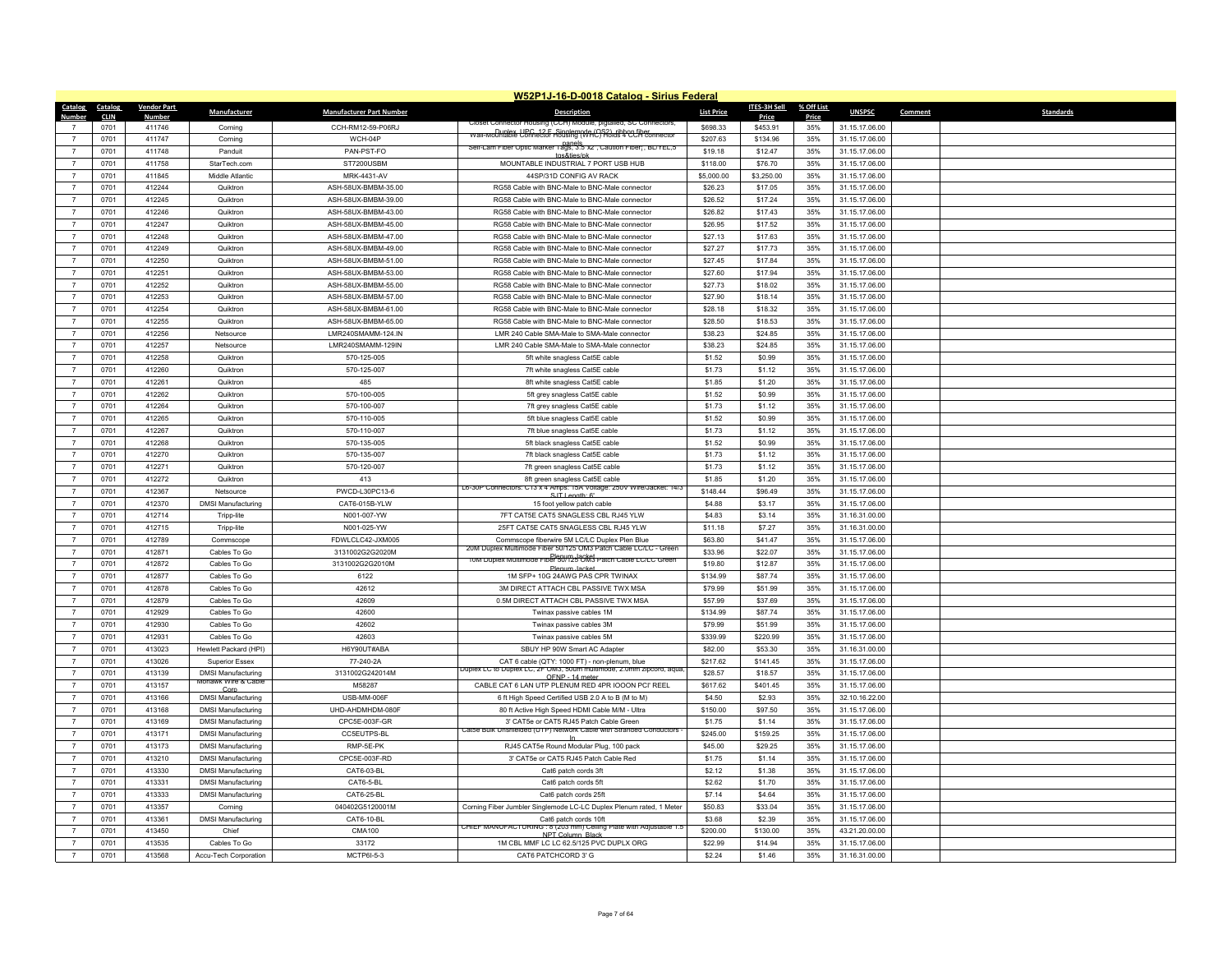|                  |             |                    |                                   |                                 | W52P1J-16-D-0018 Catalog - Sirius Federal                                                                                        |                   |              |            |                |                             |
|------------------|-------------|--------------------|-----------------------------------|---------------------------------|----------------------------------------------------------------------------------------------------------------------------------|-------------------|--------------|------------|----------------|-----------------------------|
| Catalog Catalog  |             | <b>Vendor Part</b> | Manufacturer                      | <b>Manufacturer Part Number</b> | <b>Description</b>                                                                                                               | <b>List Price</b> | ITES-3H Sell | % Off List | <b>UNSPSC</b>  | <b>Standards</b><br>Comment |
| Number           | <b>CLIN</b> | Number             |                                   |                                 | Closer Connector Housing (CCH)<br>poule plotalied St. Connectors                                                                 |                   | Price        | Price      |                |                             |
|                  | 0701        | 411746             | Corning                           | CCH-RM12-59-P06RJ               | wall-Mountable UPC 12 F Singlem (VHC) Holds 4 CCH connector                                                                      | \$698.33          | \$453.91     | 35%        | 31.15.17.06.00 |                             |
| $\overline{7}$   | 0701        | 411747             | Corning                           | WCH-04P                         | Self-Lam Fiber Optic Marker Tags, 3.5"x2", Caution Fiber", BL/YEL,5                                                              | \$207.63          | \$134.96     | 35%        | 31.15.17.06.00 |                             |
| $\overline{7}$   | 0701        | 411748             | Panduit                           | PAN-PST-FO                      | tas&ties/pk                                                                                                                      | \$19.18           | \$12.47      | 35%        | 31.15.17.06.00 |                             |
| $\overline{7}$   | 0701        | 411758             | StarTech.com                      | ST7200USBM                      | MOUNTABLE INDUSTRIAL 7 PORT USB HUB                                                                                              | \$118.00          | \$76.70      | 35%        | 31.15.17.06.00 |                             |
| $\overline{7}$   | 0701        | 411845             | Middle Atlantic                   | MRK-4431-AV                     | 44SP/31D CONFIG AV RACK                                                                                                          | \$5,000.00        | \$3,250.00   | 35%        | 31.15.17.06.00 |                             |
| $\overline{7}$   | 0701        | 412244             | Quiktron                          | ASH-58UX-BMBM-35.00             | RG58 Cable with BNC-Male to BNC-Male connector                                                                                   | \$26.23           | \$17.05      | 35%        | 31.15.17.06.00 |                             |
| $\overline{7}$   | 0701        | 412245             | Quiktron                          | ASH-58UX-BMBM-39.00             | RG58 Cable with BNC-Male to BNC-Male connector                                                                                   | \$26.52           | \$17.24      | 35%        | 31.15.17.06.00 |                             |
| $\overline{7}$   | 0701        | 412246             | Quiktron                          | ASH-58UX-BMBM-43.00             | RG58 Cable with BNC-Male to BNC-Male connector                                                                                   | \$26.82           | \$17.43      | 35%        | 31.15.17.06.00 |                             |
| $\overline{7}$   | 0701        | 412247             | Quiktron                          | ASH-58UX-BMBM-45.00             | RG58 Cable with BNC-Male to BNC-Male connector                                                                                   | \$26.95           | \$17.52      | 35%        | 31.15.17.06.00 |                             |
| $\overline{7}$   | 0701        | 412248             | Quiktron                          | ASH-58UX-BMBM-47.00             | RG58 Cable with BNC-Male to BNC-Male connector                                                                                   | \$27.13           | \$17.63      | 35%        | 31.15.17.06.00 |                             |
| $\overline{7}$   | 0701        | 412249             | Quiktron                          | ASH-58UX-BMBM-49.00             | RG58 Cable with BNC-Male to BNC-Male connector                                                                                   | \$27.27           | \$17.73      | 35%        | 31.15.17.06.00 |                             |
| $\overline{7}$   | 0701        | 412250             | Quiktron                          | ASH-58UX-BMBM-51.00             | RG58 Cable with BNC-Male to BNC-Male connector                                                                                   | \$27.45           | \$17.84      | 35%        | 31.15.17.06.00 |                             |
| $\overline{7}$   | 0701        | 412251             | Quiktron                          | ASH-58UX-BMBM-53.00             | RG58 Cable with BNC-Male to BNC-Male connector                                                                                   | \$27.60           | \$17.94      | 35%        | 31.15.17.06.00 |                             |
| $\overline{7}$   | 0701        | 412252             | Quiktron                          | ASH-58UX-BMBM-55.00             | RG58 Cable with BNC-Male to BNC-Male connector                                                                                   | \$27.73           | \$18.02      | 35%        | 31.15.17.06.00 |                             |
| $\overline{7}$   | 0701        | 412253             | Quiktron                          | ASH-58UX-BMBM-57.00             | RG58 Cable with BNC-Male to BNC-Male connector                                                                                   | \$27.90           | \$18.14      | 35%        | 31.15.17.06.00 |                             |
| $\overline{7}$   | 0701        | 412254             | Quiktron                          | ASH-58UX-BMBM-61.00             | RG58 Cable with BNC-Male to BNC-Male connector                                                                                   | \$28.18           | \$18.32      | 35%        | 31.15.17.06.00 |                             |
| $\overline{7}$   | 0701        | 412255             | Quiktron                          | ASH-58UX-BMBM-65.00             | RG58 Cable with BNC-Male to BNC-Male connector                                                                                   | \$28.50           | \$18.53      | 35%        | 31.15.17.06.00 |                             |
| $\overline{7}$   | 0701        | 412256             | Netsource                         | LMR240SMAMM-124.IN              | LMR 240 Cable SMA-Male to SMA-Male connector                                                                                     | \$38.23           | \$24.85      | 35%        | 31.15.17.06.00 |                             |
| $\overline{7}$   | 0701        | 412257             | Netsource                         | LMR240SMAMM-129IN               | LMR 240 Cable SMA-Male to SMA-Male connector                                                                                     | \$38.23           | \$24.85      | 35%        | 31.15.17.06.00 |                             |
| $\overline{7}$   | 0701        | 412258             | Quiktron                          | 570-125-005                     | 5ft white snagless Cat5E cable                                                                                                   | \$1.52            | \$0.99       | 35%        | 31.15.17.06.00 |                             |
| $\boldsymbol{7}$ | 0701        | 412260             | Quiktron                          | 570-125-007                     | 7ft white snagless Cat5E cable                                                                                                   | \$1.73            | \$1.12       | 35%        | 31.15.17.06.00 |                             |
| $\overline{7}$   | 0701        | 412261             | Quiktron                          | 485                             | 8ft white snagless Cat5E cable                                                                                                   | \$1.85            | \$1.20       | 35%        | 31.15.17.06.00 |                             |
| $\overline{7}$   | 0701        | 412262             | Quiktron                          | 570-100-005                     | 5ft grey snagless Cat5E cable                                                                                                    | \$1.52            | \$0.99       | 35%        | 31.15.17.06.00 |                             |
| $\overline{7}$   | 0701        | 412264             | Quiktron                          | 570-100-007                     | 7ft grey snagless Cat5E cable                                                                                                    | \$1.73            | \$1.12       | 35%        | 31.15.17.06.00 |                             |
| $\overline{7}$   |             |                    |                                   |                                 |                                                                                                                                  |                   |              |            |                |                             |
|                  | 0701        | 412265             | Quiktron                          | 570-110-005                     | 5ft blue snagless Cat5E cable                                                                                                    | \$1.52            | \$0.99       | 35%        | 31.15.17.06.00 |                             |
| $\overline{7}$   | 0701        | 412267             | Quiktron                          | 570-110-007                     | 7ft blue snagless Cat5E cable                                                                                                    | \$1.73            | \$1.12       | 35%        | 31.15.17.06.00 |                             |
| $\overline{7}$   | 0701        | 412268             | Quiktron                          | 570-135-005                     | 5ft black snagless Cat5E cable                                                                                                   | \$1.52            | \$0.99       | 35%        | 31.15.17.06.00 |                             |
| $\overline{7}$   | 0701        | 412270             | Quiktron                          | 570-135-007                     | 7ft black snagless Cat5E cable                                                                                                   | \$1.73            | \$1.12       | 35%        | 31.15.17.06.00 |                             |
| $\overline{7}$   | 0701        | 412271             | Quiktron                          | 570-120-007                     | 7ft green snagless Cat5E cable                                                                                                   | \$1.73            | \$1.12       | 35%        | 31.15.17.06.00 |                             |
| $\overline{7}$   | 0701        | 412272             | Quiktron                          | 413                             | 8ft green snagless Cat5E cable<br>L6-30P Connectors: C13 x 4 Amps: 15A Voltage: 250V Wire/Jacket: 14/3                           | \$1.85            | \$1.20       | 35%        | 31.15.17.06.00 |                             |
| $\overline{7}$   | 0701        | 412367             | Netsource                         | PWCD-L30PC13-6                  | S.IT Length: 6'                                                                                                                  | \$148.44          | \$96.49      | 35%        | 31.15.17.06.00 |                             |
| $\overline{7}$   | 0701        | 412370             | <b>DMSI Manufacturing</b>         | CAT6-015B-YLW                   | 15 foot yellow patch cable                                                                                                       | \$4.88            | \$3.17       | 35%        | 31.15.17.06.00 |                             |
| $\overline{7}$   | 0701        | 412714             | Tripp-lite                        | N001-007-YW                     | 7FT CAT5E CAT5 SNAGLESS CBL RJ45 YLW                                                                                             | \$4.83            | \$3.14       | 35%        | 31.16.31.00.00 |                             |
| $\overline{7}$   | 0701        | 412715             | Tripp-lite                        | N001-025-YW                     | 25FT CAT5E CAT5 SNAGLESS CBL RJ45 YLW                                                                                            | \$11.18           | \$7.27       | 35%        | 31.16.31.00.00 |                             |
| $\overline{7}$   | 0701        | 412789             | Commscope                         | FDWLCLC42-JXM005                | Commscope fiberwire 5M LC/LC Duplex Plen Blue                                                                                    | \$63.80           | \$41.47      | 35%        | 31.15.17.06.00 |                             |
| $\overline{7}$   | 0701        | 412871             | Cables To Go                      | 3131002G2G2020M                 | 20M Duplex Multimode Fiber 50/125 OM3 Patch Cable LC/LC - Green<br>10M Duplex Multimode Fiber 50/125 OM3 Patch Cable LC/LC Green | \$33.96           | \$22.07      | 35%        | 31.15.17.06.00 |                             |
| $\overline{7}$   | 0701        | 412872             | Cables To Go                      | 3131002G2G2010M                 | Plenum Jacket                                                                                                                    | \$19.80           | \$12.87      | 35%        | 31.15.17.06.00 |                             |
| $\overline{7}$   | 0701        | 412877             | Cables To Go                      | 6122                            | 1M SFP+ 10G 24AWG PAS CPR TWINAX                                                                                                 | \$134.99          | \$87.74      | 35%        | 31.15.17.06.00 |                             |
| $\overline{7}$   | 0701        | 412878             | Cables To Go                      | 42612                           | 3M DIRECT ATTACH CBL PASSIVE TWX MSA                                                                                             | \$79.99           | \$51.99      | 35%        | 31.15.17.06.00 |                             |
| $\overline{7}$   | 0701        | 412879             | Cables To Go                      | 42609                           | 0.5M DIRECT ATTACH CBL PASSIVE TWX MSA                                                                                           | \$57.99           | \$37.69      | 35%        | 31.15.17.06.00 |                             |
| $\overline{7}$   | 0701        | 412929             | Cables To Go                      | 42600                           | Twinax passive cables 1M                                                                                                         | \$134.99          | \$87.74      | 35%        | 31.15.17.06.00 |                             |
| $\overline{7}$   | 0701        | 412930             | Cables To Go                      | 42602                           | Twinax passive cables 3M                                                                                                         | \$79.99           | \$51.99      | 35%        | 31.15.17.06.00 |                             |
| $\overline{7}$   | 0701        | 412931             | Cables To Go                      | 42603                           | Twinax passive cables 5M                                                                                                         | \$339.99          | \$220.99     | 35%        | 31.15.17.06.00 |                             |
| $\boldsymbol{7}$ | 0701        | 413023             | Hewlett Packard (HPI)             | H6Y90UT#ABA                     | SBUY HP 90W Smart AC Adapter                                                                                                     | \$82.00           | \$53.30      | 35%        | 31.16.31.00.00 |                             |
| $\overline{7}$   | 0701        | 413026             | <b>Superior Essex</b>             | 77-240-2A                       | CAT 6 cable (QTY: 1000 FT) - non-plenum, blue                                                                                    | \$217.62          | \$141.45     | 35%        | 31.15.17.06.00 |                             |
| $\overline{7}$   | 0701        | 413139             | <b>DMSI Manufacturing</b>         | 3131002G242014M                 | Duplex LC to Duplex LC, 2F OM3, 50um multimode, 2.0mm zipcord, aqua<br>OENP - 14 meter                                           | \$28.57           | \$18.57      | 35%        | 31.15.17.06.00 |                             |
| $\overline{7}$   | 0701        | 413157             | Mohawk Wire & Cable               | M58287                          | CABLE CAT 6 LAN UTP PLENUM RED 4PR IOOON PCI' REEL                                                                               | \$617.62          | \$401.45     | 35%        | 31.15.17.06.00 |                             |
| $\overline{7}$   | 0701        | 413166             | Corr<br><b>DMSI Manufacturing</b> | USB-MM-006F                     | 6 ft High Speed Certified USB 2.0 A to B (M to M)                                                                                | \$4.50            | \$2.93       | 35%        | 32.10.16.22.00 |                             |
| $\overline{7}$   | 0701        | 413168             | <b>DMSI Manufacturing</b>         | UHD-AHDMHDM-080F                | 80 ft Active High Speed HDMI Cable M/M - Ultra                                                                                   | \$150.00          | \$97.50      | 35%        | 31.15.17.06.00 |                             |
| $\overline{7}$   | 0701        | 413169             | <b>DMSI Manufacturing</b>         | CPC5E-003F-GR                   | 3' CAT5e or CAT5 RJ45 Patch Cable Green                                                                                          | \$1.75            | \$1.14       | 35%        | 31.15.17.06.00 |                             |
| $\overline{7}$   | 0701        | 413171             | <b>DMSI Manufacturing</b>         | CC5EUTPS-BL                     | Catbe Bulk Unshielded (UTP) Network Cable with Stranded Conductor                                                                | \$245.00          | \$159.25     | 35%        | 31.15.17.06.00 |                             |
|                  | 0701        | 413173             | <b>DMSI Manufacturing</b>         | RMP-5E-PK                       | RJ45 CAT5e Round Modular Plug, 100 pack                                                                                          | \$45.00           | \$29.25      | 35%        | 31.15.17.06.00 |                             |
| $\overline{7}$   | 0701        | 413210             | <b>DMSI Manufacturing</b>         | CPC5E-003F-RD                   | 3' CAT5e or CAT5 RJ45 Patch Cable Red                                                                                            | \$1.75            | \$1.14       | 35%        | 31.15.17.06.00 |                             |
|                  |             |                    |                                   |                                 |                                                                                                                                  |                   |              |            |                |                             |
| $\overline{7}$   | 0701        | 413330             | <b>DMSI Manufacturing</b>         | CAT6-03-BL                      | Cat6 patch cords 3ft                                                                                                             | \$2.12            | \$1.38       | 35%        | 31.15.17.06.00 |                             |
| $\overline{7}$   | 0701        | 413331             | <b>DMSI Manufacturing</b>         | CAT6-5-BL                       | Cat6 patch cords 5ft                                                                                                             | \$2.62            | \$1.70       | 35%        | 31.15.17.06.00 |                             |
| $\overline{7}$   | 0701        | 413333             | <b>DMSI Manufacturing</b>         | CAT6-25-BL                      | Cat6 patch cords 25ft                                                                                                            | \$7.14            | \$4.64       | 35%        | 31.15.17.06.00 |                             |
| $\overline{7}$   | 0701        | 413357             | Corning                           | 040402G5120001M                 | Corning Fiber Jumbler Singlemode LC-LC Duplex Plenum rated, 1 Meter                                                              | \$50.83           | \$33.04      | 35%        | 31.15.17.06.00 |                             |
|                  | 0701        | 413361             | <b>DMSI Manufacturing</b>         | CAT6-10-BL                      | Cat6 patch cords 10ft<br>VG : 8 (203 mm) Ceiling Plate with Adjustable 1.<br><b>CHIEF MANUFACTU</b>                              | \$3.68            | \$2.39       | 35%        | 31.15.17.06.00 |                             |
| $\overline{7}$   | 0701        | 413450             | Chief                             | <b>CMA100</b>                   | NPT Column Black                                                                                                                 | \$200.00          | \$130.00     | 35%        | 43.21.20.00.00 |                             |
|                  | 0701        | 413535             | Cables To Go                      | 33172                           | 1M CBL MMF LC LC 62.5/125 PVC DUPLX ORG                                                                                          | \$22.99           | \$14.94      | 35%        | 31.15.17.06.00 |                             |
| $\overline{7}$   | 0701        | 413568             | Accu-Tech Corporation             | MCTP6I-5-3                      | CAT6 PATCHCORD 3' G                                                                                                              | \$2.24            | \$1.46       | 35%        | 31.16.31.00.00 |                             |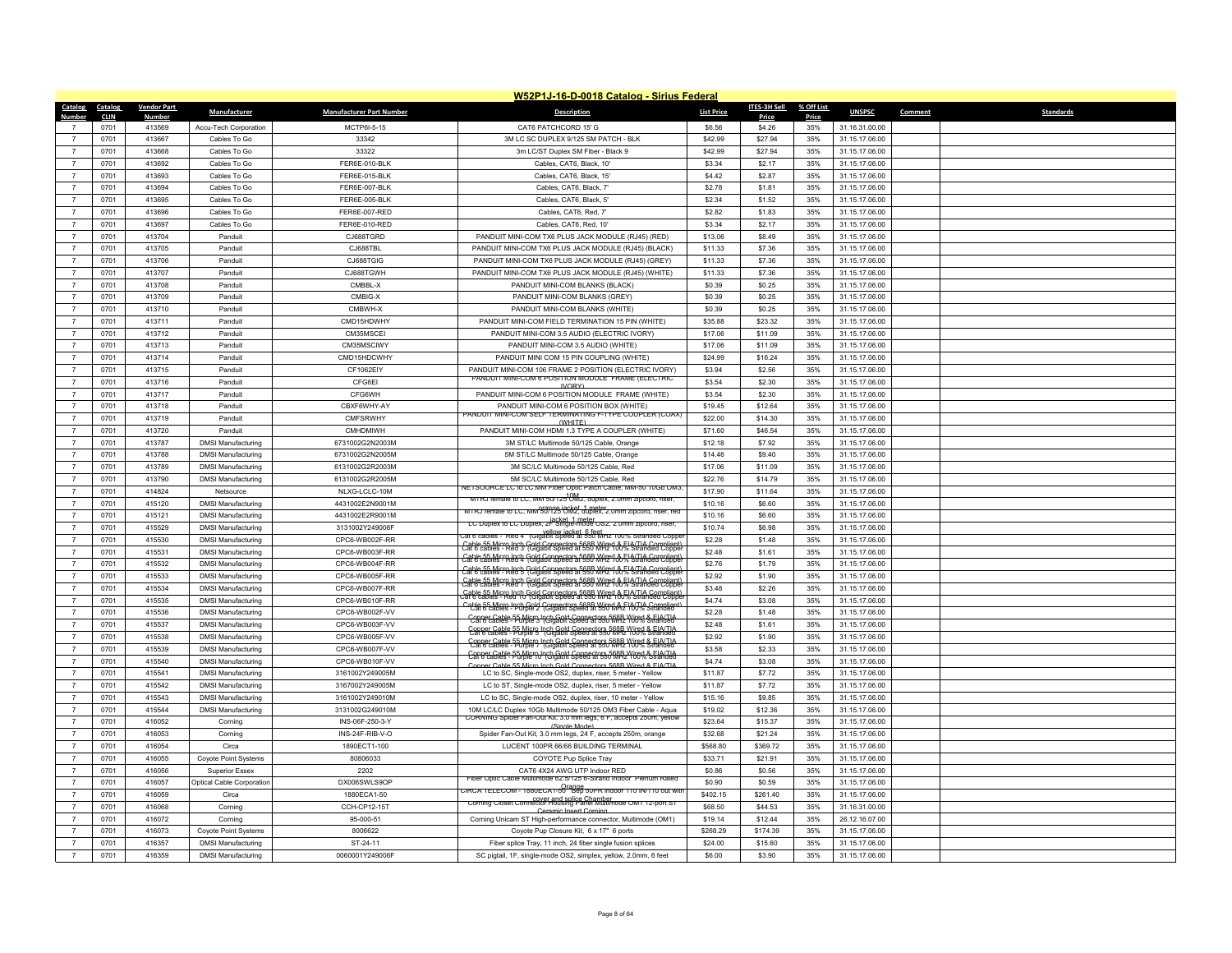| W52P1J-16-D-0018 Catalog - Sirius Federal |             |                    |                           |                                 |                                                                                                                                                  |                   |                     |            |                |                             |
|-------------------------------------------|-------------|--------------------|---------------------------|---------------------------------|--------------------------------------------------------------------------------------------------------------------------------------------------|-------------------|---------------------|------------|----------------|-----------------------------|
| Catalog                                   | Catalog     | <b>Vendor Part</b> | Manufacturer              | <b>Manufacturer Part Number</b> | <b>Description</b>                                                                                                                               | <b>List Price</b> | <b>ITES-3H Sell</b> | % Off List | <b>UNSPSC</b>  | Comment<br><b>Standards</b> |
| Numher                                    | <b>CLIN</b> | <b>Numbe</b>       |                           |                                 |                                                                                                                                                  |                   | Price               | Price      |                |                             |
|                                           | 0701        | 413569             | Accu-Tech Corporation     | MCTP6I-5-15                     | CAT6 PATCHCORD 15' G                                                                                                                             | \$6.56            | \$4.26              | 35%        | 31.16.31.00.00 |                             |
| $\overline{7}$                            | 0701        | 413667             | Cables To Go              | 33342                           | 3M LC SC DUPLEX 9/125 SM PATCH - BLK                                                                                                             | \$42.99           | \$27.94             | 35%        | 31.15.17.06.00 |                             |
| $\overline{7}$                            | 0701        | 413668             | Cables To Go              | 33322                           | 3m LC/ST Duplex SM Fiber - Black 9                                                                                                               | \$42.99           | \$27.94             | 35%        | 31.15.17.06.00 |                             |
| $\overline{7}$                            | 0701        | 413692             | Cables To Go              | FER6E-010-BLK                   | Cables, CAT6, Black, 10'                                                                                                                         | \$3.34            | \$2.17              | 35%        | 31.15.17.06.00 |                             |
| $\overline{7}$                            | 0701        | 413693             | Cables To Go              | FER6E-015-BLK                   | Cables, CAT6, Black, 15                                                                                                                          | \$4.42            | \$2.87              | 35%        | 31.15.17.06.00 |                             |
| $\overline{7}$                            | 0701        | 413694             | Cables To Go              | FFR6F-007-BLK                   | Cables, CAT6, Black, 7'                                                                                                                          | \$2.78            | \$1.81              | 35%        | 31.15.17.06.00 |                             |
| $\overline{7}$                            | 0701        | 413695             | Cables To Go              | FER6E-005-BLK                   | Cables, CAT6, Black, 5'                                                                                                                          | \$2.34            | \$1.52              | 35%        | 31.15.17.06.00 |                             |
| $\overline{7}$                            | 0701        | 413696             | Cables To Go              | FER6E-007-RED                   | Cables, CAT6, Red, 7'                                                                                                                            | \$2.82            | \$1.83              | 35%        | 31.15.17.06.00 |                             |
| $\overline{7}$                            | 0701        | 413697             | Cables To Go              | FER6E-010-RED                   | Cables, CAT6, Red, 10'                                                                                                                           | \$3.34            | \$2.17              | 35%        | 31.15.17.06.00 |                             |
| $\overline{7}$                            | 0701        | 413704             | Panduit                   | CJ688TGRD                       | PANDUIT MINI-COM TX6 PLUS JACK MODULE (RJ45) (RED)                                                                                               | \$13.06           | \$8.49              | 35%        | 31.15.17.06.00 |                             |
| $\overline{7}$                            | 0701        | 413705             | Panduit                   | CJ688TBI                        | PANDUIT MINI-COM TX6 PLUS JACK MODULE (RJ45) (BLACK)                                                                                             | \$11.33           | \$7.36              | 35%        | 31.15.17.06.00 |                             |
| $\overline{7}$                            | 0701        | 413706             | Panduit                   | CJ688TGIG                       | PANDUIT MINI-COM TX6 PLUS JACK MODULE (RJ45) (GREY)                                                                                              | \$11.33           | \$7.36              | 35%        | 31.15.17.06.00 |                             |
| $\overline{7}$                            | 0701        | 413707             | Panduit                   | CJ688TGWH                       | PANDUIT MINI-COM TX6 PLUS JACK MODULE (RJ45) (WHITE)                                                                                             | \$11.33           | \$7,36              | 35%        | 31.15.17.06.00 |                             |
| $\overline{7}$                            | 0701        | 413708             | Panduit                   | CMBBL-X                         | PANDUIT MINI-COM BLANKS (BLACK)                                                                                                                  | \$0.39            | \$0.25              | 35%        | 31.15.17.06.00 |                             |
| $\overline{7}$                            | 0701        | 413709             | Panduit                   | CMBIG-X                         | PANDUIT MINI-COM BLANKS (GREY)                                                                                                                   | \$0.39            | \$0.25              | 35%        | 31.15.17.06.00 |                             |
| $\overline{7}$                            | 0701        | 413710             | Panduit                   | CMBWH-X                         | PANDUIT MINI-COM BLANKS (WHITE)                                                                                                                  | \$0.39            | \$0.25              | 35%        | 31.15.17.06.00 |                             |
| $\overline{7}$                            | 0701        | 413711             | Panduit                   | CMD15HDWHY                      | PANDUIT MINI-COM FIELD TERMINATION 15 PIN (WHITE)                                                                                                | \$35.88           | \$23.32             | 35%        | 31.15.17.06.00 |                             |
| $\overline{7}$                            | 0701        | 413712             | Panduit                   | CM35MSCEI                       | PANDUIT MINI-COM 3.5 AUDIO (ELECTRIC IVORY)                                                                                                      | \$17.06           | \$11.09             | 35%        | 31.15.17.06.00 |                             |
| $\overline{7}$                            | 0701        | 413713             | Panduit                   | CM35MSCIWY                      | PANDUIT MINI-COM 3.5 AUDIO (WHITE)                                                                                                               | \$17.06           | \$11.09             | 35%        | 31.15.17.06.00 |                             |
| $\overline{7}$                            | 0701        | 413714             | Panduit                   | CMD15HDCWHY                     | PANDUIT MINI COM 15 PIN COUPLING (WHITE)                                                                                                         | \$24.99           | \$16.24             | 35%        | 31.15.17.06.00 |                             |
| $\overline{7}$                            | 0701        | 413715             | Panduit                   | CF1062EIY                       | PANDUIT MINI-COM 106 FRAME 2 POSITION (ELECTRIC IVORY)<br>PANDUIT MINI-COM 6 POSITION MODULE FRAME (ELECTRIC                                     | \$3.94            | \$2.56              | 35%        | 31.15.17.06.00 |                             |
| $\overline{7}$                            | 0701        | 413716             | Panduit                   | CFG6EI                          | IVORY)                                                                                                                                           | \$3.54            | \$2.30              | 35%        | 31.15.17.06.00 |                             |
| $\overline{7}$                            | 0701        | 413717             | Panduit                   | <b>CFG6WH</b>                   | PANDUIT MINI-COM 6 POSITION MODULE FRAME (WHITE)                                                                                                 | \$3.54            | \$2.30              | 35%        | 31.15.17.06.00 |                             |
| $\overline{7}$                            | 0701        | 413718             | Panduit                   | CBXF6WHY-AY                     | PANDUIT MINI-COM 6 POSITION BOX (WHITE)<br>PANDUIT MINI-COM SELF TERMINATING F-TYPE COUPLER (COAX)                                               | \$19.45           | \$12.64             | 35%        | 31.15.17.06.00 |                             |
| $\overline{7}$                            | 0701        | 413719             | Panduit                   | CMFSRWHY                        | (NHITF)                                                                                                                                          | \$22.00           | \$14.30             | 35%        | 31.15.17.06.00 |                             |
| $\overline{7}$                            | 0701        | 413720             | Panduit                   | CMHDMIWH                        | PANDUIT MINI-COM HDMI 1.3 TYPE A COUPLER (WHITE)                                                                                                 | \$71.60           | \$46.54             | 35%        | 31.15.17.06.00 |                             |
| $\overline{7}$                            | 0701        | 413787             | <b>DMSI Manufacturing</b> | 6731002G2N2003M                 | 3M ST/LC Multimode 50/125 Cable, Orange                                                                                                          | \$12.18           | \$7.92              | 35%        | 31.15.17.06.00 |                             |
| $\overline{7}$                            | 0701        | 413788             | <b>DMSI Manufacturing</b> | 6731002G2N2005M                 | 5M ST/LC Multimode 50/125 Cable, Orange                                                                                                          | \$14.46           | \$9.40              | 35%        | 31.15.17.06.00 |                             |
| $\overline{7}$                            | 0701        | 413789             | <b>DMSI Manufacturing</b> | 6131002G2R2003M                 | 3M SC/LC Multimode 50/125 Cable, Red                                                                                                             | \$17.06           | \$11.09             | 35%        | 31.15.17.06.00 |                             |
| $\overline{7}$                            | 0701        | 413790             | <b>DMSI Manufacturing</b> | 6131002G2R2005M                 | 5M SC/LC Multimode 50/125 Cable, Red<br>NETSOURCE LC to LC MM Fiber Optic Patch Cable, MM-50 10Gb OM3                                            | \$22.76           | \$14.79             | 35%        | 31.15.17.06.00 |                             |
| $\overline{7}$                            | 0701        | 414824             | Netsource                 | NLXG-LCLC-10M                   | MTRJ female to LC, MM 50/125 UM2, duplex, 2.0mm zipcord, riser,                                                                                  | \$17.90           | \$11.64             | 35%        | 31.15.17.06.00 |                             |
| $\overline{7}$                            | 0701        | 415120             | <b>DMSI Manufacturing</b> | 4431002E2N9001M                 | MTRJ female to LC, MM 30/125 OM2, duplex, 2.0mm zipcord, riser, red                                                                              | \$10.16           | \$6.60              | 35%        | 31.15.17.06.00 |                             |
| $\overline{7}$                            | 0701        | 415121             | <b>DMSI Manufacturing</b> | 4431002E2R9001M                 | iacket 1 meter<br>LC Duplex to LC Duplex, 2F Single-mode OS2, 2.0mm zipcord, riser,                                                              | \$10.16           | \$6.60              | 35%        | 31.15.17.06.00 |                             |
| $\overline{7}$                            | 0701        | 415529             | <b>DMSI Manufacturing</b> | 3131002Y249006F                 | Cat 6 cables - Red 4' (Gigabit Speed at 550 MHz 100% Stranded Copper                                                                             | \$10.74           | \$6.98              | 35%        | 31.15.17.06.00 |                             |
| $\overline{7}$                            | 0701        | 415530             | <b>DMSI Manufacturing</b> | CPC6-WB002F-RR                  | Cable 55 Micro lach Gold Connectors 568B Wire 1 & El VIIA Compliant)                                                                             | \$2.28            | \$1.48              | 35%        | 31.15.17.06.00 |                             |
| $\overline{7}$                            | 0701        | 415531             | <b>DMSI Manufacturing</b> | CPC6-WB003F-RR                  | Cable 55 Micro Jpch, Gold Connectors 568B Wire 4 & E. A.T.IA Compliant                                                                           | \$2.48            | \$1.61              | 35%        | 31.15.17.06.00 |                             |
| $\overline{7}$                            | 0701        | 415532             | <b>DMSI Manufacturing</b> | CPC6-WB004F-RR                  | Cable 55 Micro Jack, Gold Connectors 568B Wire 4 & 5 VTJA Compliant                                                                              | \$2.76            | \$1.79              | 35%        | 31.15.17.06.00 |                             |
| $\overline{7}$                            | 0701        | 415533             | <b>DMSI Manufacturing</b> | CPC6-WB005F-RR                  | Cable 55 Micro Inch Gold Connectors 568B Wired & EIA/TIA Compliant)                                                                              | \$2.92            | \$1.90              | 35%        | 31.15.17.06.00 |                             |
| $\overline{7}$                            | 0701        | 415534             | <b>DMSI Manufacturing</b> | CPC6-WB007F-RR                  | Cable 55 Micro Inch Gold Connectors 568B Wired & El VIIA Compliant<br>at 6 cables - Red 10 (Gigabit Speed at 550 MHz 100% Stranded Coppe         | \$3.48            | \$2.26              | 35%        | 31.15.17.06.00 |                             |
| $\overline{7}$                            | 0701        | 415535             | <b>DMSI Manufacturing</b> | CPC6-WB010F-RR                  | Cable 55 Micro Inch Gold Connectors 568B Wire MA F1001/A Compliant                                                                               | \$4.74            | \$3.08              | 35%        | 31.15.17.06.00 |                             |
| $\overline{7}$                            | 0701        | 415536             | <b>DMSI Manufacturing</b> | CPC6-WB002F-VV                  | Conner Cable 55 Micro Inch Gold Connectors 568B Wited & Flanded                                                                                  | \$2.28            | \$1.48              | 35%        | 31.15.17.06.00 |                             |
| $\overline{7}$                            | 0701        | 415537             | <b>DMSI Manufacturing</b> | CPC6-WB003F-VV                  | Conner Cable 55 Micro-Inch Gold Connectors 568B-Wired & EIA/TIA                                                                                  | \$2.48            | \$1.61              | 35%        | 31.15.17.06.00 |                             |
| $\overline{7}$                            | 0701        | 415538             | <b>DMSI Manufacturing</b> | CPC6-WB005F-VV                  | Conner Cable 55 Micro Inch Gold Connectors 568B Wited & FIA/TIA                                                                                  | \$2.92            | \$1.90              | 35%        | 31.15.17.06.00 |                             |
| $\overline{7}$                            | 0701        | 415539             | <b>DMSI Manufacturing</b> | CPC6-WB007F-VV                  | Copper Cable 55 Micro Inch Gold Connectors 568B Wired & FIA/TIA                                                                                  | \$3.58            | \$2.33              | 35%        | 31.15.17.06.00 |                             |
| $\overline{7}$                            | 0701        | 415540             | <b>DMSI Manufacturing</b> | CPC6-WB010F-VV                  | nner Cable 55 Micro Inch Gold Connectors 568B Wired & FIA/TIA                                                                                    | \$4.74            | \$3.08              | 35%        | 31.15.17.06.00 |                             |
| $\overline{7}$                            | 0701        | 415541             | <b>DMSI Manufacturing</b> | 3161002Y249005M                 | LC to SC, Single-mode OS2, duplex, riser, 5 meter - Yellow                                                                                       | \$11.87           | \$7.72              | 35%        | 31.15.17.06.00 |                             |
| $\overline{7}$                            | 0701        | 415542             | <b>DMSI Manufacturing</b> | 3167002Y249005M                 | LC to ST, Single-mode OS2, duplex, riser, 5 meter - Yellow                                                                                       | \$11.87           | \$7.72              | 35%        | 31.15.17.06.00 |                             |
| $\overline{7}$                            | 0701        | 415543             | <b>DMSI Manufacturing</b> | 3161002Y249010M                 | LC to SC, Single-mode OS2, duplex, riser, 10 meter - Yellow                                                                                      | \$15.16           | \$9.85              | 35%        | 31.15.17.06.00 |                             |
| $\overline{7}$                            | 0701        | 415544             | <b>DMSI Manufacturing</b> | 3131002G249010M                 | 10M LC/LC Duplex 10Gb Multimode 50/125 OM3 Fiber Cable - Aqua                                                                                    | \$19.02           | \$12.36             | 35%        | 31.15.17.06.00 |                             |
| $\overline{7}$                            | 0701        | 416052             | Corning                   | INS-06F-250-3-Y                 | CORNING Spider Fan-Out Kit, 3.0 mm legs, 6 F, accepts 250m, vello                                                                                | \$23.64           | \$15.37             | 35%        | 31.15.17.06.00 |                             |
| $\overline{7}$                            | 0701        | 416053             | Corning                   | INS-24F-RIB-V-O                 | Spider Fan-Out Kit, 3.0 mm legs, 24 F, accepts 250m, orange                                                                                      | \$32.68           | \$21.24             | 35%        | 31.15.17.06.00 |                             |
| $\overline{7}$                            | 0701        | 416054             | Circa                     | 1890ECT1-100                    | LUCENT 100PR 66/66 BUILDING TERMINAL                                                                                                             | \$568.80          | \$369.72            | 35%        | 31.15.17.06.00 |                             |
| $\overline{7}$                            | 0701        | 416055             | Coyote Point Systems      | 80806033                        | COYOTE Pup Splice Tray                                                                                                                           | \$33.71           | \$21.91             | 35%        | 31.15.17.06.00 |                             |
| $\overline{7}$                            | 0701        | 416056             | <b>Superior Essex</b>     | 2202                            | CAT6 4X24 AWG UTP Indoor RED                                                                                                                     | \$0.86            | \$0.56              | 35%        | 31.15.17.06.00 |                             |
| $\overline{7}$                            | 0701        | 416057             | Optical Cable Corporation | DX006SWLS9OP                    | Fiber Optic Cable Multimode 62.5/125 6-Strand Indoor Plenum Rated<br>:IRCA TELECOM - 1880ECA1-50 <sup>ragge</sup> 50PR indoor 110 IN/110 out wit | \$0.90            | \$0.59              | 35%        | 31.15.17.06.00 |                             |
| $\overline{7}$                            | 0701        | 416059             | Circa                     | 1880ECA1-50                     |                                                                                                                                                  | \$402.15          | \$261.40            | 35%        | 31.15.17.06.00 |                             |
|                                           | 0701        | 416068             | Corning                   | CCH-CP12-15T                    | Corning Closet Connector Housing Panel Multimode OM1 12-port ST                                                                                  | \$68.50           | \$44.53             | 35%        | 31.16.31.00.00 |                             |
| $\overline{7}$                            | 0701        | 416072             | Corning                   | 95-000-51                       | Corning Unicam ST High-performance connector, Multimode (OM1)                                                                                    | \$19.14           | \$12.44             | 35%        | 26.12.16.07.00 |                             |
| $\overline{7}$                            | 0701        | 416073             | Coyote Point Systems      | 8006622                         | Coyote Pup Closure Kit, 6 x 17" 6 ports                                                                                                          | \$268.29          | \$174.39            | 35%        | 31.15.17.06.00 |                             |
|                                           | 0701        | 416357             | <b>DMSI Manufacturing</b> | ST-24-11                        | Fiber splice Tray, 11 inch, 24 fiber single fusion splices                                                                                       | \$24.00           | \$15.60             | 35%        | 31.15.17.06.00 |                             |
| $\overline{7}$                            | 0701        | 416359             | <b>DMSI Manufacturing</b> | 0060001Y249006F                 | SC pigtail, 1F, single-mode OS2, simplex, yellow, 2.0mm, 6 feet                                                                                  | \$6.00            | \$3.90              | 35%        | 31.15.17.06.00 |                             |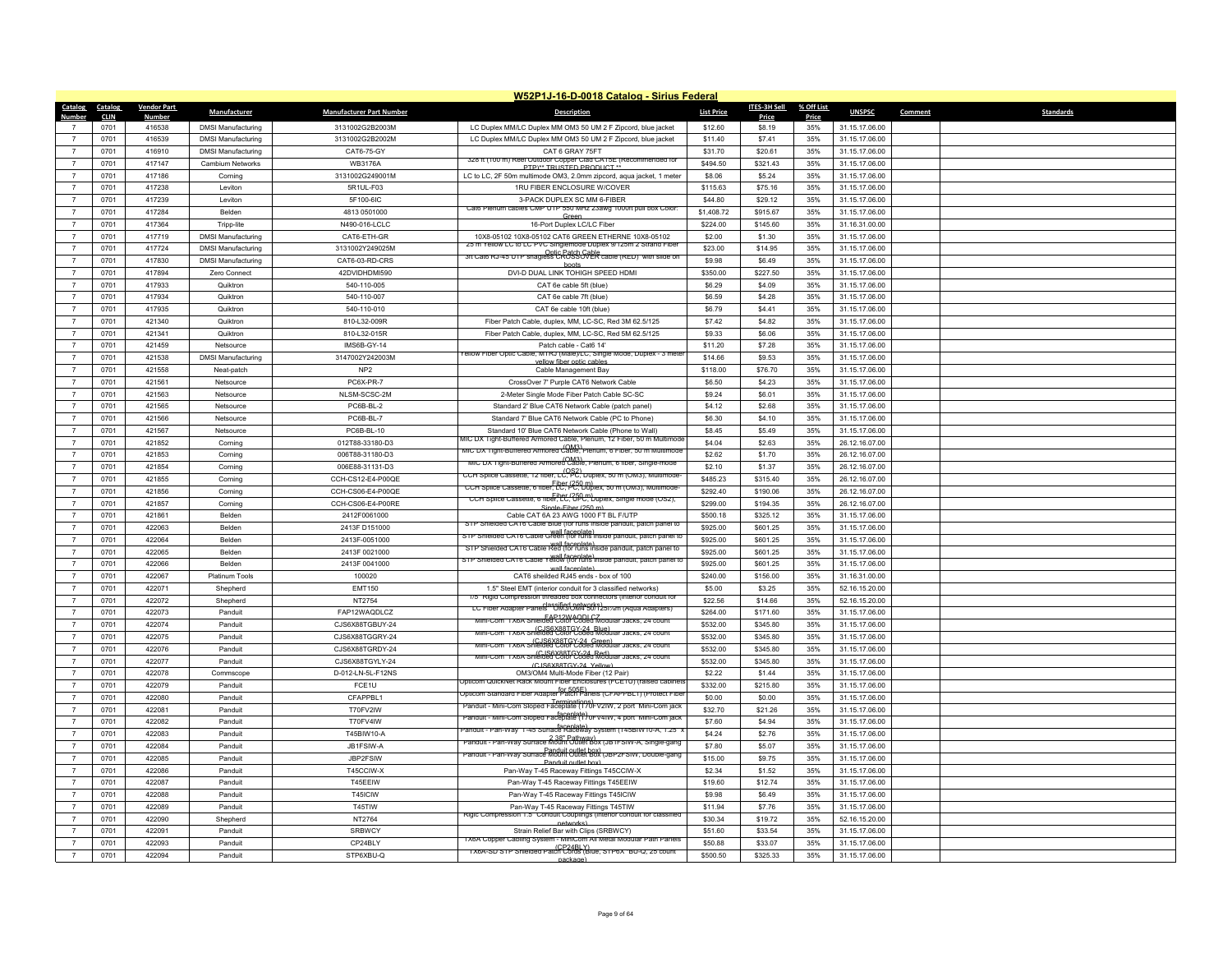|                  |             |                    |                           |                                 | W52P1J-16-D-0018 Catalog - Sirius Federal                                                                                           |                   |                     |            |                |                             |
|------------------|-------------|--------------------|---------------------------|---------------------------------|-------------------------------------------------------------------------------------------------------------------------------------|-------------------|---------------------|------------|----------------|-----------------------------|
| Catalog Catalog  |             | <b>Vendor Part</b> | Manufacturer              | <b>Manufacturer Part Number</b> | <b>Description</b>                                                                                                                  | <b>List Price</b> | <b>ITES-3H Sell</b> | % Off List | <b>UNSPSC</b>  | Comment<br><b>Standards</b> |
| Number           | <b>CLIN</b> | <b>Number</b>      |                           |                                 |                                                                                                                                     |                   | Price               | Price      |                |                             |
|                  | 0701        | 416538             | <b>DMSI Manufacturing</b> | 3131002G2B2003M                 | LC Duplex MM/LC Duplex MM OM3 50 UM 2 F Zipcord, blue jacket                                                                        | \$12.60           | \$8.19              | 35%        | 31.15.17.06.00 |                             |
| $\overline{7}$   | 0701        | 416539             | <b>DMSI Manufacturing</b> | 3131002G2B2002M                 | LC Duplex MM/LC Duplex MM OM3 50 UM 2 F Zipcord, blue jacket                                                                        | \$11.40           | \$7.41              | 35%        | 31.15.17.06.00 |                             |
| $\overline{7}$   | 0701        | 416910             | <b>DMSI Manufacturing</b> | CAT6-75-GY                      | CAT 6 GRAY 75FT<br>328 ft (100 m) Reel Outdoor Copper Clad CA15E (Recommended for                                                   | \$31.70           | \$20.61             | 35%        | 31.15.17.06.00 |                             |
| $\overline{7}$   | 0701        | 417147             | Cambium Networks          | <b>WB3176A</b>                  | PTP)** TRUSTED PRODUCT **                                                                                                           | \$494.50          | \$321.43            | 35%        | 31.15.17.06.00 |                             |
| $\overline{7}$   | 0701        | 417186             | Cornino                   | 3131002G249001M                 | LC to LC, 2F 50m multimode OM3, 2.0mm zipcord, aqua jacket, 1 meter                                                                 | \$8.06            | \$5.24              | 35%        | 31.15.17.06.00 |                             |
| $\overline{7}$   | 0701        | 417238             | <b>Leviton</b>            | 5R1UL-F03                       | 1RU FIBER ENCLOSURE W/COVER                                                                                                         | \$115.63          | \$75.16             | 35%        | 31.15.17.06.00 |                             |
| $\overline{7}$   | 0701        | 417239             | Leviton                   | 5F100-6IC                       | 3-PACK DUPLEX SC MM 6-FIBER<br>Cat6 Plenum cables CMP UTP 550 MHz 23awg 1000ft pull box Color:                                      | \$44.80           | \$29.12             | 35%        | 31.15.17.06.00 |                             |
| $\overline{7}$   | 0701        | 417284             | <b>Belden</b>             | 4813 0501000                    | Green                                                                                                                               | \$1,408.72        | \$915.67            | 35%        | 31.15.17.06.00 |                             |
| $\overline{7}$   | 0701        | 417364             | Tripp-lite                | N490-016-LCLC                   | 16-Port Duplex LC/LC Fiber                                                                                                          | \$224.00          | \$145.60            | 35%        | 31.16.31.00.00 |                             |
| $\overline{7}$   | 0701        | 417719             | <b>DMSI Manufacturing</b> | CAT6-ETH-GR                     | 10X8-05102 10X8-05102 CAT6 GREEN ETHERNE 10X8-05102<br>25 m Yellow LC to LC PVC Singlemode Duplex 9/125m 2 Strand 1                 | \$2.00            | \$1.30              | 35%        | 31.15.17.06.00 |                             |
| $\overline{7}$   | 0701        | 417724             | <b>DMSI Manufacturing</b> | 3131002Y249025M                 | 3ft Cat6 RJ-45 UTP snagless CROSSOVER cable (RED) with slide or                                                                     | \$23.00           | \$14.95             | 35%        | 31.15.17.06.00 |                             |
| $\overline{7}$   | 0701        | 417830             | <b>DMSI Manufacturing</b> | CAT6-03-RD-CRS                  | hoots                                                                                                                               | \$9.98            | \$6.49              | 35%        | 31.15.17.06.00 |                             |
| $\overline{7}$   | 0701        | 417894             | Zero Connect              | 42DVIDHDMI590                   | DVI-D DUAL LINK TOHIGH SPEED HDMI                                                                                                   | \$350.00          | \$227.50            | 35%        | 31.15.17.06.00 |                             |
| $\overline{7}$   | 0701        | 417933             | Quiktron                  | 540-110-005                     | CAT 6e cable 5ft (blue)                                                                                                             | \$6.29            | \$4.09              | 35%        | 31.15.17.06.00 |                             |
| $\overline{7}$   | 0701        | 417934             | Quiktron                  | 540-110-007                     | CAT 6e cable 7ft (blue)                                                                                                             | \$6.59            | \$4.28              | 35%        | 31.15.17.06.00 |                             |
| $\overline{7}$   | 0701        | 417935             | Quiktron                  | 540-110-010                     | CAT 6e cable 10ft (blue)                                                                                                            | \$6,79            | \$4,41              | 35%        | 31.15.17.06.00 |                             |
| $\overline{7}$   | 0701        | 421340             | Quiktron                  | 810-L32-009R                    | Fiber Patch Cable, duplex, MM, LC-SC, Red 3M 62.5/125                                                                               | \$7.42            | \$4.82              | 35%        | 31.15.17.06.00 |                             |
| $\overline{7}$   | 0701        | 421341             | Quiktron                  | 810-L32-015R                    | Fiber Patch Cable, duplex, MM, LC-SC, Red 5M 62.5/125                                                                               | \$9.33            | \$6.06              | 35%        | 31.15.17.06.00 |                             |
| $\overline{7}$   | 0701        | 421459             | Netsource                 | IMS6B-GY-14                     | Patch cable - Cat6 14'<br>rellow Fiber Optic Cable, MTRJ (Male)/LC, Single Mode, Duplex - 3 mete                                    | \$11.20           | \$7.28              | 35%        | 31.15.17.06.00 |                             |
| $\overline{7}$   | 0701        | 421538             | <b>DMSI Manufacturing</b> | 3147002Y242003M                 | ellow fiber optic cabl                                                                                                              | \$14.66           | \$9.53              | 35%        | 31.15.17.06.00 |                             |
| $\boldsymbol{7}$ | 0701        | 421558             | Neat-patch                | NP <sub>2</sub>                 | Cable Management Bay                                                                                                                | \$118.00          | \$76.70             | 35%        | 31.15.17.06.00 |                             |
| $\overline{7}$   | 0701        | 421561             | Netsource                 | PC6X-PR-7                       | CrossOver 7' Purple CAT6 Network Cable                                                                                              | \$6.50            | \$4.23              | 35%        | 31.15.17.06.00 |                             |
| $\overline{7}$   | 0701        | 421563             | Netsource                 | NLSM-SCSC-2M                    | 2-Meter Single Mode Fiber Patch Cable SC-SC                                                                                         | \$9.24            | \$6.01              | 35%        | 31.15.17.06.00 |                             |
| $\overline{7}$   | 0701        | 421565             | Netsource                 | PC6B-BL-2                       | Standard 2' Blue CAT6 Network Cable (patch panel)                                                                                   | \$4.12            | \$2.68              | 35%        | 31.15.17.06.00 |                             |
| $\overline{7}$   | 0701        | 421566             | Netsource                 | PC6B-BL-7                       | Standard 7' Blue CAT6 Network Cable (PC to Phone)                                                                                   | \$6.30            | \$4.10              | 35%        | 31.15.17.06.00 |                             |
| $\overline{7}$   | 0701        | 421567             | Netsource                 | PC6B-BL-10                      | Standard 10' Blue CAT6 Network Cable (Phone to Wall)<br>MIC DX Tight-Buffered Armored Cable, Plenum, 12 Fiber, 50 m Multimode       | \$8.45            | \$5.49              | 35%        | 31.15.17.06.00 |                             |
| $\overline{7}$   | 0701        | 421852             | Corning                   | 012T88-33180-D3                 | nic DX Tight-Buffered Armored Cable, Plenum, 6 Fiber, 50 m Multimode                                                                | \$4.04            | \$2.63              | 35%        | 26.12.16.07.00 |                             |
| $\overline{7}$   | 0701        | 421853             | Corning                   | 006T88-31180-D3                 | (OM3)<br>MIC DX Tight-Buffered Armored Cable, Plenum, 6 fiber, Single-mode                                                          | \$2.62            | \$1.70              | 35%        | 26.12.16.07.00 |                             |
| $\overline{7}$   | 0701        | 421854             | Corning                   | 006E88-31131-D3                 | CCH Splice Cassette, 12 fiber, LC, PC, Duplex, 50 m (OM3), Multimode-                                                               | \$2.10            | \$1.37              | 35%        | 26.12.16.07.00 |                             |
| $\overline{7}$   | 0701        | 421855             | Corning                   | CCH-CS12-E4-P00QE               | CCH Splice Cassette, 6 hber, LC, PC, Duplex, 50 m (OM3), Multimode-                                                                 | \$485.23          | \$315.40            | 35%        | 26.12.16.07.00 |                             |
| $\overline{7}$   | 0701        | 421856             | Corning                   | CCH-CS06-E4-P00QE               | CCH Splice Cassette, 6 tiber, CC, CPC, Duplex, Single mode (OS2),                                                                   | \$292.40          | \$190.06            | 35%        | 26.12.16.07.00 |                             |
| $\overline{7}$   | 0701        | 421857             | Corning                   | CCH-CS06-E4-P00RE               | Single-Eiher (250 m)                                                                                                                | \$299.00          | \$194.35            | 35%        | 26.12.16.07.00 |                             |
| $\overline{7}$   | 0701        | 421861             | <b>Belden</b>             | 2412F0061000                    | Cable CAT 6A 23 AWG 1000 FT BL F/UTP<br>STP Shielded CAT6 Cable Blue (for runs inside panduit, patch panel to                       | \$500.18          | \$325.12            | 35%        | 31.15.17.06.00 |                             |
| $\overline{7}$   | 0701        | 422063             | Belden                    | 2413F D151000                   | wall faceplate)<br>STP Shielded CAT6 Cable Green (for runs inside panduit, patch panel to                                           | \$925.00          | \$601.25            | 35%        | 31.15.17.06.00 |                             |
| $\overline{7}$   | 0701        | 422064             | <b>Relden</b>             | 2413F-0051000                   | STP Shielded CAT6 Cable Red (for runs inside panduit, patch panel to                                                                | \$925.00          | \$601.25            | 35%        | 31.15.17.06.00 |                             |
| $\overline{7}$   | 0701        | 422065             | <b>Belden</b>             | 2413F 0021000                   | STP Shielded CAT6 Cable Yellow (for runs inside panduit, patch panel to                                                             | \$925.00          | \$601.25            | 35%        | 31.15.17.06.00 |                             |
| $\overline{7}$   | 0701        | 422066             | Belden                    | 2413F 0041000                   | wall focaniate)                                                                                                                     | \$925.00          | \$601.25            | 35%        | 31.15.17.06.00 |                             |
| $\overline{7}$   | 0701        | 422067             | <b>Platinum Tools</b>     | 100020                          | CAT6 sheilded RJ45 ends - box of 100                                                                                                | \$240.00          | \$156.00            | 35%        | 31.16.31.00.00 |                             |
| $\overline{7}$   | 0701        | 422071             | Shepherd                  | <b>EMT150</b>                   | 1.5" Steel EMT (interior conduit for 3 classified networks)<br>1/5" Rigid Compression threaded box connectors (interior conduit for | \$5.00            | \$3.25              | 35%        | 52.16.15.20.00 |                             |
| $\overline{7}$   | 0701        | 422072             | Shepherd                  | NT2754                          | LC Fiber Adapter Panels <sup>elassified</sup> Detworks)<br>LC Fiber Adapter Panels <sup>2</sup> UM3/UM4 50/1251%m (Aqua Adapters)   | \$22.56           | \$14.66             | 35%        | 52.16.15.20.00 |                             |
| $\overline{7}$   | 0701        | 422073             | Panduit                   | FAP12WAQDLCZ                    | Mini-Com 1X6A Shielded Color Coded Modular Jacks, 24 coun                                                                           | \$264.00          | \$171.60            | 35%        | 31.15.17.06.00 |                             |
| $\overline{7}$   | 0701        | 422074             | Panduit                   | CJS6X88TGBUY-24                 | Mini-Com TX6A Shielded Color Coded Modular Jacks, 24 coun                                                                           | \$532.00          | \$345.80            | 35%        | 31.15.17.06.00 |                             |
| $\overline{7}$   | 0701        | 422075             | Panduit                   | CJS6X88TGGRY-24                 | K (C.IS6X88TGY-24 Green)<br>X6A Shielded Color Coded Modular Jacks, 24 count                                                        | \$532.00          | \$345.80            | 35%        | 31.15.17.06.00 |                             |
| $\boldsymbol{7}$ | 0701        | 422076             | Panduit                   | CJS6X88TGRDY-24                 | (CJS6X88TGY-24, Red)<br>TX6A Shielded Color Coded Modular Jacks, 24 count                                                           | \$532.00          | \$345.80            | 35%        | 31.15.17.06.00 |                             |
| $\overline{7}$   | 0701        | 422077             | Panduit                   | CJS6X88TGYLY-24                 | (CJS6X88TGY-24 Yellow                                                                                                               | \$532.00          | \$345.80            | 35%        | 31.15.17.06.00 |                             |
| $\overline{7}$   | 0701        | 422078             | Commscope                 | D-012-LN-5L-F12NS               | OM3/OM4 Multi-Mode Fiber (12 Pair)<br>Jpticom QuickNet Rack Mount Fiber Enclosures (FCE1U) (raised cabinets                         | \$2.22            | \$1.44              | 35%        | 31.15.17.06.00 |                             |
| $\overline{7}$   | 0701        | 422079             | Panduit                   | FCE1U                           | (Protect Fiber Adapter Patch Panels (CFAPPBL1) (Protect Fiber                                                                       | \$332.00          | \$215.80            | 35%        | 31.15.17.06.00 |                             |
| $\overline{7}$   | 0701        | 422080             | Panduit                   | CFAPPBL1                        | Ferminations)<br>Panduit - Mini-Com Sloped Faceplate (170FV2IW, 2 port Mini-Com jack                                                | \$0.00            | \$0.00              | 35%        | 31.15.17.06.00 |                             |
| $\overline{7}$   | 0701        | 422081             | Panduit                   | T70FV2IW                        | faceplate)<br>Panduit - Mini-Com Sloped Faceplate (170FV4IW, 4 port_Mini-Com jack                                                   | \$32.70           | \$21.26             | 35%        | 31.15.17.06.00 |                             |
| $\overline{7}$   | 0701        | 422082             | Panduit                   | T70FV4IW                        | faceplate)<br>T-45 Surface Raceway System (145BIW10-A, 1.25"                                                                        | \$7.60            | \$4.94              | 35%        | 31.15.17.06.00 |                             |
| $\overline{7}$   | 0701        | 422083             | Panduit                   | T45BIW10-A                      | Panduit - Pan-Way Surface Mount Outlet Box (JB1FSIW-A, Single-gang                                                                  | \$4.24            | \$2.76              | 35%        | 31.15.17.06.00 |                             |
|                  | 0701        | 422084             | Panduit                   | JB1FSIW-A                       | Panduit - Pan-Way Surface Mount Outlet box) (JBP2FSIW, Double-gang                                                                  | \$7.80            | \$5.07              | 35%        | 31.15.17.06.00 |                             |
| $\overline{7}$   | 0701        | 422085             | Panduit                   | JBP2FSIW                        | Panduit outlet box)                                                                                                                 | \$15.00           | \$9.75              | 35%        | 31.15.17.06.00 |                             |
| $\overline{7}$   | 0701        | 422086             | Panduit                   | T45CCIW-X                       | Pan-Way T-45 Raceway Fittings T45CCIW-X                                                                                             | \$2.34            | \$1.52              | 35%        | 31.15.17.06.00 |                             |
| $\overline{7}$   | 0701        | 422087             | Panduit                   | T45EEIW                         | Pan-Way T-45 Raceway Fittings T45EEIW                                                                                               | \$19.60           | \$12.74             | 35%        | 31.15.17.06.00 |                             |
| $\overline{7}$   | 0701        | 422088             | Panduit                   | T45ICIW                         | Pan-Way T-45 Raceway Fittings T45ICIW                                                                                               | \$9.98            | \$6.49              | 35%        | 31.15.17.06.00 |                             |
| $\overline{7}$   | 0701        | 422089             | Panduit                   | T45TIW                          | Pan-Way T-45 Raceway Fittings T45TIW                                                                                                | \$11.94           | \$7.76              | 35%        | 31.15.17.06.00 |                             |
|                  | 0701        | 422090             | Shepherd                  | NT2764                          | Rigic Compression 1.5" Conduit Couplings (interior conduit for classified<br>networks                                               | \$30.34           | \$19.72             | 35%        | 52.16.15.20.00 |                             |
| $\overline{7}$   | 0701        | 422091             | Panduit                   | SRBWCY                          | Strain Relief Bar with Clips (SRBWCY)<br>I X6A Copper Cabling System - MiniCom All Metal Modular Path Panels                        | \$51.60           | \$33.54             | 35%        | 31.15.17.06.00 |                             |
|                  | 0701        | 422093             | Panduit                   | CP24BLY                         | TX6A-SD STP Shielded Patch Cords (Blue, STP6X *BU-Q, 25 count                                                                       | \$50.88           | \$33.07             | 35%        | 31.15.17.06.00 |                             |
| $\overline{7}$   | 0701        | 422094             | Panduit                   | STP6XBU-Q                       | nackage)                                                                                                                            | \$500.50          | \$325.33            | 35%        | 31.15.17.06.00 |                             |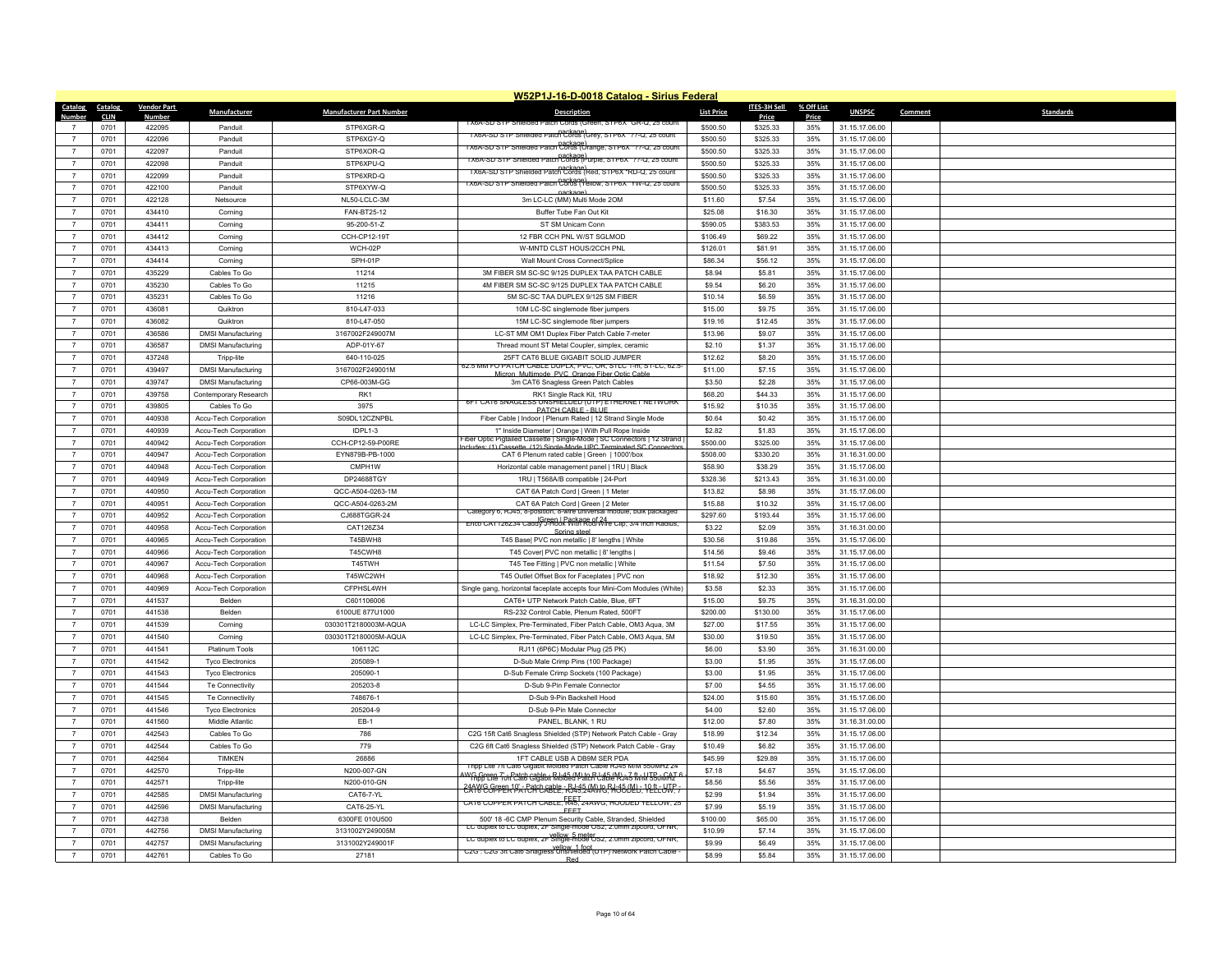|                                    |                     |                         |                                                |                                      | W52P1J-16-D-0018 Catalog - Sirius Federal                                                                                                             |                     |                     |              |                                  |                             |
|------------------------------------|---------------------|-------------------------|------------------------------------------------|--------------------------------------|-------------------------------------------------------------------------------------------------------------------------------------------------------|---------------------|---------------------|--------------|----------------------------------|-----------------------------|
| Catalog                            | Catalog             | <b>Vendor Part</b>      | Manufacturer                                   | <b>Manufacturer Part Number</b>      | <b>Description</b>                                                                                                                                    | <b>List Price</b>   | ITES-3H Sell        | % Off List   | <b>UNSPSC</b>                    | <b>Standards</b><br>Comment |
| Number                             | <b>CLIN</b><br>0701 | <u>Number</u><br>422095 | Panduit                                        | STP6XGR-Q                            | I YOY-2D 2TH 2UIGIGGO                                                                                                                                 | \$500.50            | Price<br>\$325.33   | Price<br>35% | 31.15.17.06.00                   |                             |
| $\overline{7}$                     | 0701                | 422096                  | Panduit                                        | STP6XGY-Q                            | TX6A-SD STP Shielded Patch Cords (Grey, STP6X *??-Q, 25 count                                                                                         | \$500.50            | \$325.33            | 35%          | 31.15.17.06.00                   |                             |
| $\overline{7}$                     | 0701                | 422097                  | Panduit                                        | STP6XOR-Q                            | TX6A-SD STP Shielded Patch Cords (Orange, STP6X *??-Q, 25 count                                                                                       | \$500.50            | \$325.33            | 35%          | 31.15.17.06.00                   |                             |
| $\overline{7}$                     | 0701                | 422098                  | Panduit                                        | STP6XPU-Q                            | nackage)<br>TX6A-SD STP Shielded Patch Cords (Purple, STP6X *??-Q, 25 count                                                                           | \$500.50            | \$325.33            | 35%          | 31.15.17.06.00                   |                             |
| $\overline{7}$                     | 0701                | 422099                  | Panduit                                        | STP6XRD-Q                            | nackage)<br>TX6A-SD STP Shielded Patch Cords (Red, STP6X "RD-Q, 25 count                                                                              | \$500.50            |                     |              | 31.15.17.06.00                   |                             |
| $\overline{7}$                     |                     |                         |                                                |                                      | лхьд-SD STP Sniergeg Patch C3R83 (Yellow, STP6X "YW-Q, 25 count                                                                                       |                     | \$325.33            | 35%          |                                  |                             |
| $\overline{7}$                     | 0701                | 422100                  | Panduit                                        | STP6XYW-Q<br>NL50-LCLC-3M            |                                                                                                                                                       | \$500.50            | \$325.33            | 35%<br>35%   | 31.15.17.06.00                   |                             |
| $\overline{7}$                     | 0701<br>0701        | 422128<br>434410        | Netsource<br>Corning                           | FAN-BT25-12                          | 3m LC-LC (MM) Multi Mode 2OM<br>Buffer Tube Fan Out Kit                                                                                               | \$11.60<br>\$25.08  | \$7.54<br>\$16.30   | 35%          | 31.15.17.06.00                   |                             |
| $\overline{7}$                     | 0701                | 434411                  | Corning                                        | 95-200-51-Z                          | ST SM Unicam Conn                                                                                                                                     | \$590.05            | \$383.53            | 35%          | 31.15.17.06.00<br>31.15.17.06.00 |                             |
|                                    |                     |                         |                                                |                                      |                                                                                                                                                       |                     |                     |              |                                  |                             |
| $\overline{7}$<br>$\overline{7}$   | 0701                | 434412                  | Corning                                        | CCH-CP12-19T                         | 12 FBR CCH PNL W/ST SGLMOD                                                                                                                            | \$106.49            | \$69.22             | 35%<br>35%   | 31.15.17.06.00                   |                             |
| $\overline{7}$                     | 0701<br>0701        | 434413<br>434414        | Corning                                        | WCH-02P<br>SPH-01P                   | W-MNTD CLST HOUS/2CCH PNL<br>Wall Mount Cross Connect/Splice                                                                                          | \$126.01<br>\$86.34 | \$81.91<br>\$56.12  | 35%          | 31.15.17.06.00<br>31.15.17.06.00 |                             |
| $\overline{7}$                     | 0701                | 435229                  | Corning<br>Cables To Go                        | 11214                                |                                                                                                                                                       | \$8.94              | \$5.81              | 35%          |                                  |                             |
| $\overline{7}$                     |                     |                         |                                                |                                      | 3M FIBER SM SC-SC 9/125 DUPLEX TAA PATCH CABLE                                                                                                        |                     |                     | 35%          | 31.15.17.06.00                   |                             |
|                                    | 0701                | 435230                  | Cables To Go                                   | 11215                                | 4M FIBER SM SC-SC 9/125 DUPLEX TAA PATCH CABLE<br>5M SC-SC TAA DUPLEX 9/125 SM FIBER                                                                  | \$9.54<br>\$10.14   | \$6.20              | 35%          | 31.15.17.06.00<br>31.15.17.06.00 |                             |
| $\overline{7}$                     | 0701                | 435231                  | Cables To Go                                   | 11216                                |                                                                                                                                                       |                     | \$6.59              |              |                                  |                             |
| $\overline{7}$<br>$\overline{7}$   | 0701                | 436081                  | Quiktron                                       | 810-L47-033                          | 10M LC-SC singlemode fiber jumpers                                                                                                                    | \$15.00             | \$9.75              | 35%          | 31.15.17.06.00                   |                             |
|                                    | 0701                | 436082                  | Quiktron                                       | 810-L47-050                          | 15M LC-SC singlemode fiber jumpers                                                                                                                    | \$19.16             | \$12.45             | 35%          | 31.15.17.06.00                   |                             |
| $\overline{7}$                     | 0701                | 436586                  | <b>DMSI Manufacturing</b>                      | 3167002F249007M                      | LC-ST MM OM1 Duplex Fiber Patch Cable 7-meter                                                                                                         | \$13.96             | \$9.07              | 35%          | 31.15.17.06.00                   |                             |
| $\overline{7}$                     | 0701                | 436587                  | <b>DMSI Manufacturing</b>                      | ADP-01Y-67                           | Thread mount ST Metal Coupler, simplex, ceramic                                                                                                       | \$2.10              | \$1.37              | 35%          | 31.15.17.06.00                   |                             |
| $\overline{7}$                     | 0701                | 437248                  | Tripp-lite                                     | 640-110-025                          | 25FT CAT6 BLUE GIGABIT SOLID JUMPER<br><b>02.5 MM FO PATCH CABLE DUPLX, PVC, OR, STLC 1-M, ST-LC, 62.5</b>                                            | \$12.62             | \$8.20              | 35%          | 31.15.17.06.00                   |                             |
| $\overline{7}$                     | 0701                | 439497                  | <b>DMSI Manufacturing</b>                      | 3167002F249001M                      | on Multimode, PVC, Orange Fiber Optic Cabl                                                                                                            | \$11.00             | \$7.15              | 35%          | 31.15.17.06.00                   |                             |
| $\overline{7}$<br>$\overline{7}$   | 0701                | 439747                  | <b>DMSI Manufacturing</b>                      | CP66-003M-GG                         | 3m CAT6 Snagless Green Patch Cables                                                                                                                   | \$3.50              | \$2.28              | 35%          | 31.15.17.06.00                   |                             |
|                                    | 0701                | 439758                  | Contemporary Research                          | RK1                                  | RK1 Single Rack Kit, 1RU<br>6FT CAT6 SNAGLESS UNSHIELDED (UTP) ETHERNET NETWORK                                                                       | \$68.20             | \$44.33             | 35%          | 31.15.17.06.00                   |                             |
| $\overline{7}$<br>$\overline{7}$   | 0701                | 439805                  | Cables To Go                                   | 3975                                 | PATCH CABLE - BLUE                                                                                                                                    | \$15.92             | \$10.35             | 35%          | 31.15.17.06.00                   |                             |
| $\overline{7}$                     | 0701                | 440938                  | Accu-Tech Corporation                          | S09DL12CZNPBL                        | Fiber Cable   Indoor   Plenum Rated   12 Strand Single Mode                                                                                           | \$0.64              | \$0.42              | 35%          | 31.15.17.06.00                   |                             |
|                                    | 0701                | 440939                  | Accu-Tech Corporation                          | IDPL1-3                              | 1" Inside Diameter   Orange   With Pull Rope Inside<br>Iber Optic Pigtailed Cassette   Single-Mode   SC Connectors   12 Strand                        | \$2.82              | \$1.83              | 35%          | 31.15.17.06.00                   |                             |
| $\boldsymbol{7}$<br>$\overline{7}$ | 0701                | 440942<br>440947        | Accu-Tech Corporation                          | CCH-CP12-59-P00RE                    | ncludes: (1) Cassette (12) Single-Mode LIPC Terminated SC Connector                                                                                   | \$500.00            | \$325.00            | 35%          | 31.15.17.06.00                   |                             |
|                                    | 0701<br>0701        | 440948                  | Accu-Tech Corporation                          | EYN879B-PB-1000<br>CMPH1W            | CAT 6 Plenum rated cable   Green   1000'/box                                                                                                          | \$508.00<br>\$58.90 | \$330.20<br>\$38.29 | 35%<br>35%   | 31.16.31.00.00<br>31.15.17.06.00 |                             |
| $\overline{7}$                     |                     |                         | Accu-Tech Corporation                          |                                      | Horizontal cable management panel   1RU   Black                                                                                                       |                     |                     |              |                                  |                             |
| $\overline{7}$<br>$\overline{7}$   | 0701                | 440949                  | Accu-Tech Corporation                          | DP24688TGY                           | 1RU   T568A/B compatible   24-Port                                                                                                                    | \$328.36            | \$213.43            | 35%          | 31.16.31.00.00                   |                             |
| $\overline{7}$                     | 0701<br>0701        | 440950<br>440951        | Accu-Tech Corporation<br>Accu-Tech Corporation | QCC-A504-0263-1M<br>QCC-A504-0263-2M | CAT 6A Patch Cord   Green   1 Meter<br>CAT 6A Patch Cord   Green   2 Meter                                                                            | \$13.82<br>\$15.88  | \$8.98<br>\$10.32   | 35%<br>35%   | 31.15.17.06.00<br>31.15.17.06.00 |                             |
| $\overline{7}$                     | 0701                | 440952                  | Accu-Tech Corporation                          | CJ688TGGR-24                         | Category 6, RJ45, 8-position, 8-wire universal module, bulk packaged                                                                                  | \$297.60            | \$193.44            | 35%          | 31.15.17.06.00                   |                             |
| $\overline{7}$                     | 0701                | 440958                  | Accu-Tech Corporation                          | CAT126Z34                            | Green   Package of 24<br>Enco CAT126234 Caddy J-Hook With Rod/Wire Clip; 3/4 Inch Radius,                                                             | \$3.22              | \$2.09              | 35%          | 31.16.31.00.00                   |                             |
| $\overline{7}$                     |                     | 440965                  |                                                | T45BWH8                              | Spring steel                                                                                                                                          | \$30.56             | \$19.86             | 35%          | 31.15.17.06.00                   |                             |
| $\overline{7}$                     | 0701<br>0701        | 440966                  | Accu-Tech Corporation<br>Accu-Tech Corporation | T45CWH8                              | T45 Base  PVC non metallic   8' lengths   White<br>T45 Cover  PVC non metallic   8' lengths                                                           | \$14.56             | \$9,46              | 35%          | 31.15.17.06.00                   |                             |
| $\overline{7}$                     | 0701                | 440967                  | Accu-Tech Corporation                          | T45TWH                               | T45 Tee Fitting   PVC non metallic   White                                                                                                            | \$11.54             | \$7.50              | 35%          | 31.15.17.06.00                   |                             |
| $\overline{7}$                     | 0701                | 440968                  |                                                | T45WC2WH                             | T45 Outlet Offset Box for Faceplates   PVC non                                                                                                        | \$18.92             | \$12.30             | 35%          | 31.15.17.06.00                   |                             |
| $\overline{7}$                     | 0701                | 440969                  | Accu-Tech Corporation<br>Accu-Tech Corporation | CFPHSL4WH                            | Single gang, horizontal faceplate accepts four Mini-Com Modules (White)                                                                               | \$3.58              | \$2.33              | 35%          | 31.15.17.06.00                   |                             |
|                                    | 0701                | 441537                  | <b>Belden</b>                                  | C601106006                           | CAT6+ UTP Network Patch Cable, Blue, 6FT                                                                                                              | \$15.00             | \$9.75              | 35%          | 31.16.31.00.00                   |                             |
| $\overline{7}$                     | 0701                | 441538                  | Belder                                         | 6100UE 877U1000                      | RS-232 Control Cable, Plenum Rated, 500FT                                                                                                             | \$200.00            | \$130.00            | 35%          | 31.15.17.06.00                   |                             |
| $\overline{7}$                     | 0701                | 441539                  | Corning                                        | 030301T2180003M-AQUA                 | LC-LC Simplex, Pre-Terminated, Fiber Patch Cable, OM3 Aqua, 3M                                                                                        | \$27.00             | \$17.55             | 35%          | 31.15.17.06.00                   |                             |
| $\overline{7}$                     | 0701                | 441540                  | Corning                                        | 030301T2180005M-AQUA                 | LC-LC Simplex, Pre-Terminated, Fiber Patch Cable, OM3 Aqua, 5M                                                                                        | \$30.00             | \$19.50             | 35%          | 31.15.17.06.00                   |                             |
| $\overline{7}$                     | 0701                | 441541                  | Platinum Tools                                 | 106112C                              | RJ11 (6P6C) Modular Plug (25 PK)                                                                                                                      | \$6.00              | \$3.90              | 35%          | 31.16.31.00.00                   |                             |
| $\overline{7}$                     | 0701                | 441542                  | <b>Tyco Electronics</b>                        | 205089-1                             | D-Sub Male Crimp Pins (100 Package)                                                                                                                   | \$3.00              | \$1.95              | 35%          | 31.15.17.06.00                   |                             |
| $\overline{7}$                     | 0701                | 441543                  | <b>Tyco Electronics</b>                        | 205090-1                             | D-Sub Female Crimp Sockets (100 Package)                                                                                                              | \$3.00              | \$1.95              | 35%          | 31.15.17.06.00                   |                             |
| $\overline{7}$                     | 0701                | 441544                  | Te Connectivity                                | 205203-8                             | D-Sub 9-Pin Female Connector                                                                                                                          | \$7.00              | \$4.55              | 35%          | 31.15.17.06.00                   |                             |
| $\overline{7}$                     | 0701                | 441545                  | Te Connectivity                                | 748676-1                             | D-Sub 9-Pin Backshell Hood                                                                                                                            | \$24.00             | \$15.60             | 35%          | 31.15.17.06.00                   |                             |
| $\overline{7}$                     | 0701                | 441546                  | <b>Tvco Electronics</b>                        | 205204-9                             | D-Sub 9-Pin Male Connector                                                                                                                            | \$4.00              | \$2.60              | 35%          | 31.15.17.06.00                   |                             |
| $\overline{7}$                     | 0701                | 441560                  | Middle Atlantic                                | $EB-1$                               | PANEL, BLANK, 1 RU                                                                                                                                    | \$12.00             | \$7.80              | 35%          | 31.16.31.00.00                   |                             |
| $\overline{7}$                     | 0701                | 442543                  | Cables To Go                                   | 786                                  | C2G 15ft Cat6 Snagless Shielded (STP) Network Patch Cable - Gray                                                                                      | \$18.99             | \$12.34             | 35%          | 31.15.17.06.00                   |                             |
| $\overline{7}$                     | 0701                | 442544                  | Cables To Go                                   | 779                                  | C2G 6ft Cat6 Snagless Shielded (STP) Network Patch Cable - Gray                                                                                       | \$10.49             | \$6.82              | 35%          | 31.15.17.06.00                   |                             |
| $\overline{7}$                     | 0701                | 442564                  | <b>TIMKEN</b>                                  | 26886                                | 1FT CABLE USB A DB9M SER PDA                                                                                                                          | \$45.99             | \$29.89             | 35%          | 31.15.17.06.00                   |                             |
| $\overline{7}$                     | 0701                | 442570                  | Tripp-lite                                     | N200-007-GN                          | Tripp Life /ff Caf6 Gigabit Molded Patch Cable RJ45 M/M 550MHz 24                                                                                     | \$7.18              | \$4.67              | 35%          | 31.15.17.06.00                   |                             |
| $\overline{7}$                     | 0701                | 442571                  | Tripp-lite                                     | N200-010-GN                          | <u> AWG Green 7' - Patch cable - R.I-45 (M) to R.I-45 (M) - 7 ft , UTB - CAT 6</u><br>AWG Green 7' - Raib Gidabit Molded Patch Cable Rj45 MiM 55 JMHz | \$8.56              | \$5.56              | 35%          | 31.15.17.06.00                   |                             |
| $\overline{7}$                     | 0701                | 442585                  | <b>DMSI Manufacturing</b>                      | CAT6-7-YL                            | <del>2ANY G.GPPER PARTEN DABLE, RJ48,54AWG, HOSOLD, PELEUT</del>                                                                                      | \$2.99              | \$1.94              | 35%          | 31.15.17.06.00                   |                             |
| $\overline{7}$                     | 0701                | 442596                  | <b>DMSI Manufacturing</b>                      | CAT6-25-YL                           | CA16 COPPER PATCH CABLE. R45. 24AWG. HOODED YELLOW. 25                                                                                                | \$7.99              | \$5.19              | 35%          | 31.15.17.06.00                   |                             |
| $\overline{7}$                     | 0701                | 442738                  | Belden                                         | 6300FE 010U500                       | EEET<br>500' 18 -6C CMP Plenum Security Cable, Stranded, Shielded                                                                                     | \$100.00            | \$65.00             | 35%          | 31.15.17.06.00                   |                             |
| $\overline{7}$                     | 0701                | 442756                  | <b>DMSI Manufacturing</b>                      | 3131002Y249005M                      | LC duplex to LC duplex, 2F Single-mode OS2, 2.0mm zipcord, OFNR                                                                                       | \$10.99             | \$7.14              | 35%          | 31.15.17.06.00                   |                             |
|                                    | 0701                | 442757                  | <b>DMSI Manufacturing</b>                      | 3131002Y249001F                      | LC duplex to LC duplex, 2F Single-mode US2, 2.0mm zipcord, OFNR,                                                                                      | \$9.99              | \$6.49              | 35%          | 31.15.17.06.00                   |                             |
| $\overline{7}$                     | 0701                | 442761                  | Cables To Go                                   | 27181                                | C2G : C2G 3ft Cat6 Snagless Unshielded (UTP) Network Patch Cable                                                                                      | \$8.99              | \$5.84              | 35%          | 31.15.17.06.00                   |                             |
|                                    |                     |                         |                                                |                                      | Red                                                                                                                                                   |                     |                     |              |                                  |                             |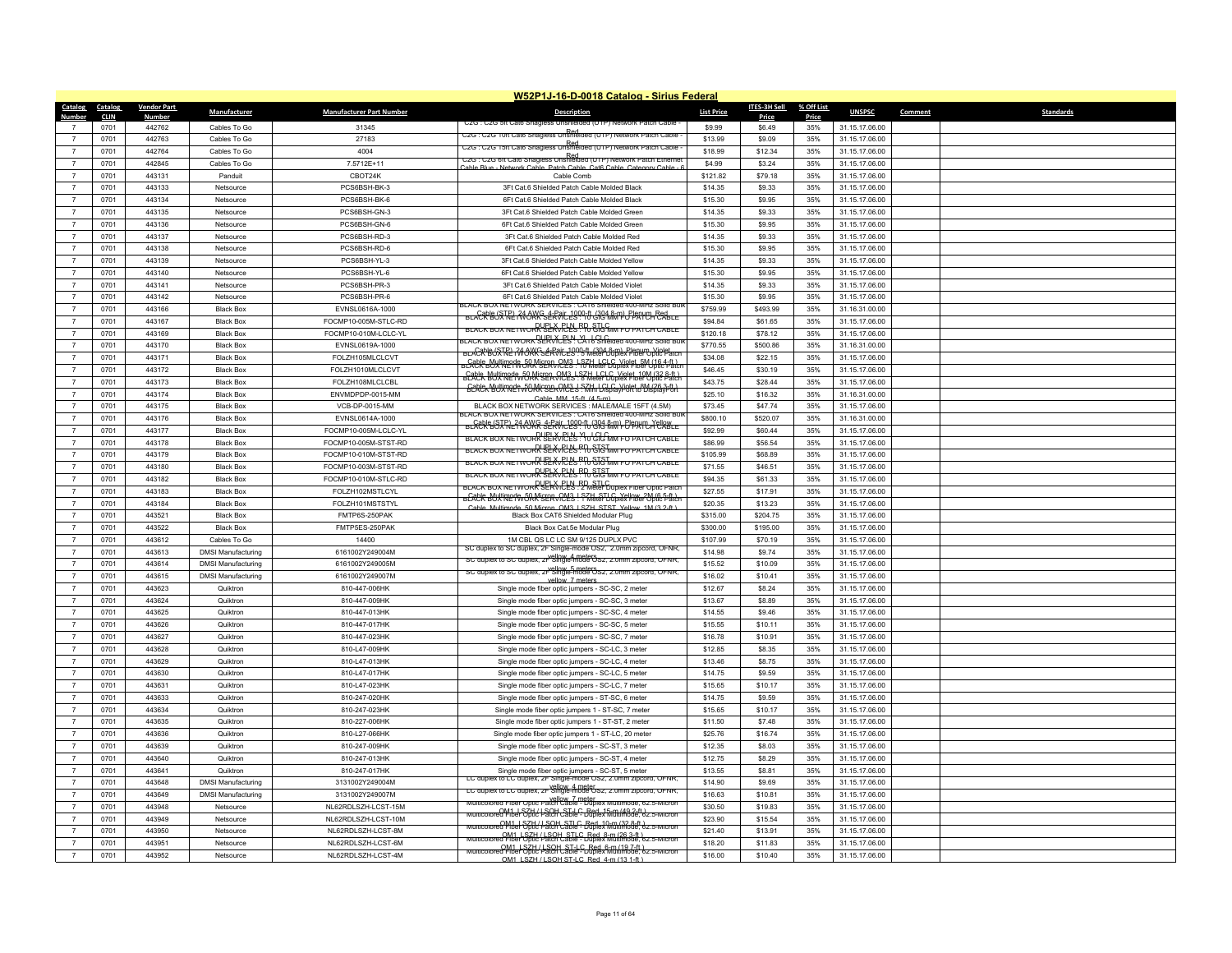|                   |             |                    |                           |                                 | W52P1J-16-D-0018 Catalog - Sirius Federal                                                                                           |                   |              |            |                |         |                  |
|-------------------|-------------|--------------------|---------------------------|---------------------------------|-------------------------------------------------------------------------------------------------------------------------------------|-------------------|--------------|------------|----------------|---------|------------------|
| Catalog           | Catalog     | <b>Vendor Part</b> | Manufacturer              | <b>Manufacturer Part Number</b> | <b>Description</b>                                                                                                                  | <b>List Price</b> | ITES-3H Sell | % Off List | <b>UNSPSC</b>  | Comment | <b>Standards</b> |
| Number            | <b>CLIN</b> | <b>Number</b>      |                           |                                 | UZG : UZG SIT Cato Shagless                                                                                                         |                   | Price        | Price      |                |         |                  |
| $\overline{7}$    | 0701        | 442762             | Cables To Go              | 31345                           | C2G : C2G 10ff Cat6 Snagless Unshielded (UTP) Network Patch Cable                                                                   | \$9.99            | \$6.49       | 35%        | 31.15.17.06.00 |         |                  |
| $\overline{7}$    | 0701        | 442763             | Cables To Go              | 27183                           | C2G : C2G 15ft Cat6 Snagless Unshielded (UTP) Network Patch Cable                                                                   | \$13.99           | \$9.09       | 35%        | 31.15.17.06.00 |         |                  |
| $\overline{7}$    | 0701        | 442764             | Cables To Go              | 4004                            | ERd<br>C2G : C2G 6ft Cat6 Snagless Unshielded (UTP) Network Patch Ethernet                                                          | \$18.99           | \$12.34      | 35%        | 31.15.17.06.00 |         |                  |
| $\overline{7}$    | 0701        | 442845             | Cables To Go              | 7.5712E+11                      | Cable Blue - Network Cable, Patch Cable, Cat6 Cable, Category Cable - 6                                                             | \$4.99            | \$3.24       | 35%        | 31.15.17.06.00 |         |                  |
| $\overline{7}$    | 0701        | 443131             | Panduit                   | CBOT24K                         | Cable Comb                                                                                                                          | \$121.82          | \$79.18      | 35%        | 31.15.17.06.00 |         |                  |
| $\overline{7}$    | 0701        | 443133             | Netsource                 | PCS6BSH-BK-3                    | 3Ft Cat 6 Shielded Patch Cable Molded Black                                                                                         | \$14.35           | \$9.33       | 35%        | 31.15.17.06.00 |         |                  |
| $\overline{7}$    | 0701        | 443134             | Netsource                 | PCS6BSH-BK-6                    | 6Ft Cat.6 Shielded Patch Cable Molded Black                                                                                         | \$15.30           | \$9.95       | 35%        | 31.15.17.06.00 |         |                  |
| $\overline{7}$    | 0701        | 443135             | Netsource                 | PCS6BSH-GN-3                    | 3Ft Cat 6 Shielded Patch Cable Molded Green                                                                                         | \$14.35           | \$9.33       | 35%        | 31.15.17.06.00 |         |                  |
| $\overline{7}$    | 0701        | 443136             | Netsource                 | PCS6BSH-GN-6                    | 6Ft Cat 6 Shielded Patch Cable Molded Green                                                                                         | \$15.30           | \$9.95       | 35%        | 31.15.17.06.00 |         |                  |
| $\overline{7}$    | 0701        | 443137             | Netsource                 | PCS6BSH-RD-3                    | 3Ft Cat.6 Shielded Patch Cable Molded Red                                                                                           | \$14.35           | \$9.33       | 35%        | 31.15.17.06.00 |         |                  |
| $\overline{7}$    | 0701        | 443138             | Netsource                 | PCS6BSH-RD-6                    | 6Ft Cat.6 Shielded Patch Cable Molded Red                                                                                           | \$15.30           | \$9.95       | 35%        | 31.15.17.06.00 |         |                  |
| $\overline{7}$    | 0701        | 443139             | Netsource                 | PCS6BSH-YL-3                    | 3Ft Cat 6 Shielded Patch Cable Molded Yellow                                                                                        | \$14.35           | \$9.33       | 35%        | 31.15.17.06.00 |         |                  |
| $\overline{7}$    | 0701        | 443140             | Netsource                 | PCS6BSH-YL-6                    | 6Ft Cat.6 Shielded Patch Cable Molded Yellow                                                                                        | \$15.30           | \$9.95       | 35%        | 31.15.17.06.00 |         |                  |
| $\overline{7}$    | 0701        | 443141             | Netsource                 | PCS6BSH-PR-3                    | 3Ft Cat.6 Shielded Patch Cable Molded Violet                                                                                        | \$14.35           | \$9.33       | 35%        | 31.15.17.06.00 |         |                  |
| $\overline{7}$    | 0701        | 443142             | Netsource                 | PCS6BSH-PR-6                    | 6Ft Cat 6 Shielded Patch Cable Molded Violet<br>LAUK BUX NETWURK SERVICES : CAT6 Shielded 400-MHZ                                   | \$15.30           | \$9.95       | 35%        | 31.15.17.06.00 |         |                  |
| $\overline{7}$    | 0701        | 443166             | <b>Black Box</b>          | EVNSL0616A-1000                 | BLACR BÓSTRE 176 OKK SÉRRIC 2999 TO GIO MATE O PRITO PERILLE                                                                        | \$759.99          | \$493.99     | 35%        | 31.16.31.00.00 |         |                  |
| $\overline{7}$    | 0701        | 443167             | <b>Black Box</b>          | FOCMP10-005M-STLC-RD            | BLACK BOX NETWORK SERVICES "TO STO MM FO PATCH CABLE                                                                                | \$94.84           | \$61.65      | 35%        | 31.15.17.06.00 |         |                  |
| $\overline{7}$    | 0701        | 443169             | <b>Black Box</b>          | FOCMP10-010M-LCLC-YL            | LACK BOX NETWORK SLRVACELY CATE Sheided 400-MHz Solid BL                                                                            | \$120.18          | \$78.12      | 35%        | 31.15.17.06.00 |         |                  |
| $\overline{7}$    | 0701        | 443170             | <b>Black Box</b>          | EVNSL0619A-1000                 | BLACR BOX RE ROCKE & ROLL 1900-ft (304 8-m) Plenum Violet                                                                           | \$770.55          | \$500.86     | 35%        | 31.16.31.00.00 |         |                  |
| $\overline{7}$    | 0701        | 443171             | <b>Black Box</b>          | FOLZH105MLCLCVT                 | <del>u Cable BULIN291R JR MISERR RM3 ! R7 HeleP GopWR181BM (18 R4 Place</del>                                                       | \$34.08           | \$22.15      | 35%        | 31.15.17.06.00 |         |                  |
| $\overline{7}$    | 0701        | 443172             | <b>Black Box</b>          | FOLZH1010MLCLCVT                | <del>GACR BUXTREPWORN'SERVICES : S7HeteFJGpVisIet_10M/32 8.ft.)</del>                                                               | \$46.45           | \$30.19      | 35%        | 31.15.17.06.00 |         |                  |
| $\overline{7}$    | 0701        | 443173             | <b>Black Box</b>          | FOLZH108MLCLCBL                 | <b>GERER BUTTRET VORK SERVICES</b> STALL LOLG VOIET 8M (26.3-1)                                                                     | \$43.75           | \$28.44      | 35%        | 31.15.17.06.00 |         |                  |
| $\overline{7}$    | 0701        | 443174             | <b>Black Box</b>          | ENVMDPDP-0015-MM                | Cable MM 15-ft (4.5-m)                                                                                                              | \$25.10           | \$16.32      | 35%        | 31.16.31.00.00 |         |                  |
| $\overline{7}$    | 0701        | 443175             | <b>Black Box</b>          | VCB-DP-0015-MM                  | BLACK BOX NETWORK SERVICES : MALE/MALE 15FT (4.5M)                                                                                  | \$73.45           | \$47.74      | 35%        | 31.15.17.06.00 |         |                  |
| $\overline{7}$    | 0701        | 443176             | <b>Black Box</b>          | EVNSL0614A-1000                 | LACK BOX NETWORK SERVICES : CAT6 Shielded 400-MHz Solid Bu<br>BLACK BOJRNE ? WUKR SERVICES ? TU 313 ANN F BPATTCH CLABLE            | \$800.10          | \$520.07     | 35%        | 31.16.31.00.00 |         |                  |
| $\overline{7}$    | 0701        | 443177             | <b>Black Box</b>          | FOCMP10-005M-LCLC-YL            | BLACK BOX NETWORK SERVICES YOU GIG MM FO PATCH CABLE                                                                                | \$92.99           | \$60.44      | 35%        | 31.15.17.06.00 |         |                  |
| $\overline{7}$    | 0701        | 443178             | <b>Black Box</b>          | FOCMP10-005M-STST-RD            | BLACK BOX NETWORK SERVICES " TO STO MM FO PATCH CABLE                                                                               | \$86.99           | \$56.54      | 35%        | 31.15.17.06.00 |         |                  |
| $\overline{7}$    | 0701        | 443179             | <b>Black Box</b>          | FOCMP10-010M-STST-RD            | BLACK BOX NETWORK SERVICES . 10 GIG MM FO PATCH CABLE                                                                               | \$105.99          | \$68.89      | 35%        | 31.15.17.06.00 |         |                  |
| $\overline{7}$    | 0701        | 443180             | <b>Black Box</b>          | FOCMP10-003M-STST-RD            | BLACK BOX NETWORK SEAVELLS P. D. STO MM FO PATCH CABLE                                                                              | \$71.55           | \$46.51      | 35%        | 31.15.17.06.00 |         |                  |
| $\overline{7}$    | 0701        | 443182             | <b>Black Box</b>          | FOCMP10-010M-STLC-RD            | BLACK BOX NETWORK SERVICES : PL STLC                                                                                                | \$94.35           | \$61.33      | 35%        | 31.15.17.06.00 |         |                  |
| $\overline{7}$    | 0701        | 443183             | <b>Black Box</b>          | FOLZH102MSTLCYL                 | BCACK BUYING TO OR NISERVICES! PRILETING YELLOW 2M (6.5-ft)                                                                         | \$27.55           | \$17.91      | 35%        | 31.15.17.06.00 |         |                  |
| $\overline{7}$    | 0701        | 443184             | <b>Black Box</b>          | FOLZH101MSTSTYL                 | node 50 Micron CM3 LSZH STST Yellow 1M (3.2-ft)<br>Cable Multi                                                                      | \$20.35           | \$13.23      | 35%        | 31.15.17.06.00 |         |                  |
| $\overline{7}$    | 0701        | 443521             | <b>Black Box</b>          | FMTP6S-250PAK                   | Black Box CAT6 Shielded Modular Plug                                                                                                | \$315.00          | \$204.75     | 35%        | 31.15.17.06.00 |         |                  |
| $\overline{7}$    | 0701        | 443522             | <b>Black Box</b>          | FMTP5ES-250PAK                  | Black Box Cat.5e Modular Plug                                                                                                       | \$300.00          | \$195.00     | 35%        | 31.15.17.06.00 |         |                  |
| $\overline{7}$    | 0701        | 443612             | Cables To Go              | 14400                           | 1M CBL OS LC LC SM 9/125 DUPLX PVC                                                                                                  | \$107.99          | \$70.19      | 35%        | 31.15.17.06.00 |         |                  |
| $\overline{7}$    | 0701        | 443613             | <b>DMSI Manufacturing</b> | 6161002Y249004M                 | SC duplex to SC duplex, 2F Single-mode OS2, 2.0mm zipcord, OFNR<br>SC duplex to SC duplex, 2F Single-mode OS2, 2.0mm zipcord, OFNR. | \$14.98           | \$9.74       | 35%        | 31.15.17.06.00 |         |                  |
| $\overline{7}$    | 0701        | 443614             | <b>DMSI Manufacturing</b> | 6161002Y249005M                 | SC duplex to SC duplex, 2r Single-mode OS2, 2.0mm zipcord, OFNR,                                                                    | \$15.52           | \$10.09      | 35%        | 31.15.17.06.00 |         |                  |
| $\overline{7}$    | 0701        | 443615             | <b>DMSI Manufacturing</b> | 6161002Y249007M                 | vellow 7 meters                                                                                                                     | \$16.02           | \$10.41      | 35%        | 31.15.17.06.00 |         |                  |
| $\overline{7}$    | 0701        | 443623             | Quiktron                  | 810-447-006HK                   | Single mode fiber optic jumpers - SC-SC, 2 meter                                                                                    | \$12.67           | \$8.24       | 35%        | 31.15.17.06.00 |         |                  |
| $\overline{7}$    | 0701        | 443624             | Quiktron                  | 810-447-009HK                   | Single mode fiber optic jumpers - SC-SC, 3 meter                                                                                    | \$13.67           | \$8.89       | 35%        | 31.15.17.06.00 |         |                  |
| $\overline{7}$    | 0701        | 443625             | Quiktron                  | 810-447-013HK                   | Single mode fiber optic jumpers - SC-SC, 4 meter                                                                                    | \$14.55           | \$9.46       | 35%        | 31.15.17.06.00 |         |                  |
| $\overline{7}$    | 0701        | 443626             | Quiktron                  | 810-447-017HK                   | Single mode fiber optic jumpers - SC-SC, 5 meter                                                                                    | \$15.55           | \$10.11      | 35%        | 31.15.17.06.00 |         |                  |
| $\overline{7}$    | 0701        | 443627             | Quiktron                  | 810-447-023HK                   | Single mode fiber optic jumpers - SC-SC, 7 meter                                                                                    | \$16.78           | \$10.91      | 35%        | 31.15.17.06.00 |         |                  |
| $\scriptstyle{7}$ | 0701        | 443628             | Quiktron                  | 810-L47-009HK                   | Single mode fiber optic jumpers - SC-LC, 3 meter                                                                                    | \$12.85           | \$8.35       | 35%        | 31.15.17.06.00 |         |                  |
| $\overline{7}$    | 0701        | 443629             | Quiktron                  | 810-L47-013HK                   | Single mode fiber optic jumpers - SC-LC, 4 meter                                                                                    | \$13.46           | \$8.75       | 35%        | 31.15.17.06.00 |         |                  |
| $\overline{7}$    | 0701        | 443630             | Quiktron                  | 810-L47-017HK                   | Single mode fiber optic jumpers - SC-LC, 5 meter                                                                                    | \$14.75           | \$9.59       | 35%        | 31.15.17.06.00 |         |                  |
| $\overline{7}$    | 0701        | 443631             | Quiktron                  | 810-L47-023HK                   | Single mode fiber optic jumpers - SC-LC, 7 meter                                                                                    | \$15.65           | \$10.17      | 35%        | 31.15.17.06.00 |         |                  |
| $\overline{7}$    | 0701        | 443633             | Quiktron                  | 810-247-020HK                   | Single mode fiber optic jumpers - ST-SC, 6 meter                                                                                    | \$14.75           | \$9.59       | 35%        | 31.15.17.06.00 |         |                  |
| $\overline{7}$    | 0701        | 443634             | Quiktron                  | 810-247-023HK                   | Single mode fiber optic jumpers 1 - ST-SC, 7 meter                                                                                  | \$15.65           | \$10.17      | 35%        | 31.15.17.06.00 |         |                  |
| $\overline{7}$    | 0701        | 443635             | Quiktron                  | 810-227-006HK                   | Single mode fiber optic jumpers 1 - ST-ST, 2 meter                                                                                  | \$11.50           | \$7.48       | 35%        | 31.15.17.06.00 |         |                  |
| $\overline{7}$    | 0701        | 443636             | Quiktron                  | 810-L27-066HK                   | Single mode fiber optic jumpers 1 - ST-LC, 20 meter                                                                                 | \$25.76           | \$16.74      | 35%        | 31.15.17.06.00 |         |                  |
| $\overline{7}$    | 0701        | 443639             | Quiktron                  | 810-247-009HK                   | Single mode fiber optic jumpers - SC-ST, 3 meter                                                                                    | \$12.35           | \$8.03       | 35%        | 31.15.17.06.00 |         |                  |
| $\overline{7}$    | 0701        | 443640             | Quiktron                  | 810-247-013HK                   | Single mode fiber optic jumpers - SC-ST, 4 meter                                                                                    | \$12.75           | \$8.29       | 35%        | 31.15.17.06.00 |         |                  |
| $\overline{7}$    | 0701        | 443641             | Quiktron                  | 810-247-017HK                   | Single mode fiber optic jumpers - SC-ST, 5 meter                                                                                    | \$13.55           | \$8.81       | 35%        | 31.15.17.06.00 |         |                  |
| $\overline{7}$    | 0701        | 443648             | <b>DMSI Manufacturing</b> | 3131002Y249004M                 | LC duplex to LC duplex, 2F Single-mode OS2, 2.0mm zipcord, OFNR                                                                     | \$14.90           | \$9.69       | 35%        | 31.15.17.06.00 |         |                  |
| $\overline{7}$    | 0701        | 443649             | <b>DMSI Manufacturing</b> | 3131002Y249007M                 | LC duplex to LC duplex, 2F Single-mode Usz, 2.0mm zipcord, OFNR,                                                                    | \$16.63           | \$10.81      | 35%        | 31.15.17.06.00 |         |                  |
| $\overline{7}$    | 0701        | 443948             | Netsource                 | NL62RDLSZH-LCST-15M             | Multicolored Fiber Optic Patch Cable - Duplex Multimode, 62.5-Micron                                                                | \$30.50           | \$19.83      | 35%        | 31.15.17.06.00 |         |                  |
| $\overline{7}$    | 0701        | 443949             | Netsource                 | NI 62RDI SZH-I CST-10M          | Red Fiber Optic Pace Cable - Duplex Multimode, 62.5-Micron                                                                          | \$23.90           | \$15.54      | 35%        | 31.15.17.06.00 |         |                  |
| $\overline{7}$    | 0701        | 443950             | Netsource                 | NL62RDLSZH-LCST-8M              | - OM1   SZH / LSOH, STLC, Red. 10-m (32,8-ft.)<br>ed Fiber Optic Patch Cable - Duplex Multimode, 62.5                               | \$21.40           | \$13.91      | 35%        | 31.15.17.06.00 |         |                  |
| $\overline{7}$    | 0701        | 443951             | Netsource                 | NL62RDLSZH-LCST-6M              | Multicolored Fiber Optic Hatch Cable - Duplex Multimode, 62.5-Micron                                                                | \$18.20           | \$11.83      | 35%        | 31.15.17.06.00 |         |                  |
| $\overline{7}$    | 0701        | 443952             | Netsource                 | NL62RDLSZH-LCST-4M              | Multicolored Fiber Optic Patch Cable - Duplex Ami (19.7-ft)<br>OM1 LSZH / LSOH STJ C. Red. 4-m (13.1-ft).                           | \$16.00           | \$10.40      | 35%        | 31.15.17.06.00 |         |                  |
|                   |             |                    |                           |                                 |                                                                                                                                     |                   |              |            |                |         |                  |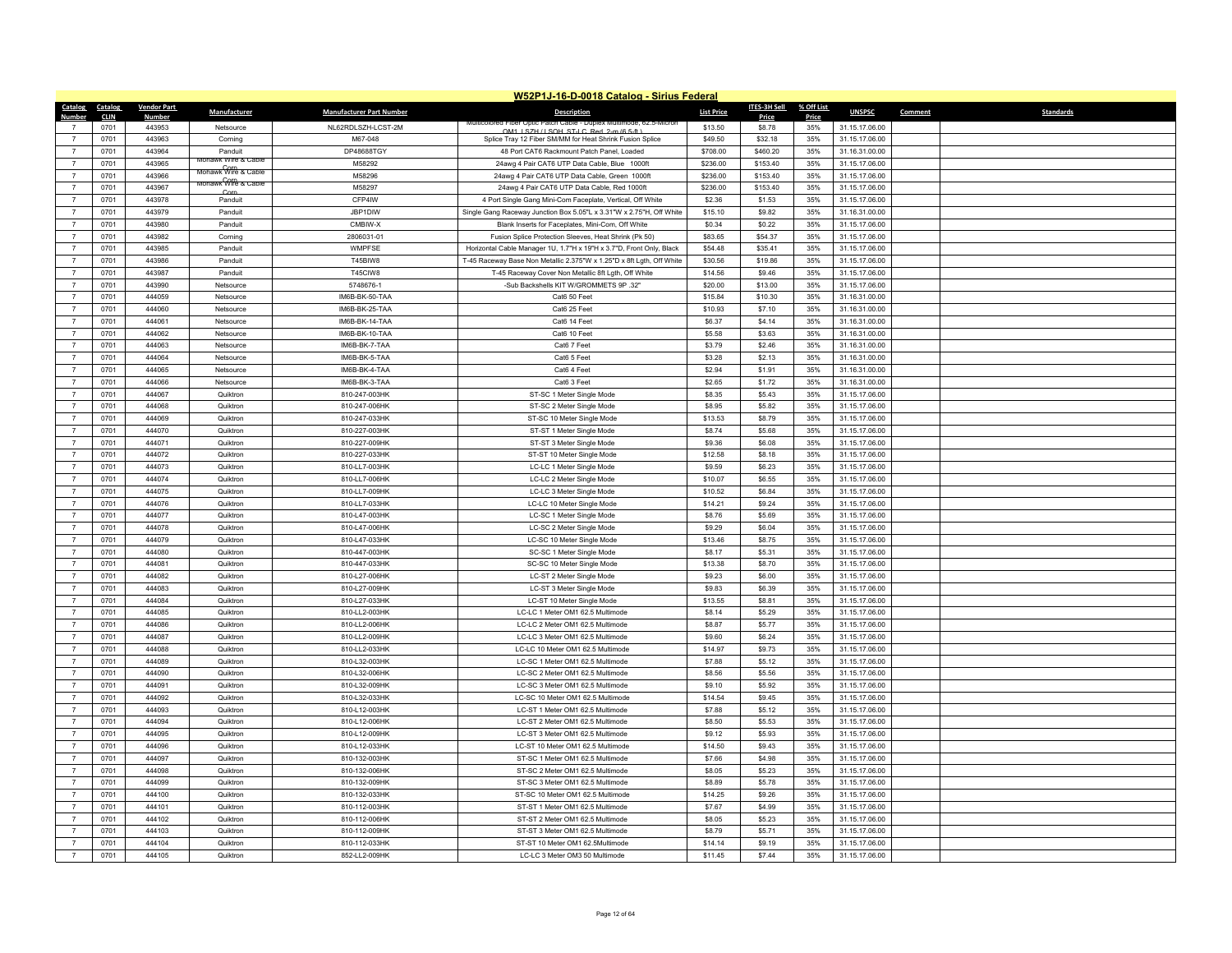| W52P1J-16-D-0018 Catalog - Sirius Federal |              |                    |                                               |                                  |                                                                       |                    |                     |            |                                  |                             |
|-------------------------------------------|--------------|--------------------|-----------------------------------------------|----------------------------------|-----------------------------------------------------------------------|--------------------|---------------------|------------|----------------------------------|-----------------------------|
| Catalog                                   | Catalog      | <b>Vendor Part</b> | Manufacturer                                  | <b>Manufacturer Part Number</b>  | <b>Description</b>                                                    | <b>List Price</b>  | <b>ITES-3H Sell</b> | % Off List | <b>UNSPSC</b>                    | Comment<br><b>Standards</b> |
| Numher                                    | <b>CLIN</b>  | Numbe              |                                               |                                  |                                                                       |                    | Price               | Price      |                                  |                             |
|                                           | 0701         | 443953             | Netsource                                     | NL62RDLSZH-LCST-2M               | OM1 LSZH / LSOH ST-LC Red 2-m (6.5-ft)                                | \$13.50            | \$8.78              | 35%        | 31.15.17.06.00                   |                             |
| $\overline{7}$                            | 0701         | 443963             | Corning                                       | M67-048                          | Splice Tray 12 Fiber SM/MM for Heat Shrink Fusion Splice              | \$49.50            | \$32.18             | 35%        | 31.15.17.06.00                   |                             |
| $\overline{7}$                            | 0701         | 443964             | Panduit<br>awk Wire & Cabl                    | DP48688TGY                       | 48 Port CAT6 Rackmount Patch Panel, Loaded                            | \$708.00           | \$460.20            | 35%        | 31.16.31.00.00                   |                             |
| $\overline{7}$                            | 0701         | 443965             | Mohawk Wire & Cable                           | M58292                           | 24awg 4 Pair CAT6 UTP Data Cable, Blue 1000ft                         | \$236.00           | \$153.40            | 35%        | 31.15.17.06.00                   |                             |
| $\overline{7}$                            | 0701         | 443966             | <del>monawк<sup>00</sup>ffe &amp; Cable</del> | M58296                           | 24awg 4 Pair CAT6 UTP Data Cable, Green 1000ft                        | \$236.00           | \$153.40            | 35%        | 31.15.17.06.00                   |                             |
| $\overline{7}$                            | 0701         | 443967             | Corn                                          | M58297                           | 24awg 4 Pair CAT6 UTP Data Cable, Red 1000ft                          | \$236.00           | \$153.40            | 35%        | 31.15.17.06.00                   |                             |
| $\overline{7}$                            | 0701         | 443978             | Panduit                                       | CFP4IW                           | 4 Port Single Gang Mini-Com Faceplate, Vertical, Off White            | \$2.36             | \$1.53              | 35%        | 31.15.17.06.00                   |                             |
| $\overline{7}$                            | 0701         | 443979             | Panduit                                       | JBP1DIW                          | Single Gang Raceway Junction Box 5.05"L x 3.31"W x 2.75"H, Off White  | \$15.10            | \$9.82              | 35%        | 31.16.31.00.00                   |                             |
| $\overline{7}$                            | 0701         | 443980             | Panduit                                       | CMBIW-X                          | Blank Inserts for Faceplates, Mini-Com, Off White                     | \$0.34             | \$0.22              | 35%        | 31.15.17.06.00                   |                             |
| $\overline{7}$                            | 0701         | 443982             | Corning                                       | 2806031-01                       | Fusion Splice Protection Sleeves, Heat Shrink (Pk 50)                 | \$83.65            | \$54.37             | 35%        | 31.15.17.06.00                   |                             |
| $\overline{7}$                            | 0701         | 443985             | Panduit                                       | WMPFSE<br>T45BIW8                | Horizontal Cable Manager 1U, 1.7"H x 19"H x 3.7"D, Front Only, Black  | \$54.48            | \$35.41             | 35%<br>35% | 31.15.17.06.00                   |                             |
| $\overline{7}$<br>$\overline{7}$          | 0701<br>0701 | 443986<br>443987   | Panduit                                       | T45CIW8                          | T-45 Raceway Base Non Metallic 2.375"W x 1.25"D x 8ft Lgth, Off White | \$30.56<br>\$14.56 | \$19.86<br>\$9.46   | 35%        | 31.15.17.06.00                   |                             |
| $\overline{7}$                            |              | 443990             | Panduit                                       | 5748676-1                        | T-45 Raceway Cover Non Metallic 8ft Lgth, Off White                   |                    |                     | 35%        | 31.15.17.06.00                   |                             |
|                                           | 0701         |                    | Netsource                                     |                                  | -Sub Backshells KIT W/GROMMETS 9P .32"                                | \$20.00            | \$13.00             |            | 31.15.17.06.00                   |                             |
| $\overline{7}$<br>$\overline{7}$          | 0701<br>0701 | 444059<br>444060   | Netsource                                     | IM6B-BK-50-TAA                   | Cat6 50 Feet                                                          | \$15.84            | \$10.30<br>\$7.10   | 35%        | 31.16.31.00.00                   |                             |
| $\overline{7}$                            | 0701         | 444061             | Netsource<br>Netsource                        | IM6B-BK-25-TAA<br>IM6B-BK-14-TAA | Cat6 25 Feet<br>Cat6 14 Fee                                           | \$10.93<br>\$6.37  | \$4.14              | 35%<br>35% | 31.16.31.00.00<br>31.16.31.00.00 |                             |
| $\overline{7}$                            | 0701         | 444062             | Netsource                                     | IM6B-BK-10-TAA                   | Cat6 10 Feet                                                          | \$5.58             | \$3.63              | 35%        | 31.16.31.00.00                   |                             |
| $\overline{7}$                            | 0701         | 444063             | Netsource                                     | IM6B-BK-7-TAA                    | Cat6 7 Feet                                                           | \$3.79             | \$2.46              | 35%        | 31.16.31.00.00                   |                             |
| $\overline{7}$                            | 0701         | 444064             | Netsource                                     | IM6B-BK-5-TAA                    | Cat6 5 Feet                                                           | \$3.28             | \$2.13              | 35%        | 31.16.31.00.00                   |                             |
| $\overline{7}$                            | 0701         | 444065             | Netsource                                     | IM6B-BK-4-TAA                    | Cat6 4 Feet                                                           | \$2.94             | \$1.91              | 35%        | 31.16.31.00.00                   |                             |
| $\overline{7}$                            | 0701         | 444066             | Netsource                                     | IM6B-BK-3-TAA                    | Cat6 3 Feet                                                           | \$2.65             | \$1.72              | 35%        | 31.16.31.00.00                   |                             |
| $\overline{7}$                            | 0701         | 444067             | Quiktron                                      | 810-247-003HK                    | ST-SC 1 Meter Single Mode                                             | \$8.35             | \$5.43              | 35%        | 31.15.17.06.00                   |                             |
| $\overline{7}$                            | 0701         | 444068             | Quiktron                                      | 810-247-006HK                    | ST-SC 2 Meter Single Mode                                             | \$8.95             | \$5.82              | 35%        | 31.15.17.06.00                   |                             |
| $\overline{7}$                            | 0701         | 444069             | Quiktron                                      | 810-247-033HK                    | ST-SC 10 Meter Single Mode                                            | \$13.53            | \$8.79              | 35%        | 31.15.17.06.00                   |                             |
| $\overline{7}$                            | 0701         | 444070             | Quiktron                                      | 810-227-003HK                    | ST-ST 1 Meter Single Mode                                             | \$8.74             | \$5.68              | 35%        | 31.15.17.06.00                   |                             |
| $\overline{7}$                            | 0701         | 444071             | Quiktron                                      | 810-227-009HK                    | ST-ST 3 Meter Single Mode                                             | \$9.36             | \$6.08              | 35%        | 31.15.17.06.00                   |                             |
| $\overline{7}$                            | 0701         | 444072             | Quiktron                                      | 810-227-033HK                    | ST-ST 10 Meter Single Mode                                            | \$12.58            | \$8.18              | 35%        | 31.15.17.06.00                   |                             |
| $\overline{7}$                            | 0701         | 444073             | Quiktron                                      | 810-LL7-003HK                    | LC-LC 1 Meter Single Mode                                             | \$9.59             | \$6.23              | 35%        | 31.15.17.06.00                   |                             |
| $\overline{7}$                            | 0701         | 444074             | Quiktron                                      | 810-LL7-006HK                    | LC-LC 2 Meter Single Mode                                             | \$10.07            | \$6.55              | 35%        | 31.15.17.06.00                   |                             |
| $\overline{7}$                            | 0701         | 444075             | Quiktron                                      | 810-LL7-009HK                    | LC-LC 3 Meter Single Mode                                             | \$10.52            | \$6.84              | 35%        | 31.15.17.06.00                   |                             |
| $\overline{7}$                            | 0701         | 444076             | Quiktron                                      | 810-LL7-033HK                    | LC-LC 10 Meter Single Mode                                            | \$14.21            | \$9.24              | 35%        | 31.15.17.06.00                   |                             |
| $\overline{7}$                            | 0701         | 444077             | Quiktron                                      | 810-L47-003HK                    | LC-SC 1 Meter Single Mode                                             | \$8.76             | \$5.69              | 35%        | 31.15.17.06.00                   |                             |
| $\overline{7}$                            | 0701         | 444078             | Quiktron                                      | 810-L47-006HK                    | LC-SC 2 Meter Single Mode                                             | \$9.29             | \$6.04              | 35%        | 31.15.17.06.00                   |                             |
| $\overline{7}$                            | 0701         | 444079             | Quiktron                                      | 810-L47-033HK                    | LC-SC 10 Meter Single Mode                                            | \$13.46            | \$8.75              | 35%        | 31.15.17.06.00                   |                             |
| $\overline{7}$                            | 0701         | 444080             | Quiktron                                      | 810-447-003HK                    | SC-SC 1 Meter Single Mode                                             | \$8.17             | \$5.31              | 35%        | 31.15.17.06.00                   |                             |
| $\overline{7}$                            | 0701         | 444081             | Quiktron                                      | 810-447-033HK                    | SC-SC 10 Meter Single Mode                                            | \$13.38            | \$8.70              | 35%        | 31.15.17.06.00                   |                             |
| $\overline{7}$                            | 0701         | 444082             | Quiktron                                      | 810-L27-006HK                    | LC-ST 2 Meter Single Mode                                             | \$9.23             | \$6.00              | 35%        | 31.15.17.06.00                   |                             |
| $\overline{7}$                            | 0701         | 444083             | Quiktron                                      | 810-L27-009HK                    | LC-ST 3 Meter Single Mode                                             | \$9.83             | \$6.39              | 35%        | 31.15.17.06.00                   |                             |
| $\overline{7}$                            | 0701         | 444084             | Quiktron                                      | 810-L27-033HK                    | LC-ST 10 Meter Single Mode                                            | \$13.55            | \$8.81              | 35%        | 31.15.17.06.00                   |                             |
| $\overline{7}$                            | 0701         | 444085             | Quiktron                                      | 810-LL2-003HK                    | LC-LC 1 Meter OM1 62.5 Multimode                                      | \$8.14             | \$5.29              | 35%        | 31.15.17.06.00                   |                             |
| $\overline{7}$                            | 0701         | 444086             | Quiktron                                      | 810-LL2-006HK                    | LC-LC 2 Meter OM1 62.5 Multimode                                      | \$8.87             | \$5.77              | 35%        | 31.15.17.06.00                   |                             |
| $\overline{7}$                            | 0701         | 444087             | Quiktron                                      | 810-LL2-009HK                    | LC-LC 3 Meter OM1 62.5 Multimode                                      | \$9.60             | \$6.24              | 35%        | 31.15.17.06.00                   |                             |
| $\overline{7}$                            | 0701         | 444088             | Quiktron                                      | 810-LL2-033HK                    | LC-LC 10 Meter OM1 62.5 Multimode                                     | \$14.97            | \$9.73              | 35%        | 31.15.17.06.00                   |                             |
| $\overline{7}$                            | 0701         | 444089             | Quiktron                                      | 810-L32-003HK                    | LC-SC 1 Meter OM1 62.5 Multimode                                      | \$7.88             | \$5.12              | 35%        | 31.15.17.06.00                   |                             |
| $\overline{7}$                            | 0701         | 444090             | Quiktron                                      | 810-L32-006HK                    | LC-SC 2 Meter OM1 62.5 Multimode                                      | \$8.56             | \$5.56              | 35%        | 31.15.17.06.00                   |                             |
| $\overline{7}$                            | 0701         | 444091             | Quiktron                                      | 810-L32-009HK                    | LC-SC 3 Meter OM1 62.5 Multimode                                      | \$9.10             | \$5.92              | 35%        | 31.15.17.06.00                   |                             |
| $\overline{7}$                            | 0701         | 444092             | Quiktron                                      | 810-L32-033HK                    | LC-SC 10 Meter OM1 62.5 Multimode                                     | \$14.54            | \$9.45              | 35%        | 31.15.17.06.00                   |                             |
| $\overline{7}$                            | 0701         | 444093             | Quiktron                                      | 810-L12-003HK                    | LC-ST 1 Meter OM1 62.5 Multimode                                      | \$7.88             | \$5.12              | 35%        | 31.15.17.06.00                   |                             |
| $\overline{7}$                            | 0701         | 444094             | Quiktron                                      | 810-L12-006HK                    | LC-ST 2 Meter OM1 62.5 Multimode                                      | \$8.50             | \$5.53              | 35%        | 31.15.17.06.00                   |                             |
| $\boldsymbol{7}$                          | 0701         | 444095             | Quiktron                                      | 810-L12-009HK                    | LC-ST 3 Meter OM1 62.5 Multimode                                      | \$9.12             | \$5.93              | 35%        | 31.15.17.06.00                   |                             |
| $\overline{7}$                            | 0701         | 444096             | Quiktron                                      | 810-L12-033HK                    | LC-ST 10 Meter OM1 62.5 Multimode                                     | \$14.50            | \$9.43              | 35%        | 31.15.17.06.00                   |                             |
| $\overline{7}$                            | 0701         | 444097             | Quiktron                                      | 810-132-003HK                    | ST-SC 1 Meter OM1 62.5 Multimode                                      | \$7.66             | \$4.98              | 35%        | 31.15.17.06.00                   |                             |
| $\overline{7}$                            | 0701         | 444098             | Quiktron                                      | 810-132-006HK                    | ST-SC 2 Meter OM1 62.5 Multimode                                      | \$8.05             | \$5.23              | 35%        | 31.15.17.06.00                   |                             |
| $\overline{7}$                            | 0701         | 444099             | Quiktron                                      | 810-132-009HK                    | ST-SC 3 Meter OM1 62.5 Multimode                                      | \$8.89             | \$5.78              | 35%        | 31.15.17.06.00                   |                             |
| $\overline{7}$                            | 0701         | 444100             | Quiktron                                      | 810-132-033HK                    | ST-SC 10 Meter OM1 62.5 Multimode                                     | \$14.25            | \$9.26              | 35%        | 31.15.17.06.00                   |                             |
| $\overline{7}$                            | 0701         | 444101             | Quiktron                                      | 810-112-003HK                    | ST-ST 1 Meter OM1 62.5 Multimode                                      | \$7.67             | \$4.99              | 35%        | 31.15.17.06.00                   |                             |
|                                           | 0701         | 444102             | Quiktron                                      | 810-112-006HK                    | ST-ST 2 Meter OM1 62.5 Multimode                                      | \$8.05             | \$5.23              | 35%        | 31.15.17.06.00                   |                             |
| $\overline{7}$                            | 0701         | 444103             | Quiktron                                      | 810-112-009HK                    | ST-ST 3 Meter OM1 62.5 Multimode                                      | \$8.79             | \$5.71              | 35%        | 31.15.17.06.00                   |                             |
|                                           | 0701         | 444104             | Quiktron                                      | 810-112-033HK                    | ST-ST 10 Meter OM1 62.5Multimode                                      | \$14.14            | \$9.19              | 35%        | 31.15.17.06.00                   |                             |
| $\overline{7}$                            | 0701         | 444105             | Quiktron                                      | 852-LL2-009HK                    | LC-LC 3 Meter OM3 50 Multimode                                        | \$11.45            | \$7.44              | 35%        | 31.15.17.06.00                   |                             |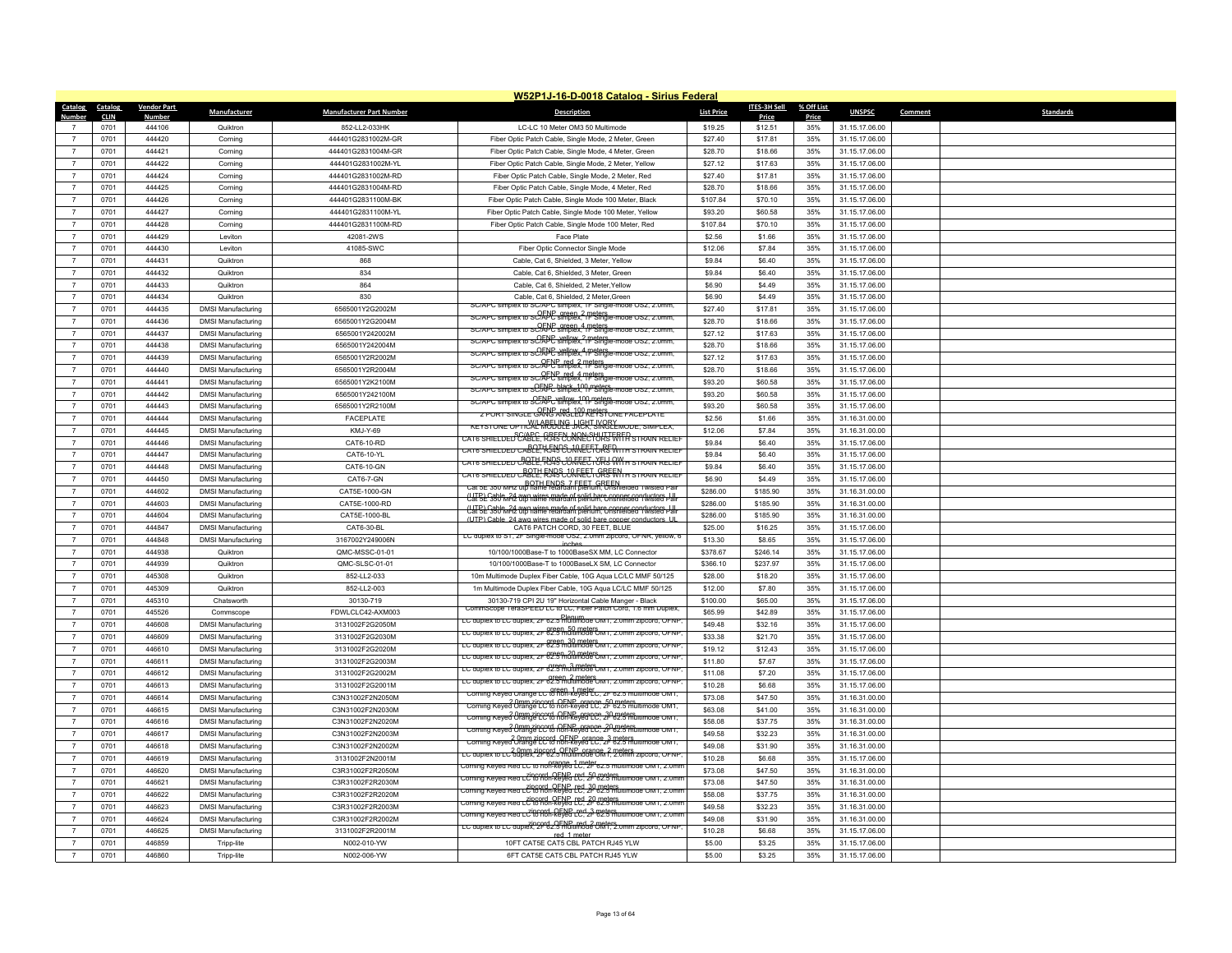|                | W52P1J-16-D-0018 Catalog - Sirius Federal |                    |                           |                                 |                                                                                                                       |                   |                     |            |                |                             |  |
|----------------|-------------------------------------------|--------------------|---------------------------|---------------------------------|-----------------------------------------------------------------------------------------------------------------------|-------------------|---------------------|------------|----------------|-----------------------------|--|
| Catalog        | Catalog                                   | <b>Vendor Part</b> | Manufacturer              | <b>Manufacturer Part Number</b> | <b>Description</b>                                                                                                    | <b>List Price</b> | <b>ITES-3H Sell</b> | % Off List | <b>UNSPSC</b>  | Comment<br><b>Standards</b> |  |
| Numher         | <b>CLIN</b>                               | Numbe              |                           |                                 |                                                                                                                       |                   | Price               | Price      |                |                             |  |
|                | 0701                                      | 444106             | Quiktron                  | 852-LL2-033HK                   | LC-LC 10 Meter OM3 50 Multimode                                                                                       | \$19.25           | \$12.51             | 35%        | 31.15.17.06.00 |                             |  |
| $\overline{7}$ | 0701                                      | 444420             | Corning                   | 444401G2831002M-GR              | Fiber Optic Patch Cable, Single Mode, 2 Meter, Green                                                                  | \$27.40           | \$17.81             | 35%        | 31.15.17.06.00 |                             |  |
| $\overline{7}$ | 0701                                      | 444421             | Corning                   | 444401G2831004M-GR              | Fiber Optic Patch Cable, Single Mode, 4 Meter, Green                                                                  | \$28.70           | \$18.66             | 35%        | 31.15.17.06.00 |                             |  |
| $\overline{7}$ | 0701                                      | 444422             | Corning                   | 444401G2831002M-YL              | Fiber Optic Patch Cable, Single Mode, 2 Meter, Yellow                                                                 | \$27.12           | \$17.63             | 35%        | 31.15.17.06.00 |                             |  |
| $\overline{7}$ | 0701                                      | 444424             | Corning                   | 444401G2831002M-RD              | Fiber Optic Patch Cable, Single Mode, 2 Meter, Red                                                                    | \$27.40           | \$17.81             | 35%        | 31.15.17.06.00 |                             |  |
| $\overline{7}$ | 0701                                      | 444425             | Corning                   | 444401G2831004M-RD              | Fiber Optic Patch Cable, Single Mode, 4 Meter, Red                                                                    | \$28.70           | \$18.66             | 35%        | 31.15.17.06.00 |                             |  |
| $\overline{7}$ | 0701                                      | 444426             | Corning                   | 444401G2831100M-BK              | Fiber Optic Patch Cable, Single Mode 100 Meter, Black                                                                 | \$107.84          | \$70.10             | 35%        | 31.15.17.06.00 |                             |  |
| $\overline{7}$ | 0701                                      | 444427             | Corning                   | 444401G2831100M-YL              | Fiber Optic Patch Cable, Single Mode 100 Meter, Yellow                                                                | \$93.20           | \$60.58             | 35%        | 31.15.17.06.00 |                             |  |
| $\overline{7}$ | 0701                                      | 444428             | Corning                   | 444401G2831100M-RD              | Fiber Optic Patch Cable, Single Mode 100 Meter, Red                                                                   | \$107.84          | \$70.10             | 35%        | 31.15.17.06.00 |                             |  |
| $\overline{7}$ | 0701                                      | 444429             | I eviton                  | 42081-2WS                       | Face Plate                                                                                                            | \$2.56            | \$1.66              | 35%        | 31.15.17.06.00 |                             |  |
| $\overline{7}$ | 0701                                      | 444430             | Leviton                   | 41085-SWC                       | Fiber Optic Connector Single Mode                                                                                     | \$12.06           | \$7.84              | 35%        | 31.15.17.06.00 |                             |  |
| $\overline{7}$ | 0701                                      | 444431             | Quiktron                  | 868                             | Cable, Cat 6, Shielded, 3 Meter, Yellow                                                                               | \$9.84            | \$6.40              | 35%        | 31.15.17.06.00 |                             |  |
| $\overline{7}$ | 0701                                      | 444432             | Quiktron                  | 834                             | Cable, Cat 6, Shielded, 3 Meter, Green                                                                                | \$9.84            | \$6,40              | 35%        | 31.15.17.06.00 |                             |  |
| $\overline{7}$ | 0701                                      | 444433             | Quiktron                  | 864                             | Cable, Cat 6, Shielded, 2 Meter, Yellow                                                                               | \$6.90            | \$4.49              | 35%        | 31.15.17.06.00 |                             |  |
| $\overline{7}$ | 0701                                      | 444434             | Quiktron                  | 830                             | Cable, Cat 6, Shielded, 2 Meter, Green<br>DIEX TO SU/APU SIMDIEX. TH SINGIE-MODE USZ. Z.UMM                           | \$6.90            | \$4.49              | 35%        | 31.15.17.06.00 |                             |  |
| $\overline{7}$ | 0701                                      | 444435             | <b>DMSI Manufacturing</b> | 6565001Y2G2002M                 | SC/APC simplex to SC/APC simplex, 1F Single-mode OS2, 2.0mm,                                                          | \$27.40           | \$17.81             | 35%        | 31.15.17.06.00 |                             |  |
| $\overline{7}$ | 0701                                      | 444436             | <b>DMSI Manufacturing</b> | 6565001Y2G2004M                 | $SCIAPC$ simplex to $SCIAPC$ simplex 1F $Sindie$ -mode $OSZ$ $Z$ Umm                                                  | \$28.70           | \$18.66             | 35%        | 31.15.17.06.00 |                             |  |
| $\overline{7}$ | 0701                                      | 444437             | <b>DMSI Manufacturing</b> | 6565001Y242002M                 | SC/APC simplex to SC/APC simplex, 1F Single-mode OS2, 2.0mm,                                                          | \$27.12           | \$17.63             | 35%        | 31.15.17.06.00 |                             |  |
| $\overline{7}$ | 0701                                      | 444438             | <b>DMSI Manufacturing</b> | 6565001Y242004M                 | Diex to SC/APC simplex, 1F Single-mode US2, 2.0mm                                                                     | \$28.70           | \$18.66             | 35%        | 31.15.17.06.00 |                             |  |
| $\overline{7}$ | 0701                                      | 444439             | <b>DMSI Manufacturing</b> | 6565001Y2R2002M                 | sc/APc simplex to sc/AFLP simplex. The Single-mode OS2, 2.0mm.                                                        | \$27.12           | \$17.63             | 35%        | 31.15.17.06.00 |                             |  |
| $\overline{7}$ | 0701                                      | 444440             | <b>DMSI Manufacturing</b> | 6565001Y2R2004M                 | SC/APC simplex to SC/AFC simplex. 1F Single-mode OS2, 2.0mm.                                                          | \$28.70           | \$18.66             | 35%        | 31.15.17.06.00 |                             |  |
| $\overline{7}$ | 0701                                      | 444441             | <b>DMSI Manufacturing</b> | 6565001Y2K2100M                 | SC/APC simplex to SCFAPC black_100 meters.<br>SC/APC simplex to SCFAPC simplex. 1F Single-mode OS2, 2.0mm.            | \$93.20           | \$60.58             | 35%        | 31.15.17.06.00 |                             |  |
| $\overline{7}$ | 0701                                      | 444442             | <b>DMSI Manufacturing</b> | 6565001Y242100M                 | SC/APC simplex to SC/APC simplex 1- Single-mode OS2, 2.0mm                                                            | \$93.20           | \$60.58             | 35%        | 31.15.17.06.00 |                             |  |
| $\overline{7}$ | 0701                                      | 444443             | <b>DMSI Manufacturing</b> | 6565001Y2R2100M                 | <b>2 PORT SINGLE GANG ARG: 100 REPSI ONE FACEPLATE</b>                                                                | \$93.20           | \$60.58             | 35%        | 31.15.17.06.00 |                             |  |
| $\overline{7}$ | 0701                                      | 444444             | <b>DMSI Manufacturing</b> | <b>FACEPLATE</b>                | <u>KEYSTONE OPTICAL MOBULE JACH, SKRGLEMODE, SIMPLEX,</u>                                                             | \$2.56            | \$1.66              | 35%        | 31.16.31.00.00 |                             |  |
| $\overline{7}$ | 0701                                      | 444445             | <b>DMSI Manufacturing</b> | KMJ-Y-69                        | CAT6 SHIELDED <sup>S</sup> CABCE. R545FCONRECTORS FRIFA STRAIN RELIEF                                                 | \$12.06           | \$7.84              | 35%        | 31.16.31.00.00 |                             |  |
| $\overline{7}$ | 0701                                      | 444446             | <b>DMSI Manufacturing</b> | CAT6-10-RD                      | cats shielded caBCE. R5AP&AREEF&R5 With strain relief                                                                 | \$9.84            | \$6.40              | 35%        | 31.15.17.06.00 |                             |  |
| $\overline{7}$ | 0701                                      | 444447             | <b>DMSI Manufacturing</b> | CAT6-10-YL                      | cats shielded CAQILL FNQS CONNECTYRY WY h strain relief                                                               | \$9.84            | \$6.40              | 35%        | 31.15.17.06.00 |                             |  |
| $\overline{7}$ | 0701                                      | 444448             | <b>DMSI Manufacturing</b> | CAT6-10-GN                      | CATE SHIELDED CABLE, FJ45 CONNECT ORS WITH STRAIN RELIEF                                                              | \$9.84            | \$6.40              | 35%        | 31.15.17.06.00 |                             |  |
| $\overline{7}$ | 0701                                      | 444450             | <b>DMSI Manufacturing</b> | CAT6-7-GN                       | Cat 5E 350 MHz uto flame relargant blenum. Unshielded I wisted Pair                                                   | \$6.90            | \$4.49              | 35%        | 31.15.17.06.00 |                             |  |
| $\overline{7}$ | 0701                                      | 444602             | <b>DMSI Manufacturing</b> | CAT5E-1000-GN                   | UTEL S50 m24 awg wires made of solid hare conner conductors J II                                                      | \$286.00          | \$185.90            | 35%        | 31.16.31.00.00 |                             |  |
| $\overline{7}$ | 0701                                      | 444603             | <b>DMSI Manufacturing</b> | CAT5E-1000-RD                   | (LIFE) Cable, 24 awg wires made of solid bare copper conductors Ull                                                   | \$286.00          | \$185.90            | 35%        | 31.16.31.00.00 |                             |  |
| $\overline{7}$ | 0701                                      | 444604             | <b>DMSI Manufacturing</b> | CAT5E-1000-BL                   | (UTP) Cable 24 awg wires made of solid bare copper conductors UI                                                      | \$286.00          | \$185.90            | 35%        | 31.16.31.00.00 |                             |  |
| $\overline{7}$ | 0701                                      | 444847             | <b>DMSI Manufacturing</b> | CAT6-30-BL                      | CAT6 PATCH CORD, 30 FEET, BLUE<br>LC duplex to ST, 2F Single-mode OS2, 2.0mm zipcord, OFNR, yellow, 6                 | \$25.00           | \$16.25             | 35%        | 31.15.17.06.00 |                             |  |
| $\overline{7}$ | 0701                                      | 444848             | <b>DMSI Manufacturing</b> | 3167002Y249006N                 | inches                                                                                                                | \$13.30           | \$8.65              | 35%        | 31.15.17.06.00 |                             |  |
| $\overline{7}$ | 0701                                      | 444938             | Quiktron                  | QMC-MSSC-01-01                  | 10/100/1000Base-T to 1000BaseSX MM, LC Connector                                                                      | \$378.67          | \$246.14            | 35%        | 31.15.17.06.00 |                             |  |
| $\overline{7}$ | 0701                                      | 444939             | Quiktron                  | QMC-SLSC-01-01                  | 10/100/1000Base-T to 1000BaseLX SM, LC Connector                                                                      | \$366.10          | \$237.97            | 35%        | 31.15.17.06.00 |                             |  |
| $\overline{7}$ | 0701                                      | 445308             | Quiktron                  | 852-LL2-033                     | 10m Multimode Duplex Fiber Cable, 10G Aqua LC/LC MMF 50/125                                                           | \$28.00           | \$18.20             | 35%        | 31.15.17.06.00 |                             |  |
| $\overline{7}$ | 0701                                      | 445309             | Quiktron                  | 852-LL2-003                     | 1m Multimode Duplex Fiber Cable, 10G Aqua LC/LC MMF 50/125                                                            | \$12.00           | \$7.80              | 35%        | 31.15.17.06.00 |                             |  |
| $\overline{7}$ | 0701                                      | 445310             | Chatsworth                | 30130-719                       | 30130-719 CPI 2U 19" Horizontal Cable Manger - Black<br>CommScope TeraSPEED LC to LC. Fiber Patch Cord. 1.6 mm Duplex | \$100.00          | \$65.00             | 35%        | 31.15.17.06.00 |                             |  |
| $\overline{7}$ | 0701                                      | 445526             | Commscope                 | FDWLCLC42-AXM003                | EC duplex to EC duplex, 2F 62.5 multimode OM1, 2.0mm zipcord, OFNP                                                    | \$65.99           | \$42.89             | 35%        | 31.15.17.06.00 |                             |  |
| $\overline{7}$ | 0701                                      | 446608             | <b>DMSI Manufacturing</b> | 3131002F2G2050M                 | LC duplex to LC duplex, 2F 62.5 multimode OM1, 2.0mm zipcord, OFNF                                                    | \$49.48           | \$32.16             | 35%        | 31.15.17.06.00 |                             |  |
| $\overline{7}$ | 0701                                      | 446609             | <b>DMSI Manufacturing</b> | 3131002F2G2030M                 | LC duplex to LC duplex, 2F 62.5 multimode OM1, 2.0mm zipcord, OFNF                                                    | \$33.38           | \$21.70             | 35%        | 31.15.17.06.00 |                             |  |
| $\overline{7}$ | 0701                                      | 446610             | <b>DMSI Manufacturing</b> | 3131002F2G2020M                 | LC duplex to LC duplex. 2F 82.5 multimode OM1. 2.0mm zipcord. OFNF                                                    | \$19.12           | \$12.43             | 35%        | 31.15.17.06.00 |                             |  |
| $\overline{7}$ | 0701                                      | 446611             | <b>DMSI Manufacturing</b> | 3131002F2G2003M                 | LC duplex to LC duplex, 2F 62.5 multimode OM1, 2.0mm zipcord, OFNF                                                    | \$11.80           | \$7.67              | 35%        | 31.15.17.06.00 |                             |  |
| $\overline{7}$ | 0701                                      | 446612             | <b>DMSI Manufacturing</b> | 3131002F2G2002M                 | LC duplex to LC duplex, 2F 62.5 multimode OM1, 2.0mm zipcord, OFNF                                                    | \$11.08           | \$7.20              | 35%        | 31.15.17.06.00 |                             |  |
| $\overline{7}$ | 0701                                      | 446613             | <b>DMSI Manufacturing</b> | 3131002F2G2001M                 | Corning Keyed Orange LC to hon-keyed LC, 2F 62.5 multimode OM1.                                                       | \$10.28           | \$6.68              | 35%        | 31.15.17.06.00 |                             |  |
| $\overline{7}$ | 0701                                      | 446614             | <b>DMSI Manufacturing</b> | C3N31002F2N2050M                | Corning Keved Orange LC to hon-keved LC, 2F 62.5 multimode OM1.                                                       | \$73.08           | \$47.50             | 35%        | 31.16.31.00.00 |                             |  |
| $\overline{7}$ | 0701                                      | 446615             | <b>DMSI Manufacturing</b> | C3N31002F2N2030M                | 2.0mm zincord, OENP, orange, 30 meters<br>Corning Keyed Orange LC to non-keyed LC, 21-62.5 multimode OM1.             | \$63.08           | \$41.00             | 35%        | 31.16.31.00.00 |                             |  |
| $\overline{7}$ | 0701                                      | 446616             | <b>DMSI Manufacturing</b> | C3N31002F2N2020M                | Corning Keved Urange LC to hon-keved LC. 2F 62.5 multimode OM1.                                                       | \$58.08           | \$37.75             | 35%        | 31.16.31.00.00 |                             |  |
| $\overline{7}$ | 0701                                      | 446617             | <b>DMSI Manufacturing</b> | C3N31002F2N2003M                | Corning Keyed Orange LC to non-keyed LC 22-5 Beters                                                                   | \$49.58           | \$32.23             | 35%        | 31.16.31.00.00 |                             |  |
| $\overline{7}$ | 0701                                      | 446618             | <b>DMSI Manufacturing</b> | C3N31002F2N2002M                | EC duplex to EC auplex, 2F 62.5 multimode OM 1, 2.0mm zipcord, OFNF                                                   | \$49.08           | \$31.90             | 35%        | 31.16.31.00.00 |                             |  |
| $\overline{7}$ | 0701                                      | 446619             | <b>DMSI Manufacturing</b> | 3131002F2N2001M                 | Corning Keyed Red LC to non-keyed LC, 2F 62.5 multimode OM1, 2.0mn                                                    | \$10.28           | \$6.68              | 35%        | 31.15.17.06.00 |                             |  |
| $\overline{7}$ | 0701                                      | 446620             | <b>DMSI Manufacturing</b> | C3R31002F2R2050M                | Corning Keved Red LC to non-keved LC, 2P 62.5 multimode OM1, 2.0mm                                                    | \$73.08           | \$47.50             | 35%        | 31.16.31.00.00 |                             |  |
| $\overline{7}$ | 0701                                      | 446621             | <b>DMSI Manufacturing</b> | C3R31002F2R2030M                | oming Keyed Red LC to non-keyed LC, 2P 62.5 multimode OM1                                                             | \$73.08           | \$47.50             | 35%        | 31.16.31.00.00 |                             |  |
| $\overline{7}$ | 0701                                      | 446622             | <b>DMSI Manufacturing</b> | C3R31002F2R2020M                | .<br>Coming Keyed Red LC to non-keyed LC, 2F 62.5 multimode OM1, 2.0mi                                                | \$58.08           | \$37.75             | 35%        | 31.16.31.00.00 |                             |  |
|                | 0701                                      | 446623             | <b>DMSI Manufacturing</b> | C3R31002F2R2003M                | Corning Keyed Red LC <sup>zi</sup> to Roh-Reyed LC, 2 <del>1</del> B2.5 multimode OM1, 2.0mn                          | \$49.58           | \$32.23             | 35%        | 31.16.31.00.00 |                             |  |
| $\overline{7}$ | 0701                                      | 446624             | <b>DMSI Manufacturing</b> | C3R31002F2R2002M                | LC duplex to LC duplex, 2P 62.5 multimode OM1, 2.0mm zipcord, OFNP                                                    | \$49.08           | \$31.90             | 35%        | 31.16.31.00.00 |                             |  |
| $\overline{7}$ | 0701                                      | 446625             | <b>DMSI Manufacturing</b> | 3131002F2R2001M                 | red 1 meter                                                                                                           | \$10.28           | \$6.68              | 35%        | 31.15.17.06.00 |                             |  |
| $\overline{7}$ | 0701                                      | 446859             | Tripp-lite                | N002-010-YW                     | 10FT CAT5E CAT5 CBL PATCH RJ45 YLW                                                                                    | \$5.00            | \$3.25              | 35%        | 31.15.17.06.00 |                             |  |
| $\overline{7}$ | 0701                                      | 446860             | Tripp-lite                | N002-006-YW                     | 6FT CAT5E CAT5 CBL PATCH RJ45 YLW                                                                                     | \$5.00            | \$3.25              | 35%        | 31.15.17.06.00 |                             |  |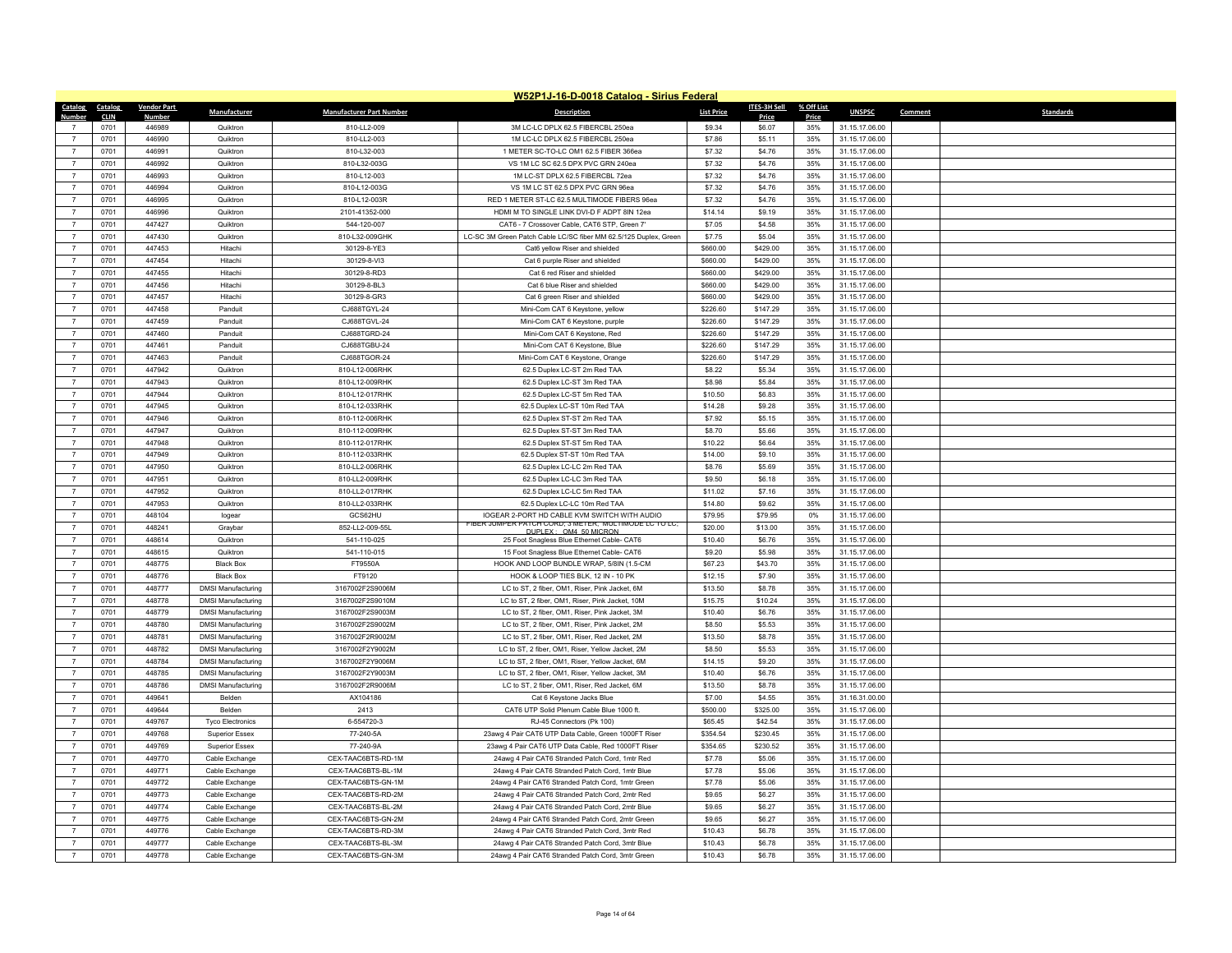|                                  |              |                    |                                                        |                                    | W52P1J-16-D-0018 Catalog - Sirius Federal                                                            |                    |                     |            |                                  |                             |
|----------------------------------|--------------|--------------------|--------------------------------------------------------|------------------------------------|------------------------------------------------------------------------------------------------------|--------------------|---------------------|------------|----------------------------------|-----------------------------|
| Catalog Catalog                  |              | <b>Vendor Part</b> | Manufacturer                                           | <b>Manufacturer Part Number</b>    | <b>Description</b>                                                                                   | <b>List Price</b>  | ITES-3H Sell        | % Off List | <b>UNSPSC</b>                    | <b>Standards</b><br>Comment |
| Number                           | <b>CLIN</b>  | Number             |                                                        |                                    |                                                                                                      |                    | Price               | Price      |                                  |                             |
| $\overline{7}$                   | 0701         | 446989             | Quiktron                                               | 810-LL2-009                        | 3M LC-LC DPLX 62.5 FIBERCBL 250ea                                                                    | \$9.34             | \$6.07              | 35%        | 31.15.17.06.00                   |                             |
| $\overline{7}$                   | 0701         | 446990<br>446991   | Quiktron<br>Quiktron                                   | 810-LL2-003                        | 1M LC-LC DPLX 62.5 FIBERCBL 250ea                                                                    | \$7.86             | \$5.11              | 35%        | 31.15.17.06.00                   |                             |
|                                  | 0701         |                    |                                                        | 810-L32-003                        | 1 METER SC-TO-LC OM1 62.5 FIBER 366ea                                                                | \$7.32             | \$4.76              | 35%        | 31.15.17.06.00                   |                             |
| $\overline{7}$                   | 0701         | 446992             | Quiktron                                               | 810-L32-003G                       | VS 1M LC SC 62.5 DPX PVC GRN 240ea                                                                   | \$7.32             | \$4.76              | 35%        | 31.15.17.06.00                   |                             |
| $\overline{7}$                   | 0701         | 446993             | Quiktron                                               | 810-L12-003                        | 1M LC-ST DPLX 62.5 FIBERCBL 72ea                                                                     | \$7.32             | \$4.76              | 35%        | 31.15.17.06.00                   |                             |
| $\overline{7}$                   | 0701         | 446994             | Quiktron                                               | 810-L12-003G                       | VS 1M LC ST 62.5 DPX PVC GRN 96ea                                                                    | \$7.32             | \$4.76              | 35%        | 31.15.17.06.00                   |                             |
| $\overline{7}$<br>$\overline{7}$ | 0701         | 446995             | Quiktron                                               | 810-L12-003R                       | RED 1 METER ST-LC 62.5 MULTIMODE FIBERS 96ea                                                         | \$7.32             | \$4.76              | 35%        | 31.15.17.06.00                   |                             |
|                                  | 0701         | 446996             | Quiktron                                               | 2101-41352-000                     | HDMI M TO SINGLE LINK DVI-D F ADPT 8IN 12ea                                                          | \$14.14            | \$9.19              | 35%        | 31.15.17.06.00                   |                             |
| $\overline{7}$                   | 0701         | 447427             | Quiktron                                               | 544-120-007                        | CAT6 - 7 Crossover Cable. CAT6 STP. Green 7'                                                         | \$7.05             | \$4.58              | 35%        | 31.15.17.06.00                   |                             |
| $\overline{7}$                   | 0701         | 447430             | Quiktron                                               | 810-L32-009GHK                     | LC-SC 3M Green Patch Cable LC/SC fiber MM 62.5/125 Duplex, Green                                     | \$7.75             | \$5.04              | 35%        | 31.15.17.06.00                   |                             |
| $\overline{7}$                   | 0701         | 447453             | Hitachi                                                | 30129-8-YE3                        | Cat6 yellow Riser and shielded                                                                       | \$660.00           | \$429.00            | 35%        | 31.15.17.06.00                   |                             |
| $\overline{7}$                   | 0701         | 447454             | Hitachi                                                | 30129-8-VI3                        | Cat 6 purple Riser and shielded                                                                      | \$660.00           | \$429.00            | 35%        | 31.15.17.06.00                   |                             |
| $\overline{7}$                   | 0701         | 447455             | Hitachi                                                | 30129-8-RD3                        | Cat 6 red Riser and shielded                                                                         | \$660.00           | \$429.00            | 35%        | 31.15.17.06.00                   |                             |
| $\overline{7}$                   | 0701         | 447456             | Hitachi                                                | 30129-8-BL3                        | Cat 6 blue Riser and shielded                                                                        | \$660.00           | \$429.00            | 35%        | 31.15.17.06.00                   |                             |
| $\overline{7}$                   | 0701         | 447457             | Hitachi                                                | 30129-8-GR3                        | Cat 6 green Riser and shielded                                                                       | \$660.00           | \$429.00            | 35%        | 31.15.17.06.00                   |                             |
| $\overline{7}$                   | 0701         | 447458             | Panduit                                                | CJ688TGYL-24                       | Mini-Com CAT 6 Keystone, yellow                                                                      | \$226.60           | \$147.29            | 35%        | 31.15.17.06.00                   |                             |
| $\overline{7}$                   | 0701         | 447459             | Panduit                                                | CJ688TGVL-24                       | Mini-Com CAT 6 Keystone, purple                                                                      | \$226.60           | \$147.29            | 35%        | 31.15.17.06.00                   |                             |
| $\overline{7}$                   | 0701         | 447460             | Panduit                                                | CJ688TGRD-24                       | Mini-Com CAT 6 Keystone, Red                                                                         | \$226.60           | \$147.29            | 35%        | 31.15.17.06.00                   |                             |
| $\overline{7}$                   | 0701         | 447461             | Panduit                                                | CJ688TGBU-24                       | Mini-Com CAT 6 Keystone, Blue                                                                        | \$226.60           | \$147.29            | 35%        | 31.15.17.06.00                   |                             |
| $\overline{7}$                   | 0701         | 447463             | Panduit                                                | CJ688TGOR-24                       | Mini-Com CAT 6 Keystone, Orange                                                                      | \$226.60           | \$147.29            | 35%        | 31.15.17.06.00                   |                             |
| $\boldsymbol{7}$                 | 0701         | 447942             | Quiktron                                               | 810-L12-006RHK                     | 62.5 Duplex LC-ST 2m Red TAA                                                                         | \$8.22             | \$5.34              | 35%        | 31.15.17.06.00                   |                             |
| $\overline{7}$                   | 0701         | 447943             | Quiktron                                               | 810-L12-009RHK                     | 62.5 Duplex LC-ST 3m Red TAA                                                                         | \$8.98             | \$5.84              | 35%        | 31.15.17.06.00                   |                             |
| $\overline{7}$                   | 0701         | 447944             | Quiktron                                               | 810-L12-017RHK                     | 62.5 Duplex LC-ST 5m Red TAA                                                                         | \$10.50            | \$6.83              | 35%        | 31.15.17.06.00                   |                             |
| $\overline{7}$                   | 0701         | 447945             | Quiktron                                               | 810-L12-033RHK                     | 62.5 Duplex LC-ST 10m Red TAA                                                                        | \$14.28            | \$9.28              | 35%        | 31.15.17.06.00                   |                             |
| $\overline{7}$                   | 0701         | 447946             | Quiktron                                               | 810-112-006RHK                     | 62.5 Duplex ST-ST 2m Red TAA                                                                         | \$7.92             | \$5.15              | 35%        | 31.15.17.06.00                   |                             |
| $\overline{7}$                   | 0701         | 447947             | Quiktron                                               | 810-112-009RHK                     | 62.5 Duplex ST-ST 3m Red TAA                                                                         | \$8,70             | \$5.66              | 35%        | 31.15.17.06.00                   |                             |
| $\overline{7}$                   | 0701         | 447948             | Quiktron                                               | 810-112-017RHK                     | 62.5 Duplex ST-ST 5m Red TAA                                                                         | \$10.22            | \$6.64              | 35%        | 31.15.17.06.00                   |                             |
| $\overline{7}$                   | 0701         | 447949             | Quiktron                                               | 810-112-033RHK                     | 62.5 Duplex ST-ST 10m Red TAA                                                                        | \$14.00            | \$9.10              | 35%        | 31.15.17.06.00                   |                             |
| $\overline{7}$                   | 0701         | 447950             | Quiktron                                               | 810-LL2-006RHK                     | 62.5 Duplex LC-LC 2m Red TAA                                                                         | \$8.76             | \$5.69              | 35%        | 31.15.17.06.00                   |                             |
| $\overline{7}$                   | 0701         | 447951             | Quiktron                                               | 810-LL2-009RHK                     | 62.5 Duplex LC-LC 3m Red TAA                                                                         | \$9.50             | \$6.18              | 35%        | 31.15.17.06.00                   |                             |
| $\overline{7}$                   | 0701         | 447952             | Quiktron                                               | 810-LL2-017RHK                     | 62.5 Duplex LC-LC 5m Red TAA                                                                         | \$11.02            | \$7.16              | 35%        | 31.15.17.06.00                   |                             |
| $\overline{7}$                   | 0701         | 447953             | Quiktron                                               | 810-LL2-033RHK                     | 62.5 Duplex LC-LC 10m Red TAA                                                                        | \$14.80            | \$9.62              | 35%        | 31.15.17.06.00                   |                             |
| $\overline{7}$                   | 0701         | 448104             | logear                                                 | GCS62HU                            | IOGEAR 2-PORT HD CABLE KVM SWITCH WITH AUDIO<br>FIBER JUMPER PATCH CORD: 3 METER. MULTIMODE LC TO LC | \$79.95            | \$79.95             | 0%         | 31.15.17.06.00                   |                             |
| $\overline{7}$                   | 0701         | 448241             | Graybar                                                | 852-LL2-009-55L                    | DUPLEX: OM4 50 MICRON                                                                                | \$20.00            | \$13.00             | 35%        | 31.15.17.06.00                   |                             |
| $\overline{7}$                   | 0701         | 448614             | Quiktron                                               | 541-110-025                        | 25 Foot Snagless Blue Ethernet Cable- CAT6                                                           | \$10.40            | \$6.76              | 35%        | 31.15.17.06.00                   |                             |
| $\overline{7}$<br>$\overline{7}$ | 0701         | 448615             | Quiktron                                               | 541-110-015                        | 15 Foot Snagless Blue Ethernet Cable- CAT6                                                           | \$9.20             | \$5.98              | 35%        | 31.15.17.06.00                   |                             |
|                                  | 0701         | 448775<br>448776   | <b>Black Box</b>                                       | FT9550A<br>FT9120                  | HOOK AND LOOP BUNDLE WRAP, 5/8IN (1.5-CM<br>HOOK & LOOP TIES BLK, 12 IN - 10 PK                      | \$67.23            | \$43.70             | 35%        | 31.15.17.06.00                   |                             |
| $\overline{7}$<br>$\overline{7}$ | 0701<br>0701 | 448777             | <b>Black Box</b><br><b>DMSI Manufacturing</b>          |                                    | LC to ST, 2 fiber, OM1, Riser, Pink Jacket, 6M                                                       | \$12.15<br>\$13.50 | \$7.90<br>\$8.78    | 35%<br>35% | 31.15.17.06.00                   |                             |
| $\overline{7}$                   |              | 448778             |                                                        | 3167002F2S9006M                    |                                                                                                      |                    |                     |            | 31.15.17.06.00                   |                             |
|                                  | 0701         |                    | <b>DMSI Manufacturing</b>                              | 3167002F2S9010M                    | LC to ST, 2 fiber, OM1, Riser, Pink Jacket, 10M                                                      | \$15.75            | \$10.24             | 35%        | 31.15.17.06.00                   |                             |
| $\overline{7}$<br>$\overline{7}$ | 0701<br>0701 | 448779<br>448780   | <b>DMSI Manufacturing</b><br><b>DMSI Manufacturing</b> | 3167002F2S9003M<br>3167002F2S9002M | LC to ST, 2 fiber, OM1, Riser, Pink Jacket, 3M<br>LC to ST, 2 fiber, OM1, Riser, Pink Jacket, 2M     | \$10.40<br>\$8.50  | \$6.76<br>\$5.53    | 35%<br>35% | 31.15.17.06.00<br>31.15.17.06.00 |                             |
| $\overline{7}$                   | 0701         | 448781             | <b>DMSI Manufacturing</b>                              | 3167002F2R9002M                    | LC to ST, 2 fiber, OM1, Riser, Red Jacket, 2M                                                        | \$13.50            | \$8.78              | 35%        | 31.15.17.06.00                   |                             |
| $\boldsymbol{7}$                 | 0701         | 448782             | <b>DMSI Manufacturing</b>                              | 3167002F2Y9002M                    | LC to ST, 2 fiber, OM1, Riser, Yellow Jacket, 2M                                                     | \$8.50             | \$5.53              | 35%        | 31.15.17.06.00                   |                             |
| $\overline{7}$                   | 0701         | 448784             | <b>DMSI Manufacturing</b>                              | 3167002F2Y9006M                    | LC to ST, 2 fiber, OM1, Riser, Yellow Jacket, 6M                                                     | \$14.15            | \$9.20              | 35%        | 31.15.17.06.00                   |                             |
| $\overline{7}$                   | 0701         | 448785             | <b>DMSI Manufacturing</b>                              | 3167002F2Y9003M                    | LC to ST, 2 fiber, OM1, Riser, Yellow Jacket, 3M                                                     | \$10.40            | \$6.76              | 35%        | 31.15.17.06.00                   |                             |
| $\overline{7}$                   | 0701         | 448786             | <b>DMSI Manufacturing</b>                              | 3167002F2R9006M                    | LC to ST, 2 fiber, OM1, Riser, Red Jacket, 6M                                                        | \$13.50            | \$8.78              | 35%        | 31.15.17.06.00                   |                             |
| $\overline{7}$                   | 0701         | 449641             | <b>Belden</b>                                          | AX104186                           | Cat 6 Keystone Jacks Blue                                                                            | \$7.00             | \$4.55              | 35%        | 31.16.31.00.00                   |                             |
| $\overline{7}$                   | 0701         | 449644             | <b>Belden</b>                                          | 2413                               | CAT6 UTP Solid Plenum Cable Blue 1000 ft.                                                            | \$500.00           | \$325.00            | 35%        | 31.15.17.06.00                   |                             |
| $\overline{7}$                   | 0701         |                    |                                                        |                                    |                                                                                                      | \$65.45            |                     | 35%        | 31.15.17.06.00                   |                             |
| $\overline{7}$                   | 0701         | 449767<br>449768   | <b>Tyco Electronics</b><br><b>Superior Essex</b>       | 6-554720-3<br>77-240-5A            | RJ-45 Connectors (Pk 100)<br>23awg 4 Pair CAT6 UTP Data Cable, Green 1000FT Riser                    | \$354.54           | \$42.54<br>\$230.45 | 35%        | 31.15.17.06.00                   |                             |
| $\overline{7}$                   | 0701         | 449769             | Superior Essex                                         | 77-240-9A                          | 23awg 4 Pair CAT6 UTP Data Cable, Red 1000FT Riser                                                   | \$354.65           | \$230.52            | 35%        | 31.15.17.06.00                   |                             |
| $\overline{7}$                   | 0701         | 449770             | Cable Exchange                                         | CEX-TAAC6BTS-RD-1M                 | 24awg 4 Pair CAT6 Stranded Patch Cord, 1mtr Red                                                      | \$7.78             | \$5.06              | 35%        | 31.15.17.06.00                   |                             |
| $\overline{7}$                   | 0701         | 449771             | Cable Exchange                                         | CEX-TAAC6BTS-BL-1M                 | 24awg 4 Pair CAT6 Stranded Patch Cord, 1mtr Blue                                                     | \$7.78             | \$5.06              | 35%        | 31.15.17.06.00                   |                             |
| $\overline{7}$                   | 0701         | 449772             | Cable Exchange                                         | CEX-TAAC6BTS-GN-1M                 | 24awg 4 Pair CAT6 Stranded Patch Cord, 1mtr Green                                                    | \$7.78             | \$5.06              | 35%        | 31.15.17.06.00                   |                             |
| $\overline{7}$                   | 0701         | 449773             | Cable Exchange                                         | CEX-TAAC6BTS-RD-2M                 | 24awg 4 Pair CAT6 Stranded Patch Cord, 2mtr Red                                                      | \$9.65             | \$6.27              | 35%        | 31.15.17.06.00                   |                             |
| $\overline{7}$                   | 0701         | 449774             | Cable Exchange                                         | CEX-TAAC6BTS-BL-2M                 | 24awg 4 Pair CAT6 Stranded Patch Cord, 2mtr Blue                                                     | \$9.65             | \$6.27              | 35%        | 31.15.17.06.00                   |                             |
|                                  | 0701         | 449775             | Cable Exchange                                         | CFX-TAAC6BTS-GN-2M                 | 24awg 4 Pair CAT6 Stranded Patch Cord, 2mtr Green                                                    | \$9.65             | \$6.27              | 35%        | 31.15.17.06.00                   |                             |
| $\overline{7}$                   | 0701         | 449776             | Cable Exchange                                         | CEX-TAAC6BTS-RD-3M                 | 24awg 4 Pair CAT6 Stranded Patch Cord, 3mtr Red                                                      | \$10.43            | \$6.78              | 35%        | 31.15.17.06.00                   |                             |
|                                  | 0701         | 449777             | Cable Exchange                                         | CEX-TAAC6BTS-BL-3M                 | 24awg 4 Pair CAT6 Stranded Patch Cord, 3mtr Blue                                                     | \$10.43            | \$6.78              | 35%        | 31.15.17.06.00                   |                             |
| $\overline{7}$                   | 0701         | 449778             | Cable Exchange                                         | CEX-TAAC6BTS-GN-3M                 | 24awg 4 Pair CAT6 Stranded Patch Cord, 3mtr Green                                                    | \$10.43            | \$6.78              | 35%        | 31.15.17.06.00                   |                             |
|                                  |              |                    |                                                        |                                    |                                                                                                      |                    |                     |            |                                  |                             |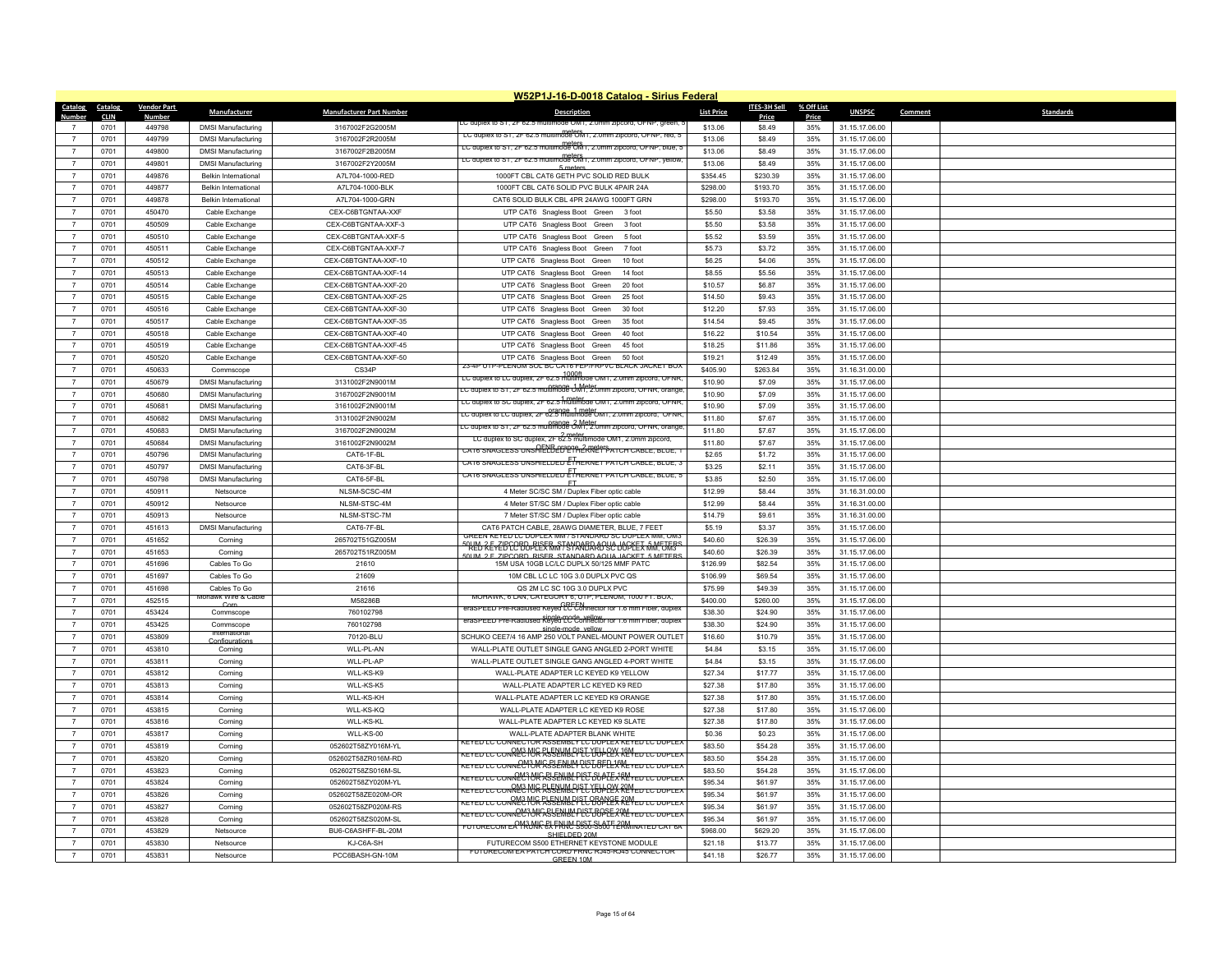|                                  |              |                    |                                                            |                                    | W52P1J-16-D-0018 Catalog - Sirius Federal                                                         |                      |                    |            |                                  |         |                  |
|----------------------------------|--------------|--------------------|------------------------------------------------------------|------------------------------------|---------------------------------------------------------------------------------------------------|----------------------|--------------------|------------|----------------------------------|---------|------------------|
| Catalog                          | Catalog      | <b>Vendor Part</b> | <b>Manufacturer</b>                                        | <b>Manufacturer Part Number</b>    | <b>Description</b>                                                                                | <b>List Price</b>    | ITES-3H Sell       | % Off List | <b>UNSPSC</b>                    | Comment | <b>Standards</b> |
| Number                           | <b>CLIN</b>  | <b>Number</b>      |                                                            |                                    | し duplex to S i , ZF 62.5 multi                                                                   |                      | Price              | Price      |                                  |         |                  |
| $\overline{7}$                   | 0701         | 449798             | <b>DMSI Manufacturing</b>                                  | 3167002F2G2005M                    | LC duplex to S1, 2F 62.5 multimode OM1, 2.0mm zipcord, OFNP, red, 5                               | \$13.06              | \$8.49             | 35%        | 31.15.17.06.00                   |         |                  |
| $\overline{7}$                   | 0701         | 449799<br>449800   | <b>DMSI Manufacturing</b>                                  | 3167002F2R2005M                    | EC duplex to ST, 2F 62.5 multimode OM1, 2.0mm zipcord, OFNP, blue, 5                              | \$13.06              | \$8.49             | 35%<br>35% | 31.15.17.06.00                   |         |                  |
|                                  | 0701         |                    | <b>DMSI Manufacturing</b>                                  | 3167002F2B2005M                    | LC duplex to ST, 2F 62.5 multimode OM1, 2.0mm zipcord, OFNP, yellow,                              | \$13.06              | \$8.49             |            | 31.15.17.06.00                   |         |                  |
| $\overline{7}$<br>$\overline{7}$ | 0701<br>0701 | 449801             | <b>DMSI Manufacturing</b>                                  | 3167002F2Y2005M                    | 5 meters                                                                                          | \$13.06<br>\$354.45  | \$8.49<br>\$230.39 | 35%        | 31.15.17.06.00                   |         |                  |
|                                  | 0701         | 449876<br>449877   | <b>Belkin International</b><br><b>Belkin International</b> | A7L704-1000-RED                    | 1000FT CBL CAT6 GETH PVC SOLID RED BULK<br>1000FT CBL CAT6 SOLID PVC BULK 4PAIR 24A               |                      | \$193.70           | 35%<br>35% | 31.15.17.06.00<br>31.15.17.06.00 |         |                  |
| $\overline{7}$<br>$\overline{7}$ | 0701         | 449878             | <b>Belkin International</b>                                | A7L704-1000-BLK<br>A7L704-1000-GRN | CAT6 SOLID BULK CBL 4PR 24AWG 1000FT GRN                                                          | \$298.00<br>\$298.00 | \$193.70           | 35%        | 31.15.17.06.00                   |         |                  |
| $\overline{7}$                   | 0701         | 450470             |                                                            | CEX-C6BTGNTAA-XXF                  | UTP CAT6 Snagless Boot Green<br>3 foo                                                             | \$5.50               | \$3.58             | 35%        | 31.15.17.06.00                   |         |                  |
| $\overline{7}$                   | 0701         | 450509             | Cable Exchange<br>Cable Exchange                           | CEX-C6BTGNTAA-XXF-3                | UTP CAT6 Snagless Boot Green 3 foot                                                               | \$5.50               | \$3.58             | 35%        | 31.15.17.06.00                   |         |                  |
| $\overline{7}$                   | 0701         | 450510             | Cable Exchange                                             | CEX-C6BTGNTAA-XXF-5                | UTP CAT6 Snagless Boot Green<br>5 foot                                                            | \$5.52               | \$3.59             | 35%        | 31.15.17.06.00                   |         |                  |
| $\overline{7}$                   | 0701         | 450511             | Cable Exchange                                             | CEX-C6BTGNTAA-XXF-7                | UTP CAT6 Snagless Boot Green<br>7 foot                                                            | \$5.73               | \$3.72             | 35%        | 31.15.17.06.00                   |         |                  |
| $\overline{7}$                   | 0701         | 450512             | Cable Exchange                                             | CEX-C6BTGNTAA-XXF-10               | UTP CAT6 Snagless Boot Green<br>10 foot                                                           | \$6.25               | \$4.06             | 35%        | 31.15.17.06.00                   |         |                  |
| $\overline{7}$                   | 0701         | 450513             | Cable Exchange                                             | CEX-C6BTGNTAA-XXF-14               | UTP CAT6 Snagless Boot Green<br>14 foot                                                           | \$8.55               | \$5.56             | 35%        | 31.15.17.06.00                   |         |                  |
| $\overline{7}$                   | 0701         | 450514             | Cable Exchange                                             | CEX-C6BTGNTAA-XXF-20               | UTP CAT6 Snagless Boot Green<br>20 foot                                                           | \$10.57              | \$6.87             | 35%        | 31.15.17.06.00                   |         |                  |
| $\overline{7}$                   | 0701         | 450515             | Cable Exchange                                             | CEX-C6BTGNTAA-XXF-25               | UTP CAT6 Snagless Boot Green<br>25 foot                                                           | \$14.50              | \$9.43             | 35%        | 31.15.17.06.00                   |         |                  |
| $\overline{7}$                   | 0701         | 450516             | Cable Exchange                                             | CEX-C6BTGNTAA-XXF-30               | UTP CAT6 Snagless Boot Green<br>30 foot                                                           | \$12.20              | \$7.93             | 35%        | 31.15.17.06.00                   |         |                  |
| $\overline{7}$                   | 0701         | 450517             | Cable Exchange                                             | CEX-C6BTGNTAA-XXF-35               | UTP CAT6 Snagless Boot Green<br>35 foot                                                           | \$14.54              | \$9.45             | 35%        | 31.15.17.06.00                   |         |                  |
| $\overline{7}$                   | 0701         | 450518             | Cable Exchange                                             | CEX-C6BTGNTAA-XXF-40               | UTP CAT6 Snagless Boot Green<br>40 foot                                                           | \$16.22              | \$10.54            | 35%        | 31.15.17.06.00                   |         |                  |
| $\overline{7}$                   | 0701         | 450519             | Cable Exchange                                             | CEX-C6BTGNTAA-XXF-45               | UTP CAT6 Snagless Boot Green<br>45 foot                                                           | \$18.25              | \$11.86            | 35%        | 31.15.17.06.00                   |         |                  |
|                                  | 0701         | 450520             | Cable Exchange                                             | CEX-C6BTGNTAA-XXF-50               | UTP CAT6 Snagless Boot Green<br>50 foot                                                           | \$19.21              | \$12.49            | 35%        | 31.15.17.06.00                   |         |                  |
| $\overline{7}$                   | 0701         | 450633             | Commscope                                                  | CS34P                              | 23-4P UTP-PLENUM SUL BU CAT6 FEP/FRPVC BLACK JACKET BUX                                           | \$405.90             | \$263.84           | 35%        | 31.16.31.00.00                   |         |                  |
| $\overline{7}$                   | 0701         | 450679             | <b>DMSI Manufacturing</b>                                  | 3131002F2N9001M                    | LC duplex to LC duplex, 2F 62.5 multimode OM1, 2.0mm zipcord, OFNR                                | \$10.90              | \$7.09             | 35%        | 31.15.17.06.00                   |         |                  |
| $\overline{7}$                   | 0701         | 450680             | <b>DMSI Manufacturing</b>                                  | 3167002F2N9001M                    | LC duplex to S1, 2F 62.5 multimode UM1, 2.0mm zipcord, OFNR, orange                               | \$10.90              | \$7.09             | 35%        | 31.15.17.06.00                   |         |                  |
| $\overline{7}$                   | 0701         | 450681             | <b>DMSI Manufacturing</b>                                  | 3161002F2N9001M                    | LC duplex to SC duplex, 2F 62.5 multimode OM1, 2.0mm zipcord, OFNR.                               | \$10.90              | \$7.09             | 35%        | 31.15.17.06.00                   |         |                  |
| $\overline{7}$                   | 0701         | 450682             | <b>DMSI Manufacturing</b>                                  | 3131002F2N9002M                    | LC duplex to LC duplex, 2F 62.5 multimode OM1, 2.0mm zipcord, OFNR                                | \$11.80              | \$7.67             | 35%        | 31.15.17.06.00                   |         |                  |
| $\overline{7}$                   | 0701         | 450683             | <b>DMSI Manufacturing</b>                                  | 3167002F2N9002M                    | t C duplex to ST, 2F 62.5 multimode 3M^1, 2.0mm zipcord, OFNR, orange                             | \$11.80              | \$7.67             | 35%        | 31.15.17.06.00                   |         |                  |
| $\overline{7}$                   | 0701         | 450684             | <b>DMSI Manufacturing</b>                                  | 3161002F2N9002M                    | LC duplex to SC duplex, 2F 62.5 multimode OM1, 2.0mm zipcord,                                     | \$11.80              | \$7.67             | 35%        | 31.15.17.06.00                   |         |                  |
| $\overline{7}$                   | 0701         | 450796             | <b>DMSI Manufacturing</b>                                  | CAT6-1F-BL                         | <u>cats snagless unsAELBEBEAREPPATCH cable, blue, 1</u>                                           | \$2.65               | \$1.72             | 35%        | 31.15.17.06.00                   |         |                  |
| $\overline{7}$                   | 0701         | 450797             | <b>DMSI Manufacturing</b>                                  | CAT6-3F-BL                         | CAT6 SNAGLESS UNSHIELDED ETHERNET PATCH CABLE, BLUE, 3                                            | \$3.25               | \$2.11             | 35%        | 31.15.17.06.00                   |         |                  |
| $\overline{7}$                   | 0701         | 450798             | <b>DMSI Manufacturing</b>                                  | CAT6-5F-BL                         | CAT6 SNAGLESS UNSHIELDED ETHERNET PATCH CABLE, BLUE, 5                                            | \$3.85               | \$2.50             | 35%        | 31.15.17.06.00                   |         |                  |
| $\overline{7}$                   | 0701         | 450911             | Netsource                                                  | NLSM-SCSC-4M                       | ET<br>4 Meter SC/SC SM / Duplex Fiber optic cable                                                 | \$12.99              | \$8.44             | 35%        | 31.16.31.00.00                   |         |                  |
| $\overline{7}$                   | 0701         | 450912             | Netsource                                                  | NI SM-STSC-4M                      | 4 Meter ST/SC SM / Duplex Fiber optic cable                                                       | \$12.99              | \$8.44             | 35%        | 31.16.31.00.00                   |         |                  |
| $\overline{7}$                   | 0701         | 450913             | Netsource                                                  | NLSM-STSC-7M                       | 7 Meter ST/SC SM / Duplex Fiber optic cable                                                       | \$14.79              | \$9.61             | 35%        | 31.16.31.00.00                   |         |                  |
| $\overline{7}$                   | 0701         | 451613             | <b>DMSI Manufacturing</b>                                  | CAT6-7F-BL                         | CAT6 PATCH CABLE, 28AWG DIAMETER, BLUE, 7 FEET                                                    | \$5.19               | \$3.37             | 35%        | 31.15.17.06.00                   |         |                  |
| $\overline{7}$                   | 0701         | 451652             | Corning                                                    | 265702T51GZ005M                    | GREEN KEYED LC DUPLEX MM / STANDARD SC DUPLEX MM, OM3                                             | \$40.60              | \$26.39            | 35%        | 31.15.17.06.00                   |         |                  |
| $\overline{7}$                   | 0701         | 451653             | Corning                                                    | 265702T51RZ005M                    | <u>SHED REYEBEC BD PLEFRWY GJANABA DO JOCKET WW. CITIS</u>                                        | \$40.60              | \$26.39            | 35%        | 31.15.17.06.00                   |         |                  |
| $\overline{7}$                   | 0701         | 451696             | Cables To Go                                               | 21610                              | 50 IM 2 E ZIPCORD RISER STANDARD AOUA JACKET 5 METERS<br>15M USA 10GB LC/LC DUPLX 50/125 MMF PATC | \$126.99             | \$82.54            | 35%        | 31.15.17.06.00                   |         |                  |
| $\overline{7}$                   | 0701         | 451697             | Cables To Go                                               | 21609                              | 10M CBL LC LC 10G 3.0 DUPLX PVC QS                                                                | \$106.99             | \$69.54            | 35%        | 31.15.17.06.00                   |         |                  |
| $\overline{7}$                   | 0701         | 451698             | Cables To Go                                               | 21616                              | QS 2M LC SC 10G 3.0 DUPLX PVC                                                                     | \$75.99              | \$49.39            | 35%        | 31.15.17.06.00                   |         |                  |
|                                  | 0701         | 452515             | Mohawk Wire & Cal<br>$C_{\text{O}}$                        | M58286B                            | MOHAWK, 6 LAN, CATEGORY 6, UTP, PLENUM, 1000 FT. BOX,                                             | \$400.00             | \$260.00           | 35%        | 31.15.17.06.00                   |         |                  |
| $\overline{7}$                   | 0701         | 453424             | Commscope                                                  | 760102798                          | eraSPEED Pre-Radiused Reyed LC Connector for 1.6 mm Fiber, duplex                                 | \$38.30              | \$24.90            | 35%        | 31.15.17.06.00                   |         |                  |
| $\overline{7}$                   | 0701         | 453425             | Commscope                                                  | 760102798                          | eraSPEED Pre-Radiused Reved LC Connector for 1.6 mm Fiber, duplex                                 | \$38.30              | \$24.90            | 35%        | 31.15.17.06.00                   |         |                  |
| $\overline{7}$                   | 0701         | 453809             | Internationa<br>Configuration                              | 70120-BLU                          | SCHUKO CEE7/4 16 AMP 250 VOLT PANEL-MOUNT POWER OUTLET                                            | \$16.60              | \$10.79            | 35%        | 31.15.17.06.00                   |         |                  |
| $\overline{7}$                   | 0701         | 453810             | Corning                                                    | WLL-PL-AN                          | WALL-PLATE OUTLET SINGLE GANG ANGLED 2-PORT WHITE                                                 | \$4.84               | \$3.15             | 35%        | 31.15.17.06.00                   |         |                  |
| $\overline{7}$                   | 0701         | 453811             | Corning                                                    | WLL-PL-AP                          | WALL-PLATE OUTLET SINGLE GANG ANGLED 4-PORT WHITE                                                 | \$4.84               | \$3.15             | 35%        | 31.15.17.06.00                   |         |                  |
| $\overline{7}$                   | 0701         | 453812             | Corning                                                    | WLL-KS-K9                          | WALL-PLATE ADAPTER LC KEYED K9 YELLOW                                                             | \$27.34              | \$17.77            | 35%        | 31.15.17.06.00                   |         |                  |
| $\overline{7}$                   | 0701         | 453813             | Corning                                                    | WLL-KS-K5                          | WALL-PLATE ADAPTER LC KEYED K9 RED                                                                | \$27.38              | \$17.80            | 35%        | 31.15.17.06.00                   |         |                  |
| $\overline{7}$                   | 0701         | 453814             | Corning                                                    | WLL-KS-KH                          | WALL-PLATE ADAPTER LC KEYED K9 ORANGE                                                             | \$27.38              | \$17.80            | 35%        | 31.15.17.06.00                   |         |                  |
| $\overline{7}$                   | 0701         | 453815             | Corning                                                    | WI I-KS-KO                         | WALL-PLATE ADAPTER LC KEYED K9 ROSE                                                               | \$27.38              | \$17.80            | 35%        | 31.15.17.06.00                   |         |                  |
| $\overline{7}$                   | 0701         | 453816             | Corning                                                    | WLL-KS-KL                          | WALL-PLATE ADAPTER LC KEYED K9 SLATE                                                              | \$27.38              | \$17.80            | 35%        | 31.15.17.06.00                   |         |                  |
| $\overline{7}$                   | 0701         | 453817             | Corning                                                    | WLL-KS-00                          | WALL-PLATE ADAPTER BLANK WHITE                                                                    | \$0.36               | \$0.23             | 35%        | 31.15.17.06.00                   |         |                  |
| $\overline{7}$                   | 0701         | 453819             | Corning                                                    | 052602T58ZY016M-YL                 | (EYED LC CONNECTOR ASSEMBLY LC DUPLEX KEYED LC DUPLE)                                             | \$83.50              | \$54.28            | 35%        | 31.15.17.06.00                   |         |                  |
| $\overline{7}$                   | 0701         | 453820             | Corning                                                    | 052602T58ZR016M-RD                 | KEYED LC CONNECTOR RYSEWMEP ELYSTELEX REMED LC DUPLEX                                             | \$83.50              | \$54.28            | 35%        | 31.15.17.06.00                   |         |                  |
| $\overline{7}$                   | 0701         | 453823             | Corning                                                    | 052602T58ZS016M-SL                 | KEYED LC CONNECTOR SSENHARD POLITIC VEREYED LC DUPLEY                                             | \$83.50              | \$54.28            | 35%        | 31.15.17.06.00                   |         |                  |
| $\overline{7}$                   | 0701         | 453824             | Corning                                                    | 052602T58ZY020M-YL                 | KEYED LC CONNEL MK ASSENIN PIEJ SUPIEX REYED LC DUPLEX                                            | \$95.34              | \$61.97            | 35%        | 31.15.17.06.00                   |         |                  |
| $\overline{7}$                   | 0701         | 453826             | Corning                                                    | 052602T58ZE020M-OR                 | KEYED LC CONNECTOR RISSEMBLY ELYSTICEX REYED LC DUPLEX                                            | \$95.34              | \$61.97            | 35%        | 31.15.17.06.00                   |         |                  |
| $\overline{7}$                   | 0701         | 453827             | Corning                                                    | 052602T58ZP020M-RS                 | KEYED LC CONNECTUR RISSEMBLYEL BRANCE REVED LC DUPLEX                                             | \$95.34              | \$61.97            | 35%        | 31.15.17.06.00                   |         |                  |
| $\overline{7}$                   | 0701         | 453828             | Corning                                                    | 052602T58ZS020M-SL                 | keyed to conn2M70KA55ENHMPL&T6RAEXREYEd to duplex                                                 | \$95.34              | \$61.97            | 35%        | 31.15.17.06.00                   |         |                  |
| $\overline{7}$                   | 0701         | 453829             | Netsource                                                  | BU6-C6ASHFF-BL-20M                 | FUTURECOM EA YRUNG EX FRHIM BIST-SLATT ERMINATED CAT 6A<br>SHIFLDED 20M                           | \$968.00             | \$629.20           | 35%        | 31.15.17.06.00                   |         |                  |
|                                  | 0701         | 453830             | Netsource                                                  | KJ-C6A-SH                          | FUTURECOM S500 ETHERNET KEYSTONE MODULE                                                           | \$21.18              | \$13.77            | 35%        | 31.15.17.06.00                   |         |                  |
| $\overline{7}$                   | 0701         | 453831             | Netsource                                                  | PCC6BASH-GN-10M                    | FUTURECOM EA PATCH CORD FRNC RJ45-RJ45 CONNECTOR<br>GREEN 10M                                     | \$41.18              | \$26.77            | 35%        | 31.15.17.06.00                   |         |                  |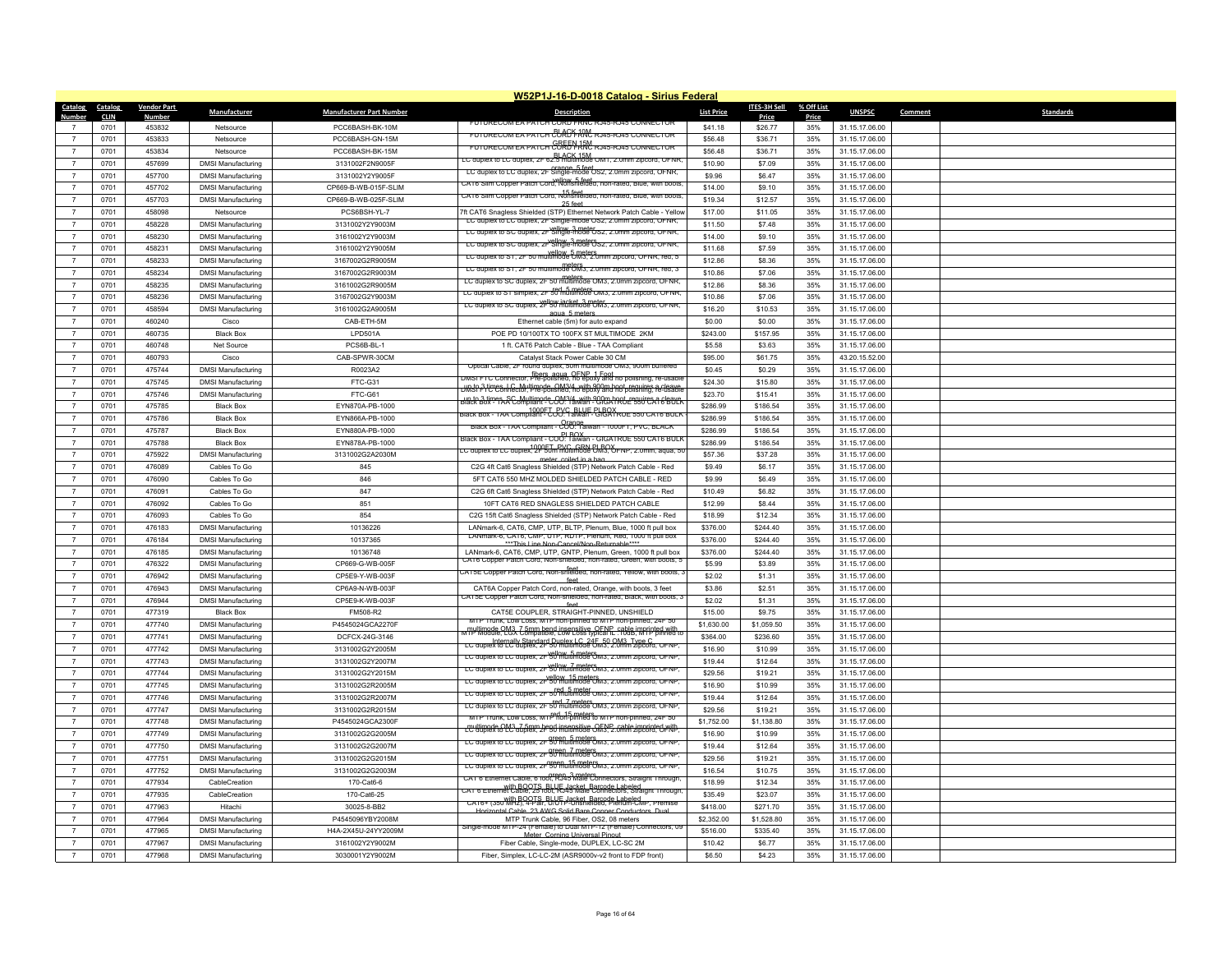|                                    | W52P1J-16-D-0018 Catalog - Sirius Federal |                    |                           |                                 |                                                                                                                                           |                   |                     |            |                |                             |  |
|------------------------------------|-------------------------------------------|--------------------|---------------------------|---------------------------------|-------------------------------------------------------------------------------------------------------------------------------------------|-------------------|---------------------|------------|----------------|-----------------------------|--|
| Catalog                            | Catalog                                   | <b>Vendor Part</b> | <b>Manufacturer</b>       | <b>Manufacturer Part Number</b> | <b>Description</b>                                                                                                                        | <b>List Price</b> | <b>ITES-3H Sell</b> | % Off List | <b>UNSPSC</b>  | <b>Standards</b><br>Comment |  |
| Number                             | <b>CLIN</b>                               | <u>Number</u>      |                           |                                 | FUTURECOM EA PATCH COR                                                                                                                    |                   | Price               | Price      |                |                             |  |
|                                    | 0701                                      | 453832             | Netsource                 | PCC6BASH-BK-10M                 | FUTURECOM EA PATCH COROL AND RJ45-RJ45 CONNECTOR                                                                                          | \$41.18           | \$26.77             | 35%        | 31.15.17.06.00 |                             |  |
| $\overline{7}$                     | 0701                                      | 453833             | Netsource                 | PCC6BASH-GN-15M                 | FUTURECOM EA PATCH CORE HARD RJ45-RJ45 CONNECTOR                                                                                          | \$56.48           | \$36.71             | 35%        | 31.15.17.06.00 |                             |  |
|                                    | 0701                                      | 453834             | Netsource                 | PCC6BASH-BK-15M                 | EC duplex to LC duplex, 2F 62.5 multimode OM1, 2.0mm zipcord, OFNR.                                                                       | \$56.48           | \$36.71             | 35%        | 31.15.17.06.00 |                             |  |
| $\overline{7}$                     | 0701                                      | 457699             | <b>DMSI Manufacturing</b> | 3131002F2N9005F                 | LC duplex to LC duplex, 2F Single-mode OS2, 2.0mm zipcord, OFNR.                                                                          | \$10.90           | \$7.09              | 35%        | 31.15.17.06.00 |                             |  |
| $\overline{7}$                     | 0701                                      | 457700             | <b>DMSI Manufacturing</b> | 3131002Y2Y9005F                 | CAT6 Silm Copper Patch Cord: Nonshelded: non-rated: Blue: with poots                                                                      | \$9.96            | \$6.47              | 35%        | 31.15.17.06.00 |                             |  |
| $\overline{7}$                     | 0701                                      | 457702             | <b>DMSI Manufacturing</b> | CP669-B-WB-015F-SLIM            | 15 feet<br>CAT6 Slim Copper Patch Cord, Nonshielded, non-rated, Blue, with boots                                                          | \$14.00           | \$9.10              | 35%        | 31.15.17.06.00 |                             |  |
| $\overline{7}$                     | 0701                                      | 457703             | <b>DMSI Manufacturing</b> | CP669-B-WB-025F-SLIM            | 25 feet                                                                                                                                   | \$19.34           | \$12.57             | 35%        | 31.15.17.06.00 |                             |  |
| $\overline{7}$                     | 0701                                      | 458098             | Netsource                 | PCS6BSH-YL-7                    | 7ft CAT6 Snagless Shielded (STP) Ethernet Network Patch Cable - Yellow                                                                    | \$17.00           | \$11.05             | 35%        | 31.15.17.06.00 |                             |  |
|                                    | 0701                                      | 458228             | <b>DMSI Manufacturing</b> | 3131002Y2Y9003M                 | LC duplex to LC duplex, 2F Single-mode OS2, 2.0mm zipcord, OFNR,<br>LC duplex to SC duplex, 2F Single-mode US2, 2.0mm zipcord, OFNR,      | \$11.50           | \$7.48              | 35%        | 31.15.17.06.00 |                             |  |
| $\overline{7}$                     | 0701                                      | 458230             | <b>DMSI Manufacturing</b> | 3161002Y2Y9003M                 | LC aupiex to SC aupiex, zr Single-mode 0Sz, z.umm zipcora, OFNR,                                                                          | \$14.00           | \$9.10              | 35%        | 31.15.17.06.00 |                             |  |
| $\overline{7}$                     | 0701                                      | 458231             | <b>DMSI Manufacturing</b> | 3161002Y2Y9005M                 |                                                                                                                                           | \$11.68           | \$7.59              | 35%        | 31.15.17.06.00 |                             |  |
| $\overline{7}$                     | 0701                                      | 458233             | <b>DMSI Manufacturing</b> | 3167002G2R9005M                 | LC duplex to S1, 2F 50 multimode 5 meters from zipcord, OFNR, red, 5                                                                      | \$12.86           | \$8.36              | 35%        | 31.15.17.06.00 |                             |  |
| $\overline{7}$                     | 0701                                      | 458234             | <b>DMSI Manufacturing</b> | 3167002G2R9003M                 | LC duplex to S1, 2F 50 multimode UM3, 2.0mm zipcord, OFNR, red, 3                                                                         | \$10.86           | \$7.06              | 35%        | 31.15.17.06.00 |                             |  |
| $\overline{7}$                     | 0701                                      | 458235             | <b>DMSI Manufacturing</b> | 3161002G2R9005M                 | meters meters<br>LC duplex to SC duplex, 2F 50 multimode OM3, 2.0mm zipcord, OFNR,                                                        | \$12.86           | \$8.36              | 35%        | 31.15.17.06.00 |                             |  |
| $\overline{7}$                     | 0701                                      | 458236             | <b>DMSI Manufacturing</b> | 3167002G2Y9003M                 | red 5 meters.<br>LC duplex to ST simplex, 2F 50 multimode OM3, 2.0mm zipcord, OFNR,                                                       | \$10.86           | \$7.06              | 35%        | 31.15.17.06.00 |                             |  |
| $\overline{7}$                     | 0701                                      | 458594             | <b>DMSI Manufacturing</b> | 3161002G2A9005M                 | LC duplex to SC duplex, 2F 50 multimode CM3, z.umm zipcord, OFNR,<br>agua 5 meters                                                        | \$16.20           | \$10.53             | 35%        | 31.15.17.06.00 |                             |  |
| $\overline{7}$                     | 0701                                      | 460240             | Cisco                     | CAB-ETH-5M                      | Ethernet cable (5m) for auto expand                                                                                                       | \$0.00            | \$0.00              | 35%        | 31.15.17.06.00 |                             |  |
| $\overline{7}$                     | 0701                                      | 460735             | <b>Black Box</b>          | LPD501A                         | POE PD 10/100TX TO 100FX ST MULTIMODE 2KM                                                                                                 | \$243.00          | \$157.95            | 35%        | 31.15.17.06.00 |                             |  |
| $\overline{7}$                     | 0701                                      | 460748             | Net Source                | PCS6B-BL-1                      | 1 ft. CAT6 Patch Cable - Blue - TAA Compliant                                                                                             | \$5.58            | \$3.63              | 35%        | 31.15.17.06.00 |                             |  |
| $\overline{7}$                     | 0701                                      | 460793             | Cisco                     | CAB-SPWR-30CM                   | Catalyst Stack Power Cable 30 CM                                                                                                          | \$95.00           | \$61.75             | 35%        | 43.20.15.52.00 |                             |  |
| $\overline{7}$                     | 0701                                      | 475744             | <b>DMSI Manufacturing</b> | R0023A2                         | Optical Cable, 2F round duplex, 50m multimode OM3, 900m buffered                                                                          | \$0.45            | \$0.29              | 35%        | 31.15.17.06.00 |                             |  |
| $\overline{7}$                     | 0701                                      | 475745             | <b>DMSI Manufacturing</b> | FTC-G31                         | DMST FTC Connector, Pre-polished, no epoxy and no polishing, re-usab                                                                      | \$24.30           | \$15.80             | 35%        | 31.15.17.06.00 |                             |  |
| $\overline{7}$                     | 0701                                      | 475746             | <b>DMSI Manufacturing</b> | FTC-G61                         | United 3 times L.C. Multimode, OM3/4, with 900m boot, requires a cleave                                                                   | \$23.70           | \$15.41             | 35%        | 31.15.17.06.00 |                             |  |
| $\overline{7}$                     | 0701                                      | 475785             | <b>Black Box</b>          | EYN870A-PB-1000                 | <u> Jip to 3 times, SC, Multimode, OM3/4, with 900m hoot, requires a cleave.</u>                                                          | \$286.99          | \$186.54            | 35%        | 31.15.17.06.00 |                             |  |
| $\overline{7}$                     |                                           |                    |                           |                                 | SIACK BOX - TAA COMPILANT - COO! TAIWAR- GIBOX RUE 550 CAT6 BULK                                                                          | \$286.99          |                     |            |                |                             |  |
| $\overline{7}$                     | 0701                                      | 475786             | <b>Black Box</b>          | EYN866A-PB-1000                 | Black Box - TAA Compliant - COO: Taiwan - 1000FT, PVC, BLACK                                                                              |                   | \$186.54            | 35%        | 31.15.17.06.00 |                             |  |
|                                    | 0701                                      | 475787             | <b>Black Box</b>          | EYN880A-PB-1000                 | Black Box - TAA Compliant - COO: Taiwan - GIGATRUE 550 CAT6 BULK                                                                          | \$286.99          | \$186.54            | 35%        | 31.15.17.06.00 |                             |  |
| $\boldsymbol{7}$<br>$\overline{7}$ | 0701                                      | 475788             | <b>Black Box</b>          | EYN878A-PB-1000                 | LC duplex to LC duplex, 2F 50m multimode CM3, OF NP, 2.0mm, aqua, 50                                                                      | \$286.99          | \$186.54            | 35%        | 31.15.17.06.00 |                             |  |
|                                    | 0701                                      | 475922             | <b>DMSI Manufacturing</b> | 3131002G2A2030M                 | meter coiled in a bag                                                                                                                     | \$57.36           | \$37.28             | 35%        | 31.15.17.06.00 |                             |  |
| $\overline{7}$                     | 0701                                      | 476089             | Cables To Go              | 845                             | C2G 4ft Cat6 Snagless Shielded (STP) Network Patch Cable - Red                                                                            | \$9.49            | \$6.17              | 35%        | 31.15.17.06.00 |                             |  |
| $\overline{7}$                     | 0701                                      | 476090             | Cables To Go              | 846                             | 5FT CAT6 550 MHZ MOLDED SHIELDED PATCH CABLE - RED                                                                                        | \$9.99            | \$6.49              | 35%        | 31.15.17.06.00 |                             |  |
| $\overline{7}$                     | 0701                                      | 476091             | Cables To Go              | 847                             | C2G 6ft Cat6 Snagless Shielded (STP) Network Patch Cable - Red                                                                            | \$10.49           | \$6.82              | 35%        | 31.15.17.06.00 |                             |  |
| $\overline{7}$                     | 0701                                      | 476092             | Cables To Go              | 851                             | 10FT CAT6 RED SNAGLESS SHIELDED PATCH CABLE                                                                                               | \$12.99           | \$8.44              | 35%        | 31.15.17.06.00 |                             |  |
| $\overline{7}$                     | 0701                                      | 476093             | Cables To Go              | 854                             | C2G 15ft Cat6 Snagless Shielded (STP) Network Patch Cable - Red                                                                           | \$18.99           | \$12.34             | 35%        | 31.15.17.06.00 |                             |  |
| $\overline{7}$                     | 0701                                      | 476183             | <b>DMSI Manufacturing</b> | 10136226                        | LANmark-6, CAT6, CMP, UTP, BLTP, Plenum, Blue, 1000 ft pull box<br>LANmark-6, CA16, CMP, UTP, RDTP, Plenum, Red, 1000 ft pull box         | \$376.00          | \$244.40            | 35%        | 31.15.17.06.00 |                             |  |
| $\overline{7}$                     | 0701                                      | 476184             | <b>DMSI Manufacturing</b> | 10137365                        | ***This Line Non-Cancel/Non-Returnable****                                                                                                | \$376.00          | \$244.40            | 35%        | 31.15.17.06.00 |                             |  |
| $\overline{7}$                     | 0701                                      | 476185             | <b>DMSI Manufacturing</b> | 10136748                        | LANmark-6, CAT6, CMP, UTP, GNTP, Plenum, Green, 1000 ft pull box<br>CA16 Copper Patch Cord, Non-shielded, non-rated, Green, with boots, 5 | \$376.00          | \$244.40            | 35%        | 31.15.17.06.00 |                             |  |
| $\overline{7}$                     | 0701                                      | 476322             | <b>DMSI Manufacturing</b> | CP669-G-WB-005F                 | CAT5E Copper Patch Cord, Non-shielded, non-rated, Yellow, with boots, 3                                                                   | \$5.99            | \$3.89              | 35%        | 31.15.17.06.00 |                             |  |
| $\overline{7}$                     | 0701                                      | 476942             | <b>DMSI Manufacturing</b> | CP5E9-Y-WB-003F                 | feet                                                                                                                                      | \$2.02            | \$1.31              | 35%        | 31.15.17.06.00 |                             |  |
| $\overline{7}$                     | 0701                                      | 476943             | <b>DMSI Manufacturing</b> | CP6A9-N-WB-003F                 | CAT6A Copper Patch Cord, non-rated, Orange, with boots, 3 feet                                                                            | \$3.86            | \$2.51              | 35%        | 31.15.17.06.00 |                             |  |
|                                    | 0701                                      | 476944             | <b>DMSI Manufacturing</b> | CP5E9-K-WB-003F                 | CAT5E Copper Patch Cord, Non-shielded, non-rated, Black, with boots,<br>feet                                                              | \$2.02            | \$1.31              | 35%        | 31.15.17.06.00 |                             |  |
| $\overline{7}$                     | 0701                                      | 477319             | <b>Black Box</b>          | FM508-R2                        | CAT5E COUPLER, STRAIGHT-PINNED, UNSHIELD                                                                                                  | \$15.00           | \$9.75              | 35%        | 31.15.17.06.00 |                             |  |
| $\overline{7}$                     | 0701                                      | 477740             | <b>DMSI Manufacturing</b> | P4545024GCA2270F                | MTP Trunk, Low Loss, MTP non-pinned to MTP non-pinned, 24F 50                                                                             | \$1,630.00        | \$1,059.50          | 35%        | 31.15.17.06.00 |                             |  |
| $\overline{7}$                     | 0701                                      | 477741             | <b>DMSI Manufacturing</b> | DCFCX-24G-3146                  | multimade CM3, 7-5mm hend insensitive, OENR, cable impripted with<br>LC quoiex to LC dublex, 2F 50 multimode 5m30 2.0mm zipcord, OFNP.    | \$364.00          | \$236.60            | 35%        | 31.15.17.06.00 |                             |  |
| $\overline{7}$                     | 0701                                      | 477742             | <b>DMSI Manufacturing</b> | 3131002G2Y2005M                 |                                                                                                                                           | \$16.90           | \$10.99             | 35%        | 31.15.17.06.00 |                             |  |
| $\overline{7}$                     | 0701                                      | 477743             | <b>DMSI Manufacturing</b> | 3131002G2Y2007M                 | LC duplex to LC duplex, 2F 50 multimode OM3, 2.0mm zipcord, OFNP.                                                                         | \$19.44           | \$12.64             | 35%        | 31.15.17.06.00 |                             |  |
| $\overline{7}$                     | 0701                                      | 477744             | <b>DMSI Manufacturing</b> | 3131002G2Y2015M                 | LC duplex to LC duplex, 2F 50 multimode OM3, 2.0mm zipcord, OFNP,                                                                         | \$29.56           | \$19.21             | 35%        | 31.15.17.06.00 |                             |  |
| $\overline{7}$                     | 0701                                      | 477745             | <b>DMSI Manufacturing</b> | 3131002G2R2005M                 | LC duplex to LC duplex, 2F 50 multimode OM3, 2.0mm zipcord, OFNP,                                                                         | \$16.90           | \$10.99             | 35%        | 31.15.17.06.00 |                             |  |
| $\overline{7}$                     | 0701                                      | 477746             | <b>DMSI Manufacturing</b> | 3131002G2R2007M                 | LC duplex to LC duplex, 2F 50 multimode OM3, 2.0mm zipcord, OFNP,                                                                         | \$19.44           | \$12.64             | 35%        | 31.15.17.06.00 |                             |  |
| $\overline{7}$                     | 0701                                      | 477747             | <b>DMSI Manufacturing</b> | 3131002G2R2015M                 | LC duplex to LC duplex, 2F 50 multimode OM3, 2.0mm zipcord, OFNP                                                                          | \$29.56           | \$19.21             | 35%        | 31.15.17.06.00 |                             |  |
| $\overline{7}$                     | 0701                                      | 477748             | <b>DMSI Manufacturing</b> | P4545024GCA2300F                | MTP Trunk, Low Loss, MTP non-pinned to MTP non-pinned, 24F 50                                                                             | \$1,752.00        | \$1,138.80          | 35%        | 31.15.17.06.00 |                             |  |
| $\overline{7}$                     | 0701                                      | 477749             | <b>DMSI Manufacturing</b> | 3131002G2G2005M                 | -multimed + 6 M3 - 7 5mm hend insensitive OFNP, cable imprinted with                                                                      | \$16.90           | \$10.99             | 35%        | 31.15.17.06.00 |                             |  |
| $\overline{7}$                     | 0701                                      | 477750             | <b>DMSI Manufacturing</b> | 3131002G2G2007M                 | LC duplex to LC duplex, 2F 50 multimode OM3, 2.0mm zipcord, OFNP,                                                                         | \$19.44           | \$12.64             | 35%        | 31.15.17.06.00 |                             |  |
| $\overline{7}$                     | 0701                                      | 477751             | <b>DMSI Manufacturing</b> | 3131002G2G2015M                 | LC duplex to LC duplex, 2F 50 multimode OM3, 2.0mm zipcord, OFNP                                                                          | \$29.56           | \$19.21             | 35%        | 31.15.17.06.00 |                             |  |
| $\overline{7}$                     | 0701                                      | 477752             | <b>DMSI Manufacturing</b> | 3131002G2G2003M                 | LC duplex to LC duplex, 2F 50 multimode OM3, 2.0mm zipcord, OFNP,                                                                         | \$16.54           | \$10.75             | 35%        | 31.15.17.06.00 |                             |  |
| $\overline{7}$                     | 0701                                      | 477934             | CableCreation             | 170-Cat6-6                      | CAT 6 Ethernet Cable, 6 foot, RJ45 Male Connectors, Straight Through,                                                                     | \$18.99           | \$12.34             | 35%        | 31.15.17.06.00 |                             |  |
| $\overline{7}$                     | 0701                                      | 477935             | CableCreation             | 170-Cat6-25                     | with BOOTS, BLI IF also Barcode Labeled<br>CAT 6 Ethernet Cable, 25 tool, IF also Male Connectors, Straight Through                       | \$35.49           | \$23.07             | 35%        | 31.15.17.06.00 |                             |  |
| $\overline{7}$                     | 0701                                      | 477963             | Hitachi                   | 30025-8-BB2                     | CA16+ (350 WH2), 4-Pair BUUF P-0 hshellared Plenum-CMP, Premise                                                                           | \$418.00          | \$271.70            | 35%        | 31.15.17.06.00 |                             |  |
| $\overline{7}$                     |                                           |                    |                           |                                 | tal Cable, 23 AWG Solid Bare Conner Conductors, Dual                                                                                      |                   |                     |            |                |                             |  |
| $\overline{7}$                     | 0701                                      | 477964             | <b>DMSI Manufacturing</b> | P4545096YBY2008M                | MTP Trunk Cable, 96 Fiber, OS2, 08 meters<br>Single-mode MTP-24 (Female) to Dual MTP-12 (Female) Connectors, 09                           | \$2,352.00        | \$1,528.80          | 35%        | 31.15.17.06.00 |                             |  |
|                                    | 0701                                      | 477965             | <b>DMSI Manufacturing</b> | H4A-2X45U-24YY2009M             | Meter Corning Universal Pinout                                                                                                            | \$516.00          | \$335.40            | 35%        | 31.15.17.06.00 |                             |  |
|                                    | 0701                                      | 477967             | <b>DMSI Manufacturing</b> | 3161002Y2Y9002M                 | Fiber Cable, Single-mode, DUPLEX, LC-SC 2M                                                                                                | \$10.42           | \$6.77              | 35%        | 31.15.17.06.00 |                             |  |
| $\overline{7}$                     | 0701                                      | 477968             | <b>DMSI Manufacturing</b> | 3030001Y2Y9002M                 | Fiber, Simplex, LC-LC-2M (ASR9000v-v2 front to FDP front)                                                                                 | \$6.50            | \$4.23              | 35%        | 31.15.17.06.00 |                             |  |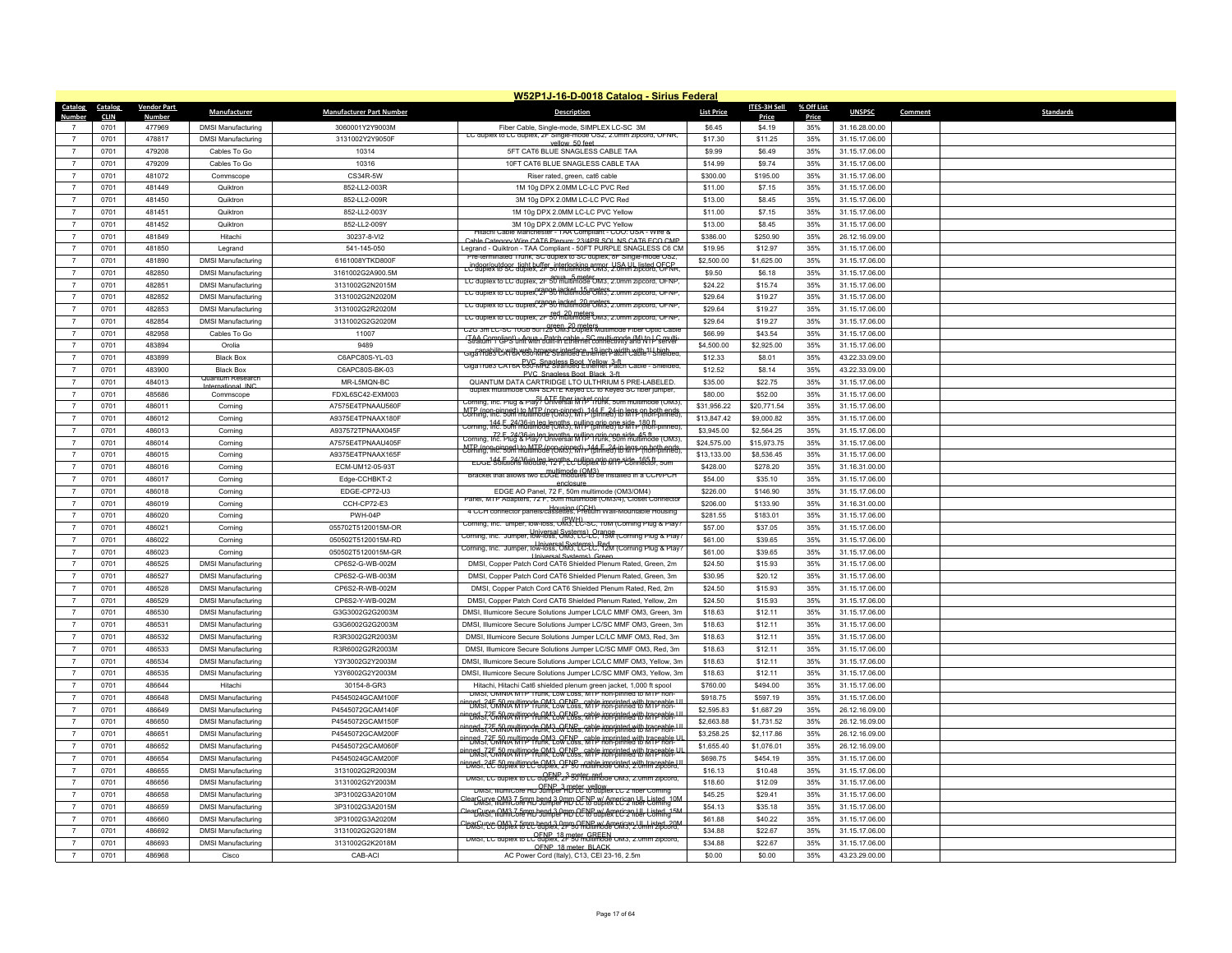|                |              |                    |                                    |                                       | W52P1J-16-D-0018 Catalog - Sirius Federal                                                                                                       |                    |                    |            |                                  |         |                  |
|----------------|--------------|--------------------|------------------------------------|---------------------------------------|-------------------------------------------------------------------------------------------------------------------------------------------------|--------------------|--------------------|------------|----------------------------------|---------|------------------|
| Catalog        | Catalog      | <b>Vendor Part</b> | Manufacturer                       | <b>Manufacturer Part Number</b>       | Description                                                                                                                                     | <b>List Price</b>  | ITES-3H Sell       | % Off List | <b>UNSPSC</b>                    | Comment | <b>Standards</b> |
| <b>Number</b>  | <b>CLIN</b>  | Number             |                                    |                                       |                                                                                                                                                 |                    | Price              | Price      |                                  |         |                  |
| $\overline{7}$ | 0701         | 477969             | <b>DMSI Manufacturing</b>          | 3060001Y2Y9003M                       | Fiber Cable, Single-mode, SIMPLEX LC-SC 3M<br>LC duplex to LC duplex, 2F Single-mode OS2, 2.0mm zipcord, OFNR,                                  | \$6.45             | \$4.19             | 35%        | 31.16.28.00.00                   |         |                  |
| $\overline{7}$ | 0701         | 478817             | <b>DMSI Manufacturing</b>          | 3131002Y2Y9050F                       | vellow, 50 feet                                                                                                                                 | \$17.30            | \$11.25            | 35%        | 31.15.17.06.00                   |         |                  |
| $\overline{7}$ | 0701         | 479208             | Cables To Go                       | 10314                                 | 5FT CAT6 BLUE SNAGLESS CABLE TAA                                                                                                                | \$9.99             | \$6.49             | 35%        | 31.15.17.06.00                   |         |                  |
| $\overline{7}$ | 0701         | 479209             | Cables To Go                       | 10316                                 | 10FT CAT6 BLUE SNAGLESS CABLE TAA                                                                                                               | \$14.99            | \$9.74             | 35%        | 31.15.17.06.00                   |         |                  |
| $\overline{7}$ | 0701         | 481072             | Commscope                          | CS34R-5W                              | Riser rated, green, cat6 cable                                                                                                                  | \$300.00           | \$195.00           | 35%        | 31.15.17.06.00                   |         |                  |
| $\overline{7}$ | 0701         | 481449             | Quiktron                           | 852-LL2-003R                          | 1M 10g DPX 2.0MM LC-LC PVC Red                                                                                                                  | \$11.00            | \$7.15             | 35%        | 31.15.17.06.00                   |         |                  |
| $\overline{7}$ | 0701         | 481450             | Quiktron                           | 852-LL2-009R                          | 3M 10g DPX 2.0MM LC-LC PVC Red                                                                                                                  | \$13.00            | \$8.45             | 35%        | 31.15.17.06.00                   |         |                  |
| $\overline{7}$ | 0701         | 481451             | Quiktron                           | 852-LL2-003Y                          | 1M 10g DPX 2.0MM LC-LC PVC Yellow                                                                                                               | \$11.00            | \$7.15             | 35%        | 31.15.17.06.00                   |         |                  |
| $\overline{7}$ | 0701         | 481452             | Quiktron                           | 852-112-009Y                          | 3M 10g DPX 2 0MM LC-LC PVC Yellow<br>Hitachi Cable Manchester - TAA Compliant - COO: USA - Wire &                                               | \$13.00            | \$8.45             | 35%        | 31.15.17.06.00                   |         |                  |
| $\overline{7}$ | 0701         | 481849             | Hitachi                            | 30237-8-VI2                           | Cable Category Wire CAT6 Plenum: 23/4PR SOL NS CAT6 FCO CMP                                                                                     | \$386.00           | \$250.90           | 35%        | 26.12.16.09.00                   |         |                  |
| $\overline{7}$ | 0701         | 481850             | Legrand                            | 541-145-050                           | Legrand - Quiktron - TAA Compliant - 50FT PURPLE SNAGLESS C6 CM<br>terminated Trunk, SC duplex to SC duplex, 8F Single-mode OS2                 | \$19.95            | \$12.97            | 35%        | 31.15.17.06.00                   |         |                  |
| $\overline{7}$ | 0701         | 481890             | <b>DMSI Manufacturing</b>          | 6161008YTKD800F                       | Li <sup>o</sup> doplex telsec diptibulier formalmining coms, Lisa Lill listed OFFRR                                                             | \$2,500.00         | \$1,625.00         | 35%        | 31.15.17.06.00                   |         |                  |
| $\overline{7}$ | 0701         | 482850             | <b>DMSI Manufacturing</b>          | 3161002G2A900.5M                      | agua 5 meter<br>LC duplex to LC duplex, 2F 50 multimode OM3, 2.0mm zipcord, OFNP                                                                | \$9.50             | \$6.18             | 35%        | 31.15.17.06.00                   |         |                  |
| $\overline{7}$ | 0701         | 482851             | <b>DMSI Manufacturing</b>          | 3131002G2N2015M                       |                                                                                                                                                 | \$24.22            | \$15.74            | 35%        | 31.15.17.06.00                   |         |                  |
| $\overline{7}$ | 0701         | 482852             | <b>DMSI Manufacturing</b>          | 3131002G2N2020M                       | LC duplex to LC duplex. 2F 50 multimode OM3, 2.0mm zipcord, OFNP.                                                                               | \$29.64            | \$19.27            | 35%        | 31.15.17.06.00                   |         |                  |
| $\overline{7}$ | 0701         | 482853             | <b>DMSI Manufacturing</b>          | 3131002G2R2020M                       | LC duplex to LC duplex, 2F 50 multimode OM3, z.umm zipcord, OFNP<br>LC duplex to LC duplex, 2F 50 multimode OM3, 2.0mm zipcord, OFNP            | \$29.64            | \$19.27            | 35%        | 31.15.17.06.00                   |         |                  |
| $\overline{7}$ | 0701         | 482854             | <b>DMSI Manufacturing</b>          | 3131002G2G2020M                       |                                                                                                                                                 | \$29.64            | \$19.27            | 35%        | 31.15.17.06.00                   |         |                  |
| $\overline{7}$ | 0701         | 482958             | Cables To Go                       | 11007                                 | C2G 3m LC-SC 10Gb 50/125 CM3 Duplex Multimode Fiber Optic Cable                                                                                 | \$66.99            | \$43.54            | 35%        | 31.15.17.06.00                   |         |                  |
| $\overline{7}$ | 0701         | 483894             | Orolia                             | 9489                                  | (TAA Compliant) - Agua - Patch cable - SC multi-mode (M) to LC multi-<br>Stratum 1 GPS unit with built-in Ethernet connectivity and N1 - server | \$4,500.00         | \$2,925.00         | 35%        | 31.15.17.06.00                   |         |                  |
| $\overline{7}$ | 0701         | 483899             | <b>Black Box</b>                   | C6APC80S-YL-03                        | capability with web browser interface, 19 inch width with 11 Lhigh<br>Giga Trues CATBA 650-MHz Stranded Ethernet Patch Cable - Shielded         | \$12.33            | \$8.01             | 35%        | 43.22.33.09.00                   |         |                  |
| $\overline{7}$ | 0701         | 483900             | <b>Black Box</b>                   | C6APC80S-BK-03                        | Giga Trues CATOA 650-MHZ Strandess Boot_Nellow 3aft. Capie - Shierded,<br>PVC, Snanless Boot, Black, 3-ft                                       | \$12.52            | \$8.14             | 35%        | 43.22.33.09.00                   |         |                  |
| $\overline{7}$ | 0701         | 484013             | uantum Researc<br>International IN | MR-L5MQN-BC                           | QUANTUM DATA CARTRIDGE LTO ULTHRIUM 5 PRE-LABELED.                                                                                              | \$35.00            | \$22.75            | 35%        | 31.15.17.06.00                   |         |                  |
| $\overline{7}$ | 0701         | 485686             | Commscope                          | FDXL6SC42-EXM003                      | duplex multimode OM4 SLATE Keved LC to Keved SC fiber lumper                                                                                    | \$80.00            | \$52.00            | 35%        | 31.15.17.06.00                   |         |                  |
| $\overline{7}$ | 0701         | 486011             | Corning                            | A7575E4TPNAAU560F                     | Corning, Inc. Plug & Play? Universal MTP Trunk, 50m multimode (OM3),                                                                            | \$31,956.22        | \$20,771.54        | 35%        | 31.15.17.06.00                   |         |                  |
| $\overline{7}$ | 0701         | 486012             | Corning                            | A9375E4TPNAAX180F                     | MTP (non-pinned) to MTP (non-pinned) -144 E_24-in legs on both ends<br>Corning, Inc. 50m multimode (OM3), MTP (pinned) to MTP (non-pinned).     | \$13,847.42        | \$9,000.82         | 35%        | 31.15.17.06.00                   |         |                  |
| $\overline{7}$ | 0701         | 486013             | Corning                            | A937572TPNAAX045F                     | Corning, 144 5.24/36 in leg lengths, Willip (princer) to MTP (non-pinned)                                                                       | \$3,945.00         | \$2,564.25         | 35%        | 31.15.17.06.00                   |         |                  |
| $\overline{7}$ | 0701         | 486014             | Corning                            | A7575F4TPNAAU405F                     | Corning, Inc. Plug & Play? Universal MTP 1 runk, 96 side 45 ft                                                                                  | \$24,575.00        | \$15,973.75        | 35%        | 31.15.17.06.00                   |         |                  |
| $\overline{7}$ | 0701         | 486015             | Corning                            | A9375E4TPNAAX165F                     | MTP (non-pinned) to MTP (portinged) + 144 E 24-in lens on both ends                                                                             | \$13,133.00        | \$8,536.45         | 35%        | 31.15.17.06.00                   |         |                  |
| $\overline{7}$ | 0701         | 486016             | Corning                            | ECM-UM12-05-93T                       | EDGE 34/36-in leg lengths, pulling grip one side 165 ft                                                                                         | \$428.00           | \$278.20           | 35%        | 31.16.31.00.00                   |         |                  |
| $\overline{7}$ | 0701         | 486017             | Corning                            | Edge-CCHBKT-2                         | Bracket that allows two EDGE modules to be installed in a CCH/PCH                                                                               | \$54.00            | \$35.10            | 35%        | 31.15.17.06.00                   |         |                  |
| $\overline{7}$ | 0701         | 486018             | Corning                            | EDGE-CP72-U3                          | anclosup<br>EDGE AO Panel, 72 F, 50m multimode (OM3/OM4)                                                                                        | \$226.00           | \$146.90           | 35%        | 31.15.17.06.00                   |         |                  |
| $\overline{7}$ | 0701         | 486019             | Corning                            | CCH-CP72-E3                           | Panel, MTP Adapters, 72 F. 50m multimode (OM3/4), Closet Connecto                                                                               | \$206.00           | \$133.90           | 35%        | 31.16.31.00.00                   |         |                  |
| $\overline{7}$ | 0701         | 486020             | Corning                            | PWH-04P                               | 4 CCH connector panels/cassettes, Pretium Wall-Mountable Housing                                                                                | \$281.55           | \$183.01           | 35%        | 31.15.17.06.00                   |         |                  |
| $\overline{7}$ | 0701         | 486021             | Corning                            | 055702T5120015M-OR                    | Corning, Inc. umper, Iow-Ioss, OM3, LC-SC, 10M (Corning Plug & Play)                                                                            | \$57.00            | \$37.05            | 35%        | 31.15.17.06.00                   |         |                  |
| $\overline{7}$ | 0701         | 486022             | Corning                            | 050502T5120015M-RD                    | Universal Systems), Orange<br>Corning, Inc. Jumper, Iow-Ioss, OM3, LC-LC, 15M (Corning Plug & Play)                                             | \$61.00            | \$39.65            | 35%        | 31.15.17.06.00                   |         |                  |
| $\overline{7}$ |              | 486023             | Corning                            |                                       | Injversal Systems), Red, Coming, Inc. Jumper, Iow-Ioss, OM3, LC-LC, 12M (Coming Plug & Play                                                     |                    |                    |            |                                  |         |                  |
| $\overline{7}$ | 0701<br>0701 | 486525             | <b>DMSI Manufacturing</b>          | 050502T5120015M-GR<br>CP6S2-G-WB-002M | <b>Liniversal Systems)</b> Gree<br>DMSI, Copper Patch Cord CAT6 Shielded Plenum Rated, Green, 2m                                                | \$61.00<br>\$24.50 | \$39.65<br>\$15.93 | 35%<br>35% | 31.15.17.06.00<br>31.15.17.06.00 |         |                  |
| $\overline{7}$ | 0701         | 486527             | <b>DMSI Manufacturing</b>          | CP6S2-G-WB-003M                       | DMSI, Copper Patch Cord CAT6 Shielded Plenum Rated, Green, 3m                                                                                   | \$30.95            | \$20.12            | 35%        | 31.15.17.06.00                   |         |                  |
| $\overline{7}$ | 0701         | 486528             |                                    |                                       |                                                                                                                                                 |                    |                    | 35%        |                                  |         |                  |
|                |              |                    | <b>DMSI Manufacturing</b>          | CP6S2-R-WB-002M                       | DMSI, Copper Patch Cord CAT6 Shielded Plenum Rated, Red, 2m                                                                                     | \$24.50            | \$15.93            |            | 31.15.17.06.00                   |         |                  |
| $\overline{7}$ | 0701         | 486529             | <b>DMSI Manufacturing</b>          | CP6S2-Y-WB-002M                       | DMSI, Copper Patch Cord CAT6 Shielded Plenum Rated, Yellow, 2m                                                                                  | \$24.50            | \$15.93            | 35%        | 31.15.17.06.00                   |         |                  |
| $\overline{7}$ | 0701         | 486530             | <b>DMSI Manufacturing</b>          | G3G3002G2G2003M                       | DMSI, Illumicore Secure Solutions Jumper LC/LC MMF OM3, Green, 3m                                                                               | \$18.63            | \$12.11            | 35%        | 31.15.17.06.00                   |         |                  |
| $\overline{7}$ | 0701         | 486531             | <b>DMSI Manufacturing</b>          | G3G6002G2G2003M                       | DMSI, Illumicore Secure Solutions Jumper LC/SC MMF OM3, Green, 3m                                                                               | \$18.63            | \$12.11            | 35%        | 31.15.17.06.00                   |         |                  |
| $\overline{7}$ | 0701         | 486532             | <b>DMSI Manufacturing</b>          | R3R3002G2R2003M                       | DMSI, Illumicore Secure Solutions Jumper LC/LC MMF OM3, Red, 3m                                                                                 | \$18.63            | \$12.11            | 35%        | 31.15.17.06.00                   |         |                  |
| $\overline{7}$ | 0701         | 486533             | <b>DMSI Manufacturing</b>          | R3R6002G2R2003M                       | DMSI, Illumicore Secure Solutions Jumper LC/SC MMF OM3, Red, 3m                                                                                 | \$18.63            | \$12.11            | 35%        | 31.15.17.06.00                   |         |                  |
| $\overline{7}$ | 0701         | 486534             | <b>DMSI Manufacturing</b>          | Y3Y3002G2Y2003M                       | DMSI, Illumicore Secure Solutions Jumper LC/LC MMF OM3, Yellow, 3m                                                                              | \$18.63            | \$12.11            | 35%        | 31.15.17.06.00                   |         |                  |
| $\overline{7}$ | 0701         | 486535             | <b>DMSI Manufacturing</b>          | Y3Y6002G2Y2003M                       | DMSI, Illumicore Secure Solutions Jumper LC/SC MMF OM3, Yellow, 3m                                                                              | \$18.63            | \$12.11            | 35%        | 31.15.17.06.00                   |         |                  |
| $\overline{7}$ | 0701         | 486644             | Hitachi                            | 30154-8-GR3                           | Hitachi, Hitachi Cat6 shielded plenum green jacket, 1,000 ft spool<br>DMSI. OMNIA MTP Trunk. Low Loss. MTP non-pinned to MTP non-               | \$760.00           | \$494.00           | 35%        | 31.15.17.06.00                   |         |                  |
| $\overline{7}$ | 0701         | 486648             | <b>DMSI Manufacturing</b>          | P4545024GCAM100F                      | product to multipode OM3 OFNP, cable imprinted with traceable U.<br>PDMs ( University Miller Low Loss, M1P hon-pinned to M1P hon-               | \$918.75           | \$597.19           | 35%        | 31.15.17.06.00                   |         |                  |
| $\overline{7}$ | 0701         | 486649             | <b>DMSI Manufacturing</b>          | P4545072GCAM140F                      | nned 725.50 multimode OM3, OENP, cable imprinted with traceable UI<br>"DMST, UMNA MITP Trunk, Low Loss, MTP non-pinned to MTP non-              | \$2,595.83         | \$1,687.29         | 35%        | 26.12.16.09.00                   |         |                  |
| $\overline{7}$ | 0701         | 486650             | <b>DMSI Manufacturing</b>          | P4545072GCAM150F                      | prost? E SAN A Wimpote OM3 OF NPs, sable imprinted with traceable U.                                                                            | \$2,663.88         | \$1,731.52         | 35%        | 26.12.16.09.00                   |         |                  |
| $\overline{7}$ | 0701         | 486651             | <b>DMSI Manufacturing</b>          | P4545072GCAM200F                      | <b>PDRIST Conflict With Order Covers Cable imprinted with traceable U</b>                                                                       | \$3,258.25         | \$2,117.86         | 35%        | 26.12.16.09.00                   |         |                  |
| $\overline{7}$ | 0701         | 486652             | <b>DMSI Manufacturing</b>          | P4545072GCAM060F                      | PDMs7.25 MMX WITP Trunk, Low Loss, MTP non-pinned with traceable LII                                                                            | \$1,655.40         | \$1,076.01         | 35%        | 26.12.16.09.00                   |         |                  |
| $\overline{7}$ | 0701         | 486654             | <b>DMSI Manufacturing</b>          | P4545024GCAM200F                      | inned, 24F 50 multimode QM3, OF NR, cable imprinted with traceable.                                                                             | \$698.75           | \$454.19           | 35%        | 31.15.17.06.00                   |         |                  |
| $\overline{7}$ | 0701         | 486655             | <b>DMSI Manufacturing</b>          | 3131002G2R2003M                       | DMST. LC duplex to LC duplex, 2F 90 multimode OM3, 2.0mm zipcord.                                                                               | \$16.13            | \$10.48            | 35%        | 31.15.17.06.00                   |         |                  |
| $\overline{7}$ | 0701         | 486656             | <b>DMSI Manufacturing</b>          | 3131002G2Y2003M                       | DMSI, IllumiCore HD Jumper HD LC to duplex LC 2 fiber Corning                                                                                   | \$18.60            | \$12.09            | 35%        | 31.15.17.06.00                   |         |                  |
| $\overline{7}$ | 0701         | 486658             | <b>DMSI Manufacturing</b>          | 3P31002G3A2010M                       | learCurve OM3.7-5mm hend 3.0mm CENP w/American ULL Listed_10M<br>DMSI, IllumiCofe HD Jumper HD CENP w/American ULL Listed_10M                   | \$45.25            | \$29.41            | 35%        | 31.15.17.06.00                   |         |                  |
| $\overline{7}$ | 0701         | 486659             | <b>DMSI Manufacturing</b>          | 3P31002G3A2015M                       | earCurve OM3 7 5mm hend 3 PMD CENE w/American Lill Listed 15M                                                                                   | \$54.13            | \$35.18            | 35%        | 31.15.17.06.00                   |         |                  |
| $\overline{7}$ | 0701         | 486660             | <b>DMSI Manufacturing</b>          | 3P31002G3A2020M                       | -<br>Profile Campion of the Magnetic Campion of the Magnetic Campion of the Campion of the Campion of the Special C                             | \$61.88            | \$40.22            | 35%        | 31.15.17.06.00                   |         |                  |
| $\overline{7}$ | 0701         | 486692             | <b>DMSI Manufacturing</b>          | 3131002G2G2018M                       | DMST. LC quplex to LC quplex. 2F 50 multimode OM3, 2.0mm zipcord                                                                                | \$34.88            | \$22.67            | 35%        | 31.15.17.06.00                   |         |                  |
| $\overline{7}$ | 0701         | 486693             | <b>DMSI Manufacturing</b>          | 3131002G2K2018M                       | OFNP 18 meter BLACK                                                                                                                             | \$34.88            | \$22.67            | 35%        | 31.15.17.06.00                   |         |                  |
| $\overline{7}$ | 0701         | 486968             | Cisco                              | CAB-ACI                               | AC Power Cord (Italy), C13, CEI 23-16, 2.5m                                                                                                     | \$0.00             | \$0.00             | 35%        | 43.23.29.00.00                   |         |                  |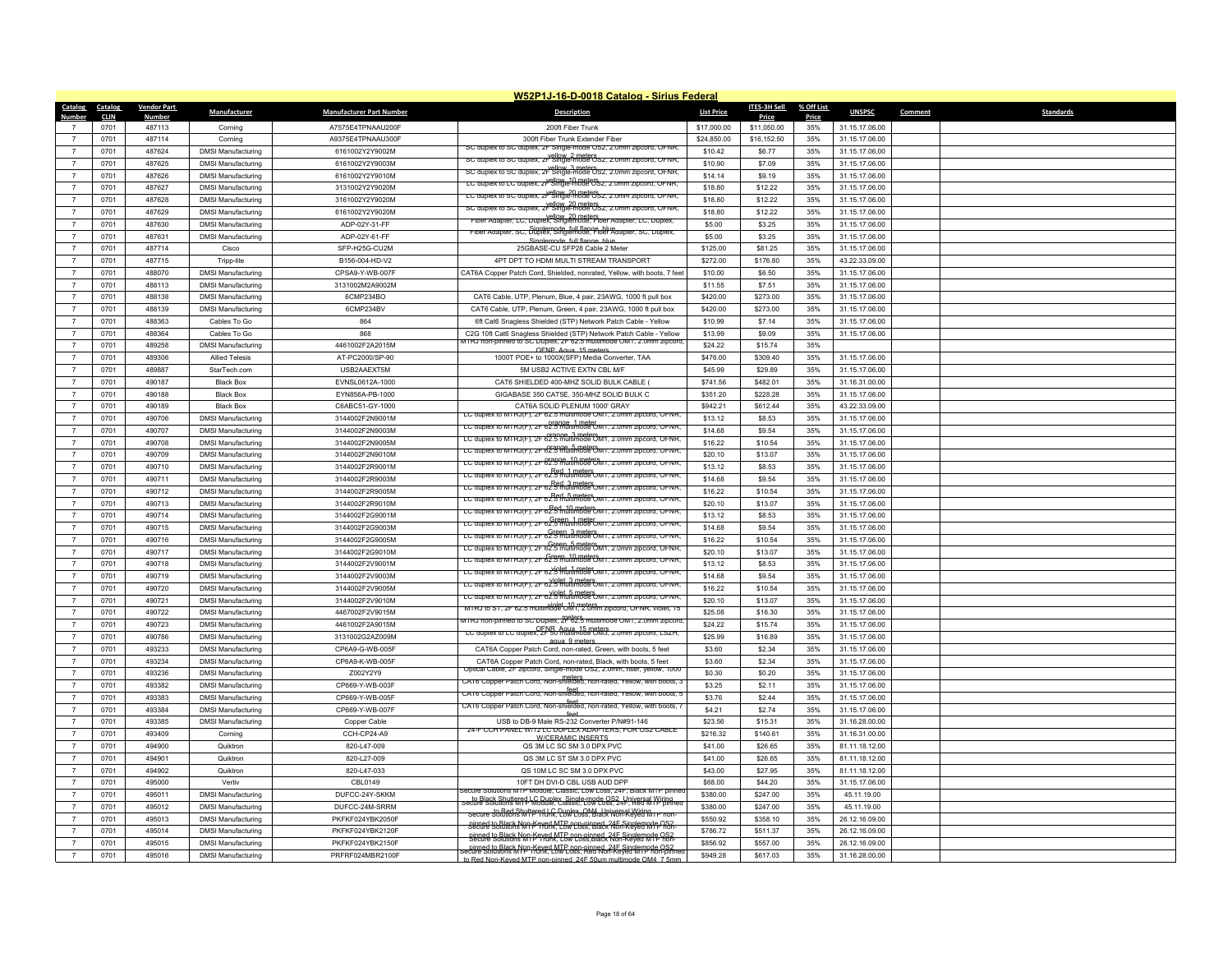|                |             |                    |                           |                                 | W52P1J-16-D-0018 Catalog - Sirius Federal                                                                                                  |                   |              |            |                |         |                  |
|----------------|-------------|--------------------|---------------------------|---------------------------------|--------------------------------------------------------------------------------------------------------------------------------------------|-------------------|--------------|------------|----------------|---------|------------------|
| Catalog        | Catalog     | <b>Vendor Part</b> | Manufacturer              | <b>Manufacturer Part Number</b> | Description                                                                                                                                | <b>List Price</b> | ITES-3H Sell | % Off List | <b>UNSPSC</b>  | Comment | <b>Standards</b> |
| <b>Number</b>  | <b>CLIN</b> | <b>Number</b>      |                           |                                 |                                                                                                                                            |                   | Price        | Price      |                |         |                  |
| $\overline{7}$ | 0701        | 487113             | Corning                   | A7575E4TPNAAU200F               | 200ft Fiber Trunk                                                                                                                          | \$17,000.00       | \$11,050.00  | 35%        | 31.15.17.06.00 |         |                  |
| $\overline{7}$ | 0701        | 487114             | Corning                   | A9375F4TPNAAU300F               | 300ft Fiber Trunk Extender Fiber<br>SC duplex to SC duplex, 2F Single-mode OS2, 2.0mm zipcord, OFNR                                        | \$24,850.00       | \$16,152.50  | 35%        | 31.15.17.06.00 |         |                  |
| $\overline{7}$ | 0701        | 487624             | <b>DMSI Manufacturing</b> | 6161002Y2Y9002M                 | SC duplex to SC duplex, 2F Single-mode OS2, 2.0mm zipcord, OFNR,                                                                           | \$10.42           | \$6.77       | 35%        | 31.15.17.06.00 |         |                  |
| $\overline{7}$ | 0701        | 487625             | <b>DMSI Manufacturing</b> | 6161002Y2Y9003M                 | vellow 3 meters<br>SC duplex to SC duplex, 2F Single-mode 0sz, 2.0mm zipcord, OFNR,                                                        | \$10.90           | \$7.09       | 35%        | 31.15.17.06.00 |         |                  |
| $\overline{7}$ | 0701        | 487626             | <b>DMSI Manufacturing</b> | 6161002Y2Y9010M                 | LC auplex to LC auplex, zk <sup>ellow</sup> , 10.888°CSz, z.umn                                                                            | \$14.14           | \$9.19       | 35%        | 31.15.17.06.00 |         |                  |
| $\overline{7}$ | 0701        | 487627             | <b>DMSI Manufacturing</b> | 3131002Y2Y9020M                 | LC duplex to SC duplex, 2P Single-mode OS2, 2.0mm zipcord, OFNR,                                                                           | \$18.80           | \$12.22      | 35%        | 31.15.17.06.00 |         |                  |
| $\overline{7}$ | 0701        | 487628             | <b>DMSI Manufacturing</b> | 3161002Y2Y9020M                 | SC duplex to SC duplex, 2F Single-mode OS2, 2.0mm zipcord, OFNR                                                                            | \$18.80           | \$12.22      | 35%        | 31.15.17.06.00 |         |                  |
| $\overline{7}$ | 0701        | 487629             | <b>DMSI Manufacturing</b> | 6161002Y2Y9020M                 | vellow 20 meters.<br>Fiber Adapter, LC, Duplex, Singlemode, Fiber Adapter, LC, Duplex,                                                     | \$18.80           | \$12.22      | 35%        | 31.15.17.06.00 |         |                  |
| $\overline{7}$ | 0701        | 487630             | <b>DMSI Manufacturing</b> | ADP-02Y-31-FF                   | Fiber Adapter, SC, Duplex, Singlemode, Fiber Adapter, SC, Duplex,                                                                          | \$5.00            | \$3.25       | 35%        | 31.15.17.06.00 |         |                  |
| $\overline{7}$ | 0701        | 487631             | <b>DMSI Manufacturing</b> | ADP-02Y-61-FF                   | Singlemode, full flange, blue                                                                                                              | \$5.00            | \$3.25       | 35%        | 31.15.17.06.00 |         |                  |
| $\overline{7}$ | 0701        | 487714             | Cisco                     | SFP-H25G-CU2M                   | 25GBASE-CU SFP28 Cable 2 Meter                                                                                                             | \$125.00          | \$81.25      | 35%        | 31.15.17.06.00 |         |                  |
| $\overline{7}$ | 0701        | 487715             | Tripp-lite                | B156-004-HD-V2                  | 4PT DPT TO HDMI MULTI STREAM TRANSPORT                                                                                                     | \$272.00          | \$176.80     | 35%        | 43.22.33.09.00 |         |                  |
| $\overline{7}$ | 0701        | 488070             | <b>DMSI Manufacturing</b> | CPSA9-Y-WB-007F                 | CAT6A Copper Patch Cord, Shielded, nonrated, Yellow, with boots, 7 feet                                                                    | \$10.00           | \$6.50       | 35%        | 31.15.17.06.00 |         |                  |
| $\overline{7}$ | 0701        | 488113             | <b>DMSI Manufacturing</b> | 3131002M2A9002M                 |                                                                                                                                            | \$11.55           | \$7.51       | 35%        | 31.15.17.06.00 |         |                  |
| $\overline{7}$ | 0701        | 488138             | <b>DMSI Manufacturing</b> | 6CMP234BO                       | CAT6 Cable, UTP, Plenum, Blue, 4 pair, 23AWG, 1000 ft pull box                                                                             | \$420.00          | \$273.00     | 35%        | 31.15.17.06.00 |         |                  |
| $\overline{7}$ | 0701        | 488139             | <b>DMSI Manufacturing</b> | 6CMP234BV                       | CAT6 Cable, UTP, Plenum, Green, 4 pair, 23AWG, 1000 ft pull box                                                                            | \$420.00          | \$273.00     | 35%        | 31.15.17.06.00 |         |                  |
| $\overline{7}$ | 0701        | 488363             | Cables To Go              | 864                             | 6ft Cat6 Snagless Shielded (STP) Network Patch Cable - Yellow                                                                              | \$10.99           | \$7.14       | 35%        | 31.15.17.06.00 |         |                  |
| $\overline{7}$ | 0701        | 488364             | Cables To Go              | 868                             | C2G 10ft Cat6 Snagless Shielded (STP) Network Patch Cable - Yellow                                                                         | \$13.99           | \$9.09       | 35%        | 31.15.17.06.00 |         |                  |
| $\overline{7}$ | 0701        | 489258             | <b>DMSI Manufacturing</b> | 4461002F2A2015M                 | TIRJ non-pinned to SC Duplex, 2F 62.5 multimode OM1, 2.0mm zipcoro                                                                         | \$24.22           | \$15.74      | 35%        |                |         |                  |
| $\overline{7}$ | 0701        | 489306             | <b>Allied Telesis</b>     | AT-PC2000/SP-90                 | OFNP Agua 15 meters<br>1000T POE+ to 1000X(SFP) Media Converter, TAA                                                                       | \$476.00          | \$309.40     | 35%        | 31.15.17.06.00 |         |                  |
| $\overline{7}$ | 0701        | 489887             | StarTech.com              | USB2AAEXT5M                     | 5M USB2 ACTIVE EXTN CBL M/F                                                                                                                | \$45.99           | \$29.89      | 35%        | 31.15.17.06.00 |         |                  |
| $\overline{7}$ | 0701        | 490187             | <b>Black Box</b>          | EVNSL0612A-1000                 | CAT6 SHIELDED 400-MHZ SOLID BULK CABLE (                                                                                                   | \$741.56          | \$482.01     | 35%        | 31.16.31.00.00 |         |                  |
| $\overline{7}$ |             |                    |                           |                                 |                                                                                                                                            |                   |              |            |                |         |                  |
|                | 0701        | 490188             | <b>Black Box</b>          | EYN856A-PB-1000                 | GIGABASE 350 CAT5E, 350-MHZ SOLID BULK C                                                                                                   | \$351.20          | \$228.28     | 35%        | 31.15.17.06.00 |         |                  |
| $\overline{7}$ | 0701        | 490189             | <b>Black Box</b>          | C6ABC51-GY-1000                 | CAT6A SOLID PLENUM 1000' GRAY<br>LC duplex to MTRJ(F), 2F 62.5 multimode OM1, 2.0mm zipcord, OFNR,                                         | \$942.21          | \$612.44     | 35%        | 43.22.33.09.00 |         |                  |
| $\overline{7}$ | 0701        | 490706             | <b>DMSI Manufacturing</b> | 3144002F2N9001M                 | LC duplex to MTRJ(F), 2F 62.5 multimode OM1, 2.0mm zipcord, OFNR,                                                                          | \$13.12           | \$8.53       | 35%        | 31.15.17.06.00 |         |                  |
| $\overline{7}$ | 0701        | 490707             | <b>DMSI Manufacturing</b> | 3144002F2N9003M                 | LC duplex to MTRJ(F), 2F 62.5 multimode OM1, 2.0mm zipcord, OFNR,                                                                          | \$14.68           | \$9.54       | 35%        | 31.15.17.06.00 |         |                  |
| $\overline{7}$ | 0701        | 490708             | <b>DMSI Manufacturing</b> | 3144002F2N9005M                 | LC duplex to MTRJ(F), 2F 62.5 multimode OM1, 2.0mm zipcord, OFNR,                                                                          | \$16.22           | \$10.54      | 35%        | 31.15.17.06.00 |         |                  |
| $\overline{7}$ | 0701        | 490709             | <b>DMSI Manufacturing</b> | 3144002F2N9010M                 | LC duplex to MTRJ(F), 2F 62.5 multimode OM1, 2.0mm zipcord, OFNR                                                                           | \$20.10           | \$13.07      | 35%        | 31.15.17.06.00 |         |                  |
| $\overline{7}$ | 0701        | 490710             | <b>DMSI Manufacturing</b> | 3144002F2R9001M                 | LC duplex to MTRJ(F), 2F 62.5 multimode OM1, 2.0mm zipcord, OFNR,                                                                          | \$13.12           | \$8.53       | 35%        | 31.15.17.06.00 |         |                  |
| $\overline{7}$ | 0701        | 490711             | <b>DMSI Manufacturing</b> | 3144002F2R9003M                 | LC duplex to MTRJ(F), 2F 62.5 multimode OM1, 2.0mm zipcord, OFNR,                                                                          | \$14.68           | \$9.54       | 35%        | 31.15.17.06.00 |         |                  |
| $\overline{7}$ | 0701        | 490712             | <b>DMSI Manufacturing</b> | 3144002F2R9005M                 | LC duplex to MTRJ(F), 2F 62.5 multimode OM1, 2.0mm zipcord, OFNR                                                                           | \$16.22           | \$10.54      | 35%        | 31.15.17.06.00 |         |                  |
| $\overline{7}$ | 0701        | 490713             | <b>DMSI Manufacturing</b> | 3144002F2R9010M                 | LC duplex to MTRJ(F), 2F 62.5 multimode OM1, 2.0mm zipcord, OFNR,                                                                          | \$20.10           | \$13.07      | 35%        | 31.15.17.06.00 |         |                  |
| $\overline{7}$ | 0701        | 490714             | <b>DMSI Manufacturing</b> | 3144002F2G9001M                 | Green, 1 meter<br>.LC duplex to MTRJ(F), 2F 62.5 multimode UM1, 2.0mm zipcord, UFNR                                                        | \$13.12           | \$8.53       | 35%        | 31.15.17.06.00 |         |                  |
| $\overline{7}$ | 0701        | 490715             | <b>DMSI Manufacturing</b> | 3144002F2G9003M                 |                                                                                                                                            | \$14.68           | \$9.54       | 35%        | 31.15.17.06.00 |         |                  |
| $\overline{7}$ | 0701        | 490716             | <b>DMSI Manufacturing</b> | 3144002F2G9005M                 | EC duplex to MTRJ(F), 2F 62.5 multimode OM1, 2.0mm zipcord, OFNR,                                                                          | \$16.22           | \$10.54      | 35%        | 31.15.17.06.00 |         |                  |
| $\overline{7}$ | 0701        | 490717             | <b>DMSI Manufacturing</b> | 3144002F2G9010M                 | LC duplex to MTRJ(F), 2F 62.5 multimode OM1, 2.0mm zipcord, OFNR,                                                                          | \$20.10           | \$13.07      | 35%        | 31.15.17.06.00 |         |                  |
| $\overline{7}$ | 0701        | 490718             | <b>DMSI Manufacturing</b> | 3144002F2V9001M                 | LC duplex to MTRJ(F), 2F 62.5 multimode OM1, 2.0mm zipcord, OFNR,                                                                          | \$13.12           | \$8.53       | 35%        | 31.15.17.06.00 |         |                  |
| $\overline{7}$ | 0701        | 490719             | <b>DMSI Manufacturing</b> | 3144002F2V9003M                 | LC duplex to MTRJ(F), 2F 62.5 multimode OM1, 2.0mm zipcord, OFNR,                                                                          | \$14.68           | \$9.54       | 35%        | 31.15.17.06.00 |         |                  |
| $\overline{7}$ | 0701        | 490720             | <b>DMSI Manufacturing</b> | 3144002F2V9005M                 | LC duplex to MTRJ(F), 2F 62.5 multimode OM1, 2.0mm zipcord, OFNR                                                                           | \$16.22           | \$10.54      | 35%        | 31.15.17.06.00 |         |                  |
| $\overline{7}$ | 0701        | 490721             | <b>DMSI Manufacturing</b> | 3144002F2V9010M                 | LC duplex to MTRJ(F), 2F 62.5 multimode OM1, 2.0mm zipcord, OFNR,                                                                          | \$20.10           | \$13.07      | 35%        | 31.15.17.06.00 |         |                  |
| $\overline{7}$ | 0701        | 490722             | <b>DMSI Manufacturing</b> | 4467002F2V9015M                 | MTRJ to ST, 2F 62.5 multimode OM1, 2.0mm zipcord, OFNR, violet, 15                                                                         | \$25.08           | \$16.30      | 35%        | 31.15.17.06.00 |         |                  |
| $\overline{7}$ | 0701        | 490723             | <b>DMSI Manufacturing</b> | 4461002F2A9015M                 | MTRJ non-pinned to SC Duplex, 2F 62.5 multimode OM1, 2.0mm zipcoro                                                                         | \$24.22           | \$15.74      | 35%        | 31.15.17.06.00 |         |                  |
| $\overline{7}$ | 0701        | 490786             | <b>DMSI Manufacturing</b> | 3131002G2AZ009M                 | LC duplex to LC duplex, 2F 50 multimode CM3, 2.0mm zipcord, LSZH,                                                                          | \$25.99           | \$16.89      | 35%        | 31.15.17.06.00 |         |                  |
| $\overline{7}$ | 0701        | 493233             | <b>DMSI Manufacturing</b> | CP6A9-G-WB-005F                 | agua 9 meters<br>CAT6A Copper Patch Cord, non-rated, Green, with boots, 5 feet                                                             | \$3.60            | \$2.34       | 35%        | 31.15.17.06.00 |         |                  |
| $\overline{7}$ | 0701        | 493234             | <b>DMSI Manufacturing</b> | CP6A9-K-WB-005F                 | CAT6A Copper Patch Cord, non-rated, Black, with boots, 5 feet                                                                              | \$3.60            | \$2.34       | 35%        | 31.15.17.06.00 |         |                  |
| $\overline{7}$ | 0701        | 493236             | <b>DMSI Manufacturing</b> | Z002Y2Y9                        | Optical Cable, 2F zipcord, Single-mode OS2, 2.0mm, riser, yellow, 1000                                                                     | \$0.30            | \$0.20       | 35%        | 31.15.17.06.00 |         |                  |
| $\overline{7}$ | 0701        | 493382             | <b>DMSI Manufacturing</b> | CP669-Y-WB-003F                 | meters<br>CAT6 Copper Patch Cord, Non-shielded, non-rated, Yellow, with boots, 3                                                           | \$3.25            | \$2.11       | 35%        | 31.15.17.06.00 |         |                  |
| $\overline{7}$ | 0701        | 493383             | <b>DMSI Manufacturing</b> | CP669-Y-WB-005F                 | teet<br>CAT6 Copper Patch Cord, Non-shielded, non-rated, Yellow, with boots, t                                                             | \$3.76            | \$2.44       | 35%        | 31.15.17.06.00 |         |                  |
| $\overline{7}$ | 0701        | 493384             | <b>DMSI Manufacturing</b> | CP669-Y-WB-007F                 | feet<br>CAT6 Copper Patch Cord, Non-shielded, non-rated, Yellow, with boots,                                                               | \$4.21            | \$2.74       | 35%        | 31.15.17.06.00 |         |                  |
|                |             |                    |                           |                                 |                                                                                                                                            |                   |              |            |                |         |                  |
| $\overline{7}$ | 0701        | 493385             | <b>DMSI Manufacturing</b> | Copper Cable                    | USB to DB-9 Male RS-232 Converter P/N#91-146<br>24-F CCH PANEL W/12 LC DUPLEX ADAPTERS, FOR OS2 CABLE                                      | \$23.56           | \$15.31      | 35%        | 31.16.28.00.00 |         |                  |
| $\overline{7}$ | 0701        | 493409             | Corning                   | CCH-CP24-A9                     | W/CERAMIC INSERTS                                                                                                                          | \$216.32          | \$140.61     | 35%        | 31.16.31.00.00 |         |                  |
| $\overline{7}$ | 0701        | 494900             | Quiktron                  | 820-L47-009                     | QS 3M LC SC SM 3.0 DPX PVC                                                                                                                 | \$41.00           | \$26.65      | 35%        | 81.11.18.12.00 |         |                  |
| $\overline{7}$ | 0701        | 494901             | Quiktron                  | 820-L27-009                     | QS 3M LC ST SM 3.0 DPX PVC                                                                                                                 | \$41.00           | \$26.65      | 35%        | 81.11.18.12.00 |         |                  |
| $\overline{7}$ | 0701        | 494902             | Quiktron                  | 820-L47-033                     | QS 10M LC SC SM 3.0 DPX PVC                                                                                                                | \$43.00           | \$27.95      | 35%        | 81.11.18.12.00 |         |                  |
| $\overline{7}$ | 0701        | 495000             | Vertiv                    | CBL0149                         | 10FT DH DVI-D CBL USB AUD DPP<br>ecure Solutions MTP Module, Classic, Low Loss, 24F, Black MTP pinne                                       | \$68.00           | \$44.20      | 35%        | 31.15.17.06.00 |         |                  |
| $\overline{7}$ | 0701        | 495011             | <b>DMSI Manufacturing</b> | DUFCC-24Y-SKKM                  | secure Solutions MTP Module, Classic, Low Loss, 24F, Red MTP pinned<br>Secure Solutions MTP Module, Classic, Low Loss, 24F, Red MTP pinned | \$380.00          | \$247.00     | 35%        | 45.11.19.00    |         |                  |
| $\overline{7}$ | 0701        | 495012             | <b>DMSI Manufacturing</b> | DUFCC-24M-SRRM                  | Secure to Red Shuttered LC Duplex OM4, Universal Wiring<br>Secure Solutions MTP Trunk, Low Loss, Black Non-Keved MTP non-                  | \$380.00          | \$247.00     | 35%        | 45.11.19.00    |         |                  |
| $\overline{7}$ | 0701        | 495013             | <b>DMSI Manufacturing</b> | PKFKF024YBK2050F                | pinned to Black Non-Keyed MTP non-ninned, 24F Singlemode OS2.<br>Secure Solutions MTP Trunk, Low Loss, Black Non-Keyed MTP non-            | \$550.92          | \$358.10     | 35%        | 26.12.16.09.00 |         |                  |
| $\overline{7}$ | 0701        | 495014             | <b>DMSI Manufacturing</b> | PKFKF024YBK2120F                | pinned to Black Non-Keyed MTP non-ninned, 24E Singlemode OS2                                                                               | \$786.72          | \$511.37     | 35%        | 26.12.16.09.00 |         |                  |
| $\overline{7}$ | 0701        | 495015             | <b>DMSI Manufacturing</b> | PKFKF024YBK2150F                | ninned to Black Non-Keyed MTP non-pinned, 24E Singlemode OS2<br>secure Solutions MTP Trunk, Low Loss, Red Non-Keyed MTP non-pinned         | \$856.92          | \$557.00     | 35%        | 26.12.16.09.00 |         |                  |
| $\overline{7}$ | 0701        | 495016             | <b>DMSI Manufacturing</b> | PRFRF024MBR2100F                | to Red Non-Keyed MTP non-ninned 24F 50um multimode OM4 7 5mn                                                                               | \$949.28          | \$617.03     | 35%        | 31.16.28.00.00 |         |                  |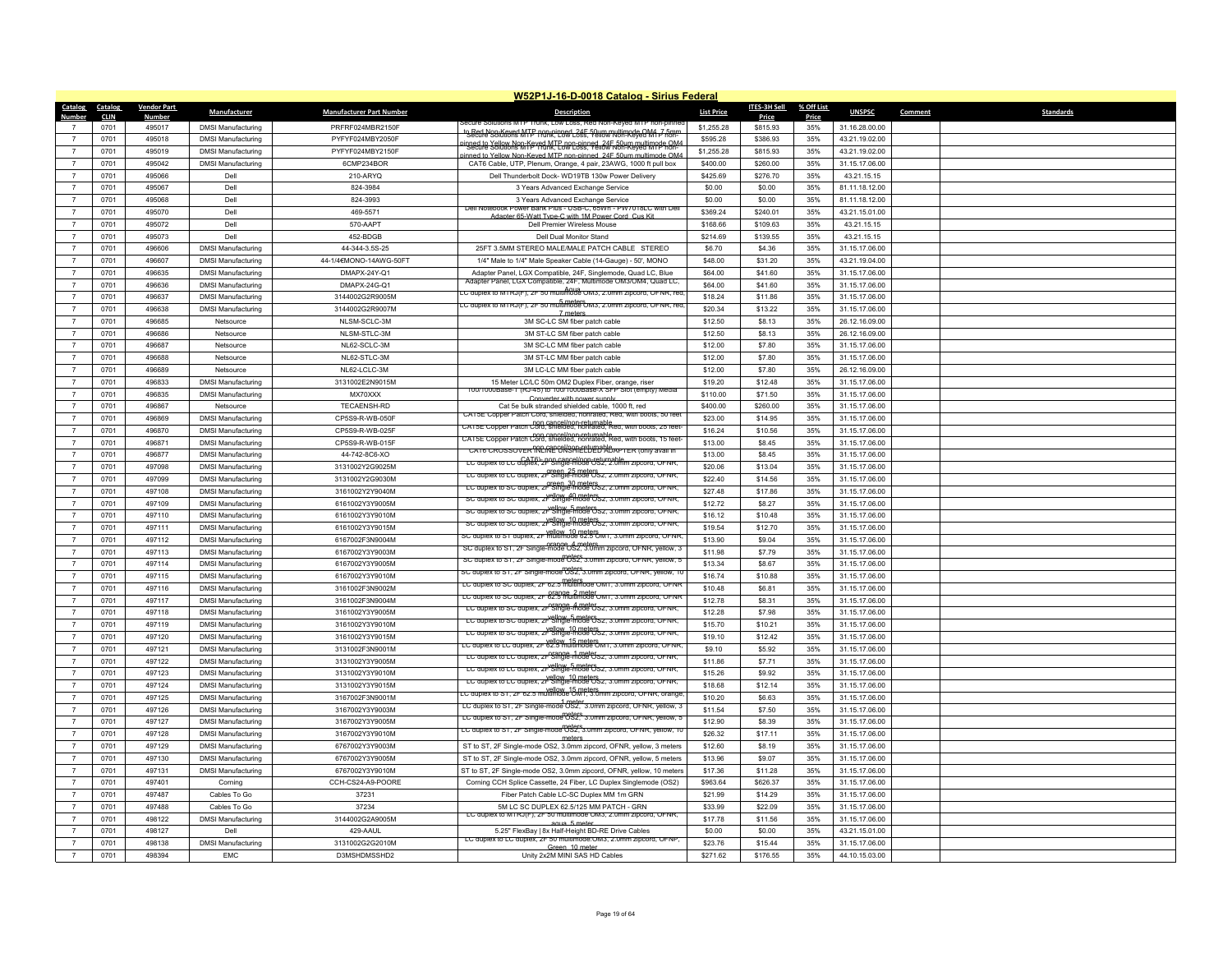|                  | W52P1J-16-D-0018 Catalog - Sirius Federal |                         |                           |                                 |                                                                                                                                                       |                   |                   |              |                |                             |  |
|------------------|-------------------------------------------|-------------------------|---------------------------|---------------------------------|-------------------------------------------------------------------------------------------------------------------------------------------------------|-------------------|-------------------|--------------|----------------|-----------------------------|--|
| Catalog          | Catalog                                   | <b>Vendor Part</b>      | <b>Manufacturer</b>       | <b>Manufacturer Part Number</b> | <b>Description</b>                                                                                                                                    | <b>List Price</b> | ITES-3H Sell      | % Off List   | <b>UNSPSC</b>  | <b>Standards</b><br>Comment |  |
| Number           | <b>CLIN</b><br>0701                       | <u>Number</u><br>495017 | <b>DMSI Manufacturing</b> | PRFRF024MBR2150F                |                                                                                                                                                       | \$1,255,28        | Price<br>\$815.93 | Price<br>35% | 31.16.28.00.00 |                             |  |
| $\overline{7}$   | 0701                                      | 495018                  | <b>DMSI Manufacturing</b> | PYFYF024MBY2050F                | to Bed Non-Keyed MTP non-pinned 24F 50um multimode OMA 7 5mm                                                                                          | \$595.28          | \$386.93          | 35%          | 43.21.19.02.00 |                             |  |
| $\overline{7}$   | 0701                                      | 495019                  | <b>DMSI Manufacturing</b> | PYFYF024MBY2150F                | inned to Yellow Non-Keyed MTP non-pinned, 245 50um multimode OM4                                                                                      | \$1,255.28        | \$815.93          | 35%          | 43.21.19.02.00 |                             |  |
| $\overline{7}$   |                                           | 495042                  |                           | 6CMP234BOR                      | inned to Yellow Non-Keved MTP non-pinned 24F 50um multimode OM                                                                                        | \$400.00          |                   | 35%          | 31.15.17.06.00 |                             |  |
| $\overline{7}$   | 0701                                      |                         | <b>DMSI Manufacturing</b> |                                 | CAT6 Cable, UTP, Plenum, Orange, 4 pair, 23AWG, 1000 ft pull box                                                                                      |                   | \$260.00          |              |                |                             |  |
|                  | 0701                                      | 495066                  | Dell                      | 210-ARYQ                        | Dell Thunderbolt Dock- WD19TB 130w Power Delivery                                                                                                     | \$425.69          | \$276.70          | 35%          | 43.21.15.15    |                             |  |
| $\overline{7}$   | 0701                                      | 495067                  | Dell                      | 824-3984                        | 3 Years Advanced Exchange Service                                                                                                                     | \$0.00            | \$0.00            | 35%          | 81.11.18.12.00 |                             |  |
| $\overline{7}$   | 0701                                      | 495068                  | Dell                      | 824-3993                        | 3 Years Advanced Exchange Service<br>Dell Notebook Power Bank Plus - USB-C, 65Wh - PW7018LC with Del                                                  | \$0.00            | \$0.00            | 35%          | 81.11.18.12.00 |                             |  |
| $\overline{7}$   | 0701                                      | 495070                  | Dell                      | 469-5571                        | Adanter 65-Watt Tyne-C with 1M Power Cord, Cus Kit                                                                                                    | \$369.24          | \$240.01          | 35%          | 43.21.15.01.00 |                             |  |
| $\overline{7}$   | 0701                                      | 495072                  | Dell                      | 570-AAPT                        | Dell Premier Wireless Mouse                                                                                                                           | \$168.66          | \$109.63          | 35%          | 43.21.15.15    |                             |  |
| $\overline{7}$   | 0701                                      | 495073                  | Dell                      | 452-BDGB                        | Dell Dual Monitor Stand                                                                                                                               | \$214.69          | \$139.55          | 35%          | 43.21.15.15    |                             |  |
| $\overline{7}$   | 0701                                      | 496606                  | <b>DMSI Manufacturing</b> | 44-344-3.5S-25                  | 25FT 3.5MM STEREO MALE/MALE PATCH CABLE STEREO                                                                                                        | \$6.70            | \$4.36            | 35%          | 31.15.17.06.00 |                             |  |
| $\overline{7}$   | 0701                                      | 496607                  | <b>DMSI Manufacturing</b> | 44-1/4€MONO-14AWG-50FT          | 1/4" Male to 1/4" Male Speaker Cable (14-Gauge) - 50', MONO                                                                                           | \$48.00           | \$31.20           | 35%          | 43.21.19.04.00 |                             |  |
| $\overline{7}$   | 0701                                      | 496635                  | <b>DMSI Manufacturing</b> | DMAPX-24Y-Q1                    | Adapter Panel, LGX Compatible, 24F, Singlemode, Quad LC, Blue<br>Adapter Panel, LGX Compatible, 24F, Multimode OM3/OM4, Quad LC,                      | \$64.00           | \$41.60           | 35%          | 31.15.17.06.00 |                             |  |
| $\overline{7}$   | 0701                                      | 496636                  | <b>DMSI Manufacturing</b> | DMAPX-24G-Q1                    | EC duplex to MTRJ(F), 2F 50 multimode OM3, 2.0mm zipcord, OFNR, red.                                                                                  | \$64.00           | \$41.60           | 35%          | 31.15.17.06.00 |                             |  |
| $\overline{7}$   | 0701                                      | 496637                  | <b>DMSI Manufacturing</b> | 3144002G2R9005M                 | ت duplex to m ו Ku(F), zF <del>ou multimode "U</del> ma, z.umm zipcora, OFNR, rec                                                                     | \$18.24           | \$11.86           | 35%          | 31.15.17.06.00 |                             |  |
| $\overline{7}$   | 0701                                      | 496638                  | <b>DMSI Manufacturing</b> | 3144002G2R9007M                 | 7 meter                                                                                                                                               | \$20.34           | \$13.22           | 35%          | 31.15.17.06.00 |                             |  |
| $\overline{7}$   | 0701                                      | 496685                  | Netsource                 | NLSM-SCLC-3M                    | 3M SC-LC SM fiber patch cable                                                                                                                         | \$12.50           | \$8.13            | 35%          | 26.12.16.09.00 |                             |  |
| $\overline{7}$   | 0701                                      | 496686                  | Netsource                 | NLSM-STLC-3M                    | 3M ST-LC SM fiber patch cable                                                                                                                         | \$12.50           | \$8.13            | 35%          | 26.12.16.09.00 |                             |  |
| $\overline{7}$   | 0701                                      | 496687                  | Netsource                 | NL62-SCLC-3M                    | 3M SC-LC MM fiber patch cable                                                                                                                         | \$12.00           | \$7.80            | 35%          | 31.15.17.06.00 |                             |  |
| $\overline{7}$   | 0701                                      | 496688                  | Netsource                 | NL62-STLC-3M                    | 3M ST-LC MM fiber patch cable                                                                                                                         | \$12.00           | \$7.80            | 35%          | 31.15.17.06.00 |                             |  |
| $\overline{7}$   | 0701                                      | 496689                  | Netsource                 | NL62-LCLC-3M                    | 3M LC-LC MM fiber patch cable                                                                                                                         | \$12.00           | \$7.80            | 35%          | 26.12.16.09.00 |                             |  |
| $\overline{7}$   | 0701                                      | 496833                  | <b>DMSI Manufacturing</b> | 3131002E2N9015M                 | 15 Meter LC/LC 50m OM2 Duplex Fiber, orange, riser<br>100/1000Base-1 (RJ-45) to 100/1000Base-X SFP Slot (empty) Media                                 | \$19.20           | \$12.48           | 35%          | 31.15.17.06.00 |                             |  |
| $\overline{7}$   | 0701                                      | 496835                  | <b>DMSI Manufacturing</b> | MX70XXX                         | Converter with nower supply                                                                                                                           | \$110.00          | \$71.50           | 35%          | 31.15.17.06.00 |                             |  |
| $\overline{7}$   | 0701                                      | 496867                  | Netsource                 | TECAENSH-RD                     | Cat 5e bulk stranded shielded cable, 1000 ft, red<br>CAT5E Copper Patch Cord, shielded, nonrated, Red, with boots, 50 fee                             | \$400.00          | \$260.00          | 35%          | 31.15.17.06.00 |                             |  |
| $\overline{7}$   | 0701                                      | 496869                  | <b>DMSI Manufacturing</b> | CP5S9-R-WB-050F                 | CAT5E Copper Patch Cord, shielded, nonrated, Red, with boots, 25 feet-                                                                                | \$23.00           | \$14.95           | 35%          | 31.15.17.06.00 |                             |  |
| $\overline{7}$   | 0701                                      | 496870                  | <b>DMSI Manufacturing</b> | CP5S9-R-WB-025F                 | CAT5E Copper Patch Cord, shielded, nonrated, Red, with boots, 15 feet-                                                                                | \$16.24           | \$10.56           | 35%          | 31.15.17.06.00 |                             |  |
| $\boldsymbol{7}$ | 0701                                      | 496871                  | <b>DMSI Manufacturing</b> | CP5S9-R-WB-015F                 | CATE CROSSOVER TREME ON SAFE UP ADAPTER (ONLY avail in                                                                                                | \$13.00           | \$8.45            | 35%          | 31.15.17.06.00 |                             |  |
| $\overline{7}$   | 0701                                      | 496877                  | <b>DMSI Manufacturing</b> | 44-742-8C6-XO                   | LC duplex to LC duplex, 2F Single-mode OS2, 2.0mm zipcord, OFNR.                                                                                      | \$13.00           | \$8.45            | 35%          | 31.15.17.06.00 |                             |  |
| $\overline{7}$   | 0701                                      | 497098                  | <b>DMSI Manufacturing</b> | 3131002Y2G9025M                 | creen 25 meters<br>LC duplex to LC duplex, 2F Single-mode US2, 2.0mm zipcord, OFNR,                                                                   | \$20.06           | \$13.04           | 35%          | 31.15.17.06.00 |                             |  |
| $\overline{7}$   | 0701                                      | 497099                  | <b>DMSI Manufacturing</b> | 3131002Y2G9030M                 | LC duplex to SC duplex, 2F Single-mode OS2, 2.0mm zipcord, OFNR,                                                                                      | \$22.40           | \$14.56           | 35%          | 31.15.17.06.00 |                             |  |
| $\overline{7}$   | 0701                                      | 497108                  | <b>DMSI Manufacturing</b> | 3161002Y2Y9040M                 | SC duplex to SC duplex, 2P Single-mode OS2, 3.0mm zipcord, OFNR,                                                                                      | \$27.48           | \$17.86           | 35%          | 31.15.17.06.00 |                             |  |
| $\overline{7}$   | 0701                                      | 497109                  | <b>DMSI Manufacturing</b> | 6161002Y3Y9005M                 | SC duplex to SC duplex, 21 Single-mode OS2, 3.0mm zipcord, OFNR,                                                                                      | \$12.72           | \$8.27            | 35%          | 31.15.17.06.00 |                             |  |
| $\overline{7}$   | 0701                                      | 497110                  | <b>DMSI Manufacturing</b> | 6161002Y3Y9010M                 | sc duplex to SC duplex, 2F Single-mode US2, 3.0mm zipcord, OFNR,                                                                                      | \$16.12           | \$10.48           | 35%          | 31.15.17.06.00 |                             |  |
| $\overline{7}$   | 0701                                      | 497111                  | <b>DMSI Manufacturing</b> | 6161002Y3Y9015M                 | SC duplex to ST duplex, 2F multimode 62.5 OM1, 3.0mm zipcord, OFNR,                                                                                   | \$19.54           | \$12.70           | 35%          | 31.15.17.06.00 |                             |  |
| $\overline{7}$   | 0701                                      | 497112                  | <b>DMSI Manufacturing</b> | 6167002F3N9004M                 | SC duplex to S1, 2F Single-mode 0S2, 3.0mm zipcord, OFNR, yellow, 3                                                                                   | \$13.90           | \$9.04            | 35%          | 31.15.17.06.00 |                             |  |
| $\overline{7}$   | 0701                                      | 497113                  | <b>DMSI Manufacturing</b> | 6167002Y3Y9003M                 | SC duplex to S1, 2F Single-mode US2, 3.0mm zipcord, OFNR, yellow, 5                                                                                   | \$11.98           | \$7.79            | 35%          | 31.15.17.06.00 |                             |  |
| $\overline{7}$   | 0701                                      | 497114                  | <b>DMSI Manufacturing</b> | 6167002Y3Y9005M                 |                                                                                                                                                       | \$13.34           | \$8.67            | 35%          | 31.15.17.06.00 |                             |  |
| $\overline{7}$   | 0701                                      | 497115                  | <b>DMSI Manufacturing</b> | 6167002Y3Y9010M                 | SC duplex to ST, 2F Single-mode US2, 3.0mm zipcord, OFNR, yellow, 10<br>meters.<br>LC duplex to SC duplex, 2F 62.5 multimode OM1, 3.0mm zipcord, OFNR | \$16.74           | \$10.88           | 35%          | 31.15.17.06.00 |                             |  |
| $\overline{7}$   | 0701                                      | 497116                  | <b>DMSI Manufacturing</b> | 3161002F3N9002M                 | LC duplex to SC duplex, 2F 62.5 multimode OM1, 3.0mm zipcord, OFNR                                                                                    | \$10.48           | \$6.81            | 35%          | 31.15.17.06.00 |                             |  |
|                  | 0701                                      | 497117                  | <b>DMSI Manufacturing</b> | 3161002F3N9004M                 | LC duplex to SC duplex, 2F Single-mode US2, 3.0mm zipcord, OFNR,                                                                                      | \$12.78           | \$8.31            | 35%          | 31.15.17.06.00 |                             |  |
| $\overline{7}$   | 0701                                      | 497118                  | <b>DMSI Manufacturing</b> | 3161002Y3Y9005M                 | LC duplex to SC duplex, 2F Single-mode US2, 3.0mm zipcord, OFNR,                                                                                      | \$12.28           | \$7.98            | 35%          | 31.15.17.06.00 |                             |  |
| $\overline{7}$   | 0701                                      | 497119                  | <b>DMSI Manufacturing</b> | 3161002Y3Y9010M                 | LC duplex to SC duplex, 2F Single-mode OS2, 3.0mm zipcord, OFNR,                                                                                      | \$15.70           | \$10.21           | 35%          | 31.15.17.06.00 |                             |  |
| $\overline{7}$   | 0701                                      | 497120                  | <b>DMSI Manufacturing</b> | 3161002Y3Y9015M                 | LC duplex to LC duplex, 2F 62.5 multimode OM1, 3.0mm zipcord, OFNR.                                                                                   | \$19.10           | \$12.42           | 35%          | 31.15.17.06.00 |                             |  |
| $\overline{7}$   | 0701                                      | 497121                  | <b>DMSI Manufacturing</b> | 3131002F3N9001M                 | LC duplex to LC duplex, 2F Single-mode OS2, 3.0mm zipcord, OFNR,                                                                                      | \$9.10            | \$5.92            | 35%          | 31.15.17.06.00 |                             |  |
| $\overline{7}$   | 0701                                      | 497122                  | <b>DMSI Manufacturing</b> | 3131002Y3Y9005M                 | LC duplex to LC duplex, 2F Single-mode 0s2, 3.0mm zipcord, OFNR,                                                                                      | \$11.86           | \$7.71            | 35%          | 31.15.17.06.00 |                             |  |
| $\overline{7}$   | 0701                                      | 497123                  | <b>DMSI Manufacturing</b> | 3131002Y3Y9010M                 | LC duplex to LC duplex, 2F Single-mode OS2, 3.0mm zipcord, OFNR,                                                                                      | \$15.26           | \$9.92            | 35%          | 31.15.17.06.00 |                             |  |
| $\overline{7}$   | 0701                                      | 497124                  | <b>DMSI Manufacturing</b> | 3131002Y3Y9015M                 |                                                                                                                                                       | \$18.68           | \$12.14           | 35%          | 31.15.17.06.00 |                             |  |
| $\overline{7}$   | 0701                                      | 497125                  | <b>DMSI Manufacturing</b> | 3167002F3N9001M                 | LC duplex to ST, 2F 62.5 multimode OM1, 3.0mm zipcord, OFNR, orange,                                                                                  | \$10.20           | \$6.63            | 35%          | 31.15.17.06.00 |                             |  |
| $\overline{7}$   | 0701                                      | 497126                  | <b>DMSI Manufacturing</b> | 3167002Y3Y9003M                 | : 1 meter<br>: LC duplex to S1, 2F Single-mode US2, 3.0mm zipcord, OFNR, yellow,                                                                      | \$11.54           | \$7.50            | 35%          | 31.15.17.06.00 |                             |  |
| $\overline{7}$   | 0701                                      | 497127                  | <b>DMSI Manufacturing</b> | 3167002Y3Y9005M                 | LC duplex to S1, 2F Single-mode OS2, 3.0mm zipcord, OFNR, yellow, t                                                                                   | \$12.90           | \$8.39            | 35%          | 31.15.17.06.00 |                             |  |
| $\overline{7}$   | 0701                                      | 497128                  | <b>DMSI Manufacturing</b> | 3167002Y3Y9010M                 | LC duplex to S1, 2F Single-mode US2, 3.0mm zipcord, OFNR, yellow, 10<br>motore                                                                        | \$26.32           | \$17.11           | 35%          | 31.15.17.06.00 |                             |  |
| $\overline{7}$   | 0701                                      | 497129                  | <b>DMSI Manufacturing</b> | 6767002Y3Y9003M                 | ST to ST, 2F Single-mode OS2, 3.0mm zipcord, OFNR, yellow, 3 meters                                                                                   | \$12.60           | \$8.19            | 35%          | 31.15.17.06.00 |                             |  |
| $\overline{7}$   | 0701                                      | 497130                  | <b>DMSI Manufacturing</b> | 6767002Y3Y9005M                 | ST to ST, 2F Single-mode OS2, 3.0mm zipcord, OFNR, yellow, 5 meters                                                                                   | \$13.96           | \$9.07            | 35%          | 31.15.17.06.00 |                             |  |
| $\overline{7}$   | 0701                                      | 497131                  | <b>DMSI Manufacturing</b> | 6767002Y3Y9010M                 | ST to ST, 2F Single-mode OS2, 3.0mm zipcord, OFNR, yellow, 10 meters                                                                                  | \$17.36           | \$11.28           | 35%          | 31.15.17.06.00 |                             |  |
| $\overline{7}$   | 0701                                      | 497401                  | Corning                   | CCH-CS24-A9-POORE               | Corning CCH Splice Cassette, 24 Fiber, LC Duplex Singlemode (OS2)                                                                                     | \$963.64          | \$626.37          | 35%          | 31.15.17.06.00 |                             |  |
| $\overline{7}$   | 0701                                      | 497487                  | Cables To Go              | 37231                           | Fiber Patch Cable LC-SC Duplex MM 1m GRN                                                                                                              | \$21.99           | \$14.29           | 35%          | 31.15.17.06.00 |                             |  |
| $\overline{7}$   | 0701                                      | 497488                  | Cables To Go              | 37234                           | 5M LC SC DUPLEX 62.5/125 MM PATCH - GRN                                                                                                               | \$33.99           | \$22.09           | 35%          | 31.15.17.06.00 |                             |  |
| $\overline{7}$   | 0701                                      | 498122                  | <b>DMSI Manufacturing</b> | 3144002G2A9005M                 | LC duplex to MTRJ(F), 2F 50 multimode OM3, 2.0mm zipcord, OFNR,<br>agua 5 meter                                                                       | \$17.78           | \$11.56           | 35%          | 31.15.17.06.00 |                             |  |
| $\overline{7}$   | 0701                                      | 498127                  | Dell                      | 429-AAUL                        | 5.25" FlexBay   8x Half-Height BD-RE Drive Cables                                                                                                     | \$0.00            | \$0.00            | 35%          | 43.21.15.01.00 |                             |  |
|                  | 0701                                      | 498138                  | <b>DMSI Manufacturing</b> | 3131002G2G2010M                 | LC duplex to LC duplex, 2F 50 multimode: OM3, 2.0mm zipcord, OFNP<br>Green 10 mete                                                                    | \$23.76           | \$15.44           | 35%          | 31.15.17.06.00 |                             |  |
| $\overline{7}$   | 0701                                      | 498394                  | <b>EMC</b>                | D3MSHDMSSHD2                    | Unity 2x2M MINI SAS HD Cables                                                                                                                         | \$271.62          | \$176.55          | 35%          | 44.10.15.03.00 |                             |  |
|                  |                                           |                         |                           |                                 |                                                                                                                                                       |                   |                   |              |                |                             |  |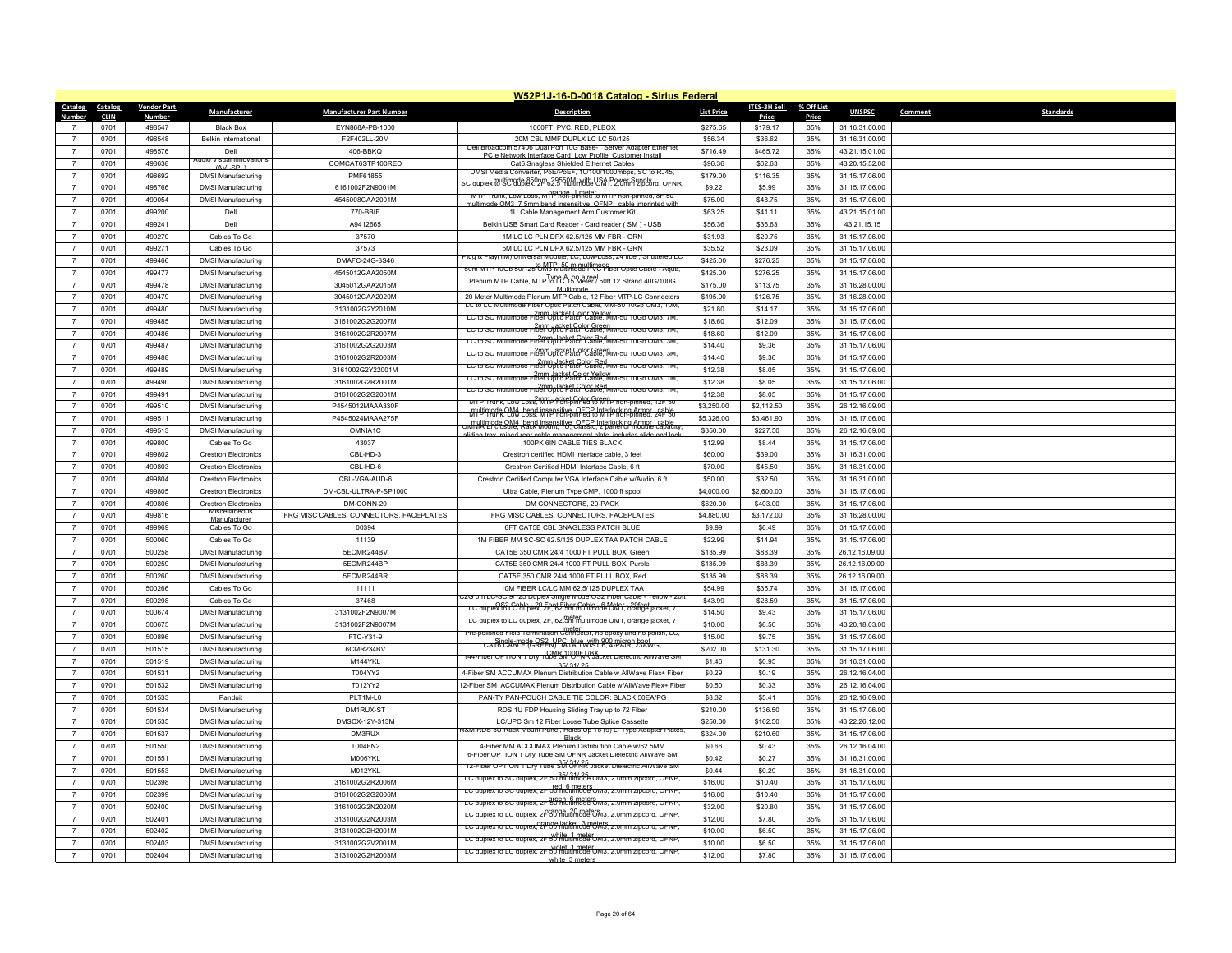|                                  |              |                    |                                              |                                         | W52P1J-16-D-0018 Catalog - Sirius Federal                                                                                                |                     |              |            |                |         |                  |
|----------------------------------|--------------|--------------------|----------------------------------------------|-----------------------------------------|------------------------------------------------------------------------------------------------------------------------------------------|---------------------|--------------|------------|----------------|---------|------------------|
| Catalog                          | Catalog      | <b>Vendor Part</b> | Manufacturer                                 | <b>Manufacturer Part Number</b>         | <b>Description</b>                                                                                                                       | <b>List Price</b>   | ITES-3H Sell | % Off List | <b>UNSPSC</b>  | Comment | <b>Standards</b> |
| Number                           | <b>CLIN</b>  | <b>Number</b>      |                                              |                                         |                                                                                                                                          |                     | Price        | Price      |                |         |                  |
| $\overline{7}$<br>$\overline{7}$ | 0701         | 498547             | <b>Black Box</b>                             | EYN868A-PB-1000                         | 1000FT, PVC, RED, PLBOX                                                                                                                  | \$275.65            | \$179.17     | 35%        | 31.16.31.00.00 |         |                  |
|                                  | 0701         | 498548             | <b>Belkin International</b>                  | F2F402LL-20M                            | 20M CBL MMF DUPLX LC LC 50/125<br>Dell Broadcom 57406 Dual Port 10G Base-1 Server Adapter Etherne                                        | \$56.34             | \$36.62      | 35%        | 31.16.31.00.00 |         |                  |
| $\overline{7}$                   | 0701         | 498576             | Dell<br>Audio Visual Innovations             | 406-BBKQ                                | PCIe Network Interface Card Low Profile Custom                                                                                           | \$716.49            | \$465.72     | 35%        | 43.21.15.01.00 |         |                  |
| $\overline{7}$<br>$\overline{7}$ | 0701         | 498638             | $(AVI-SPI)$                                  | COMCAT6STP100RED                        | Cat6 Snagless Shielded Ethernet Cables<br>DMSI Media Converter, PoE/PoE+, 10/100/1000mbps, SC to RJ45,                                   | \$96.36             | \$62.63      | 35%        | 43.20.15.52.00 |         |                  |
|                                  | 0701         | 498692             | <b>DMSI Manufacturing</b>                    | PMF61855                                | — Guplex & Weltimade A50pm 29550M with USA Power Supply . ب= Guplex Ruther Supply                                                        | \$179.00            | \$116.35     | 35%        | 31.15.17.06.00 |         |                  |
| $\overline{7}$                   | 0701         | 498766             | <b>DMSI Manufacturing</b>                    | 6161002F2N9001M                         | MTP Trunk, Low Loss, M P hon-pinned to MTP non-pinned, 8F 50                                                                             | \$9.22              | \$5.99       | 35%        | 31.15.17.06.00 |         |                  |
| $\overline{7}$<br>$\overline{7}$ | 0701         | 499054             | <b>DMSI Manufacturing</b>                    | 4545008GAA2001M                         | multimode OM3, 7.5mm hend insensitive, OENP, cable imp                                                                                   | \$75.00             | \$48.75      | 35%        | 31.15.17.06.00 |         |                  |
|                                  | 0701         | 499200             | Dell                                         | 770-BBIE                                | 1U Cable Management Arm, Customer Kit                                                                                                    | \$63.25             | \$41.11      | 35%        | 43.21.15.01.00 |         |                  |
| $\overline{7}$                   | 0701         | 499241             | Dell                                         | A9412665                                | Belkin USB Smart Card Reader - Card reader (SM) - USB                                                                                    | \$56.36             | \$36.63      | 35%        | 43 21 15 15    |         |                  |
| $\overline{7}$                   | 0701         | 499270             | Cables To Go                                 | 37570                                   | 1M LC LC PLN DPX 62.5/125 MM FBR - GRN                                                                                                   | \$31.93             | \$20.75      | 35%        | 31.15.17.06.00 |         |                  |
| $\overline{7}$                   | 0701<br>0701 | 499271<br>499466   | Cables To Go                                 | 37573                                   | 5M LC LC PLN DPX 62.5/125 MM FBR - GRN<br>lug & Play(TM) Universal Module, LC, Low-Loss, 24 fiber, Shuttered Lt                          | \$35.52<br>\$425.00 | \$23.09      | 35%<br>35% | 31.15.17.06.00 |         |                  |
| $\overline{7}$                   |              |                    | <b>DMSI Manufacturing</b>                    | DMAFC-24G-3S46                          | sum MTP 10Gb s0/12st0M3Rnafthmodelthocde Cable - Aqua,                                                                                   |                     | \$276.25     |            | 31.15.17.06.00 |         |                  |
| $\overline{7}$                   | 0701         | 499477             | <b>DMSI Manufacturing</b>                    | 4545012GAA2050M                         | Plenum MTP Cable, MTP to LC 15 Meter / 50ft 12 Strand 40G/100G                                                                           | \$425.00            | \$276.25     | 35%        | 31.15.17.06.00 |         |                  |
| $\overline{7}$                   | 0701         | 499478             | <b>DMSI Manufacturing</b>                    | 3045012GAA2015M                         | Multimode                                                                                                                                | \$175.00            | \$113.75     | 35%        | 31.16.28.00.00 |         |                  |
| $\overline{7}$                   | 0701         | 499479             | <b>DMSI Manufacturing</b>                    | 3045012GAA2020M                         | 20 Meter Multimode Plenum MTP Cable, 12 Fiber MTP-LC Connectors<br>LU to LU Multimode Fiber Optic Patch Cable, MM-50 10Gb OM3, 10M       | \$195.00            | \$126.75     | 35%        | 31.16.28.00.00 |         |                  |
| $\overline{7}$                   | 0701         | 499480             | <b>DMSI Manufacturing</b>                    | 3131002G2Y2010M                         | LC to SC Multimode Fiber Optic Patch Cable, MM-50 10Gb OM3, /M,                                                                          | \$21.80             | \$14.17      | 35%        | 31.15.17.06.00 |         |                  |
| $\overline{7}$                   | 0701         | 499485             | <b>DMSI Manufacturing</b>                    | 3161002G2G2007M                         | LC to SC Multimode Fiber Optic Patch Cable, MM-50 10Gb OM3, 7M,                                                                          | \$18.60             | \$12.09      | 35%        | 31.15.17.06.00 |         |                  |
| $\overline{7}$                   | 0701         | 499486             | <b>DMSI Manufacturing</b>                    | 3161002G2R2007M                         | 2mm Jacket Color Red<br>LC to SC Multimode Fiber Optic Patch Cable, MM-50 10Gb OM3, 3M                                                   | \$18.60             | \$12.09      | 35%        | 31.15.17.06.00 |         |                  |
| $\overline{7}$                   | 0701         | 499487             | <b>DMSI Manufacturing</b>                    | 3161002G2G2003M                         | 2mm, Jacket Color Green<br>LC to SC Multimode Fiber Optic Patch Cable, MM-50 10Gb OM3, 3M,                                               | \$14.40             | \$9.36       | 35%        | 31.15.17.06.00 |         |                  |
| $\overline{7}$                   | 0701         | 499488             | <b>DMSI Manufacturing</b>                    | 3161002G2R2003M                         | LC to SC Multimode FinePOpte Paten Cable, MM-50 10Gb CM3, 1M,                                                                            | \$14.40             | \$9.36       | 35%        | 31.15.17.06.00 |         |                  |
| $\overline{7}$                   | 0701         | 499489             | <b>DMSI Manufacturing</b>                    | 3161002G2Y22001M                        | LC to SC Multimode Fiber Optic Patch Cable, MM-50 10Gb OM3, 1M                                                                           | \$12.38             | \$8.05       | 35%        | 31.15.17.06.00 |         |                  |
| $\overline{7}$                   | 0701         | 499490             | <b>DMSI Manufacturing</b>                    | 3161002G2R2001M                         | LC to SC Multimode Fiber Optic Patch Cable, MM-50 10Gb OM3, 1M,                                                                          | \$12.38             | \$8.05       | 35%        | 31.15.17.06.00 |         |                  |
| $\overline{7}$                   | 0701         | 499491             | <b>DMSI Manufacturing</b>                    | 3161002G2G2001M                         | 2mm. Jacket Color Green<br>MTP Trunk, Low Loss, MTP non-pinned to MTP non-pinned, 12F 50                                                 | \$12.38             | \$8.05       | 35%        | 31.15.17.06.00 |         |                  |
| $\overline{7}$                   | 0701         | 499510             | <b>DMSI Manufacturing</b>                    | P4545012MAAA330F                        | MILL Tripped CM4 hend insensitive OECP Interlocking Armor cable.                                                                         | \$3,250.00          | \$2,112.50   | 35%        | 26.12.16.09.00 |         |                  |
| $\overline{7}$                   | 0701         | 499511             | <b>DMSI Manufacturing</b>                    | P4545024MAAA275F                        | Unit in the CM4 hend insensitive OFCP Interlocking Armor cable<br>Unit it enclosure, Rack Mount, 1U, Classic, 2 panel or module capacity | \$5,326.00          | \$3,461.90   | 35%        | 31.15.17.06.00 |         |                  |
| $\overline{7}$                   | 0701         | 499513             | <b>DMSI Manufacturing</b>                    | OMNIA1C                                 | sliding tray raised rear cable management plate, includes                                                                                | \$350.00            | \$227.50     | 35%        | 26.12.16.09.00 |         |                  |
| $\overline{7}$                   | 0701         | 499800             | Cables To Go                                 | 43037                                   | 100PK 6IN CABLE TIES BLACK                                                                                                               | \$12.99             | \$8.44       | 35%        | 31.15.17.06.00 |         |                  |
| $\overline{7}$                   | 0701         | 499802             | <b>Crestron Electronics</b>                  | CBL-HD-3                                | Crestron certified HDMI interface cable, 3 feet                                                                                          | \$60.00             | \$39.00      | 35%        | 31.16.31.00.00 |         |                  |
| $\overline{7}$                   | 0701         | 499803             | <b>Crestron Flectronics</b>                  | CBL-HD-6                                | Crestron Certified HDMI Interface Cable, 6 ft                                                                                            | \$70.00             | \$45.50      | 35%        | 31.16.31.00.00 |         |                  |
| $\overline{7}$                   | 0701         | 499804             | <b>Crestron Electronics</b>                  | CBL-VGA-AUD-6                           | Crestron Certified Computer VGA Interface Cable w/Audio, 6 ft                                                                            | \$50.00             | \$32.50      | 35%        | 31.16.31.00.00 |         |                  |
| $\overline{7}$                   | 0701         | 499805             | <b>Crestron Electronics</b>                  | DM-CBL-ULTRA-P-SP1000                   | Ultra Cable, Plenum Type CMP, 1000 ft spool                                                                                              | \$4,000.00          | \$2,600.00   | 35%        | 31.15.17.06.00 |         |                  |
| $\overline{7}$                   | 0701         | 499806             | <b>Crestron Flectronics</b><br>Miscellaneous | DM-CONN-20                              | DM CONNECTORS, 20-PACK                                                                                                                   | \$620.00            | \$403.00     | 35%        | 31.15.17.06.00 |         |                  |
| $\overline{7}$                   | 0701         | 499816             | Manufacturer                                 | FRG MISC CABLES, CONNECTORS, FACEPLATES | FRG MISC CABLES, CONNECTORS, FACEPLATES                                                                                                  | \$4,880.00          | \$3,172.00   | 35%        | 31.16.28.00.00 |         |                  |
| $\overline{7}$                   | 0701         | 499969             | Cables To Go                                 | 00394                                   | 6FT CAT5E CBL SNAGLESS PATCH BLUE                                                                                                        | \$9.99              | \$6.49       | 35%        | 31.15.17.06.00 |         |                  |
| $\overline{7}$                   | 0701         | 500060             | Cables To Go                                 | 11139                                   | 1M FIBER MM SC-SC 62.5/125 DUPLEX TAA PATCH CABLE                                                                                        | \$22.99             | \$14.94      | 35%        | 31.15.17.06.00 |         |                  |
| $\overline{7}$                   | 0701         | 500258             | <b>DMSI Manufacturing</b>                    | 5ECMR244BV                              | CAT5E 350 CMR 24/4 1000 FT PULL BOX, Green                                                                                               | \$135.99            | \$88.39      | 35%        | 26.12.16.09.00 |         |                  |
| $\overline{7}$                   | 0701         | 500259             | <b>DMSI Manufacturing</b>                    | 5ECMR244BF                              | CAT5E 350 CMR 24/4 1000 FT PULL BOX, Purple                                                                                              | \$135.99            | \$88.39      | 35%        | 26.12.16.09.00 |         |                  |
| $\overline{7}$                   | 0701         | 500260             | <b>DMSI Manufacturing</b>                    | 5ECMR244BR                              | CAT5E 350 CMR 24/4 1000 FT PULL BOX, Red                                                                                                 | \$135.99            | \$88.39      | 35%        | 26.12.16.09.00 |         |                  |
| $\overline{7}$                   | 0701         | 500266             | Cables To Go                                 | 11111                                   | 10M FIBER LC/LC MM 62.5/125 DUPLEX TAA<br>2G 6m LC-SC 9/125 Duplex Single Mode OS2 Fiber Cable - Yellow - 20                             | \$54.99             | \$35.74      | 35%        | 31.15.17.06.00 |         |                  |
| $\overline{7}$                   | 0701         | 500298             | Cables To Go                                 | 37468                                   | LC duplex to LC duplex, 20 Foot Fiber Cable - 6 Meter - 20 feet<br>LC duplex to LC duplex, 2F, 62.5m multimode OM1, orange jacket, 7     | \$43.99             | \$28.59      | 35%        | 31.15.17.06.00 |         |                  |
| $\overline{7}$                   | 0701         | 500674             | <b>DMSI Manufacturing</b>                    | 3131002F2N9007M                         | LC duplex to LC duplex, 2F, 62.5m multimode OM1, orange jacket, /                                                                        | \$14.50             | \$9.43       | 35%        | 31.15.17.06.00 |         |                  |
| $\overline{7}$                   | 0701         | 500675             | <b>DMSI Manufacturing</b>                    | 3131002F2N9007M                         | Pre-polished Field Termination Connector, no epoxy and no polish, LC,                                                                    | \$10.00             | \$6.50       | 35%        | 43.20.18.03.00 |         |                  |
| $\overline{7}$                   | 0701         | 500896             | <b>DMSI Manufacturing</b>                    | FTC-Y31-9                               | CA RFORETTE (GREEN BA RFORTH 804-PATR, 29AWG,                                                                                            | \$15.00             | \$9.75       | 35%        | 31.15.17.06.00 |         |                  |
| $\scriptstyle{7}$                | 0701         | 501515             | <b>DMSI Manufacturing</b>                    | 6CMR234BV                               | <b>CMR 1000FT/BX</b><br>44-Fiber OPTION 1 Dry Tube SM OFNR Jacket Dielectric AllWave SM                                                  | \$202.00            | \$131.30     | 35%        | 31.15.17.06.00 |         |                  |
| $\overline{7}$                   | 0701         | 501519             | <b>DMSI Manufacturing</b>                    | M144YKI                                 | 35/31/25                                                                                                                                 | \$1.46              | \$0.95       | 35%        | 31.16.31.00.00 |         |                  |
| $\overline{7}$                   | 0701         | 501531             | <b>DMSI Manufacturing</b>                    | T004YY2                                 | 4-Fiber SM ACCUMAX Plenum Distribution Cable w AllWave Flex+ Fiber                                                                       | \$0.29              | \$0.19       | 35%        | 26.12.16.04.00 |         |                  |
| $\overline{7}$                   | 0701         | 501532             | <b>DMSI Manufacturing</b>                    | T012YY2                                 | 12-Fiber SM ACCUMAX Plenum Distribution Cable w/AllWave Flex+ Fiber                                                                      | \$0.50              | \$0.33       | 35%        | 26.12.16.04.00 |         |                  |
| $\overline{7}$                   | 0701         | 501533             | Panduit                                      | PLT1M-L0                                | PAN-TY PAN-POUCH CABLE TIE COLOR: BLACK 50EA/PG                                                                                          | \$8.32              | \$5.41       | 35%        | 26.12.16.09.00 |         |                  |
| $\overline{7}$                   | 0701         | 501534             | <b>DMSI Manufacturing</b>                    | DM1RUX-ST                               | RDS 1U FDP Housing Sliding Tray up to 72 Fiber                                                                                           | \$210.00            | \$136.50     | 35%        | 31.15.17.06.00 |         |                  |
| $\overline{7}$                   | 0701         | 501535             | <b>DMSI Manufacturing</b>                    | DMSCX-12Y-313M                          | LC/UPC Sm 12 Fiber Loose Tube Splice Cassette<br>KM RDS 3U Rack Mount Panel, Holds Up To (9) L- Type Adapter Plate                       | \$250.00            | \$162.50     | 35%        | 43.22.26.12.00 |         |                  |
| $\overline{7}$                   | 0701         | 501537             | <b>DMSI Manufacturing</b>                    | DM3RUX                                  |                                                                                                                                          | \$324.00            | \$210.60     | 35%        | 31.15.17.06.00 |         |                  |
| $\overline{7}$                   | 0701         | 501550             | <b>DMSI Manufacturing</b>                    | T004FN2                                 | 4-Fiber MM ACCUMAX Plenum Distribution Cable w/62.5MM<br>6-Fiber OPTION 1 Dry Tube SM OFNR Jacket Dielectric AllWave SM                  | \$0.66              | \$0,43       | 35%        | 26.12.16.04.00 |         |                  |
| $\overline{7}$                   | 0701         | 501551             | <b>DMSI Manufacturing</b>                    | <b>M006YKI</b>                          | 12-Fiber OPTION 1 Dry Tube SM OFNR Jacket Dielectric AllWave SM                                                                          | \$0.42              | \$0.27       | 35%        | 31.16.31.00.00 |         |                  |
| $\overline{7}$                   | 0701         | 501553             | <b>DMSI Manufacturing</b>                    | M012YKL                                 | .35/31/25<br>LC duplex to SC duplex, 2F 50 multimode OM3, 2.0mm zipcord, OFNP,                                                           | \$0.44              | \$0.29       | 35%        | 31.16.31.00.00 |         |                  |
| $\overline{7}$                   | 0701         | 502398             | <b>DMSI Manufacturing</b>                    | 3161002G2R2006M                         | LC duplex to SC duplex, 2F 50 multimode OM3, 2.0mm zipcord, OFNP,                                                                        | \$16.00             | \$10.40      | 35%        | 31.15.17.06.00 |         |                  |
| $\overline{7}$                   | 0701         | 502399             | <b>DMSI Manufacturing</b>                    | 3161002G2G2006M                         | LC duplex to SC duplex, 2F 30 multimode OM3, 2.0mm zipcord, OFNP                                                                         | \$16.00             | \$10.40      | 35%        | 31.15.17.06.00 |         |                  |
| $\overline{7}$                   | 0701         | 502400             | <b>DMSI Manufacturing</b>                    | 3161002G2N2020M                         | LC duplex to LC duplex, 2F 50 multimode OM3, 2.0mm zipcord, OFNP                                                                         | \$32.00             | \$20.80      | 35%        | 31.15.17.06.00 |         |                  |
| $\overline{7}$                   | 0701         | 502401             | <b>DMSI Manufacturing</b>                    | 3131002G2N2003M                         | LC duplex to LC duplex, 2F 50 multimode OM3, 2.0mm zipcord, OFNP                                                                         | \$12.00             | \$7.80       | 35%        | 31.15.17.06.00 |         |                  |
| $\overline{7}$                   | 0701         | 502402             | <b>DMSI Manufacturing</b>                    | 3131002G2H2001M                         | LC duplex to LC duplex, 2F 50 multimode OM3, 2.0mm zipcord, OFNP                                                                         | \$10.00             | \$6.50       | 35%        | 31.15.17.06.00 |         |                  |
| $\overline{7}$                   | 0701         | 502403             | <b>DMSI Manufacturing</b>                    | 3131002G2V2001M                         | LC duplex to LC duplex, 2F 50 multimode OM3, 2.0mm zipcord, OFNP,                                                                        | \$10.00             | \$6.50       | 35%        | 31.15.17.06.00 |         |                  |
| $\overline{7}$                   | 0701         | 502404             | <b>DMSI Manufacturing</b>                    | 3131002G2H2003M                         | white 3 meters                                                                                                                           | \$12.00             | \$7.80       | 35%        | 31.15.17.06.00 |         |                  |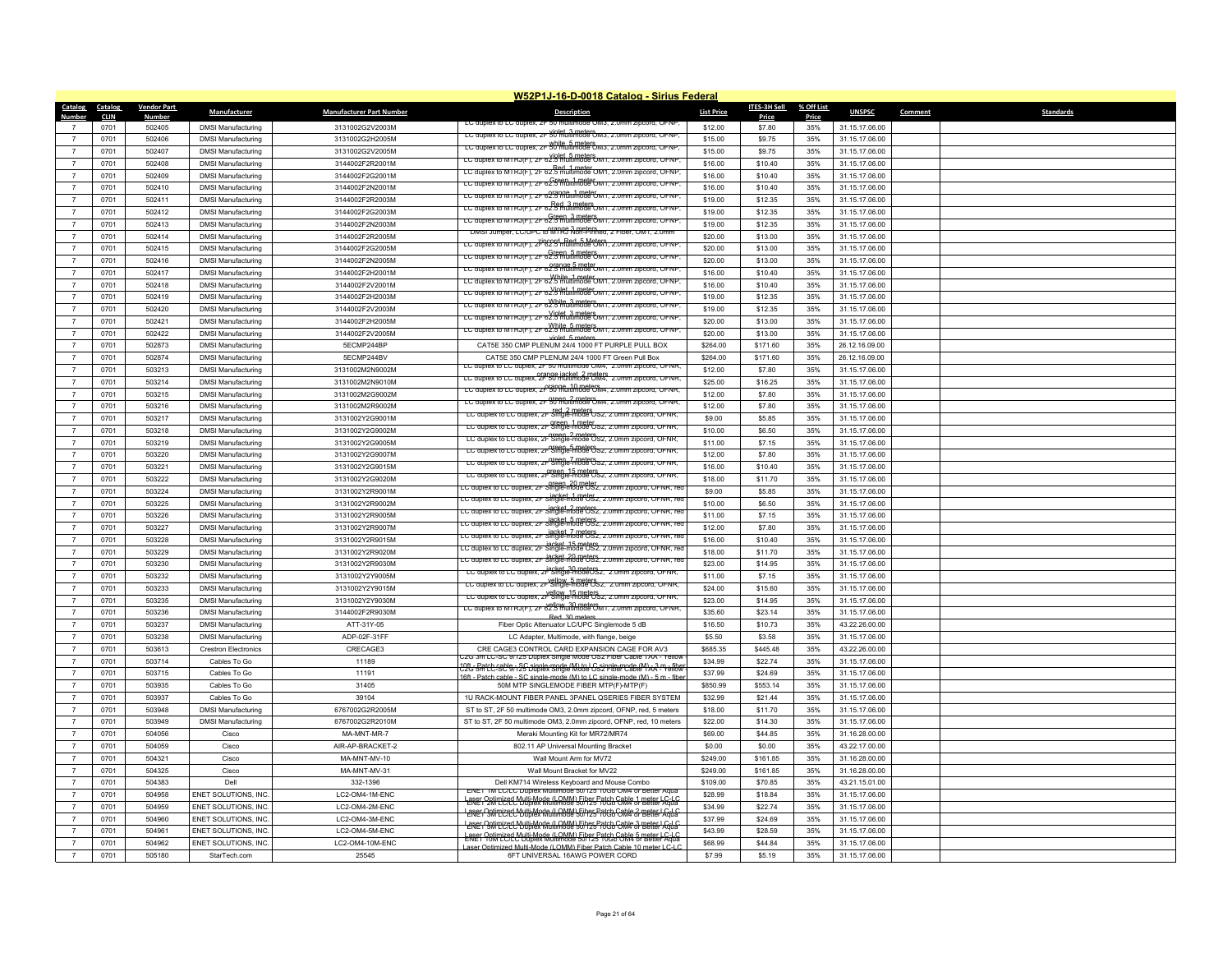|                                  |                        |                              |                                                        |                                    | W52P1J-16-D-0018 Catalog - Sirius Federal                                                                                               |                     |                       |                     |                |                             |  |
|----------------------------------|------------------------|------------------------------|--------------------------------------------------------|------------------------------------|-----------------------------------------------------------------------------------------------------------------------------------------|---------------------|-----------------------|---------------------|----------------|-----------------------------|--|
| <b>Catalog</b><br>Number         | Catalog<br><b>CLIN</b> | <b>Vendor Part</b><br>Number | Manufacturer                                           | <b>Manufacturer Part Number</b>    | <b>Description</b>                                                                                                                      | <b>List Price</b>   | ITES-3H Sell<br>Price | % Off List<br>Price | <b>UNSPSC</b>  | <b>Standards</b><br>Comment |  |
|                                  | 0701                   | 502405                       | <b>DMSI Manufacturing</b>                              | 3131002G2V2003M                    | LC duplex to LC duplex, ZF 50 I                                                                                                         | \$12.00             | \$7.80                | 35%                 | 31.15.17.06.00 |                             |  |
| $\overline{7}$                   | 0701                   | 502406                       | <b>DMSI Manufacturing</b>                              | 3131002G2H2005M                    | LC duplex to LC duplex, 2F 50 multimode OM3, 2.0mm zipcord, OFNP.                                                                       | \$15.00             | \$9.75                | 35%                 | 31.15.17.06.00 |                             |  |
| $\overline{7}$                   | 0701                   | 502407                       | <b>DMSI Manufacturing</b>                              | 3131002G2V2005M                    | LC duplex to LC duplex, 2F 50 multimode OM3, 2.0mm zipcord, OFNP.                                                                       | \$15.00             | \$9.75                | 35%                 | 31.15.17.06.00 |                             |  |
| $\overline{7}$                   | 0701                   | 502408                       | <b>DMSI Manufacturing</b>                              | 3144002F2R2001M                    | EC duplex to MTRJ(F), 2F 62.5 multimode OM1, 2.0mm zipcord, OFNP,                                                                       | \$16.00             | \$10.40               | 35%                 | 31.15.17.06.00 |                             |  |
| $\overline{7}$                   | 0701                   | 502409                       | <b>DMSI Manufacturing</b>                              | 3144002F2G2001M                    | LC duplex to MTRJ(F), 2F 62.5 multimode OM1, 2.0mm zipcord, OFNP.                                                                       | \$16.00             | \$10.40               | 35%                 | 31.15.17.06.00 |                             |  |
|                                  | 0701                   | 502410                       | <b>DMSI Manufacturing</b>                              | 3144002F2N2001M                    | LC duplex to MTRJ(F), ZF 62.5 munihi888 UMT, Z.Umm zipcora, OFNP                                                                        | \$16.00             | \$10.40               | 35%                 | 31.15.17.06.00 |                             |  |
|                                  | 0701                   | 502411                       | <b>DMSI Manufacturing</b>                              | 3144002F2R2003M                    | LC duplex to MTRJ(F), 2F 62.3 Multimode OM1, 2.0mm zipcord, OFNP                                                                        | \$19.00             | \$12.35               | 35%                 | 31.15.17.06.00 |                             |  |
| $\overline{7}$                   | 0701                   | 502412                       | <b>DMSI Manufacturing</b>                              | 3144002F2G2003M                    | LC duplex to MTRJ(F), 2F 62.5 multimode OM1, 2.0mm zipcord, OFNP                                                                        | \$19.00             | \$12.35               | 35%                 | 31.15.17.06.00 |                             |  |
|                                  | 0701                   | 502413                       | <b>DMSI Manufacturing</b>                              | 3144002F2N2003M                    | LC duplex to MTRJ(F), 2F 62.5 multimode OM1, 2.0mm zipcord, OFNP                                                                        | \$19.00             | \$12.35               | 35%                 | 31.15.17.06.00 |                             |  |
| $\overline{7}$                   | 0701                   | 502414                       | <b>DMSI Manufacturing</b>                              | 3144002F2R2005M                    | DMSI Jumper, LC/UPC to MIRG Non-Pinned, 2 Fiber, OM1, 2.0mm                                                                             | \$20.00             | \$13.00               | 35%                 | 31.15.17.06.00 |                             |  |
| $\overline{7}$                   | 0701                   | 502415                       | <b>DMSI Manufacturing</b>                              | 3144002F2G2005M                    | LC auplex to MTRJ(F), ZF62.9 multimode OM1, z.umm zipcora, OFNF                                                                         | \$20.00             | \$13.00               | 35%                 | 31.15.17.06.00 |                             |  |
| $\overline{7}$                   | 0701                   | 502416                       | <b>DMSI Manufacturing</b>                              | 3144002F2N2005M                    | LC duplex to MTRJ(F), 2F 62.5 multimode OM1, 2.0mm zipcord, OFNP,                                                                       | \$20.00             | \$13.00               | 35%                 | 31.15.17.06.00 |                             |  |
| $\overline{7}$                   | 0701                   | 502417                       | <b>DMSI Manufacturing</b>                              | 3144002F2H2001M                    | LC duplex to MTRJ(F), 2F 62.5 multimode UM1, 2.0mm zipcord, OFNP                                                                        | \$16.00             | \$10.40               | 35%                 | 31.15.17.06.00 |                             |  |
| $\overline{7}$                   | 0701                   | 502418                       | <b>DMSI Manufacturing</b>                              | 3144002F2V2001M                    | LC duplex to MTRJ(F), 2F 62.5 multimode OM1, 2.0mm zipcord, OFNP                                                                        | \$16.00             | \$10.40               | 35%                 | 31.15.17.06.00 |                             |  |
| $\overline{7}$                   | 0701                   | 502419                       | <b>DMSI Manufacturing</b>                              | 3144002F2H2003M                    | LC duplex to MTRJ(F), 2F 62.5 multimode OM1, 2.0mm zipcord, OFNP                                                                        | \$19.00             | \$12.35               | 35%                 | 31.15.17.06.00 |                             |  |
| $\overline{7}$                   | 0701                   | 502420                       | <b>DMSI Manufacturing</b>                              | 3144002F2V2003M                    | LC duplex to MTRJ(F), ZF 62.5 multimode OMT, Z.Umm zipcord, OFNP                                                                        | \$19.00             | \$12.35               | 35%                 | 31.15.17.06.00 |                             |  |
| $\overline{7}$                   | 0701                   | 502421                       | <b>DMSI Manufacturing</b>                              | 3144002F2H2005M                    | LC duplex to MTRJ(F), 2F 62.5 multimode OM1, 2.0mm zipcord, OFNP,                                                                       | \$20.00             | \$13.00               | 35%                 | 31.15.17.06.00 |                             |  |
| $\overline{7}$                   | 0701                   | 502422                       | <b>DMSI Manufacturing</b>                              | 3144002F2V2005M                    | LC duplex to MTRJ(F), 2F 62.5 multimode OM1, 2.0mm zipcord, OFNP                                                                        | \$20.00             | \$13.00               | 35%                 | 31.15.17.06.00 |                             |  |
| $\overline{7}$                   | 0701                   | 502873                       | <b>DMSI Manufacturing</b>                              | 5ECMP244BP                         | CAT5E 350 CMP PLENUM 24/4 1000 FT PURPLE PULL BOX                                                                                       | \$264.00            | \$171.60              | 35%                 | 26.12.16.09.00 |                             |  |
|                                  | 0701                   | 502874                       | <b>DMSI Manufacturing</b>                              | 5ECMP244BV                         | CAT5E 350 CMP PLENUM 24/4 1000 FT Green Pull Box                                                                                        | \$264.00            | \$171.60              | 35%                 | 26.12.16.09.00 |                             |  |
| $\overline{7}$                   | 0701                   | 503213                       | <b>DMSI Manufacturing</b>                              | 3131002M2N9002M                    | LC duplex to LC duplex, 2F 50 multimode OM4, 2.0mm zipcord, OFNF                                                                        | \$12.00             | \$7.80                | 35%                 | 31.15.17.06.00 |                             |  |
| $\overline{7}$                   | 0701                   | 503214                       | <b>DMSI Manufacturing</b>                              | 3131002M2N9010M                    | LC duplex to LC duplex, 2F 30 multimode OM4, 2.0mm zipcord, OFNR                                                                        | \$25.00             | \$16.25               | 35%                 | 31.15.17.06.00 |                             |  |
| $\overline{7}$                   | 0701                   | 503215                       | <b>DMSI Manufacturing</b>                              | 3131002M2G9002M                    | LC duplex to LC duplex, 2F 50 multimode OM4, 2.0mm zipcord, OFNR,                                                                       | \$12.00             | \$7.80                | 35%                 | 31.15.17.06.00 |                             |  |
| $\overline{7}$                   | 0701                   | 503216                       | <b>DMSI Manufacturing</b>                              | 3131002M2R9002M                    | LC duplex to LC duplex, 2F 50 multimode OM4, 2.0mm zipcord, OFNR,                                                                       | \$12.00             | \$7.80                | 35%                 | 31.15.17.06.00 |                             |  |
|                                  | 0701                   | 503217                       |                                                        |                                    | LC duplex to LC duplex, 2F Single-mode OS2, 2.0mm zipcord, OFNR,                                                                        | \$9.00              | \$5.85                | 35%                 | 31.15.17.06.00 |                             |  |
| $\overline{7}$                   | 0701                   | 503218                       | <b>DMSI Manufacturing</b><br><b>DMSI Manufacturing</b> | 3131002Y2G9001M<br>3131002Y2G9002M | LC duplex to LC duplex, 2F Single-mode US2, 2.0mm zipcord, OFNR,                                                                        | \$10.00             | \$6,50                | 35%                 | 31.15.17.06.00 |                             |  |
| $\overline{7}$                   | 0701                   | 503219                       |                                                        | 3131002Y2G9005M                    | LC duplex to LC duplex, 2r Single-mode Os2, 2.0mm zipcord, OFNR,                                                                        | \$11.00             | \$7.15                | 35%                 | 31.15.17.06.00 |                             |  |
| $\overline{7}$                   | 0701                   | 503220                       | <b>DMSI Manufacturing</b>                              |                                    | LC duplex to LC duplex, 2F Single-mode OS2, 2.0mm zipcord, OFNR,                                                                        | \$12.00             | \$7.80                | 35%                 | 31.15.17.06.00 |                             |  |
| $\overline{7}$                   | 0701                   | 503221                       | <b>DMSI Manufacturing</b><br><b>DMSI Manufacturing</b> | 3131002Y2G9007M<br>3131002Y2G9015M | LC duplex to LC duplex, 2F Single-mode OS2, 2.0mm zipcord, OFNR,                                                                        | \$16.00             | \$10.40               | 35%                 | 31.15.17.06.00 |                             |  |
| $\overline{7}$                   | 0701                   | 503222                       | <b>DMSI Manufacturing</b>                              | 3131002Y2G9020M                    | areen 15 meters<br>LC duplex to LC duplex, 2F Single-mode US2, 2.0mm zipcord, OFNR,                                                     | \$18.00             | \$11.70               | 35%                 | 31.15.17.06.00 |                             |  |
| $\overline{7}$                   | 0701                   | 503224                       |                                                        | 3131002Y2R9001M                    | LC duplex to LC duplex, 2F Single-mode US2, 2.0mm zipcord, OFNR, rec                                                                    | \$9.00              | \$5.85                | 35%                 | 31.15.17.06.00 |                             |  |
| $\overline{7}$                   | 0701                   | 503225                       | <b>DMSI Manufacturing</b><br><b>DMSI Manufacturing</b> | 3131002Y2R9002M                    | LC duplex to LC duplex, 2F single-mode US2, 2.0mm zipcord, OFNR, re                                                                     | \$10.00             | \$6.50                | 35%                 | 31.15.17.06.00 |                             |  |
| $\overline{7}$                   | 0701                   | 503226                       | <b>DMSI Manufacturing</b>                              | 3131002Y2R9005M                    | LC duplex to LC duplex, 2F Single-mode US2, 2.0mm zipcord, OFNR, rec                                                                    | \$11.00             | \$7.15                | 35%                 | 31.15.17.06.00 |                             |  |
| $\overline{7}$                   | 0701                   | 503227                       | <b>DMSI Manufacturing</b>                              | 3131002Y2R9007M                    | iacket 5 meters.<br>LC duplex to LC duplex, 2F Single-mode US2, 2.0mm zipcord, OFNR, red                                                | \$12.00             | \$7.80                | 35%                 | 31.15.17.06.00 |                             |  |
| $\overline{7}$                   | 0701                   | 503228                       | <b>DMSI Manufacturing</b>                              | 3131002Y2R9015M                    | LC duplex to LC duplex, 2F Single-mode OS2, 2.0mm zipcord, OFNR, red                                                                    | \$16.00             | \$10.40               | 35%                 | 31.15.17.06.00 |                             |  |
| $\overline{7}$                   | 0701                   | 503229                       | <b>DMSI Manufacturing</b>                              | 3131002Y2R9020M                    | LC duplex to LC duplex, 2F Single-mode US2, 2.0mm zipcord, OFNR, re                                                                     | \$18.00             | \$11.70               | 35%                 | 31.15.17.06.00 |                             |  |
|                                  | 0701                   | 503230                       | <b>DMSI Manufacturing</b>                              | 3131002Y2R9030M                    | LC duplex to LC duplex, 2F Single-mode US2, 2.0mm zipcord, OFNR, rec                                                                    | \$23.00             | \$14.95               | 35%                 | 31.15.17.06.00 |                             |  |
| $\overline{7}$                   | 0701                   | 503232                       | <b>DMSI Manufacturing</b>                              | 3131002Y2Y9005M                    | LC duplex to LC duplex, 2F Single-modeOS2, 2.0mm zipcord, OFNR,                                                                         | \$11.00             | \$7.15                | 35%                 | 31.15.17.06.00 |                             |  |
| $\overline{7}$                   | 0701                   | 503233                       |                                                        | 3131002Y2Y9015M                    | LC duplex to LC duplex, 2F Single-mode OS2, 2.0mm zipcord, OFNR,                                                                        | \$24.00             | \$15.60               | 35%                 | 31.15.17.06.00 |                             |  |
|                                  | 0701                   | 503235                       | <b>DMSI Manufacturing</b><br><b>DMSI Manufacturing</b> | 3131002Y2Y9030M                    | vellow 15 meters<br>LC duplex to LC duplex, 2F Single-mode US2, 2.0mm zipcord, OFNR,                                                    | \$23.00             | \$14.95               | 35%                 | 31.15.17.06.00 |                             |  |
| $\overline{7}$                   | 0701                   | 503236                       |                                                        |                                    | LC duplex to MTRJ(F), 2F 62.5 multimode OM1, 2.0mm zipcord, OFNR,                                                                       | \$35.60             |                       | 35%                 | 31.15.17.06.00 |                             |  |
| $\overline{7}$                   | 0701                   | 503237                       | <b>DMSI Manufacturing</b>                              | 3144002F2R9030M<br>ATT-31Y-05      | Red 30 meter                                                                                                                            | \$16.50             | \$23.14<br>\$10.73    | 35%                 | 43.22.26.00.00 |                             |  |
|                                  | 0701                   | 503238                       | <b>DMSI Manufacturing</b><br><b>DMSI Manufacturing</b> | ADP-02F-31FF                       | Fiber Optic Attenuator LC/UPC Singlemode 5 dB                                                                                           | \$5.50              | \$3.58                | 35%                 | 31.15.17.06.00 |                             |  |
| $\overline{7}$                   | 0701                   |                              |                                                        |                                    | LC Adapter, Multimode, with flange, beige<br>CRE CAGE3 CONTROL CARD EXPANSION CAGE FOR AV3                                              | \$685.35            | \$445.48              | 35%                 | 43.22.26.00.00 |                             |  |
| $\overline{7}$                   |                        | 503613                       | <b>Crestron Electronics</b>                            | CRECAGE3                           | .<br>2G 3m LC-SC 9/125 Duplex Single Mode OS2 Fiber Cable TAA - Yellow                                                                  |                     |                       |                     |                |                             |  |
| $\overline{7}$                   | 0701                   | 503714                       | Cables To Go                                           | 11189                              | 19tr-Batch-sellen SC single-mode (M) to LC single-mode (M) x 3 m + fibs                                                                 | \$34.99             | \$22.74               | 35%                 | 31.15.17.06.00 |                             |  |
| $\overline{7}$                   | 0701                   | 503715                       | Cables To Go                                           | 11191                              | cable - SC single-mode (M) to LC single-mode (M) - 5 m - fibr                                                                           | \$37.99<br>\$850.99 | \$24.69               | 35%<br>35%          | 31.15.17.06.00 |                             |  |
| $\overline{7}$                   | 0701                   | 503935                       | Cables To Go                                           | 31405                              | 50M MTP SINGLEMODE FIBER MTP(F)-MTP(F)                                                                                                  |                     | \$553.14              |                     | 31.15.17.06.00 |                             |  |
| $\overline{7}$                   | 0701                   | 503937                       | Cables To Go                                           | 39104                              | 1U RACK-MOUNT FIBER PANEL 3PANEL QSERIES FIBER SYSTEM                                                                                   | \$32.99             | \$21.44               | 35%                 | 31.15.17.06.00 |                             |  |
| $\overline{7}$                   | 0701                   | 503948                       | <b>DMSI Manufacturing</b>                              | 6767002G2R2005M                    | ST to ST, 2F 50 multimode OM3, 2.0mm zipcord, OFNP, red, 5 meters                                                                       | \$18.00             | \$11.70               | 35%                 | 31.15.17.06.00 |                             |  |
|                                  | 0701                   | 503949                       | <b>DMSI Manufacturing</b>                              | 6767002G2R2010M                    | ST to ST, 2F 50 multimode OM3, 2.0mm zipcord, OFNP, red, 10 meters                                                                      | \$22.00             | \$14.30               | 35%                 | 31.15.17.06.00 |                             |  |
|                                  | 0701                   | 504056                       | Cisco                                                  | MA-MNT-MR-7                        | Meraki Mounting Kit for MR72/MR74                                                                                                       | \$69.00             | \$44.85               | 35%                 | 31.16.28.00.00 |                             |  |
| $\overline{7}$<br>$\overline{7}$ | 0701<br>0701           | 504059<br>504321             | Cisco                                                  | AIR-AP-BRACKET-2                   | 802.11 AP Universal Mounting Bracket                                                                                                    | \$0.00<br>\$249.00  | \$0.00                | 35%<br>35%          | 43.22.17.00.00 |                             |  |
|                                  |                        |                              | Cisco                                                  | MA-MNT-MV-10                       | Wall Mount Arm for MV72                                                                                                                 |                     | \$161.85              |                     | 31.16.28.00.00 |                             |  |
|                                  | 0701                   | 504325                       | Cisco                                                  | MA-MNT-MV-31                       | Wall Mount Bracket for MV22                                                                                                             | \$249.00            | \$161.85              | 35%                 | 31.16.28.00.00 |                             |  |
| $\overline{7}$                   | 0701                   | 504383                       | Dell                                                   | 332-1396                           | Dell KM714 Wireless Keyboard and Mouse Combo<br>ENET 1M LC/LC Duplex Multimode 50/125 10Gb OM4 or Better Aqua                           | \$109.00            | \$70.85               | 35%                 | 43.21.15.01.00 |                             |  |
| $\overline{7}$                   | 0701                   | 504958                       | ENET SOLUTIONS, INC                                    | LC2-OM4-1M-ENC                     | Lener Ontimized Multi Mode (LOMM) Fiher Patch Cable 1 meter LC L<br>Lener Ontimized Duplex Multimode 50/125 10Gb OM4 or Better Aqua     | \$28.99             | \$18.84               | 35%                 | 31.15.17.06.00 |                             |  |
|                                  | 0701                   | 504959                       | ENET SOLUTIONS, INC.                                   | LC2-OM4-2M-ENC                     | Laser Ontimized Multi-Mode (LOMM) Fines Patch Cable 2 meter LG-LG                                                                       | \$34.99             | \$22.74               | 35%                 | 31.15.17.06.00 |                             |  |
| $\overline{7}$                   | 0701                   | 504960                       | ENET SOLUTIONS, INC.                                   | LC2-OM4-3M-ENC                     | Laser Optimized Multi-Mode (LOMM) Fiber Patch Cable 3 meter LC-LC<br>LENET SM LIZED Multiplex Multimode 50/125 AUGh CAM4 of Better Agua | \$37.99             | \$24.69               | 35%                 | 31.15.17.06.00 |                             |  |
|                                  | 0701                   | 504961                       | ENET SOLUTIONS, INC                                    | LC2-OM4-5M-ENC                     | Laser Ontimized Multi-Mode (LOMM) Fiber Patch Cable 5 meter LC-L                                                                        | \$43.99             | \$28.59               | 35%                 | 31.15.17.06.00 |                             |  |
|                                  | 0701                   | 504962                       | ENET SOLUTIONS, INC.                                   | LC2-OM4-10M-ENC                    | aser Ontimized Multi-Mode (LOMM) Fiber Patch Cable 10 meter LC-LC                                                                       | \$68.99             | \$44.84               | 35%                 | 31.15.17.06.00 |                             |  |
| $\overline{7}$                   | 0701                   | 505180                       | StarTech.com                                           | 25545                              | 6FT UNIVERSAL 16AWG POWER CORD                                                                                                          | \$7.99              | \$5.19                | 35%                 | 31.15.17.06.00 |                             |  |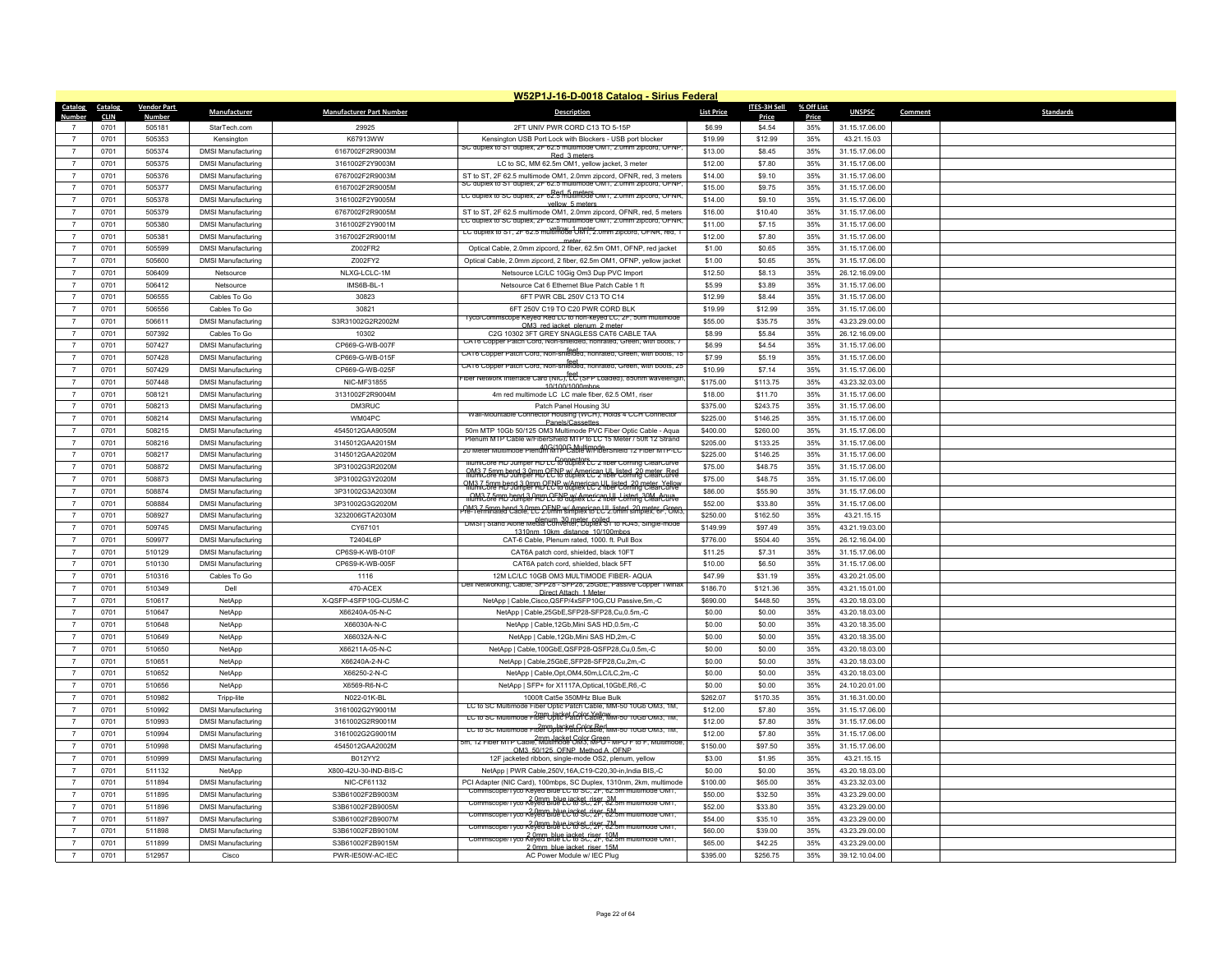|                  |             |                    |                           |                                 | W52P1J-16-D-0018 Catalog - Sirius Federal                                                                                                      |                   |              |            |                |                             |
|------------------|-------------|--------------------|---------------------------|---------------------------------|------------------------------------------------------------------------------------------------------------------------------------------------|-------------------|--------------|------------|----------------|-----------------------------|
| Catalog Catalog  |             | <b>Vendor Part</b> | Manufacturer              | <b>Manufacturer Part Number</b> | <b>Description</b>                                                                                                                             | <b>List Price</b> | ITES-3H Sell | % Off List | <b>UNSPSC</b>  | <b>Standards</b><br>Comment |
| Number           | <b>CLIN</b> | <b>Number</b>      |                           |                                 |                                                                                                                                                |                   | Price        | Price      |                |                             |
|                  | 0701        | 505181             | StarTech.com              | 29925                           | 2FT UNIV PWR CORD C13 TO 5-15P                                                                                                                 | \$6.99            | \$4.54       | 35%        | 31.15.17.06.00 |                             |
| $\overline{7}$   | 0701        | 505353             | Kensington                | K67913WW                        | Kensington USB Port Lock with Blockers - USB port blocker<br>SC duplex to ST duplex, 2F 62.5 multimode OM1, 2.0mm zipcord, OFNF                | \$19.99           | \$12.99      | 35%        | 43.21.15.03    |                             |
| $\overline{7}$   | 0701        | 505374             | <b>DMSI Manufacturing</b> | 6167002F2R9003M                 | Red 3 meters                                                                                                                                   | \$13.00           | \$8.45       | 35%        | 31.15.17.06.00 |                             |
| $\overline{7}$   | 0701        | 505375             | <b>DMSI Manufacturing</b> | 3161002F2Y9003M                 | LC to SC, MM 62.5m OM1, yellow jacket, 3 meter                                                                                                 | \$12.00           | \$7.80       | 35%        | 31.15.17.06.00 |                             |
| $\overline{7}$   | 0701        | 505376             | <b>DMSI Manufacturing</b> | 6767002F2R9003M                 | ST to ST, 2F 62.5 multimode OM1, 2.0mm zipcord, OFNR, red, 3 meters<br>lex to Si duplex, ZF 62.5 multimode OM1, 2.0n                           | \$14.00           | \$9.10       | 35%        | 31.15.17.06.00 |                             |
| $\overline{7}$   | 0701        | 505377             | <b>DMSI Manufacturing</b> | 6167002F2R9005M                 | LC duplex to SC duplex, 2F 62.5 multimode OM1, 2.0mm zipcord, OFNR                                                                             | \$15.00           | \$9.75       | 35%        | 31.15.17.06.00 |                             |
| $\overline{7}$   | 0701        | 505378             | <b>DMSI Manufacturing</b> | 3161002F2Y9005M                 | vellow 5 meter                                                                                                                                 | \$14.00           | \$9.10       | 35%        | 31.15.17.06.00 |                             |
| $\overline{7}$   | 0701        | 505379             | <b>DMSI Manufacturing</b> | 6767002F2R9005M                 | ST to ST, 2F 62.5 multimode OM1, 2.0mm zipcord, OFNR, red, 5 meters<br>LC duplex to SC duplex, 2F 62.5 multimode OM1, 2.0mm zipcord, OFNR      | \$16.00           | \$10.40      | 35%        | 31.15.17.06.00 |                             |
| $\overline{7}$   | 0701        | 505380             | <b>DMSI Manufacturing</b> | 3161002F2Y9001M                 | LC duplex to ST, 2F 62.5 multimode OM1, 2.0mm zipcord, OFNR, red, 1                                                                            | \$11.00           | \$7.15       | 35%        | 31.15.17.06.00 |                             |
| $\overline{7}$   | 0701        | 505381             | <b>DMSI Manufacturing</b> | 3167002F2R9001M                 | meter                                                                                                                                          | \$12.00           | \$7.80       | 35%        | 31.15.17.06.00 |                             |
| $\overline{7}$   | 0701        | 505599             | <b>DMSI Manufacturing</b> | Z002FR2                         | Optical Cable, 2.0mm zipcord, 2 fiber, 62.5m OM1, OFNP, red jacket                                                                             | \$1.00            | \$0.65       | 35%        | 31.15.17.06.00 |                             |
| $\overline{7}$   | 0701        | 505600             | <b>DMSI Manufacturing</b> | Z002FY2                         | Optical Cable, 2.0mm zipcord, 2 fiber, 62.5m OM1, OFNP, yellow jacket                                                                          | \$1.00            | \$0.65       | 35%        | 31.15.17.06.00 |                             |
| $\overline{7}$   | 0701        | 506409             | Netsource                 | NLXG-LCLC-1M                    | Netsource LC/LC 10Gig Om3 Dup PVC Import                                                                                                       | \$12.50           | \$8.13       | 35%        | 26.12.16.09.00 |                             |
| $\overline{7}$   | 0701        | 506412             | Netsource                 | IMS6B-BL-1                      | Netsource Cat 6 Ethernet Blue Patch Cable 1 ft                                                                                                 | \$5.99            | \$3.89       | 35%        | 31.15.17.06.00 |                             |
| $\overline{7}$   | 0701        | 506555             | Cables To Go              | 30823                           | 6FT PWR CBL 250V C13 TO C14                                                                                                                    | \$12.99           | \$8.44       | 35%        | 31.15.17.06.00 |                             |
| $\overline{7}$   | 0701        | 506556             | Cables To Go              | 30821                           | 6FT 250V C19 TO C20 PWR CORD BLK<br>vco/Commscope Keved Red LC to non-keved LC, 2h, 50m multimode                                              | \$19.99           | \$12.99      | 35%        | 31.15.17.06.00 |                             |
| $\overline{7}$   | 0701        | 506611             | <b>DMSI Manufacturing</b> | S3R31002G2R2002M                | OM3 red jacket plenum 2 meter                                                                                                                  | \$55.00           | \$35.75      | 35%        | 43.23.29.00.00 |                             |
| $\overline{7}$   | 0701        | 507392             | Cables To Go              | 10302                           | C2G 10302 3FT GREY SNAGLESS CAT6 CABLE TAA<br>CAT6 Copper Patch Cord, Non-shielded, nonrated, Green, with boot                                 | \$8.99            | \$5.84       | 35%        | 26.12.16.09.00 |                             |
| $\overline{7}$   | 0701        | 507427             | <b>DMSI Manufacturing</b> | CP669-G-WB-007F                 | feet<br>CAT6 Copper Patch Cord, Non-shielded, nonrated, Green, with boots, 15                                                                  | \$6.99            | \$4,54       | 35%        | 31.15.17.06.00 |                             |
| $\overline{7}$   | 0701        | 507428             | <b>DMSI Manufacturing</b> | CP669-G-WB-015F                 | teet<br>CAT6 Copper Patch Cord, Non-shielded, nonrated, Green, with boots, 25                                                                  | \$7.99            | \$5.19       | 35%        | 31.15.17.06.00 |                             |
| $\overline{7}$   | 0701        | 507429             | <b>DMSI Manufacturing</b> | CP669-G-WB-025F                 | iber Network Interface Card (NIC), <sup>feet</sup> (SFP Loaded), 850nm wavelengtl                                                              | \$10.99           | \$7.14       | 35%        | 31.15.17.06.00 |                             |
| $\overline{7}$   | 0701        | 507448             | <b>DMSI Manufacturing</b> | NIC-MF31855                     | 10/100/1000mhps                                                                                                                                | \$175.00          | \$113.75     | 35%        | 43.23.32.03.00 |                             |
| $\overline{7}$   | 0701        | 508121             | <b>DMSI Manufacturing</b> | 3131002F2R9004M                 | 4m red multimode LC LC male fiber, 62.5 OM1, riser                                                                                             | \$18.00           | \$11.70      | 35%        | 31.15.17.06.00 |                             |
| $\overline{7}$   | 0701        | 508213             | <b>DMSI Manufacturing</b> | DM3RUC                          | Patch Panel Housing 3U<br>Wall-Mountable Connector Housing (WCH), Holds 4 CCH Connector                                                        | \$375.00          | \$243.75     | 35%        | 31.15.17.06.00 |                             |
| $\overline{7}$   | 0701        | 508214             | <b>DMSI Manufacturing</b> | WM04PC                          | Panels/Cassette                                                                                                                                | \$225.00          | \$146.25     | 35%        | 31.15.17.06.00 |                             |
| $\overline{7}$   | 0701        | 508215             | <b>DMSI Manufacturing</b> | 4545012GAA9050M                 | 50m MTP 10Gb 50/125 OM3 Multimode PVC Fiber Optic Cable - Agua<br>Plenum MTP Cable w/FiberShield MTP to LC 15 Meter / 50ft 12 Strand           | \$400.00          | \$260.00     | 35%        | 31.15.17.06.00 |                             |
| $\overline{7}$   | 0701        | 508216             | <b>DMSI Manufacturing</b> | 3145012GAA2015M                 | 20 Meter Multimode Plenum MTP Cable w/FiberShield 12 Fiber MTP-LC                                                                              | \$205.00          | \$133.25     | 35%        | 31.15.17.06.00 |                             |
| $\overline{7}$   | 0701        | 508217             | <b>DMSI Manufacturing</b> | 3145012GAA2020M                 | IllumiCore HD Jumper HD LC to duplex LC 2 fiber Corning ClearCurve                                                                             | \$225.00          | \$146.25     | 35%        | 31.15.17.06.00 |                             |
| $\overline{7}$   | 0701        | 508872             | <b>DMSI Manufacturing</b> | 3P31002G3R2020M                 | M3.7 5mm bend 3 0mm CENE w/American UL listed 20 meter-Red                                                                                     | \$75.00           | \$48.75      | 35%        | 31.15.17.06.00 |                             |
| $\overline{7}$   | 0701        | 508873             | <b>DMSI Manufacturing</b> | 3P31002G3Y2020M                 | MM3.7 5mm hend 3 0mm OEC To WAmerican UL listed 20 meter Yellow                                                                                | \$75.00           | \$48.75      | 35%        | 31.15.17.06.00 |                             |
| $\overline{7}$   | 0701        | 508874             | <b>DMSI Manufacturing</b> | 3P31002G3A2030M                 | CM3.7 5mm hend 3 Amm CFNP w/ American ULL Listed 30M Agua                                                                                      | \$86.00           | \$55.90      | 35%        | 31.15.17.06.00 |                             |
| $\overline{7}$   | 0701        | 508884             | <b>DMSI Manufacturing</b> | 3P31002G3G2020M                 | <u>OM3 7 5mm bend 3 0mm OFNR w/ American UL listed, 20 meter. Green</u><br>'re-Terminated Cable, LC 2.0mm simplex to LC 2.0mm simplex, 6F, OM3 | \$52.00           | \$33.80      | 35%        | 31.15.17.06.00 |                             |
| $\overline{7}$   | 0701        | 508927             | <b>DMSI Manufacturing</b> | 3232006GTA2030M                 | nlenum 30 meter coiled<br>UMSI   Stand Alone Media Converter, Duplex S1 to RJ45, Single-mode                                                   | \$250.00          | \$162.50     | 35%        | 43.21.15.15    |                             |
| $\overline{7}$   | 0701        | 509745             | <b>DMSI Manufacturing</b> | CY67101                         | 1310nm 10km distance 10/100mbp:                                                                                                                | \$149.99          | \$97.49      | 35%        | 43.21.19.03.00 |                             |
| $\overline{7}$   | 0701        | 509977             | <b>DMSI Manufacturing</b> | T2404L6P                        | CAT-6 Cable, Plenum rated, 1000, ft, Pull Box                                                                                                  | \$776.00          | \$504.40     | 35%        | 26.12.16.04.00 |                             |
| $\overline{7}$   | 0701        | 510129             | <b>DMSI Manufacturing</b> | CP6S9-K-WB-010F                 | CAT6A patch cord, shielded, black 10FT                                                                                                         | \$11.25           | \$7.31       | 35%        | 31.15.17.06.00 |                             |
| $\overline{7}$   | 0701        | 510130             | <b>DMSI Manufacturing</b> | CP6S9-K-WB-005F                 | CAT6A patch cord, shielded, black 5FT                                                                                                          | \$10.00           | \$6.50       | 35%        | 31.15.17.06.00 |                             |
| $\overline{7}$   | 0701        | 510316             | Cables To Go              | 1116                            | 12M LC/LC 10GB OM3 MULTIMODE FIBER- AQUA<br>orking, Cable, SFP28 - SFP28, 25GbE, Passive Copper                                                | \$47.99           | \$31.19      | 35%        | 43 20 21 05 00 |                             |
| $\overline{7}$   | 0701        | 510349             | Dell                      | 470-ACFX                        | Direct Attach 1 Meter                                                                                                                          | \$186.70          | \$121.36     | 35%        | 43.21.15.01.00 |                             |
| $\overline{7}$   | 0701        | 510617             | NetApp                    | X-QSFP-4SFP10G-CU5M-C           | NetApp   Cable, Cisco, QSFP/4xSFP10G, CU Passive, 5m, -C                                                                                       | \$690.00          | \$448.50     | 35%        | 43.20.18.03.00 |                             |
| $\overline{7}$   | 0701        | 510647             | NetApp                    | X66240A-05-N-C                  | NetApp   Cable,25GbE,SFP28-SFP28,Cu,0.5m,-C                                                                                                    | \$0.00            | \$0.00       | 35%        | 43.20.18.03.00 |                             |
| $\overline{7}$   | 0701        | 510648             | NetApp                    | X66030A-N-C                     | NetApp   Cable, 12Gb, Mini SAS HD, 0.5m, -C                                                                                                    | \$0.00            | \$0.00       | 35%        | 43.20.18.35.00 |                             |
| $\overline{7}$   | 0701        | 510649             | NetApp                    | X66032A-N-C                     | NetApp   Cable, 12Gb, Mini SAS HD, 2m, -C                                                                                                      | \$0.00            | \$0.00       | 35%        | 43.20.18.35.00 |                             |
| $\boldsymbol{7}$ | 0701        | 510650             | NetApp                    | X66211A-05-N-C                  | NetApp   Cable, 100GbE, QSFP28-QSFP28, Cu, 0.5m, -C                                                                                            | \$0.00            | \$0.00       | 35%        | 43.20.18.03.00 |                             |
| $\overline{7}$   | 0701        | 510651             | NetApp                    | X66240A-2-N-C                   | NetApp   Cable,25GbE,SFP28-SFP28,Cu,2m,-C                                                                                                      | \$0.00            | \$0.00       | 35%        | 43.20.18.03.00 |                             |
| $\overline{7}$   | 0701        | 510652             | NetApp                    | X66250-2-N-C                    | NetApp   Cable, Opt, OM4, 50m, LC/LC, 2m, -C                                                                                                   | \$0.00            | \$0.00       | 35%        | 43.20.18.03.00 |                             |
| $\overline{7}$   | 0701        | 510656             | NetApp                    | X6569-R6-N-C                    | NetApp   SFP+ for X1117A, Optical, 10GbE, R6,-C                                                                                                | \$0.00            | \$0.00       | 35%        | 24.10.20.01.00 |                             |
| $\overline{7}$   | 0701        | 510982             | Tripp-lite                | N022-01K-BL                     | 1000ft Cat5e 350MHz Blue Bulk<br>LC to SC Multimode Fiber Optic Patch Cable, MM-50 10Gb OM3, 1M,                                               | \$262.07          | \$170.35     | 35%        | 31.16.31.00.00 |                             |
| $\overline{7}$   | 0701        | 510992             | <b>DMSI Manufacturing</b> | 3161002G2Y9001M                 | LC to SC Multimode Fiber Uptic Patch Cable, MM-50 10Gb OM3, 1M.                                                                                | \$12.00           | \$7.80       | 35%        | 31.15.17.06.00 |                             |
| $\overline{7}$   | 0701        | 510993             | <b>DMSI Manufacturing</b> | 3161002G2R9001M                 | 2mm. lacket Color Red.<br>LC to SC Multimode Fiber Optic Patch Cable, MM-50 10Gb OM3, 1M,                                                      | \$12.00           | \$7.80       | 35%        | 31.15.17.06.00 |                             |
| $\overline{7}$   | 0701        | 510994             | <b>DMSI Manufacturing</b> | 3161002G2G9001M                 | <del>ьm, 12 Fiber MTP Cable, Multimode OMS, MPCP- мPO F to F, Multimode</del>                                                                  | \$12.00           | \$7.80       | 35%        | 31.15.17.06.00 |                             |
|                  | 0701        | 510998             | <b>DMSI Manufacturing</b> | 4545012GAA2002M                 | OM3 50/125 OFNP Method A OFNF                                                                                                                  | \$150.00          | \$97.50      | 35%        | 31.15.17.06.00 |                             |
| $\overline{7}$   | 0701        | 510999             | <b>DMSI Manufacturing</b> | B012YY2                         | 12F jacketed ribbon, single-mode OS2, plenum, yellow                                                                                           | \$3.00            | \$1.95       | 35%        | 43.21.15.15    |                             |
| $\overline{7}$   | 0701        | 511132             | NetApp                    | X800-42U-30-IND-BIS-C           | NetApp   PWR Cable,250V,16A,C19-C20,30-in,India BIS,-C                                                                                         | \$0.00            | \$0.00       | 35%        | 43.20.18.03.00 |                             |
| $\overline{7}$   | 0701        | 511894             | <b>DMSI Manufacturing</b> | NIC-CF61132                     | PCI Adapter (NIC Card), 100mbps, SC Duplex, 1310nm, 2km, multimode<br>Commscope/Tyco Keyed Blue LC to SC, 2F, 62.5m multimode OM1,             | \$100.00          | \$65.00      | 35%        | 43.23.32.03.00 |                             |
| $\overline{7}$   | 0701        | 511895             | <b>DMSI Manufacturing</b> | S3B61002F2B9003M                | Commscope/Tyco Keyed Blue Lc'to SC, 2F, 62.5m multimode OM1,                                                                                   | \$50.00           | \$32.50      | 35%        | 43.23.29.00.00 |                             |
| $\overline{7}$   | 0701        | 511896             | <b>DMSI Manufacturing</b> | S3B61002F2B9005M                | Commscope/Tyco Keyed Blue Let & Sc. 2F, 62.5m                                                                                                  | \$52.00           | \$33.80      | 35%        | 43.23.29.00.00 |                             |
|                  | 0701        | 511897             | <b>DMSI Manufacturing</b> | S3B61002F2B9007M                | Commscope/Tyco Keyed Blue Lucket_riser_7M_<br>Commscope/Tyco Keyed Blue LC to SC, 2F, 62.5m                                                    | \$54.00           | \$35.10      | 35%        | 43.23.29.00.00 |                             |
|                  | 0701        | 511898             | <b>DMSI Manufacturing</b> | S3B61002F2B9010M                | Commscope/Tyco Keyed Blue LC to Sc., 2F, 62.5m multimode OM1,                                                                                  | \$60.00           | \$39.00      | 35%        | 43.23.29.00.00 |                             |
|                  | 0701        | 511899             | <b>DMSI Manufacturing</b> | S3B61002F2B9015M                | 2.0mm blue jacket riser 15M                                                                                                                    | \$65.00           | \$42.25      | 35%        | 43.23.29.00.00 |                             |
| $\overline{7}$   | 0701        | 512957             | Cisco                     | PWR-IE50W-AC-IEC                | AC Power Module w/ IEC Plug                                                                                                                    | \$395.00          | \$256.75     | 35%        | 39.12.10.04.00 |                             |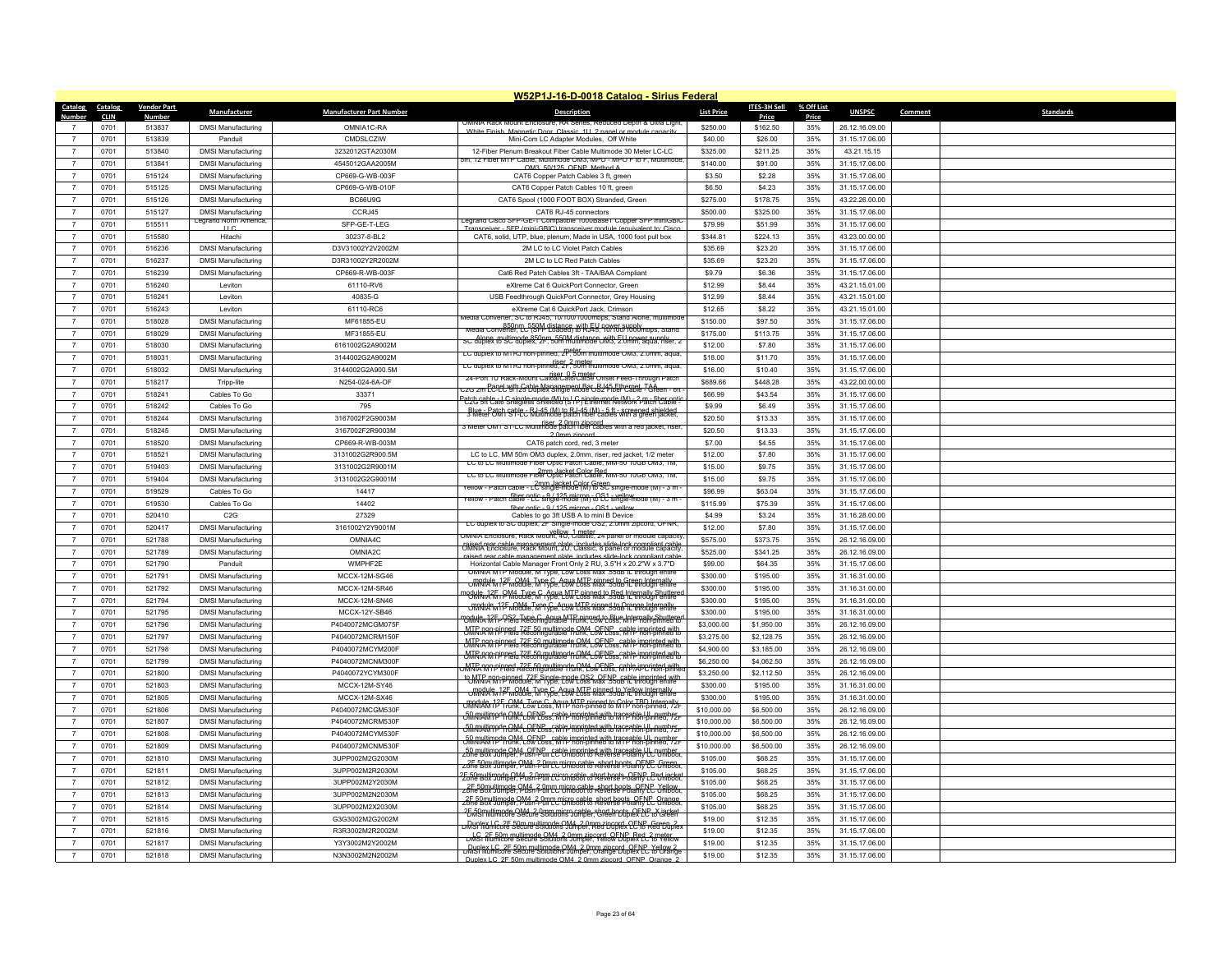|                  |             |                    |                                                    |                                 | W52P1J-16-D-0018 Catalog - Sirius Federal                                                                                                            |                   |              |            |                |                             |
|------------------|-------------|--------------------|----------------------------------------------------|---------------------------------|------------------------------------------------------------------------------------------------------------------------------------------------------|-------------------|--------------|------------|----------------|-----------------------------|
| Catalog Catalog  |             | <b>Vendor Part</b> | Manufacturer                                       | <b>Manufacturer Part Number</b> | <b>Description</b>                                                                                                                                   | <b>List Price</b> | ITES-3H Sell | % Off List | <b>UNSPSC</b>  | Comment<br><b>Standards</b> |
| Number           | <b>CLIN</b> | <b>Number</b>      |                                                    |                                 | JMNIA RACK MOUNT ENCIOSUI<br>tequced Depth & Ultra Ligh                                                                                              |                   | Price        | Price      |                |                             |
|                  | 0701        | 513837             | <b>DMSI Manufacturing</b>                          | OMNIA1C-RA                      | White Finish, Magnetic Door, Classic, 111, 2 nanel or module capac                                                                                   | \$250.00          | \$162.50     | 35%        | 26.12.16.09.00 |                             |
| $\overline{7}$   | 0701        | 513839             | Panduit                                            | CMDSLCZIW                       | Mini-Com I C Adapter Modules. Off White                                                                                                              | \$40.00           | \$26.00      | 35%        | 31.15.17.06.00 |                             |
| $\overline{7}$   | 0701        | 513840             | <b>DMSI Manufacturing</b>                          | 3232012GTA2030M                 | 12-Fiber Plenum Breakout Fiber Cable Multimode 30 Meter LC-LC<br>m, 12 Fiber MTP Cable, Multimode OM3, MPO - MPO F to F, Multimode                   | \$325.00          | \$211.25     | 35%        | 43.21.15.15    |                             |
| $\overline{7}$   | 0701        | 513841             | <b>DMSI Manufacturing</b>                          | 4545012GAA2005M                 | OM3 50/125 OFNP Method A                                                                                                                             | \$140.00          | \$91.00      | 35%        | 31.15.17.06.00 |                             |
| $\overline{7}$   | 0701        | 515124             | <b>DMSI Manufacturing</b>                          | CP669-G-WB-003F                 | CAT6 Copper Patch Cables 3 ft. green                                                                                                                 | \$3.50            | \$2.28       | 35%        | 31.15.17.06.00 |                             |
| $\overline{7}$   | 0701        | 515125             | <b>DMSI Manufacturing</b>                          | CP669-G-WB-010F                 | CAT6 Copper Patch Cables 10 ft, green                                                                                                                | \$6.50            | \$4.23       | 35%        | 31.15.17.06.00 |                             |
| $\overline{7}$   | 0701        | 515126             | <b>DMSI Manufacturing</b>                          | BC66U9G                         | CAT6 Spool (1000 FOOT BOX) Stranded, Green                                                                                                           | \$275.00          | \$178.75     | 35%        | 43.22.26.00.00 |                             |
| $\overline{7}$   | 0701        | 515127             | <b>DMSI Manufacturing</b><br>Legrand North America | CCRJ45                          | CAT6 RJ-45 connectors<br>egrand Cisco SFP-GE-1 Compatible 1000Base1 Copper SFP miniGBI                                                               | \$500.00          | \$325.00     | 35%        | 31.15.17.06.00 |                             |
| $\overline{7}$   | 0701        | 515511             | $\sqcup$ C                                         | SFP-GE-T-LEG                    | Transceiver - SEP (mini-GBIC) transceiver module (equivalent to: Cisco                                                                               | \$79.99           | \$51.99      | 35%        | 31.15.17.06.00 |                             |
| $\overline{7}$   | 0701        | 515580             | Hitachi                                            | 30237-8-BL2                     | CAT6, solid, UTP, blue, plenum, Made in USA, 1000 foot pull box                                                                                      | \$344.81          | \$224.13     | 35%        | 43.23.00.00.00 |                             |
| $\overline{7}$   | 0701        | 516236             | <b>DMSI Manufacturing</b>                          | D3V31002Y2V2002M                | 2M LC to LC Violet Patch Cables                                                                                                                      | \$35.69           | \$23.20      | 35%        | 31.15.17.06.00 |                             |
| $\overline{7}$   | 0701        | 516237             | <b>DMSI Manufacturing</b>                          | D3R31002Y2R2002M                | 2M LC to LC Red Patch Cables                                                                                                                         | \$35.69           | \$23.20      | 35%        | 31.15.17.06.00 |                             |
| $\overline{7}$   | 0701        | 516239             | <b>DMSI Manufacturing</b>                          | CP669-R-WB-003F                 | Cat6 Red Patch Cables 3ft - TAA/BAA Compliant                                                                                                        | \$9.79            | \$6.36       | 35%        | 31.15.17.06.00 |                             |
| $\overline{7}$   | 0701        | 516240             | Leviton                                            | 61110-RV6                       | eXtreme Cat 6 QuickPort Connector, Green                                                                                                             | \$12.99           | \$8.44       | 35%        | 43.21.15.01.00 |                             |
| $\overline{7}$   | 0701        | 516241             | <b>Leviton</b>                                     | 40835-G                         | USB Feedthrough QuickPort Connector, Grey Housing                                                                                                    | \$12.99           | \$8.44       | 35%        | 43.21.15.01.00 |                             |
| $\overline{7}$   | 0701        | 516243             | I eviton                                           | 61110-RC6                       | eXtreme Cat 6 QuickPort Jack, Crimson<br>Aedia Converter, SC to RJ45, 10/100/1000mbps, Stand Alone,                                                  | \$12.65           | \$8.22       | 35%        | 43.21.15.01.00 |                             |
| $\overline{7}$   | 0701        | 518028             | <b>DMSI Manufacturing</b>                          | MF61855-EU                      | Media Converter, LC (SPI) distance with FLI 90/900/H00/mbps, Stand                                                                                   | \$150.00          | \$97.50      | 35%        | 31.15.17.06.00 |                             |
| $\overline{7}$   | 0701        | 518029             | <b>DMSI Manufacturing</b>                          | MF31855-FU                      | SC duplex to SC duplex, 2F, 50m multimode OM3, 2.0mm, aqua, riser, 3                                                                                 | \$175.00          | \$113.75     | 35%        | 31.15.17.06.00 |                             |
| $\overline{7}$   | 0701        | 518030             | <b>DMSI Manufacturing</b>                          | 6161002G2A9002M                 | LC duplex to MTRJ non-pinned, 2F, 50m multimode OM3, 2.0mm, aqua,                                                                                    | \$12.00           | \$7.80       | 35%        | 31.15.17.06.00 |                             |
| $\overline{7}$   | 0701        | 518031             | <b>DMSI Manufacturing</b>                          | 3144002G2A9002M                 | LC duplex to MTRJ non-pinned, 2r, 30m multimode OM3, 2.0mm, aqua,                                                                                    | \$18.00           | \$11.70      | 35%        | 31.15.17.06.00 |                             |
| $\boldsymbol{7}$ | 0701        | 518032             | <b>DMSI Manufacturing</b>                          | 3144002G2A900.5M                | z4-Port 1U Rack-Mount Catoa/Cato/Catse Offset Feed-Through Patch                                                                                     | \$16.00           | \$10.40      | 35%        | 31.15.17.06.00 |                             |
| $\overline{7}$   | 0701        | 518217             | Tripp-lite                                         | N254-024-6A-OF                  | .<br>20 2m EC-EC VIT 23 Duplex Single Mode OS 2 Fiber Cable - Green - 611.                                                                           | \$689.66          | \$448.28     | 35%        | 43.22.00.00.00 |                             |
| $\overline{7}$   | 0701        | 518241             | Cables To Go                                       | 33371                           | Port cable - I. C. single-mode (M) to I. G. single-mode (M) - 2 m- fiber opti-<br>POG SH Cato Snagless Shielded (STP) Ethernet Network Patch Cable - | \$66.99           | \$43.54      | 35%        | 31.15.17.06.00 |                             |
| $\overline{7}$   | 0701        | 518242             | Cables To Go                                       | 795                             | Blue EPatch capie & BL45 (M) to R.L45 (M) = 5 ft - screened shielded                                                                                 | \$9.99            | \$6.49       | 35%        | 31.15.17.06.00 |                             |
| $\overline{7}$   | 0701        | 518244             | <b>DMSI Manufacturing</b>                          | 3167002F2G9003M                 | 3 Meter OM1 ST-LC Multimode patch fiber cables with a red jacket, riser                                                                              | \$20.50           | \$13.33      | 35%        | 31.15.17.06.00 |                             |
| $\overline{7}$   | 0701        | 518245             | <b>DMSI Manufacturing</b>                          | 3167002F2R9003M                 | 2.0mm zincore                                                                                                                                        | \$20.50           | \$13.33      | 35%        | 31.15.17.06.00 |                             |
| $\overline{7}$   | 0701        | 518520             | <b>DMSI Manufacturing</b>                          | CP669-R-WB-003M                 | CAT6 patch cord, red, 3 meter                                                                                                                        | \$7.00            | \$4.55       | 35%        | 31.15.17.06.00 |                             |
| $\overline{7}$   | 0701        | 518521             | <b>DMSI Manufacturing</b>                          | 3131002G2R900.5M                | LC to LC, MM 50m OM3 duplex, 2.0mm, riser, red jacket, 1/2 meter<br>LC to LC Multimode Fiber Optic Patch Cable, MM-50 10Gb OM3, 1M,                  | \$12.00           | \$7.80       | 35%        | 31.15.17.06.00 |                             |
| $\overline{7}$   | 0701        | 519403             | <b>DMSI Manufacturing</b>                          | 3131002G2R9001M                 | 2mm Jacket Color Red<br>LC to LC Multimode Fiber Optic Patch Cable, MM-50 10Gb OM3, 1M,                                                              | \$15.00           | \$9.75       | 35%        | 31.15.17.06.00 |                             |
| $\overline{7}$   | 0701        | 519404             | <b>DMSI Manufacturing</b>                          | 3131002G2G9001M                 | Yellow - Patch cable - LC single-mode (M) to SC single-mode (M) - 3 m                                                                                | \$15.00           | \$9.75       | 35%        | 31.15.17.06.00 |                             |
| $\overline{7}$   | 0701        | 519529             | Cables To Go                                       | 14417                           | rellow - Patch cable - LC single-mode (M) to LC single-mode (M) - 3 m                                                                                | \$96.99           | \$63.04      | 35%        | 31.15.17.06.00 |                             |
| $\overline{7}$   | 0701        | 519530             | Cables To Go                                       | 14402                           | fiber ontic - 9 / 125 micron - OS1 - vello                                                                                                           | \$115.99          | \$75.39      | 35%        | 31.15.17.06.00 |                             |
| $\overline{7}$   | 0701        | 520410             | C2G                                                | 27329                           | Cables to go 3ft USB A to mini B Device<br>LC duplex to SC duplex, 2F Single-mode OS2, 2.0mm zipcord, OFNR                                           | \$4.99            | \$3.24       | 35%        | 31.16.28.00.00 |                             |
| $\overline{7}$   | 0701        | 520417             | <b>DMSI Manufacturing</b>                          | 3161002Y2Y9001M                 | JMNIA Enclosure, Rack Mount, 4U, Classic, 24 panel or module capacity                                                                                | \$12.00           | \$7.80       | 35%        | 31.15.17.06.00 |                             |
| $\overline{7}$   | 0701        | 521788             | <b>DMSI Manufacturing</b>                          | OMNIA4C                         | raised rear cable management plate, includes slide lock compliant cable<br>OMNIA Enclosure, Rack Mount, 2U, Classic, 8 panel or module capacity      | \$575.00          | \$373.75     | 35%        | 26.12.16.09.00 |                             |
| $\overline{7}$   | 0701        | 521789             | <b>DMSI Manufacturing</b>                          | OMNIA2C                         | ised rear cable management plate includes slide-lock compliant cable                                                                                 | \$525.00          | \$341.25     | 35%        | 26.12.16.09.00 |                             |
| $\overline{7}$   | 0701        | 521790             | Panduit                                            | WMPHF2E                         | Horizontal Cable Manager Front Only 2 RU, 3.5"H x 20.2"W x 3.7"D<br>OMNIA MTP Module, M Type, Low Loss Max .55dB IL through entire                   | \$99.00           | \$64.35      | 35%        | 31.15.17.06.00 |                             |
| $\overline{7}$   | 0701        | 521791             | <b>DMSI Manufacturing</b>                          | MCCX-12M-SG46                   | ORROWER 12F GOM4 Type C. Agua MTP pinned to Green Intern                                                                                             | \$300.00          | \$195.00     | 35%        | 31.16.31.00.00 |                             |
| $\overline{7}$   | 0701        | 521792             | <b>DMSI Manufacturing</b>                          | MCCX-12M-SR46                   | module, 125, PM4, Type C. Agua MTP pinned to Red Internally Shuttere                                                                                 | \$300.00          | \$195.00     | 35%        | 31.16.31.00.00 |                             |
| $\overline{7}$   | 0701        | 521794             | <b>DMSI Manufacturing</b>                          | MCCX-12M-SN46                   | ORROUGH ON Type C. Agua MTP pinned to Orange Internally                                                                                              | \$300.00          | \$195.00     | 35%        | 31.16.31.00.00 |                             |
| $\overline{7}$   | 0701        | 521795             | <b>DMSI Manufacturing</b>                          | MCCX-12Y-SB46                   | <b>TORING ATT</b> PS2 Type C. Agua MTP pinned to Blue Internally Shuttere<br>CORING ATT Pield Reconfigurable Trunk, Low Loss, MTP non-pinned to      | \$300.00          | \$195.00     | 35%        | 31.16.31.00.00 |                             |
| $\overline{7}$   | 0701        | 521796             | <b>DMSI Manufacturing</b>                          | P4040072MCGM075F                | <b>ONTRIANNIP Peda 72E 50 multimede OM4 OFNP-cable imprinted with</b>                                                                                | \$3,000.00        | \$1,950.00   | 35%        | 26.12.16.09.00 |                             |
| $\overline{7}$   | 0701        | 521797             | <b>DMSI Manufacturing</b>                          | P4040072MCRM150F                | WIR RON-pipped 72E 50 multimode OM4 OFNP scaple imprinted with                                                                                       | \$3,275.00        | \$2,128.75   | 35%        | 26.12.16.09.00 |                             |
| $\boldsymbol{7}$ | 0701        | 521798             | <b>DMSI Manufacturing</b>                          | P4040072MCYM200F                |                                                                                                                                                      | \$4,900.00        | \$3,185.00   | 35%        | 26.12.16.09.00 |                             |
| $\overline{7}$   | 0701        | 521799             | <b>DMSI Manufacturing</b>                          | P4040072MCNM300F                | MTR M1p pipped 72E 50 multimode OM4, OENP, 69th impointed with                                                                                       | \$6,250.00        | \$4,062.50   | 35%        | 26.12.16.09.00 |                             |
| $\overline{7}$   | 0701        | 521800             | <b>DMSI Manufacturing</b>                          | P4040072YCYM300F                | <sup>to</sup> WIRLA WITP M6dule, M Type, Low Loss Max .55dB IL through                                                                               | \$3,250.00        | \$2,112.50   | 35%        | 26.12.16.09.00 |                             |
| $\overline{7}$   | 0701        | 521803             | <b>DMSI Manufacturing</b>                          | MCCX-12M-SY46                   | ORROW 12F CM4 Type C. Agua MTP pipped to Yellow Internally                                                                                           | \$300.00          | \$195.00     | 35%        | 31.16.31.00.00 |                             |
| $\overline{7}$   | 0701        | 521805             | <b>DMSI Manufacturing</b>                          | MCCX-12M-SX46                   | <b>CRACILLA 12F COM4, Type C. Agua MTP pinned to Color TBD Internally</b>                                                                            | \$300.00          | \$195.00     | 35%        | 31.16.31.00.00 |                             |
| $\overline{7}$   | 0701        | 521806             | <b>DMSI Manufacturing</b>                          | P4040072MCGM530F                | 50 multimpde OM4, OENP scaple imprinted with traceable UL number.                                                                                    | \$10,000.00       | \$6,500.00   | 35%        | 26.12.16.09.00 |                             |
| $\overline{7}$   | 0701        | 521807             | <b>DMSI Manufacturing</b>                          | P4040072MCRM530F                | OMNIK TP Frunk, LOW Loss, MIP non-pinned with traceable I II, number-                                                                                | \$10,000.00       | \$6,500.00   | 35%        | 26.12.16.09.00 |                             |
| $\overline{7}$   | 0701        | 521808             | <b>DMSI Manufacturing</b>                          | P4040072MCYM530F                | <del>SMMIXIMP<sup>de</sup> CM4 LOENE</del> cable imprinted with traceable LU, num<br>SMMIXIMPP Trunk, Low Loss, MTP non-pinned to MTP non-pinned     | \$10,000.00       | \$6,500.00   | 35%        | 26.12.16.09.00 |                             |
|                  | 0701        | 521809             | <b>DMSI Manufacturing</b>                          | P4040072MCNM530F                | FO multimode OM4, OFNP, Cohle imprinted with traceable U Umber                                                                                       | \$10,000.00       | \$6,500.00   | 35%        | 26.12.16.09.00 |                             |
| $\overline{7}$   | 0701        | 521810             | <b>DMSI Manufacturing</b>                          | 3UPP002M2G2030M                 | 2F 50m Illimode OM4, 20mm micro cable, short boots, OENP, Green<br>Zone Box Jumper, Push-Pull LC Uniboot to Reverse Polarity LC Uniboot.             | \$105.00          | \$68.25      | 35%        | 31.15.17.06.00 |                             |
| $\overline{7}$   | 0701        | 521811             | <b>DMSI Manufacturing</b>                          | 3UPP002M2R2030M                 | 2F 50multimode OM4, 2.0mm micro cable, short boots, OENP, Red jacket<br>Zone Box Jumper, Push-Pull LC Uniboot to Reverse Polarity LC Uniboot,        | \$105.00          | \$68.25      | 35%        | 31.15.17.06.00 |                             |
| $\overline{7}$   | 0701        | 521812             | <b>DMSI Manufacturing</b>                          | 3UPP002M2Y2030M                 | 2F 50m utimode OM4 20mm micro cable short boots OENP Yellow                                                                                          | \$105.00          | \$68.25      | 35%        | 31.15.17.06.00 |                             |
| $\overline{7}$   | 0701        | 521813             | <b>DMSI Manufacturing</b>                          | 3UPP002M2N2030M                 | 25 50 multimode OM4, 20 mm micro cable, short boots OFNE, Orange                                                                                     | \$105.00          | \$68.25      | 35%        | 31.15.17.06.00 |                             |
| $\overline{7}$   | 0701        | 521814             | <b>DMSI Manufacturing</b>                          | 3UPP002M2X2030M                 | 25 59 millimode OM4, 2 0mm micro cable, short boots OFNP, X jacket                                                                                   | \$105.00          | \$68.25      | 35%        | 31.15.17.06.00 |                             |
|                  | 0701        | 521815             | <b>DMSI Manufacturing</b>                          | G3G3002M2G2002M                 | <u>Dunlex LC_2F_50m multimode OM4_2 0mm zincord .</u><br>DMSI lilumicore Secure Solutions Jumper, Red Duplex LC to Red Duplex                        | \$19.00           | \$12.35      | 35%        | 31.15.17.06.00 |                             |
| $\overline{7}$   | 0701        | 521816             | <b>DMSI Manufacturing</b>                          | R3R3002M2R2002M                 | LG 2E.50m multimode OM4_2.0mm zincord_OENP_Red_2.meter<br>DMS1.fllumicore Secure Solutions Jumper, Yellow Duplex LC to Yellow                        | \$19.00           | \$12.35      | 35%        | 31.15.17.06.00 |                             |
|                  | 0701        | 521817             | <b>DMSI Manufacturing</b>                          | Y3Y3002M2Y2002M                 | DRISI Michael Secure Solutions Jumper, Orange Duplex LC to Orange                                                                                    | \$19.00           | \$12.35      | 35%        | 31.15.17.06.00 |                             |
| $\overline{7}$   | 0701        | 521818             | <b>DMSI Manufacturing</b>                          | N3N3002M2N2002M                 | Dunlex LC, 2E 50m multimode QM4, 2.0mm zincord, OENP, Orange 2                                                                                       | \$19.00           | \$12.35      | 35%        | 31.15.17.06.00 |                             |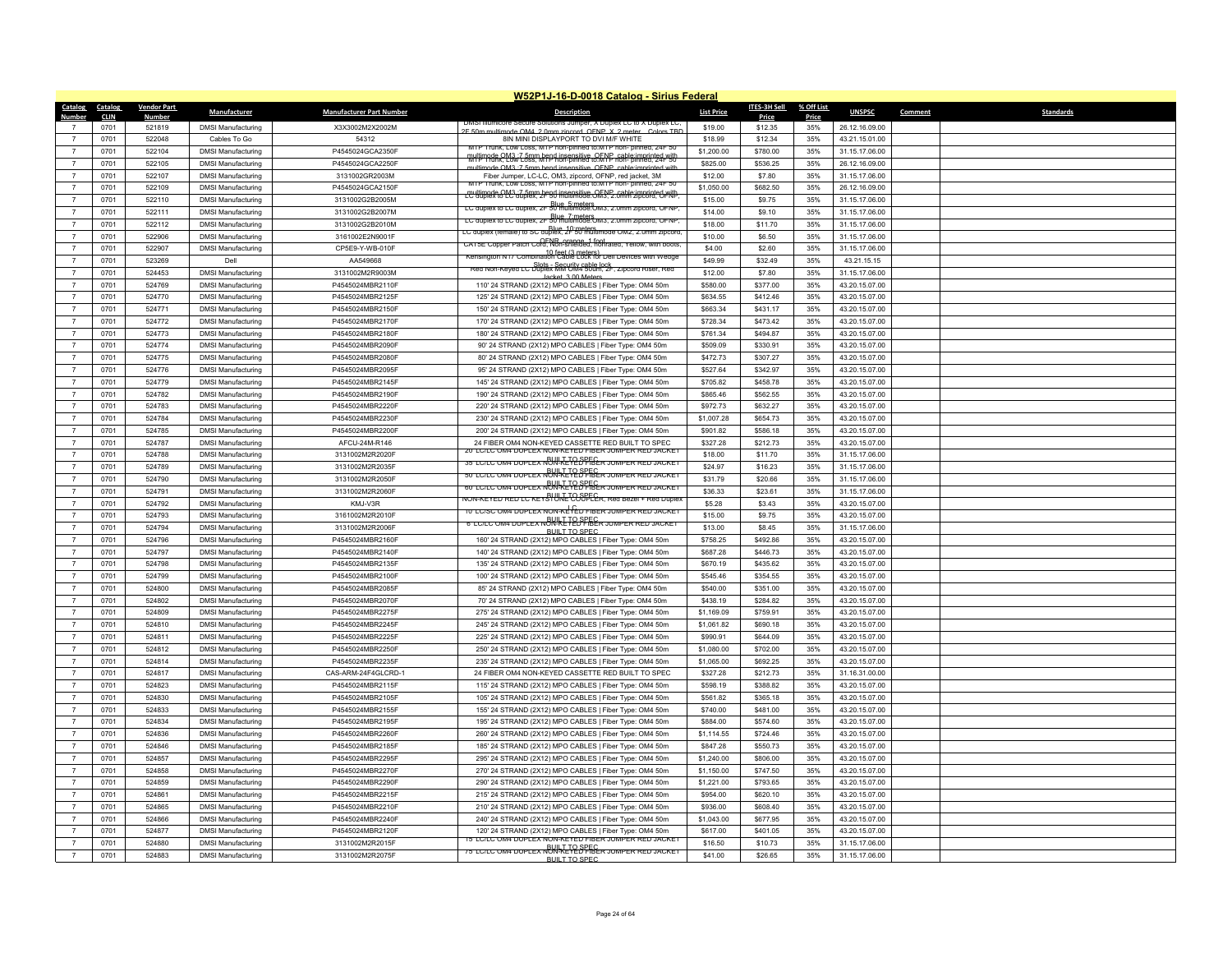|                         |                        |                    |                           |                                 | W52P1J-16-D-0018 Catalog - Sirius Federal                                                                                            |                   |                  |                     |                |         |                  |
|-------------------------|------------------------|--------------------|---------------------------|---------------------------------|--------------------------------------------------------------------------------------------------------------------------------------|-------------------|------------------|---------------------|----------------|---------|------------------|
| <b>Catalog</b><br>Numbe | Catalog<br><b>CLIN</b> | <b>Vendor Part</b> | Manufacturer              | <b>Manufacturer Part Number</b> | <b>Description</b>                                                                                                                   | <b>List Price</b> | ITES-3H Sell     | % Off List<br>Price | <b>UNSPSC</b>  | Comment | <b>Standards</b> |
|                         | 0701                   | Numbei<br>521819   | <b>DMSI Manufacturing</b> | X3X3002M2X2002M                 |                                                                                                                                      | \$19.00           | Price<br>\$12.35 | 35%                 | 26.12.16.09.00 |         |                  |
| $\overline{7}$          | 0701                   | 522048             | Cables To Go              | 54312                           | $A0$ $\cap$ MA $\cap$ $\cap$ m<br><b>DE EOR</b><br>OFNP X 2 met<br>8IN MINI DISPLAYPORT TO DVI M/F WHITE                             | \$18.99           | \$12.34          | 35%                 | 43.21.15.01.00 |         |                  |
| $\overline{7}$          | 0701                   | 522104             | <b>DMSI Manufacturing</b> | P4545024GCA2350F                | MTP Trunk, Low Loss, MTP non-pinned to:MTP non-pinned, 24F 50                                                                        | \$1,200.00        | \$780.00         | 35%                 | 31.15.17.06.00 |         |                  |
| $\overline{7}$          | 0701                   | 522105             | <b>DMSI Manufacturing</b> | P4545024GCA2250F                | multimode OM3: 7 5mm bend insensitive, OENP, cable imprinted with<br>MITP Prink, Low Loss, MTP non-pinned to: MTP non-pinned, 241-50 | \$825.00          | \$536.25         | 35%                 | 26.12.16.09.00 |         |                  |
| $\overline{7}$          | 0701                   | 522107             | <b>DMSI Manufacturing</b> | 3131002GR2003M                  | multimode OM3 :7 5mm bend insensitive OFNP cable imprinted with<br>Fiber Jumper, LC-LC, OM3, zipcord, OFNP, red jacket, 3M           | \$12.00           | \$7.80           | 35%                 | 31.15.17.06.00 |         |                  |
| $\overline{7}$          | 0701                   | 522109             | <b>DMSI Manufacturing</b> | P4545024GCA2150F                | MTP Trunk, Low Loss, MTP non-pinned to:MTP non-pinned, 24F 50                                                                        | \$1,050.00        | \$682.50         | 35%                 | 26.12.16.09.00 |         |                  |
| $\overline{7}$          | 0701                   | 522110             | <b>DMSI Manufacturing</b> | 3131002G2B2005M                 | rultimode CM3 .7 5mm bend insensitive. OFNP, cable imprinted with                                                                    | \$15.00           | \$9.75           | 35%                 | 31.15.17.06.00 |         |                  |
| $\overline{7}$          | 0701                   | 522111             | <b>DMSI Manufacturing</b> | 3131002G2B2007M                 | LC duplex to LC duplex, 2F 50 multimode: UM3, 2.0mm zipcord, OFNP                                                                    | \$14.00           | \$9.10           | 35%                 | 31.15.17.06.00 |         |                  |
| $\overline{7}$          | 0701                   | 522112             | <b>DMSI Manufacturing</b> | 3131002G2B2010M                 | LC duplex to LC duplex, 2F 50 multimode: UM3, 2.0mm zipcord, OFNP                                                                    | \$18.00           | \$11.70          | 35%                 | 31.15.17.06.00 |         |                  |
| $\overline{7}$          | 0701                   | 522906             | <b>DMSI Manufacturing</b> | 3161002E2N9001F                 | LC duplex (female) to SC duplex, 2F 50 multimode OM2, 2.0mm zipcord.                                                                 | \$10.00           | \$6.50           | 35%                 | 31.15.17.06.00 |         |                  |
| $\overline{7}$          | 0701                   | 522907             | <b>DMSI Manufacturing</b> | CP5E9-Y-WB-010F                 | CATSE Copper Paton Coro, Non-Shielded, hot rated, Yellow, with boots                                                                 | \$4.00            | \$2.60           | 35%                 | 31.15.17.06.00 |         |                  |
| $\overline{7}$          | 0701                   | 523269             | Dell                      | AA549668                        | 10 feet (3 meters)<br>Kensington N17 Combination Cable Lock for Dell Devices with Wedge                                              | \$49.99           | \$32.49          | 35%                 | 43.21.15.15    |         |                  |
| $\overline{7}$          | 0701                   | 524453             | <b>DMSI Manufacturing</b> | 3131002M2R9003M                 | Red Non-Keyed LC Duplex MM UM4 Sulm, 2F, Zipcord Riser, Red                                                                          | \$12.00           | \$7.80           | 35%                 | 31.15.17.06.00 |         |                  |
| $\overline{7}$          | 0701                   | 524769             | <b>DMSI Manufacturing</b> | P4545024MBR2110F                | Jacket 3.00 Meters<br>110' 24 STRAND (2X12) MPO CABLES   Fiber Type: OM4 50m                                                         | \$580.00          | \$377.00         | 35%                 | 43.20.15.07.00 |         |                  |
| $\overline{7}$          | 0701                   | 524770             | <b>DMSI Manufacturing</b> | P4545024MBR2125F                | 125' 24 STRAND (2X12) MPO CABLES   Fiber Type: OM4 50m                                                                               | \$634.55          | \$412.46         | 35%                 | 43.20.15.07.00 |         |                  |
| $\overline{7}$          | 0701                   | 524771             | <b>DMSI Manufacturing</b> | P4545024MBR2150F                | 150' 24 STRAND (2X12) MPO CABLES   Fiber Type: OM4 50m                                                                               | \$663.34          | \$431.17         | 35%                 | 43.20.15.07.00 |         |                  |
| $\overline{7}$          | 0701                   | 524772             | <b>DMSI Manufacturing</b> | P4545024MBR2170F                | 170' 24 STRAND (2X12) MPO CABLES   Fiber Type: OM4 50m                                                                               | \$728.34          | \$473.42         | 35%                 | 43.20.15.07.00 |         |                  |
| $\overline{7}$          | 0701                   | 524773             | <b>DMSI Manufacturing</b> | P4545024MBR2180F                | 180' 24 STRAND (2X12) MPO CABLES   Fiber Type: OM4 50m                                                                               | \$761.34          | \$494.87         | 35%                 | 43.20.15.07.00 |         |                  |
| $\overline{7}$          | 0701                   | 524774             | <b>DMSI Manufacturing</b> | P4545024MBR2090F                | 90' 24 STRAND (2X12) MPO CABLES   Fiber Type: OM4 50m                                                                                | \$509.09          | \$330.91         | 35%                 | 43.20.15.07.00 |         |                  |
| $\overline{7}$          | 0701                   | 524775             | <b>DMSI Manufacturing</b> | P4545024MBR2080F                | 80' 24 STRAND (2X12) MPO CABLES   Fiber Type: OM4 50m                                                                                | \$472.73          | \$307.27         | 35%                 | 43.20.15.07.00 |         |                  |
| $\overline{7}$          | 0701                   | 524776             | <b>DMSI Manufacturing</b> | P4545024MBR2095F                | 95' 24 STRAND (2X12) MPO CABLES   Fiber Type: OM4 50m                                                                                | \$527.64          | \$342.97         | 35%                 | 43.20.15.07.00 |         |                  |
| $\overline{7}$          | 0701                   | 524779             | <b>DMSI Manufacturing</b> | P4545024MBR2145F                | 145' 24 STRAND (2X12) MPO CABLES   Fiber Type: OM4 50m                                                                               | \$705.82          | \$458.78         | 35%                 | 43.20.15.07.00 |         |                  |
| $\overline{7}$          | 0701                   | 524782             | <b>DMSI Manufacturing</b> | P4545024MBR2190F                | 190' 24 STRAND (2X12) MPO CABLES   Fiber Type: OM4 50m                                                                               | \$865.46          | \$562.55         | 35%                 | 43.20.15.07.00 |         |                  |
| $\overline{7}$          | 0701                   | 524783             | <b>DMSI Manufacturing</b> | P4545024MBR2220I                | 220' 24 STRAND (2X12) MPO CABLES   Fiber Type: OM4 50m                                                                               | \$972.73          | \$632.27         | 35%                 | 43.20.15.07.00 |         |                  |
| $\overline{7}$          | 0701                   | 524784             | <b>DMSI Manufacturing</b> | P4545024MBR2230F                | 230' 24 STRAND (2X12) MPO CABLES   Fiber Type: OM4 50m                                                                               | \$1,007.28        | \$654.73         | 35%                 | 43.20.15.07.00 |         |                  |
| $\overline{7}$          | 0701                   | 524785             | <b>DMSI Manufacturing</b> | P4545024MBR2200F                | 200' 24 STRAND (2X12) MPO CABLES   Fiber Type: OM4 50m                                                                               | \$901.82          | \$586.18         | 35%                 | 43.20.15.07.00 |         |                  |
| $\overline{7}$          | 0701                   | 524787             | <b>DMSI Manufacturing</b> | AFCU-24M-R146                   | 24 FIBER OM4 NON-KEYED CASSETTE RED BUILT TO SPEC                                                                                    | \$327.28          | \$212.73         | 35%                 | 43.20.15.07.00 |         |                  |
| $\overline{7}$          | 0701                   | 524788             | <b>DMSI Manufacturing</b> | 3131002M2R2020F                 | 20" LC/LC OM4 DUPLEX NON-KEYED FIBER JUMPER RED JACKE                                                                                | \$18.00           | \$11.70          | 35%                 | 31.15.17.06.00 |         |                  |
| $\overline{7}$          | 0701                   | 524789             | <b>DMSI Manufacturing</b> | 3131002M2R2035F                 | 35' LC/LC OM4 DUPLEX NON-REVED FIBER JUMPER RED JACKET                                                                               | \$24.97           | \$16.23          | 35%                 | 31.15.17.06.00 |         |                  |
| $\overline{7}$          | 0701                   | 524790             | <b>DMSI Manufacturing</b> | 3131002M2R2050F                 | 50" LC/LC OM4 DUPLEX NOW-KEYED FIBER JUMPER RED JACKET                                                                               | \$31.79           | \$20.66          | 35%                 | 31.15.17.06.00 |         |                  |
| $\overline{7}$          | 0701                   | 524791             | <b>DMSI Manufacturing</b> | 3131002M2R2060F                 | 60 LC/LC OM4 DUPLEX NOW-KEVED FIBER JUMPER RED JACKET                                                                                | \$36.33           | \$23.61          | 35%                 | 31.15.17.06.00 |         |                  |
| $\overline{7}$          | 0701                   | 524792             | <b>DMSI Manufacturing</b> | KMJ-V3R                         | NON-KEYED RED LC KEYS UNE COOPEER, Red Bezel + Red Duplex                                                                            | \$5.28            | \$3.43           | 35%                 | 43.20.15.07.00 |         |                  |
| $\overline{7}$          | 0701                   | 524793             | <b>DMSI Manufacturing</b> | 3161002M2R2010F                 | <u>10" LC/SC OM4 DUPLEX NON-KE<sup>L</sup>FED FIBER JUMPER RED JACKET</u>                                                            | \$15.00           | \$9.75           | 35%                 | 43.20.15.07.00 |         |                  |
| $\overline{7}$          | 0701                   | 524794             | <b>DMSI Manufacturing</b> | 3131002M2R2006F                 | 6' LC/LC OM4 DUPLEX NON-KETED FIBER JUMPER RED JACKET<br>BUILT TO SPEC                                                               | \$13.00           | \$8.45           | 35%                 | 31.15.17.06.00 |         |                  |
| $\overline{7}$          | 0701                   | 524796             | <b>DMSI Manufacturing</b> | P4545024MBR2160F                | 160' 24 STRAND (2X12) MPO CABLES   Fiber Type: OM4 50m                                                                               | \$758.25          | \$492.86         | 35%                 | 43.20.15.07.00 |         |                  |
| $\overline{7}$          | 0701                   | 524797             | <b>DMSI Manufacturing</b> | P4545024MBR2140F                | 140' 24 STRAND (2X12) MPO CABLES   Fiber Type: OM4 50m                                                                               | \$687.28          | \$446.73         | 35%                 | 43.20.15.07.00 |         |                  |
| $\overline{7}$          | 0701                   | 524798             | <b>DMSI Manufacturing</b> | P4545024MBR2135F                | 135' 24 STRAND (2X12) MPO CABLES   Fiber Type: OM4 50m                                                                               | \$670.19          | \$435.62         | 35%                 | 43.20.15.07.00 |         |                  |
| $\overline{7}$          | 0701                   | 524799             | <b>DMSI Manufacturing</b> | P4545024MBR2100F                | 100' 24 STRAND (2X12) MPO CABLES   Fiber Type: OM4 50m                                                                               | \$545.46          | \$354.55         | 35%                 | 43 20 15 07 00 |         |                  |
| $\overline{7}$          | 0701                   | 524800             | <b>DMSI Manufacturing</b> | P4545024MBR2085                 | 85' 24 STRAND (2X12) MPO CABLES   Fiber Type: OM4 50m                                                                                | \$540.00          | \$351.00         | 35%                 | 43.20.15.07.00 |         |                  |
| $\overline{7}$          | 0701                   | 524802             | <b>DMSI Manufacturing</b> | P4545024MBR2070F                | 70' 24 STRAND (2X12) MPO CABLES   Fiber Type: OM4 50m                                                                                | \$438.19          | \$284.82         | 35%                 | 43.20.15.07.00 |         |                  |
| $\overline{7}$          | 0701                   | 524809             | <b>DMSI Manufacturing</b> | P4545024MBR2275F                | 275' 24 STRAND (2X12) MPO CABLES   Fiber Type: OM4 50m                                                                               | \$1,169.09        | \$759.91         | 35%                 | 43.20.15.07.00 |         |                  |
| $\overline{7}$          | 0701                   | 524810             | <b>DMSI Manufacturing</b> | P4545024MBR2245F                | 245' 24 STRAND (2X12) MPO CABLES   Fiber Type: OM4 50m                                                                               | \$1,061.82        | \$690.18         | 35%                 | 43.20.15.07.00 |         |                  |
| $\overline{7}$          | 0701                   | 524811             | <b>DMSI Manufacturing</b> | P4545024MBR2225F                | 225' 24 STRAND (2X12) MPO CABLES   Fiber Type: OM4 50m                                                                               | \$990.91          | \$644.09         | 35%                 | 43.20.15.07.00 |         |                  |
| $\overline{7}$          | 0701                   | 524812             | <b>DMSI Manufacturing</b> | P4545024MBR2250F                | 250' 24 STRAND (2X12) MPO CABLES   Fiber Type: OM4 50m                                                                               | \$1,080.00        | \$702.00         | 35%                 | 43.20.15.07.00 |         |                  |
| $\overline{7}$          | 0701                   | 524814             | <b>DMSI Manufacturing</b> | P4545024MBR2235F                | 235' 24 STRAND (2X12) MPO CABLES   Fiber Type: OM4 50m                                                                               | \$1,065.00        | \$692.25         | 35%                 | 43.20.15.07.00 |         |                  |
| $\overline{7}$          | 0701                   | 524817             | <b>DMSI Manufacturing</b> | CAS-ARM-24F4GLCRD-1             | 24 FIBER OM4 NON-KEYED CASSETTE RED BUILT TO SPEC                                                                                    | \$327.28          | \$212.73         | 35%                 | 31.16.31.00.00 |         |                  |
| $\overline{7}$          | 0701                   | 524823             | <b>DMSI Manufacturing</b> | P4545024MBR2115F                | 115' 24 STRAND (2X12) MPO CABLES   Fiber Type: OM4 50m                                                                               | \$598.19          | \$388.82         | 35%                 | 43.20.15.07.00 |         |                  |
| $\overline{7}$          | 0701                   | 524830             | <b>DMSI Manufacturing</b> | P4545024MBR2105F                | 105' 24 STRAND (2X12) MPO CABLES   Fiber Type: OM4 50m                                                                               | \$561.82          | \$365.18         | 35%                 | 43.20.15.07.00 |         |                  |
| $\overline{7}$          | 0701                   | 524833             | <b>DMSI Manufacturing</b> | P4545024MBR2155F                | 155' 24 STRAND (2X12) MPO CABLES   Fiber Type: OM4 50m                                                                               | \$740.00          | \$481.00         | 35%                 | 43.20.15.07.00 |         |                  |
| $\overline{7}$          | 0701                   | 524834             | <b>DMSI Manufacturing</b> | P4545024MBR2195F                | 195' 24 STRAND (2X12) MPO CABLES   Fiber Type: OM4 50m                                                                               | \$884.00          | \$574.60         | 35%                 | 43.20.15.07.00 |         |                  |
| $\overline{7}$          | 0701                   | 524836             | <b>DMSI Manufacturing</b> | P4545024MBR2260I                | 260' 24 STRAND (2X12) MPO CABLES   Fiber Type: OM4 50m                                                                               | \$1,114.55        | \$724.46         | 35%                 | 43.20.15.07.00 |         |                  |
| $\overline{7}$          | 0701                   | 524846             | <b>DMSI Manufacturing</b> | P4545024MBR2185F                | 185' 24 STRAND (2X12) MPO CABLES   Fiber Type: OM4 50m                                                                               | \$847.28          | \$550.73         | 35%                 | 43.20.15.07.00 |         |                  |
| $\overline{7}$          | 0701                   | 524857             | <b>DMSI Manufacturing</b> | P4545024MBR2295F                | 295' 24 STRAND (2X12) MPO CABLES   Fiber Type: OM4 50m                                                                               | \$1,240.00        | \$806.00         | 35%                 | 43.20.15.07.00 |         |                  |
| $\overline{7}$          | 0701                   | 524858             | <b>DMSI Manufacturing</b> | P4545024MBR2270F                | 270' 24 STRAND (2X12) MPO CABLES   Fiber Type: OM4 50m                                                                               | \$1,150.00        | \$747.50         | 35%                 | 43.20.15.07.00 |         |                  |
| $\overline{7}$          | 0701                   | 524859             | <b>DMSI Manufacturing</b> | P4545024MBR2290F                | 290' 24 STRAND (2X12) MPO CABLES   Fiber Type: OM4 50m                                                                               | \$1,221.00        | \$793.65         | 35%                 | 43.20.15.07.00 |         |                  |
| $\overline{7}$          | 0701                   | 524861             | <b>DMSI Manufacturing</b> | P4545024MBR2215F                | 215' 24 STRAND (2X12) MPO CABLES   Fiber Type: OM4 50m                                                                               | \$954.00          | \$620.10         | 35%                 | 43.20.15.07.00 |         |                  |
| $\overline{7}$          | 0701                   | 524865             | <b>DMSI Manufacturing</b> | P4545024MBR2210F                | 210' 24 STRAND (2X12) MPO CABLES   Fiber Type: OM4 50m                                                                               | \$936.00          | \$608.40         | 35%                 | 43.20.15.07.00 |         |                  |
| $\overline{7}$          | 0701                   | 524866             | <b>DMSI Manufacturing</b> | P4545024MBR2240F                | 240' 24 STRAND (2X12) MPO CABLES   Fiber Type: OM4 50m                                                                               | \$1,043.00        | \$677.95         | 35%                 | 43.20.15.07.00 |         |                  |
| $\overline{7}$          | 0701                   | 524877             | <b>DMSI Manufacturing</b> | P4545024MBR2120F                | 120' 24 STRAND (2X12) MPO CABLES   Fiber Type: OM4 50m                                                                               | \$617.00          | \$401.05         | 35%                 | 43.20.15.07.00 |         |                  |
| $\overline{7}$          | 0701                   | 524880             | <b>DMSI Manufacturing</b> | 3131002M2R2015F                 | 15' LC/LC OM4 DUPLEX NON-KEYED FIBER JUMPER RED JACKE                                                                                | \$16.50           | \$10.73          | 35%                 | 31.15.17.06.00 |         |                  |
| $\overline{7}$          | 0701                   | 524883             | <b>DMSI Manufacturing</b> | 3131002M2R2075F                 | 75 LC/LC OM4 DUPLEX NON-REVED FIBER JUMPER RED JACKET<br>BUILT TO SPEC                                                               | \$41.00           | \$26.65          | 35%                 | 31.15.17.06.00 |         |                  |
|                         |                        |                    |                           |                                 |                                                                                                                                      |                   |                  |                     |                |         |                  |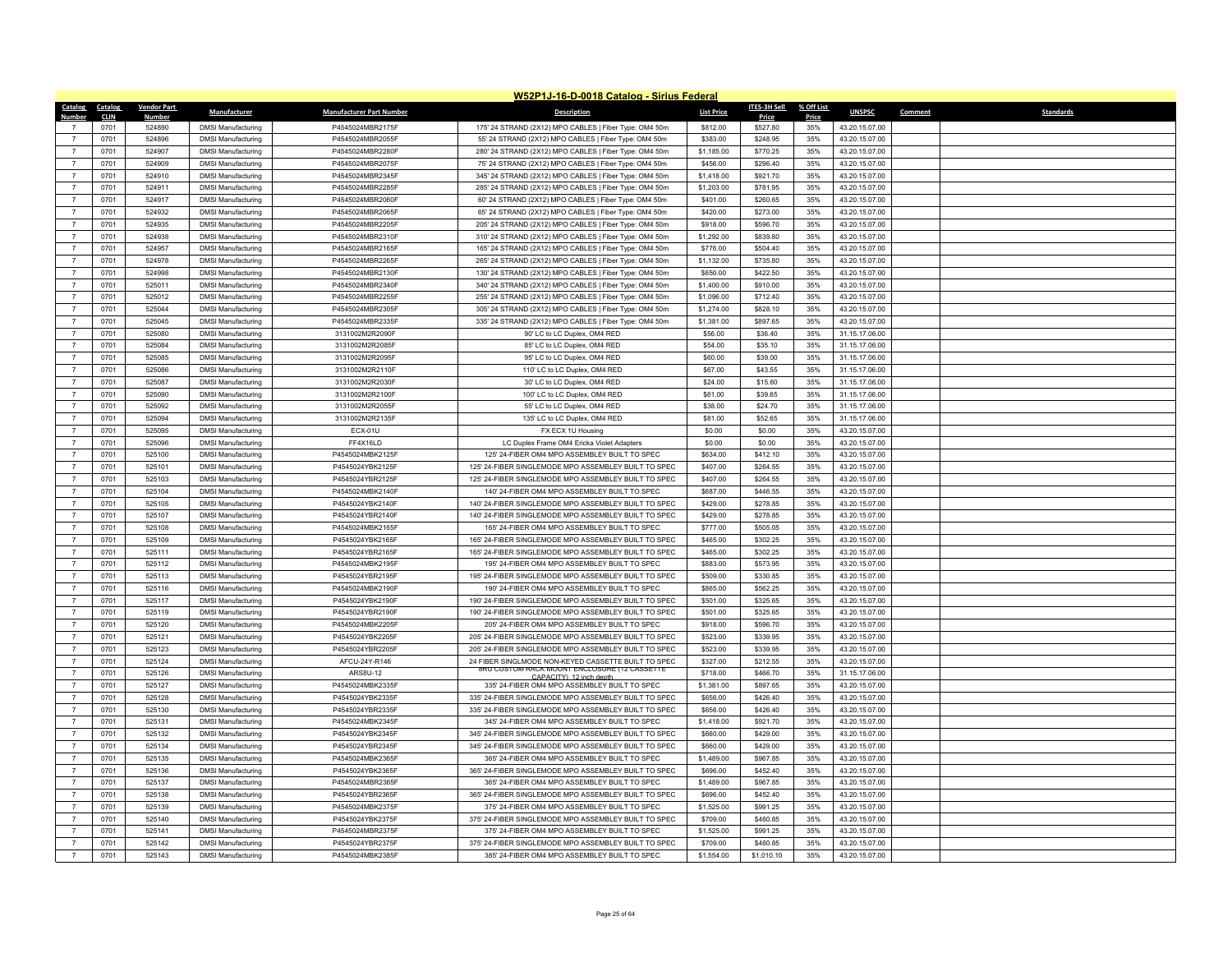|                                  |             |                    |                                                        |                                 | W52P1J-16-D-0018 Catalog - Sirius Federal                              |                   |                     |            |                |                      |
|----------------------------------|-------------|--------------------|--------------------------------------------------------|---------------------------------|------------------------------------------------------------------------|-------------------|---------------------|------------|----------------|----------------------|
| Catalog                          | Catalog     | <b>Vendor Part</b> | <b>Manufacturer</b>                                    | <b>Manufacturer Part Number</b> | <b>Description</b>                                                     | <b>List Price</b> | <b>ITES-3H Sell</b> | % Off List | <b>UNSPSC</b>  | Standards<br>Comment |
| Number                           | <b>CLIN</b> | Number             |                                                        |                                 |                                                                        |                   | Price               | Price      |                |                      |
|                                  | 0701        | 524890             | <b>DMSI Manufacturing</b>                              | P4545024MBR2175F                | 175' 24 STRAND (2X12) MPO CABLES   Fiber Type: OM4 50m                 | \$812.00          | \$527.80            | 35%        | 43.20.15.07.00 |                      |
| $\overline{7}$                   | 0701        | 524896             | <b>DMSI Manufacturing</b>                              | P4545024MBR2055F                | 55' 24 STRAND (2X12) MPO CABLES   Fiber Type: OM4 50m                  | \$383.00          | \$248.95            | 35%        | 43.20.15.07.00 |                      |
|                                  | 0701        | 524907             | <b>DMSI Manufacturing</b>                              | P4545024MBR2280F                | 280' 24 STRAND (2X12) MPO CABLES   Fiber Type: OM4 50m                 | \$1,185.00        | \$770.25            | 35%        | 43.20.15.07.00 |                      |
| $\overline{7}$                   | 0701        | 524909             | <b>DMSI Manufacturing</b>                              | P4545024MBR2075F                | 75' 24 STRAND (2X12) MPO CABLES   Fiber Type: OM4 50m                  | \$456.00          | \$296.40            | 35%        | 43.20.15.07.00 |                      |
| $\overline{7}$                   | 0701        | 524910             | <b>DMSI Manufacturing</b>                              | P4545024MBR2345F                | 345' 24 STRAND (2X12) MPO CABLES   Fiber Type: OM4 50n                 | \$1,418.00        | \$921.70            | 35%        | 43.20.15.07.00 |                      |
| $\overline{7}$                   | 0701        | 524911             | <b>DMSI Manufacturing</b>                              | P4545024MBR2285F                | 285' 24 STRAND (2X12) MPO CABLES   Fiber Type: OM4 50m                 | \$1,203.00        | \$781.95            | 35%        | 43.20.15.07.00 |                      |
| $\overline{7}$                   | 0701        | 524917             | <b>DMSI Manufacturing</b>                              | P4545024MBR2060F                | 60' 24 STRAND (2X12) MPO CABLES   Fiber Type: OM4 50m                  | \$401.00          | \$260.65            | 35%        | 43.20.15.07.00 |                      |
| $\overline{7}$                   | 0701        | 524932             | <b>DMSI Manufacturing</b>                              | P4545024MBR2065F                | 65' 24 STRAND (2X12) MPO CABLES   Fiber Type: OM4 50m                  | \$420.00          | \$273.00            | 35%        | 43.20.15.07.00 |                      |
| $\overline{7}$                   | 0701        | 524935             | <b>DMSI Manufacturing</b>                              | P4545024MBR2205F                | 205' 24 STRAND (2X12) MPO CABLES   Fiber Type: OM4 50m                 | \$918.00          | \$596.70            | 35%        | 43.20.15.07.00 |                      |
| $\overline{7}$                   | 0701        | 524938             | <b>DMSI Manufacturing</b>                              | P4545024MBR2310F                | 310' 24 STRAND (2X12) MPO CABLES   Fiber Type: OM4 50m                 | \$1,292.00        | \$839.80            | 35%        | 43.20.15.07.00 |                      |
| $\overline{7}$                   | 0701        | 524957             | <b>DMSI Manufacturing</b>                              | P4545024MBR2165F                | 165' 24 STRAND (2X12) MPO CABLES   Fiber Type: OM4 50m                 | \$776.00          | \$504.40            | 35%        | 43.20.15.07.00 |                      |
| $\overline{7}$                   | 0701        | 524978             | <b>DMSI Manufacturing</b>                              | P4545024MBR2265F                | 265' 24 STRAND (2X12) MPO CABLES   Fiber Type: OM4 50m                 | \$1,132.00        | \$735.80            | 35%        | 43.20.15.07.00 |                      |
| $\overline{7}$                   | 0701        | 524998             | <b>DMSI Manufacturing</b>                              | P4545024MBR2130F                | 130' 24 STRAND (2X12) MPO CABLES   Fiber Type: OM4 50m                 | \$650.00          | \$422.50            | 35%        | 43.20.15.07.00 |                      |
| $\overline{7}$                   | 0701        | 525011             | <b>DMSI Manufacturing</b>                              | P4545024MBR2340F                | 340' 24 STRAND (2X12) MPO CABLES   Fiber Type: OM4 50m                 | \$1,400.00        | \$910.00            | 35%        | 43.20.15.07.00 |                      |
| $\overline{7}$                   | 0701        | 525012             | <b>DMSI Manufacturing</b>                              | P4545024MBR2255F                | 255' 24 STRAND (2X12) MPO CABLES   Fiber Type: OM4 50m                 | \$1,096.00        | \$712.40            | 35%        | 43.20.15.07.00 |                      |
| $\overline{7}$                   | 0701        | 525044             | <b>DMSI Manufacturing</b>                              | P4545024MBR2305F                | 305' 24 STRAND (2X12) MPO CABLES   Fiber Type: OM4 50m                 | \$1,274.00        | \$828.10            | 35%        | 43.20.15.07.00 |                      |
|                                  | 0701        | 525045             | <b>DMSI Manufacturing</b>                              | P4545024MBR2335F                | 335' 24 STRAND (2X12) MPO CABLES   Fiber Type: OM4 50m                 | \$1,381.00        | \$897.65            | 35%        | 43.20.15.07.00 |                      |
| $\overline{7}$                   | 0701        | 525080             | <b>DMSI Manufacturing</b>                              | 3131002M2R2090F                 | 90' LC to LC Duplex, OM4 RED                                           | \$56.00           | \$36.40             | 35%        | 31.15.17.06.00 |                      |
| $\overline{7}$                   | 0701        | 525084             | <b>DMSI Manufacturing</b>                              | 3131002M2R2085F                 | 85' LC to LC Duplex, OM4 RED                                           | \$54.00           | \$35.10             | 35%        | 31.15.17.06.00 |                      |
| $\overline{7}$                   | 0701        | 525085             | <b>DMSI Manufacturing</b>                              | 3131002M2R2095F                 | 95' LC to LC Duplex, OM4 RED                                           | \$60.00           | \$39.00             | 35%        | 31.15.17.06.00 |                      |
| $\overline{7}$                   | 0701        | 525086             | <b>DMSI Manufacturing</b>                              | 3131002M2R2110F                 | 110' LC to LC Duplex, OM4 RED                                          | \$67.00           | \$43.55             | 35%        | 31.15.17.06.00 |                      |
| $\overline{7}$                   | 0701        | 525087             | <b>DMSI Manufacturing</b>                              | 3131002M2R2030F                 | 30' LC to LC Duplex, OM4 RED                                           | \$24.00           | \$15.60             | 35%        | 31.15.17.06.00 |                      |
|                                  | 0701        | 525090             | <b>DMSI Manufacturing</b>                              | 3131002M2R2100F                 | 100' LC to LC Duplex, OM4 RED                                          | \$61.00           | \$39.65             | 35%        | 31.15.17.06.00 |                      |
| $\overline{7}$                   | 0701        | 525092             | <b>DMSI Manufacturing</b>                              | 3131002M2R2055F                 | 55' LC to LC Duplex, OM4 RED                                           | \$38.00           | \$24.70             | 35%        | 31.15.17.06.00 |                      |
| $\overline{7}$                   |             |                    |                                                        |                                 |                                                                        |                   |                     |            |                |                      |
|                                  | 0701        | 525094             | <b>DMSI Manufacturing</b>                              | 3131002M2R2135F                 | 135' LC to LC Duplex, OM4 RED                                          | \$81.00           | \$52.65             | 35%        | 31.15.17.06.00 |                      |
| $\overline{7}$<br>$\overline{7}$ | 0701        | 525095             | <b>DMSI Manufacturing</b>                              | <b>ECX-01U</b>                  | FX ECX 1U Housing                                                      | \$0.00            | \$0.00              | 35%        | 43.20.15.07.00 |                      |
|                                  | 0701        | 525096             | <b>DMSI Manufacturing</b>                              | FF4X16LD                        | LC Duplex Frame OM4 Ericka Violet Adapters                             | \$0.00            | \$0.00              | 35%        | 43.20.15.07.00 |                      |
| $\overline{7}$                   | 0701        | 525100             | <b>DMSI Manufacturing</b>                              | P4545024MBK2125F                | 125' 24-FIBER OM4 MPO ASSEMBLEY BUILT TO SPEC                          | \$634.00          | \$412.10            | 35%        | 43.20.15.07.00 |                      |
| $\overline{7}$                   | 0701        | 525101             | <b>DMSI Manufacturing</b>                              | P4545024YBK2125F                | 125' 24-FIBER SINGLEMODE MPO ASSEMBLEY BUILT TO SPEC                   | \$407.00          | \$264.55            | 35%        | 43.20.15.07.00 |                      |
| $\overline{7}$                   | 0701        | 525103             | <b>DMSI Manufacturing</b>                              | P4545024YBR2125F                | 125' 24-FIBER SINGLEMODE MPO ASSEMBLEY BUILT TO SPEC                   | \$407.00          | \$264.55            | 35%        | 43.20.15.07.00 |                      |
| $\overline{7}$                   | 0701        | 525104             | <b>DMSI Manufacturing</b>                              | P4545024MBK2140F                | 140' 24-FIBER OM4 MPO ASSEMBLEY BUILT TO SPEC                          | \$687.00          | \$446.55            | 35%        | 43.20.15.07.00 |                      |
| $\overline{7}$                   | 0701        | 525105             | <b>DMSI Manufacturing</b>                              | P4545024YBK2140F                | 140' 24-FIBER SINGLEMODE MPO ASSEMBLEY BUILT TO SPEC                   | \$429.00          | \$278.85            | 35%        | 43.20.15.07.00 |                      |
| $\overline{7}$                   | 0701        | 525107             | <b>DMSI Manufacturing</b>                              | P4545024YBR2140F                | 140' 24-FIBER SINGLEMODE MPO ASSEMBLEY BUILT TO SPEC                   | \$429.00          | \$278.85            | 35%        | 43.20.15.07.00 |                      |
| $\overline{7}$                   | 0701        | 525108             | <b>DMSI Manufacturing</b>                              | P4545024MBK2165F                | 165' 24-FIBER OM4 MPO ASSEMBLEY BUILT TO SPEC                          | \$777.00          | \$505.05            | 35%        | 43.20.15.07.00 |                      |
| $\overline{7}$                   | 0701        | 525109             | <b>DMSI Manufacturing</b>                              | P4545024YBK2165F                | 165' 24-FIBER SINGLEMODE MPO ASSEMBLEY BUILT TO SPEC                   | \$465.00          | \$302.25            | 35%        | 43.20.15.07.00 |                      |
| $\overline{7}$                   | 0701        | 525111             | <b>DMSI Manufacturing</b>                              | P4545024YBR2165F                | 165' 24-FIBER SINGLEMODE MPO ASSEMBLEY BUILT TO SPEC                   | \$465.00          | \$302.25            | 35%        | 43.20.15.07.00 |                      |
| $\overline{7}$                   | 0701        | 525112             | <b>DMSI Manufacturing</b>                              | P4545024MBK2195F                | 195' 24-FIBER OM4 MPO ASSEMBLEY BUILT TO SPEC                          | \$883.00          | \$573.95            | 35%        | 43.20.15.07.00 |                      |
| $\overline{7}$                   | 0701        | 525113             | <b>DMSI Manufacturing</b>                              | P4545024YBR2195F                | 195' 24-FIBER SINGLEMODE MPO ASSEMBLEY BUILT TO SPEC                   | \$509.00          | \$330.85            | 35%        | 43.20.15.07.00 |                      |
| $\overline{7}$                   | 0701        | 525116             | <b>DMSI Manufacturing</b>                              | P4545024MBK2190F                | 190' 24-FIBER OM4 MPO ASSEMBLEY BUILT TO SPEC                          | \$865.00          | \$562.25            | 35%        | 43.20.15.07.00 |                      |
| $\overline{7}$                   | 0701        | 525117             | <b>DMSI Manufacturing</b>                              | P4545024YBK2190F                | 190' 24-FIBER SINGLEMODE MPO ASSEMBLEY BUILT TO SPEC                   | \$501.00          | \$325.65            | 35%        | 43.20.15.07.00 |                      |
| $\overline{7}$                   | 0701        | 525119             | <b>DMSI Manufacturing</b>                              | P4545024YBR2190F                | 190' 24-FIBER SINGLEMODE MPO ASSEMBLEY BUILT TO SPEC                   | \$501.00          | \$325.65            | 35%        | 43.20.15.07.00 |                      |
| $\overline{7}$                   | 0701        | 525120             | <b>DMSI Manufacturing</b>                              | P4545024MBK2205F                | 205' 24-FIBER OM4 MPO ASSEMBLEY BUILT TO SPEC                          | \$918.00          | \$596.70            | 35%        | 43.20.15.07.00 |                      |
| $\overline{7}$                   | 0701        | 525121             | <b>DMSI Manufacturing</b>                              | P4545024YBK2205F                | 205' 24-FIBER SINGLEMODE MPO ASSEMBLEY BUILT TO SPEC                   | \$523.00          | \$339.95            | 35%        | 43.20.15.07.00 |                      |
| $\overline{7}$                   | 0701        | 525123             | <b>DMSI Manufacturing</b>                              | P4545024YBR2205F                | 205' 24-FIBER SINGLEMODE MPO ASSEMBLEY BUILT TO SPEC                   | \$523.00          | \$339.95            | 35%        | 43.20.15.07.00 |                      |
| $\overline{7}$                   | 0701        | 525124             | <b>DMSI Manufacturing</b>                              | AFCU-24Y-R146                   | 24 FIBER SINGLMODE NON-KEYED CASSETTE BUILT TO SPEC                    | \$327.00          | \$212.55            | 35%        | 43.20.15.07.00 |                      |
| $\overline{7}$                   | 0701        | 525126             | <b>DMSI Manufacturing</b>                              | ARS8U-12                        | 8RU CUSTOM RACK MOUNT ENCLOSURE (12 CASSETTE<br>CAPACITY) 12 inch dent | \$718.00          | \$466.70            | 35%        | 31.15.17.06.00 |                      |
| $\overline{7}$                   | 0701        | 525127             | <b>DMSI Manufacturing</b>                              | P4545024MBK2335F                | 335' 24-FIBER OM4 MPO ASSEMBLEY BUILT TO SPEC                          | \$1,381.00        | \$897.65            | 35%        | 43.20.15.07.00 |                      |
|                                  | 0701        | 525128             | <b>DMSI Manufacturing</b>                              | P4545024YBK2335F                | 335' 24-FIBER SINGLEMODE MPO ASSEMBLEY BUILT TO SPEC                   | \$656.00          | \$426.40            | 35%        | 43.20.15.07.00 |                      |
| $\overline{7}$                   | 0701        | 525130             | <b>DMSI Manufacturing</b>                              | P4545024YBR2335F                | 335' 24-FIBER SINGLEMODE MPO ASSEMBLEY BUILT TO SPEC                   | \$656.00          | \$426.40            | 35%        | 43.20.15.07.00 |                      |
| $\overline{7}$                   | 0701        | 525131             | <b>DMSI Manufacturing</b>                              | P4545024MBK2345F                | 345' 24-FIBER OM4 MPO ASSEMBLEY BUILT TO SPEC                          | \$1,418.00        | \$921.70            | 35%        | 43.20.15.07.00 |                      |
| $\overline{7}$                   | 0701        | 525132             | <b>DMSI Manufacturing</b>                              | P4545024YBK2345F                | 345' 24-FIBER SINGLEMODE MPO ASSEMBLEY BUILT TO SPEC                   | \$660.00          | \$429.00            | 35%        | 43.20.15.07.00 |                      |
| $\overline{7}$                   | 0701        | 525134             | <b>DMSI Manufacturing</b>                              | P4545024YBR2345F                | 345' 24-FIBER SINGLEMODE MPO ASSEMBLEY BUILT TO SPEC                   | \$660.00          | \$429.00            | 35%        | 43.20.15.07.00 |                      |
| $\overline{7}$                   | 0701        | 525135             | <b>DMSI Manufacturing</b>                              | P4545024MBK2365F                | 365' 24-FIBER OM4 MPO ASSEMBLEY BUILT TO SPEC                          | \$1,489.00        | \$967.85            | 35%        | 43.20.15.07.00 |                      |
| $\overline{7}$                   | 0701        | 525136             | <b>DMSI Manufacturing</b>                              | P4545024YBK2365F                | 365' 24-FIBER SINGLEMODE MPO ASSEMBLEY BUILT TO SPEC                   | \$696.00          | \$452.40            | 35%        | 43.20.15.07.00 |                      |
| $\overline{7}$                   | 0701        | 525137             |                                                        | P4545024MBR2365F                | 365' 24-FIBER OM4 MPO ASSEMBLEY BUILT TO SPEC                          | \$1,489.00        | \$967.85            | 35%        | 43.20.15.07.00 |                      |
|                                  | 0701        | 525138             | <b>DMSI Manufacturing</b><br><b>DMSI Manufacturing</b> | P4545024YBR2365F                | 365' 24-FIBER SINGLEMODE MPO ASSEMBLEY BUILT TO SPEC                   | \$696.00          | \$452.40            | 35%        | 43.20.15.07.00 |                      |
| $\overline{7}$                   | 0701        | 525139             |                                                        |                                 | 375' 24-FIBER OM4 MPO ASSEMBLEY BUILT TO SPEC                          |                   |                     | 35%        |                |                      |
| $\overline{7}$                   | 0701        |                    | <b>DMSI Manufacturing</b>                              | P4545024MBK2375F                | 375' 24-FIBER SINGLEMODE MPO ASSEMBLEY BUILT TO SPEC                   | \$1,525.00        | \$991.25            |            | 43.20.15.07.00 |                      |
|                                  |             | 525140             | <b>DMSI Manufacturing</b>                              | P4545024YBK2375F                |                                                                        | \$709.00          | \$460.85            | 35%        | 43.20.15.07.00 |                      |
|                                  | 0701        | 525141             | <b>DMSI Manufacturing</b>                              | P4545024MBR2375F                | 375' 24-FIBER OM4 MPO ASSEMBLEY BUILT TO SPEC                          | \$1,525.00        | \$991.25            | 35%        | 43.20.15.07.00 |                      |
| $\overline{7}$                   | 0701        | 525142             | <b>DMSI Manufacturing</b>                              | P4545024YBR2375F                | 375' 24-FIBER SINGLEMODE MPO ASSEMBLEY BUILT TO SPEC                   | \$709.00          | \$460.85            | 35%        | 43.20.15.07.00 |                      |
|                                  | 0701        | 525143             | <b>DMSI Manufacturing</b>                              | P4545024MBK2385F                | 385' 24-FIBER OM4 MPO ASSEMBLEY BUILT TO SPEC                          | \$1,554.00        | \$1,010.10          | 35%        | 43.20.15.07.00 |                      |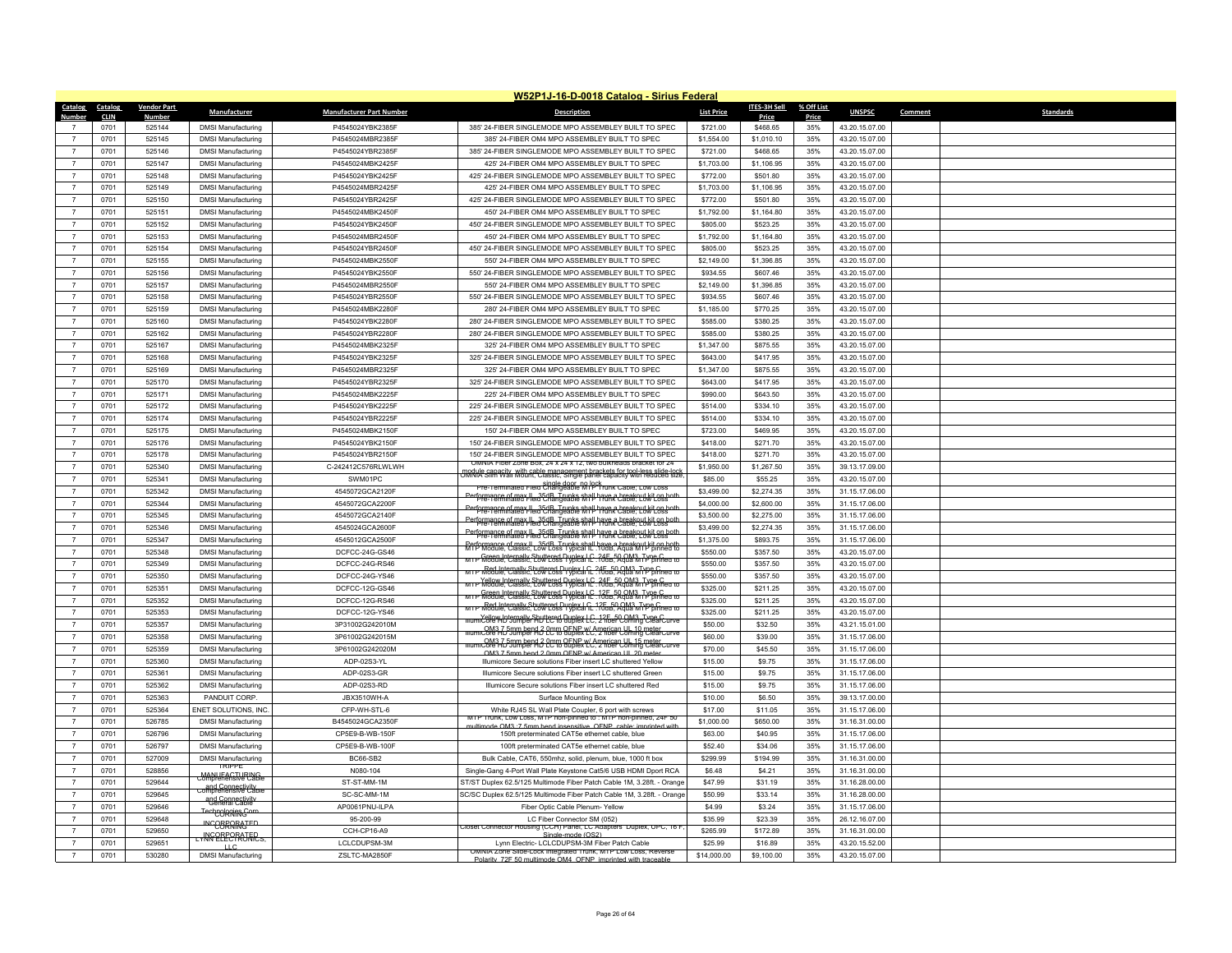|                              |                    |                                                       |                                 | W52P1J-16-D-0018 Catalog - Sirius Federal                                                                                                           |                   |              |            |                |         |                  |
|------------------------------|--------------------|-------------------------------------------------------|---------------------------------|-----------------------------------------------------------------------------------------------------------------------------------------------------|-------------------|--------------|------------|----------------|---------|------------------|
| Catalog<br>Catalog           | <b>Vendor Part</b> | Manufacturer                                          | <b>Manufacturer Part Number</b> | <b>Description</b>                                                                                                                                  | <b>List Price</b> | ITES-3H Sell | % Off List | <b>UNSPSC</b>  | Comment | <b>Standards</b> |
| <b>Number</b><br><b>CLIN</b> | <b>Number</b>      |                                                       |                                 |                                                                                                                                                     |                   | Price        | Price      |                |         |                  |
| 0701<br>$\overline{7}$       | 525144             | <b>DMSI Manufacturing</b>                             | P4545024YBK2385F                | 385' 24-FIBER SINGLEMODE MPO ASSEMBLEY BUILT TO SPEC                                                                                                | \$721.00          | \$468.65     | 35%        | 43.20.15.07.00 |         |                  |
| 0701                         | 525145             | <b>DMSI Manufacturing</b>                             | P4545024MBR2385F                | 385' 24-FIBER OM4 MPO ASSEMBLEY BUILT TO SPEC                                                                                                       | \$1,554.00        | \$1,010.10   | 35%        | 43.20.15.07.00 |         |                  |
| 0701<br>$\overline{7}$       | 525146             | <b>DMSI Manufacturing</b>                             | P4545024YBR2385F                | 385' 24-FIBER SINGLEMODE MPO ASSEMBLEY BUILT TO SPEC                                                                                                | \$721.00          | \$468.65     | 35%        | 43.20.15.07.00 |         |                  |
| 0701<br>$\overline{7}$       | 525147             | <b>DMSI Manufacturing</b>                             | P4545024MBK2425F                | 425' 24-FIBER OM4 MPO ASSEMBLEY BUILT TO SPEC                                                                                                       | \$1,703.00        | \$1,106.95   | 35%        | 43.20.15.07.00 |         |                  |
| $\overline{7}$<br>0701       | 525148             | <b>DMSI Manufacturing</b>                             | P4545024YBK2425F                | 425' 24-FIBER SINGLEMODE MPO ASSEMBLEY BUILT TO SPEC                                                                                                | \$772.00          | \$501.80     | 35%        | 43.20.15.07.00 |         |                  |
| 0701<br>$\overline{7}$       | 525149             | <b>DMSI Manufacturing</b>                             | P4545024MBR2425F                | 425' 24-FIBER OM4 MPO ASSEMBLEY BUILT TO SPEC                                                                                                       | \$1,703.00        | \$1,106.95   | 35%        | 43.20.15.07.00 |         |                  |
| 0701<br>$\overline{7}$       | 525150             | <b>DMSI Manufacturing</b>                             | P4545024YBR2425F                | 425' 24-FIBER SINGLEMODE MPO ASSEMBLEY BUILT TO SPEC                                                                                                | \$772.00          | \$501.80     | 35%        | 43.20.15.07.00 |         |                  |
| $\overline{7}$<br>0701       | 525151             | <b>DMSI Manufacturing</b>                             | P4545024MBK2450F                | 450' 24-FIBER OM4 MPO ASSEMBLEY BUILT TO SPEC                                                                                                       | \$1,792.00        | \$1,164.80   | 35%        | 43.20.15.07.00 |         |                  |
| 0701<br>$\overline{7}$       | 525152             | <b>DMSI Manufacturing</b>                             | P4545024YBK2450F                | 450' 24-FIBER SINGLEMODE MPO ASSEMBLEY BUILT TO SPEC                                                                                                | \$805.00          | \$523.25     | 35%        | 43.20.15.07.00 |         |                  |
| $\overline{7}$<br>0701       | 525153             | <b>DMSI Manufacturing</b>                             | P4545024MBR2450F                | 450' 24-FIBER OM4 MPO ASSEMBLEY BUILT TO SPEC                                                                                                       | \$1,792.00        | \$1,164.80   | 35%        | 43.20.15.07.00 |         |                  |
| $\overline{7}$<br>0701       | 525154             | <b>DMSI Manufacturing</b>                             | P4545024YBR2450F                | 450' 24-FIBER SINGLEMODE MPO ASSEMBLEY BUILT TO SPEC                                                                                                | \$805.00          | \$523.25     | 35%        | 43.20.15.07.00 |         |                  |
| 0701<br>$\overline{7}$       | 525155             | <b>DMSI Manufacturing</b>                             | P4545024MBK2550F                | 550' 24-FIBER OM4 MPO ASSEMBLEY BUILT TO SPEC                                                                                                       | \$2,149.00        | \$1,396.85   | 35%        | 43.20.15.07.00 |         |                  |
| $\overline{7}$<br>0701       | 525156             | <b>DMSI Manufacturing</b>                             | P4545024YBK2550F                | 550' 24-FIBER SINGLEMODE MPO ASSEMBLEY BUILT TO SPEC                                                                                                | \$934.55          | \$607.46     | 35%        | 43.20.15.07.00 |         |                  |
| 0701<br>$\overline{7}$       | 525157             | <b>DMSI Manufacturing</b>                             | P4545024MBR2550F                | 550' 24-FIBER OM4 MPO ASSEMBLEY BUILT TO SPEC                                                                                                       | \$2,149.00        | \$1,396.85   | 35%        | 43.20.15.07.00 |         |                  |
| 0701<br>$\overline{7}$       | 525158             | <b>DMSI Manufacturing</b>                             | P4545024YBR2550F                | 550' 24-FIBER SINGLEMODE MPO ASSEMBLEY BUILT TO SPEC                                                                                                | \$934.55          | \$607.46     | 35%        | 43.20.15.07.00 |         |                  |
| $\overline{7}$<br>0701       | 525159             | <b>DMSI Manufacturing</b>                             | P4545024MBK2280F                | 280' 24-FIBER OM4 MPO ASSEMBLEY BUILT TO SPEC                                                                                                       | \$1,185.00        | \$770.25     | 35%        | 43.20.15.07.00 |         |                  |
| 0701<br>$\overline{7}$       | 525160             | <b>DMSI Manufacturing</b>                             | P4545024YBK2280F                | 280' 24-FIBER SINGLEMODE MPO ASSEMBLEY BUILT TO SPEC                                                                                                | \$585.00          | \$380.25     | 35%        | 43.20.15.07.00 |         |                  |
| 0701<br>$\overline{7}$       | 525162             | <b>DMSI Manufacturing</b>                             | P4545024YBR2280F                | 280' 24-FIBER SINGLEMODE MPO ASSEMBLEY BUILT TO SPEC                                                                                                | \$585.00          | \$380.25     | 35%        | 43.20.15.07.00 |         |                  |
| $\overline{7}$<br>0701       | 525167             | <b>DMSI Manufacturing</b>                             | P4545024MBK2325F                | 325' 24-FIBER OM4 MPO ASSEMBLEY BUILT TO SPEC                                                                                                       | \$1,347.00        | \$875.55     | 35%        | 43.20.15.07.00 |         |                  |
| $\overline{7}$<br>0701       | 525168             | <b>DMSI Manufacturing</b>                             | P4545024YBK2325F                | 325' 24-FIBER SINGLEMODE MPO ASSEMBLEY BUILT TO SPEC                                                                                                | \$643.00          | \$417.95     | 35%        | 43.20.15.07.00 |         |                  |
| 0701<br>$\overline{7}$       | 525169             | <b>DMSI Manufacturing</b>                             | P4545024MBR2325F                | 325' 24-FIBER OM4 MPO ASSEMBLEY BUILT TO SPEC                                                                                                       | \$1,347.00        | \$875.55     | 35%        | 43.20.15.07.00 |         |                  |
| $\overline{7}$<br>0701       | 525170             | <b>DMSI Manufacturing</b>                             | P4545024YBR2325F                | 325' 24-FIBER SINGLEMODE MPO ASSEMBLEY BUILT TO SPEC                                                                                                | \$643.00          | \$417.95     | 35%        | 43.20.15.07.00 |         |                  |
| $\overline{7}$<br>0701       | 525171             | <b>DMSI Manufacturing</b>                             | P4545024MBK2225F                | 225' 24-FIBER OM4 MPO ASSEMBLEY BUILT TO SPEC                                                                                                       | \$990.00          | \$643.50     | 35%        | 43.20.15.07.00 |         |                  |
| 0701<br>$\overline{7}$       | 525172             | <b>DMSI Manufacturing</b>                             | P4545024YBK2225F                | 225' 24-FIBER SINGLEMODE MPO ASSEMBLEY BUILT TO SPEC                                                                                                | \$514.00          | \$334.10     | 35%        | 43.20.15.07.00 |         |                  |
| $\overline{7}$<br>0701       | 525174             | <b>DMSI Manufacturing</b>                             | P4545024YBR2225F                | 225' 24-FIBER SINGLEMODE MPO ASSEMBLEY BUILT TO SPEC                                                                                                | \$514.00          | \$334.10     | 35%        | 43.20.15.07.00 |         |                  |
| 0701<br>$\overline{7}$       | 525175             | <b>DMSI Manufacturing</b>                             | P4545024MBK2150F                | 150' 24-FIBER OM4 MPO ASSEMBLEY BUILT TO SPEC                                                                                                       | \$723.00          | \$469.95     | 35%        | 43 20 15 07:00 |         |                  |
| $\overline{7}$<br>0701       | 525176             | <b>DMSI Manufacturing</b>                             | P4545024YBK2150F                | 150' 24-FIBER SINGLEMODE MPO ASSEMBLEY BUILT TO SPEC                                                                                                | \$418.00          | \$271.70     | 35%        | 43.20.15.07.00 |         |                  |
| $\overline{7}$<br>0701       | 525178             | <b>DMSI Manufacturing</b>                             | P4545024YBR2150F                | 150' 24-FIBER SINGLEMODE MPO ASSEMBLEY BUILT TO SPEC<br>OMNIA Fiber Zone Box, 24 x 24 x 12, two bulkheads bracket for 24                            | \$418.00          | \$271.70     | 35%        | 43.20.15.07.00 |         |                  |
| 0701<br>$\overline{7}$       | 525340             | <b>DMSI Manufacturing</b>                             | C-242412C576RLWLWH              | module capacity, with cable management brackets for tool-less slide-lock<br>JMNIA Slim Wall Mount, Classic, Single panel capacity with reduced size | \$1,950.00        | \$1,267.50   | 35%        | 39.13.17.09.00 |         |                  |
| $\overline{7}$<br>0701       | 525341             | <b>DMSI Manufacturing</b>                             | SWM01PC                         | Pre-Terminated Field Changeable MIPTrunk Cable; Low Loss                                                                                            | \$85.00           | \$55.25      | 35%        | 43.20.15.07.00 |         |                  |
| $\overline{7}$<br>0701       | 525342             | <b>DMSI Manufacturing</b>                             | 4545072GCA2120F                 | Performance of max II., 35dB. Trunks shall have a breakout kit on both<br>Pre-Terminated Field Changeable MTP Trunk Cable: Low Loss                 | \$3,499.00        | \$2,274.35   | 35%        | 31.15.17.06.00 |         |                  |
| 0701<br>$\overline{7}$       | 525344             | <b>DMSI Manufacturing</b>                             | 4545072GCA2200F                 | Performance of max II 35dB. Trunks shall have a breakout kit on both<br>Pre- Lerminated Field Changeable MTP Trunk Cable: Low Loss                  | \$4,000.00        | \$2,600.00   | 35%        | 31.15.17.06.00 |         |                  |
| $\overline{7}$<br>0701       | 525345             | <b>DMSI Manufacturing</b>                             | 4545072GCA2140F                 | Performance of max II. 35dB. Trunks shall have a breakout kit on both                                                                               | \$3,500.00        | \$2,275.00   | 35%        | 31.15.17.06.00 |         |                  |
| 0701<br>$\overline{7}$       | 525346             | <b>DMSI Manufacturing</b>                             | 4545024GCA2600F                 | Performance of max II, 35dB, Trunks shall have a breakout kit on both<br>Pre-Terminated Field Changeable MTP Trunk Cable: Low Loss                  | \$3,499.00        | \$2,274.35   | 35%        | 31.15.17.06.00 |         |                  |
| 0701<br>$\overline{7}$       | 525347             | <b>DMSI Manufacturing</b>                             | 4545012GCA2500F                 | Performance of max II, 35dB, Trunks shall have a breakout kit on both                                                                               | \$1,375.00        | \$893.75     | 35%        | 31.15.17.06.00 |         |                  |
| $\overline{7}$<br>0701       | 525348             | <b>DMSI Manufacturing</b>                             | DCFCC-24G-GS46                  | MIP Module, Classic, Low Loss   voical IC, 305 50 QM3, Type C                                                                                       | \$550.00          | \$357.50     | 35%        | 43.20.15.07.00 |         |                  |
| 0701<br>$\overline{7}$       | 525349             | <b>DMSI Manufacturing</b>                             | DCFCC-24G-RS46                  | MTP Red Internally Shuttered Duplex of 245 50 QM3. Type C.<br>MTP Module, Classic, Low Loss Typical IL . 10dB, Agua MTP pinned to                   | \$550.00          | \$357.50     | 35%        | 43.20.15.07.00 |         |                  |
| 0701<br>$\overline{7}$       | 525350             | <b>DMSI Manufacturing</b>                             | DCFCC-24G-YS46                  | MTP Yellow Internally Shuttered Duplex LC 24F 50 OM3 Type C<br>MTP Module, Classic, Low Loss Typical IL .10dB, Aqua MTP pinned to                   | \$550.00          | \$357.50     | 35%        | 43.20.15.07.00 |         |                  |
| $\overline{7}$<br>0701       | 525351             | <b>DMSI Manufacturing</b>                             | DCFCC-12G-GS46                  | MIP Green Internally Shuttered Duplex LC 12F 50 OM3 Type C<br>MIP Module, Classic, Low Loss Typical IL 10db, Aqua MTP pinned to                     | \$325.00          | \$211.25     | 35%        | 43.20.15.07.00 |         |                  |
| $\overline{7}$<br>0701       | 525352             | <b>DMSI Manufacturing</b>                             | DCFCC-12G-RS46                  | MTP Red Internally Shuttered Dunley In 176 50 OM3. Type Creater to                                                                                  | \$325.00          | \$211.25     | 35%        | 43.20.15.07.00 |         |                  |
| 0701<br>$\overline{7}$       | 525353             | <b>DMSI Manufacturing</b>                             | DCFCC-12G-YS46                  | MumiCore HD Jumper HD LC to Duplex LC, 17 Fee Coming ClearCurve                                                                                     | \$325.00          | \$211.25     | 35%        | 43.20.15.07.00 |         |                  |
| $\overline{7}$<br>0701       | 525357             | <b>DMSI Manufacturing</b>                             | 3P31002G242010M                 | mumiCore HD Jumber HB (C to duplex LC, 2 fiber Coming ClearCurve                                                                                    | \$50.00           | \$32.50      | 35%        | 43.21.15.01.00 |         |                  |
| 0701<br>$\overline{7}$       | 525358             | <b>DMSI Manufacturing</b>                             | 3P61002G242015M                 | mumicore HD Jumber 43 Pmm OENP w/American UL 15 meter                                                                                               | \$60.00           | \$39.00      | 35%        | 31.15.17.06.00 |         |                  |
| 0701<br>$\overline{7}$       | 525359             | <b>DMSI Manufacturing</b>                             | 3P61002G242020M                 | OM3 7 5mm hend 2 0mm OENP w/ American UL 20 mete                                                                                                    | \$70.00           | \$45.50      | 35%        | 31.15.17.06.00 |         |                  |
| $\overline{7}$<br>0701       | 525360             | <b>DMSI Manufacturing</b>                             | ADP-02S3-YL                     | Illumicore Secure solutions Fiber insert LC shuttered Yellow                                                                                        | \$15.00           | \$9.75       | 35%        | 31.15.17.06.00 |         |                  |
| 0701<br>$\overline{7}$       | 525361             | <b>DMSI Manufacturing</b>                             | ADP-02S3-GR                     | Illumicore Secure solutions Fiber insert LC shuttered Green                                                                                         | \$15.00           | \$9.75       | 35%        | 31.15.17.06.00 |         |                  |
| 0701<br>$\overline{7}$       | 525362             | <b>DMSI Manufacturing</b>                             | ADP-02S3-RD                     | Illumicore Secure solutions Fiber insert LC shuttered Red                                                                                           | \$15.00           | \$9.75       | 35%        | 31.15.17.06.00 |         |                  |
| $\overline{7}$<br>0701       | 525363             | PANDUIT CORP.                                         | JBX3510WH-A                     | Surface Mounting Box                                                                                                                                | \$10.00           | \$6.50       | 35%        | 39.13.17.00.00 |         |                  |
| 0701<br>$\overline{7}$       | 525364             | ENET SOLUTIONS, INC                                   | CFP-WH-STL-6                    | White RJ45 SL Wall Plate Coupler, 6 port with screws                                                                                                | \$17.00           | \$11.05      | 35%        | 31.15.17.06.00 |         |                  |
| $\overline{7}$<br>0701       | 526785             | <b>DMSI Manufacturing</b>                             | B4545024GCA2350F                | Irunk, Low Loss, MTP non-pinned to : MTP non-pinned, 24F 50<br>le OM3 .7 5mm hend insensitive OENP cable im                                         | \$1,000.00        | \$650.00     | 35%        | 31.16.31.00.00 |         |                  |
| $\overline{7}$<br>0701       | 526796             | <b>DMSI Manufacturing</b>                             | CP5E9-B-WB-150F                 | 150ft preterminated CAT5e ethernet cable, blue                                                                                                      | \$63.00           | \$40.95      | 35%        | 31.15.17.06.00 |         |                  |
| 0701<br>$\overline{7}$       | 526797             | <b>DMSI Manufacturing</b>                             | CP5E9-B-WB-100F                 | 100ft preterminated CAT5e ethernet cable, blue                                                                                                      | \$52.40           | \$34.06      | 35%        | 31.15.17.06.00 |         |                  |
| $\overline{7}$<br>0701       | 527009             | <b>DMSI Manufacturing</b>                             | <b>BC66-SB2</b>                 | Bulk Cable, CAT6, 550mhz, solid, plenum, blue, 1000 ft box                                                                                          | \$299.99          | \$194.99     | 35%        | 31.16.31.00.00 |         |                  |
| 0701<br>$\overline{7}$       | 528856             | <b>TRIPPF</b><br>MANUFACTURING<br>Comprehensive Cable | N080-104                        | Single-Gang 4-Port Wall Plate Keystone Cat5/6 USB HDMI Dport RCA                                                                                    | \$6.48            | \$4.21       | 35%        | 31.16.31.00.00 |         |                  |
| 0701<br>$\overline{7}$       | 529644             | Comprehensive Cable                                   | ST-ST-MM-1M                     | ST/ST Duplex 62.5/125 Multimode Fiber Patch Cable 1M, 3.28ft. - Orange                                                                              | \$47.99           | \$31.19      | 35%        | 31.16.28.00.00 |         |                  |
| $\overline{7}$<br>0701       | 529645             | and Connectivity                                      | SC-SC-MM-1M                     | SC/SC Duplex 62.5/125 Multimode Fiber Patch Cable 1M, 3.28ft. - Orange                                                                              | \$50.99           | \$33.14      | 35%        | 31.16.28.00.00 |         |                  |
| $\overline{7}$<br>0701       | 529646             | <b>TechOORRIRGCOM</b>                                 | AP0061PNU-ILPA                  | Fiber Optic Cable Plenum- Yellow                                                                                                                    | \$4.99            | \$3.24       | 35%        | 31.15.17.06.00 |         |                  |
| 0701<br>$\overline{7}$       | 529648             | INCOBRARATED                                          | 95-200-99                       | LC Fiber Connector SM (052)                                                                                                                         | \$35.99           | \$23.39      | 35%        | 26.12.16.07.00 |         |                  |
| $\overline{7}$<br>0701       | 529650             | <b>WGQREORAJERS</b>                                   | CCH-CP16-A9                     | Closet Connector Housing (CCH) Panel, LC Adapters Duplex, UPC, 16 F<br>Single-mode (OS2)                                                            | \$265.99          | \$172.89     | 35%        | 31.16.31.00.00 |         |                  |
| 0701<br>$\overline{7}$       | 529651             | $\overline{11}$                                       | LCLCDUPSM-3M                    | Lynn Electric- LCLCDUPSM-3M Fiber Patch Cable                                                                                                       | \$25.99           | \$16.89      | 35%        | 43.20.15.52.00 |         |                  |
| 0701<br>$\overline{7}$       | 530280             | <b>DMSI Manufacturing</b>                             | ZSLTC-MA2850F                   | OMNIA Zone Slide-Lock Integrated Trunk, MTP Low Loss, Reverse<br>Polarity, 72F 50 multimode OM4, OENP, imprinted with traceable                     | \$14,000.00       | \$9,100.00   | 35%        | 43.20.15.07.00 |         |                  |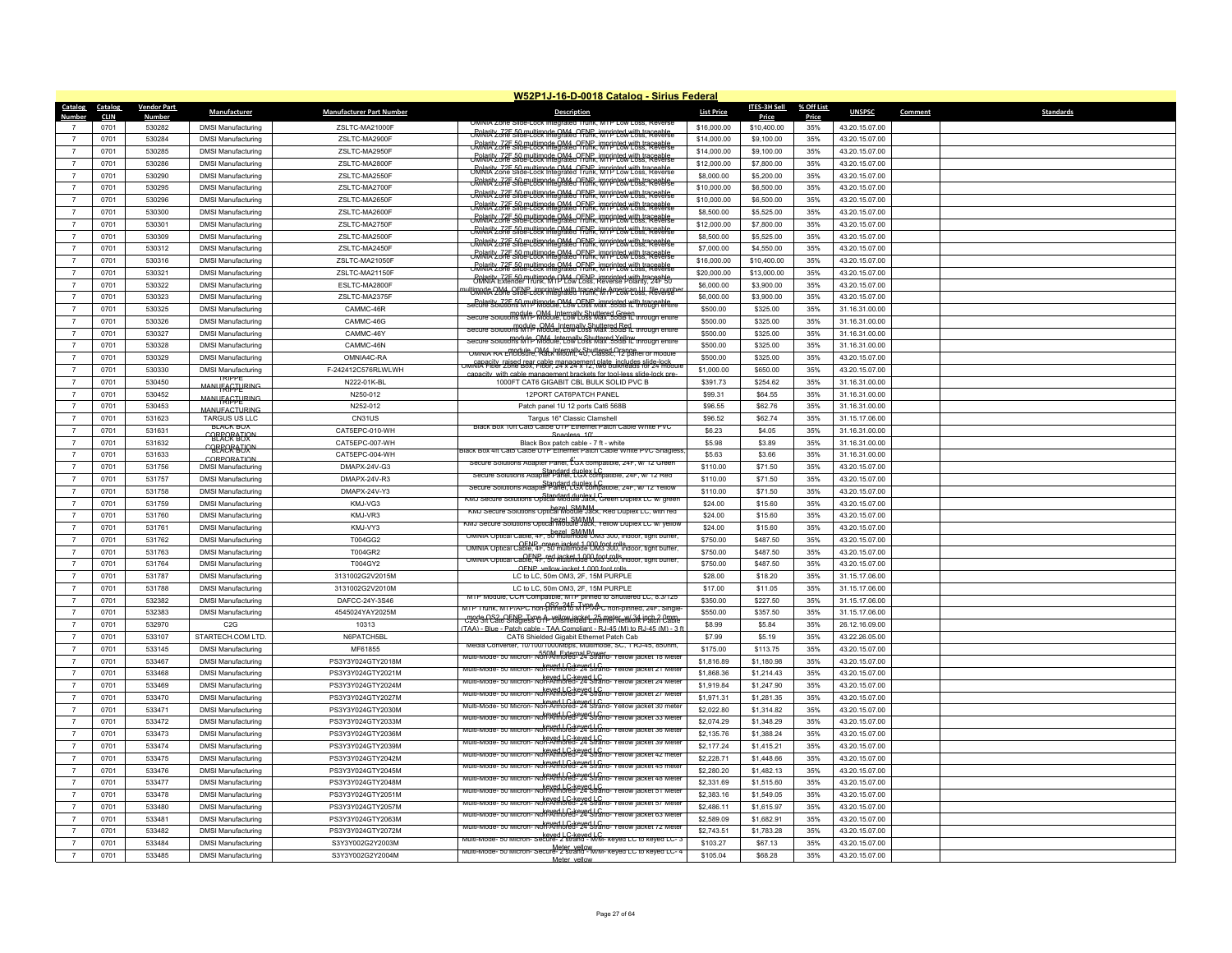|                                  |                        |                                     |                                                        |                                  | W52P1J-16-D-0018 Catalog - Sirius Federal                                                                                               |                   |                              |                     |                                  |         |           |
|----------------------------------|------------------------|-------------------------------------|--------------------------------------------------------|----------------------------------|-----------------------------------------------------------------------------------------------------------------------------------------|-------------------|------------------------------|---------------------|----------------------------------|---------|-----------|
| <b>Catalog</b><br>Number         | Catalog<br><b>CLIN</b> | <b>Vendor Part</b><br><b>Number</b> | Manufacturer                                           | <b>Manufacturer Part Number</b>  | <b>Description</b>                                                                                                                      | <b>List Price</b> | <b>ITES-3H Sell</b><br>Price | % Off List<br>Price | <b>UNSPSC</b>                    | Comment | Standards |
|                                  | 0701                   | 530282                              | <b>DMSI Manufacturing</b>                              | ZSLTC-MA21000F                   | IMINIA ZODE SIIOE-LOCK                                                                                                                  | \$16,000.00       | \$10,400.00                  | 35%                 | 43.20.15.07.00                   |         |           |
| $\overline{7}$                   | 0701                   | 530284                              | <b>DMSI Manufacturing</b>                              | ZSLTC-MA2900F                    | <b>CRARITY 72F 50 multimode OM4 OFNP, imprinted with traceable</b><br>CRARITY 2006 Slide-Lock Integrated Trunk, MTP Low Loss, Reverse   | \$14,000.00       | \$9,100.00                   | 35%                 | 43.20.15.07.00                   |         |           |
| $\overline{7}$                   | 0701                   | 530285                              | <b>DMSI Manufacturing</b>                              | ZSLTC-MA2950F                    | <b>CRARity 725 50 multimode OM4 OFNR imprinted with traceable</b><br>CRARIA 2 one Slide-Lock Integrated Trunk, MTP Low Loss, Reverse    | \$14,000.00       | \$9,100.00                   | 35%                 | 43.20.15.07.00                   |         |           |
| $\overline{7}$                   | 0701                   | 530286                              | <b>DMSI Manufacturing</b>                              | ZSLTC-MA2800F                    | Rolarity, 72F, 50 multimode OM4, OENP, imprinted with traceable.<br>Rolarity one Slide-Lock Integrated Trunk, MTP Low Loss, Reverse     | \$12,000.00       | \$7,800.00                   | 35%                 | 43.20.15.07.00                   |         |           |
| $\overline{7}$                   | 0701                   | 530290                              | <b>DMSI Manufacturing</b>                              | ZSLTC-MA2550F                    | Polarity, 72F-50 multimode OM4, OFNP, imprinted with traceable.<br>UMNIA Zone Slide-Lock Integrated Trunk, MTP Low Loss, Reverse        | \$8,000.00        | \$5,200.00                   | 35%                 | 43.20.15.07.00                   |         |           |
| $\overline{7}$                   | 0701                   | 530295                              | <b>DMSI Manufacturing</b>                              | ZSLTC-MA2700F                    | <u> "GRARATY ZZZE SIGELLVER AREGIALE OF NR. imprinted with trasgedels.</u>                                                              | \$10,000.00       | \$6,500.00                   | 35%                 | 43.20.15.07.00                   |         |           |
| $\overline{7}$                   | 0701                   | 530296                              | <b>DMSI Manufacturing</b>                              | ZSLTC-MA2650F                    | <b>CRARITY 72F 50 multimode OM4, OFNP, imprinted with traceable</b>                                                                     | \$10,000.00       | \$6,500.00                   | 35%                 | 43.20.15.07.00                   |         |           |
| $\overline{7}$                   | 0701                   | 530300                              | <b>DMSI Manufacturing</b>                              | ZSLTC-MA2600F                    | <b>CRARITY 72F 50 multimode OM4, OFNP, imprinted with traceable</b>                                                                     | \$8,500.00        | \$5,525.00                   | 35%                 | 43.20.15.07.00                   |         |           |
| $\overline{7}$                   | 0701                   | 530301                              | <b>DMSI Manufacturing</b>                              | ZSLTC-MA2750F                    | <b>Colarity 72F 50 multimode OM4, OFNP, imprinted with traceable</b><br>CMNIA Zone Slide-Lock Integrated Trunk, MTP Low Loss, Reverse   | \$12,000.00       | \$7,800.00                   | 35%                 | 43.20.15.07.00                   |         |           |
| $\overline{7}$                   | 0701                   | 530309                              | <b>DMSI Manufacturing</b>                              | ZSLTC-MA2500F                    | Rolarity, 72F, 50 multimode OM4, OENP, imprinted with traceable<br>UMNIA Zone Slide-Lock Integrated Trunk, MTP Low Loss, Reven          | \$8,500.00        | \$5,525.00                   | 35%                 | 43.20.15.07.00                   |         |           |
| $\overline{7}$                   | 0701                   | 530312                              | <b>DMSI Manufacturing</b>                              | ZSLTC-MA2450F                    | Rolarity 32 F 510 en Utimode OM4 OFNR, imprinted with trace all                                                                         | \$7,000.00        | \$4,550.00                   | 35%                 | 43.20.15.07.00                   |         |           |
| $\overline{7}$                   | 0701                   | 530316                              | <b>DMSI Manufacturing</b>                              | ZSLTC-MA21050F                   | <b>CRolarity, 72E 50 multimode OM4, OENP, imprinted with traceable</b><br>CMNIA Zone Slide-Lock Integrated Trunk, MTP Low Loss, Reverse | \$16,000.00       | \$10,400.00                  | 35%                 | 43.20.15.07.00                   |         |           |
| $\overline{7}$                   | 0701                   | 530321                              | <b>DMSI Manufacturing</b>                              | ZSLTC-MA21150F                   | <b>Bolarity 72F 50 multimode OM4 OFNR imprinted with traceable</b><br>UMNIA Zone Slide-Lock Integrated Trunk, MTP Low Loss, Reverse     | \$20,000.00       | \$13,000.00                  | 35%                 | 43.20.15.07.00                   |         |           |
| $\overline{7}$                   | 0701                   | 530322                              | <b>DMSI Manufacturing</b>                              | ESLTC-MA2800F                    | Bolarity Z2E 50 multimode OM4 OENP imprinted with traceable                                                                             | \$6,000.00        | \$3,900.00                   | 35%                 | 43.20.15.07.00                   |         |           |
| $\overline{7}$                   | 0701                   | 530323                              | <b>DMSI Manufacturing</b>                              | ZSLTC-MA2375F                    | ultimode OM4, OENP, imprinted with traceable American UL file number                                                                    | \$6,000.00        | \$3,900.00                   | 35%                 | 43.20.15.07.00                   |         |           |
| $\overline{7}$                   | 0701                   | 530325                              | <b>DMSI Manufacturing</b>                              | CAMMC-46R                        | seculerity 72E.50 myltimode OM4 QENP imprinted with trageable                                                                           | \$500.00          | \$325.00                     | 35%                 | 31.16.31.00.00                   |         |           |
| $\overline{7}$                   | 0701                   | 530326                              | <b>DMSI Manufacturing</b>                              | CAMMC-46G                        | module, OM4, Internally Shuttered Green<br>Secure Solutions MTP Module, Low Loss Max .55dB IL through entire                            | \$500.00          | \$325.00                     | 35%                 | 31.16.31.00.00                   |         |           |
| $\overline{7}$                   | 0701                   | 530327                              | <b>DMSI Manufacturing</b>                              | CAMMC-46Y                        | Secure Solutions MTP Module, Low Loss Max, 55dB fL through entire                                                                       | \$500.00          | \$325.00                     | 35%                 | 31.16.31.00.00                   |         |           |
| $\overline{7}$                   | 0701                   | 530328                              | <b>DMSI Manufacturing</b>                              | CAMMC-46N                        | module, OM4 Internally Shuttered Yellow<br>Secure Solutions MTP Module, Low Loss Max .55dB IL through entire                            | \$500.00          | \$325.00                     | 35%                 | 31.16.31.00.00                   |         |           |
| $\overline{7}$                   | 0701                   | 530329                              | <b>DMSI Manufacturing</b>                              | OMNIA4C-RA                       | OMNIA RA Enclosure, Rack Mount, 40, Classic, 12 panel or module                                                                         | \$500.00          | \$325.00                     | 35%                 | 43.20.15.07.00                   |         |           |
| $\overline{7}$                   | 0701                   | 530330                              | <b>DMSI Manufacturing</b>                              | F-242412C576RLWLWH               | mmGRA Fiber Zöne E88. Fable management plate includes slide-lock o                                                                      | \$1,000.00        | \$650.00                     | 35%                 | 43.20.15.07.00                   |         |           |
| $\overline{7}$                   | 0701                   | 530450                              | <b>TRIPPE</b>                                          | N222-01K-BL                      | nt brackets for tool-less slide<br>1000FT CAT6 GIGABIT CBL BULK SOLID PVC B                                                             | \$391.73          | \$254.62                     | 35%                 | 31.16.31.00.00                   |         |           |
| $\overline{7}$                   | 0701                   | 530452                              | <b>MANI IFACTLIBING</b>                                | N250-012                         | 12PORT CAT6PATCH PANEL                                                                                                                  | \$99.31           | \$64.55                      | 35%                 | 31.16.31.00.00                   |         |           |
| $\overline{7}$                   | 0701                   | 530453                              | <b>MANUEACTLIRING</b>                                  | N252-012                         | Patch panel 1U 12 ports Cat6 568E                                                                                                       | \$96.55           | \$62.76                      | 35%                 | 31.16.31.00.00                   |         |           |
| $\overline{7}$                   | 0701                   | 531623                              | MANUFACTURING<br><b>TARGUS US LLC</b>                  | CN31US                           |                                                                                                                                         | \$96.52           | \$62.74                      | 35%                 | 31.15.17.06.00                   |         |           |
| $\overline{7}$                   |                        |                                     | <b>BLACK BOX</b>                                       |                                  | Targus 16" Classic Clamshel<br>Black Box 10ft Cats Catse UTP Ethernet Patch Cable White PVC                                             |                   |                              |                     |                                  |         |           |
| $\overline{7}$                   | 0701<br>0701           | 531631<br>531632                    | CBERCRBURN                                             | CAT5EPC-010-WH<br>CAT5EPC-007-WH | Snanless <sub>10</sub><br>Black Box patch cable - 7 ft - white                                                                          | \$6.23<br>\$5.98  | \$4.05<br>\$3.89             | 35%<br>35%          | 31.16.31.00.00<br>31.16.31.00.00 |         |           |
| $\overline{7}$                   | 0701                   | 531633                              | CBERCRBURN                                             | CAT5EPC-004-WH                   | ack Box 4ft Catb Catbe UTP Ethernet Patch Cable White PVC Snagles                                                                       | \$5.63            | \$3.66                       | 35%                 | 31.16.31.00.00                   |         |           |
| $\overline{7}$                   | 0701                   | 531756                              | CORPORATION<br><b>DMSI Manufacturing</b>               | DMAPX-24V-G3                     | Secure Solutions Adapter Panel, LGX compatible, 24F, w/ 12 Green                                                                        | \$110.00          | \$71.50                      | 35%                 | 43.20.15.07.00                   |         |           |
| $\overline{7}$                   | 0701                   | 531757                              | <b>DMSI Manufacturing</b>                              | DMAPX-24V-R3                     | Standard duplex I C<br>Secure Solutions Adapter Panel, LGX compatible, 24F, w/ 12 Red                                                   | \$110.00          | \$71.50                      | 35%                 | 43.20.15.07.00                   |         |           |
| $\overline{7}$                   | 0701                   | 531758                              |                                                        |                                  | tions Adapter Panel, LGX compatible, 24F, w/<br>tions Adapter Panel, LGX compatible, 24F, w/                                            | \$110.00          | \$71.50                      | 35%                 |                                  |         |           |
| $\overline{7}$                   | 0701                   | 531759                              | <b>DMSI Manufacturing</b><br><b>DMSI Manufacturing</b> | DMAPX-24V-Y3<br>KMJ-VG3          | Standard duplex J.C.<br>KMJ Secure Solutions Optical Module Jack, Green Duplex LC w/ green                                              | \$24.00           | \$15.60                      | 35%                 | 43.20.15.07.00<br>43.20.15.07.00 |         |           |
| $\overline{7}$                   | 0701                   | 531760                              |                                                        | KMJ-VR3                          | KMJ Secure Solutions Optical Module Jack, Red Duplex LC, with red                                                                       | \$24.00           | \$15.60                      | 35%                 | 43.20.15.07.00                   |         |           |
| $\overline{7}$                   | 0701                   | 531761                              | <b>DMSI Manufacturing</b>                              | KMJ-VY3                          | hezel_SM/MM_<br>KMJ Secure Solutions Optical Module Jack, Yellow Duplex LC w/ yellov                                                    | \$24.00           |                              | 35%                 |                                  |         |           |
|                                  |                        |                                     | <b>DMSI Manufacturing</b>                              | T004GG2                          | OMNIA Optical Cable, 4F, 50 multimode OM3 300, indoor, tight buffer                                                                     | \$750.00          | \$15.60<br>\$487.50          |                     | 43.20.15.07.00                   |         |           |
| $\overline{7}$<br>$\overline{7}$ | 0701                   | 531762                              | <b>DMSI Manufacturing</b>                              |                                  | OMNIA Optical Cable, 4F, 50 multimode OM3 300, indoor, tight buffer                                                                     |                   |                              | 35%                 | 43.20.15.07.00                   |         |           |
| $\overline{7}$                   | 0701                   | 531763                              | <b>DMSI Manufacturing</b>                              | T004GR2                          | OMNIA Optical Cable, 4F, 50 multimode 0 M3 500, indoor, tight buffer,                                                                   | \$750.00          | \$487.50                     | 35%                 | 43.20.15.07.00                   |         |           |
|                                  | 0701                   | 531764                              | <b>DMSI Manufacturing</b>                              | T004GY2                          | OENP vellow jacket 1,000 foot rolls                                                                                                     | \$750.00          | \$487.50                     | 35%                 | 43.20.15.07.00                   |         |           |
| $\overline{7}$                   | 0701                   | 531787                              | <b>DMSI Manufacturing</b>                              | 3131002G2V2015M                  | LC to LC, 50m OM3, 2F, 15M PURPLE                                                                                                       | \$28.00           | \$18.20                      | 35%                 | 31.15.17.06.00                   |         |           |
| $\overline{7}$                   | 0701                   | 531788                              | <b>DMSI Manufacturing</b>                              | 3131002G2V2010M                  | LC to LC, 50m OM3, 2F, 15M PURPLE<br>MTP Module, CCH Compatible, MTP pinned to Shuttered LC, 8.3/125                                    | \$17.00           | \$11.05                      | 35%                 | 31.15.17.06.00                   |         |           |
| $\overline{7}$                   | 0701                   | 532382                              | <b>DMSI Manufacturing</b>                              | DAFCC-24Y-3S46                   | MTP Trunk, MTP/APC non-pinned to MYP/APC non-pinned, 24F, Single                                                                        | \$350.00          | \$227.50                     | 35%                 | 31.15.17.06.00                   |         |           |
| $\overline{7}$                   | 0701                   | 532383                              | <b>DMSI Manufacturing</b>                              | 4545024YAY2025M                  | c2G 3ft Cate Snagless 0 ft Vellow jacket, 25 meter, w/ 34 ipch 2 0mm                                                                    | \$550.00          | \$357.50                     | 35%                 | 31.15.17.06.00                   |         |           |
| $\overline{7}$                   | 0701                   | 532970                              | C <sub>2</sub> G                                       | 10313                            | TAA) - Rlue - Patch cahle - TAA Compliant - R.L45 (M) to R.L45 (M) - 3                                                                  | \$8.99            | \$5.84                       | 35%                 | 26.12.16.09.00                   |         |           |
| $\overline{7}$                   | 0701                   | 533107                              | STARTECH.COM LTD.                                      | N6PATCH5BL                       | CAT6 Shielded Gigabit Ethernet Patch Cab<br>Media Converter, 10/100/1000Mbps, Multimode, SC, 1 RJ-45, 850nm.                            | \$7.99            | \$5.19                       | 35%                 | 43.22.26.05.00                   |         |           |
| $\overline{7}$<br>$\overline{7}$ | 0701                   | 533145                              | <b>DMSI Manufacturing</b>                              | MF61855                          | 550M_External Power<br>Multi-Mode- 50 Micron- Non-Armored- 24 Strand- Yellow jacket 18 Metr                                             | \$175.00          | \$113.75                     | 35%                 | 43.20.15.07.00                   |         |           |
|                                  | 0701                   | 533467                              | <b>DMSI Manufacturing</b>                              | PS3Y3Y024GTY2018M                | Multi-Mode- 50 Micron- Neved LC-keyed LC<br>Multi-Mode- 50 Micron- Non-Armored- 24 Strand- Yellow jacket 21 Mete                        | \$1,816.89        | \$1,180.98                   | 35%                 | 43.20.15.07.00                   |         |           |
| $\overline{7}$                   | 0701                   | 533468                              | <b>DMSI Manufacturing</b>                              | PS3Y3Y024GTY2021M                | keyed   C. keyed   C. Keyed   C. Keyed   C.<br>Multi-Mode- 50 Micron- Non-Armored- 24 Strand- Yellow jacket 24 Meter                    | \$1,868.36        | \$1,214.43                   | 35%                 | 43.20.15.07.00                   |         |           |
| $\overline{7}$<br>$\overline{7}$ | 0701                   | 533469                              | <b>DMSI Manufacturing</b>                              | PS3Y3Y024GTY2024M                | keyed LC-keyed LC<br>Multi-Mode- 50 Micron- Non-Armored- 24 Strand- Yellow jacket 27 Mete                                               | \$1,919.84        | \$1,247.90                   | 35%                 | 43.20.15.07.00                   |         |           |
|                                  | 0701                   | 533470                              | <b>DMSI Manufacturing</b>                              | PS3Y3Y024GTY2027M                | keyed   C-keyed   C<br>50 Micron- Non-Armored- 24 Strand- Yellow jacket 30 met                                                          | \$1,971.31        | \$1,281.35                   | 35%                 | 43.20.15.07.00                   |         |           |
| $\overline{7}$                   | 0701                   | 533471                              | <b>DMSI Manufacturing</b>                              | PS3Y3Y024GTY2030M                | keved I C-keved I C<br>Multi-Mode- 50 Micron- Non-Armored- 24 Strand- Yellow jacket 33 Mete                                             | \$2,022.80        | \$1,314.82                   | 35%                 | 43.20.15.07.00                   |         |           |
| $\overline{7}$                   | 0701                   | 533472                              | <b>DMSI Manufacturing</b>                              | PS3Y3Y024GTY2033M                | keyed LC-keyed LC.<br>Multi-Mode- 50 Micron- Non-Armored- 24 Strand- Yellow jacket 36 Mete                                              | \$2,074.29        | \$1,348.29                   | 35%                 | 43.20.15.07.00                   |         |           |
| $\overline{7}$                   | 0701                   | 533473                              | <b>DMSI Manufacturing</b>                              | PS3Y3Y024GTY2036M                | keyed LC-keyed LC<br>Multi-Mode- 50 Micron- Non-Armored- 24 Strand- Yellow jacket 39 Mete                                               | \$2,135.76        | \$1,388.24                   | 35%                 | 43.20.15.07.00                   |         |           |
| $\overline{7}$                   | 0701                   | 533474                              | <b>DMSI Manufacturing</b>                              | PS3Y3Y024GTY2039M                | keyed LC-keyed LC.<br>Multi-Mode- 50 Micron- Non-Armored- 24 Strand- Yellow jacket 42 mete                                              | \$2,177.24        | \$1,415.21                   | 35%                 | 43.20.15.07.00                   |         |           |
| $\overline{7}$                   | 0701                   | 533475                              | <b>DMSI Manufacturing</b>                              | PS3Y3Y024GTY2042M                | keyed LC-keyed LC<br>Multi-Mode- 50 Micron- Non-Armored- 24 Strand- Yellow jacket 45 mete                                               | \$2,228.71        | \$1,448.66                   | 35%                 | 43.20.15.07.00                   |         |           |
| $\overline{7}$                   | 0701                   | 533476                              | <b>DMSI Manufacturing</b>                              | PS3Y3Y024GTY2045M                | keyed LC-keyed LC<br>Multi-Mode- 50 Micron- Non-Armored- 24 Strand- Yellow jacket 48 Mete                                               | \$2,280.20        | \$1,482.13                   | 35%                 | 43.20.15.07.00                   |         |           |
| $\overline{7}$                   | 0701                   | 533477                              | <b>DMSI Manufacturing</b>                              | PS3Y3Y024GTY2048M                | Multi-Mode- 50 Micron- Non-Armored- 24 Strand- Yellow jacket 51 Mete                                                                    | \$2,331.69        | \$1,515.60                   | 35%                 | 43.20.15.07.00                   |         |           |
| $\overline{7}$                   | 0701                   | 533478                              | <b>DMSI Manufacturing</b>                              | PS3Y3Y024GTY2051M                | Multi-Mode- 50 Micron- Non-Armored- 24 Strand- Yellow lacket 57 Mete                                                                    | \$2,383.16        | \$1,549.05                   | 35%                 | 43.20.15.07.00                   |         |           |
| $\overline{7}$                   | 0701                   | 533480                              | <b>DMSI Manufacturing</b>                              | PS3Y3Y024GTY2057M                | Multi-Mode- 50 Micron- Non-Armored- 24 Strand- Yellow jacket 63 Meter                                                                   | \$2,486.11        | \$1,615.97                   | 35%                 | 43.20.15.07.00                   |         |           |
| $\overline{7}$                   | 0701                   | 533481                              | <b>DMSI Manufacturing</b>                              | PS3Y3Y024GTY2063M                | keved I C-keved I C.<br>Multi-Mode- 50 Micron- Non-Armored- 24 Strand- Yellow jacket 72 Mete                                            | \$2,589.09        | \$1,682.91                   | 35%                 | 43.20.15.07.00                   |         |           |
| $\overline{7}$                   | 0701                   | 533482                              | <b>DMSI Manufacturing</b>                              | PS3Y3Y024GTY2072M                |                                                                                                                                         | \$2,743.51        | \$1,783.28                   | 35%                 | 43.20.15.07.00                   |         |           |
|                                  | 0701                   | 533484                              | <b>DMSI Manufacturing</b>                              | S3Y3Y002G2Y2003M                 | Multi-Mode- 50 Micron- Secure- 2 strand - M/M- keyed LC to keyed LC- 4                                                                  | \$103.27          | \$67.13                      | 35%                 | 43.20.15.07.00                   |         |           |
| $\overline{7}$                   | 0701                   | 533485                              | <b>DMSI Manufacturing</b>                              | S3Y3Y002G2Y2004M                 | Meter vellow                                                                                                                            | \$105.04          | \$68.28                      | 35%                 | 43.20.15.07.00                   |         |           |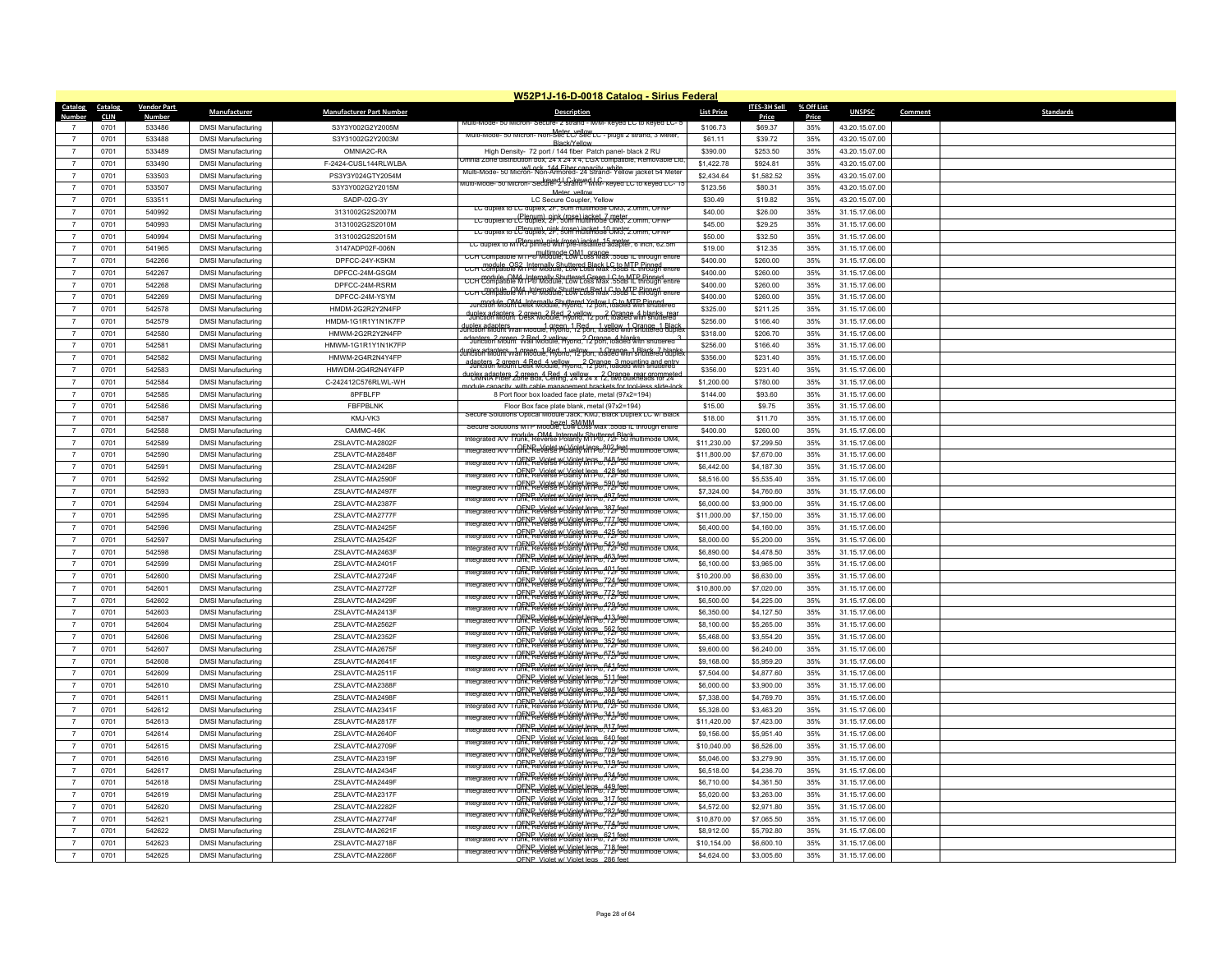|                                                    |                             |                                                        |                                    | W52P1J-16-D-0018 Catalog - Sirius Federal                                                                                                                                                |                           |                          |                     |                                  |         |                  |
|----------------------------------------------------|-----------------------------|--------------------------------------------------------|------------------------------------|------------------------------------------------------------------------------------------------------------------------------------------------------------------------------------------|---------------------------|--------------------------|---------------------|----------------------------------|---------|------------------|
| Catalog<br><b>Catalog</b><br><b>CLIN</b><br>Number | <u>Vendor Part</u><br>Numbe | Manufacturer                                           | <b>Manufacturer Part Number</b>    | <b>Description</b>                                                                                                                                                                       | <b>List Price</b>         | ITES-3H Sell<br>Price    | % Off List<br>Price | <b>UNSPSC</b>                    | Comment | <b>Standards</b> |
| 0701                                               | 533486                      | <b>DMSI Manufacturing</b>                              | S3Y3Y002G2Y2005M                   | им-кеуеа го кеуеа го-:                                                                                                                                                                   | \$106.73                  | \$69.37                  | 35%                 | 43.20.15.07.00                   |         |                  |
| 0701<br>$\overline{7}$                             | 533488                      | <b>DMSI Manufacturing</b>                              | S3Y31002G2Y2003M                   | Multi-Mode- 50 Micron- Non-Sec LC/ Sec LC - plugs 2 strand, 3 Meter<br><b>Rlack/Yelloy</b>                                                                                               | \$61.11                   | \$39.72                  | 35%                 | 43.20.15.07.00                   |         |                  |
| 0701<br>$\overline{7}$                             | 533489                      | <b>DMSI Manufacturing</b>                              | OMNIA2C-RA                         | High Density- 72 port / 144 fiber Patch panel- black 2 RU                                                                                                                                | \$390.00                  | \$253.50                 | 35%                 | 43.20.15.07.00                   |         |                  |
| 0701<br>$\overline{7}$                             | 533490                      | <b>DMSI Manufacturing</b>                              | F-2424-CUSL144RLWLBA               | mnia Zone distribution box, 24 x 24 x 4, LGX compatible, Removable Lic                                                                                                                   | \$1,422.78                | \$924.81                 | 35%                 | 43.20.15.07.00                   |         |                  |
| $\overline{7}$<br>0701                             | 533503                      | <b>DMSI Manufacturing</b>                              | PS3Y3Y024GTY2054M                  | w/l_ock_144 Fiber capacity_white<br>Multi-Mode- 50 Micron- Non-Armored- 24 Strand- Yellow jacket 54 Meter<br>- Sectived LG-keved LC<br>- Sective-2 strakid - MM- keved LC to keved LC- 1 | \$2,434.64                | \$1,582.52               | 35%                 | 43.20.15.07.00                   |         |                  |
| 0701<br>$\overline{7}$                             | 533507                      | <b>DMSI Manufacturing</b>                              | S3Y3Y002G2Y2015M                   | Meter vellow                                                                                                                                                                             | \$123.56                  | \$80.31                  | 35%                 | 43.20.15.07.00                   |         |                  |
| 0701<br>$\overline{7}$                             | 533511                      | <b>DMSI Manufacturing</b>                              | SADP-02G-3Y                        | LC Secure Coupler, Yellow                                                                                                                                                                | \$30.49                   | \$19.82                  | 35%                 | 43.20.15.07.00                   |         |                  |
| $\overline{7}$<br>0701                             | 540992                      | <b>DMSI Manufacturing</b>                              | 3131002G2S2007M                    | LC duplex to LC duplex, 2F, 50m multimode OM3, 2.0mm, OFNF<br>LC duplex to LC duplex, 2F, 50m multimode OM3, 2.0mm, OFN                                                                  | \$40.00                   | \$26.00                  | 35%                 | 31.15.17.06.00                   |         |                  |
| 0701<br>$\overline{7}$                             | 540993                      | <b>DMSI Manufacturing</b>                              | 3131002G2S2010M                    | LC duplex to LC duplex, 2F, 50m multimode CM3, 2.0mm, OFNP                                                                                                                               | \$45.00                   | \$29.25                  | 35%                 | 31.15.17.06.00                   |         |                  |
| $\overline{7}$<br>0701                             | 540994                      | <b>DMSI Manufacturing</b>                              | 3131002G2S2015M                    | LC qupiex to w (PlS") IRNe8"Widt pse Liacket_15 meter, o in                                                                                                                              | \$50.00                   | \$32.50                  | 35%                 | 31.15.17.06.00                   |         |                  |
| $\overline{7}$<br>0701                             | 541965                      | <b>DMSI Manufacturing</b>                              | 3147ADP02F-006N                    | CCH Compatible M1P® Module. Low Loss Max .55dB IL through entire                                                                                                                         | \$19.00                   | \$12.35                  | 35%                 | 31.15.17.06.00                   |         |                  |
| $\overline{7}$<br>0701                             | 542266                      | <b>DMSI Manufacturing</b>                              | DPFCC-24Y-KSKM                     | CCH Compatible M1P® Module, Low Loss Max 55dBTL through entire                                                                                                                           | \$400.00                  | \$260.00                 | 35%                 | 31.15.17.06.00                   |         |                  |
| 0701<br>$\overline{7}$                             | 542267                      | <b>DMSI Manufacturing</b>                              | DPFCC-24M-GSGM                     | CCH Compatible M4 Internally Shuttered Green J C to MTP Pinner                                                                                                                           | \$400.00                  | \$260.00                 | 35%                 | 31.15.17.06.00                   |         |                  |
| $\overline{7}$<br>0701                             | 542268                      | <b>DMSI Manufacturing</b>                              | DPFCC-24M-RSRM                     | CCH Compatule, QM4, Internally Shuttered Red LC to MTP Rinned<br>CCH Compatible M1 P® Module, Low Loss Max, 55dBTP Rinned                                                                | \$400.00                  | \$260.00                 | 35%                 | 31.15.17.06.00                   |         |                  |
| 0701<br>$\overline{7}$                             | 542269                      | <b>DMSI Manufacturing</b>                              | DPFCC-24M-YSYM                     | Jun81861 Woolft besk Woodue, Hylened Yellow, Gated Win shuttered                                                                                                                         | \$400.00                  | \$260.00                 | 35%                 | 31.15.17.06.00                   |         |                  |
| 0701<br>$\overline{7}$                             | 542578                      | <b>DMSI Manufacturing</b>                              | HMDM-2G2R2Y2N4FP                   | duplex adapters, 2 green, 2 Red, 2 yellow, 2 Orange, 4 blanks, rear                                                                                                                      | \$325.00                  | \$211.25                 | 35%                 | 31.15.17.06.00                   |         |                  |
| $\overline{7}$<br>0701                             | 542579                      | <b>DMSI Manufacturing</b>                              | HMDM-1G1R1Y1N1K7FP                 | lunlex adapters<br>unction Mount Wall Module, Hybrid, 12 port, loaded with shuttered duple                                                                                               | \$256.00                  | \$166.40                 | 35%                 | 31.15.17.06.00                   |         |                  |
| 0701<br>$\overline{7}$                             | 542580                      | <b>DMSI Manufacturing</b>                              | HMWM-2G2R2Y2N4FP                   | adanters, 2 green, 2 Red, 2 vellow, 2 Orange, 4 blanks,<br>Junction Mount, Wall Module, Hybrid, 12 port, loaded with shuttered                                                           | \$318.00                  | \$206.70                 | 35%                 | 31.15.17.06.00                   |         |                  |
| 0701<br>$\overline{7}$                             | 542581                      | <b>DMSI Manufacturing</b>                              | HMWM-1G1R1Y1N1K7FP                 | luplex adapters 1 green 1 Red 1 yellow 1 Orange 1 Black 7 blanks<br>unction Mount Wall Module, Hybrid, 12 port, loaded with shuttered duple                                              | \$256.00                  | \$166.40                 | 35%                 | 31.15.17.06.00                   |         |                  |
| $\overline{7}$<br>0701                             | 542582                      | <b>DMSI Manufacturing</b>                              | HMWM-2G4R2N4Y4FP                   | adapters, 2 green 4 Red 4 yellow and 2 por badea wing and entry                                                                                                                          | \$356.00                  | \$231.40                 | 35%                 | 31.15.17.06.00                   |         |                  |
| 0701<br>$\overline{7}$                             | 542583                      | <b>DMSI Manufacturing</b>                              | HMWDM-2G4R2N4Y4FP                  | duplex adapters. 2 green, 4 Bed. 4 yellow a  2 Orange, rear grommet.<br>UMNIA Fiber Zone Box, Ceiling, 24 x 24 x 12, two buikheads for 24                                                | \$356.00                  | \$231.40                 | 35%                 | 31.15.17.06.00                   |         |                  |
| $\overline{7}$<br>0701<br>$\overline{7}$<br>0701   | 542584<br>542585            | <b>DMSI Manufacturing</b><br><b>DMSI Manufacturing</b> | C-242412C576RLWL-WH<br>8PFBLFP     | odule canacity, with cable man<br>nt hrackets for tool-less slide-lor<br>8 Port floor box loaded face plate, metal (97x2=194)                                                            | \$1,200.00<br>\$144.00    | \$780.00<br>\$93.60      | 35%<br>35%          | 31.15.17.06.00<br>31.15.17.06.00 |         |                  |
| 0701<br>$\overline{7}$                             | 542586                      | <b>DMSI Manufacturing</b>                              | <b>FBFPBLNK</b>                    | Floor Box face plate blank, metal (97x2=194)                                                                                                                                             | \$15.00                   |                          | 35%                 | 31.15.17.06.00                   |         |                  |
| 0701<br>$\overline{7}$                             | 542587                      | <b>DMSI Manufacturing</b>                              | KMJ-VK3                            | utions Optical Module Jack, KMJ, Black Duplex LC                                                                                                                                         | \$18.00                   | \$9.75<br>\$11.70        | 35%                 | 31.15.17.06.00                   |         |                  |
| 0701<br>$\overline{7}$                             | 542588                      | <b>DMSI Manufacturing</b>                              | CAMMC-46K                          | Secure Solutions MTP Module, Low Loss Max .55dB IL through entire                                                                                                                        | \$400.00                  | \$260.00                 | 35%                 | 31.15.17.06.00                   |         |                  |
| 0701<br>$\overline{7}$                             | 542589                      | <b>DMSI Manufacturing</b>                              | ZSLAVTC-MA2802F                    | Integrated A/V Trunk, Reverse Polarity MTP®, 72F 50 multimode OM4                                                                                                                        | \$11,230.00               | \$7,299.50               | 35%                 | 31.15.17.06.00                   |         |                  |
| $\overline{7}$<br>0701                             | 542590                      | <b>DMSI Manufacturing</b>                              | ZSI AVTC-MA2848F                   | ntegrated A/V_LOENP_Violet w/Violet legs892 feet_<br>ntegrated A/V_LORK, Reverse Polanty M1P®, 92F 50 m                                                                                  | \$11,800.00               | \$7,670.00               | 35%                 | 31.15.17.06.00                   |         |                  |
| 0701<br>$\overline{7}$                             | 542591                      | <b>DMSI Manufacturing</b>                              | ZSLAVTC-MA2428F                    | Integrated A/V LOENP, Violet W/Violet Jegs., 848 feet<br>Integrated A/V Lunk, Reverse Polarity MTP® 72F 50 mul                                                                           | \$6,442.00                | \$4,187.30               | 35%                 | 31.15.17.06.00                   |         |                  |
| 0701<br>$\overline{7}$                             | 542592                      | <b>DMSI Manufacturing</b>                              | ZSLAVTC-MA2590F                    | Integrated A/V LOENP, Violet W/Violet Jegs 428 feet<br>Integrated A/V Lrunk, Reverse Polarity MTP® 72F 50 multi                                                                          | \$8,516.00                | \$5,535.40               | 35%                 | 31.15.17.06.00                   |         |                  |
| $\overline{7}$<br>0701                             | 542593                      | <b>DMSI Manufacturing</b>                              | ZSLAVTC-MA2497F                    | ntegrated A/V_Irunk, Reverse Polarity MTP®, 72F 50 multimode OM4                                                                                                                         | \$7,324.00                | \$4,760.60               | 35%                 | 31.15.17.06.00                   |         |                  |
| 0701<br>$\overline{7}$                             | 542594                      | <b>DMSI Manufacturing</b>                              | ZSLAVTC-MA2387F                    | Integrated A/V Trunk, Reverse Polarity MTP®, 72F 50 multimode OM4                                                                                                                        | \$6,000.00                | \$3,900.00               | 35%                 | 31.15.17.06.00                   |         |                  |
| 0701<br>$\overline{7}$                             | 542595                      | <b>DMSI Manufacturing</b>                              | ZSLAVTC-MA2777F                    | Integrated A/V Trunk, Reverse Polanty MTP® ?2F 50 multimode OM4                                                                                                                          | \$11,000.00               | \$7,150.00               | 35%                 | 31.15.17.06.00                   |         |                  |
| $\overline{7}$<br>0701                             | 542596                      | <b>DMSI Manufacturing</b>                              | ZSLAVTC-MA2425F                    | Integrated A/V_OENP_Violet w/ Violet legs__777 feet<br>Integrated A/V_Irunk, Reverse Polarity MTP®, 72F 50 mu                                                                            | \$6,400.00                | \$4,160.00               | 35%                 | 31.15.17.06.00                   |         |                  |
| 0701<br>$\overline{7}$                             | 542597                      | <b>DMSI Manufacturing</b>                              | ZSLAVTC-MA2542F                    | ntegrated A/V_OENP_Violet w/Violet legs425 feet<br>Integrated A/V_Irunk, Reverse Polarity MTP®72F 50 multi                                                                               | \$8,000.00                | \$5,200.00               | 35%                 | 31.15.17.06.00                   |         |                  |
| $\overline{7}$<br>0701                             | 542598                      | <b>DMSI Manufacturing</b>                              | ZSLAVTC-MA2463F                    | ntegrated A/V_OENP, Violet w/ Violet JrfDs, 542 feet<br>Integrated A/V_Irunk, Reverse Polarity MTP®, 72F 50 multimode OM4                                                                | \$6,890.00                | \$4,478.50               | 35%                 | 31.15.17.06.00                   |         |                  |
| $\overline{7}$<br>0701                             | 542599                      | <b>DMSI Manufacturing</b>                              | ZSLAVTC-MA2401F                    | Integrated A/V Trunk, Reverse Polarity MTP®, 72F 50 multimode OM4                                                                                                                        | \$6,100.00                | \$3,965.00               | 35%                 | 31.15.17.06.00                   |         |                  |
| 0701<br>$\overline{7}$                             | 542600                      | <b>DMSI Manufacturing</b>                              | ZSLAVTC-MA2724F                    | Integrated A/V Trunk, Reverse Polarity MTP®, 72F 50 multimode OM4<br>Integrated A/V   CENP Violet W/Violet legs 724 feet m                                                               | \$10,200.00               | \$6,630.00               | 35%                 | 31.15.17.06.00                   |         |                  |
| $\overline{7}$<br>0701                             | 542601                      | <b>DMSI Manufacturing</b>                              | ZSLAVTC-MA2772F                    | ode OM4<br>Integrated A/V   CENP Violet W/Violet Jegs772 feet multi                                                                                                                      | \$10,800.00               | \$7,020.00               | 35%                 | 31.15.17.06.00                   |         |                  |
| $\overline{7}$<br>0701                             | 542602                      | <b>DMSI Manufacturing</b>                              | ZSLAVTC-MA2429F                    | OENP Violet W Violet left bo 479 feet multimode OM4                                                                                                                                      | \$6,500.00                | \$4,225.00               | 35%                 | 31.15.17.06.00                   |         |                  |
| $\overline{7}$<br>0701                             | 542603                      | <b>DMSI Manufacturing</b>                              | ZSLAVTC-MA2413F                    | runk, Reverse Polarity Krips 423 feet                                                                                                                                                    | \$6,350.00                | \$4,127.50               | 35%                 | 31.15.17.06.00                   |         |                  |
| $\overline{7}$<br>0701                             | 542604                      | <b>DMSI Manufacturing</b>                              | ZSLAVTC-MA2562F                    | OENP Violet w/Violet legs 562 feet<br>Trunk. Reverse Polanty MTP®, 72F 50 multimode OM4                                                                                                  | \$8,100.00                | \$5,265.00               | 35%                 | 31.15.17.06.00                   |         |                  |
| 0701<br>$\overline{7}$                             | 542606                      | <b>DMSI Manufacturing</b>                              | ZSLAVTC-MA2352F                    | OFNP, Violet w/ Violet legs 352 feet<br>Integrated A/V_Irunk, Reverse Polanty MTP®, 72F 50 multimode OM4                                                                                 | \$5,468.00                | \$3,554.20               | 35%                 | 31.15.17.06.00                   |         |                  |
| $\overline{7}$<br>0701                             | 542607                      | <b>DMSI Manufacturing</b>                              | ZSLAVTC-MA2675F                    | OFNP Violet W/Violet lens 675 feet                                                                                                                                                       | \$9,600.00                | \$6,240.00               | 35%                 | 31.15.17.06.00                   |         |                  |
| $\overline{7}$<br>0701                             | 542608                      | <b>DMSI Manufacturing</b>                              | ZSLAVTC-MA2641F                    | Integrated A/V_I runk, Reverse Polarity MTP®, 72F 50 mult                                                                                                                                | \$9,168.00                | \$5,959.20               | 35%                 | 31.15.17.06.00                   |         |                  |
| 0701<br>$\overline{7}$                             | 542609                      | <b>DMSI Manufacturing</b>                              | ZSLAVTC-MA2511F                    | Trunk, Reverse Polarity MTP® 512 feet multimode OM4                                                                                                                                      | \$7,504.00                | \$4,877.60               | 35%                 | 31.15.17.06.00                   |         |                  |
| 0701<br>$\overline{7}$<br>$\overline{7}$           | 542610                      | <b>DMSI Manufacturing</b>                              | ZSLAVTC-MA2388F                    | <u> GENP, Violet Wolanty Kripto, 388 feet i</u><br>ultimode OM4                                                                                                                          | \$6,000.00                | \$3,900.00               | 35%                 | 31.15.17.06.00                   |         |                  |
| 0701                                               | 542611                      | <b>DMSI Manufacturing</b>                              | ZSLAVTC-MA2498F                    | OF NP Violet W Violet Inns 498 feet                                                                                                                                                      | \$7,338.00                | \$4,769.70               | 35%                 | 31.15.17.06.00                   |         |                  |
| 0701<br>$\overline{7}$                             | 542612                      | <b>DMSI Manufacturing</b>                              | ZSLAVTC-MA2341F                    | ntegrated A/V LOENP, Violet W/Violet Jegs 341 feet multi<br>mode OM4                                                                                                                     | \$5,328.00                | \$3,463.20               | 35%                 | 31.15.17.06.00                   |         |                  |
| $\overline{7}$<br>0701<br>$\overline{7}$           | 542613                      | <b>DMSI Manufacturing</b>                              | ZSLAVTC-MA2817F                    | integrated A/V_irunk, Reverse Polarity Mf19®. <sup>812</sup> r <sup>feet</sup> r                                                                                                         | \$11,420.00               | \$7,423.00               | 35%                 | 31.15.17.06.00                   |         |                  |
| 0701<br>0701<br>$\overline{7}$                     | 542614<br>542615            | <b>DMSI Manufacturing</b><br><b>DMSI Manufacturing</b> | ZSLAVTC-MA2640F<br>ZSLAVTC-MA2709F | <b>CENE, Violet Wolchet Arrive 640 feet multiple CENE.</b> Reverse Polarity MTP® 640 feet                                                                                                | \$9,156.00<br>\$10,040.00 | \$5,951.40<br>\$6,526.00 | 35%<br>35%          | 31.15.17.06.00<br>31.15.17.06.00 |         |                  |
| $\overline{7}$<br>0701                             | 542616                      | <b>DMSI Manufacturing</b>                              | ZSLAVTC-MA2319F                    | nunk. Reverse Polarity MTP® 799-feet m<br>ode OM4                                                                                                                                        | \$5,046.00                | \$3,279.90               | 35%                 | 31.15.17.06.00                   |         |                  |
| 0701<br>$\overline{7}$                             | 542617                      | <b>DMSI Manufacturing</b>                              | ZSLAVTC-MA2434F                    | OENP Violet W Violet legs. 319 feet<br>Trunk, Reverse Polarity MTP® 2/21 50 multimode OM4                                                                                                | \$6,518.00                | \$4,236.70               | 35%                 | 31.15.17.06.00                   |         |                  |
| 0701<br>$\overline{7}$                             | 542618                      | <b>DMSI Manufacturing</b>                              | ZSLAVTC-MA2449F                    | Theorated A/V Trunk, Reverse Polarity MTP®, 434 feet<br>Integrated A/V Trunk, Reverse Polarity MTP®, 72F 50 multimode OM4                                                                | \$6,710.00                | \$4,361.50               | 35%                 | 31.15.17.06.00                   |         |                  |
| $\overline{7}$<br>0701                             | 542619                      | <b>DMSI Manufacturing</b>                              | ZSLAVTC-MA2317F                    | Integrated A/V_Irunk, Reverse Polarity M1P® 449 fest mult<br>mode OM4                                                                                                                    | \$5,020.00                | \$3,263.00               | 35%                 | 31.15.17.06.00                   |         |                  |
| 0701<br>$\overline{7}$                             | 542620                      | <b>DMSI Manufacturing</b>                              | ZSLAVTC-MA2282F                    | Integrated A/V_Irunk, Reverse Polarity MTP®, 317 fest mult                                                                                                                               | \$4,572.00                | \$2,971.80               | 35%                 | 31.15.17.06.00                   |         |                  |
| 0701<br>$\overline{7}$                             | 542621                      | <b>DMSI Manufacturing</b>                              | ZSLAVTC-MA2774F                    | Integrated A/V   CENP Violet W Violet Jens 282 feet multimode OM4                                                                                                                        | \$10,870.00               | \$7,065.50               | 35%                 | 31.15.17.06.00                   |         |                  |
| $\overline{7}$<br>0701                             | 542622                      | <b>DMSI Manufacturing</b>                              | ZSLAVTC-MA2621F                    | Integrated A/V_OENP_Violet W/Violet legs_774 feet<br>Integrated A/V_Irunk, Reverse Polarity M1P®, 72F 50 multimode OM4                                                                   | \$8,912.00                | \$5,792.80               | 35%                 | 31.15.17.06.00                   |         |                  |
| 0701<br>$\overline{7}$                             | 542623                      | <b>DMSI Manufacturing</b>                              | ZSLAVTC-MA2718F                    | Integrated A/V CENP Violet W Violet legs 621 feet<br>Integrated A/V Trunk, Reverse Polanty MTP®, 72F 50 multimode OM4                                                                    | \$10,154.00               | \$6,600.10               | 35%                 | 31.15.17.06.00                   |         |                  |
| 0701<br>$\overline{7}$                             | 542625                      | <b>DMSI Manufacturing</b>                              | ZSLAVTC-MA2286F                    | Integrated A/V Trunk, Reverse Polarity MTP®, 72F 50 multimode OM4<br>OENP Violet w/ Violet legs 286 feet                                                                                 | \$4,624.00                | \$3,005.60               | 35%                 | 31.15.17.06.00                   |         |                  |
|                                                    |                             |                                                        |                                    |                                                                                                                                                                                          |                           |                          |                     |                                  |         |                  |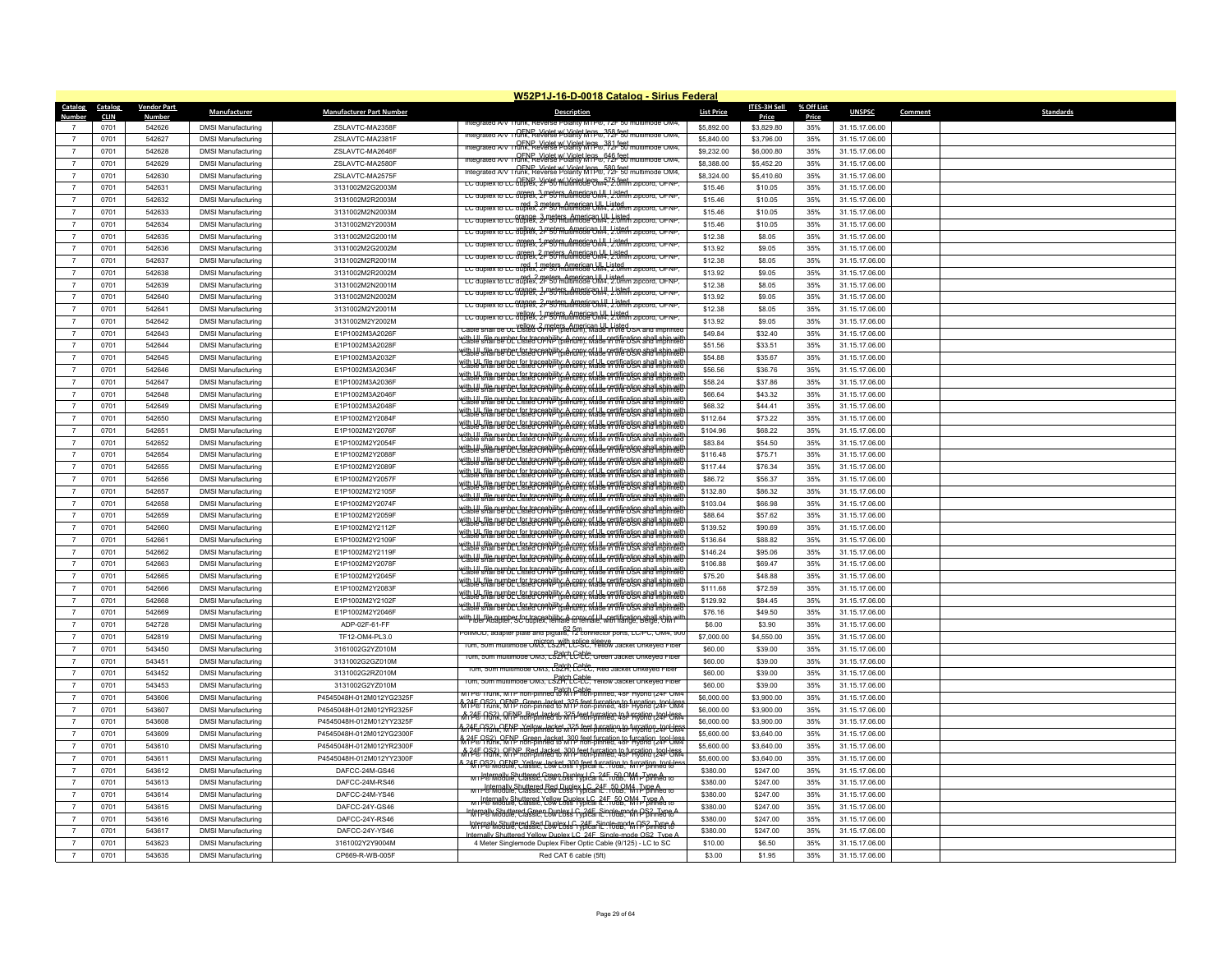|                                  |                     |                    |                                                        |                                    | W52P1J-16-D-0018 Catalog - Sirius Federal                                                                                                                                  |                      |                     |              |                                  |                      |
|----------------------------------|---------------------|--------------------|--------------------------------------------------------|------------------------------------|----------------------------------------------------------------------------------------------------------------------------------------------------------------------------|----------------------|---------------------|--------------|----------------------------------|----------------------|
| <b>Catalog</b>                   | Catalog             | <b>Vendor Part</b> | <b>Manufacturer</b>                                    | <b>Manufacturer Part Number</b>    | <b>Description</b>                                                                                                                                                         | <b>List Price</b>    | <b>ITES-3H Sell</b> | % Off List   | <b>UNSPSC</b>                    | Standards<br>Comment |
| Number                           | <b>CLIN</b><br>0701 | Number<br>542626   | <b>DMSI Manufacturing</b>                              | ZSLAVTC-MA2358F                    | nteorated A/V Trunk, Reverse                                                                                                                                               | \$5,892.00           | Price<br>\$3,829.80 | Price<br>35% |                                  |                      |
| $\overline{7}$                   | 0701                | 542627             | <b>DMSI Manufacturing</b>                              | ZSLAVTC-MA2381F                    | ntegrated A/V_runk, Reverse Polarity MTP®, ?58 feet<br>htegrated A/V_Irunk, Reverse Polarity MTP®, ?2F 50 multimode OM4                                                    | \$5,840.00           | \$3,796.00          | 35%          | 31.15.17.06.00<br>31.15.17.06.00 |                      |
|                                  | 0701                | 542628             |                                                        | ZSLAVTC-MA2646F                    | Integrated A/V   CENP Violet W Violet Jens 381 feet<br>Integrated A/V   runk, Reverse Polarity MTP®, 72F 50 multimode OM4                                                  | \$9,232.00           | \$6,000.80          | 35%          | 31.15.17.06.00                   |                      |
|                                  |                     |                    | <b>DMSI Manufacturing</b>                              |                                    | OFNP Violet w/ Violet legs 646 feet<br>Integrated A/V_Irunk, Reverse Polanty MTP®, 72F 50 multimode OM4,                                                                   |                      |                     |              |                                  |                      |
| $\overline{7}$<br>$\overline{7}$ | 0701                | 542629             | <b>DMSI Manufacturing</b>                              | ZSLAVTC-MA2580F                    | OFNP Violet w/ Violet legs_580 feet<br>tegrated A/V Trunk, Reverse Polanty MTP®, 72F 50 n                                                                                  | \$8,388.00           | \$5,452.20          | 35%          | 31.15.17.06.00                   |                      |
| $\overline{7}$                   | 0701                | 542630             | <b>DMSI Manufacturing</b>                              | ZSLAVTC-MA2575F                    | LC auplex to LC alplex, Yielet W. Violet legs., 575 feet approva, OFNP                                                                                                     | \$8,324.00           | \$5,410.60          | 35%          | 31.15.17.06.00                   |                      |
|                                  | 0701                | 542631             | <b>DMSI Manufacturing</b>                              | 3131002M2G2003M                    | LC duplex to LC duplex, 3 meters. American UIL Listed.                                                                                                                     | \$15.46              | \$10.05             | 35%          | 31.15.17.06.00                   |                      |
| $\overline{7}$<br>$\overline{7}$ | 0701<br>0701        | 542632<br>542633   | <b>DMSI Manufacturing</b>                              | 3131002M2R2003M                    | LC duplex to LC duplex, 2F 50 multimode UM4, 2.0mm zipcord, OFNP.                                                                                                          | \$15.46<br>\$15.46   | \$10.05             | 35%<br>35%   | 31.15.17.06.00                   |                      |
| $\overline{7}$                   | 0701                | 542634             | <b>DMSI Manufacturing</b>                              | 3131002M2N2003M<br>3131002M2Y2003M | LC duplex to LC duplex, 2- "straters, American UI, Listed.<br>LC duplex to LC duplex, 2- "50 multimode OM4, 2.0 mm zipcord, OFNP                                           | \$15.46              | \$10.05<br>\$10.05  | 35%          | 31.15.17.06.00<br>31.15.17.06.00 |                      |
|                                  | 0701                |                    | <b>DMSI Manufacturing</b>                              |                                    | LC duplex to LC duplex, 2r 50 multimode OM4, 2.0mm zipcord, OFNP,                                                                                                          | \$12.38              |                     |              | 31.15.17.06.00                   |                      |
| $\overline{7}$<br>$\overline{7}$ |                     | 542635             | <b>DMSI Manufacturing</b>                              | 3131002M2G2001M                    | LC duplex to LC 80688, 2 msternumeric 0 M4, 2.0 mm zip                                                                                                                     |                      | \$8.05              | 35%          |                                  |                      |
| $\overline{7}$                   | 0701<br>0701        | 542636<br>542637   | <b>DMSI Manufacturing</b><br><b>DMSI Manufacturing</b> | 3131002M2G2002M<br>3131002M2R2001M | LC duplex to LC duplex, 2 P sters, American LIL Listed                                                                                                                     | \$13.92<br>\$12.38   | \$9.05<br>\$8.05    | 35%<br>35%   | 31.15.17.06.00<br>31.15.17.06.00 |                      |
| $\overline{7}$                   | 0701                | 542638             | <b>DMSI Manufacturing</b>                              | 3131002M2R2002M                    | LC duplex to LC duplex, 2F 50 multimode UM4, 2.0mm zipcord, OFNP.                                                                                                          | \$13.92              | \$9.05              | 35%          | 31.15.17.06.00                   |                      |
| $\overline{7}$                   | 0701                | 542639             | <b>DMSI Manufacturing</b>                              | 3131002M2N2001M                    | LC duplex to LC duplex. 2 meters. American UN4, 9:0mm zipcord. OFNP.                                                                                                       | \$12.38              | \$8.05              | 35%          | 31.15.17.06.00                   |                      |
|                                  |                     | 542640             |                                                        |                                    | LC duplex to LC duplex, 2r 50 multimode OM4, 2.0mm zipcord, OFNP.                                                                                                          | \$13.92              |                     | 35%          |                                  |                      |
| $\overline{7}$<br>$\overline{7}$ | 0701<br>0701        | 542641             | <b>DMSI Manufacturing</b>                              | 3131002M2N2002M                    | LC auplex to LC 869988, 2-mstersAmstic OM4, Listed, zip                                                                                                                    | \$12.38              | \$9.05              | 35%          | 31.15.17.06.00                   |                      |
| $\overline{7}$                   | 0701                | 542642             | <b>DMSI Manufacturing</b>                              | 3131002M2Y2001M<br>3131002M2Y2002M | LC duplex to LC duplex. 2F 50 multimode OM4, 2.0mm zipcord, OFNP                                                                                                           | \$13.92              | \$8.05<br>\$9.05    | 35%          | 31.15.17.06.00<br>31.15.17.06.00 |                      |
|                                  |                     |                    | <b>DMSI Manufacturing</b>                              |                                    | Cable shall be UL Listed OFNP (plenum). Made in the USA and imprinted                                                                                                      | \$49.84              |                     |              |                                  |                      |
| $\overline{7}$<br>$\overline{7}$ | 0701                | 542643<br>542644   | <b>DMSI Manufacturing</b>                              | E1P1002M3A2026F                    | dth Ull, file number for traceability: A copy of Ull, certification shall ship wii<br>Cable shall be UL Listed OFNP (plenum), Made in the USA and imprinter                |                      | \$32.40             | 35%          | 31.15.17.06.00                   |                      |
|                                  | 0701                |                    | <b>DMSI Manufacturing</b>                              | E1P1002M3A2028F                    | with UL file number for traceability: A copy of UL certification shall ship with                                                                                           | \$51.56              | \$33.51             | 35%          | 31.15.17.06.00                   |                      |
| $\overline{7}$                   | 0701                | 542645             | <b>DMSI Manufacturing</b>                              | E1P1002M3A2032F                    | dth U. file number for traceability; A cony of U. certification shall shin wil                                                                                             | \$54.88              | \$35.67             | 35%          | 31.15.17.06.00                   |                      |
| $\overline{7}$<br>$\overline{7}$ | 0701                | 542646<br>542647   | <b>DMSI Manufacturing</b>                              | E1P1002M3A2034F                    | with I II, file number for traceability: A copy of III, certification shall ship will                                                                                      | \$56.56              | \$36.76             | 35%          | 31.15.17.06.00                   |                      |
| $\overline{7}$                   | 0701<br>0701        | 542648             | <b>DMSI Manufacturing</b>                              | E1P1002M3A2036F                    | dth ULL file number for traceability; A copy of ULL certification shall ship wi<br>Lable shall be ULL Listed OF NP (blenum), Made in the USA and imprinte                  | \$58.24<br>\$66.64   | \$37.86             | 35%<br>35%   | 31.15.17.06.00<br>31.15.17.06.00 |                      |
| $\overline{7}$                   |                     |                    | <b>DMSI Manufacturing</b>                              | E1P1002M3A2046F                    | vith UL file number for traceability: A copy of UL certification shall ship w<br>Cable shall be UL Listed OFNP (plenum), Made in the USA and imprint                       | \$68.32              | \$43.32<br>\$44.41  |              |                                  |                      |
| $\overline{7}$                   | 0701                | 542649             | <b>DMSI Manufacturing</b>                              | E1P1002M3A2048F                    | with UI, file number for traceability: A copy of UI, certification shall ship with<br>Cable shall be UL Listed OFNP (plenum), Made in the USA and imprinted                |                      |                     | 35%          | 31.15.17.06.00                   |                      |
|                                  | 0701                | 542650             | <b>DMSI Manufacturing</b>                              | E1P1002M2Y2084F                    | <u>with I II. file number for traceability: A copy of III. certification shall ship wil</u>                                                                                | \$112.64             | \$73.22             | 35%          | 31.15.17.06.00                   |                      |
| $\overline{7}$<br>$\overline{7}$ | 0701                | 542651             | <b>DMSI Manufacturing</b>                              | E1P1002M2Y2076F                    | vith I.II, file number for traceability; A copy of I.II, certification shall ship wi<br>Cable shall be UL Listed OFNP (plenum), Made in the USA and imprinte               | \$104.96             | \$68.22             | 35%          | 31.15.17.06.00                   |                      |
|                                  | 0701                | 542652             | <b>DMSI Manufacturing</b>                              | E1P1002M2Y2054F                    | dth III, file number for traceability: A copy of III, certification shall ship will<br>Cable shall be UL Listed OFNP (plenum), Made in the USA and imprinter               | \$83.84              | \$54.50             | 35%          | 31.15.17.06.00                   |                      |
| $\overline{7}$                   | 0701                | 542654             | <b>DMSI Manufacturing</b>                              | E1P1002M2Y2088F                    | vith UL file number for traceability: A copy of UL certification shall ship with<br>Cable shall be UL Listed OFNP (plenum), Made in the USA and imprinted                  | \$116.48             | \$75.71             | 35%          | 31.15.17.06.00                   |                      |
| $\overline{7}$                   | 0701                | 542655             | <b>DMSI Manufacturing</b>                              | E1P1002M2Y2089F                    | dth UL file number for traceability: A copy of UL certification shall ship wi<br>Lable shall be UL Listed OF NP (plenum), Made in the USA and imprinte                     | \$117.44             | \$76.34             | 35%          | 31.15.17.06.00                   |                      |
| $\overline{7}$                   | 0701                | 542656             | <b>DMSI Manufacturing</b>                              | E1P1002M2Y2057F                    | vith ULL file number for traceability: A copy of ULL certification shall ship with<br>Cable shall be ULL Listed OFNP (blenum), Made in the USA and imbrinted               | \$86.72              | \$56.37             | 35%          | 31.15.17.06.00                   |                      |
| $\overline{7}$                   | 0701                | 542657             | <b>DMSI Manufacturing</b>                              | E1P1002M2Y2105F                    | vith ULL file number for traceability: A copy of ULL certification shall ship will<br>Cable shall be ULL (isted OFNP (blenum), Made in the USA and imprinte                | \$132.80             | \$86.32             | 35%          | 31.15.17.06.00                   |                      |
| $\overline{7}$<br>$\overline{7}$ | 0701                | 542658             | <b>DMSI Manufacturing</b>                              | E1P1002M2Y2074F                    | vith ULL file number for traceability: A copy of ULL certification shall ship will<br>Cable shall be ULL (isted OFNP (blenum), Made in the USA and imprinte                | \$103.04             | \$66.98             | 35%          | 31.15.17.06.00                   |                      |
| $\overline{7}$                   | 0701                | 542659             | <b>DMSI Manufacturing</b>                              | E1P1002M2Y2059F                    | with UL file number for traceability: A copy of UL certification shall ship with                                                                                           | \$88.64              | \$57.62             | 35%          | 31.15.17.06.00                   |                      |
|                                  | 0701                | 542660             | <b>DMSI Manufacturing</b>                              | E1P1002M2Y2112F                    | vith UL file number for traceability: A copy of UL certification shall ship will<br>Cable shall be UL Listed OF NP (plenum), Made in the USA and imprinted                 | \$139.52             | \$90.69             | 35%          | 31.15.17.06.00                   |                      |
| $\overline{7}$                   | 0701                | 542661             | <b>DMSI Manufacturing</b>                              | E1P1002M2Y2109F                    | vith I II. file number for traceability: A copy of I II. certification shall ship wit<br>Cable shall be UE Listed OFNP (plenum), Made in the USA and imprinted             | \$136.64             | \$88.82             | 35%          | 31.15.17.06.00                   |                      |
| $\overline{7}$<br>$\overline{7}$ | 0701<br>0701        | 542662<br>542663   | <b>DMSI Manufacturing</b>                              | E1P1002M2Y2119F<br>E1P1002M2Y2078F | with I II, file number for traceability: A copy of III, certification shall ship wi<br>Cable shall be UL Listed OFNP (blenum), Made in the USA and imprinte                | \$146.24<br>\$106.88 | \$95.06<br>\$69.47  | 35%<br>35%   | 31.15.17.06.00<br>31.15.17.06.00 |                      |
| $\overline{7}$                   | 0701                |                    | <b>DMSI Manufacturing</b>                              |                                    | vith I.II. file number for traceability: A copy of I.II. certification shall ship wi<br>Cable shall be UL Listed OFNP (pienum), Made in the USA and imprinte               | \$75.20              | \$48.88             |              |                                  |                      |
| $\overline{7}$                   |                     | 542665             | <b>DMSI Manufacturing</b>                              | E1P1002M2Y2045F                    | with UL file number for traceability: A copy of UL certification shall ship with<br>Cable shall be UL Listed OF NP (plenum), Made in the USA and imprinted                 |                      |                     | 35%          | 31.15.17.06.00                   |                      |
| $\overline{7}$                   | 0701                | 542666             | <b>DMSI Manufacturing</b><br><b>DMSI Manufacturing</b> | E1P1002M2Y2083F                    | vith UL file number for traceability: A copy of UL certification shall ship with<br>Cable shall be UL Listed OFNP (plenum), Made in the USA and imprinted                  | \$111.68<br>\$129.92 | \$72.59             | 35%          | 31.15.17.06.00                   |                      |
| $\overline{7}$                   | 0701<br>0701        | 542668<br>542669   | <b>DMSI Manufacturing</b>                              | E1P1002M2Y2102F                    | vith I.II, file number for traceability; A copy of I.II, certification shall ship wi<br>Cable shall be UL Listed OFNP (plenum), Made in the USA and imprinte               | \$76.16              | \$84.45<br>\$49.50  | 35%<br>35%   | 31.15.17.06.00<br>31.15.17.06.00 |                      |
| $\overline{7}$                   | 0701                | 542728             | <b>DMSI Manufacturing</b>                              | E1P1002M2Y2046F<br>ADP-02F-61-FF   | ith LIL file number for traceability: A copy of LIL certification shall ship with the Lil certification shall ship with the relations of the certification shall ship with | \$6.00               | \$3.90              | 35%          | 31.15.17.06.00                   |                      |
| $\overline{7}$                   | 0701                | 542819             | <b>DMSI Manufacturing</b>                              | TF12-OM4-PL3.0                     | oliMOD, adapter plate and pigtails, 12 connector ports, LC/PC, OM4, 900"                                                                                                   | \$7,000.00           | \$4,550.00          | 35%          | 31.15.17.06.00                   |                      |
| $\overline{7}$                   | 0701                | 543450             |                                                        | 3161002G2YZ010M                    | om, som multimode OM3, LSZH, LC-SC, Yellow Jacket Unkeyed Fibe                                                                                                             | \$60.00              | \$39.00             | 35%          | 31.15.17.06.00                   |                      |
| $\overline{7}$                   | 0701                | 543451             | <b>DMSI Manufacturing</b><br><b>DMSI Manufacturing</b> | 3131002G2GZ010M                    | 10m, 50m multimode OM3, LS2H, LC-LC, Green Jacket Unkeved Fiber                                                                                                            | \$60.00              | \$39.00             | 35%          | 31.15.17.06.00                   |                      |
| $\overline{7}$                   | 0701                | 543452             | <b>DMSI Manufacturing</b>                              | 3131002G2RZ010M                    | 10m, 50m multimode OM3, LS2H, LCLC, Red Jacket Unkeyed Fiber                                                                                                               | \$60.00              | \$39.00             | 35%          | 31.15.17.06.00                   |                      |
| $\overline{7}$                   | 0701                | 543453             | <b>DMSI Manufacturing</b>                              | 3131002G2YZ010M                    | <u>10m, 50m multimode OM3, LS2H, LC2UP, Yellow Jacket Unkeyed Fiber</u>                                                                                                    | \$60.00              | \$39.00             | 35%          | 31.15.17.06.00                   |                      |
| $\overline{7}$                   | 0701                | 543606             | <b>DMSI Manufacturing</b>                              | P4545048H-012M012YG2325F           | MTP® Trunk, MTP non-pinned to MTP non-pinned, 48F Hybrid (24F OM4                                                                                                          | \$6,000.00           | \$3,900.00          | 35%          | 31.15.17.06.00                   |                      |
| $\overline{7}$                   | 0701                | 543607             | <b>DMSI Manufacturing</b>                              | P4545048H-012M012YR2325F           | & 24E OS2), OENP, Green Jacket 325 feet furcation to furcation, tool-list<br>M14 © Trunk, M1P non-pinned to M1P hon-pinned, 48- Hybrid (24F UM                             | \$6,000.00           | \$3,900.00          | 35%          | 31.15.17.06.00                   |                      |
| $\overline{7}$                   | 0701                | 543608             | <b>DMSI Manufacturing</b>                              | P4545048H-012M012YY2325F           | Å 245 0S2), QENP, Red Jacket, 325 feet furcation to furcation (201-less)                                                                                                   | \$6,000.00           | \$3,900.00          | 35%          | 31.15.17.06.00                   |                      |
| $\overline{7}$                   | 0701                | 543609             | <b>DMSI Manufacturing</b>                              | P4545048H-012M012YG2300F           | %245 OF North Willow Jacket 325 feet furcation to furcation to Office<br>M245 OF North M1P non-pinned to M1P non-pinned, 481 Hyprid (241 UM                                | \$5,600.00           | \$3,640.00          | 35%          | 31.15.17.06.00                   |                      |
| $\overline{7}$                   | 0701                | 543610             | <b>DMSI Manufacturing</b>                              | P4545048H-012M012YR2300F           | %24% Prink MPP Green Jacket 300 feet furcation to furcation to Com                                                                                                         | \$5,600.00           | \$3,640.00          | 35%          | 31.15.17.06.00                   |                      |
| $\overline{7}$                   | 0701                | 543611             | <b>DMSI Manufacturing</b>                              | P4545048H-012M012YY2300F           | M 245 Dank MTP non-pinned to MTP from-pinned. 48F From day-loss                                                                                                            | \$5,600.00           | \$3,640.00          | 35%          | 31.15.17.06.00                   |                      |
| $\overline{7}$                   | 0701                | 543612             | <b>DMSI Manufacturing</b>                              | DAFCC-24M-GS46                     | & 24F OS2), OENP, Yellow Jacket, 300 feet furcation to furcation, tool-les<br>Will Po Module, Classic, Low Loss Typical L. 10dB, MTP pinned to                             | \$380.00             | \$247.00            | 35%          | 31.15.17.06.00                   |                      |
| $\overline{7}$                   | 0701                | 543613             | <b>DMSI Manufacturing</b>                              | DAFCC-24M-RS46                     | MI Priemally Shuttered Green Duplex LC (45,580M4 J vne A                                                                                                                   | \$380.00             | \$247.00            | 35%          | 31.15.17.06.00                   |                      |
|                                  | 0701                | 543614             | <b>DMSI Manufacturing</b>                              | DAFCC-24M-YS46                     | MTP® Module, Classic, Low Loss Typical IL. 10dB, MITP phned to                                                                                                             | \$380.00             | \$247.00            | 35%          | 31.15.17.06.00                   |                      |
| $\overline{7}$                   | 0701                | 543615             | <b>DMSI Manufacturing</b>                              | DAFCC-24Y-GS46                     | MI P& Module, Classic, Low Loss Typical R. 145, 58, M1 P pinned to                                                                                                         | \$380.00             | \$247.00            | 35%          | 31.15.17.06.00                   |                      |
| $\overline{7}$                   | 0701                | 543616             | <b>DMSI Manufacturing</b>                              | DAFCC-24Y-RS46                     | Internally Shuttered Green Dunley LC, 24E, Single mode OS2, Tyne 4<br>MTP® Module, Classic, Low Loss Typical IL: 10dB, MTP pinned to                                       | \$380.00             | \$247.00            | 35%          | 31.15.17.06.00                   |                      |
|                                  | 0701                | 543617             | <b>DMSI Manufacturing</b>                              | DAFCC-24Y-YS46                     | Internally Shuttered Red Duplex LC, 24E, Single-mode 0S2, Type A                                                                                                           | \$380.00             | \$247.00            | 35%          | 31.15.17.06.00                   |                      |
| $\overline{7}$                   | 0701                | 543623             | <b>DMSI Manufacturing</b>                              | 3161002Y2Y9004M                    | Internally Shuttered Yellow Dunlex I C 24F Single-mode OS2 Type A<br>4 Meter Singlemode Duplex Fiber Optic Cable (9/125) - LC to SC                                        | \$10.00              | \$6.50              | 35%          | 31.15.17.06.00                   |                      |
| $\overline{7}$                   | 0701                | 543635             | <b>DMSI Manufacturing</b>                              | CP669-R-WB-005F                    | Red CAT 6 cable (5ft)                                                                                                                                                      | \$3.00               | \$1.95              | 35%          | 31.15.17.06.00                   |                      |
|                                  |                     |                    |                                                        |                                    |                                                                                                                                                                            |                      |                     |              |                                  |                      |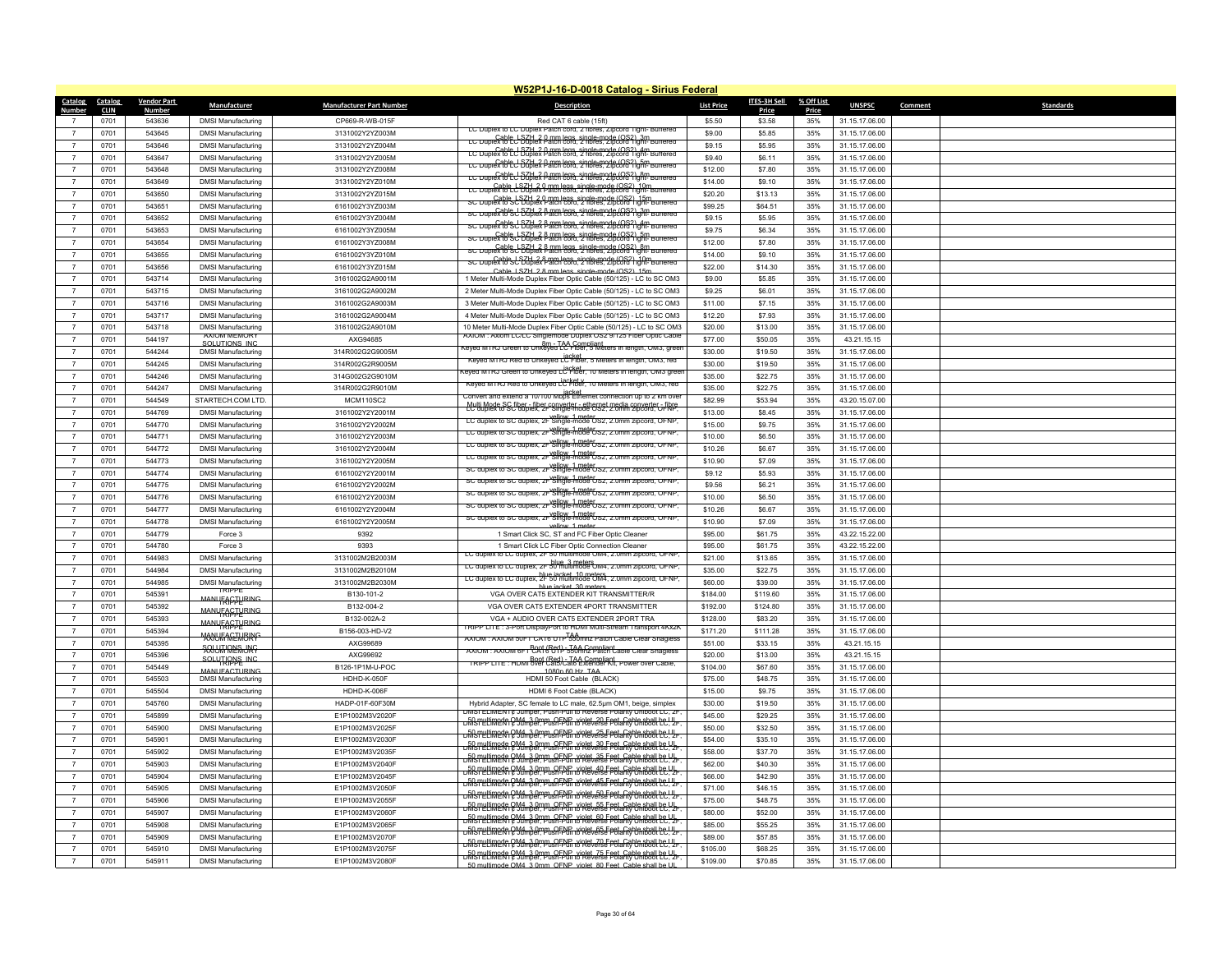|                                  |                     |                         |                                                        |                                    | W52P1J-16-D-0018 Catalog - Sirius Federal                                                                                                                                                                               |                    |                    |              |                                  |         |                  |
|----------------------------------|---------------------|-------------------------|--------------------------------------------------------|------------------------------------|-------------------------------------------------------------------------------------------------------------------------------------------------------------------------------------------------------------------------|--------------------|--------------------|--------------|----------------------------------|---------|------------------|
| Catalog Catalog                  |                     | <b>Vendor Part</b>      | Manufacturer                                           | <b>Manufacturer Part Number</b>    | <b>Description</b>                                                                                                                                                                                                      | <b>List Price</b>  | ITES-3H Sell       | % Off List   | <b>UNSPSC</b>                    | Comment | <b>Standards</b> |
| Number                           | <b>CLIN</b><br>0701 | <b>Number</b><br>543636 |                                                        | CP669-R-WB-015F                    | Red CAT 6 cable (15ft)                                                                                                                                                                                                  | \$5.50             | Price<br>\$3.58    | Price<br>35% | 31.15.17.06.00                   |         |                  |
| $\overline{7}$                   | 0701                | 543645                  | <b>DMSI Manufacturing</b>                              |                                    | LC Duplex to LC Duplex Patch cord, 2 fibres, Zipcord Tight- Buffered                                                                                                                                                    | \$9.00             | \$5.85             | 35%          |                                  |         |                  |
|                                  |                     |                         | <b>DMSI Manufacturing</b>                              | 3131002Y2YZ003M                    | LC Duplex 18th 3 Back Back Single-mode (OS2) 3m                                                                                                                                                                         |                    |                    |              | 31.15.17.06.00                   |         |                  |
| $\overline{7}$                   | 0701                | 543646                  | <b>DMSI Manufacturing</b>                              | 3131002Y2YZ004M                    | LC Duplex to the SCHex Date: both single-mode (OS2) 4m                                                                                                                                                                  | \$9.15             | \$5.95             | 35%          | 31.15.17.06.00                   |         |                  |
| $\overline{7}$                   | 0701                | 543647                  | <b>DMSI Manufacturing</b>                              | 3131002Y2YZ005M                    | LC Duplex to L D 3 best Patch core, single mode (OS2), 5m puttered                                                                                                                                                      | \$9.40             | \$6.11             | 35%          | 31.15.17.06.00                   |         |                  |
| $\overline{7}$<br>$\overline{7}$ | 0701                | 543648                  | <b>DMSI Manufacturing</b>                              | 3131002Y2YZ008M                    | LC Duplex to LC 67the ? Patch cord, 2 tibres, 2ipcord Tight- Br                                                                                                                                                         | \$12.00            | \$7.80             | 35%          | 31.15.17.06.00                   |         |                  |
|                                  | 0701                | 543649                  | <b>DMSI Manufacturing</b>                              | 3131002Y2YZ010M                    | LC Duplex to LC Dublex Patch cord. 2 fibres. 2ipcord Tight-Buttered                                                                                                                                                     | \$14.00            | \$9.10             | 35%          | 31.15.17.06.00                   |         |                  |
| $\overline{7}$                   | 0701                | 543650                  | <b>DMSI Manufacturing</b>                              | 3131002Y2YZ015M                    | SC Duplex to SCH 2.0 mm legs_single-mode (OS2) 15m<br>SC Duplex to SC Duplex Patch cord, 2 fibres, Zipcord Tight-Buffered                                                                                               | \$20.20            | \$13.13            | 35%          | 31.15.17.06.00                   |         |                  |
| $\overline{7}$<br>$\overline{7}$ | 0701                | 543651                  | <b>DMSI Manufacturing</b>                              | 6161002Y3YZ003M                    | sc Duplex to SCH 2.8 mm legs, single-mode (OS2), 3m<br>SC Duplex to Scholex Patch cord, 2 fibres, Zipcord Tight- Buffered                                                                                               | \$99.25            | \$64.51            | 35%          | 31.15.17.06.00                   |         |                  |
|                                  | 0701                | 543652                  | <b>DMSI Manufacturing</b>                              | 6161002Y3YZ004M                    | sc Duplex to Sc b Goldex Barm legs, single-mode (OS2), 4m puttered                                                                                                                                                      | \$9.15             | \$5.95             | 35%          | 31.15.17.06.00                   |         |                  |
| $\overline{7}$                   | 0701                | 543653                  | <b>DMSI Manufacturing</b>                              | 6161002Y3YZ005M                    | sc Duplex to School 3 8 mm legs, single-mode (OS2) 5m untered                                                                                                                                                           | \$9.75             | \$6.34             | 35%          | 31.15.17.06.00                   |         |                  |
| $\overline{7}$<br>$\overline{7}$ | 0701<br>0701        | 543654<br>543655        | <b>DMSI Manufacturing</b>                              | 6161002Y3YZ008M                    | sc Duplex to SJ buplex Patch cord, 2 fibres, 2 ipcord 1 ight- Buffered                                                                                                                                                  | \$12.00<br>\$14.00 | \$7.80<br>\$9.10   | 35%<br>35%   | 31.15.17.06.00                   |         |                  |
| $\overline{7}$                   |                     | 543656                  | <b>DMSI Manufacturing</b>                              | 6161002Y3YZ010M<br>6161002Y3YZ015M | sc Duplex to SCH 28 mm legs_single-mode (OS2) 10m<br>sc Duplex to SCH blex Patch cord, 2 fibres, Zipcord Tight-Buffered                                                                                                 | \$22.00            | \$14.30            | 35%          | 31.15.17.06.00                   |         |                  |
|                                  | 0701                |                         | <b>DMSI Manufacturing</b>                              |                                    | Cable 1 SZH 2.8 mm legs_single-mode (OS2) 15n                                                                                                                                                                           |                    |                    |              | 31.15.17.06.00                   |         |                  |
| $\overline{7}$<br>$\overline{7}$ | 0701<br>0701        | 543714<br>543715        | <b>DMSI Manufacturing</b>                              | 3161002G2A9001M<br>3161002G2A9002M | 1 Meter Multi-Mode Duplex Fiber Optic Cable (50/125) - LC to SC OM3                                                                                                                                                     | \$9.00<br>\$9.25   | \$5.85<br>\$6.01   | 35%<br>35%   | 31.15.17.06.00                   |         |                  |
| $\overline{7}$                   | 0701                | 543716                  | <b>DMSI Manufacturing</b><br><b>DMSI Manufacturing</b> | 3161002G2A9003M                    | 2 Meter Multi-Mode Duplex Fiber Optic Cable (50/125) - LC to SC OM3<br>3 Meter Multi-Mode Duplex Fiber Optic Cable (50/125) - LC to SC OM3                                                                              | \$11.00            | \$7.15             | 35%          | 31.15.17.06.00<br>31.15.17.06.00 |         |                  |
| $\overline{7}$                   | 0701                | 543717                  | <b>DMSI Manufacturing</b>                              | 3161002G2A9004M                    | 4 Meter Multi-Mode Duplex Fiber Optic Cable (50/125) - LC to SC OM3                                                                                                                                                     | \$12.20            | \$7.93             | 35%          | 31.15.17.06.00                   |         |                  |
| $\overline{7}$                   | 0701                | 543718                  | <b>DMSI Manufacturing</b>                              | 3161002G2A9010M                    | 10 Meter Multi-Mode Duplex Fiber Optic Cable (50/125) - LC to SC OM3                                                                                                                                                    | \$20.00            | \$13.00            | 35%          | 31.15.17.06.00                   |         |                  |
| $\overline{7}$                   |                     |                         | <b>AXIOM MEMORY</b>                                    |                                    | AXIOM : Axiom LC/LC Singlemode Duplex OS2 9/125 Fiber Optic Cable                                                                                                                                                       | \$77.00            |                    |              |                                  |         |                  |
| $\overline{7}$                   | 0701<br>0701        | 544197<br>544244        | SOLUTIONS INC                                          | AXG94685<br>314R002G2G9005M        | om TAA Compliant interest in length, OM3, green المعروج Am ⊥ TAA Compliant<br>Keyed MTRJ Green to Unkeyed LC Fiber, 5 Meters in length, OM3, green                                                                      | \$30.00            | \$50.05<br>\$19.50 | 35%<br>35%   | 43.21.15.15<br>31.15.17.06.00    |         |                  |
| $\overline{7}$                   | 0701                | 544245                  | <b>DMSI Manufacturing</b><br><b>DMSI Manufacturing</b> | 314R002G2R9005M                    | Keyed MTRJ Red to Unkeyed LC Fiber, 5 Meters in length, OM3, red                                                                                                                                                        | \$30.00            | \$19.50            | 35%          | 31.15.17.06.00                   |         |                  |
| $\overline{7}$                   | 0701                | 544246                  | <b>DMSI Manufacturing</b>                              | 314G002G2G9010M                    | ceyed MTRJ Green to Unkeyed LC Fiber, 10 Meters in length, OM3 greer                                                                                                                                                    | \$35.00            | \$22.75            | 35%          | 31.15.17.06.00                   |         |                  |
| $\overline{7}$                   | 0701                | 544247                  | <b>DMSI Manufacturing</b>                              | 314R002G2R9010M                    | Keyed MTRJ Red to Unkeyed LC Fiber, 10 Meters in length, OM3, red                                                                                                                                                       | \$35.00            | \$22.75            | 35%          | 31.15.17.06.00                   |         |                  |
| $\overline{7}$                   | 0701                | 544549                  | STARTECH.COM LTD.                                      | <b>MCM110SC2</b>                   | Lincket and extend a 10/100 Mbbs Ethernet connection up to 2 km over                                                                                                                                                    | \$82.99            | \$53.94            | 35%          | 43.20.15.07.00                   |         |                  |
| $\overline{7}$                   |                     |                         |                                                        |                                    | Multi Mode SC fiber - fiber converter - ethernet media converter o fibre                                                                                                                                                |                    |                    | 35%          |                                  |         |                  |
| $\overline{7}$                   | 0701<br>0701        | 544769<br>544770        | <b>DMSI Manufacturing</b><br><b>DMSI Manufacturing</b> | 3161002Y2Y2001M<br>3161002Y2Y2002M | LC duplex to SC duplex, 2F Single-mode OS2, 2.0mm zipcord, OFNP,                                                                                                                                                        | \$13.00<br>\$15.00 | \$8.45<br>\$9.75   | 35%          | 31.15.17.06.00<br>31.15.17.06.00 |         |                  |
| $\overline{7}$                   |                     | 544771                  |                                                        | 3161002Y2Y2003M                    | LC duplex to SC duplex, 2F Single-mode OS2, 2.0mm zipcord, OFNP,                                                                                                                                                        | \$10.00            |                    | 35%          |                                  |         |                  |
| $\overline{7}$                   | 0701<br>0701        | 544772                  | <b>DMSI Manufacturing</b>                              | 3161002Y2Y2004M                    | LC duplex to SC duplex, 2F Single-mode OS2, 2.0mm zipcord, OFNP,                                                                                                                                                        | \$10.26            | \$6.50<br>\$6.67   | 35%          | 31.15.17.06.00<br>31.15.17.06.00 |         |                  |
|                                  |                     | 544773                  | <b>DMSI Manufacturing</b>                              | 3161002Y2Y2005M                    | LC duplex to SC duplex, 2F Single-mode OS2, 2.0mm zipcord, OFNP,                                                                                                                                                        | \$10.90            |                    | 35%          | 31.15.17.06.00                   |         |                  |
| $\overline{7}$                   | 0701<br>0701        | 544774                  | <b>DMSI Manufacturing</b><br><b>DMSI Manufacturing</b> | 6161002Y2Y2001M                    | SC duplex to SC duplex, 2F Single-mode US2, 2.0mm zipcord, OFNP,                                                                                                                                                        | \$9.12             | \$7.09<br>\$5.93   | 35%          | 31.15.17.06.00                   |         |                  |
| $\overline{7}$                   | 0701                | 544775                  | <b>DMSI Manufacturing</b>                              | 6161002Y2Y2002M                    | SC duplex to SC duplex, 2F Single-mode US2, 2.0mm zipcord, OFNP.                                                                                                                                                        | \$9.56             | \$6.21             | 35%          | 31.15.17.06.00                   |         |                  |
| $\overline{7}$                   | 0701                | 544776                  | <b>DMSI Manufacturing</b>                              | 6161002Y2Y2003M                    | SC duplex to SC duplex, 2F Single-mode US2, 2.0mm zipcord, OFNP.                                                                                                                                                        | \$10.00            | \$6.50             | 35%          | 31.15.17.06.00                   |         |                  |
| $\overline{7}$                   | 0701                | 544777                  | <b>DMSI Manufacturing</b>                              | 6161002Y2Y2004M                    | SC duplex to SC duplex, 2r Single-mode OS2, 2.0mm zipcord, OFNP,                                                                                                                                                        | \$10.26            | \$6.67             | 35%          | 31.15.17.06.00                   |         |                  |
| $\overline{7}$                   | 0701                | 544778                  | <b>DMSI Manufacturing</b>                              | 6161002Y2Y2005M                    | SC duplex to SC duplex, 2F Single-mode US2, 2.0mm zipcord, OFNP,                                                                                                                                                        | \$10.90            | \$7.09             | 35%          | 31.15.17.06.00                   |         |                  |
| $\overline{7}$                   | 0701                | 544779                  | Force 3                                                | 9392                               | vellow 1 mete<br>1 Smart Click SC, ST and FC Fiber Optic Cleaner                                                                                                                                                        | \$95.00            | \$61.75            | 35%          | 43.22.15.22.00                   |         |                  |
| $\overline{7}$                   | 0701                | 544780                  | Force 3                                                | 9393                               | 1 Smart Click LC Fiber Optic Connection Cleaner                                                                                                                                                                         | \$95.00            | \$61.75            | 35%          | 43.22.15.22.00                   |         |                  |
| $\overline{7}$                   | 0701                | 544983                  | <b>DMSI Manufacturing</b>                              | 3131002M2B2003M                    | LC duplex to LC duplex, 2F 50 multimode OM4, 2.0mm zipcord, OFNP                                                                                                                                                        | \$21.00            | \$13.65            | 35%          | 31.15.17.06.00                   |         |                  |
| $\overline{7}$                   | 0701                | 544984                  | <b>DMSI Manufacturing</b>                              | 3131002M2B2010M                    | LC duplex to LC duplex, 2F 50 multimode OM4, 2.0mm zipcord, OFNP                                                                                                                                                        | \$35.00            | \$22.75            | 35%          | 31.15.17.06.00                   |         |                  |
| $\overline{7}$                   | 0701                | 544985                  | <b>DMSI Manufacturing</b>                              | 3131002M2B2030M                    | LC duplex to LC duplex, 2F 50 multimode OM4, 2.0mm zipcord, OFNP                                                                                                                                                        | \$60.00            | \$39.00            | 35%          | 31.15.17.06.00                   |         |                  |
| $\overline{7}$                   | 0701                | 545391                  | <b>TRIPPE</b>                                          | B130-101-2                         | blue jacket, 30 mete<br>VGA OVER CAT5 EXTENDER KIT TRANSMITTER/R                                                                                                                                                        | \$184.00           | \$119.60           | 35%          | 31.15.17.06.00                   |         |                  |
| $\overline{7}$                   | 0701                | 545392                  | <b>MANI FACTLIBING</b>                                 | B132-004-2                         | VGA OVER CAT5 EXTENDER 4PORT TRANSMITTER                                                                                                                                                                                | \$192.00           | \$124.80           | 35%          | 31.15.17.06.00                   |         |                  |
| $\overline{7}$                   | 0701                | 545393                  | <b>MANLIFACTLIBING</b>                                 | B132-002A-2                        | VGA + AUDIO OVER CAT5 EXTENDER 2PORT TRA                                                                                                                                                                                | \$128.00           | \$83.20            | 35%          | 31.15.17.06.00                   |         |                  |
| $\overline{7}$                   | 0701                | 545394                  | MANUFACTURING                                          | B156-003-HD-V2                     | TRIPP LITE: 3-Port DisplayPort to HDMI Multi-Stream Transport 4Kx2K                                                                                                                                                     | \$171.20           | \$111.28           | 35%          | 31.15.17.06.00                   |         |                  |
| $\overline{7}$                   | 0701                | 545395                  | <b>MANUEACIMBING</b>                                   | AXG99689                           | AXIOM : AXIOM 50FT CATE UTP 550mhz Patch Cable Clear Snagless                                                                                                                                                           | \$51.00            | \$33.15            | 35%          | 43.21.15.15                      |         |                  |
| $\overline{7}$                   | 0701                | 545396                  | <del>SQIJJJJQNS JNG</del>                              | AXG99692                           | AXIOM: AXIOM 6F1 CAT6 TOTI-550 m E2 Patch Cable Clear Snagless                                                                                                                                                          | \$20.00            | \$13.00            | 35%          | 43.21.15.15                      |         |                  |
| $\overline{7}$                   | 0701                | 545449                  | son Hibble inc                                         | B126-1P1M-U-POC                    | TRIPP LITE: HDMI over Cats) Cats Extender Kit, Power over Cable,                                                                                                                                                        | \$104.00           | \$67.60            | 35%          | 31.15.17.06.00                   |         |                  |
| $\overline{7}$                   | 0701                | 545503                  | MANUFACTURING<br><b>DMSI Manufacturing</b>             | HDHD-K-050F                        | 1080p 60 Hz TAA<br>HDMI 50 Foot Cable (BLACK)                                                                                                                                                                           | \$75.00            | \$48.75            | 35%          | 31.15.17.06.00                   |         |                  |
| $\overline{7}$                   | 0701                | 545504                  | <b>DMSI Manufacturing</b>                              | HDHD-K-006F                        | HDMI 6 Foot Cable (BLACK)                                                                                                                                                                                               | \$15.00            | \$9.75             | 35%          | 31.15.17.06.00                   |         |                  |
| $\overline{7}$                   | 0701                | 545760                  | <b>DMSI Manufacturing</b>                              | HADP-01F-60F30M                    | Hybrid Adapter, SC female to LC male, 62.5um OM1, beige, simplex                                                                                                                                                        | \$30.00            | \$19.50            | 35%          | 31.15.17.06.00                   |         |                  |
| $\overline{7}$                   | 0701                | 545899                  | <b>DMSI Manufacturing</b>                              | E1P1002M3V2020F                    | DMSI ELIMENT¢ Jumper, Push-Pull to Reverse Polarity Uniboot LC, 2H                                                                                                                                                      | \$45.00            | \$29.25            | 35%          | 31.15.17.06.00                   |         |                  |
| $\overline{7}$                   | 0701                | 545900                  | <b>DMSI Manufacturing</b>                              | E1P1002M3V2025F                    | <u>bMSMLltimede QM4, 3 0mm, QFNR, violet, 20 Feet, Cable shall be Ll.</u><br>DMSMLltimede QM4, 3 0mm, QFNR, violet, 20 Feet, Cable shall be Ll.                                                                         | \$50.00            | \$32.50            | 35%          | 31.15.17.06.00                   |         |                  |
| $\overline{7}$                   | 0701                | 545901                  | <b>DMSI Manufacturing</b>                              | E1P1002M3V2030F                    | <del>.<br/>"FAS multimade 2 M4 "3 Amm OFNE, violet 23 F pstafiel britandel bc.! L.</del>                                                                                                                                | \$54.00            | \$35.10            | 35%          | 31.15.17.06.00                   |         |                  |
| $\overline{7}$                   | 0701                | 545902                  | <b>DMSI Manufacturing</b>                              | E1P1002M3V2035F                    | <u>bMSmyllimede 2M4, 3.0mm, OFNR, violet 30 Eest Cable shall be Lly-</u>                                                                                                                                                | \$58.00            | \$37.70            | 35%          | 31.15.17.06.00                   |         |                  |
| $\overline{7}$                   | 0701                | 545903                  | <b>DMSI Manufacturing</b>                              | E1P1002M3V2040F                    | سيابا العام العاملية المسيحية المسيحية المسيحية المسيحية المسيحية المسيحية المسيحية المسيحية المسيحية<br>سيحية المسيحية المسيحية المسيحية المسيحية المسيحية المسيحية المسيحية المسيحية المسيحية المسيحية المسيحية المسي | \$62.00            | \$40.30            | 35%          | 31.15.17.06.00                   |         |                  |
| $\overline{7}$                   | 0701                | 545904                  | <b>DMSI Manufacturing</b>                              | E1P1002M3V2045F                    | <u>BO multimode QM4, 3 0mm, QENR, violet, 40 Eest, Cable shall be UL.</u>                                                                                                                                               | \$66.00            | \$42.90            | 35%          | 31.15.17.06.00                   |         |                  |
| $\overline{7}$                   | 0701                | 545905                  | <b>DMSI Manufacturing</b>                              | E1P1002M3V2050F                    | <u>bMSmeltimede OM4, 3 0mm, OFNP, viglet 45 Epet, Cable shall be UL.</u>                                                                                                                                                | \$71.00            | \$46.15            | 35%          | 31.15.17.06.00                   |         |                  |
| $\overline{7}$                   | 0701                | 545906                  | <b>DMSI Manufacturing</b>                              | E1P1002M3V2055F                    | <del>JASPELLIMEN &amp; SUMBER, PUSA PUR N'ALEVERSE PSI AND UNBOOK LC. LL.</del>                                                                                                                                         | \$75.00            | \$48.75            | 35%          | 31.15.17.06.00                   |         |                  |
|                                  | 0701                | 545907                  | <b>DMSI Manufacturing</b>                              | E1P1002M3V2060F                    | <u>bMsmyttimede 2M4, 3 Amm. AFNR violet á 5 Epet Cable sball he. Y. </u>                                                                                                                                                | \$80.00            | \$52.00            | 35%          | 31.15.17.06.00                   |         |                  |
| $\overline{7}$                   | 0701                | 545908                  | <b>DMSI Manufacturing</b>                              | E1P1002M3V2065F                    | <del>DMSMLLLIMENT? Ydmper, Push Pull to Reverse Polarity Uniboot LC. Ur</del>                                                                                                                                           | \$85.00            | \$55.25            | 35%          | 31.15.17.06.00                   |         |                  |
| $\overline{7}$                   | 0701                | 545909                  | <b>DMSI Manufacturing</b>                              | E1P1002M3V2070F                    | pMS/PLUMeNT&Jumper, Push-Pull to Reverse Polarity Uniboot LC, 2F                                                                                                                                                        | \$89.00            | \$57.85            | 35%          | 31.15.17.06.00                   |         |                  |
|                                  | 0701                | 545910                  | <b>DMSI Manufacturing</b>                              | E1P1002M3V2075F                    | <u>bMSMLltimede OM4, 3 0mm, OFNR, violet, 70 Feet, Cable shall be Lly-</u>                                                                                                                                              | \$105.00           | \$68.25            | 35%          | 31.15.17.06.00                   |         |                  |
|                                  | 0701                | 545911                  | <b>DMSI Manufacturing</b>                              | E1P1002M3V2080F                    | <del>uMsrellimedr &amp;M1 ,3 Arm aRFMR &amp; R&amp;Ve7SE PS1aRiQ UniB88L LC ! Lr</del><br>50 multimode QM4 3.0mm OENP violet 80 Feet Cable shall be UL                                                                  | \$109.00           | \$70.85            | 35%          | 31.15.17.06.00                   |         |                  |
|                                  |                     |                         |                                                        |                                    |                                                                                                                                                                                                                         |                    |                    |              |                                  |         |                  |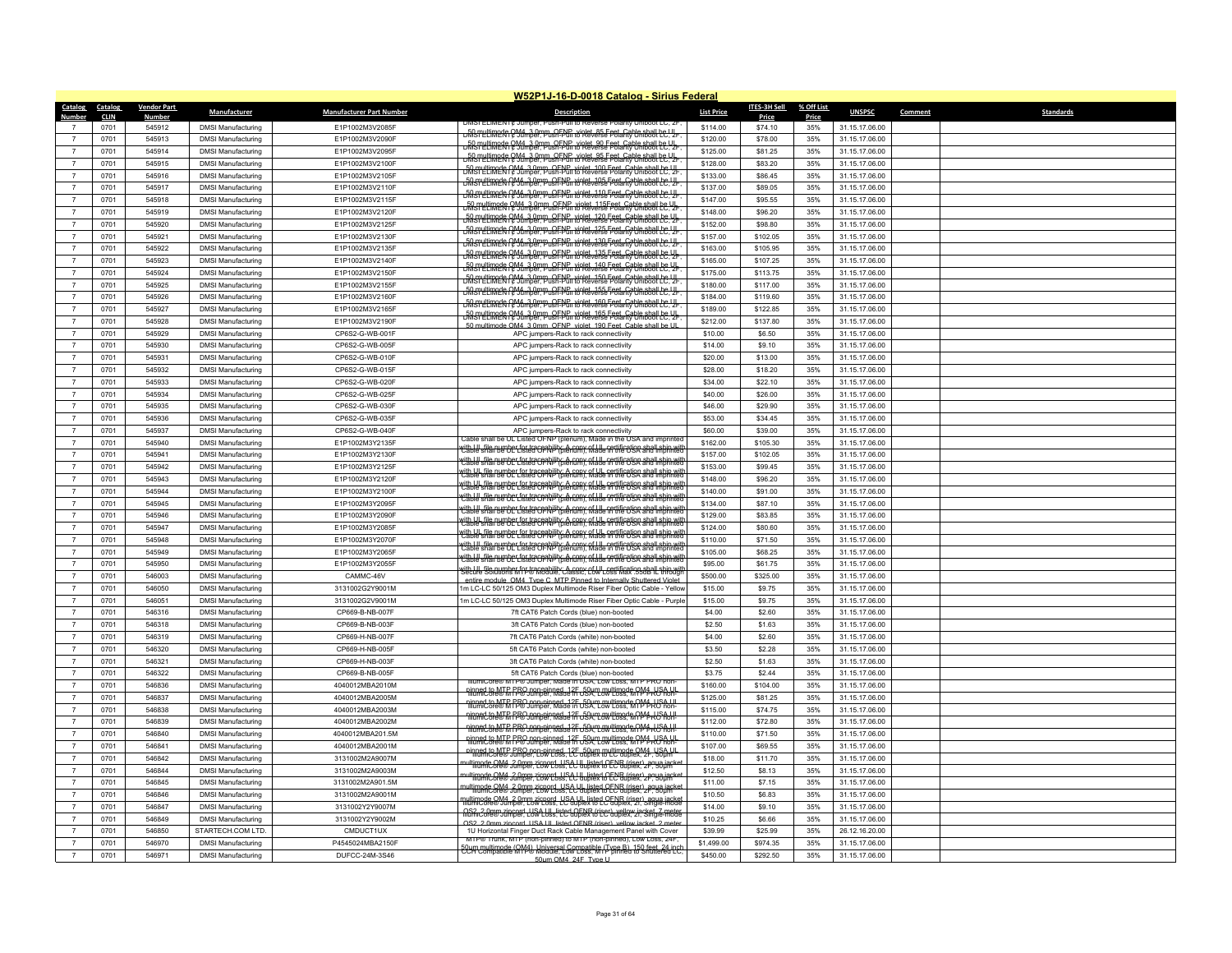|                                  |                        |                    |                                                        |                                    | W52P1J-16-D-0018 Catalog - Sirius Federal                                                                                                                       |                   |                    |                     |                                  |                             |  |
|----------------------------------|------------------------|--------------------|--------------------------------------------------------|------------------------------------|-----------------------------------------------------------------------------------------------------------------------------------------------------------------|-------------------|--------------------|---------------------|----------------------------------|-----------------------------|--|
| <b>Catalog</b><br>Number         | Catalog<br><b>CLIN</b> | <b>Vendor Part</b> | Manufacturer                                           | <b>Manufacturer Part Number</b>    | <b>Description</b>                                                                                                                                              | <b>List Price</b> | ITES-3H Sell       | % Off List<br>Price | <b>UNSPSC</b>                    | <b>Standards</b><br>Comment |  |
|                                  | 0701                   | Number<br>545912   | <b>DMSI Manufacturing</b>                              | F1P1002M3V2085F                    | <b>DMSI ELIMEN I ¢ JUMPER, PU</b>                                                                                                                               | \$114.00          | Price<br>\$74.10   | 35%                 | 31.15.17.06.00                   |                             |  |
| $\overline{7}$                   | 0701                   | 545913             | <b>DMSI Manufacturing</b>                              | E1P1002M3V2090F                    | pMSmettimede 2M4, 3.0mm, OENP, violet, 85 Eest, Cable shall be U.U.                                                                                             | \$120.00          | \$78.00            | 35%                 | 31.15.17.06.00                   |                             |  |
| $\overline{7}$                   | 0701                   | 545914             | <b>DMSI Manufacturing</b>                              | E1P1002M3V2095F                    | pMSTLLUMERG C M4 3 0mm REAL right 90 Feet Cable shall be. V-                                                                                                    | \$125.00          | \$81.25            | 35%                 | 31.15.17.06.00                   |                             |  |
| $\overline{7}$                   | 0701                   | 545915             | <b>DMSI Manufacturing</b>                              | E1P1002M3V2100F                    | pfilsmultimede QM4, 3.0mm, QENR, violet 95 Epet, Cable shall be UL.                                                                                             | \$128.00          | \$83.20            | 35%                 | 31.15.17.06.00                   |                             |  |
| $\overline{7}$                   | 0701                   | 545916             | <b>DMSI Manufacturing</b>                              | E1P1002M3V2105F                    | <del>DM STELLIMER R &amp; Jump GENP, violet 100 Feet, Cable shall be UL</del>                                                                                   | \$133.00          | \$86.45            | 35%                 | 31.15.17.06.00                   |                             |  |
| $\overline{7}$                   |                        | 545917             | <b>DMSI Manufacturing</b>                              | E1P1002M3V2110F                    | <u> 50 myttimade OM4, 3 om m. OF NG, violet 105 Fest Goble sball te Y-</u>                                                                                      | \$137.00          |                    | 35%                 | 31.15.17.06.00                   |                             |  |
| $\overline{7}$                   | 0701<br>0701           | 545918             | <b>DMSI Manufacturing</b>                              | E1P1002M3V2115F                    | <del>DMSTELIMER PM4, 3.0mm OFNR violet 110 Feet Cable shall be UL</del>                                                                                         | \$147.00          | \$89.05<br>\$95.55 | 35%                 | 31.15.17.06.00                   |                             |  |
| $\overline{7}$                   | 0701                   | 545919             | <b>DMSI Manufacturing</b>                              | E1P1002M3V2120F                    | DMSTELIMER PM4,3 0mm OFNE violet 115Feet Cable shall LC. 2                                                                                                      | \$148.00          | \$96.20            | 35%                 | 31.15.17.06.00                   |                             |  |
| $\overline{7}$                   | 0701                   | 545920             | <b>DMSI Manufacturing</b>                              | E1P1002M3V2125F                    | Din multimade OM4, 3.0mm, OFNE, violet, 120 Feet, Cable shall be UL                                                                                             | \$152.00          | \$98.80            | 35%                 | 31.15.17.06.00                   |                             |  |
| $\overline{7}$                   | 0701                   | 545921             | <b>DMSI Manufacturing</b>                              | E1P1002M3V2130F                    | <b>Dina Helmede OM4, 3.0mm, OFNC, violet, 125 Feet, Cable shall be UL</b>                                                                                       | \$157.00          | \$102.05           | 35%                 | 31.15.17.06.00                   |                             |  |
| $\overline{7}$                   | 0701                   | 545922             | <b>DMSI Manufacturing</b>                              | E1P1002M3V2135F                    | <del>JMsryttimek PM4 3.0pp uSF.MG, xoktvalse Fostano Unassall LC. U.</del>                                                                                      | \$163.00          | \$105.95           | 35%                 | 31.15.17.06.00                   |                             |  |
| $\overline{7}$                   | 0701                   | 545923             | <b>DMSI Manufacturing</b>                              | E1P1002M3V2140F                    | DM STELLINGER PM4-3.0mm OF NGH to Reverse Folarity Unibool LC. Y-                                                                                               | \$165.00          | \$107.25           | 35%                 | 31.15.17.06.00                   |                             |  |
| $\overline{7}$                   | 0701                   | 545924             | <b>DMSI Manufacturing</b>                              | E1P1002M3V2150F                    | <del>DMSTELIMER PM4, 3.0mm, OFNE, Holet, 140 Feet, Cable shall be UL</del>                                                                                      | \$175.00          | \$113.75           | 35%                 | 31.15.17.06.00                   |                             |  |
| $\overline{7}$                   | 0701                   | 545925             | <b>DMSI Manufacturing</b>                              | E1P1002M3V2155F                    | DM ST LLIMER PM4 3.0mm OFNE Wolst 150 Feet Cable shall be Y-                                                                                                    | \$180.00          | \$117.00           | 35%                 | 31.15.17.06.00                   |                             |  |
| $\overline{7}$                   | 0701                   | 545926             | <b>DMSI Manufacturing</b>                              | E1P1002M3V2160F                    | DM ST LLIMER CM4, 3.0mm OF NC Holet 155 Feet, Cable shall be Y                                                                                                  | \$184.00          | \$119.60           | 35%                 | 31.15.17.06.00                   |                             |  |
| $\overline{7}$                   | 0701                   | 545927             | <b>DMSI Manufacturing</b>                              | E1P1002M3V2165F                    | <del>JM sretimnek PM4, 3.0m p. SF.PG, xirkt JASE Fest. Røbk B881 LC, Yr</del>                                                                                   | \$189.00          | \$122.85           | 35%                 | 31.15.17.06.00                   |                             |  |
| $\overline{7}$                   | 0701                   | 545928             | <b>DMSI Manufacturing</b>                              | E1P1002M3V2190F                    | <del>DM sn LLIMCR PM4, 3.0mm OFNE, Holet, 165 Feet, Cable shall LC UL.</del>                                                                                    | \$212.00          | \$137.80           | 35%                 | 31.15.17.06.00                   |                             |  |
| $\overline{7}$                   | 0701                   | 545929             | <b>DMSI Manufacturing</b>                              | CP6S2-G-WB-001F                    | 50 multimode OM4 3 0mm OENP violet 190 Feet Cable shall be UL<br>APC iumpers-Rack to rack connectivity                                                          | \$10.00           | \$6.50             | 35%                 | 31.15.17.06.00                   |                             |  |
| $\overline{7}$                   | 0701                   | 545930             | <b>DMSI Manufacturing</b>                              | CP6S2-G-WB-005F                    | APC jumpers-Rack to rack connectivity                                                                                                                           | \$14.00           | \$9.10             | 35%                 | 31.15.17.06.00                   |                             |  |
| $\overline{7}$                   | 0701                   | 545931             | <b>DMSI Manufacturing</b>                              | CP6S2-G-WB-010F                    | APC jumpers-Rack to rack connectivity                                                                                                                           | \$20.00           | \$13.00            | 35%                 | 31.15.17.06.00                   |                             |  |
| $\overline{7}$                   | 0701                   | 545932             | <b>DMSI Manufacturing</b>                              | CP6S2-G-WB-015F                    | APC jumpers-Rack to rack connectivity                                                                                                                           | \$28.00           | \$18.20            | 35%                 | 31.15.17.06.00                   |                             |  |
| $\overline{7}$                   | 0701                   | 545933             | <b>DMSI Manufacturing</b>                              | CP6S2-G-WB-020F                    | APC jumpers-Rack to rack connectivity                                                                                                                           | \$34.00           | \$22.10            | 35%                 | 31.15.17.06.00                   |                             |  |
| $\overline{7}$                   | 0701                   | 545934             | <b>DMSI Manufacturing</b>                              | CP6S2-G-WB-025F                    | APC jumpers-Rack to rack connectivity                                                                                                                           | \$40.00           | \$26.00            | 35%                 | 31.15.17.06.00                   |                             |  |
| $\overline{7}$                   | 0701                   | 545935             | <b>DMSI Manufacturing</b>                              | CP6S2-G-WB-030F                    | APC jumpers-Rack to rack connectivity                                                                                                                           | \$46.00           | \$29.90            | 35%                 | 31.15.17.06.00                   |                             |  |
| $\overline{7}$                   | 0701                   | 545936             | <b>DMSI Manufacturing</b>                              | CP6S2-G-WB-035F                    | APC jumpers-Rack to rack connectivity                                                                                                                           | \$53.00           | \$34.45            | 35%                 | 31.15.17.06.00                   |                             |  |
| $\overline{7}$                   | 0701                   | 545937             | <b>DMSI Manufacturing</b>                              | CP6S2-G-WB-040F                    | APC iumpers-Rack to rack connectivity                                                                                                                           | \$60.00           | \$39.00            | 35%                 | 31.15.17.06.00                   |                             |  |
| $\overline{7}$                   | 0701                   | 545940             | <b>DMSI Manufacturing</b>                              | E1P1002M3Y2135F                    | Cable shall be UL Listed OFNP (plenum), Made in the USA and imprinted                                                                                           | \$162.00          | \$105.30           | 35%                 | 31.15.17.06.00                   |                             |  |
| $\overline{7}$                   | 0701                   | 545941             | <b>DMSI Manufacturing</b>                              | E1P1002M3Y2130F                    | dth UL file number for traceability: A copy of UL certification shall ship wil<br>Cable shall be UL Listed OFNP (plenum), Made in the USA and imprinter         | \$157.00          | \$102.05           | 35%                 | 31.15.17.06.00                   |                             |  |
| $\overline{7}$                   | 0701                   | 545942             | <b>DMSI Manufacturing</b>                              | E1P1002M3Y2125F                    | with UL file number for traceability: A copy of UL certification shall ship with<br>Cable shall be UL Listed OF NP (plenum), Made in the USA and imprinted      | \$153.00          | \$99.45            | 35%                 | 31.15.17.06.00                   |                             |  |
| $\overline{7}$                   | 0701                   | 545943             | <b>DMSI Manufacturing</b>                              | E1P1002M3Y2120F                    | vith UL file number for traceability: A copy of UL certification shall ship will<br>Cable shall be UL Listed OF NP (plenum), Made in the USA and imprinted      | \$148.00          | \$96.20            | 35%                 | 31.15.17.06.00                   |                             |  |
| $\overline{7}$                   | 0701                   | 545944             | <b>DMSI Manufacturing</b>                              | E1P1002M3Y2100F                    | vith I II. file number for traceability: A copy of I II. certification shall ship wit<br>Cable shall be UE Listed OFNP (plenum), Made in the USA and imprinted  | \$140.00          | \$91.00            | 35%                 | 31.15.17.06.00                   |                             |  |
| $\overline{7}$                   | 0701                   | 545945             | <b>DMSI Manufacturing</b>                              | E1P1002M3Y2095F                    | with UL file number for traceability: A copy of UL certification shall ship will<br>Cable shall be UL Listed OFNP (blenum), Made in the USA and imprinte        | \$134.00          | \$87.10            | 35%                 | 31.15.17.06.00                   |                             |  |
| $\overline{7}$                   | 0701                   | 545946             | <b>DMSI Manufacturing</b>                              | E1P1002M3Y2090F                    | vith I II, file number for traceability: A copy of III, certification shall ship wi<br>Cable shall be UL Listed OFNP (plenum), Made in the USA and imprinte     | \$129.00          | \$83.85            | 35%                 | 31.15.17.06.00                   |                             |  |
| $\overline{7}$                   | 0701                   | 545947             | <b>DMSI Manufacturing</b>                              | E1P1002M3Y2085F                    | with UL file number for traceability: A copy of UL certification shall ship with<br>Cable shall be UL Listed OFNP (plenum), Made in the USA and imprinted       | \$124.00          | \$80.60            | 35%                 | 31.15.17.06.00                   |                             |  |
| $\overline{7}$                   | 0701                   | 545948             | <b>DMSI Manufacturing</b>                              | E1P1002M3Y2070F                    | with UL file number for traceability: A copy of UL certification shall ship with<br>Cable shall be UL Listed OFNP (plenum), Made in the USA and imprinted       | \$110.00          | \$71.50            | 35%                 | 31.15.17.06.00                   |                             |  |
| $\overline{7}$                   | 0701                   | 545949             | <b>DMSI Manufacturing</b>                              | E1P1002M3Y2065F                    | dth III, file number for traceability: A copy of III, certification shall ship wi<br>Lable shall be UE Listed OFNP (plenum), Made in the USA and imprinte       | \$105.00          | \$68.25            | 35%                 | 31.15.17.06.00                   |                             |  |
| $\overline{7}$                   | 0701                   | 545950             | <b>DMSI Manufacturing</b>                              | E1P1002M3Y2055F                    | with I II, file number for traceability: A copy of I II, certification shall ship with<br>Cable shall be UE Listed OFNP (plenum), Made in the USA and imprinted | \$95.00           | \$61.75            | 35%                 | 31.15.17.06.00                   |                             |  |
| $\overline{7}$                   | 0701                   | 546003             | <b>DMSI Manufacturing</b>                              | CAMMC-46V                          | with LIL file number for traceability; A cony of LIL certification shall ship wi<br>Secure Solutions MTP® Module, Classic, Low Loss Max .55dB IL throug         | \$500.00          | \$325.00           | 35%                 | 31.15.17.06.00                   |                             |  |
| $\overline{7}$                   | 0701                   | 546050             | <b>DMSI Manufacturing</b>                              | 3131002G2Y9001M                    | entire module, OM4, Type C, MTP Pinned to Internally Shuttered Violet<br>1m LC-LC 50/125 OM3 Duplex Multimode Riser Fiber Optic Cable - Yellow                  | \$15.00           | \$9.75             | 35%                 | 31.15.17.06.00                   |                             |  |
| $\overline{7}$                   | 0701                   | 546051             | <b>DMSI Manufacturing</b>                              | 3131002G2V9001M                    | 1m LC-LC 50/125 OM3 Duplex Multimode Riser Fiber Optic Cable - Purple                                                                                           | \$15.00           | \$9.75             | 35%                 | 31.15.17.06.00                   |                             |  |
|                                  |                        |                    |                                                        |                                    |                                                                                                                                                                 |                   |                    |                     |                                  |                             |  |
| $\overline{7}$<br>$\overline{7}$ | 0701<br>0701           | 546316<br>546318   | <b>DMSI Manufacturing</b><br><b>DMSI Manufacturing</b> | CP669-B-NB-007F<br>CP669-B-NB-003F | 7ft CAT6 Patch Cords (blue) non-booted<br>3ft CAT6 Patch Cords (blue) non-booted                                                                                | \$4.00<br>\$2.50  | \$2.60<br>\$1.63   | 35%<br>35%          | 31.15.17.06.00<br>31.15.17.06.00 |                             |  |
| $\overline{7}$                   | 0701                   | 546319             | <b>DMSI Manufacturing</b>                              | CP669-H-NB-007F                    | 7ft CAT6 Patch Cords (white) non-booted                                                                                                                         | \$4.00            | \$2.60             | 35%                 | 31.15.17.06.00                   |                             |  |
| $\overline{7}$                   | 0701                   | 546320             | <b>DMSI Manufacturing</b>                              | CP669-H-NB-005F                    | 5ft CAT6 Patch Cords (white) non-booted                                                                                                                         | \$3.50            | \$2.28             | 35%                 | 31.15.17.06.00                   |                             |  |
| $\overline{7}$                   | 0701                   | 546321             |                                                        |                                    |                                                                                                                                                                 | \$2.50            | \$1.63             | 35%                 |                                  |                             |  |
| $\overline{7}$                   | 0701                   | 546322             | <b>DMSI Manufacturing</b>                              | CP669-H-NB-003F<br>CP669-B-NB-005F | 3ft CAT6 Patch Cords (white) non-booted<br>5ft CAT6 Patch Cords (blue) non-booted                                                                               | \$3.75            | \$2.44             | 35%                 | 31.15.17.06.00<br>31.15.17.06.00 |                             |  |
| $\overline{7}$                   | 0701                   | 546836             | <b>DMSI Manufacturing</b><br><b>DMSI Manufacturing</b> | 4040012MBA2010M                    | IllumiCore® MTP® Jumper, Made in USA, Low Loss, MTP PRO non-                                                                                                    | \$160.00          | \$104.00           | 35%                 | 31.15.17.06.00                   |                             |  |
| $\overline{7}$                   | 0701                   | 546837             | <b>DMSI Manufacturing</b>                              | 4040012MBA2005M                    | ninned to MTR FBO non-pinned, 12F 59um multimode OM4 USA UL                                                                                                     | \$125.00          | \$81.25            | 35%                 | 31.15.17.06.00                   |                             |  |
| $\overline{7}$                   | 0701                   | 546838             | <b>DMSI Manufacturing</b>                              | 4040012MBA2003M                    | ninned to MTR FBO non-pinned, 12F, 50um multimode OM4, USA UL                                                                                                   | \$115.00          | \$74.75            | 35%                 | 31.15.17.06.00                   |                             |  |
| $\overline{7}$                   | 0701                   | 546839             | <b>DMSI Manufacturing</b>                              | 4040012MBA2002M                    | ninned to MTR PRO non-pinned 12F 50um multimode OM4 USA UI                                                                                                      | \$112.00          | \$72.80            | 35%                 | 31.15.17.06.00                   |                             |  |
| $\overline{7}$                   | 0701                   | 546840             | <b>DMSI Manufacturing</b>                              | 4040012MBA201.5M                   | ninged to MTR PBO non-pinged, 12F 59um gwltimode OM + USA UL<br>110 The USA Company of DM Holder                                                                | \$110.00          | \$71.50            | 35%                 | 31.15.17.06.00                   |                             |  |
| $\overline{7}$                   | 0701                   | 546841             | <b>DMSI Manufacturing</b>                              | 4040012MBA2001M                    | ninged to MTR PBO non-pinged 12F 59um gwltimode OMA USA UL                                                                                                      | \$107.00          | \$69.55            | 35%                 | 31.15.17.06.00                   |                             |  |
| $\overline{7}$                   | 0701                   | 546842             | <b>DMSI Manufacturing</b>                              | 3131002M2A9007M                    | ninned to MTP PRO non-ninned, 12E auflies to LC duplex, 2F, 50 um                                                                                               | \$18.00           | \$11.70            | 35%                 | 31.15.17.06.00                   |                             |  |
| $\overline{7}$                   | 0701                   | 546844             | <b>DMSI Manufacturing</b>                              | 3131002M2A9003M                    | nultimode.OM4_2.0mm zicpord_USA UL listed OENB (riser) aqua jacket<br>Illumic Ore® Jumper, Low Loss, LC duplex to EC Buplex, 2F, 50µm                           | \$12.50           | \$8.13             | 35%                 | 31.15.17.06.00                   |                             |  |
|                                  |                        | 546845             |                                                        |                                    | nultimode OM4, 2 0mm zicpord, USA UL listed OENB (riser), agua jacket<br>Illumic ore® Jumper, Low Loss, LC duplex to EC duplex, 2F, 50um                        | \$11.00           |                    |                     |                                  |                             |  |
| $\overline{7}$<br>$\overline{7}$ | 0701<br>0701           | 546846             | <b>DMSI Manufacturing</b>                              | 3131002M2A901.5M                   | ultimode OM4, 2 0mm zicpord, USA UL listed OENB (riser), aqua iacke<br>IllumiCore® Jumper, Low Loss, LC duplex to LC duplex, 2F, 50µm                           | \$10.50           | \$7.15             | 35%                 | 31.15.17.06.00                   |                             |  |
| $\overline{7}$                   | 0701                   | 546847             | <b>DMSI Manufacturing</b><br><b>DMSI Manufacturing</b> | 3131002M2A9001M<br>3131002Y2Y9007M | multimode@M4_2.0mm.zicpord_LLS&Ublelisted_CENR_(riser)_aqua.jacket                                                                                              | \$14.00           | \$6.83<br>\$9.10   | 35%<br>35%          | 31.15.17.06.00<br>31.15.17.06.00 |                             |  |
| $\overline{7}$                   | 0701                   | 546849             | <b>DMSI Manufacturing</b>                              | 3131002Y2Y9002M                    | OS2, 2.0mm zincord, USA UL listed OENR (riser), vellow jacket, 7 meter<br>IllumiCore® Jumper, Low Loss, LC dublex to LC dublex, 2f, Single-mode                 | \$10.25           | \$6.66             | 35%                 | 31.15.17.06.00                   |                             |  |
| $\overline{7}$                   | 0701                   | 546850             | STARTECH.COM LTD.                                      | CMDUCT1UX                          | OS2 2.0mm zincord USA UL listed OFNR (riser) vellow jacket 2 mete<br>1U Horizontal Finger Duct Rack Cable Management Panel with Cover                           | \$39.99           | \$25.99            | 35%                 | 26.12.16.20.00                   |                             |  |
|                                  | 0701                   | 546970             | <b>DMSI Manufacturing</b>                              | P4545024MBA2150F                   | MIP® Irunk, MIP (non-pinned) to MIP (non-pinned), Low Loss, 24H                                                                                                 | \$1,499.00        | \$974.35           | 35%                 | 31.15.17.06.00                   |                             |  |
| $\overline{7}$                   | 0701                   | 546971             |                                                        | DUFCC-24M-3S46                     | 50um configurade (OMA), Universal Compatible (Type B), 150 feet, 24 incl<br>CCH Compatible MTA® Moddle, Low Loss, MTP pinned to Shuttered LC                    | \$450.00          | \$292.50           | 35%                 | 31.15.17.06.00                   |                             |  |
|                                  |                        |                    | <b>DMSI Manufacturing</b>                              |                                    | 50um OM4 24F Type II                                                                                                                                            |                   |                    |                     |                                  |                             |  |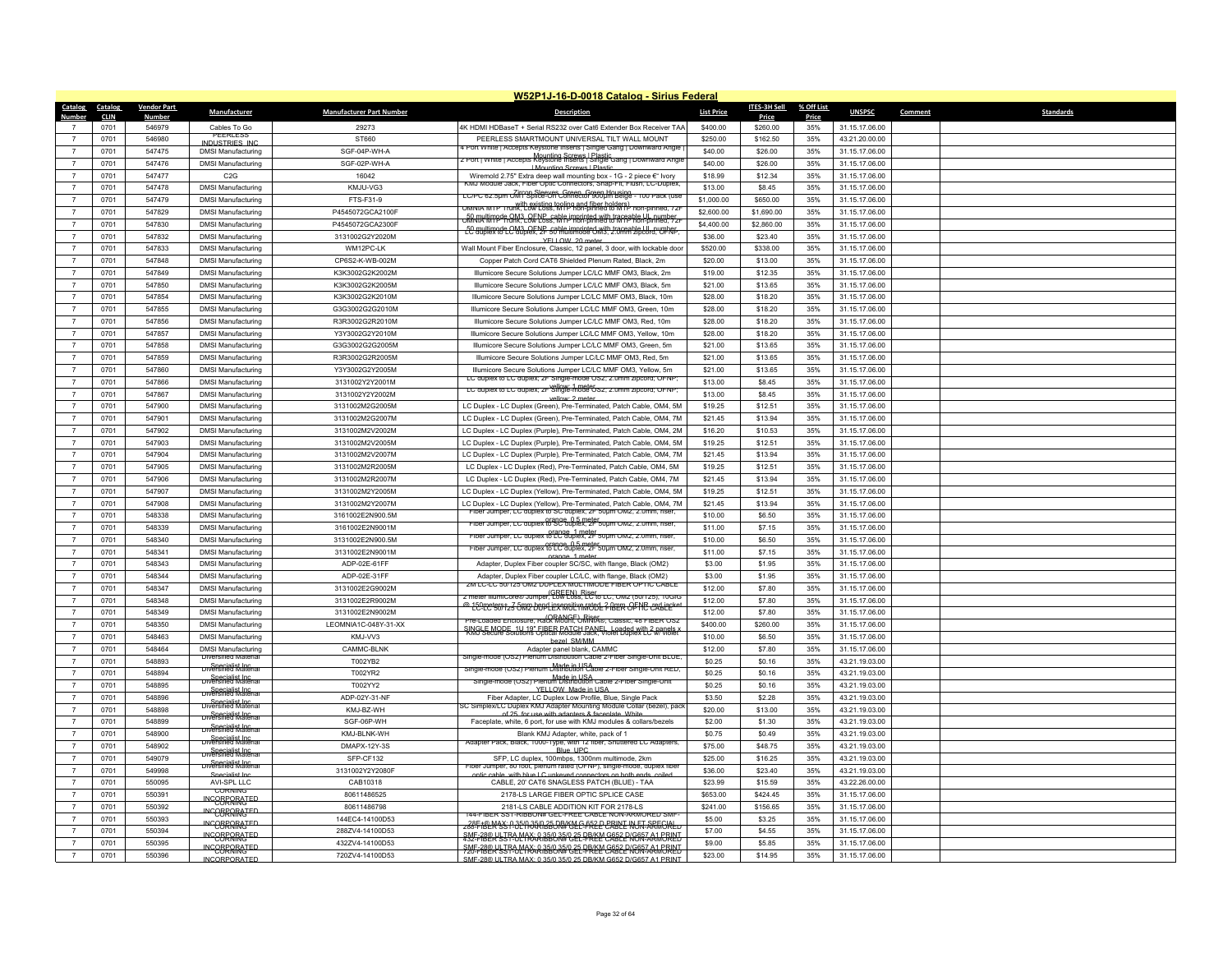|                |             |                    |                                         |                                 | W52P1J-16-D-0018 Catalog - Sirius Federal                                                                                                   |                   |              |            |                |                             |
|----------------|-------------|--------------------|-----------------------------------------|---------------------------------|---------------------------------------------------------------------------------------------------------------------------------------------|-------------------|--------------|------------|----------------|-----------------------------|
| Catalog        | Catalog     | <b>Vendor Part</b> | Manufacturer                            | <b>Manufacturer Part Number</b> | <b>Description</b>                                                                                                                          | <b>List Price</b> | ITES-3H Sell | % Off List | <b>UNSPSC</b>  | <b>Standards</b><br>Comment |
| Number         | <b>CLIN</b> | <u>Number</u>      |                                         |                                 |                                                                                                                                             |                   | <b>Price</b> | Price      |                |                             |
|                | 0701        | 546979             | Cables To Go<br>PEERLESS                | 29273                           | 4K HDMI HDBaseT + Serial RS232 over Cat6 Extender Box Receiver TAA                                                                          | \$400.00          | \$260.00     | 35%        | 31.15.17.06.00 |                             |
| $\overline{7}$ | 0701        | 546980             | INDUSTRIES INC                          | ST660                           | PEERLESS SMARTMOUNT UNIVERSAL TILT WALL MOUNT<br>Port White I Accepts Keystone Inserts   Single Gang   Downward Angli                       | \$250.00          | \$162.50     | 35%        | 43.21.20.00.00 |                             |
|                | 0701        | 547475             | <b>DMSI Manufacturing</b>               | SGF-04P-WH-A                    | Mounting Screws   Plastic<br>2 Port   White   Accepts Keystone Inserts   Single Gang   Downward Angle                                       | \$40.00           | \$26.00      | 35%        | 31.15.17.06.00 |                             |
| $\overline{7}$ | 0701        | 547476             | <b>DMSI Manufacturing</b>               | SGF-02P-WH-A                    | <b>I Mounting Screws I Plastic</b>                                                                                                          | \$40.00           | \$26.00      | 35%        | 31.15.17.06.00 |                             |
| $\overline{7}$ | 0701        | 547477             | C2G                                     | 16042                           | Wiremold 2.75" Extra deep wall mounting box - 1G - 2 piece €" Ivory<br>KMJ Module Jack, Fiber Optic Connectors, Snap-Fit, Fiusn, LC-Duplex, | \$18.99           | \$12.34      | 35%        | 31.15.17.06.00 |                             |
|                | 0701        | 547478             | <b>DMSI Manufacturing</b>               | KMJU-VG3                        | LC/PC 62.5um OM1 Splice-On Connector 900um Beige - 100 Pack (use                                                                            | \$13.00           | \$8.45       | 35%        | 31.15.17.06.00 |                             |
| $\overline{7}$ | 0701        | 547479             | <b>DMSI Manufacturing</b>               | FTS-F31-9                       | اس with existing tooling and fiber holders) mon-pinned, 72<br>بالكلوك with existing tooling and fiber holders) mon-pinned, 72               | \$1,000.00        | \$650.00     | 35%        | 31.15.17.06.00 |                             |
| $\overline{7}$ | 0701        | 547829             | <b>DMSI Manufacturing</b>               | P4545072GCA2100F                |                                                                                                                                             | \$2,600.00        | \$1,690.00   | 35%        | 31.15.17.06.00 |                             |
| $\overline{7}$ | 0701        | 547830             | <b>DMSI Manufacturing</b>               | P4545072GCA2300F                | -50 multimode OM3, OENP, cable imprinted with traceable UL number                                                                           | \$4,400.00        | \$2,860.00   | 35%        | 31.15.17.06.00 |                             |
| $\overline{7}$ | 0701        | 547832             | <b>DMSI Manufacturing</b>               | 3131002G2Y2020M                 | YFLLOW 20 meter                                                                                                                             | \$36.00           | \$23.40      | 35%        | 31.15.17.06.00 |                             |
| $\overline{7}$ | 0701        | 547833             | <b>DMSI Manufacturing</b>               | WM12PC-LK                       | Wall Mount Fiber Enclosure, Classic, 12 panel, 3 door, with lockable door                                                                   | \$520.00          | \$338.00     | 35%        | 31.15.17.06.00 |                             |
| $\overline{7}$ | 0701        | 547848             | <b>DMSI Manufacturing</b>               | CP6S2-K-WB-002M                 | Copper Patch Cord CAT6 Shielded Plenum Rated, Black, 2m                                                                                     | \$20.00           | \$13.00      | 35%        | 31.15.17.06.00 |                             |
| $\overline{7}$ | 0701        | 547849             | <b>DMSI Manufacturing</b>               | K3K3002G2K2002M                 | Illumicore Secure Solutions Jumper LC/LC MMF OM3, Black, 2m                                                                                 | \$19.00           | \$12.35      | 35%        | 31.15.17.06.00 |                             |
| $\overline{7}$ | 0701        | 547850             | <b>DMSI Manufacturing</b>               | K3K3002G2K2005M                 | Illumicore Secure Solutions Jumper LC/LC MMF OM3, Black, 5m                                                                                 | \$21.00           | \$13.65      | 35%        | 31.15.17.06.00 |                             |
| $\overline{7}$ | 0701        | 547854             | <b>DMSI Manufacturing</b>               | K3K3002G2K2010M                 | Illumicore Secure Solutions Jumper LC/LC MMF OM3, Black, 10m                                                                                | \$28.00           | \$18.20      | 35%        | 31.15.17.06.00 |                             |
| $\overline{7}$ | 0701        | 547855             | <b>DMSI Manufacturing</b>               | G3G3002G2G2010M                 | Illumicore Secure Solutions Jumper LC/LC MMF OM3, Green, 10m                                                                                | \$28.00           | \$18.20      | 35%        | 31.15.17.06.00 |                             |
| $\overline{7}$ | 0701        | 547856             | <b>DMSI Manufacturing</b>               | R3R3002G2R2010M                 | Illumicore Secure Solutions Jumper LC/LC MMF OM3, Red, 10m                                                                                  | \$28.00           | \$18.20      | 35%        | 31.15.17.06.00 |                             |
| $\overline{7}$ | 0701        | 547857             | <b>DMSI Manufacturing</b>               | Y3Y3002G2Y2010M                 | Illumicore Secure Solutions Jumper LC/LC MMF OM3, Yellow, 10m                                                                               | \$28.00           | \$18.20      | 35%        | 31.15.17.06.00 |                             |
| $\overline{7}$ | 0701        | 547858             | <b>DMSI Manufacturing</b>               | G3G3002G2G2005M                 | Illumicore Secure Solutions Jumper LC/LC MMF OM3, Green, 5m                                                                                 | \$21.00           | \$13.65      | 35%        | 31.15.17.06.00 |                             |
| $\overline{7}$ | 0701        | 547859             | <b>DMSI Manufacturing</b>               | R3R3002G2R2005M                 | Illumicore Secure Solutions Jumper LC/LC MMF OM3, Red, 5m                                                                                   | \$21.00           | \$13.65      | 35%        | 31.15.17.06.00 |                             |
| $\overline{7}$ | 0701        | 547860             | <b>DMSI Manufacturing</b>               | Y3Y3002G2Y2005M                 | Illumicore Secure Solutions Jumper LC/LC MMF OM3, Yellow, 5m                                                                                | \$21.00           | \$13.65      | 35%        | 31.15.17.06.00 |                             |
| $\overline{7}$ | 0701        | 547866             | <b>DMSI Manufacturing</b>               | 3131002Y2Y2001M                 | LC duplex to LC duplex; 2F Single-mode OS2; 2.0mm zipcord; OFNF                                                                             | \$13.00           | \$8.45       | 35%        | 31.15.17.06.00 |                             |
| $\overline{7}$ | 0701        | 547867             | <b>DMSI Manufacturing</b>               | 3131002Y2Y2002M                 | LC duplex to LC duplex; 2F Single-mode OS2; 2.0mm zipcord; OFNP;                                                                            | \$13.00           | \$8.45       | 35%        | 31.15.17.06.00 |                             |
| $\overline{7}$ | 0701        | 547900             | <b>DMSI Manufacturing</b>               | 3131002M2G2005M                 | rellow: 2 mete<br>LC Duplex - LC Duplex (Green), Pre-Terminated, Patch Cable, OM4, 5M                                                       | \$19.25           | \$12.51      | 35%        | 31.15.17.06.00 |                             |
| $\overline{7}$ | 0701        | 547901             |                                         | 3131002M2G2007M                 | LC Duplex - LC Duplex (Green), Pre-Terminated, Patch Cable, OM4, 7M                                                                         | \$21.45           | \$13.94      | 35%        | 31.15.17.06.00 |                             |
| $\overline{7}$ |             |                    | <b>DMSI Manufacturing</b>               |                                 |                                                                                                                                             |                   |              |            |                |                             |
|                | 0701        | 547902             | <b>DMSI Manufacturing</b>               | 3131002M2V2002M                 | LC Duplex - LC Duplex (Purple), Pre-Terminated, Patch Cable, OM4, 2M                                                                        | \$16.20           | \$10.53      | 35%        | 31.15.17.06.00 |                             |
| $\overline{7}$ | 0701        | 547903             | <b>DMSI Manufacturing</b>               | 3131002M2V2005M                 | LC Duplex - LC Duplex (Purple), Pre-Terminated, Patch Cable, OM4, 5M                                                                        | \$19.25           | \$12.51      | 35%        | 31.15.17.06.00 |                             |
| $\overline{7}$ | 0701        | 547904             | <b>DMSI Manufacturing</b>               | 3131002M2V2007M                 | LC Duplex - LC Duplex (Purple), Pre-Terminated, Patch Cable, OM4, 7M                                                                        | \$21.45           | \$13.94      | 35%        | 31.15.17.06.00 |                             |
| $\overline{7}$ | 0701        | 547905             | <b>DMSI Manufacturing</b>               | 3131002M2R2005M                 | LC Duplex - LC Duplex (Red), Pre-Terminated, Patch Cable, OM4, 5M                                                                           | \$19.25           | \$12.51      | 35%        | 31.15.17.06.00 |                             |
| $\overline{7}$ | 0701        | 547906             | <b>DMSI Manufacturing</b>               | 3131002M2R2007M                 | LC Duplex - LC Duplex (Red), Pre-Terminated, Patch Cable, OM4, 7M                                                                           | \$21.45           | \$13.94      | 35%        | 31.15.17.06.00 |                             |
| $\overline{7}$ | 0701        | 547907             | <b>DMSI Manufacturing</b>               | 3131002M2Y2005M                 | LC Duplex - LC Duplex (Yellow), Pre-Terminated, Patch Cable, OM4, 5M                                                                        | \$19.25           | \$12.51      | 35%        | 31.15.17.06.00 |                             |
| $\overline{7}$ | 0701        | 547908             | <b>DMSI Manufacturing</b>               | 3131002M2Y2007M                 | LC Duplex - LC Duplex (Yellow), Pre-Terminated, Patch Cable, OM4, 7M<br>Fiber Jumper, LC duplex to SC duplex, 2F 50um OM2, 2.0mm, riser,    | \$21.45           | \$13.94      | 35%        | 31.15.17.06.00 |                             |
| $\overline{7}$ | 0701        | 548338             | <b>DMSI Manufacturing</b>               | 3161002E2N900.5M                | Fiber Jumper, LC duplex to SC duplex, 2F 50um OM2, 2.0mm, riser,                                                                            | \$10.00           | \$6.50       | 35%        | 31.15.17.06.00 |                             |
| $\overline{7}$ | 0701        | 548339             | <b>DMSI Manufacturing</b>               | 3161002E2N9001M                 | Fiber Jumper, LC duplex to LC duplex, 2F 50um OM2, 2.0mm, riser,                                                                            | \$11.00           | \$7.15       | 35%        | 31.15.17.06.00 |                             |
| $\overline{7}$ | 0701        | 548340             | <b>DMSI Manufacturing</b>               | 3131002E2N900.5M                | Fiber Jumper, LC duplex to LC duplex, 2F 50um OM2, 2.0mm, riser,                                                                            | \$10.00           | \$6.50       | 35%        | 31.15.17.06.00 |                             |
| $\overline{7}$ | 0701        | 548341             | <b>DMSI Manufacturing</b>               | 3131002E2N9001M                 | orange 1 mete                                                                                                                               | \$11.00           | \$7.15       | 35%        | 31.15.17.06.00 |                             |
| $\overline{7}$ | 0701        | 548343             | <b>DMSI Manufacturing</b>               | ADP-02E-61FF                    | Adapter, Duplex Fiber coupler SC/SC, with flange, Black (OM2)                                                                               | \$3.00            | \$1.95       | 35%        | 31.15.17.06.00 |                             |
| $\overline{7}$ | 0701        | 548344             | <b>DMSI Manufacturing</b>               | ADP-02E-31FF                    | Adapter, Duplex Fiber coupler LC/LC, with flange, Black (OM2)                                                                               | \$3.00            | \$1.95       | 35%        | 31.15.17.06.00 |                             |
| $\overline{7}$ | 0701        | 548347             | <b>DMSI Manufacturing</b>               | 3131002E2G9002M                 | 2M LC-LC 50/125 OM2 DUPLEX MULTIMODE FIBER OPTIC CABL                                                                                       | \$12.00           | \$7.80       | 35%        | 31.15.17.06.00 |                             |
| $\overline{7}$ | 0701        | 548348             | <b>DMSI Manufacturing</b>               | 3131002E2R9002M                 | GREEN)_Riser_<br>2 meter IllumiCore® Jumper, Low Loss, LC to LC, OMZ (50/125), 10GIG                                                        | \$12.00           | \$7.80       | 35%        | 31.15.17.06.00 |                             |
| $\overline{7}$ | 0701        | 548349             | <b>DMSI Manufacturing</b>               | 3131002E2N9002M                 | <u>@ 159petsrstz3 5mg berd issensitive rated 2 BBB OFNB cerbiacket</u>                                                                      | \$12.00           | \$7.80       | 35%        | 31.15.17.06.00 |                             |
| $\overline{7}$ | 0701        | 548350             | <b>DMSI Manufacturing</b>               | LEOMNIA1C-048Y-31-XX            | Pre-Loaded Enclosure, Rick Mount, UMNIA®, Classic, 48 FIBER US2                                                                             | \$400.00          | \$260.00     | 35%        | 31.15.17.06.00 |                             |
| $\overline{7}$ | 0701        | 548463             | <b>DMSI Manufacturing</b>               | KMJ-VV3                         | <b>SINGLE MODE, 111.19" EIBER RATGH BANEL Jerded with ? panels ;</b><br>bezel SM/MM                                                         | \$10.00           | \$6.50       | 35%        | 31.15.17.06.00 |                             |
| $\overline{7}$ | 0701        | 548464             | <b>DMSI Manufacturing</b>               | CAMMC-BLNK                      | Adapter panel blank, CAMMC                                                                                                                  | \$12.00           | \$7.80       | 35%        | 31.15.17.06.00 |                             |
| $\overline{7}$ | 0701        | 548893             | <b>Diversified Materia</b>              | T002YB2                         | Single-mode (OS2) Plenum Distribution Cable 2-Fiber Single-Unit BLUE                                                                        | \$0.25            | \$0.16       | 35%        | 43.21.19.03.00 |                             |
| $\overline{7}$ | 0701        | 548894             | <b>Diversified Material</b>             | T002YR2                         | Single-mode (OS2) Plenum Distribution Cable 2-Fiber Single-Unit RED,                                                                        | \$0.25            | \$0.16       | 35%        | 43.21.19.03.00 |                             |
| $\overline{7}$ | 0701        | 548895             | <b>Diversified Material</b>             | T002YY2                         | Single-mode (OS2) Plenum Distribution Cable 2-Fiber Single-Unit<br>YELLOW Made in USA                                                       | \$0.25            | \$0.16       | 35%        | 43.21.19.03.00 |                             |
| $\overline{7}$ | 0701        | 548896             | <b>Diversified Material</b>             | ADP-02Y-31-NF                   | Fiber Adapter, LC Duplex Low Profile, Blue, Single Pack                                                                                     | \$3.50            | \$2.28       | 35%        | 43.21.19.03.00 |                             |
| $\overline{7}$ | 0701        | 548898             | Specialist Inc.<br>Diversified Material | KMJ-BZ-WH                       | SC Simplex/LC Duplex KMJ Adapter Mounting Module Collar (bezel), pac                                                                        | \$20.00           | \$13.00      | 35%        | 43.21.19.03.00 |                             |
| $\overline{7}$ | 0701        | 548899             | Specialist Inc.<br>Diversified Material | SGF-06P-WH                      | of 25 for use with adapters & faceplate. White<br>Faceplate, white, 6 port, for use with KMJ modules & collars/bezels                       | \$2.00            | \$1.30       | 35%        | 43.21.19.03.00 |                             |
| $\overline{7}$ | 0701        | 548900             | <b>Diversified Materia</b>              | KMJ-BLNK-WH                     | Blank KMJ Adapter, white, pack of 1                                                                                                         | \$0.75            | \$0.49       | 35%        | 43.21.19.03.00 |                             |
|                | 0701        | 548902             | Specialist Inc.<br>Diversified Material | DMAPX-12Y-3S                    | Adapter Pack, Black, 1000-Type, with 12 fiber, Shuttered LC Adapters                                                                        | \$75.00           | \$48.75      | 35%        | 43.21.19.03.00 |                             |
| $\overline{7}$ | 0701        | 549079             | <b>Diversified Material</b>             | SFP-CF132                       | <b>Blue LIPC</b><br>SFP, LC duplex, 100mbps, 1300nm multimode, 2km                                                                          | \$25.00           | \$16.25      | 35%        | 43.21.19.03.00 |                             |
| $\overline{7}$ |             | 549998             | Specialist Inc.<br>Diversified Material |                                 | Fiber Jumper, 80 foot, plenum rated (OFNP), single-mode, duplex fiber                                                                       |                   |              |            |                |                             |
|                | 0701        |                    | Specialist Inc.                         | 3131002Y2Y2080F                 | optic cable, with blue LC unkeyed connectors on both ends, coiled                                                                           | \$36.00           | \$23.40      | 35%        | 43.21.19.03.00 |                             |
| $\overline{7}$ | 0701        | 550095             | AVI-SPL LLC<br>CORNING                  | CAB10318                        | CABLE, 20' CAT6 SNAGLESS PATCH (BLUE) - TAA                                                                                                 | \$23.99           | \$15.59      | 35%        | 43.22.26.00.00 |                             |
| $\overline{7}$ | 0701        | 550391             | <b>INCOBRARATED</b>                     | 80611486525                     | 2178-LS LARGE FIBER OPTIC SPLICE CASE                                                                                                       | \$653.00          | \$424.45     | 35%        | 31.15.17.06.00 |                             |
| $\overline{7}$ | 0701        | 550392             | INCOBBORATED                            | 80611486798                     | 2181-LS CABLE ADDITION KIT FOR 2178-LS<br>44-FIBER SST-RIBBON# GEL-FREE CABLE NON-ARMORED SMI                                               | \$241.00          | \$156.65     | 35%        | 31.15.17.06.00 |                             |
|                | 0701        | 550393             | <b>INCOBRARATED</b>                     | 144EC4-14100D53                 | <u> 28E TBEM SS P JEPRAARBBORH GEE FREE CRUNT IN ET ARFIGIAL.</u>                                                                           | \$5.00            | \$3.25       | 35%        | 31.15.17.06.00 |                             |
| $\overline{7}$ | 0701        | 550394             | <b>INCOBRORATED</b>                     | 288ZV4-14100D53                 | SMF-28® ULTRA MAX, A 35/0 35/0 25 PR/KM G652 D/G657 A1 PRINT                                                                                | \$7.00            | \$4.55       | 35%        | 31.15.17.06.00 |                             |
|                | 0701        | 550395             | <b>INCOBRARATED</b>                     | 432ZV4-14100D53                 | SME-78EH 53F-0MAXAR BEORF GEE PRIEM GREEZ NORF-ARMORING                                                                                     | \$9.00            | \$5.85       | 35%        | 31.15.17.06.00 |                             |
| $\overline{7}$ | 0701        | 550396             | <b>INCORPORATED</b>                     | 720ZV4-14100D53                 | SME-28@ LILTRA MAX: 0.35/0.35/0.25 DR/KM G652 D/G657 A1 PRINT                                                                               | \$23.00           | \$14.95      | 35%        | 31.15.17.06.00 |                             |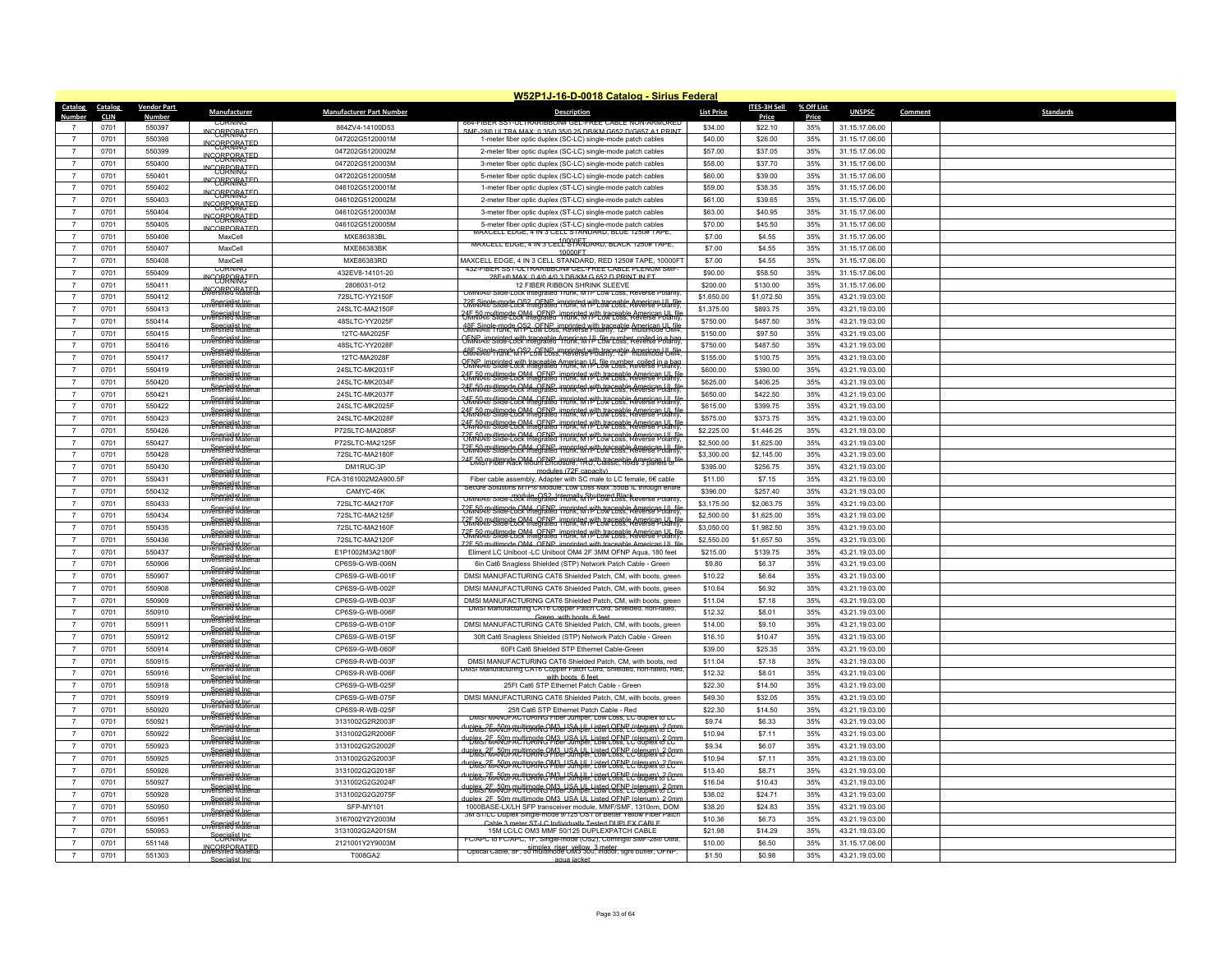|                        |                    |                                          |                                 | W52P1J-16-D-0018 Catalog - Sirius Federal                                                                                                                                                                                      |                   |              |            |                |                             |
|------------------------|--------------------|------------------------------------------|---------------------------------|--------------------------------------------------------------------------------------------------------------------------------------------------------------------------------------------------------------------------------|-------------------|--------------|------------|----------------|-----------------------------|
| Catalog<br>Catalog     | <b>Vendor Part</b> | Manufacturer                             | <b>Manufacturer Part Number</b> | <b>Description</b>                                                                                                                                                                                                             | <b>List Price</b> | ITES-3H Sell | % Off List | <b>UNSPSC</b>  | <b>Standards</b><br>Comment |
| Number<br><b>CLIN</b>  | Number             |                                          |                                 | 504-FIBER SST-ULTRARIBBON                                                                                                                                                                                                      |                   | <b>Price</b> | Price      |                |                             |
| 0701                   | 550397             | <b>INCOBRARATED</b>                      | 8647V4-14100D53                 | SME-28@ LILTRA MAX: 0.35/0.35/0.25 DR/KM G652 D/G657 A1 PRINT                                                                                                                                                                  | \$34.00           | \$22.10      | 35%        | 31.15.17.06.00 |                             |
| $\overline{7}$<br>0701 | 550398             | <b>INCOBRARATED</b>                      | 047202G5120001M                 | 1-meter fiber optic duplex (SC-LC) single-mode patch cables                                                                                                                                                                    | \$40.00           | \$26.00      | 35%        | 31.15.17.06.00 |                             |
| 0701                   | 550399             | <b>INCOBRARATED</b>                      | 047202G5120002M                 | 2-meter fiber optic duplex (SC-LC) single-mode patch cables                                                                                                                                                                    | \$57.00           | \$37.05      | 35%        | 31.15.17.06.00 |                             |
| 0701<br>$\overline{7}$ | 550400             | INCOBRARATED                             | 047202G5120003M                 | 3-meter fiber optic duplex (SC-LC) single-mode patch cables                                                                                                                                                                    | \$58.00           | \$37.70      | 35%        | 31.15.17.06.00 |                             |
| $\overline{7}$<br>0701 | 550401             | <b>INCOBRORATED</b>                      | 047202G5120005M                 | 5-meter fiber optic duplex (SC-LC) single-mode patch cables                                                                                                                                                                    | \$60.00           | \$39.00      | 35%        | 31.15.17.06.00 |                             |
| $\overline{7}$<br>0701 | 550402             | INCOBRARATED                             | 046102G5120001M                 | 1-meter fiber optic duplex (ST-LC) single-mode patch cables                                                                                                                                                                    | \$59.00           | \$38.35      | 35%        | 31.15.17.06.00 |                             |
| $\overline{7}$<br>0701 | 550403             | INCOBRARATED                             | 046102G5120002M                 | 2-meter fiber optic duplex (ST-LC) single-mode patch cables                                                                                                                                                                    | \$61.00           | \$39.65      | 35%        | 31.15.17.06.00 |                             |
| $\overline{7}$<br>0701 | 550404             | <b>INCORRORATED</b>                      | 046102G5120003M                 | 3-meter fiber optic duplex (ST-LC) single-mode patch cables                                                                                                                                                                    | \$63.00           | \$40.95      | 35%        | 31.15.17.06.00 |                             |
| $\overline{7}$<br>0701 | 550405             | <b>INCORPORATED</b>                      | 046102G5120005M                 | 5-meter fiber optic duplex (ST-LC) single-mode patch cables                                                                                                                                                                    | \$70.00           | \$45.50      | 35%        | 31.15.17.06.00 |                             |
| 0701<br>$\overline{7}$ | 550406             | MaxCell                                  | MXE86383BL                      | MAXCELL EDGE, 4 IN 3 CELL STANDARD, BLUE 1250# TAPE                                                                                                                                                                            | \$7.00            | \$4.55       | 35%        | 31.15.17.06.00 |                             |
| $\overline{7}$<br>0701 | 550407             | MaxCell                                  | MXE86383BK                      | <u>MAXUELL EDGE, 4 IN 3 UELL STANDARD, BLAUR 1250# TAPE,</u><br>10000ET                                                                                                                                                        | \$7.00            | \$4.55       | 35%        | 31.15.17.06.00 |                             |
| 0701<br>$\overline{7}$ | 550408             | MaxCell                                  | MXE86383RD                      | MAXCELL EDGE, 4 IN 3 CELL STANDARD, RED 1250# TAPE, 10000FT                                                                                                                                                                    | \$7.00            | \$4.55       | 35%        | 31.15.17.06.00 |                             |
| 0701<br>$\overline{7}$ | 550409             | <b>CORNING</b>                           | 432EV8-14101-20                 | 432-FIBER SST-ULTRARIBBON# GET-EREE CABLE PLENUM SME-<br>28F+® MAX: 0 4/0 4/0 3 DB/KM G 652 D PRINT IN FT                                                                                                                      | \$90.00           | \$58.50      | 35%        | 31.15.17.06.00 |                             |
| 0701<br>$\overline{7}$ | 550411             | <b>INCOBRARATED</b>                      | 2806031-012                     | 12 FIBER RIBBON SHRINK SLEEVE                                                                                                                                                                                                  | \$200.00          | \$130.00     | 35%        | 31.15.17.06.00 |                             |
| 0701<br>$\overline{7}$ | 550412             | <b>INCORPORATED</b>                      | 72SLTC-YY2150F                  | OMNIA® Slide-Lock Integrated Trunk, MTP Low Loss, Reverse Polarity                                                                                                                                                             | \$1,650.00        | \$1,072.50   | 35%        | 43.21.19.03.00 |                             |
| $\overline{7}$<br>0701 | 550413             | <b>Urversfried Materia</b>               | 24SLTC-MA2150F                  | <u>ZAF Single-mode OS2, OFNB. imprinted with traceable Annerican UIL file</u>                                                                                                                                                  | \$1,375.00        | \$893.75     | 35%        | 43.21.19.03.00 |                             |
| $\overline{7}$<br>0701 | 550414             | Diversified Material                     | 48SLTC-YY2025F                  | 35 Show with the Came imprinted with traceable American UL file<br>Confidence Cock Integrated Trunk, M It Pow Loss, Reverse Polarity,                                                                                          | \$750.00          | \$487.50     | 35%        | 43.21.19.03.00 |                             |
| 0701<br>$\overline{7}$ | 550415             | Diversified Material                     | 12TC-MA2025F                    | 48F Single-mode OS2 OF NB imprinted with traceable American LIL file<br>OMNTA® frunk, MTP LOW Loss, Reverse Polarity, 12F Amerimode UM4,                                                                                       | \$150.00          | \$97.50      | 35%        | 43.21.19.03.00 |                             |
| $\overline{7}$<br>0701 | 550416             | <b>Diversified Material</b>              | 48SLTC-YY2028F                  | .<br>OFNP_imprinted_with_traceable_American HJ_file_number_coiled_in a_bag<br>OMNTA® Slide-Lock Integrated_1runk, MHJ_Low Loss, Reverse Polarity                                                                               | \$750.00          | \$487.50     | 35%        | 43.21.19.03.00 |                             |
| 0701<br>$\overline{7}$ | 550417             | Specialist Inc.<br>Diversified Material  | 12TC-MA2028F                    | 48F Single-mode OS2 OF NP imprinted with traceable American U. file<br>CMNNA® Frunk, MP LOW Loss, Reverse Polarity, 12F American U.M4.                                                                                         | \$155.00          | \$100.75     | 35%        | 43.21.19.03.00 |                             |
| $\overline{7}$<br>0701 | 550419             | <del>ov<sup>Spenjalist Incru</sup></del> | 24SLTC-MK2031F                  | <del>OFNR Almorinted with Inaggable American I.U. file number coiled in a had</del>                                                                                                                                            | \$600.00          | \$390.00     | 35%        | 43.21.19.03.00 |                             |
| $\overline{7}$<br>0701 | 550420             | <b>Diversified Material</b>              | 24SLTC-MK2034F                  | <b>University of the CAMA, OFNP, imprinted with traceable American UL film</b><br>University Diace-Lock Integrated Trunk, MTP Low Loss, Reverse Polarity                                                                       | \$625.00          | \$406.25     | 35%        | 43.21.19.03.00 |                             |
| $\overline{7}$         | 550421             | Diversified Material                     |                                 | 35 3 de din differenti del distriction de la differential differential differential differential differential differential differential differential differential differential differential differential differential differen | \$650.00          |              | 35%        | 43.21.19.03.00 |                             |
| 0701                   |                    | <b>Diversified Material</b>              | 24SLTC-MK2037F                  | <b>36 50 willimode QM4, OFNP, imprinted with traceable American UL file</b><br>3 MMA Stige-Lock Integrated Trunk, MTP Low Coss, Reverse Polarity,                                                                              |                   | \$422.50     |            |                |                             |
| 0701<br>$\overline{7}$ | 550422             | Specialist Inc.<br>Diversified Material  | 24SLTC-MK2025F                  | <b>35 Routling of CM4 OFNP, imprinted with traceable American UL file</b><br>3 Routline-Lock Integrated Trunk, MTP Low Loss, Reverse Polarity,                                                                                 | \$615.00          | \$399.75     | 35%        | 43.21.19.03.00 |                             |
| $\overline{7}$<br>0701 | 550423             | Diversified Material                     | 24SLTC-MK2028F                  | <b>AFIRE Winede OM4 OFNP imprinted with traceable American UL file</b><br><b>AFIRE YORK OF START CONTRACT CONTRACT OF START CONTRACT</b>                                                                                       | \$575.00          | \$373.75     | 35%        | 43.21.19.03.00 |                             |
| 0701<br>$\overline{7}$ | 550426             | Diversified Material                     | P72SLTC-MA2085F                 | relationships of the CM4 OFNP imprinted with traceable American LIL fill<br>OMNIA® Slide-Lock Integrated Trunk, MTP Low Loss, Reverse Polarity                                                                                 | \$2,225.00        | \$1,446.25   | 35%        | 43.21.19.03.00 |                             |
| $\overline{7}$<br>0701 | 550427             | <b>Diversified Material</b>              | P72SLTC-MA2125F                 | <b>73 Than 19 April 1998</b> CM4, OFNP, imprinted with traceable American LIL file<br>To Shine Lock Integrated Trunk, MTP Low Loss, Reverse Polarity,                                                                          | \$2,500.00        | \$1,625.00   | 35%        | 43.21.19.03.00 |                             |
| $\overline{7}$<br>0701 | 550428             | <b>Diversified Material</b>              | 72SLTC-MA2180F                  | 24 E 50 multimode OM4, OFNP, imprinted with traceable American UL file<br>EMSI Hiber Rack Mount Enclosure, TRU, Classic, holds 3 panels or                                                                                     | \$3,300.00        | \$2,145.00   | 35%        | 43.21.19.03.00 |                             |
| 0701<br>$\overline{7}$ | 550430             | Specialist Inc.<br>Diversified Material  | DM1RUC-3P                       | modules (72F capacity)                                                                                                                                                                                                         | \$395.00          | \$256,75     | 35%        | 43.21.19.03.00 |                             |
| 0701<br>$\overline{7}$ | 550431             | Diversified Material                     | FCA-3161002M2A900.5F            | Fiber cable assembly, Adapter with SC male to LC female, 6€ cable<br>Secure Solutions MTP® Module, Low Loss Max .55dB IL through entire                                                                                        | \$11.00           | \$7.15       | 35%        | 43.21.19.03.00 |                             |
| $\overline{7}$<br>0701 | 550432             | <b>Diversified Material</b>              | CAMYC-46K                       | OMNIA® Slide-Lock Integrated Trunk, MTP Low Loss, Reverse Polarity                                                                                                                                                             | \$396.00          | \$257.40     | 35%        | 43.21.19.03.00 |                             |
| 0701<br>$\overline{7}$ | 550433             | <b>Diversified Material</b>              | 72SLTC-MA2170F                  | relation of the comparison of the contract of the comparison of the contract of the contract of the contract of the contract of the contract of the contract of the contract of the contract of the contract of the contract o | \$3,175.00        | \$2,063.75   | 35%        | 43.21.19.03.00 |                             |
| 0701<br>$\overline{7}$ | 550434             | <b>Diversified Material</b>              | 72SLTC-MA2125F                  | <b>73F 50 millimode OM4, OFNP, imprinted with traceable American UL file</b><br><b>75 MMA® Slide-Lock Integrated Trunk, MTP Low Loss, Reverse Polarity,</b>                                                                    | \$2,500.00        | \$1,625.00   | 35%        | 43.21.19.03.00 |                             |
| $\overline{7}$<br>0701 | 550435             |                                          | 72SLTC-MA2160F                  | 7<br>7 MMA Silac-Lock Integrated Trunk, MTP Low Loss, Reverse Polarity,                                                                                                                                                        | \$3,050.00        | \$1,982.50   | 35%        | 43.21.19.03.00 |                             |
| 0701<br>$\overline{7}$ | 550436             | Specialist Inc.<br>Diversified Material  | 72SLTC-MA2120F                  | 2F 50 multimode OM4 OFNP imprinted with traceable American LIL fill                                                                                                                                                            | \$2,550.00        | \$1,657.50   | 35%        | 43.21.19.03.00 |                             |
| $\overline{7}$<br>0701 | 550437             | Diversified Material                     | E1P1002M3A2180F                 | Eliment LC Uniboot -LC Uniboot OM4 2F 3MM OFNP Aqua, 180 feet                                                                                                                                                                  | \$215.00          | \$139.75     | 35%        | 43.21.19.03.00 |                             |
| 0701<br>$\overline{7}$ | 550906             | <b>Diversified Material</b>              | CP6S9-G-WB-006N                 | 6in Cat6 Snagless Shielded (STP) Network Patch Cable - Green                                                                                                                                                                   | \$9.80            | \$6.37       | 35%        | 43.21.19.03.00 |                             |
| 0701<br>$\overline{7}$ | 550907             | <b>Diversified Material</b>              | CP6S9-G-WB-001F                 | DMSI MANUFACTURING CAT6 Shielded Patch, CM, with boots, green                                                                                                                                                                  | \$10.22           | \$6.64       | 35%        | 43.21.19.03.00 |                             |
| $\overline{7}$<br>0701 | 550908             | Specialist Inc.<br>Diversified Materia   | CP6S9-G-WB-002F                 | DMSI MANUFACTURING CAT6 Shielded Patch, CM, with boots, green                                                                                                                                                                  | \$10.64           | \$6.92       | 35%        | 43 21 19 03 00 |                             |
| $\overline{7}$<br>0701 | 550909             | Specialist Inc.<br>Diversified Material  | CP6S9-G-WB-003F                 | DMSI MANUFACTURING CAT6 Shielded Patch, CM, with boots, green                                                                                                                                                                  | \$11.04           | \$7.18       | 35%        | 43.21.19.03.00 |                             |
| 0701<br>$\overline{7}$ | 550910             | <b>Diversified Material</b>              | CP6S9-G-WB-006F                 | UMSI Manufacturing CAT6 Copper Patch Cord, Shielded, non-rated,                                                                                                                                                                | \$12.32           | \$8.01       | 35%        | 43.21.19.03.00 |                             |
| $\overline{7}$<br>0701 | 550911             | Diversified Material                     | CP6S9-G-WB-010F                 | Green with boots 6 feet<br>DMSI MANUFACTURING CAT6 Shielded Patch, CM, with boots, green                                                                                                                                       | \$14.00           | \$9.10       | 35%        | 43.21.19.03.00 |                             |
| $\overline{7}$<br>0701 | 550912             | Diversified Material                     | CP6S9-G-WB-015F                 | 30ft Cat6 Snagless Shielded (STP) Network Patch Cable - Green                                                                                                                                                                  | \$16.10           | \$10.47      | 35%        | 43.21.19.03.00 |                             |
| $\overline{7}$<br>0701 | 550914             | Specialist Inc.<br>Diversified Material  | CP6S9-G-WB-060F                 | 60Ft Cat6 Shielded STP Ethernet Cable-Green                                                                                                                                                                                    | \$39.00           | \$25.35      | 35%        | 43.21.19.03.00 |                             |
| $\overline{7}$<br>0701 | 550915             | Specialist Inc.<br>Diversified Material  | CP6S9-R-WB-003F                 | DMSI MANUFACTURING CAT6 Shielded Patch, CM, with boots, red                                                                                                                                                                    | \$11.04           | \$7.18       | 35%        | 43.21.19.03.00 |                             |
| 0701<br>$\overline{7}$ | 550916             | Diversified Material                     | CP6S9-R-WB-006F                 | 0MSI Manufacturing CA16 Copper Patch Cord, Shielded, non-rated, Red                                                                                                                                                            | \$12.32           | \$8.01       | 35%        | 43.21.19.03.00 |                             |
| 0701<br>$\overline{7}$ | 550918             | Diversified Material                     | CP6S9-G-WB-025F                 | with hoots 6 feet<br>25Ft Cat6 STP Ethernet Patch Cable - Green                                                                                                                                                                | \$22.30           | \$14.50      | 35%        | 43.21.19.03.00 |                             |
| $\overline{7}$<br>0701 | 550919             | Diversified Material                     | CP6S9-G-WB-075F                 | DMSI MANUFACTURING CAT6 Shielded Patch, CM, with boots, green                                                                                                                                                                  | \$49.30           | \$32.05      | 35%        | 43.21.19.03.00 |                             |
| 0701<br>$\overline{7}$ | 550920             | Specialist Inc.<br>Diversified Materia   | CP6S9-R-WB-025E                 | 25ft Cat6 STP Ethernet Patch Cable - Red                                                                                                                                                                                       | \$22.30           | \$14.50      | 35%        | 43.21.19.03.00 |                             |
|                        |                    | <b>Diversified Materia</b>               |                                 | DMSI MANUFACTURING Fiber Jumper, Low Loss, LC duplex to LC                                                                                                                                                                     |                   |              |            |                |                             |
| $\overline{7}$<br>0701 | 550921             | Diversified Material                     | 3131002G2R2003F                 | <u>"BRS ?FraNDPACTORRGPM3_USA ULLISted OENP (plenum) ? (m</u>                                                                                                                                                                  | \$9.74            | \$6.33       | 35%        | 43.21.19.03.00 |                             |
| $\overline{7}$<br>0701 | 550922             | Diversified Material                     | 3131002G2R2006F                 | <u>Indexs?Franch additionals@M3_USA_ULListed OENP (plepure) &amp; Com</u>                                                                                                                                                      | \$10.94           | \$7.11       | 35%        | 43.21.19.03.00 |                             |
| 0701<br>$\overline{7}$ | 550923             | <b>Diversified Material</b>              | 3131002G2G2002F                 | upks ? Fa ROP RUTTRING Pher Jumper. Low Loss. EC dublex & Com                                                                                                                                                                  | \$9.34            | \$6.07       | 35%        | 43.21.19.03.00 |                             |
| $\overline{7}$<br>0701 | 550925             | <b>Diversified Material</b>              | 3131002G2G2003F                 | uples ?FraNOFAUTORIRG CM3_USA_UL_Listed CENP (plenum) 2 (mr<br>- UNIS ?FraNOFAUTORIRG Fiber Jumper, Low Loss, LC duplex to LC                                                                                                  | \$10.94           | \$7.11       | 35%        | 43.21.19.03.00 |                             |
| 0701<br>$\overline{7}$ | 550926             | Specialist Inc.<br>Diversified Material  | 3131002G2G2018F                 | <u>Iuplex 25 AND AUTORIAG Piper Jumper. Löw LOENP (plenum) 2 Pro</u>                                                                                                                                                           | \$13.40           | \$8.71       | 35%        | 43.21.19.03.00 |                             |
| 0701<br>$\overline{7}$ | 550927             | Diversified Material                     | 3131002G2G2024F                 | <u>uphy / Article of M3 LISA LILListed OENP (plenum) የ 10 M</u><br>http://www.com/community/www.com/community/www.com/community/www.com                                                                                        | \$16.04           | \$10.43      | 35%        | 43.21.19.03.00 |                             |
| $\overline{7}$<br>0701 | 550928             | Diversified Material                     | 3131002G2G2075F                 | lex 2F 50m multimode OM3 LISA LIL Listed OFNP (plenum) 2.0n                                                                                                                                                                    | \$38.02           | \$24.71      | 35%        | 43.21.19.03.00 |                             |
| $\overline{7}$<br>0701 | 550950             | Diversified Material                     | SFP-MY101                       | 1000BASE-LX/LH SFP transceiver module, MMF/SMF, 1310nm, DOM<br>3M ST/LC Duplex Single-mode 9/125 OS1 or Better Yellow Fiber Patch                                                                                              | \$38.20           | \$24.83      | 35%        | 43.21.19.03.00 |                             |
| 0701<br>$\overline{7}$ | 550951             | <b>Diversified Material</b>              | 3167002Y2Y2003M                 | Cable 3 meter ST-LC Individually Tested DUPLEX CABLE                                                                                                                                                                           | \$10.36           | \$6.73       | 35%        | 43.21.19.03.00 |                             |
| $\overline{7}$<br>0701 | 550953             | <b>Specialist Inc.</b>                   | 3131002G2A2015M                 | 15M LC/LC OM3 MMF 50/125 DUPLEXPATCH CABLE                                                                                                                                                                                     | \$21.98           | \$14.29      | 35%        | 43.21.19.03.00 |                             |
| 0701<br>$\overline{7}$ | 551148             | <b>UNCORPORATED</b>                      | 2121001Y2Y9003M                 | FC/APC to FC/APC, 1F, Single-mode (OS2), Corning® SMF-28® Ultra                                                                                                                                                                | \$10.00           | \$6.50       | 35%        | 31.15.17.06.00 |                             |
| 0701<br>$\overline{7}$ | 551303             | Specialist Inc.                          | T008GA2                         | Optical Cable, 8F, 50 multimode OM3 300, indoor, tight buffer, OFNP,<br>agua jacket                                                                                                                                            | \$1.50            | \$0.98       | 35%        | 43.21.19.03.00 |                             |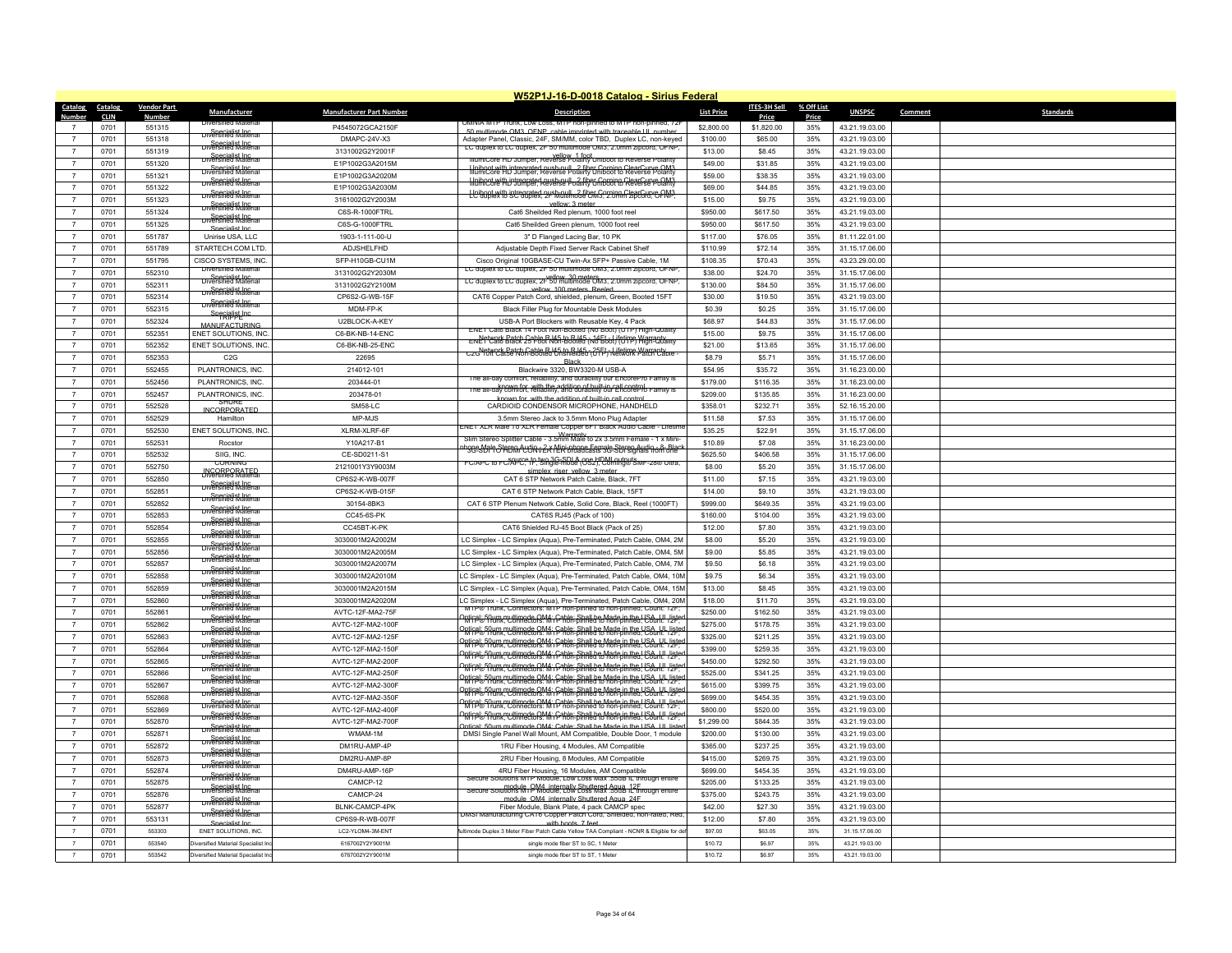|                |             |                    |                                                            |                                 | W52P1J-16-D-0018 Catalog - Sirius Federal                                                                                                                                 |                   |                     |            |                |                             |
|----------------|-------------|--------------------|------------------------------------------------------------|---------------------------------|---------------------------------------------------------------------------------------------------------------------------------------------------------------------------|-------------------|---------------------|------------|----------------|-----------------------------|
| Catalog        | Catalog     | <b>Vendor Part</b> | <b>Manufacturer</b>                                        | <b>Manufacturer Part Number</b> | <b>Description</b>                                                                                                                                                        | <b>List Price</b> | <b>ITES-3H Sell</b> | % Off List | <b>UNSPSC</b>  | <b>Standards</b><br>Comment |
| Number         | <b>CLIN</b> | <b>Number</b>      |                                                            |                                 | OWINIA WITH TRINK TOW LOSS. WITH NON-DINNEGRO WITH NON-DINNEGRAZ                                                                                                          |                   | Price               | Price      |                |                             |
|                | 0701        | 551315             | <b>Diversified Material</b>                                | P4545072GCA2150F                | 50 multimode OM3, OENP, cable imprinted with traceable UL number                                                                                                          | \$2,800.00        | \$1,820.00          | 35%        | 43.21.19.03.00 |                             |
| $\overline{7}$ | 0701        | 551318             | <b>Specialist Inc.</b><br>Diversified Material             | DMAPC-24V-X3                    | Adapter Panel, Classic, 24F, SM/MM, color TBD, Duplex LC, non-keyed<br>LC duplex to LC duplex, 2F 50 multimode OM3, 2.0mm zipcord. OFNP                                   | \$100.00          | \$65.00             | 35%        | 43.21.19.03.00 |                             |
|                | 0701        | 551319             | Specialist Inc.<br>Diversified Materia                     | 3131002G2Y2001F                 | IllumiCore HD Jumper, Reverse Polairty Uniboot to Reverse Polarity                                                                                                        | \$13.00           | \$8.45              | 35%        | 43.21.19.03.00 |                             |
| $\overline{7}$ | 0701        | 551320             | Specialist Inc.<br>Diversified Materia                     | E1P1002G3A2015M                 | Hniboot with intregrated push-pull 2 fiber Corning ClearCurve OM3                                                                                                         | \$49.00           | \$31.85             | 35%        | 43.21.19.03.00 |                             |
| $\overline{7}$ | 0701        | 551321             | <b>Diversified Materia</b>                                 | E1P1002G3A2020M                 | <b>Holbert with intrograted push-seril a fiber Gorning ClearCurve OM3</b>                                                                                                 | \$59.00           | \$38.35             | 35%        | 43.21.19.03.00 |                             |
|                | 0701        | 551322             | Diversified Material                                       | E1P1002G3A2030M                 | Leiboot with intregrated push-pull, 2 fiber Gerning ClearCurve CM3;                                                                                                       | \$69.00           | \$44.85             | 35%        | 43.21.19.03.00 |                             |
| $\overline{7}$ | 0701        | 551323             |                                                            | 3161002G2Y2003M                 | vellow: 3 meter                                                                                                                                                           | \$15.00           | \$9.75              | 35%        | 43.21.19.03.00 |                             |
| $\overline{7}$ | 0701        | 551324             | Diversified Material                                       | C6S-R-1000FTRL                  | Cat6 Sheilded Red plenum, 1000 foot reel                                                                                                                                  | \$950.00          | \$617.50            | 35%        | 43.21.19.03.00 |                             |
|                | 0701        | 551325             | Specialist Inc.<br>Diversified Material<br>Specialist Inc. | C6S-G-1000FTRL                  | Cat6 Sheilded Green plenum, 1000 foot reel                                                                                                                                | \$950.00          | \$617.50            | 35%        | 43.21.19.03.00 |                             |
| $\overline{7}$ | 0701        | 551787             | Unirise USA, LLC                                           | 1903-1-111-00-U                 | 3" D Flanged Lacing Bar, 10 PK                                                                                                                                            | \$117.00          | \$76.05             | 35%        | 81.11.22.01.00 |                             |
| $\overline{7}$ | 0701        | 551789             | STARTECH.COM LTD.                                          | ADJSHELFHD                      | Adjustable Depth Fixed Server Rack Cabinet Shelf                                                                                                                          | \$110.99          | \$72.14             | 35%        | 31.15.17.06.00 |                             |
| $\overline{7}$ | 0701        | 551795             | CISCO SYSTEMS, INC.                                        | SFP-H10GB-CU1M                  | Cisco Original 10GBASE-CU Twin-Ax SFP+ Passive Cable, 1M                                                                                                                  | \$108.35          | \$70.43             | 35%        | 43.23.29.00.00 |                             |
| $\overline{7}$ | 0701        | 552310             | <b>Ulversified Material</b>                                | 3131002G2Y2030M                 | LC duplex to LC duplex, 2F 50 multimode OM3, 2.0mm zipcord, OFNP                                                                                                          | \$38.00           | \$24.70             | 35%        | 31.15.17.06.00 |                             |
| $\overline{7}$ |             |                    | Specialist Inc.<br>Diversified Material                    |                                 | vellow 30 meters<br>LC duplex to LC duplex, 2F 50 multimode OM3, 2.0mm zipcord, OFNP,                                                                                     |                   |                     |            |                |                             |
|                | 0701        | 552311             | Specialist Inc.<br>Diversified Material                    | 3131002G2Y2100M                 | vellow 100 meters Reeled                                                                                                                                                  | \$130.00          | \$84.50             | 35%        | 31.15.17.06.00 |                             |
| $\overline{7}$ | 0701        | 552314             | <b>Diversified Materia</b>                                 | CP6S2-G-WB-15F                  | CAT6 Copper Patch Cord, shielded, plenum, Green, Booted 15FT                                                                                                              | \$30.00           | \$19.50             | 35%        | 43.21.19.03.00 |                             |
| $\overline{7}$ | 0701        | 552315             | Specialist Inc                                             | MDM-FP-K                        | Black Filler Plug for Mountable Desk Modules                                                                                                                              | \$0.39            | \$0.25              | 35%        | 31.15.17.06.00 |                             |
| $\overline{7}$ | 0701        | 552324             | MANUFACTURING                                              | U2BLOCK-A-KEY                   | USB-A Port Blockers with Reusable Key, 4 Pack<br>ENET Cat6 Black 14 Foot Non-Booted (No Boot) (UTP) High-Quality                                                          | \$68.97           | \$44.83             | 35%        | 31.15.17.06.00 |                             |
| $\overline{7}$ | 0701        | 552351             | ENET SOLUTIONS, INC                                        | C6-BK-NB-14-ENC                 | Network Batch Cable R145 to R145 in 14Et al ifetime Warranty                                                                                                              | \$15.00           | \$9.75              | 35%        | 31.15.17.06.00 |                             |
| $\overline{7}$ | 0701        | 552352             | ENET SOLUTIONS, INC                                        | C6-BK-NB-25-ENC                 | C2G YUILCatSe Non-Booted Unshielded (UTF) Network Patch Cable -                                                                                                           | \$21.00           | \$13.65             | 35%        | 31.15.17.06.00 |                             |
| $\overline{7}$ | 0701        | 552353             | C2G                                                        | 22695                           | <b>Black</b>                                                                                                                                                              | \$8.79            | \$5.71              | 35%        | 31.15.17.06.00 |                             |
| $\overline{7}$ | 0701        | 552455             | PLANTRONICS, INC.                                          | 214012-101                      | Blackwire 3320, BW3320-M USB-A                                                                                                                                            | \$54.95           | \$35.72             | 35%        | 31.16.23.00.00 |                             |
| $\overline{7}$ | 0701        | 552456             | PLANTRONICS, INC                                           | 203444-01                       | he all-day comfort, reliability, and durability our EncorePro Family is                                                                                                   | \$179.00          | \$116.35            | 35%        | 31.16.23.00.00 |                             |
| $\overline{7}$ | 0701        | 552457             | PLANTRONICS, INC.                                          | 203478-01                       | The all-day comfort, with the addition of built-in call control ramily is                                                                                                 | \$209.00          | \$135.85            | 35%        | 31.16.23.00.00 |                             |
| $\overline{7}$ | 0701        | 552528             | SHURE                                                      | SM58-LC                         | yown for with the addition of built-in call contr<br>CARDIOID CONDENSOR MICROPHONE, HANDHELD                                                                              | \$358.01          | \$232.71            | 35%        | 52.16.15.20.00 |                             |
| $\overline{7}$ | 0701        | 552529             | <b>INCORPORATED</b><br>Hamiltor                            | MP-MJS                          | 3.5mm Stereo Jack to 3.5mm Mono Plug Adapter                                                                                                                              | \$11.58           | \$7.53              | 35%        | 31.15.17.06.00 |                             |
| $\overline{7}$ | 0701        | 552530             | ENET SOLUTIONS, INC.                                       | XLRM-XLRF-6F                    | ENET XLR Male To XLR Female Copper 6FT Black Audio Cable - Lifetim                                                                                                        | \$35.25           | \$22.91             | 35%        | 31.15.17.06.00 |                             |
|                |             |                    |                                                            |                                 | Slim Stereo Splitter Cable - 3.5mm Male to 2x 3.5mm Female - 1 x Mini-                                                                                                    |                   |                     |            |                |                             |
| $\overline{7}$ | 0701        | 552531             | Rocstor                                                    | Y10A217-B1                      | phone Male StateM (UCINv2X Mini-phone Female Stereo Audio - 8- Black                                                                                                      | \$10.89           | \$7.08              | 35%        | 31.16.23.00.00 |                             |
| $\overline{7}$ | 0701        | 552532             | SIIG, INC.<br>CORNINO                                      | CE-SD0211-S1                    | FC/APC to FC/APC, 1F, Single-mode (OS2), Corning® SMF-28® Ultra,                                                                                                          | \$625.50          | \$406.58            | 35%        | 31.15.17.06.00 |                             |
| $\overline{7}$ | 0701        | 552750             | <b>INCORPORATED</b>                                        | 2121001Y3Y9003M                 | simplex riser vellow 3 meter.                                                                                                                                             | \$8.00            | \$5.20              | 35%        | 31.15.17.06.00 |                             |
| $\overline{7}$ | 0701        | 552850             | Diversified Materia                                        | CP6S2-K-WB-007F                 | CAT 6 STP Network Patch Cable, Black, 7FT                                                                                                                                 | \$11.00           | \$7.15              | 35%        | 43.21.19.03.00 |                             |
| $\overline{7}$ | 0701        | 552851             | Diversified Material                                       | CP6S2-K-WB-015F                 | CAT 6 STP Network Patch Cable, Black, 15FT                                                                                                                                | \$14.00           | \$9.10              | 35%        | 43.21.19.03.00 |                             |
| $\overline{7}$ | 0701        | 552852             |                                                            | 30154-8BK3                      | CAT 6 STP Plenum Network Cable, Solid Core, Black, Reel (1000FT)                                                                                                          | \$999.00          | \$649.35            | 35%        | 43.21.19.03.00 |                             |
| $\overline{7}$ | 0701        | 552853             | Diversified Material                                       | CC45-6S-PK                      | CAT6S RJ45 (Pack of 100)                                                                                                                                                  | \$160.00          | \$104.00            | 35%        | 43.21.19.03.00 |                             |
| $\overline{7}$ | 0701        | 552854             | <b>Specialist Inc.</b><br>Diversified Material             | CC45BT-K-PK                     | CAT6 Shielded RJ-45 Boot Black (Pack of 25)                                                                                                                               | \$12.00           | \$7.80              | 35%        | 43.21.19.03.00 |                             |
|                | 0701        | 552855             | Diversified Materia                                        | 3030001M2A2002M                 | LC Simplex - LC Simplex (Aqua), Pre-Terminated, Patch Cable, OM4, 2M                                                                                                      | \$8.00            | \$5.20              | 35%        | 43.21.19.03.00 |                             |
| $\overline{7}$ | 0701        | 552856             | <b>Diversified Material</b>                                | 3030001M2A2005M                 | LC Simplex - LC Simplex (Aqua), Pre-Terminated, Patch Cable, OM4, 5M                                                                                                      | \$9.00            | \$5.85              | 35%        | 43.21.19.03.00 |                             |
| $\overline{7}$ | 0701        | 552857             | <b>Diversified Material</b>                                | 3030001M2A2007M                 | LC Simplex - LC Simplex (Aqua), Pre-Terminated, Patch Cable, OM4, 7M                                                                                                      | \$9.50            | \$6.18              | 35%        | 43.21.19.03.00 |                             |
| $\overline{7}$ | 0701        | 552858             | <b>Diversified Materia</b>                                 | 3030001M2A2010M                 | LC Simplex - LC Simplex (Aqua), Pre-Terminated, Patch Cable, OM4, 10M                                                                                                     | \$9.75            | \$6.34              | 35%        | 43.21.19.03.00 |                             |
| $\overline{7}$ | 0701        | 552859             | Diversified Material                                       |                                 |                                                                                                                                                                           | \$13.00           |                     | 35%        |                |                             |
|                |             |                    | Specialist Inc.<br>Diversified Material                    | 3030001M2A2015M                 | LC Simplex - LC Simplex (Aqua), Pre-Terminated, Patch Cable, OM4, 15M                                                                                                     |                   | \$8.45              |            | 43.21.19.03.00 |                             |
|                | 0701        | 552860             | Diversified Material                                       | 3030001M2A2020M                 | LC Simplex - LC Simplex (Aqua), Pre-Terminated, Patch Cable, OM4, 20M<br>MTP® Trunk, Connectors: MTP non-pinned to non-pinned; Count: 12F;                                | \$18.00           | \$11.70             | 35%        | 43.21.19.03.00 |                             |
| $\overline{7}$ | 0701        | 552861             | Diversified Material                                       | AVTC-12F-MA2-75F                | Prince Frum multimode OM4; Cable: Shall be Made in the USA UL lister<br>Prince Frum Connectors: MTP non-pinned to non-pinned; Count: 12F;                                 | \$250.00          | \$162.50            | 35%        | 43.21.19.03.00 |                             |
| $\overline{7}$ | 0701        | 552862             | Diversitied Material                                       | AVTC-12F-MA2-100F               | Putical 50um multimode OM4; Cable: Shall be Made in the USA LIL liste                                                                                                     | \$275.00          | \$178.75            | 35%        | 43.21.19.03.00 |                             |
| $\overline{7}$ | 0701        | 552863             | Specialist Inc.<br>Diversified Material                    | AVTC-12F-MA2-125F               | <b>Potical</b> 50um multimode OM4; Cable: Shall be Made in the USA UL Jiste                                                                                               | \$325.00          | \$211.25            | 35%        | 43.21.19.03.00 |                             |
| $\overline{7}$ | 0701        | 552864             |                                                            | AVTC-12F-MA2-150F               |                                                                                                                                                                           | \$399.00          | \$259.35            | 35%        | 43.21.19.03.00 |                             |
| $\overline{7}$ | 0701        | 552865             | Specialist Inc.<br>Diversified Material                    | AVTC-12F-MA2-200F               | Optical, 50um multimode OM4; Cable: Shall be Made in the USA UL listed<br>Optical, 50um multimode OM4; Cable: Shall be Mod-pinned: Count: 12F:                            | \$450.00          | \$292.50            | 35%        | 43.21.19.03.00 |                             |
| $\overline{7}$ | 0701        | 552866             | Diversitied Material                                       | AVTC-12F-MA2-250F               | <b>Prince Frum multimode OM4; Cable: Shall be Made in the ISA H. Lister</b>                                                                                               | \$525.00          | \$341.25            | 35%        | 43.21.19.03.00 |                             |
| $\overline{7}$ | 0701        | 552867             | Diversified Material                                       | AVTC-12F-MA2-300F               | http://partner.org/index.com/index.com/index.partner/2011/1995/1999/2011                                                                                                  | \$615.00          | \$399.75            | 35%        | 43.21.19.03.00 |                             |
| $\overline{7}$ | 0701        | 552868             | Diversified Material                                       | AVTC-12F-MA2-350F               | Optical Spum multimode OM4; Cable: Shall be Made in the USA HILListe                                                                                                      | \$699.00          | \$454.35            | 35%        | 43.21.19.03.00 |                             |
| $\overline{7}$ | 0701        | 552869             | Specialist Inc.<br>Diversified Materia                     | AVTC-12F-MA2-400F               | Optical, 50um multimode OM4; Cable: Shall be Made in the USA ULL listed                                                                                                   | \$800.00          | \$520.00            | 35%        | 43.21.19.03.00 |                             |
|                |             |                    | <b>Specialist Inc.</b><br>Diversified Material             |                                 | Optical, 50um multimode OM4; Cable: Shall be Made in the USA LU Jiste<br>Optical, 50um multimode OM4; Cable: Shall be Made in the USA LU Jiste                            |                   |                     |            |                |                             |
| $\overline{7}$ | 0701        | 552870             | <b>Diversified Material</b>                                | AVTC-12F-MA2-700F               | Intical: 50um multimode OM4: Cable: Shall he Made in the USA UL liste                                                                                                     | \$1,299.00        | \$844.35            | 35%        | 43.21.19.03.00 |                             |
| $\overline{7}$ | 0701        | 552871             | Diversified Material                                       | WMAM-1M                         | DMSI Single Panel Wall Mount, AM Compatible, Double Door, 1 module                                                                                                        | \$200.00          | \$130.00            | 35%        | 43.21.19.03.00 |                             |
| $\overline{7}$ | 0701        | 552872             | <b>Diversified Material</b>                                | DM1RU-AMP-4P                    | 1RU Fiber Housing, 4 Modules, AM Compatible                                                                                                                               | \$365.00          | \$237.25            | 35%        | 43.21.19.03.00 |                             |
| $\overline{7}$ | 0701        | 552873             | <b>Diversified Material</b>                                | DM2RU-AMP-8P                    | 2RU Fiber Housing, 8 Modules, AM Compatible                                                                                                                               | \$415.00          | \$269.75            | 35%        | 43.21.19.03.00 |                             |
|                | 0701        | 552874             |                                                            | DM4RU-AMP-16P                   | 4RU Fiber Housing, 16 Modules, AM Compatible                                                                                                                              | \$699.00          | \$454.35            | 35%        | 43.21.19.03.00 |                             |
| $\overline{7}$ | 0701        | 552875             | Specialist Inc.<br>Diversified Materia                     | CAMCP-12                        | Secure Solutions MTP Module, Low Loss Max .55dB IL through entire                                                                                                         | \$205.00          | \$133.25            | 35%        | 43.21.19.03.00 |                             |
| $\overline{7}$ | 0701        | 552876             | <b>Diversified Material</b>                                | CAMCP-24                        | Secure Solutions MTP Module, Low Loss Max .55dB 1.2F<br>Secure Solutions MTP Module, Low Loss Max .55dB 1.2 through entire<br>module, OM4, internally Shuttered Agua, 24F | \$375.00          | \$243.75            | 35%        | 43.21.19.03.00 |                             |
| $\overline{7}$ | 0701        | 552877             | Diversified Material                                       | BLNK-CAMCP-4PK                  | Fiber Module, Blank Plate, 4 pack CAMCP spec                                                                                                                              | \$42.00           | \$27.30             | 35%        | 43.21.19.03.00 |                             |
| $\overline{7}$ | 0701        | 553131             | <b>Diversified Material</b>                                | CP6S9-R-WB-007F                 | DMSI Manufacturing CA16 Copper Patch Cord, Shielded, non-rated, Red                                                                                                       | \$12.00           | \$7.80              | 35%        | 43.21.19.03.00 |                             |
| $\overline{7}$ | 0701        | 553303             | Specialist Inc.<br><b>ENET SOLUTIONS, INC.</b>             | LC2-YLOM4-3M-ENT                | with boots 7 feet<br>ultimode Duplex 3 Meter Fiber Patch Cable Yellow TAA Compliant - NCNR & Eligible for de                                                              | \$97.00           | \$63.05             | 35%        | 31.15.17.06.00 |                             |
|                | 0701        | 553540             | <b>liversified Material Specialist In</b>                  | 6167002Y2Y9001M                 | single mode fiber ST to SC, 1 Meter                                                                                                                                       | \$10.72           | \$6.97              | 35%        | 43.21.19.03.00 |                             |
|                |             |                    |                                                            |                                 |                                                                                                                                                                           |                   |                     |            |                |                             |
| $\overline{7}$ | 0701        | 553542             | Viversified Material Specialist Inc                        | 6767002Y2Y9001M                 | single mode fiber ST to ST, 1 Meter                                                                                                                                       | \$10.72           | \$6.97              | 35%        | 43.21.19.03.00 |                             |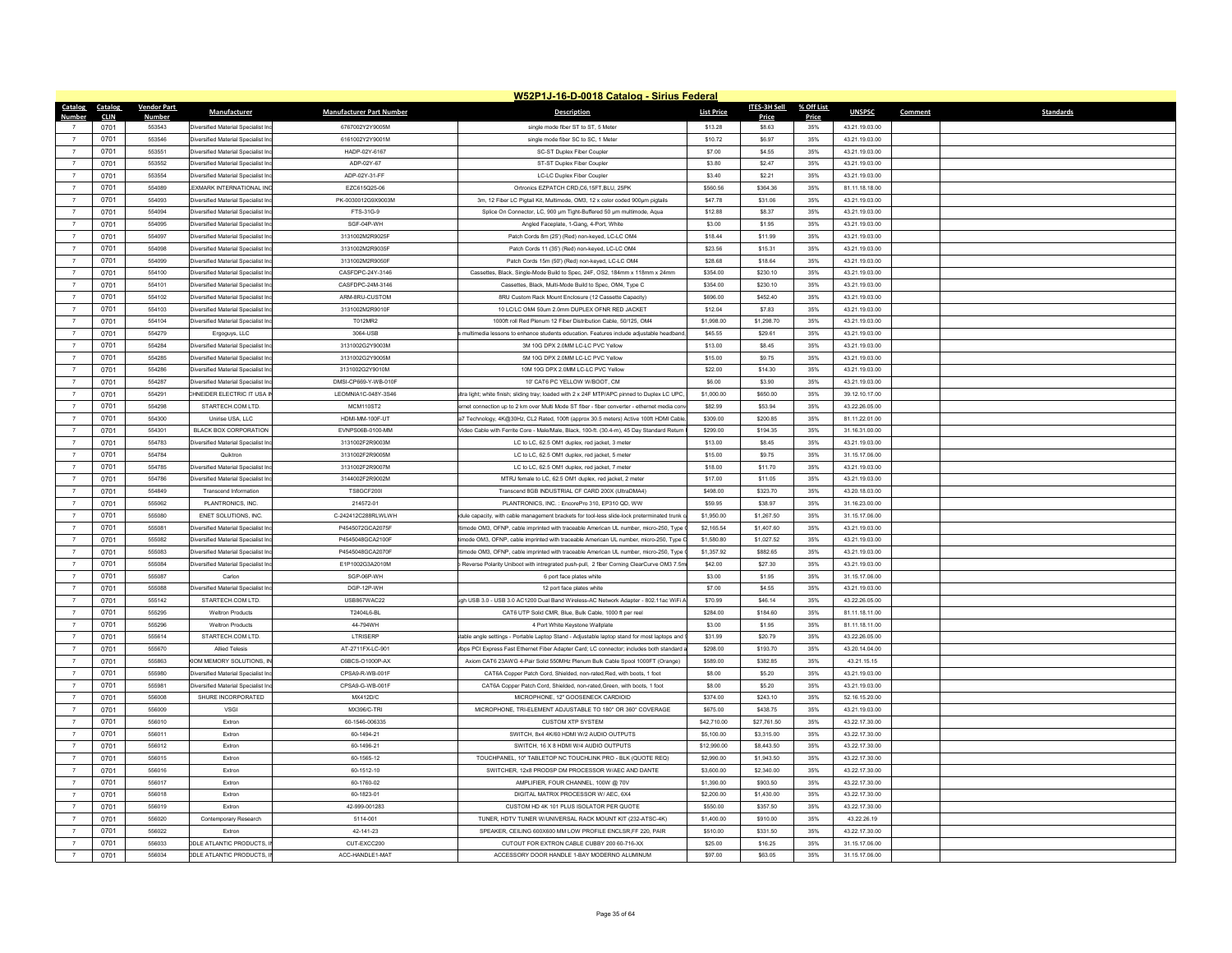|                |             |                    |                                           |                                 | W52P1J-16-D-0018 Catalog - Sirius Federal                                                    |                   |              |            |                |                             |
|----------------|-------------|--------------------|-------------------------------------------|---------------------------------|----------------------------------------------------------------------------------------------|-------------------|--------------|------------|----------------|-----------------------------|
| Catalog        | Catalog     | <b>Vendor Part</b> | <b>Manufacturer</b>                       | <b>Manufacturer Part Number</b> | <b>Description</b>                                                                           | <b>List Price</b> | ITES-3H Sell | % Off List | <b>UNSPSC</b>  | <b>Standards</b><br>Comment |
| Number         | <b>CLIN</b> | Number             |                                           |                                 |                                                                                              |                   | Price        | Price      |                |                             |
|                | 0701        | 553543             | Diversified Material Specialist Ind       | 6767002Y2Y9005M                 | single mode fiber ST to ST, 5 Meter                                                          | \$13.28           | \$8.63       | 35%        | 43.21.19.03.00 |                             |
|                | 0701        | 553546             | Iiversified Material Specialist In        | 6161002Y2Y9001M                 | single mode fiber SC to SC. 1 Meter                                                          | \$10.72           | \$6.97       | 35%        | 43.21.19.03.00 |                             |
|                | 0701        | 553551             | versified Material Specialist In          | HADP-02Y-6167                   | SC-ST Duplex Fiber Coupler                                                                   | \$7.00            | \$4.55       | 35%        | 43.21.19.03.00 |                             |
| $\overline{7}$ | 0701        | 553552             | Diversified Material Specialist Inc       | ADP-02Y-67                      | ST-ST Duplex Fiber Coupler                                                                   | \$3.80            | \$2.47       | 35%        | 43.21.19.03.00 |                             |
| $\overline{7}$ | 0701        | 553554             | <b>liversified Material Specialist In</b> | ADP-02Y-31-FF                   | LC-LC Duplex Fiber Couple                                                                    | \$3.40            | \$2.21       | 35%        | 43.21.19.03.00 |                             |
| $\overline{7}$ | 0701        | 554089             | EXMARK INTERNATIONAL INC                  | EZC615Q25-06                    | Ortronics EZPATCH CRD.C6.15FT.BLU. 25PK                                                      | \$560.56          | \$364.36     | 35%        | 81.11.18.18.00 |                             |
| $\overline{7}$ | 0701        | 554093             | Diversified Material Specialist In        | PK-0030012G9X9003M              | 3m, 12 Fiber LC Pigtail Kit, Multimode, OM3, 12 x color coded 900um pigtails                 | \$47.78           | \$31.06      | 35%        | 43.21.19.03.00 |                             |
| $\overline{7}$ | 0701        | 554094             | versified Material Specialist In          | FTS-31G-9                       | Splice On Connector, LC, 900 um Tight-Buffered 50 um multimode, Aqua                         | \$12.88           | \$8.37       | 35%        | 43.21.19.03.00 |                             |
| $\overline{7}$ | 0701        | 554095             | Diversified Material Specialist Ind       | SGF-04P-WH                      | Angled Faceplate, 1-Gang, 4-Port, White                                                      | \$3.00            | \$1.95       | 35%        | 43.21.19.03.00 |                             |
| $\overline{7}$ | 0701        | 554097             | <b>liversified Material Specialist In</b> | 3131002M2R9025F                 | Patch Cords 8m (25') (Red) non-keyed, LC-LC OM4                                              | \$18.44           | \$11.99      | 35%        | 43.21.19.03.00 |                             |
| $\overline{7}$ | 0701        | 554098             | iversified Material Specialist In         | 3131002M2R9035F                 | Patch Cords 11 (35') (Red) non-keyed, LC-LC OM4                                              | \$23.56           | \$15.31      | 35%        | 43.21.19.03.00 |                             |
| $\overline{7}$ | 0701        | 554099             | <b>iversified Material Specialist Ind</b> | 3131002M2R9050E                 | Patch Cords 15m (50') (Red) non-keyed, LC-LC OM4                                             | \$28.68           | \$18.64      | 35%        | 43.21.19.03.00 |                             |
| $\overline{7}$ | 0701        | 554100             | <b>liversified Material Specialist In</b> | CASFDPC-24Y-3146                | Cassettes, Black, Single-Mode Build to Spec, 24F, OS2, 184mm x 118mm x 24mm                  | \$354.00          | \$230.10     | 35%        | 43.21.19.03.00 |                             |
| $\overline{7}$ | 0701        | 554101             | ersified Material Specialist In           | CASFDPC-24M-3146                | Cassettes, Black, Multi-Mode Build to Spec, OM4, Type C                                      | \$354.00          | \$230.10     | 35%        | 43.21.19.03.00 |                             |
| $\overline{7}$ | 0701        | 554102             | <b>liversified Material Specialist In</b> | ARM-8RU-CUSTOM                  | 8RU Custom Rack Mount Enclosure (12 Cassette Capacity)                                       | \$696.00          | \$452.40     | 35%        | 43.21.19.03.00 |                             |
| $\overline{7}$ | 0701        | 554103             | Diversified Material Specialist In        | 3131002M2R9010F                 | 10 LC/LC OM4 50um 2.0mm DUPLEX OFNR RED JACKET                                               | \$12.04           | \$7.83       | 35%        | 43.21.19.03.00 |                             |
| $\overline{7}$ | 0701        | 554104             | Diversified Material Specialist Inc       | T012MR2                         | 1000ft roll Red Plenum 12 Fiber Distribution Cable, 50/125, OM4                              | \$1,998.00        | \$1,298.70   | 35%        | 43.21.19.03.00 |                             |
| $\overline{7}$ | 0701        | 554279             | Ergoguys, LLC                             | 3064-USB                        | multimedia lessons to enhance students education. Features include adjustable headband,      | \$45.55           | \$29.61      | 35%        | 43.21.19.03.00 |                             |
| $\overline{7}$ | 0701        | 554284             | Diversified Material Specialist In        | 3131002G2Y9003M                 | 3M 10G DPX 2.0MM LC-LC PVC Yellow                                                            | \$13.00           | \$8.45       | 35%        | 43.21.19.03.00 |                             |
|                | 0701        | 554285             | iversified Material Specialist In         | 3131002G2Y9005M                 | 5M 10G DPX 2.0MM LC-LC PVC Yellow                                                            | \$15.00           | \$9.75       | 35%        | 43.21.19.03.00 |                             |
| $\overline{7}$ |             | 554286             | iversified Material Specialist Ind        | 3131002G2Y9010M                 | 10M 10G DPX 2.0MM LC-LC PVC Yellow                                                           | \$22.00           | \$14.30      | 35%        | 43.21.19.03.00 |                             |
| $\overline{7}$ | 0701        | 554287             |                                           |                                 |                                                                                              |                   |              |            |                |                             |
|                | 0701        |                    | iversified Material Specialist In         | DMSI-CP669-Y-WB-010F            | 10' CAT6 PC YELLOW W/BOOT. CM                                                                | \$6.00            | \$3.90       | 35%        | 43.21.19.03.00 |                             |
|                | 0701        | 554291             | HNEIDER ELECTRIC IT USA II                | LEOMNIA1C-048Y-3S46             | Itra light; white finish; sliding tray; loaded with 2 x 24F MTP/APC pinned to Duplex LC UPC, | \$1,000.00        | \$650.00     | 35%        | 39.12.10.17.00 |                             |
| $\overline{7}$ | 0701        | 554298             | STARTECH.COM LTD.                         | <b>MCM110ST2</b>                | ernet connection up to 2 km over Multi Mode ST fiber - fiber converter - ethernet media con  | \$82.99           | \$53.94      | 35%        | 43.22.26.05.00 |                             |
| $\overline{7}$ | 0701        | 554300             | Unirise USA LLC                           | HDMI-MM-100F-UT                 | a7 Technology, 4K@30Hz, CL2 Rated, 100ft (approx 30.5 meters) Active 100ft HDMI Cable        | \$309.00          | \$200.85     | 35%        | 81.11.22.01.00 |                             |
| $\overline{7}$ | 0701        | 554301             | BLACK BOX CORPORATION                     | EVNPS06B-0100-MM                | Video Cable with Ferrite Core - Male/Male, Black, 100-ft (30.4-m), 45 Day Standard Return    | \$299.00          | \$194.35     | 35%        | 31 16 31 00 00 |                             |
| $\overline{7}$ | 0701        | 554783             | Diversified Material Specialist Ind       | 3131002F2R9003M                 | LC to LC, 62.5 OM1 duplex, red jacket, 3 meter                                               | \$13.00           | \$8.45       | 35%        | 43.21.19.03.00 |                             |
| $\overline{7}$ | 0701        | 554784             | Quiktron                                  | 3131002F2R9005M                 | LC to LC, 62.5 OM1 duplex, red jacket, 5 meter                                               | \$15.00           | \$9.75       | 35%        | 31.15.17.06.00 |                             |
| $\overline{7}$ | 0701        | 554785             | Wersified Material Specialist Inc         | 3131002E2R9007M                 | LC to LC, 62.5 OM1 duplex, red jacket, 7 meter                                               | \$18.00           | \$11.70      | 35%        | 43 21 19 03 00 |                             |
| $\overline{7}$ | 0701        | 554786             | <b>liversified Material Specialist In</b> | 3144002F2R9002M                 | MTRJ female to LC, 62.5 OM1 duplex, red jacket, 2 meter                                      | \$17.00           | \$11.05      | 35%        | 43.21.19.03.00 |                             |
| $\overline{7}$ | 0701        | 554849             | <b>Transcend Information</b>              | <b>TS8GCF200I</b>               | Transcend 8GB INDUSTRIAL CF CARD 200X (UltraDMA4)                                            | \$498.00          | \$323.70     | 35%        | 43.20.18.03.00 |                             |
| $\overline{7}$ | 0701        | 555062             | PLANTRONICS, INC.                         | 214572-01                       | PLANTRONICS, INC.: EncorePro 310, EP310 QD, WW                                               | \$59.95           | \$38.97      | 35%        | 31.16.23.00.00 |                             |
| $\overline{7}$ | 0701        | 555080             | ENET SOLUTIONS. INC                       | C-242412C288RLWLWH              | dule capacity, with cable management brackets for tool-less slide-lock preterminated trunk o | \$1,950.00        | \$1,267.50   | 35%        | 31.15.17.06.00 |                             |
|                | 0701        | 555081             | versified Material Specialist In          | P4545072GCA2075F                | imode OM3, OFNP, cable imprinted with traceable American UL number, micro-250. Type          | \$2,165.54        | \$1,407.60   | 35%        | 43.21.19.03.00 |                             |
| $\overline{7}$ | 0701        | 555082             | Viversified Material Specialist Ind       | P4545048GCA2100F                | imode OM3, OFNP, cable imprinted with traceable American UL number, micro-250, Type C        | \$1,580.80        | \$1,027.52   | 35%        | 43.21.19.03.00 |                             |
| $\overline{7}$ | 0701        | 555083             | <b>Iiversified Material Specialist In</b> | P4545048GCA2070E                | timode OM3, OFNP, cable imprinted with traceable American UL number, micro-250, Type         | \$1,357.92        | \$882.65     | 35%        | 43.21.19.03.00 |                             |
| $\overline{7}$ | 0701        | 555084             | Diversified Material Specialist Ind       | E1P1002G3A2010M                 | Reverse Polarity Uniboot with intregrated push-pull. 2 fiber Corning ClearCurve OM3 7.5m     | \$42.00           | \$27.30      | 35%        | 43.21.19.03.00 |                             |
| $\overline{7}$ | 0701        | 555087             | Carlon                                    | SGP-06P-WH                      | 6 port face plates white                                                                     | \$3.00            | \$1.95       | 35%        | 31.15.17.06.00 |                             |
| $\overline{7}$ | 0701        | 555088             | Iiversified Material Specialist In        | DGP-12P-WH                      | 12 port face plates white                                                                    | \$7.00            | \$4.55       | 35%        | 43 21 19 03 00 |                             |
| $\overline{7}$ | 0701        | 555142             | STARTECH.COM LTD.                         | <b>USB867WAC22</b>              | Joh USB 3.0 - USB 3.0 AC1200 Dual Band Wireless-AC Network Adapter - 802.11ac WiFi           | \$70.99           | \$46.14      | 35%        | 43.22.26.05.00 |                             |
| $\overline{7}$ | 0701        | 555295             | <b>Weltron Products</b>                   | T2404L6-BL                      | CAT6 UTP Solid CMR, Blue, Bulk Cable, 1000 ft per reel                                       | \$284.00          | \$184.60     | 35%        | 81.11.18.11.00 |                             |
| $\overline{7}$ | 0701        | 555296             | <b>Weltron Products</b>                   | 44-794WH                        | 4 Port White Keystone Wallplate                                                              | \$3.00            | \$1.95       | 35%        | 81.11.18.11.00 |                             |
| $\overline{7}$ | 0701        | 555614             | STARTECH.COM LTD.                         | LTRISERP                        | table angle settings - Portable Laptop Stand - Adiustable laptop stand for most laptops and  | \$31.99           | \$20.79      | 35%        | 43.22.26.05.00 |                             |
| $\overline{7}$ | 0701        | 555670             | <b>Allied Telesis</b>                     | AT-2711FX-LC-901                | fbos PCI Express Fast Ethernet Fiber Adapter Card: LC connector: includes both standard      | \$298.00          | \$193.70     | 35%        | 43.20.14.04.00 |                             |
| $\overline{7}$ | 0701        | 555863             | (IOM MEMORY SOLUTIONS, IN                 | C6BCS-O1000P-AX                 | Axiom CAT6 23AWG 4-Pair Solid 550MHz Plenum Bulk Cable Spool 1000FT (Orange)                 | \$589.00          | \$382.85     | 35%        | 43.21.15.15    |                             |
| $\overline{7}$ | 0701        | 555980             | Diversified Material Specialist Ind       | CPSA9-R-WB-001F                 | CAT6A Copper Patch Cord, Shielded, non-rated.Red, with boots, 1 foot                         | \$8.00            | \$5.20       | 35%        | 43.21.19.03.00 |                             |
| $\overline{7}$ | 0701        | 555981             |                                           | CPSA9-G-WB-001F                 | CAT6A Copper Patch Cord. Shielded, non-rated.Green, with boots, 1 foot                       | \$8.00            | \$5.20       | 35%        | 43.21.19.03.00 |                             |
|                |             |                    | Diversified Material Specialist In        |                                 |                                                                                              |                   |              |            |                |                             |
| $\overline{7}$ | 0701        | 556008             | SHURE INCORPORATED                        | <b>MX412D/C</b><br>MX396/C-TRI  | MICROPHONE, 12" GOOSENECK CARDIOID                                                           | \$374.00          | \$243.10     | 35%        | 52.16.15.20.00 |                             |
| $\overline{7}$ | 0701        | 556009             | <b>VSGI</b>                               |                                 | MICROPHONE. TRI-ELEMENT ADJUSTABLE TO 180° OR 360° COVERAGE                                  | \$675.00          | \$438.75     | 35%        | 43.21.19.03.00 |                             |
| $\overline{7}$ | 0701        | 556010             | Extron                                    | 60-1546-006335                  | <b>CUSTOM XTP SYSTEM</b>                                                                     | \$42,710.00       | \$27,761.50  | 35%        | 43.22.17.30.00 |                             |
| $\overline{7}$ | 0701        | 556011             | Extron                                    | 60-1494-21                      | SWITCH, 8x4 4K/60 HDMI W/2 AUDIO OUTPUTS                                                     | \$5,100.00        | \$3,315.00   | 35%        | 43.22.17.30.00 |                             |
| $\overline{7}$ | 0701        | 556012             | Extron                                    | 60-1496-21                      | SWITCH, 16 X 8 HDMI W/4 AUDIO OUTPUTS                                                        | \$12,990.00       | \$8,443.50   | 35%        | 43.22.17.30.00 |                             |
| $\overline{7}$ | 0701        | 556015             | Extron                                    | 60-1565-12                      | TOUCHPANEL, 10" TABLETOP NC TOUCHLINK PRO - BLK (QUOTE REQ)                                  | \$2,990.00        | \$1,943.50   | 35%        | 43.22.17.30.00 |                             |
|                | 0701        | 556016             | Extron                                    | 60-1512-10                      | SWITCHER. 12x8 PRODSP DM PROCESSOR W/AEC AND DANTE                                           | \$3,600.00        | \$2,340.00   | 35%        | 43.22.17.30.00 |                             |
| $\overline{7}$ | 0701        | 556017             | Extron                                    | 60-1760-02                      | AMPLIFIER, FOUR CHANNEL, 100W @ 70V                                                          | \$1,390.00        | \$903.50     | 35%        | 43.22.17.30.00 |                             |
| $\overline{7}$ | 0701        | 556018             | Extron                                    | 60-1823-01                      | DIGITAL MATRIX PROCESSOR W/ AEC. 6X4                                                         | \$2,200.00        | \$1,430.00   | 35%        | 43.22.17.30.00 |                             |
|                | 0701        | 556019             | Extron                                    | 42-999-001283                   | CUSTOM HD 4K 101 PLUS ISOLATOR PER QUOTE                                                     | \$550.00          | \$357.50     | 35%        | 43.22.17.30.00 |                             |
| $\overline{7}$ | 0701        | 556020             | Contemporary Research                     | 5114-001                        | TUNER, HDTV TUNER W/UNIVERSAL RACK MOUNT KIT (232-ATSC-4K)                                   | \$1,400.00        | \$910.00     | 35%        | 43.22.26.19    |                             |
|                | 0701        | 556022             | Extran                                    | 42-141-23                       | SPEAKER, CEILING 600X600 MM LOW PROFILE ENCLSR.FF 220, PAIR                                  | \$510.00          | \$331.50     | 35%        | 43.22.17.30.00 |                             |
|                | 0701        | 556033             | <b>ODLE ATLANTIC PRODUCTS.</b>            | CUT-EXCC200                     | CUTOUT FOR EXTRON CABLE CUBBY 200 60-716-XX                                                  | \$25.00           | \$16.25      | 35%        | 31.15.17.06.00 |                             |
| $\overline{7}$ | 0701        | 556034             | <b>DDLE ATLANTIC PRODUCTS, II</b>         | ACC-HANDLE1-MAT                 | ACCESSORY DOOR HANDLE 1-BAY MODERNO ALUMINUM                                                 | \$97.00           | \$63.05      | 35%        | 31.15.17.06.00 |                             |
|                |             |                    |                                           |                                 |                                                                                              |                   |              |            |                |                             |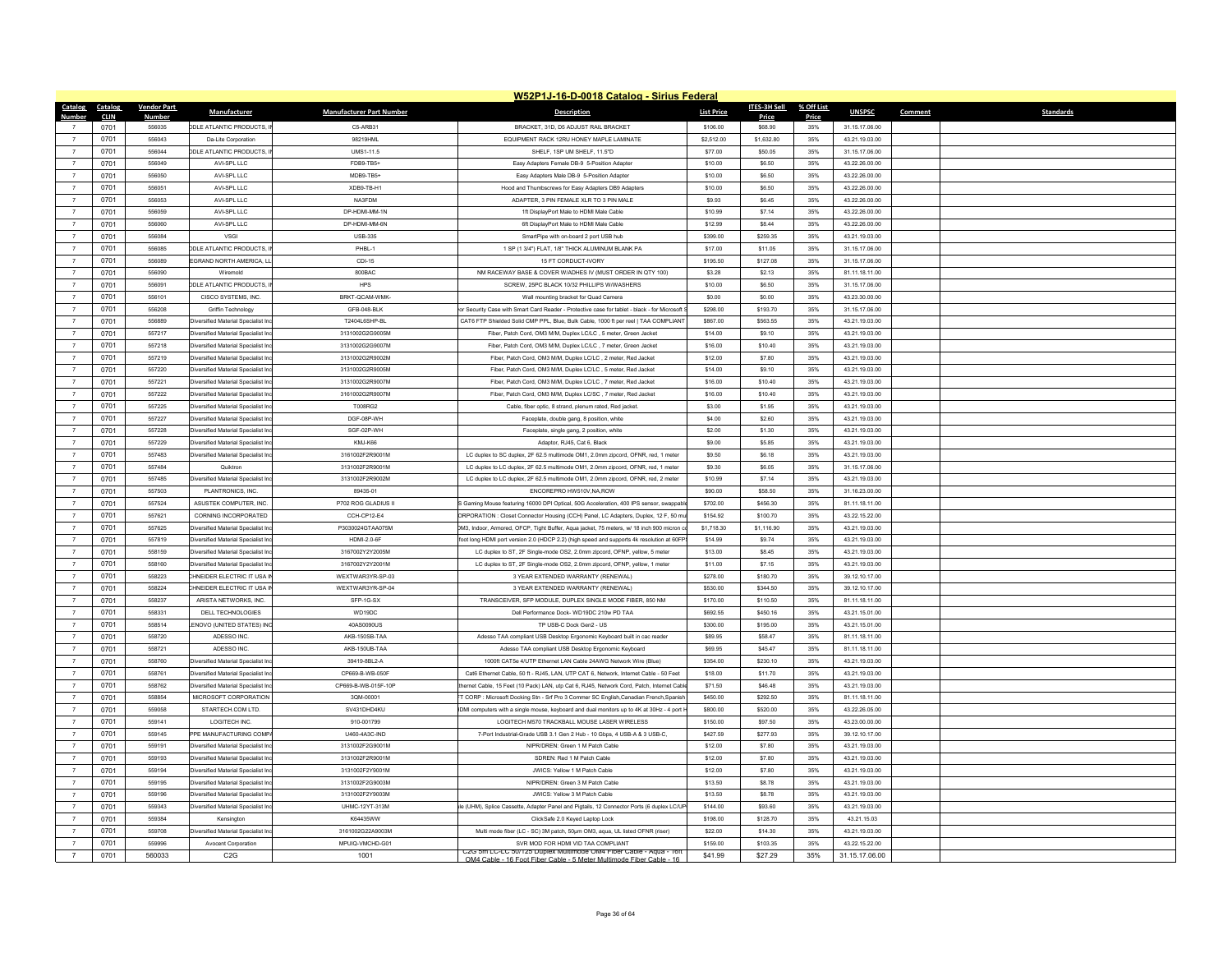|                                  |                 |                    |                                             |                                 | W52P1J-16-D-0018 Catalog - Sirius Federal                                                                |                   |              |            |                |                             |
|----------------------------------|-----------------|--------------------|---------------------------------------------|---------------------------------|----------------------------------------------------------------------------------------------------------|-------------------|--------------|------------|----------------|-----------------------------|
|                                  | Catalog Catalog | <b>Vendor Part</b> | Manufacturer                                | <b>Manufacturer Part Number</b> | <b>Description</b>                                                                                       | <b>List Price</b> | ITES-3H Sell | % Off List | <b>UNSPSC</b>  | Comment<br><b>Standards</b> |
| Number                           | <b>CLIN</b>     | Numbe              |                                             |                                 |                                                                                                          |                   | Price        | Price      |                |                             |
|                                  | 0701            | 556035             | <b>DDLE ATLANTIC PRODUCTS, I</b>            | C5-ARB31                        | BRACKET, 31D, D5 ADJUST RAIL BRACKET                                                                     | \$106.00          | \$68.90      | 35%        | 31.15.17.06.00 |                             |
|                                  | 0701            | 556043             | Da-Lite Corporation                         | 98219HMI                        | EQUIPMENT RACK 12RU HONEY MAPLE LAMINATE                                                                 | \$2,512.00        | \$1,632.80   | 35%        | 43.21.19.03.00 |                             |
| $\overline{7}$                   | 0701            | 556044             | <b>DDLE ATLANTIC PRODUCTS, I</b>            | UMS1-11.5                       | SHELF, 1SP UM SHELF, 11.5°D                                                                              | \$77.00           | \$50.05      | 35%        | 31.15.17.06.00 |                             |
| $\overline{7}$                   | 0701            | 556049             | AVI-SPL LLC                                 | FDB9-TB5+                       | Easy Adapters Female DB-9 5-Position Adapter                                                             | \$10.00           | \$6,50       | 35%        | 43.22.26.00.00 |                             |
| $\overline{7}$                   | 0701            | 556050             | AVI-SPL LLC                                 | MDB9-TB5+                       | Easy Adapters Male DB-9 5-Position Adapte                                                                | \$10.00           | \$6.50       | 35%        | 43.22.26.00.00 |                             |
| $\overline{7}$                   | 0701            | 556051             | AVI-SPI LLC                                 | XDB9-TB-H1                      | Hood and Thumbscrews for Easy Adapters DB9 Adapters                                                      | \$10.00           | \$6.50       | 35%        | 43 22 26 00 00 |                             |
| $\overline{7}$                   | 0701            | 556053             | AVI-SPL LLC                                 | NA3FDM                          | ADAPTER, 3 PIN FEMALE XLR TO 3 PIN MALE                                                                  | \$9.93            | \$6.45       | 35%        | 43.22.26.00.00 |                             |
| $\overline{7}$                   | 0701            | 556059             | AVI-SPL LLC                                 | DP-HDMI-MM-1N                   | 1ft DisplayPort Male to HDMI Male Cabl-                                                                  | \$10.99           | \$7.14       | 35%        | 43.22.26.00.00 |                             |
| $\overline{7}$                   | 0701            | 556060             | AVI-SPI LLC                                 | DP-HDMI-MM-6N                   | 6ft DisplayPort Male to HDMI Male Cable                                                                  | \$12.99           | \$8.44       | 35%        | 43 22 26 00 00 |                             |
| $\overline{7}$                   | 0701            | 556084             | VSGI                                        | <b>USB-335</b>                  | SmartPipe with on-board 2 port USB hub                                                                   | \$399.00          | \$259.35     | 35%        | 43.21.19.03.00 |                             |
|                                  | 0701            | 556085             | <b>ODLE ATLANTIC PRODUCTS,</b>              | PHBL-1                          | 1 SP (1 3/4") FLAT, 1/8" THICK ALUMINUM BLANK PA                                                         | \$17.00           | \$11.05      | 35%        | 31.15.17.06.00 |                             |
| $\overline{7}$<br>$\overline{7}$ | 0701            | 556089             | <b>EGRAND NORTH AMERICA, LI</b>             | CDI-15                          | 15 FT CORDUCT-IVORY                                                                                      | \$195.50          | \$127.08     | 35%        | 31.15.17.06.00 |                             |
|                                  | 0701            | 556090             | Wiremok                                     | 800BAC                          | NM RACEWAY BASE & COVER W/ADHES IV (MUST ORDER IN QTY 100)                                               | \$3.28            | \$2.13       | 35%        | 81.11.18.11.00 |                             |
| $\overline{7}$                   | 0701            | 556091             | <b>DDLE ATLANTIC PRODUCTS, I</b>            | HPS                             | SCREW, 25PC BLACK 10/32 PHILLIPS W/WASHERS                                                               | \$10.00           | \$6.50       | 35%        | 31.15.17.06.00 |                             |
| $\overline{7}$                   | 0701            | 556101             | CISCO SYSTEMS, INC.                         | BRKT-QCAM-WMK                   | Wall mounting bracket for Quad Camera                                                                    | \$0.00            | \$0.00       | 35%        | 43.23.30.00.00 |                             |
| $\overline{7}$                   | 0701            | 556208             | Griffin Technology                          | GFB-048-BLK                     | or Security Case with Smart Card Reader - Protective case for tablet - black - for Microsoft             | \$298.00          | \$193.70     | 35%        | 31.15.17.06.00 |                             |
|                                  | 0701            | 556889             | iversified Material Specialist In           | T2404L6SHP-BL                   | CAT6 FTP Shielded Solid CMP PPL, Blue, Bulk Cable, 1000 ft per reel   TAA COMPLIANT                      | \$867.00          | \$563.55     | 35%        | 43.21.19.03.00 |                             |
| $\overline{7}$                   | 0701            | 557217             | Diversified Material Specialist In          | 3131002G2G9005M                 | Fiber, Patch Cord, OM3 M/M, Duplex LC/LC, 5 meter, Green Jacket                                          | \$14.00           | \$9.10       | 35%        | 43.21.19.03.00 |                             |
| $\overline{7}$                   | 0701            | 557218             | Diversified Material Specialist In          | 3131002G2G9007M                 | Fiber, Patch Cord, OM3 M/M, Duplex LC/LC . 7 meter, Green Jacket                                         | \$16.00           | \$10.40      | 35%        | 43.21.19.03.00 |                             |
|                                  | 0701            | 557219             | iversified Material Specialist In           | 3131002G2R9002M                 | Fiber, Patch Cord, OM3 M/M, Duplex LC/LC, 2 meter, Red Jacket                                            | \$12.00           | \$7.80       | 35%        | 43.21.19.03.00 |                             |
| $\overline{7}$                   | 0701            | 557220             | Viversified Material Specialist Ind         | 3131002G2R9005M                 | Fiber, Patch Cord, OM3 M/M, Duplex LC/LC, 5 meter, Red Jacket                                            | \$14.00           | \$9.10       | 35%        | 43.21.19.03.00 |                             |
| $\overline{7}$                   | 0701            | 557221             | <b>liversified Material Specialist In</b>   | 3131002G2R9007M                 | Fiber, Patch Cord, OM3 M/M, Duplex LC/LC, 7 meter, Red Jacket                                            | \$16.00           | \$10.40      | 35%        | 43.21.19.03.00 |                             |
| $\overline{7}$                   | 0701            | 557222             | Viversified Material Specialist Ind         | 3161002G2R9007M                 | Fiber, Patch Cord, OM3 M/M, Duplex LC/SC, 7 meter, Red Jacket                                            | \$16.00           | \$10.40      | 35%        | 43.21.19.03.00 |                             |
| $\overline{7}$                   | 0701            | 557225             | <b>liversified Material Specialist In</b>   | T008RG2                         | Cable, fiber optic, 8 strand, plenum rated, Red jacket                                                   | \$3.00            | \$1.95       | 35%        | 43.21.19.03.00 |                             |
| $\overline{7}$                   | 0701            | 557227             | iversified Material Specialist In           | DGE-08P-WH                      | Faceplate, double gang, 8 position, white                                                                | \$4.00            | \$2.60       | 35%        | 43.21.19.03.00 |                             |
| $\overline{7}$                   | 0701            | 557228             | Diversified Material Specialist In          | SGF-02P-WH                      | Faceplate, single gang, 2 position, white                                                                | \$2.00            | \$1.30       | 35%        | 43.21.19.03.00 |                             |
| $\overline{7}$                   | 0701            | 557229             | Diversified Material Specialist In          | KMJ-K66                         | Adaptor, RJ45, Cat 6, Black                                                                              | \$9.00            | \$5.85       | 35%        | 43.21.19.03.00 |                             |
| $\overline{7}$                   | 0701            | 557483             | iversified Material Specialist In           | 3161002F2R9001M                 | LC duplex to SC duplex, 2F 62.5 multimode OM1, 2.0mm zipcord, OFNR, red, 1 meter                         | \$9.50            | \$6.18       | 35%        | 43.21.19.03.00 |                             |
| $\overline{7}$                   | 0701            | 557484             | Quiktron                                    | 3131002F2R9001M                 | LC duplex to LC duplex, 2F 62.5 multimode OM1, 2.0mm zipcord, OFNR, red, 1 meter                         | \$9.30            | \$6.05       | 35%        | 31.15.17.06.00 |                             |
| $\overline{7}$                   | 0701            | 557485             | Viversified Material Specialist Inc         | 3131002F2R9002M                 | LC duplex to LC duplex, 2F 62.5 multimode OM1, 2.0mm zipcord, OFNR, red, 2 meter                         | \$10.99           | \$7.14       | 35%        | 43.21.19.03.00 |                             |
| $\overline{7}$                   | 0701            | 557503             | PLANTRONICS, INC.                           | 89435-01                        | ENCOREPRO HW510V, NA, ROW                                                                                | \$90.00           | \$58.50      | 35%        | 31.16.23.00.00 |                             |
| $\overline{7}$                   | 0701            | 557524             | ASUSTEK COMPUTER. INC.                      | P702 ROG GLADIUS II             | S Gaming Mouse featuring 16000 DPI Optical, 50G Acceleration, 400 IPS sensor, swappab                    | \$702.00          | \$456.30     | 35%        | 81.11.18.11.00 |                             |
| $\overline{7}$                   | 0701            | 557621             | CORNING INCORPORATED                        | CCH-CP12-E4                     | ORPORATION : Closet Connector Housing (CCH) Panel, LC Adapters, Duplex, 12 F, 50 mu                      | \$154.92          | \$100.70     | 35%        | 43.22.15.22.00 |                             |
| $\overline{7}$                   | 0701            | 557625             | iversified Material Specialist In           | P3030024GTAA075M                | M3, Indoor, Armored, OFCP, Tight Buffer, Aqua jacket, 75 meters, w/ 18 inch 900 micron                   | \$1,718.30        | \$1,116.90   | 35%        | 43.21.19.03.00 |                             |
| $\overline{7}$                   | 0701            | 557819             | <b>Iiversified Material Specialist Inc.</b> | <b>HDMI-20-6F</b>               | foot long HDMI port version 2.0 (HDCP 2.2) (high speed and supports 4k resolution at 60FP!               | \$14.99           | \$9.74       | 35%        | 43.21.19.03.00 |                             |
| $\overline{7}$                   | 0701            | 558159             | Diversified Material Specialist In          | 3167002Y2Y2005M                 | LC duplex to ST, 2F Single-mode OS2, 2.0mm zipcord, OFNP, yellow, 5 meter                                | \$13.00           | \$8.45       | 35%        | 43.21.19.03.00 |                             |
| $\overline{7}$                   | 0701            | 558160             | ersified Material Specialist In             | 3167002Y2Y2001M                 | LC duplex to ST, 2F Single-mode OS2, 2.0mm zipcord, OFNP, yellow, 1 meter                                | \$11.00           | \$7.15       | 35%        | 43.21.19.03.00 |                             |
| $\overline{7}$                   | 0701            | 558223             | HNEIDER ELECTRIC IT USA I                   | WEXTWAR3YR-SP-03                | 3 YEAR EXTENDED WARRANTY (RENEWAL)                                                                       | \$278.00          | \$180.70     | 35%        | 39.12.10.17.00 |                             |
| $\overline{7}$                   | 0701            | 558224             | HNEIDER ELECTRIC IT USA                     | WEXTWAR3YR-SP-04                | 3 YEAR EXTENDED WARRANTY (RENEWAL)                                                                       | \$530.00          | \$344.50     | 35%        | 39.12.10.17.00 |                             |
|                                  | 0701            | 558237             | ARISTA NETWORKS, INC.                       | SFP-1G-SX                       | TRANSCEIVER, SFP MODULE, DUPLEX SINGLE MODE FIBER, 850 NM                                                | \$170.00          | \$110.50     | 35%        | 81.11.18.11.00 |                             |
| $\overline{7}$                   | 0701            | 558331             | DELL TECHNOLOGIES                           | WD19DC                          | Dell Performance Dock- WD19DC 210w PD TAA                                                                | \$692.55          | \$450.16     | 35%        | 43.21.15.01.00 |                             |
| $\overline{7}$                   | 0701            | 558514             | <b>ENOVO (UNITED STATES) INC.</b>           | 40AS0090US                      | TP USB-C Dock Gen2 - US                                                                                  | \$300.00          | \$195.00     | 35%        | 43.21.15.01.00 |                             |
|                                  | 0701            | 558720             | ADESSO INC                                  | AKB-150SB-TAA                   | Adesso TAA compliant USB Desktop Ergonomic Keyboard built in cac reader                                  | \$89.95           | \$58.47      | 35%        | 81.11.18.11.00 |                             |
| $\overline{7}$<br>$\overline{7}$ | 0701            | 558721             | ADESSO INC.                                 | AKB-150UB-TAA                   | Adesso TAA compliant USB Desktop Ergonomic Keyboard                                                      | \$69.95           | \$45.47      | 35%        | 81.11.18.11.00 |                             |
|                                  | 0701            | 558760             | Diversified Material Specialist In          | 39419-8BL2-A                    | 1000ft CAT5e 4/UTP Ethernet LAN Cable 24AWG Network Wire (Blue)                                          | \$354.00          | \$230.10     | 35%        | 43.21.19.03.00 |                             |
| $\overline{7}$                   | 0701            | 558761             | Diversified Material Specialist In          | CP669-B-WB-050F                 | Cat6 Ethernet Cable, 50 ft - RJ45, LAN, UTP CAT 6, Network, Internet Cable - 50 Feet                     | \$18.00           | \$11.70      | 35%        | 43.21.19.03.00 |                             |
| $\overline{7}$                   | 0701            | 558762             | <b>Viversified Material Specialist In</b>   | CP669-B-WB-015F-10P             | thernet Cable, 15 Feet (10 Pack) LAN, utp Cat 6, RJ45, Network Cord, Patch, Internet Cable               | \$71.50           | \$46.48      | 35%        | 43.21.19.03.00 |                             |
| $\overline{7}$                   | 0701            | 558854             | MICROSOFT CORPORATION                       | 3QM-00001                       | T CORP : Microsoft Docking Stn - Srf Pro 3 Commer SC English.Canadian French.Spanis                      | \$450.00          | \$292.50     | 35%        | 81.11.18.11.00 |                             |
| $\overline{7}$                   | 0701            | 559058             | STARTECH.COM LTD.                           | SV431DHD4KU                     | DMI computers with a single mouse, keyboard and dual monitors up to 4K at 30Hz - 4 port I                | \$800.00          | \$520.00     | 35%        | 43.22.26.05.00 |                             |
| $\overline{7}$                   | 0701            | 559141             | LOGITECH INC                                | 910-001799                      | LOGITECH M570 TRACKBALL MOUSE LASER WIRELESS                                                             | \$150.00          | \$97.50      | 35%        | 43.23.00.00.00 |                             |
| $\overline{7}$                   | 0701            | 559145             | PE MANUFACTURING COMP                       | U460-4A3C-IND                   | 7-Port Industrial-Grade USB 3.1 Gen 2 Hub - 10 Gbps, 4 USB-A & 3 USB-C,                                  | \$427.59          | \$277.93     | 35%        | 39.12.10.17.00 |                             |
| $\overline{7}$                   | 0701            | 559191             | <b>liversified Material Specialist Inc.</b> | 3131002E2G9001M                 | NIPR/DREN: Green 1 M Patch Cable                                                                         | \$12.00           | \$7.80       | 35%        | 43 21 19 03 00 |                             |
| $\overline{7}$                   | 0701            | 559193             | iversified Material Specialist In           | 3131002F2R9001M                 | SDREN: Red 1 M Patch Cable                                                                               | \$12.00           | \$7.80       | 35%        | 43.21.19.03.00 |                             |
| $\overline{7}$                   | 0701            | 559194             | versified Material Specialist In            | 3131002F2Y9001M                 | JWICS: Yellow 1 M Patch Cable                                                                            | \$12.00           | \$7.80       | 35%        | 43.21.19.03.00 |                             |
| $\overline{7}$                   | 0701            | 559195             | Wersified Material Specialist Inc           | 3131002E2G9003M                 | NIPR/DREN: Green 3 M Patch Cable                                                                         | \$13.50           | \$8.78       | 35%        | 43 21 19 03 00 |                             |
| $\overline{7}$                   | 0701            | 559196             | Diversified Material Specialist In          | 3131002F2Y9003N                 | JWICS: Yellow 3 M Patch Cable                                                                            | \$13.50           | \$8.78       | 35%        | 43.21.19.03.00 |                             |
|                                  | 0701            | 559343             | iversified Material Specialist In           | UHMC-12YT-313M                  | le (UHM), Splice Cassette, Adapter Panel and Pigtails, 12 Connector Ports (6 duplex LC/UP                | \$144.00          | \$93.60      | 35%        | 43.21.19.03.00 |                             |
| $\overline{7}$                   | 0701            | 559384             | Kensington                                  | K64435WW                        | ClickSafe 2.0 Keyed Laptop Lock                                                                          | \$198.00          | \$128.70     | 35%        | 43 21 15 03    |                             |
| $\overline{7}$                   | 0701            | 559708             | <b>liversified Material Specialist In</b>   | 3161002G22A9003M                | Multi mode fiber (LC - SC) 3M patch, 50um OM3, aqua, UL listed OFNR (riser)                              | \$22.00           | \$14.30      | 35%        | 43.21.19.03.00 |                             |
|                                  | 0701            | 559996             | Avocent Corporation                         | MPUIQ-VMCHD-G01                 | SVR MOD FOR HDMI VID TAA COMPLIANT<br>C2G 5m LC-LC 50/125 Duplex Multimode OM4 Fiber Cable - Aqua - 16ft | \$159.00          | \$103.35     | 35%        | 43.22.15.22.00 |                             |
| $\overline{7}$                   | 0701            | 560033             | C2G                                         | 1001                            | OM4 Cable - 16 Foot Fiber Cable - 5 Meter Multimode Fiber Cable - 16                                     | \$41.99           | \$27.29      | 35%        | 31.15.17.06.00 |                             |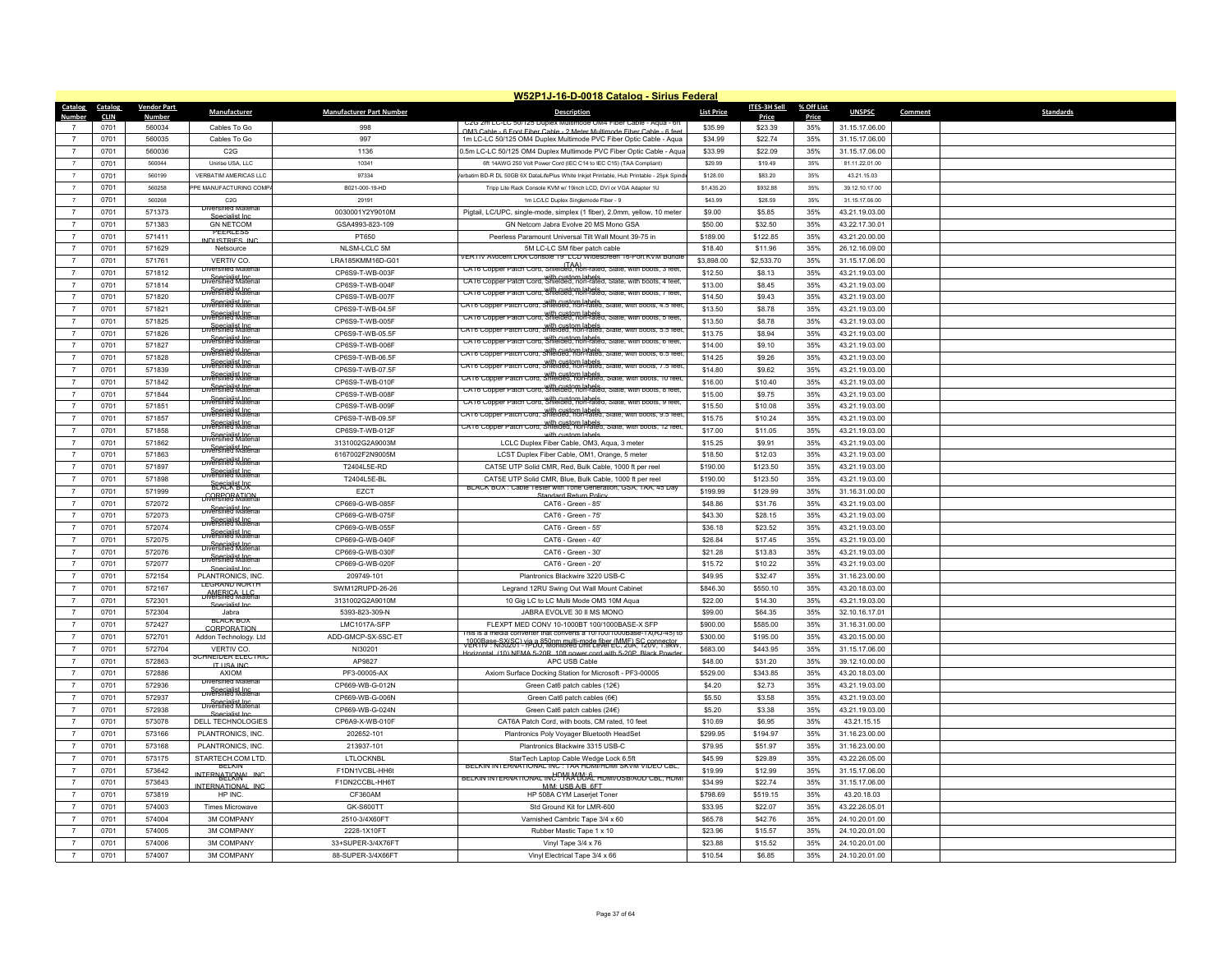|                 | W52P1J-16-D-0018 Catalog - Sirius Federal |                    |                                                |                                 |                                                                                                                                            |                   |              |            |                |         |                  |  |
|-----------------|-------------------------------------------|--------------------|------------------------------------------------|---------------------------------|--------------------------------------------------------------------------------------------------------------------------------------------|-------------------|--------------|------------|----------------|---------|------------------|--|
| Catalog         | Catalog                                   | <b>Vendor Part</b> | Manufacturer                                   | <b>Manufacturer Part Number</b> | <b>Description</b>                                                                                                                         | <b>List Price</b> | ITES-3H Sell | % Off List | <b>UNSPSC</b>  | Comment | <b>Standards</b> |  |
|                 | CLIN                                      | <u>Number</u>      |                                                |                                 | UZG ZM LU-LU 50/125 Duble)                                                                                                                 |                   | <b>Price</b> | Price      |                |         |                  |  |
|                 | 0701                                      | 560034             | Cables To Go                                   | 998                             | OM3 Cable - 6 Foot Fiber Cable - 2 Meter Multimode Fiber Cable - 6 fe                                                                      | \$35.99           | \$23.39      | 35%        | 31.15.17.06.00 |         |                  |  |
| $\overline{7}$  | 0701                                      | 560035             | Cables To Go                                   | 997                             | 1m LC-LC 50/125 OM4 Duplex Multimode PVC Fiber Optic Cable - Aqua                                                                          | \$34.99           | \$22.74      | 35%        | 31.15.17.06.00 |         |                  |  |
| $\overline{7}$  | 0701                                      | 560036             | C2G                                            | 1136                            | 0.5m LC-LC 50/125 OM4 Duplex Multimode PVC Fiber Optic Cable - Aqua                                                                        | \$33.99           | \$22.09      | 35%        | 31.15.17.06.00 |         |                  |  |
| $\overline{7}$  | 0701                                      | 560044             | Unirise USA 11 C                               | 10341                           | 6ft 14AWG 250 Volt Power Cord (IEC C14 to IEC C15) (TAA Compliant)                                                                         | \$29.99           | \$19.49      | 35%        | 81.11.22.01.00 |         |                  |  |
| $\overline{7}$  | 0701                                      | 560199             | <b>VERBATIM AMERICAS LLC</b>                   | 97334                           | erbatim BD-R DL 50GB 6X DataLifePlus White Inkiet Printable. Hub Printable - 25pk Sping                                                    | \$128.00          | \$83.20      | 35%        | 43.21.15.03    |         |                  |  |
| $\overline{7}$  | 0701                                      | 560258             | PE MANUFACTURING COMP.                         | B021-000-19-HD                  | Tripp Lite Rack Console KVM w/ 19inch LCD, DVI or VGA Adapter 1U                                                                           | \$1,435.20        | \$932.88     | 35%        | 39.12.10.17.00 |         |                  |  |
| $\overline{7}$  | 0701                                      | 560268             | C <sub>2</sub> G<br><b>Diversified Mate</b>    | 29191                           | 1m LC/LC Duplex Singlemode Fiber - 9                                                                                                       | \$43.99           | \$28.59      | 35%        | 31.15.17.06.00 |         |                  |  |
| $\overline{7}$  | 0701                                      | 571373             | Specialist Inc                                 | 0030001Y2Y9010M                 | Pigtail, LC/UPC, single-mode, simplex (1 fiber), 2.0mm, yellow, 10 meter                                                                   | \$9.00            | \$5.85       | 35%        | 43.21.19.03.00 |         |                  |  |
| $\overline{7}$  | 0701                                      | 571383             | <b>GN NETCOM</b>                               | GSA4993-823-109                 | GN Netcom Jabra Evolve 20 MS Mono GSA                                                                                                      | \$50.00           | \$32.50      | 35%        | 43.22.17.30.01 |         |                  |  |
| $\overline{7}$  | 0701                                      | 571411             | PFFRIFSS<br><b>INDUSTRIES INC</b>              | PT650                           | Peerless Paramount Universal Tilt Wall Mount 39-75 in                                                                                      | \$189.00          | \$122.85     | 35%        | 43.21.20.00.00 |         |                  |  |
| $\overline{7}$  | 0701                                      | 571629             | Netsource                                      | NLSM-LCLC 5M                    | 5M LC-LC SM fiber patch cable                                                                                                              | \$18.40           | \$11.96      | 35%        | 26.12.16.09.00 |         |                  |  |
| $\overline{7}$  | 0701                                      | 571761             | VERTIV CO.                                     | LRA185KMM16D-G01                | VERTIV Avocent LRA Console 19" LCD Widescreen 16-Port KVM Bundl<br>CA16 Copper Patch Cord, Shielded, non-rated, Slate, with boots, 3 feet, | \$3,898.00        | \$2,533.70   | 35%        | 31.15.17.06.00 |         |                  |  |
| $\overline{7}$  | 0701                                      | 571812             | <b>Diversified Materia</b>                     | CP6S9-T-WB-003F                 |                                                                                                                                            | \$12.50           | \$8.13       | 35%        | 43.21.19.03.00 |         |                  |  |
| $\overline{7}$  | 0701                                      | 571814             | <b>Diversified Material</b>                    | CP6S9-T-WB-004F                 | CAT6 Copper Patch Cord, Shielded, non-rated, Slate, with boots, 4 feet.                                                                    | \$13.00           | \$8.45       | 35%        | 43.21.19.03.00 |         |                  |  |
| $\overline{7}$  | 0701                                      | 571820             | Specialist Inc.<br>Diversified Material        | CP6S9-T-WB-007F                 | CAT6 Copper Patch Cord, Shielded, non-rated, Slate, with boots, 7 feet                                                                     | \$14.50           | \$9.43       | 35%        | 43.21.19.03.00 |         |                  |  |
| $\overline{7}$  | 0701                                      | 571821             | <del>Diversialist Incom</del>                  | CP6S9-T-WB-04.5F                | CAT6 Copper Patch Cord, Shielded, Non-rated, Siate, with boots, 4.5 ree                                                                    | \$13.50           | \$8.78       | 35%        | 43.21.19.03.00 |         |                  |  |
| $\overline{7}$  | 0701                                      | 571825             | <b>Diversified Material</b>                    | CP6S9-T-WB-005F                 | CAT6 Copper Patch Cord, Shielded, non-rated, Slate, with boots, 5 feet                                                                     | \$13.50           | \$8.78       | 35%        | 43.21.19.03.00 |         |                  |  |
| $\overline{7}$  | 0701                                      | 571826             | Diversitied Material                           | CP6S9-T-WB-05.5F                | CAT6 Copper Patch Cord, Shielded, non-rated, Slate, with boots, 5.5 fee                                                                    | \$13.75           | \$8.94       | 35%        | 43.21.19.03.00 |         |                  |  |
| $\overline{7}$  | 0701                                      | 571827             | Specialist Inc.<br>Diversified Material        | CP6S9-T-WB-006F                 | CAT6 Copper Patch Cord, Shielded, non-rated, Slate, with boots, 6 feet                                                                     | \$14.00           | \$9.10       | 35%        | 43.21.19.03.00 |         |                  |  |
| $\overline{7}$  | 0701                                      | 571828             | Specialist Inc.<br>Diversified Material        | CP6S9-T-WB-06.5F                | with custom labels.<br>CAT6 Copper Patch Cord, Shielded, non-rated, Slate, with boots, 6.5 fee!                                            | \$14.25           | \$9.26       | 35%        | 43.21.19.03.00 |         |                  |  |
| $\overline{7}$  | 0701                                      | 571839             | <del>ov§Pstrialist Incra</del>                 | CP6S9-T-WB-07.5F                | CAT6 Copper Patch Cord, Shielded, hon-rated, Siate, with poots, 7.5 fee                                                                    | \$14.80           | \$9.62       | 35%        | 43.21.19.03.00 |         |                  |  |
| $\overline{7}$  | 0701                                      | 571842             | <b>Diversified Material</b>                    | CP6S9-T-WB-010F                 | CAT6 Copper Patch Cord, Shielded, non-rated, Slate, with boots, 10 fee                                                                     | \$16.00           | \$10.40      | 35%        | 43.21.19.03.00 |         |                  |  |
| $\overline{7}$  | 0701                                      | 571844             | <b>Specialist Inc.</b><br>Diversified Material | CP6S9-T-WB-008F                 | CA16 Copper Patch Cord. With custom labels. Slate, with boots, 8 feet                                                                      | \$15.00           | \$9.75       | 35%        | 43.21.19.03.00 |         |                  |  |
| $\overline{7}$  | 0701                                      | 571851             | Specialist Inc.<br>Diversified Material        | CP6S9-T-WB-009F                 | CAT6 Copper Patch Cord, Shielded, non-rated, Slate, with boots, 9 feet                                                                     | \$15.50           | \$10.08      | 35%        | 43.21.19.03.00 |         |                  |  |
| $\overline{7}$  | 0701                                      | 571857             | Specialist Inc.<br>Diversified Material        |                                 | with custom labels.<br>A F6 Copper Patch Cord, Shielded, non-rated, Slate, with boots, 9.5 fee.                                            | \$15.75           | \$10.24      | 35%        |                |         |                  |  |
| $\overline{7}$  |                                           |                    | <b>Diversified Material</b>                    | CP6S9-T-WB-09.5F                | CAT6 Copper Patch Cord, with custom labels.<br>CAT6 Copper Patch Cord, Shielded, non-rated, Slate, with boots, 12 feet                     |                   |              |            | 43.21.19.03.00 |         |                  |  |
|                 | 0701                                      | 571858             | <b>Diversified Material</b>                    | CP6S9-T-WB-012F                 | with custom labels                                                                                                                         | \$17.00           | \$11.05      | 35%        | 43.21.19.03.00 |         |                  |  |
| $\overline{7}$  | 0701                                      | 571862             | Diversified Material                           | 3131002G2A9003M                 | LCLC Duplex Fiber Cable, OM3, Aqua, 3 meter                                                                                                | \$15.25           | \$9.91       | 35%        | 43.21.19.03.00 |         |                  |  |
| $\overline{7}$  | 0701                                      | 571863             | Specialist Inc.<br>Diversified Material        | 6167002F2N9005M                 | LCST Duplex Fiber Cable, OM1, Orange, 5 meter                                                                                              | \$18.50           | \$12.03      | 35%        | 43.21.19.03.00 |         |                  |  |
| $\overline{7}$  | 0701                                      | 571897             | Specialist Inc.<br>Diversified Material        | T2404L5E-RD                     | CAT5E UTP Solid CMR, Red, Bulk Cable, 1000 ft per reel                                                                                     | \$190.00          | \$123.50     | 35%        | 43.21.19.03.00 |         |                  |  |
| $\overline{7}$  | 0701                                      | 571898             | <b>BLACK BOX</b>                               | T2404L5E-BL                     | CAT5E UTP Solid CMR, Blue, Bulk Cable, 1000 ft per reel<br>BLACK BOX : Cable Tester with Tone Generation, GSA, TAA, 45 Day                 | \$190.00          | \$123.50     | 35%        | 43.21.19.03.00 |         |                  |  |
| $\overline{7}$  | 0701                                      | 571999             | <b>CORPORATION</b>                             | EZCT                            | tandard Return Poli                                                                                                                        | \$199.99          | \$129.99     | 35%        | 31.16.31.00.00 |         |                  |  |
| $\overline{7}$  | 0701                                      | 572072             | Diversified Material                           | CP669-G-WB-085F                 | CAT6 - Green - 85'                                                                                                                         | \$48.86           | \$31.76      | 35%        | 43.21.19.03.00 |         |                  |  |
| $\overline{7}$  | 0701                                      | 572073             | Specialist Inc.<br>Diversified Material        | CP669-G-WB-075F                 | CAT6 - Green - 75'                                                                                                                         | \$43.30           | \$28.15      | 35%        | 43.21.19.03.00 |         |                  |  |
| $\overline{7}$  | 0701                                      | 572074             | Specialist Inc.<br>Diversified Material        | CP669-G-WB-055F                 | CAT6 - Green - 55'                                                                                                                         | \$36.18           | \$23.52      | 35%        | 43.21.19.03.00 |         |                  |  |
| $\overline{7}$  | 0701                                      | 572075             | <b>Diversified Material</b>                    | CP669-G-WB-040F                 | CAT6 - Green - 40'                                                                                                                         | \$26.84           | \$17.45      | 35%        | 43.21.19.03.00 |         |                  |  |
| $\overline{7}$  | 0701                                      | 572076             | <b>Diversified Material</b>                    | CP669-G-WB-030F                 | CAT6 - Green - 30'                                                                                                                         | \$21.28           | \$13.83      | 35%        | 43.21.19.03.00 |         |                  |  |
| $\overline{7}$  | 0701                                      | 572077             | Specialist Inc.                                | CP669-G-WB-020F                 | CAT6 - Green - 20'                                                                                                                         | \$15.72           | \$10.22      | 35%        | 43.21.19.03.00 |         |                  |  |
| $\overline{7}$  | 0701                                      | 572154             | PI ANTRONICS. INC.                             | 209749-101                      | Plantronics Blackwire 3220 USB-C                                                                                                           | \$49.95           | \$32.47      | 35%        | 31.16.23.00.00 |         |                  |  |
| $\overline{7}$  | 0701                                      | 572167             | <b>LEGRAND NORTH</b><br>Dersitied Material     | SWM12RUPD-26-26                 | Legrand 12RU Swing Out Wall Mount Cabinet                                                                                                  | \$846.30          | \$550.10     | 35%        | 43.20.18.03.00 |         |                  |  |
| $\overline{7}$  | 0701                                      | 572301             | Specialist Inc.                                | 3131002G2A9010M                 | 10 Gig LC to LC Multi Mode OM3 10M Aqua                                                                                                    | \$22.00           | \$14.30      | 35%        | 43.21.19.03.00 |         |                  |  |
| $\overline{7}$  | 0701                                      | 572304             | Jabra                                          | 5393-823-309-N                  | JABRA EVOLVE 30 II MS MONO                                                                                                                 | \$99.00           | \$64.35      | 35%        | 32.10.16.17.01 |         |                  |  |
| $\overline{7}$  | 0701                                      | 572427             | <b>BLACK BOX</b><br>CORPORATION                | LMC1017A-SFP                    | FLEXPT MED CONV 10-1000BT 100/1000BASE-X SFP                                                                                               | \$900.00          | \$585.00     | 35%        | 31.16.31.00.00 |         |                  |  |
| $\overline{7}$  | 0701                                      | 572701             | Addon Technology. Ltd                          | ADD-GMCP-SX-5SC-ET              | his is a media converter that converts a 10/100/1000Base-LX(RJ-45) to                                                                      | \$300.00          | \$195.00     | 35%        | 43.20.15.00.00 |         |                  |  |
| $7\overline{ }$ | 0701                                      | 572704             | VERTIV CO.                                     | NI30201                         | 1000Base-SX(SC) via a 850nm multi-mode fiber (MME) SC connector<br>Horizontal (10) NEMA 5-20R 10ft nower cord with 5-20P Black Powde       | \$683.00          | \$443.95     | 35%        | 31.15.17.06.00 |         |                  |  |
| $\overline{7}$  | 0701                                      | 572863             | <b>CHNEIDER ELECTRIO</b><br><b>IT LISA IN</b>  | AP9827                          | APC USB Cable                                                                                                                              | \$48.00           | \$31.20      | 35%        | 39.12.10.00.00 |         |                  |  |
| $\overline{7}$  | 0701                                      | 572886             | <b>AXIOM</b>                                   | PF3-00005-AX                    | Axiom Surface Docking Station for Microsoft - PF3-00005                                                                                    | \$529.00          | \$343.85     | 35%        | 43.20.18.03.00 |         |                  |  |
| $\overline{7}$  | 0701                                      | 572936             | <b>Diversified Materia</b>                     | CP669-WB-G-012N                 | Green Cat6 patch cables (12€)                                                                                                              | \$4.20            | \$2.73       | 35%        | 43.21.19.03.00 |         |                  |  |
| $\overline{7}$  | 0701                                      | 572937             | <b>Diversified Material</b>                    | CP669-WB-G-006N                 | Green Cat6 patch cables (6€)                                                                                                               | \$5.50            | \$3.58       | 35%        | 43.21.19.03.00 |         |                  |  |
| $\overline{7}$  | 0701                                      | 572938             | Specialist Inc.<br>Diversified Material        | CP669-WB-G-024N                 | Green Cat6 patch cables (24€)                                                                                                              | \$5.20            | \$3.38       | 35%        | 43.21.19.03.00 |         |                  |  |
| $\overline{7}$  | 0701                                      | 573078             | Specialist Inc.<br>DELL TECHNOLOGIES           | CP6A9-X-WB-010F                 | CAT6A Patch Cord, with boots, CM rated, 10 feet                                                                                            | \$10.69           | \$6.95       | 35%        | 43.21.15.15    |         |                  |  |
| $\overline{7}$  | 0701                                      | 573166             | PLANTRONICS, INC.                              | 202652-101                      | Plantronics Poly Voyager Bluetooth HeadSe                                                                                                  | \$299.95          | \$194.97     | 35%        | 31.16.23.00.00 |         |                  |  |
| $\overline{7}$  | 0701                                      | 573168             | PLANTRONICS, INC.                              | 213937-101                      | Plantronics Blackwire 3315 USB-C                                                                                                           | \$79.95           | \$51.97      | 35%        | 31.16.23.00.00 |         |                  |  |
| $\overline{7}$  | 0701                                      | 573175             | STARTECH.COM LTD.                              | LTLOCKNBL                       |                                                                                                                                            | \$45.99           | \$29.89      | 35%        | 43.22.26.05.00 |         |                  |  |
| $\overline{7}$  |                                           |                    | <b>BELKIN</b>                                  |                                 | StarTech Laptop Cable Wedge Lock 6.5ft<br>BELKIN INTERNATIONAL INC: TAA HDMI/HDMI SKVM VIDEO CBL.                                          |                   |              |            |                |         |                  |  |
|                 | 0701                                      | 573642             | INTERNATIONAL INC                              | F1DN1VCBL-HH6t                  | BELKIN INTERNATIONAL INC. "MAYUJA"L HUMI/USB/AUD CBL, HUM                                                                                  | \$19.99           | \$12.99      | 35%        | 31.15.17.06.00 |         |                  |  |
| $\overline{7}$  | 0701                                      | 573643             | INTERNATIONAL INC.                             | F1DN2CCBL-HH6T                  | M/M: USB A/B 6ET                                                                                                                           | \$34.99           | \$22.74      | 35%        | 31.15.17.06.00 |         |                  |  |
| $\overline{7}$  | 0701                                      | 573819             | HP INC.                                        | CF360AM                         | HP 508A CYM Laserjet Toner                                                                                                                 | \$798.69          | \$519.15     | 35%        | 43.20.18.03    |         |                  |  |
| $\overline{7}$  | 0701                                      | 574003             | <b>Times Microwave</b>                         | <b>GK-S600TT</b>                | Std Ground Kit for LMR-600                                                                                                                 | \$33.95           | \$22.07      | 35%        | 43.22.26.05.01 |         |                  |  |
| $\overline{7}$  | 0701                                      | 574004             | <b>3M COMPANY</b>                              | 2510-3/4X60FT                   | Varnished Cambric Tape 3/4 x 60                                                                                                            | \$65.78           | \$42.76      | 35%        | 24.10.20.01.00 |         |                  |  |
| $\overline{7}$  | 0701                                      | 574005             | 3M COMPANY                                     | 2228-1X10FT                     | Rubber Mastic Tape 1 x 10                                                                                                                  | \$23.96           | \$15.57      | 35%        | 24.10.20.01.00 |         |                  |  |
| $\overline{7}$  | 0701                                      | 574006             | <b>3M COMPANY</b>                              | 33+SUPER-3/4X76FT               | Vinyl Tape 3/4 x 76                                                                                                                        | \$23.88           | \$15.52      | 35%        | 24.10.20.01.00 |         |                  |  |
| $\overline{7}$  | 0701                                      | 574007             | 3M COMPANY                                     | 88-SUPER-3/4X66FT               | Vinyl Electrical Tape 3/4 x 66                                                                                                             | \$10.54           | \$6.85       | 35%        | 24.10.20.01.00 |         |                  |  |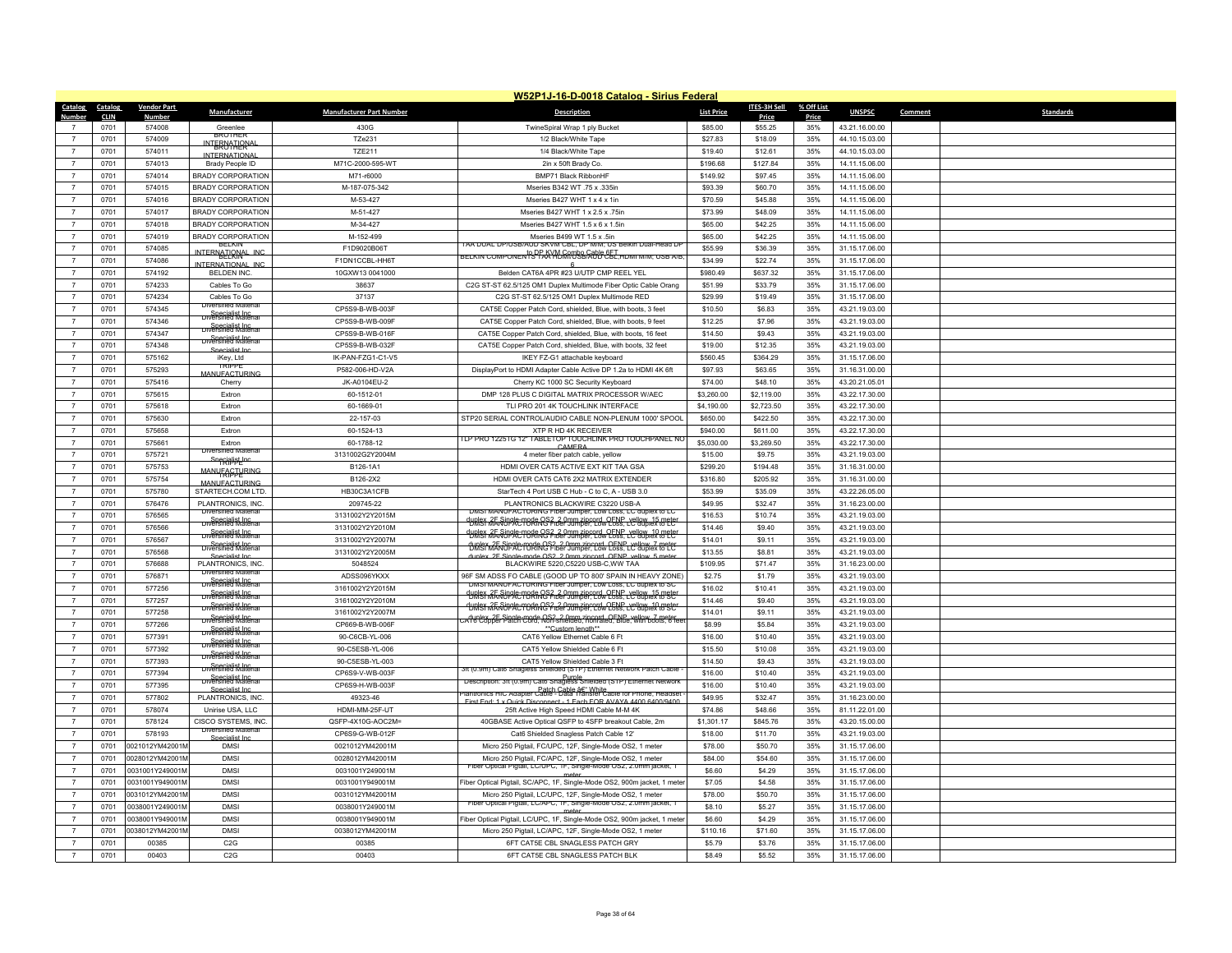|                | W52P1J-16-D-0018 Catalog - Sirius Federal |                    |                                                          |                                 |                                                                                                                                             |                   |                     |            |                |                             |  |
|----------------|-------------------------------------------|--------------------|----------------------------------------------------------|---------------------------------|---------------------------------------------------------------------------------------------------------------------------------------------|-------------------|---------------------|------------|----------------|-----------------------------|--|
| Catalog        | Catalog                                   | <b>Vendor Part</b> | Manufacturer                                             | <b>Manufacturer Part Number</b> | <b>Description</b>                                                                                                                          | <b>List Price</b> | <b>ITES-3H Sell</b> | % Off List | <b>UNSPSC</b>  | Comment<br><b>Standards</b> |  |
| Numher         | <b>CLIN</b>                               | Number             |                                                          |                                 |                                                                                                                                             |                   | Price               | Price      |                |                             |  |
|                | 0701                                      | 574008             | Greenlee<br><b>BROTHER</b>                               | 430G                            | TwineSpiral Wrap 1 ply Bucket                                                                                                               | \$85.00           | \$55.25             | 35%        | 43.21.16.00.00 |                             |  |
| $\overline{7}$ | 0701                                      | 574009             | <b>INTERNATIONA</b>                                      | <b>TZe231</b>                   | 1/2 Black/White Tape                                                                                                                        | \$27.83           | \$18.09             | 35%        | 44.10.15.03.00 |                             |  |
| $\overline{7}$ | 0701                                      | 574011             | <b>INTERNATIONAL</b>                                     | <b>TZE211</b>                   | 1/4 Black/White Tape                                                                                                                        | \$19.40           | \$12.61             | 35%        | 44.10.15.03.00 |                             |  |
| $\overline{7}$ | 0701                                      | 574013             | Brady People ID                                          | M71C-2000-595-WT                | 2in x 50ft Brady Co.                                                                                                                        | \$196.68          | \$127.84            | 35%        | 14.11.15.06.00 |                             |  |
| $\overline{7}$ | 0701                                      | 574014             | BRADY CORPORATION                                        | M71-r6000                       | BMP71 Black RibbonHF                                                                                                                        | \$149.92          | \$97.45             | 35%        | 14.11.15.06.00 |                             |  |
| $\overline{7}$ | 0701                                      | 574015             | <b>BRADY CORPORATION</b>                                 | M-187-075-342                   | Mseries B342 WT .75 x .335in                                                                                                                | \$93.39           | \$60.70             | 35%        | 14.11.15.06.00 |                             |  |
| $\overline{7}$ | 0701                                      | 574016             | <b>BRADY CORPORATION</b>                                 | M-53-427                        | Mseries B427 WHT 1 x 4 x 1in                                                                                                                | \$70.59           | \$45.88             | 35%        | 14.11.15.06.00 |                             |  |
| $\overline{7}$ | 0701                                      | 574017             | BRADY CORPORATION                                        | M-51-427                        | Mseries B427 WHT 1 x 2.5 x .75in                                                                                                            | \$73.99           | \$48.09             | 35%        | 14.11.15.06.00 |                             |  |
| $\overline{7}$ | 0701                                      | 574018             | <b>BRADY CORPORATION</b>                                 | M-34-427                        | Mseries B427 WHT 1.5 x 6 x 1.5in                                                                                                            | \$65.00           | \$42.25             | 35%        | 14.11.15.06.00 |                             |  |
| $\overline{7}$ | 0701                                      | 574019             | <b>BRADY CORPORATION</b>                                 | M-152-499                       | Mseries B499 WT 1.5 x .5in                                                                                                                  | \$65.00           | \$42.25             | 35%        | 14.11.15.06.00 |                             |  |
|                | 0701                                      | 574085             | <b>BELKIN</b><br>INTERNATIONAL INC                       | F1D9020B06T                     | I AA DUAL DP/USB/AUD SKVM CBL. DP W/M. US Beikin Duai-Head Di<br>BELKIN COMPONEN'IS PRÁY MÓGOOSBGAOD ĈET, HOMI M/M; USB A/B                 | \$55.99           | \$36.39             | 35%        | 31.15.17.06.00 |                             |  |
| $\overline{7}$ | 0701                                      | 574086             | NTERNATIONAL INC                                         | F1DN1CCBL-HH6T                  |                                                                                                                                             | \$34.99           | \$22.74             | 35%        | 31.15.17.06.00 |                             |  |
| $\overline{7}$ | 0701                                      | 574192             | BELDEN INC.                                              | 10GXW13 0041000                 | Belden CAT6A 4PR #23 U/UTP CMP REEL YEL                                                                                                     | \$980.49          | \$637.32            | 35%        | 31.15.17.06.00 |                             |  |
| $\overline{7}$ | 0701                                      | 574233             | Cables To Go                                             | 38637                           | C2G ST-ST 62.5/125 OM1 Duplex Multimode Fiber Optic Cable Orang                                                                             | \$51.99           | \$33.79             | 35%        | 31.15.17.06.00 |                             |  |
| $\overline{7}$ | 0701                                      | 574234             | Cables To Go                                             | 37137                           | C2G ST-ST 62.5/125 OM1 Duplex Multimode RED                                                                                                 | \$29.99           | \$19.49             | 35%        | 31.15.17.06.00 |                             |  |
| $\overline{7}$ | 0701                                      | 574345             | ersined mate                                             | CP5S9-B-WB-003F                 | CAT5E Copper Patch Cord, shielded, Blue, with boots, 3 feet                                                                                 | \$10.50           | \$6.83              | 35%        | 43.21.19.03.00 |                             |  |
| $\overline{7}$ | 0701                                      | 574346             | Diversified Material                                     | CP5S9-B-WB-009F                 | CAT5E Copper Patch Cord, shielded, Blue, with boots, 9 feet                                                                                 | \$12.25           | \$7.96              | 35%        | 43.21.19.03.00 |                             |  |
| $\overline{7}$ | 0701                                      | 574347             | Diversified Materia                                      | CP5S9-B-WB-016F                 | CAT5E Copper Patch Cord, shielded, Blue, with boots, 16 feet                                                                                | \$14.50           | \$9.43              | 35%        | 43.21.19.03.00 |                             |  |
| $\overline{7}$ | 0701                                      | 574348             | Specialist Inc.<br>Diversified Material<br>Specialist In | CP5S9-B-WB-032F                 | CAT5E Copper Patch Cord, shielded, Blue, with boots, 32 feet                                                                                | \$19.00           | \$12.35             | 35%        | 43.21.19.03.00 |                             |  |
| $\overline{7}$ | 0701                                      | 575162             | iKev. Ltd                                                | IK-PAN-FZG1-C1-V5               | IKEY FZ-G1 attachable keyboard                                                                                                              | \$560.45          | \$364.29            | 35%        | 31.15.17.06.00 |                             |  |
| $\overline{7}$ | 0701                                      | 575293             | <b>TRIPPF</b><br><b>JANI IFACTI IRIN</b>                 | P582-006-HD-V2A                 | DisplayPort to HDMI Adapter Cable Active DP 1.2a to HDMI 4K 6ft                                                                             | \$97.93           | \$63.65             | 35%        | 31.16.31.00.00 |                             |  |
| $\overline{7}$ | 0701                                      | 575416             | Cherry                                                   | JK-A0104EU-2                    | Cherry KC 1000 SC Security Keyboard                                                                                                         | \$74.00           | \$48.10             | 35%        | 43.20.21.05.01 |                             |  |
| $\overline{7}$ | 0701                                      | 575615             | Extron                                                   | 60-1512-01                      | DMP 128 PLUS C DIGITAL MATRIX PROCESSOR W/AEC                                                                                               | \$3,260.00        | \$2,119.00          | 35%        | 43.22.17.30.00 |                             |  |
| $\overline{7}$ | 0701                                      | 575618             | Extron                                                   | 60-1669-01                      | TLI PRO 201 4K TOUCHLINK INTERFACE                                                                                                          | \$4,190.00        | \$2,723.50          | 35%        | 43.22.17.30.00 |                             |  |
| $\overline{7}$ | 0701                                      | 575630             | Extron                                                   | 22-157-03                       | STP20 SERIAL CONTROL/AUDIO CABLE NON-PLENUM 1000' SPOOL                                                                                     | \$650.00          | \$422.50            | 35%        | 43.22.17.30.00 |                             |  |
| $\overline{7}$ | 0701                                      | 575658             | Extron                                                   | 60-1524-13                      | XTP R HD 4K RECEIVER                                                                                                                        | \$940.00          | \$611.00            | 35%        | 43.22.17.30.00 |                             |  |
| $\overline{7}$ | 0701                                      | 575661             | Extron                                                   | 60-1788-12                      | ILP PRO 12251 G 12<br>" TABLETOP TOUCHLINK PRO TOUCHPANEL NO                                                                                | \$5,030.00        | \$3,269.50          | 35%        | 43.22.17.30.00 |                             |  |
| $\overline{7}$ | 0701                                      | 575721             | <b>Diversified Mater</b>                                 | 3131002G2Y2004M                 | CAMERA<br>4 meter fiber patch cable, yellow                                                                                                 | \$15.00           | \$9.75              | 35%        | 43.21.19.03.00 |                             |  |
| $\overline{7}$ | 0701                                      | 575753             | Snegialist Inc                                           | B126-1A1                        | HDMI OVER CAT5 ACTIVE EXT KIT TAA GSA                                                                                                       | \$299.20          | \$194.48            | 35%        | 31.16.31.00.00 |                             |  |
| $\overline{7}$ | 0701                                      | 575754             | MANUFACTURING                                            | B126-2X2                        | HDMI OVER CAT5 CAT6 2X2 MATRIX EXTENDER                                                                                                     | \$316.80          | \$205.92            | 35%        | 31.16.31.00.00 |                             |  |
| $\overline{7}$ | 0701                                      | 575780             | <b>MANUFACTURING</b><br>STARTECH.COM LTD.                | HB30C3A1CFB                     | StarTech 4 Port USB C Hub - C to C, A - USB 3.0                                                                                             | \$53.99           | \$35.09             | 35%        | 43.22.26.05.00 |                             |  |
| $\overline{7}$ | 0701                                      | 576476             | PLANTRONICS INC.                                         | 209745-22                       | PLANTRONICS BLACKWIRE C3220 USB-A                                                                                                           | \$49.95           | \$32.47             | 35%        | 31.16.23.00.00 |                             |  |
| $\overline{7}$ | 0701                                      | 576565             | <b>Diversified Material</b>                              | 3131002Y2Y2015M                 | DMSI MANUFACTURING Fiber Jumper, Low Loss, LC duplex to LC                                                                                  | \$16.53           | \$10.74             | 35%        | 43.21.19.03.00 |                             |  |
|                | 0701                                      | 576566             | <b>Diversified Material</b>                              | 3131002Y2Y2010M                 | tunlex 25 Single-mode OS2, 2 0mm zincord, QENP, vellow, 15 meter<br>UNSK 25 Single-mode OS2, 2 0mm zincord, QENP, vellow, 15 meter          | \$14.46           | \$9.40              | 35%        | 43.21.19.03.00 |                             |  |
| $\overline{7}$ | 0701                                      | 576567             | <b>Specialist Inc.</b><br>Diversified Material           | 3131002Y2Y2007M                 | duplex 25 Single-mode OS2, 2 0mm zincord, QENP, vellow, 10 meter                                                                            | \$14.01           |                     | 35%        | 43.21.19.03.00 |                             |  |
| $\overline{7}$ | 0701                                      | 576568             | Diversified Material                                     |                                 | <b>UNSY MANOPAC TORING Fiber Jumper, Cow CENP, vellow 7 reter</b>                                                                           | \$13.55           | \$9.11<br>\$8.81    | 35%        | 43.21.19.03.00 |                             |  |
|                |                                           |                    | Specialist Inc.                                          | 3131002Y2Y2005M                 | dunlex 2F Single-mode OS2 2 0mm zincord OENP vellow 5 mete                                                                                  |                   |                     |            |                |                             |  |
| $\overline{7}$ | 0701                                      | 576688             | PLANTRONICS, INC.<br>Diversified Materia                 | 5048524                         | BLACKWIRE 5220,C5220 USB-C,WW TAA                                                                                                           | \$109.95          | \$71.47             | 35%        | 31.16.23.00.00 |                             |  |
| $\overline{7}$ | 0701                                      | 576871             | Specialist Inc.<br>Diversified Materia                   | ADSS096YKXX                     | 96F SM ADSS FO CABLE (GOOD UP TO 800' SPAIN IN HEAVY ZONE)<br>UMSI MANUFACTURING Fiber Jumper, Low Loss, LC duplex to SC                    | \$2.75            | \$1.79              | 35%        | 43.21.19.03.00 |                             |  |
| $\overline{7}$ | 0701                                      | 577256             | Specialist Inc.<br>Diversified Material                  | 3161002Y2Y2015M                 | duplex & E Single-mode QS2, 2 0mm zincord, QENP , yellow, 15 meter                                                                          | \$16.02           | \$10.41             | 35%        | 43.21.19.03.00 |                             |  |
|                | 0701                                      | 577257             | <b>Diversified Material</b>                              | 3161002Y2Y2010M                 | URIST MARTIPLE TORING Piper Jumper Cow Loss, LC Gublex to SC                                                                                | \$14.46           | \$9.40              | 35%        | 43.21.19.03.00 |                             |  |
| $\overline{7}$ | 0701                                      | 577258             | <b>Diversified Material</b>                              | 3161002Y2Y2007M                 | dunlex, 2E Single-mode OS2, 2 0mm zincord, OENP, vellow, 7 meter<br>A 16 Copper Patch Cord, Non-shielded, nonrated, Blue, with boots, 6 fee | \$14.01           | \$9.11              | 35%        | 43.21.19.03.00 |                             |  |
| $\overline{7}$ | 0701                                      | 577266             | Diversified Material                                     | CP669-B-WB-006F                 | **Custom length**                                                                                                                           | \$8.99            | \$5.84              | 35%        | 43.21.19.03.00 |                             |  |
| $\overline{7}$ | 0701                                      | 577391             | Specialist Inc.<br>Diversified Material                  | 90-C6CB-YL-006                  | CAT6 Yellow Ethernet Cable 6 Ft                                                                                                             | \$16.00           | \$10.40             | 35%        | 43.21.19.03.00 |                             |  |
| $\overline{7}$ | 0701                                      | 577392             | Specialist Inc.<br>Diversified Material                  | 90-C5ESB-YL-006                 | CAT5 Yellow Shielded Cable 6 Ft                                                                                                             | \$15.50           | \$10.08             | 35%        | 43.21.19.03.00 |                             |  |
| $\overline{7}$ | 0701                                      | 577393             | Diversified Material                                     | 90-C5ESB-YL-003                 | CAT5 Yellow Shielded Cable 3 Ft<br>3ft (0.9m) Cat6 Snagless Shielded (STP) Ethernet Network Patch Cable -                                   | \$14.50           | \$9.43              | 35%        | 43.21.19.03.00 |                             |  |
| $\overline{7}$ | 0701                                      | 577394             | Diversified Material                                     | CP6S9-V-WB-003F                 | Description: 3ft (0.9m) Cato Snagless Shielded (STP) Ethernet Network                                                                       | \$16.00           | \$10.40             | 35%        | 43.21.19.03.00 |                             |  |
| $\overline{7}$ | 0701                                      | 577395             | Specialist Inc.                                          | CP6S9-H-WB-003F                 | Patch Cable â€" White<br>Plantronics HIC Adapter Cable - Data Transfer Cable for Phone, Headset                                             | \$16.00           | \$10.40             | 35%        | 43.21.19.03.00 |                             |  |
| $\overline{7}$ | 0701                                      | 577802             | PLANTRONICS. INC.                                        | 49323-46                        | First Fnd: 1 x Quick Disconnect - 1 Fach FOR AVAYA 4400 6400/9400                                                                           | \$49.95           | \$32.47             | 35%        | 31.16.23.00.00 |                             |  |
| $\overline{7}$ | 0701                                      | 578074             | Unirise USA, LLC                                         | HDMI-MM-25F-UT                  | 25ft Active High Speed HDMI Cable M-M 4K                                                                                                    | \$74.86           | \$48.66             | 35%        | 81.11.22.01.00 |                             |  |
| $\overline{7}$ | 0701                                      | 578124             | CISCO SYSTEMS. INC.<br><b>Diversified Materia</b>        | QSFP-4X10G-AOC2M=               | 40GBASE Active Optical QSFP to 4SFP breakout Cable, 2m                                                                                      | \$1,301.17        | \$845.76            | 35%        | 43.20.15.00.00 |                             |  |
| $\overline{7}$ | 0701                                      | 578193             | Snecialist In                                            | CP6S9-G-WB-012F                 | Cat6 Shielded Snagless Patch Cable 12'                                                                                                      | \$18.00           | \$11.70             | 35%        | 43.21.19.03.00 |                             |  |
| $\overline{7}$ | 0701                                      | 0021012YM42001M    | <b>DMSI</b>                                              | 0021012YM42001M                 | Micro 250 Pigtail, FC/UPC, 12F, Single-Mode OS2, 1 meter                                                                                    | \$78.00           | \$50.70             | 35%        | 31.15.17.06.00 |                             |  |
| $\overline{7}$ | 0701                                      | 0028012YM42001M    | <b>DMSI</b>                                              | 0028012YM42001M                 | Micro 250 Pigtail, FC/APC, 12F, Single-Mode OS2, 1 meter                                                                                    | \$84.00           | \$54.60             | 35%        | 31.15.17.06.00 |                             |  |
| $\overline{7}$ | 0701                                      | 0031001Y249001M    | <b>DMSI</b>                                              | 0031001Y249001M                 | Fiber Optical Pigtail, LC/UPC, 1F, Single-Mode OS2, 2.0mm jacket, 1<br>meter                                                                | \$6.60            | \$4.29              | 35%        | 31.15.17.06.00 |                             |  |
| $\overline{7}$ | 0701                                      | 0031001Y949001M    | <b>DMSI</b>                                              | 0031001Y949001M                 | Fiber Optical Pigtail, SC/APC, 1F, Single-Mode OS2, 900m jacket, 1 meter                                                                    | \$7.05            | \$4.58              | 35%        | 31.15.17.06.00 |                             |  |
| $\overline{7}$ | 0701                                      | 0031012YM42001M    | <b>DMSI</b>                                              | 0031012YM42001M                 | Micro 250 Pigtail, LC/UPC, 12F, Single-Mode OS2, 1 meter                                                                                    | \$78.00           | \$50.70             | 35%        | 31.15.17.06.00 |                             |  |
| $\overline{7}$ | 0701                                      | 0038001Y249001M    | <b>DMSI</b>                                              | 0038001Y249001M                 | Fiber Optical Pigtail, LC/APC, 1F, Single-Mode OS2, 2.0mm jacket, 1<br>matar                                                                | \$8.10            | \$5.27              | 35%        | 31.15.17.06.00 |                             |  |
|                | 0701                                      | 0038001Y949001M    | <b>DMSI</b>                                              | 0038001Y949001M                 | Fiber Optical Pigtail, LC/UPC, 1F, Single-Mode OS2, 900m jacket, 1 meter                                                                    | \$6.60            | \$4.29              | 35%        | 31.15.17.06.00 |                             |  |
| $\overline{7}$ | 0701                                      | 0038012YM42001M    | <b>DMSI</b>                                              | 0038012YM42001M                 | Micro 250 Pigtail, LC/APC, 12F, Single-Mode OS2, 1 meter                                                                                    | \$110.16          | \$71.60             | 35%        | 31.15.17.06.00 |                             |  |
|                | 0701                                      | 00385              | C2G                                                      | 00385                           | 6FT CAT5E CBL SNAGLESS PATCH GRY                                                                                                            | \$5.79            | \$3.76              | 35%        | 31.15.17.06.00 |                             |  |
| $\overline{7}$ | 0701                                      | 00403              | C <sub>2</sub> G                                         | 00403                           | 6FT CAT5E CBL SNAGLESS PATCH BLK                                                                                                            | \$8.49            | \$5.52              | 35%        | 31.15.17.06.00 |                             |  |
|                |                                           |                    |                                                          |                                 |                                                                                                                                             |                   |                     |            |                |                             |  |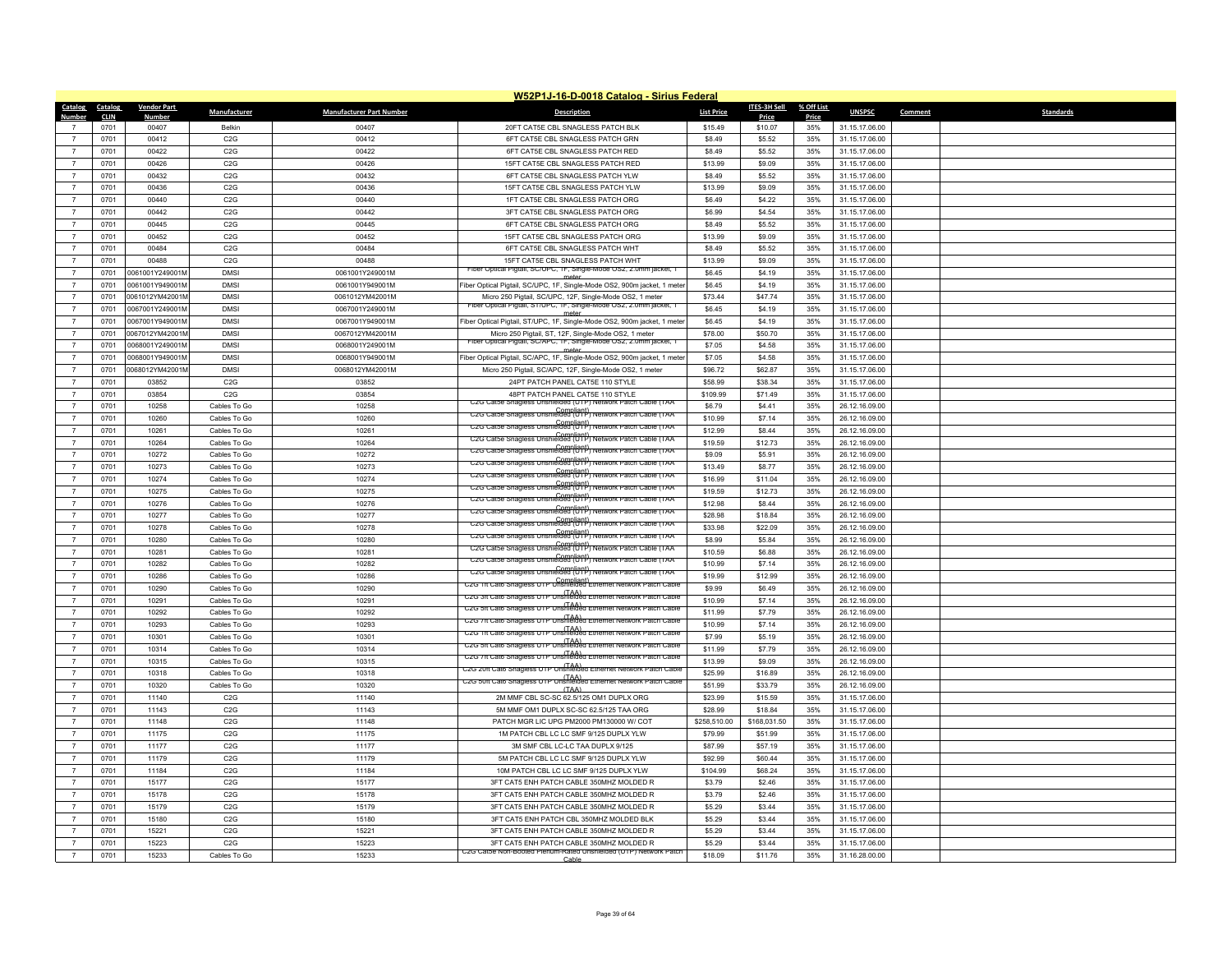|                | W52P1J-16-D-0018 Catalog - Sirius Federal |                    |                  |                                 |                                                                                                                             |                   |              |            |                |         |                  |  |
|----------------|-------------------------------------------|--------------------|------------------|---------------------------------|-----------------------------------------------------------------------------------------------------------------------------|-------------------|--------------|------------|----------------|---------|------------------|--|
|                | Catalog Catalog                           | <b>Vendor Part</b> | Manufacturer     | <b>Manufacturer Part Number</b> | <b>Description</b>                                                                                                          | <b>List Price</b> | ITES-3H Sell | % Off List | <b>UNSPSC</b>  | Comment | <b>Standards</b> |  |
| Number         | <b>CLIN</b>                               | <b>Number</b>      |                  |                                 |                                                                                                                             |                   | <b>Price</b> | Price      |                |         |                  |  |
|                | 0701                                      | 00407              | Belkin           | 00407                           | 20FT CAT5E CBL SNAGLESS PATCH BLK                                                                                           | \$15.49           | \$10.07      | 35%        | 31.15.17.06.00 |         |                  |  |
| $\overline{7}$ | 0701                                      | 00412              | C2G              | 00412                           | 6FT CAT5E CBL SNAGLESS PATCH GRN                                                                                            | \$8.49            | \$5.52       | 35%        | 31.15.17.06.00 |         |                  |  |
| $\overline{7}$ | 0701                                      | 00422              | C2G              | 00422                           | 6FT CAT5E CBL SNAGLESS PATCH RED                                                                                            | \$8.49            | \$5.52       | 35%        | 31.15.17.06.00 |         |                  |  |
| $\overline{7}$ | 0701                                      | 00426              | C2G              | 00426                           | 15FT CAT5E CBL SNAGLESS PATCH RED                                                                                           | \$13.99           | \$9.09       | 35%        | 31.15.17.06.00 |         |                  |  |
| $\overline{7}$ | 0701                                      | 00432              | C2G              | 00432                           | 6FT CAT5E CBL SNAGLESS PATCH YLW                                                                                            | \$8.49            | \$5.52       | 35%        | 31.15.17.06.00 |         |                  |  |
| $\overline{7}$ | 0701                                      | 00436              | C <sub>2</sub> G | 00436                           | 15FT CAT5E CBL SNAGLESS PATCH YLW                                                                                           | \$13.99           | \$9.09       | 35%        | 31.15.17.06.00 |         |                  |  |
| $\overline{7}$ | 0701                                      | 00440              | C2G              | 00440                           | 1FT CAT5E CBL SNAGLESS PATCH ORG                                                                                            | \$6.49            | \$4.22       | 35%        | 31.15.17.06.00 |         |                  |  |
| $\overline{7}$ | 0701                                      | 00442              | C2G              | 00442                           | 3FT CAT5E CBL SNAGLESS PATCH ORG                                                                                            | \$6.99            | \$4.54       | 35%        | 31.15.17.06.00 |         |                  |  |
| $\overline{7}$ | 0701                                      | 00445              | C <sub>2</sub> G | 00445                           | 6FT CAT5E CBL SNAGLESS PATCH ORG                                                                                            | \$8.49            | \$5.52       | 35%        | 31.15.17.06.00 |         |                  |  |
| $\overline{7}$ | 0701                                      | 00452              | C2G              | 00452                           | 15FT CAT5E CBL SNAGLESS PATCH ORG                                                                                           | \$13.99           | \$9.09       | 35%        | 31.15.17.06.00 |         |                  |  |
| $\overline{7}$ | 0701                                      | 00484              | C2G              | 00484                           | 6FT CAT5E CBL SNAGLESS PATCH WHT                                                                                            | \$8.49            | \$5.52       | 35%        | 31.15.17.06.00 |         |                  |  |
| $\overline{7}$ | 0701                                      | 00488              | C <sub>2</sub> G | 00488                           | 15FT CAT5F CBL SNAGLESS PATCH WHT                                                                                           | \$13.99           | \$9.09       | 35%        | 31.15.17.06.00 |         |                  |  |
| $\overline{7}$ | 0701                                      | 0061001Y249001M    | <b>DMSI</b>      | 0061001Y249001M                 | Fiber Optical Pigtail, SC/UPC, 1F, Single-Mode OS2, 2.0mm jacket, 1<br>meter                                                | \$6.45            | \$4.19       | 35%        | 31.15.17.06.00 |         |                  |  |
| $\overline{7}$ | 0701                                      | 0061001Y949001M    | <b>DMSI</b>      | 0061001Y949001M                 | Fiber Optical Pigtail, SC/UPC, 1F, Single-Mode OS2, 900m jacket, 1 meter                                                    | \$6.45            | \$4.19       | 35%        | 31.15.17.06.00 |         |                  |  |
| $\overline{7}$ | 0701                                      | 0061012YM42001N    | <b>DMSI</b>      | 0061012YM42001M                 | Micro 250 Pigtail, SC/UPC, 12F, Single-Mode OS2, 1 meter<br>er Optical Pigtali, ST/UPC, TF, Single-Mode OSZ, Z.Umm jacket,  | \$73.44           | \$47.74      | 35%        | 31.15.17.06.00 |         |                  |  |
| $\overline{7}$ | 0701                                      | 0067001Y249001M    | <b>DMSI</b>      | 0067001Y249001M                 |                                                                                                                             | \$6.45            | \$4.19       | 35%        | 31.15.17.06.00 |         |                  |  |
| $\overline{7}$ | 0701                                      | 0067001Y949001M    | <b>DMSI</b>      | 0067001Y949001M                 | Fiber Optical Pigtail, ST/UPC, 1F, Single-Mode OS2, 900m jacket, 1 meter                                                    | \$6.45            | \$4.19       | 35%        | 31.15.17.06.00 |         |                  |  |
| $\overline{7}$ | 0701                                      | 0067012YM42001N    | <b>DMSI</b>      | 0067012YM42001M                 | Micro 250 Pigtail, ST, 12F, Single-Mode OS2, 1 meter<br>Fiber Optical Pigtail, SC/APC, 1F, Single-Mode OS2, 2.0mm jacket, 1 | \$78.00           | \$50.70      | 35%        | 31.15.17.06.00 |         |                  |  |
| $\overline{7}$ | 0701                                      | 0068001Y249001M    | <b>DMSI</b>      | 0068001Y249001M                 | meter                                                                                                                       | \$7.05            | \$4.58       | 35%        | 31.15.17.06.00 |         |                  |  |
| $\overline{7}$ | 0701                                      | 068001Y949001M     | <b>DMSI</b>      | 0068001Y949001M                 | Fiber Optical Pigtail, SC/APC, 1F, Single-Mode OS2, 900m jacket, 1 meter                                                    | \$7.05            | \$4.58       | 35%        | 31.15.17.06.00 |         |                  |  |
| $\overline{7}$ | 0701                                      | 0068012YM42001N    | <b>DMSI</b>      | 0068012YM42001M                 | Micro 250 Pigtail, SC/APC, 12F, Single-Mode OS2, 1 meter                                                                    | \$96.72           | \$62.87      | 35%        | 31.15.17.06.00 |         |                  |  |
| $\overline{7}$ | 0701                                      | 03852              | C2G              | 03852                           | 24PT PATCH PANEL CAT5E 110 STYLE                                                                                            | \$58.99           | \$38.34      | 35%        | 31.15.17.06.00 |         |                  |  |
| $\overline{7}$ | 0701                                      | 03854              | C2G              | 03854                           | 48PT PATCH PANEL CAT5E 110 STYLE<br>C2G Catse Snagless Unshielded (UTP) Network Patch Cable (TAA                            | \$109.99          | \$71.49      | 35%        | 31.15.17.06.00 |         |                  |  |
| $\overline{7}$ | 0701                                      | 10258              | Cables To Go     | 10258                           | Compliant)<br>C2G Catse Snagless Unshielded (UTP) Network Patch Cable (TAA                                                  | \$6.79            | \$4.41       | 35%        | 26.12.16.09.00 |         |                  |  |
| $\overline{7}$ | 0701                                      | 10260              | Cables To Go     | 10260                           | C2G Catse Snagless Unshielded (UTP) Network Patch Cable (TAA                                                                | \$10.99           | \$7.14       | 35%        | 26.12.16.09.00 |         |                  |  |
| $\overline{7}$ | 0701                                      | 10261              | Cables To Go     | 10261                           | C2G Catbe Snagless Unshielded (UTP) Network Patch Cable (TAA                                                                | \$12.99           | \$8.44       | 35%        | 26.12.16.09.00 |         |                  |  |
| $\overline{7}$ | 0701                                      | 10264              | Cables To Go     | 10264                           | C2G Catse Snagless Unshielded (UTP) Network Patch Cable (TAA                                                                | \$19.59           | \$12.73      | 35%        | 26.12.16.09.00 |         |                  |  |
| $\overline{7}$ | 0701                                      | 10272              | Cables To Go     | 10272                           | C2G Catse Snagless Unshielded (UTP) Network Patch Cable (TAA                                                                | \$9.09            | \$5.91       | 35%        | 26.12.16.09.00 |         |                  |  |
| $\overline{7}$ | 0701                                      | 10273              | Cables To Go     | 10273                           | C2G Catse Snagless Unshielded (UTP) Network Patch Cable (TAA                                                                | \$13.49           | \$8.77       | 35%        | 26.12.16.09.00 |         |                  |  |
| $\overline{7}$ | 0701                                      | 10274              | Cables To Go     | 10274                           | C2G Catse Snagless Unshielded (UTP) Network Patch Cable (TAA                                                                | \$16.99           | \$11.04      | 35%        | 26.12.16.09.00 |         |                  |  |
| $\overline{7}$ | 0701                                      | 10275              | Cables To Go     | 10275                           | C2G Catse Snagless Unshielded (UTP) Network Patch Cable (TAA                                                                | \$19.59           | \$12.73      | 35%        | 26.12.16.09.00 |         |                  |  |
| $\overline{7}$ | 0701                                      | 10276              | Cables To Go     | 10276                           | C2G Catse Snagless Unshielded (UTP) Network Patch Cable (TAA                                                                | \$12.98           | \$8.44       | 35%        | 26.12.16.09.00 |         |                  |  |
| $\overline{7}$ | 0701                                      | 10277              | Cables To Go     | 10277                           | Compliant)<br>C2G Catse Snagless Unshielded (UTP) Network Patch Cable (TAA                                                  | \$28.98           | \$18.84      | 35%        | 26.12.16.09.00 |         |                  |  |
| $\overline{7}$ | 0701                                      | 10278              | Cables To Go     | 10278                           | C2G Catse Snagless Unshielded (UTP) Network Patch Cable (TAA                                                                | \$33.98           | \$22.09      | 35%        | 26.12.16.09.00 |         |                  |  |
| $\overline{7}$ | 0701                                      | 10280              | Cables To Go     | 10280                           | C2G Catse Snagless Unshielded (UTP) Network Patch Cable (TAA                                                                | \$8.99            | \$5.84       | 35%        | 26.12.16.09.00 |         |                  |  |
| $\overline{7}$ | 0701                                      | 10281              | Cables To Go     | 10281                           | C2G Catse Snagless Unshielded (UTP) Network Patch Cable (TAA                                                                | \$10.59           | \$6.88       | 35%        | 26.12.16.09.00 |         |                  |  |
| $\overline{7}$ | 0701                                      | 10282              | Cables To Go     | 10282                           | C2G Catse Snagless Unshielded (UTP) Network Patch Cable (TAA                                                                | \$10.99           | \$7.14       | 35%        | 26.12.16.09.00 |         |                  |  |
| $\overline{7}$ | 0701                                      | 10286              | Cables To Go     | 10286                           | C2G 1ft Cat6 Snagless UTP Unshielded Ethernet Network Patch Cable                                                           | \$19.99           | \$12.99      | 35%        | 26.12.16.09.00 |         |                  |  |
| $\overline{7}$ | 0701                                      | 10290              | Cables To Go     | 10290                           | (TAA)<br>C2G 3ft Cat6 Snagless UTP Unshielded Ethernet Network Patch Cable                                                  | \$9.99            | \$6.49       | 35%        | 26.12.16.09.00 |         |                  |  |
| $\overline{7}$ | 0701                                      | 10291              | Cables To Go     | 10291                           | C2G 5ft Cat6 Snagless UTP Unshielded Ethernet Network Patch Cable                                                           | \$10.99           | \$7.14       | 35%        | 26.12.16.09.00 |         |                  |  |
| $\overline{7}$ | 0701                                      | 10292              | Cables To Go     | 10292                           | C2G 7ft Cat6 Snagless UTP Unshielded Ethernet Network Patch Cable                                                           | \$11.99           | \$7.79       | 35%        | 26.12.16.09.00 |         |                  |  |
| $\overline{7}$ | 0701                                      | 10293              | Cables To Go     | 10293                           | C2G 1ft Cat6 Snagless UTP Unshielded Ethernet Network Patch Cable                                                           | \$10.99           | \$7.14       | 35%        | 26.12.16.09.00 |         |                  |  |
| $\overline{7}$ | 0701                                      | 10301              | Cables To Go     | 10301                           | (TAA)<br>C2G 5ft Cat6 Snagless UTP Unshielded Ethernet Network Patch Cable                                                  | \$7.99            | \$5.19       | 35%        | 26.12.16.09.00 |         |                  |  |
| $\overline{7}$ | 0701                                      | 10314              | Cables To Go     | 10314                           | (TAA)<br>C2G 7ft Cat6 Snagless UTP Unshielded Ethernet Network Patch Cable                                                  | \$11.99           | \$7.79       | 35%        | 26.12.16.09.00 |         |                  |  |
| $\overline{7}$ | 0701                                      | 10315              | Cables To Go     | 10315                           | C2G 20ft Cat6 Snagless UTP Unshielded Ethernet Network Patch Cable                                                          | \$13.99           | \$9.09       | 35%        | 26.12.16.09.00 |         |                  |  |
| $\overline{7}$ | 0701                                      | 10318              | Cables To Go     | 10318                           | CZG 50ft Cat6 Snagless UTP Unshielded Ethernet Network Patch Cable                                                          | \$25.99           | \$16.89      | 35%        | 26.12.16.09.00 |         |                  |  |
| $\overline{7}$ | 0701                                      | 10320              | Cables To Go     | 10320                           | (TAA)                                                                                                                       | \$51.99           | \$33.79      | 35%        | 26.12.16.09.00 |         |                  |  |
| $\overline{7}$ | 0701                                      | 11140              | C2G              | 11140                           | 2M MMF CBL SC-SC 62.5/125 OM1 DUPLX ORG                                                                                     | \$23.99           | \$15.59      | 35%        | 31.15.17.06.00 |         |                  |  |
| $\overline{7}$ | 0701                                      | 11143              | C2G              | 11143                           | 5M MMF OM1 DUPLX SC-SC 62.5/125 TAA ORG                                                                                     | \$28.99           | \$18.84      | 35%        | 31.15.17.06.00 |         |                  |  |
| $\overline{7}$ | 0701                                      | 11148              | C2G              | 11148                           | PATCH MGR LIC UPG PM2000 PM130000 W/ COT                                                                                    | \$258,510.00      | \$168,031.50 | 35%        | 31.15.17.06.00 |         |                  |  |
| $\overline{7}$ | 0701                                      | 11175              | C2G              | 11175                           | 1M PATCH CBL LC LC SMF 9/125 DUPLX YLW                                                                                      | \$79.99           | \$51.99      | 35%        | 31.15.17.06.00 |         |                  |  |
| $\overline{7}$ | 0701                                      | 11177              | C2G              | 11177                           | 3M SMF CBL LC-LC TAA DUPLX 9/125                                                                                            | \$87.99           | \$57.19      | 35%        | 31.15.17.06.00 |         |                  |  |
| $\overline{7}$ | 0701                                      | 11179              | C2G              | 11179                           | 5M PATCH CBL LC LC SMF 9/125 DUPLX YLW                                                                                      | \$92.99           | \$60.44      | 35%        | 31.15.17.06.00 |         |                  |  |
| $\overline{7}$ | 0701                                      | 11184              | C2G              | 11184                           | 10M PATCH CBL LC LC SMF 9/125 DUPLX YLW                                                                                     | \$104.99          | \$68.24      | 35%        | 31.15.17.06.00 |         |                  |  |
| $\overline{7}$ | 0701                                      | 15177              | C2G              | 15177                           | 3FT CAT5 ENH PATCH CABLE 350MHZ MOLDED R                                                                                    | \$3.79            | \$2.46       | 35%        | 31.15.17.06.00 |         |                  |  |
| $\overline{7}$ | 0701                                      | 15178              | C2G              | 15178                           | 3FT CAT5 ENH PATCH CABLE 350MHZ MOLDED R                                                                                    | \$3.79            | \$2.46       | 35%        | 31.15.17.06.00 |         |                  |  |
| $\overline{7}$ | 0701                                      | 15179              | C2G              | 15179                           | 3FT CAT5 ENH PATCH CABLE 350MHZ MOLDED R                                                                                    | \$5.29            | \$3.44       | 35%        | 31.15.17.06.00 |         |                  |  |
| $\overline{7}$ | 0701                                      | 15180              | C2G              | 15180                           | 3FT CAT5 ENH PATCH CBL 350MHZ MOLDED BLK                                                                                    | \$5.29            | \$3.44       | 35%        | 31.15.17.06.00 |         |                  |  |
| $\overline{7}$ | 0701                                      | 15221              | C2G              | 15221                           | 3FT CAT5 ENH PATCH CABLE 350MHZ MOLDED R                                                                                    | \$5.29            | \$3.44       | 35%        | 31.15.17.06.00 |         |                  |  |
|                | 0701                                      | 15223              | C2G              | 15223                           | 3FT CAT5 ENH PATCH CABLE 350MHZ MOLDED R<br>at5e Non-Booted Plenum-Rated Unshielded (UTP) Network Pat                       | \$5.29            | \$3.44       | 35%        | 31.15.17.06.00 |         |                  |  |
| $\overline{7}$ | 0701                                      | 15233              | Cables To Go     | 15233                           | Cable                                                                                                                       | \$18.09           | \$11.76      | 35%        | 31.16.28.00.00 |         |                  |  |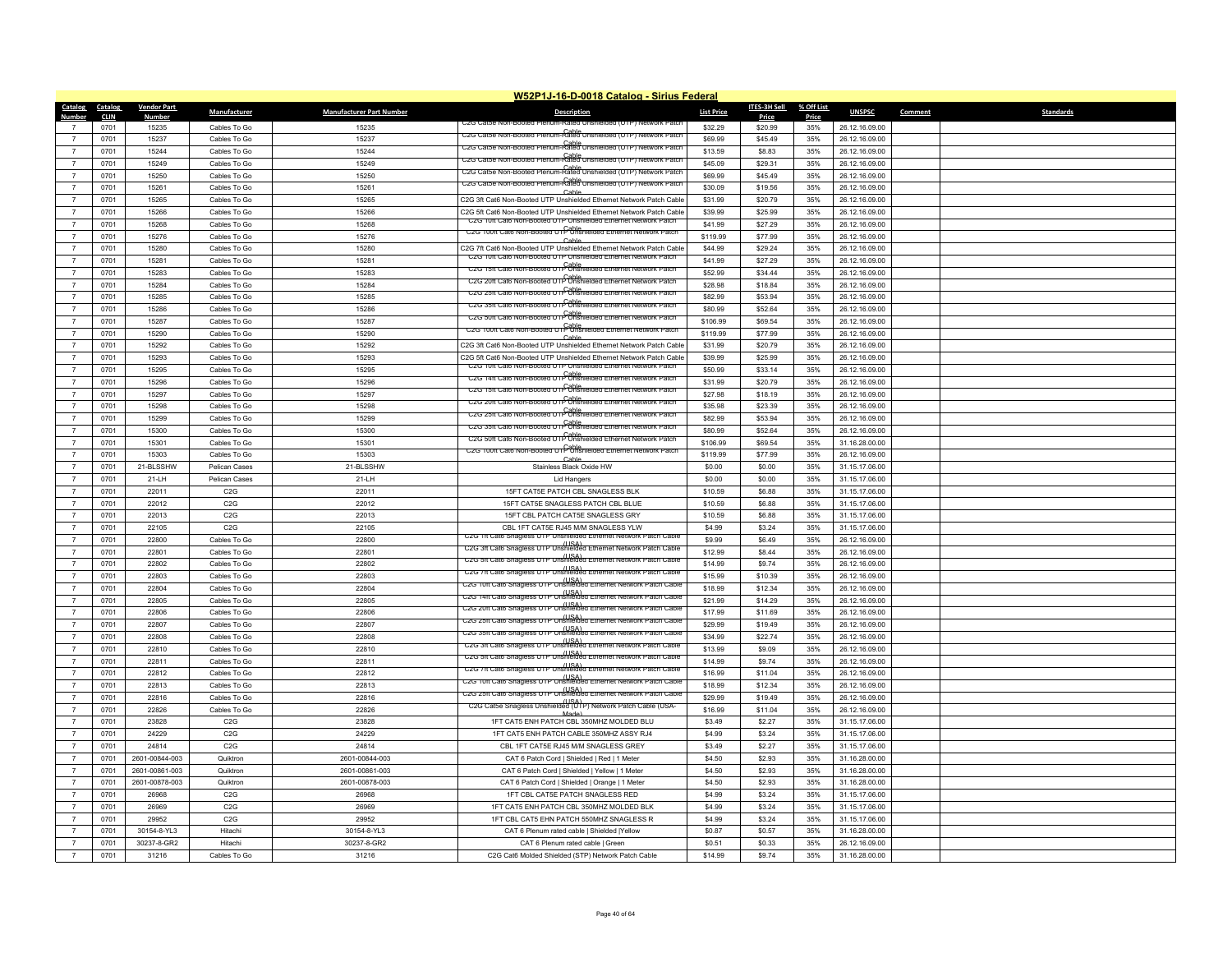|                          | W52P1J-16-D-0018 Catalog - Sirius Federal |                        |                     |                                 |                                                                                                                                                   |                   |                     |              |                |         |                  |  |
|--------------------------|-------------------------------------------|------------------------|---------------------|---------------------------------|---------------------------------------------------------------------------------------------------------------------------------------------------|-------------------|---------------------|--------------|----------------|---------|------------------|--|
| Catalog                  | Catalog                                   | <b>Vendor Part</b>     | <b>Manufacturer</b> | <b>Manufacturer Part Number</b> | <b>Description</b>                                                                                                                                | <b>List Price</b> | <b>ITES-3H Sell</b> | % Off List   | <b>UNSPSC</b>  | Comment | <b>Standards</b> |  |
| Number<br>$\overline{7}$ | <b>CLIN</b><br>0701                       | <b>Number</b><br>15235 | Cables To Go        | 15235                           | CZG Catbe Non-Booted                                                                                                                              | \$32.29           | Price<br>\$20.99    | Price<br>35% | 26.12.16.09.00 |         |                  |  |
| $\overline{7}$           | 0701                                      | 15237                  | Cables To Go        | 15237                           | C2G Catse Non-Booted Plenum-Rated Unshielded (UTP) Network Patch                                                                                  | \$69.99           | \$45.49             | 35%          | 26.12.16.09.00 |         |                  |  |
| $\overline{7}$           | 0701                                      | 15244                  | Cables To Go        | 15244                           | C2G Catse Non-Booted Plenum-Rated Unshielded (UTP) Network Patch                                                                                  | \$13.59           | \$8.83              | 35%          | 26.12.16.09.00 |         |                  |  |
| $\overline{7}$           |                                           |                        |                     |                                 | C2G Catse Non-Booted Plenum-Rated Unshielded (UTP)<br>Network Patch                                                                               | \$45.09           |                     |              |                |         |                  |  |
| $\overline{7}$           | 0701                                      | 15249                  | Cables To Go        | 15249                           | Cable<br>C2G Cat5e Non-Booted Plenum-Rated Unshielded (U                                                                                          |                   | \$29.31             | 35%          | 26.12.16.09.00 |         |                  |  |
|                          | 0701                                      | 15250                  | Cables To Go        | 15250                           | CzG Catse Non-Booted Pienum-Rable Unsnielded (UTP) Ne                                                                                             | \$69.99           | \$45.49             | 35%          | 26.12.16.09.00 |         |                  |  |
| $\overline{7}$           | 0701                                      | 15261                  | Cables To Go        | 15261                           | Cable                                                                                                                                             | \$30.09           | \$19.56             | 35%          | 26.12.16.09.00 |         |                  |  |
| $\overline{7}$           | 0701                                      | 15265                  | Cables To Go        | 15265                           | C2G 3ft Cat6 Non-Booted UTP Unshielded Ethernet Network Patch Cable                                                                               | \$31.99           | \$20.79             | 35%          | 26.12.16.09.00 |         |                  |  |
| $\overline{7}$           | 0701                                      | 15266                  | Cables To Go        | 15266                           | C2G 5ft Cat6 Non-Booted UTP Unshielded Ethernet Network Patch Cable<br>U2G 10ft Cat6 Non-Booted UTP Unshielded Ethernet Network Patch             | \$39.99           | \$25.99             | 35%          | 26.12.16.09.00 |         |                  |  |
| $\overline{7}$           | 0701                                      | 15268                  | Cables To Go        | 15268                           | Cable<br>C2G 100ft Cat6 Non-Booted UTP Unshielded Ethernet Network Patch                                                                          | \$41.99           | \$27.29             | 35%          | 26.12.16.09.00 |         |                  |  |
| $\overline{7}$           | 0701                                      | 15276                  | Cables To Go        | 15276                           | Cable                                                                                                                                             | \$119.99          | \$77.99             | 35%          | 26.12.16.09.00 |         |                  |  |
| $\overline{7}$           | 0701                                      | 15280                  | Cables To Go        | 15280                           | C2G 7ft Cat6 Non-Booted UTP Unshielded Ethernet Network Patch Cable<br>U2G 10ft Cat6 Non-Booted UTP Unshielded Ethernet Network Patch             | \$44.99           | \$29.24             | 35%          | 26.12.16.09.00 |         |                  |  |
| $\overline{7}$           | 0701                                      | 15281                  | Cables To Go        | 15281                           | C2G 15ft Cat6 Non-Booted UTP Unshielded Ethernet Network Patch                                                                                    | \$41.99           | \$27.29             | 35%          | 26.12.16.09.00 |         |                  |  |
| $\overline{7}$           | 0701                                      | 15283                  | Cables To Go        | 15283                           | Cable<br>C2G 20ft Cat6 Non-Booted UTP Unshielded Ethernet Network Patch                                                                           | \$52.99           | \$34.44             | 35%          | 26.12.16.09.00 |         |                  |  |
| $\overline{7}$           | 0701                                      | 15284                  | Cables To Go        | 15284                           | Cable<br>C2G 25ft Cat6 Non-Booted UTP Unshielded Ethernet Network Patch                                                                           | \$28.98           | \$18.84             | 35%          | 26.12.16.09.00 |         |                  |  |
| $\overline{7}$           | 0701                                      | 15285                  | Cables To Go        | 15285                           | UZG 3511 Uato Non-Booted UTP ONShi                                                                                                                | \$82.99           | \$53.94             | 35%          | 26.12.16.09.00 |         |                  |  |
| $\overline{7}$           | 0701                                      | 15286                  | Cables To Go        | 15286                           | C2G 50ft Cat6 Non-Booted UTP Unshielded Ethernet Network Patch                                                                                    | \$80.99           | \$52.64             | 35%          | 26.12.16.09.00 |         |                  |  |
| $\overline{7}$           | 0701                                      | 15287                  | Cables To Go        | 15287                           | C2G 100ft Cat6 Non-Booted UT PURShielded Ethernet Network Patch                                                                                   | \$106.99          | \$69.54             | 35%          | 26.12.16.09.00 |         |                  |  |
| $\overline{7}$           | 0701                                      | 15290                  | Cables To Go        | 15290                           | Cable                                                                                                                                             | \$119.99          | \$77.99             | 35%          | 26.12.16.09.00 |         |                  |  |
| $\overline{7}$           | 0701                                      | 15292                  | Cables To Go        | 15292                           | C2G 3ft Cat6 Non-Booted UTP Unshielded Ethernet Network Patch Cable                                                                               | \$31.99           | \$20.79             | 35%          | 26.12.16.09.00 |         |                  |  |
| $\overline{7}$           | 0701                                      | 15293                  | Cables To Go        | 15293                           | C2G 5ft Cat6 Non-Booted UTP Unshielded Ethernet Network Patch Cable<br>UZG TUIT Cato Non-Booted UTP Unshielded Ethernet Network Patch             | \$39.99           | \$25.99             | 35%          | 26.12.16.09.00 |         |                  |  |
| $\overline{7}$           | 0701                                      | 15295                  | Cables To Go        | 15295                           | C2G 14ft Cat6 Non-Booted UTP Unshielded Ethernet Network Patch                                                                                    | \$50.99           | \$33.14             | 35%          | 26.12.16.09.00 |         |                  |  |
| $\overline{7}$           | 0701                                      | 15296                  | Cables To Go        | 15296                           | C2G 15ft Cat6 Non-Booted UTP Unshielded Ethernet Network Patch                                                                                    | \$31.99           | \$20.79             | 35%          | 26.12.16.09.00 |         |                  |  |
| $\overline{7}$           | 0701                                      | 15297                  | Cables To Go        | 15297                           | Cable<br>C2G 20ft Cat6 Non-Booted UTP Unshielded Ethernet Network Patch                                                                           | \$27.98           | \$18.19             | 35%          | 26.12.16.09.00 |         |                  |  |
| $\overline{7}$           | 0701                                      | 15298                  | Cables To Go        | 15298                           | C2G 25ft Cat6 Non-Booted UTP Unshielded Ethernet Network Patch                                                                                    | \$35.98           | \$23.39             | 35%          | 26.12.16.09.00 |         |                  |  |
| $\overline{7}$           | 0701                                      | 15299                  | Cables To Go        | 15299                           | C2G 35ft Cat6 Non-Booted UTP Unshielded Ethernet Network Patch                                                                                    | \$82.99           | \$53.94             | 35%          | 26.12.16.09.00 |         |                  |  |
| $\overline{7}$           | 0701                                      | 15300                  | Cables To Go        | 15300                           | C2G 50ft Cat6 Non-Booted UTP Unshielded Ethernet Network Patch                                                                                    | \$80.99           | \$52.64             | 35%          | 26.12.16.09.00 |         |                  |  |
| $\overline{7}$           | 0701                                      | 15301                  | Cables To Go        | 15301                           | C2G 100ft Cat6 Non-Booted UT PURShielded Ethernet Network Patch                                                                                   | \$106.99          | \$69.54             | 35%          | 31.16.28.00.00 |         |                  |  |
| $\overline{7}$           | 0701                                      | 15303                  | Cables To Go        | 15303                           | Cable                                                                                                                                             | \$119.99          | \$77.99             | 35%          | 26.12.16.09.00 |         |                  |  |
| $\overline{7}$           | 0701                                      | 21-BLSSHW              | Pelican Cases       | 21-BLSSHW                       | Stainless Black Oxide HW                                                                                                                          | \$0.00            | \$0.00              | 35%          | 31.15.17.06.00 |         |                  |  |
| $\overline{7}$           | 0701                                      | 21-LH                  | Pelican Cases       | 21-LH                           | <b>Lid Hangers</b>                                                                                                                                | \$0.00            | \$0.00              | 35%          | 31.15.17.06.00 |         |                  |  |
| $\overline{7}$           | 0701                                      | 22011                  | C2G                 | 22011                           | 15FT CAT5E PATCH CBL SNAGLESS BLK                                                                                                                 | \$10.59           | \$6.88              | 35%          | 31.15.17.06.00 |         |                  |  |
| $\overline{7}$           | 0701                                      | 22012                  | C2G                 | 22012                           | 15FT CAT5E SNAGLESS PATCH CBL BLUE                                                                                                                | \$10.59           | \$6.88              | 35%          | 31.15.17.06.00 |         |                  |  |
| $\overline{7}$           | 0701                                      | 22013                  | C2G                 | 22013                           | 15FT CBL PATCH CAT5E SNAGLESS GRY                                                                                                                 | \$10.59           | \$6.88              | 35%          | 31.15.17.06.00 |         |                  |  |
| $\overline{7}$           | 0701                                      | 22105                  | C2G                 | 22105                           | CBL 1FT CAT5E RJ45 M/M SNAGLESS YLW                                                                                                               | \$4.99            | \$3.24              | 35%          | 31.15.17.06.00 |         |                  |  |
| $\overline{7}$           | 0701                                      | 22800                  | Cables To Go        | 22800                           | C2G 1ft Cat6 Snagless UTP Unshielded Ethernet Network Patch Cable<br>USA) (USA) C2G 3ft Cat6 Snagless UTP Unshielded Ethernet Network Patch Cable | \$9.99            | \$6.49              | 35%          | 26.12.16.09.00 |         |                  |  |
| $\overline{7}$           | 0701                                      | 22801                  | Cables To Go        | 22801                           | (ISA)<br>C2G 5ft Cat6 Snagless UTP Unshielded Ethernet Network Patch Cable                                                                        | \$12.99           | \$8.44              | 35%          | 26.12.16.09.00 |         |                  |  |
| $\overline{7}$           | 0701                                      | 22802                  | Cables To Go        | 22802                           | (ISA)<br>C2G 7ft Cat6 Snagless UTP Unshielded Ethernet Network Patch Cable                                                                        | \$14.99           | \$9.74              | 35%          | 26.12.16.09.00 |         |                  |  |
| $\overline{7}$           | 0701                                      | 22803                  | Cables To Go        | 22803                           | C2G 10ft Cat6 Snagless UTP Unshielded Ethernet Netw                                                                                               | \$15.99           | \$10.39             | 35%          | 26.12.16.09.00 |         |                  |  |
| $\overline{7}$           | 0701                                      | 22804                  | Cables To Go        | 22804                           | USA)<br>C2G 14ft Cat6 Snagless UTP Unshielded Ethernet Network Patch Cable                                                                        | \$18.99           | \$12.34             | 35%          | 26.12.16.09.00 |         |                  |  |
| $\overline{7}$           | 0701                                      | 22805                  | Cables To Go        | 22805                           | LISA)<br>C2G 20ft Cat6 Snagless UTP Unshielded Ethernet Network Patch Cable                                                                       | \$21.99           | \$14.29             | 35%          | 26.12.16.09.00 |         |                  |  |
| $\overline{7}$           | 0701                                      | 22806                  | Cables To Go        | 22806                           | LISA)<br>C2G 25ft Cat6 Snagless UTP Unshielded Ethernet Network Patch Cable                                                                       | \$17.99           | \$11.69             | 35%          | 26.12.16.09.00 |         |                  |  |
| $\overline{7}$           | 0701                                      | 22807                  | Cables To Go        | 22807                           | (ISA)<br>C2G 35ft Cat6 Snagless UTP Unshielded Ethernet Network                                                                                   | \$29.99           | \$19.49             | 35%          | 26.12.16.09.00 |         |                  |  |
| $\overline{7}$           | 0701                                      | 22808                  | Cables To Go        | 22808                           |                                                                                                                                                   | \$34.99           | \$22.74             | 35%          | 26.12.16.09.00 |         |                  |  |
| $\overline{7}$           | 0701                                      | 22810                  | Cables To Go        | 22810                           | (USA)<br>C2G 3ft Cat6 Snagless UTP Unshielded Ethernet Network I<br>(USA)<br>C2G 5ft Cat6 Snagless UTP Unshielded Ethernet Network Patch Cable    | \$13.99           | \$9.09              | 35%          | 26.12.16.09.00 |         |                  |  |
| $\overline{7}$           | 0701                                      | 22811                  | Cables To Go        | 22811                           |                                                                                                                                                   | \$14.99           | \$9.74              | 35%          | 26.12.16.09.00 |         |                  |  |
| $\overline{7}$           | 0701                                      | 22812                  | Cables To Go        | 22812                           | C2G 7ft Cat6 Snagless UTP Unshielded Ethernet Network Patch Cable<br>USA)<br>C2G 10ft Cat6 Snagless UTP Unshielded Ethernet Network Patch Cable   | \$16.99           | \$11.04             | 35%          | 26.12.16.09.00 |         |                  |  |
| $\overline{7}$           | 0701                                      | 22813                  | Cables To Go        | 22813                           |                                                                                                                                                   | \$18.99           | \$12.34             | 35%          | 26.12.16.09.00 |         |                  |  |
| $\overline{7}$           | 0701                                      | 22816                  | Cables To Go        | 22816                           | LISA)<br>C2G 25ft Cat6 Snagless UTP Unshielded Ethernet Network Patch Cable                                                                       | \$29.99           | \$19.49             | 35%          | 26.12.16.09.00 |         |                  |  |
| $\overline{7}$           | 0701                                      | 22826                  | Cables To Go        | 22826                           | USA)<br>-C2G Catbe Snagless Unshielded (UTP) Network Patch Cable (USA<br>Made <sup>'</sup>                                                        | \$16.99           | \$11.04             | 35%          | 26.12.16.09.00 |         |                  |  |
| $\overline{7}$           | 0701                                      | 23828                  | C2G                 | 23828                           | 1FT CAT5 ENH PATCH CBL 350MHZ MOLDED BLU                                                                                                          | \$3.49            | \$2.27              | 35%          | 31.15.17.06.00 |         |                  |  |
| $\overline{7}$           | 0701                                      | 24229                  | C2G                 | 24229                           | 1FT CAT5 ENH PATCH CABLE 350MHZ ASSY RJ4                                                                                                          | \$4.99            | \$3.24              | 35%          | 31.15.17.06.00 |         |                  |  |
| $\overline{7}$           | 0701                                      | 24814                  | C2G                 | 24814                           | CBL 1FT CAT5E RJ45 M/M SNAGLESS GREY                                                                                                              | \$3.49            | \$2.27              | 35%          | 31.15.17.06.00 |         |                  |  |
| $\overline{7}$           | 0701                                      | 2601-00844-003         | Quiktron            | 2601-00844-003                  | CAT 6 Patch Cord   Shielded   Red   1 Meter                                                                                                       | \$4.50            | \$2.93              | 35%          | 31.16.28.00.00 |         |                  |  |
| $\overline{7}$           | 0701                                      | 2601-00861-003         | Quiktron            | 2601-00861-003                  | CAT 6 Patch Cord   Shielded   Yellow   1 Meter                                                                                                    | \$4.50            | \$2.93              | 35%          | 31.16.28.00.00 |         |                  |  |
| $\overline{7}$           | 0701                                      | 2601-00878-003         | Quiktron            | 2601-00878-003                  | CAT 6 Patch Cord   Shielded   Orange   1 Meter                                                                                                    | \$4.50            | \$2.93              | 35%          | 31.16.28.00.00 |         |                  |  |
| $\overline{7}$           | 0701                                      | 26968                  | C2G                 | 26968                           | 1FT CBL CAT5E PATCH SNAGLESS RED                                                                                                                  | \$4.99            | \$3.24              | 35%          | 31.15.17.06.00 |         |                  |  |
| $\overline{7}$           | 0701                                      | 26969                  | C2G                 | 26969                           | 1FT CAT5 ENH PATCH CBL 350MHZ MOLDED BLK                                                                                                          | \$4.99            | \$3.24              | 35%          | 31.15.17.06.00 |         |                  |  |
| $\overline{7}$           | 0701                                      | 29952                  | C2G                 | 29952                           | 1FT CBL CAT5 EHN PATCH 550MHZ SNAGLESS R                                                                                                          | \$4.99            | \$3.24              | 35%          | 31.15.17.06.00 |         |                  |  |
| $\overline{7}$           | 0701                                      | 30154-8-YL3            | Hitachi             | 30154-8-YL3                     | CAT 6 Plenum rated cable   Shielded  Yellow                                                                                                       | \$0.87            | \$0.57              | 35%          | 31.16.28.00.00 |         |                  |  |
| $\overline{7}$           | 0701                                      | 30237-8-GR2            | Hitachi             | 30237-8-GR2                     | CAT 6 Plenum rated cable   Green                                                                                                                  | \$0.51            | \$0.33              | 35%          | 26.12.16.09.00 |         |                  |  |
| $\overline{7}$           | 0701                                      | 31216                  | Cables To Go        | 31216                           | C2G Cat6 Molded Shielded (STP) Network Patch Cable                                                                                                | \$14.99           | \$9.74              | 35%          | 31.16.28.00.00 |         |                  |  |
|                          |                                           |                        |                     |                                 |                                                                                                                                                   |                   |                     |              |                |         |                  |  |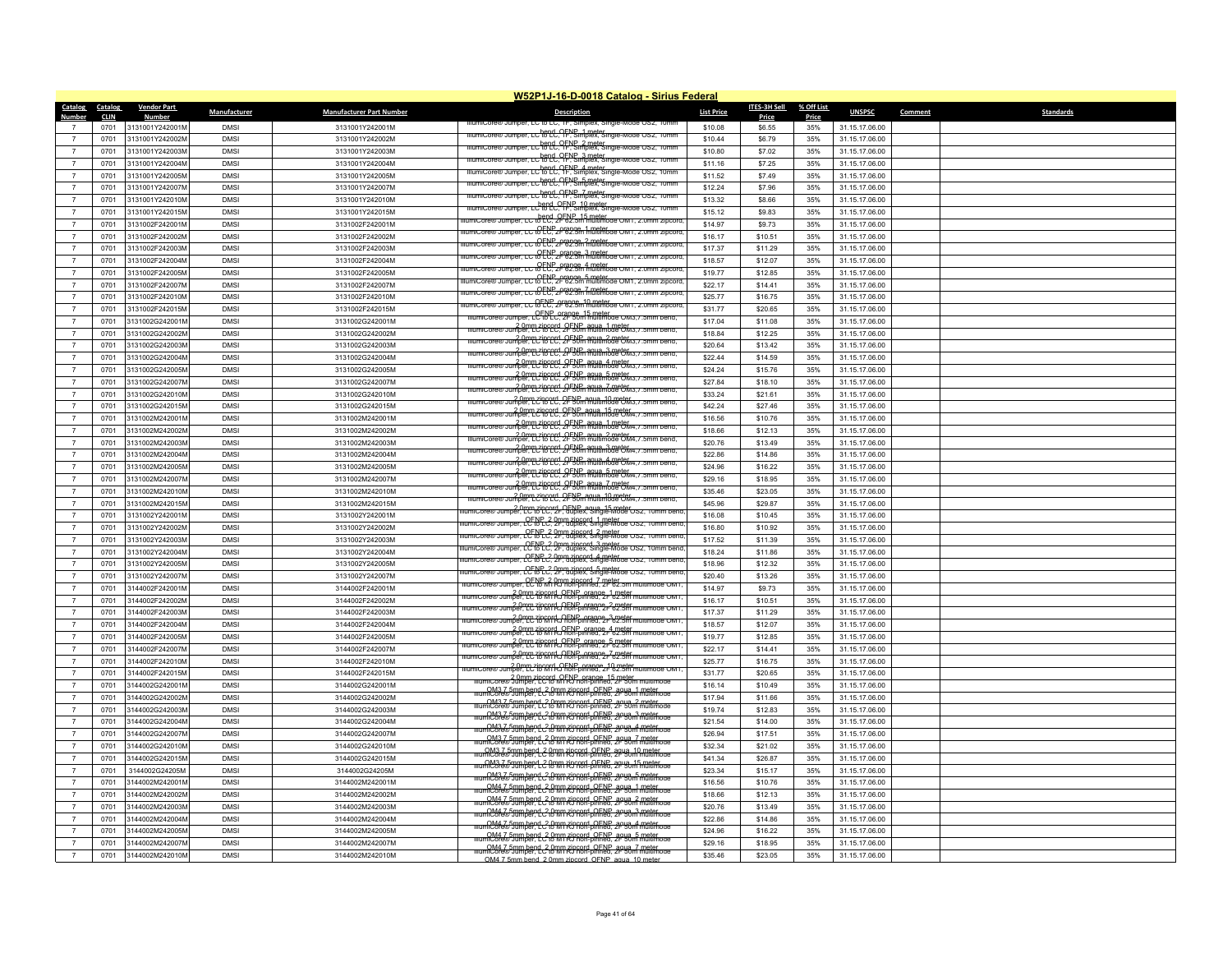|                          | W52P1J-16-D-0018 Catalog - Sirius Federal |                    |              |                                 |                                                                                                                                                                                                                                                                                                                                                           |                   |                       |                     |                |                             |  |  |
|--------------------------|-------------------------------------------|--------------------|--------------|---------------------------------|-----------------------------------------------------------------------------------------------------------------------------------------------------------------------------------------------------------------------------------------------------------------------------------------------------------------------------------------------------------|-------------------|-----------------------|---------------------|----------------|-----------------------------|--|--|
| <b>Catalog</b><br>Number | <b>Catalog</b><br><b>CLIN</b>             | <b>Vendor Part</b> | Manufacturer | <b>Manufacturer Part Number</b> | <b>Description</b>                                                                                                                                                                                                                                                                                                                                        | <b>List Price</b> | ITES-3H Sell<br>Price | % Off List<br>Price | <b>UNSPSC</b>  | Comment<br><b>Standards</b> |  |  |
|                          | 0701                                      | 3131001Y242001M    | <b>DMSI</b>  | 3131001Y242001M                 |                                                                                                                                                                                                                                                                                                                                                           | \$10.08           | \$6.55                | 35%                 | 31.15.17.06.00 |                             |  |  |
| $\overline{7}$           | 0701                                      | 3131001Y242002M    | <b>DMSI</b>  | 3131001Y242002M                 | IllumiCore® Jumper, LC to LC. TF. Simplex, Single-Mode OS2, 10mm                                                                                                                                                                                                                                                                                          | \$10.44           | \$6.79                | 35%                 | 31.15.17.06.00 |                             |  |  |
| $\overline{7}$           | 0701                                      | 3131001Y242003M    | <b>DMSI</b>  | 3131001Y242003M                 | IllumiCore® Jumper, LC to LC. 9FNS meter single-Mode OS2, 10mm                                                                                                                                                                                                                                                                                            | \$10.80           | \$7.02                | 35%                 | 31.15.17.06.00 |                             |  |  |
| $\overline{7}$           | 0701                                      | 3131001Y242004M    | <b>DMSI</b>  | 3131001Y242004M                 | IllumiCore® Jumper, LC to LC, 1F, Simplex, Single-Mode OS2, 10mm                                                                                                                                                                                                                                                                                          | \$11.16           | \$7.25                | 35%                 | 31.15.17.06.00 |                             |  |  |
| $\overline{7}$           | 0701                                      | 3131001Y242005M    | <b>DMSI</b>  | 3131001Y242005M                 | Jumper, LC to LC. OFNS 4 meter. Single-Mode OS2                                                                                                                                                                                                                                                                                                           | \$11.52           | \$7.49                | 35%                 | 31.15.17.06.00 |                             |  |  |
| $\overline{7}$           | 0701                                      | 3131001Y242007M    | <b>DMSI</b>  | 3131001Y242007M                 | er.cch8PC.OFNSmorekes.nom                                                                                                                                                                                                                                                                                                                                 | \$12.24           | \$7.96                | 35%                 | 31.15.17.06.00 |                             |  |  |
| $\overline{7}$           | 0701                                      | 3131001Y242010M    | <b>DMSI</b>  | 3131001Y242010M                 | LC REPL, RFN Simplex, Single-M                                                                                                                                                                                                                                                                                                                            | \$13.32           | \$8.66                | 35%                 | 31.15.17.06.00 |                             |  |  |
| $\overline{7}$           | 0701                                      | 3131001Y242015M    | <b>DMSI</b>  | 3131001Y242015M                 | Jumper, LC <sup>h</sup> fo LC FP Simplex, Single-Mode OSZ                                                                                                                                                                                                                                                                                                 | \$15.12           | \$9.83                | 35%                 | 31.15.17.06.00 |                             |  |  |
|                          | 0701                                      | 3131002F242001M    | <b>DMSI</b>  | 3131002F242001M                 | llumiCore® Jumper. LC to LC. 2F 62.5m multimode OM1. 2.0mm zipcord                                                                                                                                                                                                                                                                                        | \$14.97           | \$9.73                | 35%                 | 31.15.17.06.00 |                             |  |  |
| $\overline{7}$           | 0701                                      | 3131002F242002M    | <b>DMSI</b>  | 3131002F242002M                 | llumiCore® Jumper. LC to EU. 2F 62.5m multimode OM1. 2.0mm zipcord                                                                                                                                                                                                                                                                                        | \$16.17           | \$10.51               | 35%                 | 31.15.17.06.00 |                             |  |  |
| $\overline{7}$           | 0701                                      | 3131002F242003M    | <b>DMSI</b>  | 3131002F242003M                 | <del>per, LC ו-PENP orange ? המולח הספר</del>                                                                                                                                                                                                                                                                                                             | \$17.37           | \$11.29               | 35%                 | 31.15.17.06.00 |                             |  |  |
| $\overline{7}$           | 0701                                      | 3131002F242004M    | <b>DMSI</b>  | 3131002F242004M                 | llumiCore® Jumper. LC to ECP_crange. 3 meter.<br>IlumiCore® Jumper. LC to ECP_2F 62.5m multimode OM1. 2.0mm zipcord                                                                                                                                                                                                                                       | \$18.57           | \$12.07               | 35%                 | 31.15.17.06.00 |                             |  |  |
| $\overline{7}$           | 0701                                      | 3131002F242005M    | <b>DMSI</b>  | 3131002F242005M                 | illumiCore® Jumper. LC to EC. 2F 62.5m multimode OM1. 2.0mm zipcord                                                                                                                                                                                                                                                                                       | \$19.77           | \$12.85               | 35%                 | 31.15.17.06.00 |                             |  |  |
| $\overline{7}$           | 0701                                      | 3131002F242007M    | <b>DMSI</b>  | 3131002F242007M                 | per, LC to LC, 2F62.5m multimode OM1, 2.0mm zipcord                                                                                                                                                                                                                                                                                                       | \$22.17           | \$14.41               | 35%                 | 31.15.17.06.00 |                             |  |  |
|                          | 0701                                      | 3131002F242010M    | <b>DMSI</b>  | 3131002F242010M                 | LC to ELC, 2F 62.5m multimode OM1, 2.0mm zipcoro                                                                                                                                                                                                                                                                                                          | \$25.77           | \$16.75               | 35%                 | 31.15.17.06.00 |                             |  |  |
| $\overline{7}$           | 0701                                      | 3131002F242015M    | <b>DMSI</b>  | 3131002F242015M                 | Jumper, LC & ELL, Arange, 10 meter com 1, 2.0mm zipcoro                                                                                                                                                                                                                                                                                                   | \$31.77           | \$20.65               | 35%                 | 31.15.17.06.00 |                             |  |  |
| $\overline{7}$           | 0701                                      | 3131002G242001M    | <b>DMSI</b>  | 3131002G242001M                 | numiCore® Jumper, LC to LC, 2P 30m multimode OM3, 7.5n                                                                                                                                                                                                                                                                                                    | \$17.04           | \$11.08               | 35%                 | 31.15.17.06.00 |                             |  |  |
| $\overline{7}$           | 0701                                      | 3131002G242002M    | <b>DMSI</b>  | 3131002G242002M                 | <b>20mm 718 CCC: 2F5VFm AGUIRmode CM3.7.5r</b>                                                                                                                                                                                                                                                                                                            | \$18.84           | \$12.25               | 35%                 | 31.15.17.06.00 |                             |  |  |
| $\overline{7}$           | 0701                                      | 3131002G242003M    | <b>DMSI</b>  | 3131002G242003M                 | allumicore® Jumper PC Rene Communicate CM3. / 5mm bend.                                                                                                                                                                                                                                                                                                   | \$20.64           | \$13.42               | 35%                 | 31.15.17.06.00 |                             |  |  |
| $\overline{7}$           | 0701                                      | 3131002G242004M    | <b>DMSI</b>  | 3131002G242004M                 | IllumiCore® Jumper, LC16CC, 2FNP, agua, 3 meter<br>IllumiCore® Jumper, LC16CC, 2F50m multimode OM3. / .5mm bend.                                                                                                                                                                                                                                          | \$22.44           | \$14.59               | 35%                 | 31.15.17.06.00 |                             |  |  |
|                          | 0701                                      | 3131002G242005M    | <b>DMSI</b>  | 3131002G242005M                 | <u> 20mm zincerd. 2FNP anua 4 meter 3.7.51</u>                                                                                                                                                                                                                                                                                                            | \$24.24           | \$15.76               | 35%                 | 31.15.17.06.00 |                             |  |  |
| $\overline{7}$           | 0701                                      | 3131002G242007M    | <b>DMSI</b>  | 3131002G242007M                 | mumicore® Jumper. pc/16CC. 2F50m multimode OM3. / .5mm bend.                                                                                                                                                                                                                                                                                              | \$27.84           | \$18.10               | 35%                 | 31.15.17.06.00 |                             |  |  |
| $\overline{7}$           | 0701                                      | 3131002G242010M    | <b>DMSI</b>  | 3131002G242010M                 | Illumicore® Jumper. LC to LC. 2F50m anuamode 6M3.7                                                                                                                                                                                                                                                                                                        | \$33.24           | \$21.61               | 35%                 | 31.15.17.06.00 |                             |  |  |
| $\overline{7}$           | 0701                                      | 3131002G242015M    | <b>DMSI</b>  | 3131002G242015M                 | 2.0mm zipcord, OFNB agua 10 meter                                                                                                                                                                                                                                                                                                                         | \$42.24           | \$27.46               | 35%                 | 31.15.17.06.00 |                             |  |  |
| $\overline{7}$           | 0701                                      | 3131002M242001M    | <b>DMSI</b>  | 3131002M242001M                 | 2.0mm zipcord, OENP aqua, 15 meter<br>umper, LC 60 LC, 2F 50m multimode OM4, 7.5mm                                                                                                                                                                                                                                                                        | \$16.56           | \$10.76               | 35%                 | 31.15.17.06.00 |                             |  |  |
|                          | 0701                                      | 3131002M242002M    | <b>DMSI</b>  | 3131002M242002M                 | niumiCore® Jumper, LC to LC, 2F 50m multimode OM4, / .5mm bend,                                                                                                                                                                                                                                                                                           | \$18.66           | \$12.13               | 35%                 | 31.15.17.06.00 |                             |  |  |
| $\overline{7}$           | 0701                                      | 3131002M242003M    | <b>DMSI</b>  | 3131002M242003M                 | ammCore® Jumper, LCto CCt, 2F50m aqua. 2 meter                                                                                                                                                                                                                                                                                                            | \$20.76           | \$13.49               | 35%                 | 31.15.17.06.00 |                             |  |  |
| $\overline{7}$           | 0701                                      | 3131002M242004M    | <b>DMSI</b>  | 3131002M242004M                 | <u>20mm zierrei "2FBU multimode GM4, z. </u>                                                                                                                                                                                                                                                                                                              | \$22.86           | \$14.86               | 35%                 | 31.15.17.06.00 |                             |  |  |
| $\overline{7}$           | 0701                                      | 3131002M242005M    | <b>DMSI</b>  | 3131002M242005M                 | allumicore® Jumper. 22 Comme 210 cm 210 cm 2 Cm 2 Cm 2 Cm 2 Cm 3 mail and 3 meter                                                                                                                                                                                                                                                                         | \$24.96           | \$16.22               | 35%                 | 31.15.17.06.00 |                             |  |  |
| $\overline{7}$           | 0701                                      | 3131002M242007M    | <b>DMSI</b>  | 3131002M242007M                 | IllumiCore® Jumper, LC16CC, 2FNP, aqua, 5 meter.<br>IllumiCore® Jumper, LC16CC, 2F50m multimode OM4. / .5mm bend.                                                                                                                                                                                                                                         | \$29.16           | \$18.95               | 35%                 | 31.15.17.06.00 |                             |  |  |
| $\overline{7}$           | 0701                                      | 3131002M242010M    | <b>DMSI</b>  | 3131002M242010M                 | Reference to the CC of the Community of the Community of the Community of the Community of the Community of the                                                                                                                                                                                                                                           | \$35.46           | \$23.05               | 35%                 | 31.15.17.06.00 |                             |  |  |
|                          | 0701                                      | 3131002M242015M    | <b>DMSI</b>  | 3131002M242015M                 | ere umper Tripcord. OF NB aqua 10 meter / 5mm pend.                                                                                                                                                                                                                                                                                                       | \$45.96           | \$29.87               | 35%                 | 31.15.17.06.00 |                             |  |  |
| $\overline{7}$           | 0701                                      | 3131002Y242001M    | <b>DMSI</b>  | 3131002Y242001M                 | numiCore® Jumper, LC to LC, 2F, duplex, Single-Mode OS2, 10mm bend                                                                                                                                                                                                                                                                                        | \$16.08           | \$10.45               | 35%                 | 31.15.17.06.00 |                             |  |  |
| $\overline{7}$           | 0701                                      | 3131002Y242002M    | <b>DMSI</b>  | 3131002Y242002M                 | Jumper, CC to LC, Omm zincord, 1 meter                                                                                                                                                                                                                                                                                                                    | \$16.80           | \$10.92               | 35%                 | 31.15.17.06.00 |                             |  |  |
| $\overline{7}$           | 0701                                      | 3131002Y242003M    | <b>DMSI</b>  | 3131002Y242003M                 | Jumper, CC to C., Omm zincord, 2 meter<br>Jumper, CC to C., OF, duplex, Single-Mode                                                                                                                                                                                                                                                                       | \$17.52           | \$11.39               | 35%                 | 31.15.17.06.00 |                             |  |  |
| $\overline{7}$           | 0701                                      | 3131002Y242004M    | <b>DMSI</b>  | 3131002Y242004M                 | ilumiCore® Jumper. LCFNPC? Opmazincord. 3 meter.<br>IlumiCore® Jumper. LCFNPC? Opmazincord. Single-Mode OS2.                                                                                                                                                                                                                                              | \$18.24           | \$11.86               | 35%                 | 31.15.17.06.00 |                             |  |  |
| $\overline{7}$           | 0701                                      | 3131002Y242005M    | <b>DMSI</b>  | 3131002Y242005M                 | llumiCore® Jumper, CCRCC, 2P, quiplex, Single-Mode OS2, 10mm benc                                                                                                                                                                                                                                                                                         | \$18.96           | \$12.32               | 35%                 | 31.15.17.06.00 |                             |  |  |
| $\overline{7}$           | 0701                                      | 3131002Y242007M    | <b>DMSI</b>  | 3131002Y242007M                 | Jumper. CCFNPC? Omm zincord, 5 meter.<br>Jumper. CCFNPC? 2F. duplex, Single-Mode OS2,                                                                                                                                                                                                                                                                     | \$20.40           | \$13.26               | 35%                 | 31.15.17.06.00 |                             |  |  |
| $\overline{7}$           | 0701                                      | 3144002F242001M    | <b>DMSI</b>  | 3144002F242001M                 | umiCore® Jumper. (CENP, 2 0mm zipcord, 7 meter.<br>umiCore® Jumper. (CE16 MTRJ non-binned, 2F 62.5m multimode OM1                                                                                                                                                                                                                                         | \$14.97           | \$9.73                | 35%                 | 31.15.17.06.00 |                             |  |  |
| $\overline{7}$           | 0701                                      | 3144002F242002M    | <b>DMSI</b>  | 3144002F242002M                 | community of the Summary of the Summary of the Summary of the Summary of the Summary of the Summary of the Summary of the Summary of the Summary of the Summary of the Summary of the Summary of the Summary of the Summary of                                                                                                                            | \$16.17           | \$10.51               | 35%                 | 31.15.17.06.00 |                             |  |  |
| $\overline{7}$           | 0701                                      | 3144002F242003M    | <b>DMSI</b>  | 3144002F242003M                 | llumiCore® Jumper. LC to MIRJ non-pinned. 2r b2.5m multimode OM1                                                                                                                                                                                                                                                                                          | \$17.37           | \$11.29               | 35%                 | 31.15.17.06.00 |                             |  |  |
| $\overline{7}$           | 0701                                      | 3144002F242004M    | <b>DMSI</b>  | 3144002F242004M                 | 1 november, 10 mm 2 november 10 mm 2 november 2 november 2 november 3 meter<br>IlumiCore® Jumper, LC to MTRJ non-pinned, 2F 62.5m multimode OM1                                                                                                                                                                                                           | \$18.57           | \$12.07               | 35%                 | 31.15.17.06.00 |                             |  |  |
| $\overline{7}$           | 0701                                      | 3144002F242005M    | <b>DMSI</b>  | 3144002F242005M                 | llumiCore® Jumper. PC to COTR CENP arange, 4 meter<br>llumiCore® Jumper. PC to COTR J hon-pinned. 2r 62.5m multimode OM1                                                                                                                                                                                                                                  | \$19.77           | \$12.85               | 35%                 | 31.15.17.06.00 |                             |  |  |
| $\overline{7}$           | 0701                                      | 3144002F242007M    | <b>DMSI</b>  | 3144002F242007M                 | 2.0mm zipcord, OENP, orange, 5 meter<br>Jumper, LC to MTRJ non-pinned, 2F 62.5m multimode OM1.                                                                                                                                                                                                                                                            | \$22.17           | \$14.41               | 35%                 | 31.15.17.06.00 |                             |  |  |
| $\overline{7}$           | 0701                                      | 3144002F242010M    | <b>DMSI</b>  | 3144002F242010M                 | micore® Jumper, LC to MTRJ non-pinned, 2F 62.5m multimode OM*                                                                                                                                                                                                                                                                                             | \$25.77           | \$16.75               | 35%                 | 31.15.17.06.00 |                             |  |  |
| $\overline{7}$           | 0701                                      | 3144002F242015M    | <b>DMSI</b>  | 3144002F242015M                 | llumiCore® Jumper. LC7660ffkJFMP-prange_10.meter<br>llumiCore® Jumper. LC7660ffkJFMP-pinned. 2F62.5m multimode OM1                                                                                                                                                                                                                                        | \$31.77           | \$20.65               | 35%                 | 31.15.17.06.00 |                             |  |  |
| $\overline{7}$           | 0701                                      | 3144002G242001M    | <b>DMSI</b>  | 3144002G242001M                 | Illumicore® Jumper PC fd MFRJ non-pinned. 2P 50m multimode                                                                                                                                                                                                                                                                                                | \$16.14           | \$10.49               | 35%                 | 31.15.17.06.00 |                             |  |  |
| $\overline{7}$           | 0701                                      | 3144002G242002M    | <b>DMSI</b>  | 3144002G242002M                 | llumiCore®Jumper LC to MTRJ non-pinned, 2F 50m multimode<br>$\frac{OM3.7.5mm}{M1.05}$ humber $\frac{2.0mm}{M1.05}$ $\frac{1}{1.000}$ $\frac{1}{1.000}$ $\frac{1}{1.000}$ $\frac{1}{1.000}$ $\frac{1}{1.000}$ $\frac{1}{1.000}$ $\frac{1}{1.000}$ $\frac{1}{1.000}$ $\frac{1}{1.000}$ $\frac{1}{1.000}$ $\frac{1}{1.000}$ $\frac{1}{1.000}$ $\frac{1}{1.0$ | \$17.94           | \$11.66               | 35%                 | 31.15.17.06.00 |                             |  |  |
| $\overline{7}$           | 0701                                      | 3144002G242003M    | <b>DMSI</b>  | 3144002G242003M                 | numiCore®Jumber LC & MTRJ room OFNP agua_3 meter<br>IlumiCore®Jumber LC & MTRJ hon-pinned. 2F 50m multimode                                                                                                                                                                                                                                               | \$19.74           | \$12.83               | 35%                 | 31.15.17.06.00 |                             |  |  |
| $\overline{7}$           | 0701                                      | 3144002G242004M    | <b>DMSI</b>  | 3144002G242004M                 |                                                                                                                                                                                                                                                                                                                                                           | \$21.54           | \$14.00               | 35%                 | 31.15.17.06.00 |                             |  |  |
| $\overline{7}$           | 0701                                      | 3144002G242007M    | <b>DMSI</b>  | 3144002G242007M                 | numiCore® Jumber LC to MTRJ non-pinned. 2F 50m multimode<br>umiCore®50mber d 2.0mm zincord OENP agua 7 moter og                                                                                                                                                                                                                                           | \$26.94           | \$17.51               | 35%                 | 31.15.17.06.00 |                             |  |  |
|                          | 0701                                      | 3144002G242010M    | <b>DMSI</b>  | 3144002G242010M                 | <u>illumiCore® Jumber L 2 DMM RD AGN - OFNB agua 10 mater.</u>                                                                                                                                                                                                                                                                                            | \$32.34           | \$21.02               | 35%                 | 31.15.17.06.00 |                             |  |  |
| $\overline{7}$           | 0701                                      | 3144002G242015M    | <b>DMSI</b>  | 3144002G242015M                 |                                                                                                                                                                                                                                                                                                                                                           | \$41.34           | \$26.87               | 35%                 | 31.15.17.06.00 |                             |  |  |
| $\overline{7}$           | 0701                                      | 3144002G24205M     | <b>DMSI</b>  | 3144002G24205M                  | OM3.7.5mm bend 2 0mm rincord OENP agua 15 meter<br>IlumiCore® Jumper, LC 0mm RJ non-pinned, 2F 50m multimode                                                                                                                                                                                                                                              | \$23.34           | \$15.17               | 35%                 | 31.15.17.06.00 |                             |  |  |
| $\overline{7}$           | 0701                                      | 3144002M242001M    | <b>DMSI</b>  | 3144002M242001M                 | OM3.7.5mm hend 2.0mm zincord, OENP, agua, 5.meter<br>umiCore® Jumper, LC to MTRJ non-pinned, 2F 50m multimode<br><u>ijumiCore® Jumber L 2 (Pmm zin sori-oli FNP, aguja 1 meter ode</u>                                                                                                                                                                    | \$16.56           | \$10.76               | 35%                 | 31.15.17.06.00 |                             |  |  |
| $\overline{7}$           | 0701                                      | 3144002M242002M    | <b>DMSI</b>  | 3144002M242002M                 | <u>illumiCore® Jumbend 2 0mm zincord OENP agua 2 meter og</u>                                                                                                                                                                                                                                                                                             | \$18.66           | \$12.13               | 35%                 | 31.15.17.06.00 |                             |  |  |
| $\overline{7}$           | 0701                                      | 3144002M242003N    | <b>DMSI</b>  | 3144002M242003M                 |                                                                                                                                                                                                                                                                                                                                                           | \$20.76           | \$13.49               | 35%                 | 31.15.17.06.00 |                             |  |  |
|                          | 0701                                      | 3144002M242004M    | <b>DMSI</b>  | 3144002M242004M                 | nter CM4.7.5mm hend 2.0mm zincord, OENP, agua, 3 meter<br>llumiCore® Jumper, LC to MTRJ non-pinned, 2F 50m multimode<br>number of the community of the state of the community of the community of the community of the community of the community of the community of the community of the community of the community of the community of the communit    | \$22.86           | \$14.86               | 35%                 | 31.15.17.06.00 |                             |  |  |
|                          | 0701                                      | 3144002M242005M    | <b>DMSI</b>  | 3144002M242005M                 | <u>OM4 7 5mm bend 2 0mm zincord, OENP, agua, 5 meter</u><br>umiCore® Jumper, LC (8 MTR) non-pinned, 2F 50m multimode                                                                                                                                                                                                                                      | \$24.96           | \$16.22               | 35%                 | 31.15.17.06.00 |                             |  |  |
|                          | 0701                                      | 3144002M242007M    | <b>DMSI</b>  | 3144002M242007M                 | numiCore® Jumper L 2 0 mm zincord OENP aqua 7 meter                                                                                                                                                                                                                                                                                                       | \$29.16           | \$18.95               | 35%                 | 31.15.17.06.00 |                             |  |  |
| $\overline{7}$           | 0701                                      | 3144002M242010M    | <b>DMSI</b>  | 3144002M242010M                 | OM4 7.5mm hend 2.0mm zincord, OENP, agua, 10 meter                                                                                                                                                                                                                                                                                                        | \$35.46           | \$23.05               | 35%                 | 31.15.17.06.00 |                             |  |  |
|                          |                                           |                    |              |                                 |                                                                                                                                                                                                                                                                                                                                                           |                   |                       |                     |                |                             |  |  |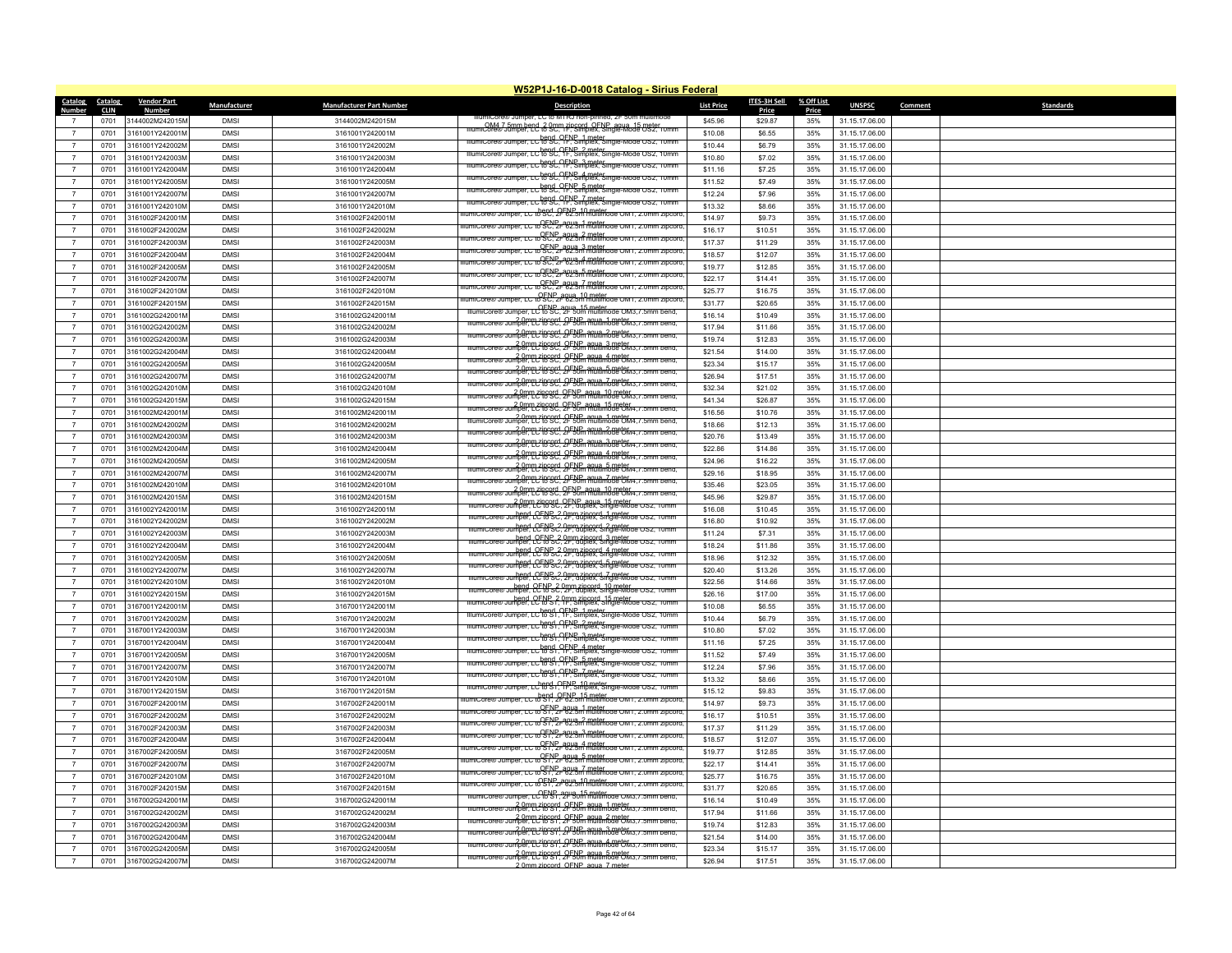|                                  | W52P1J-16-D-0018 Catalog - Sirius Federal |                           |              |                                    |                                                                                                                                                                                  |                   |                    |              |                                  |         |                  |  |
|----------------------------------|-------------------------------------------|---------------------------|--------------|------------------------------------|----------------------------------------------------------------------------------------------------------------------------------------------------------------------------------|-------------------|--------------------|--------------|----------------------------------|---------|------------------|--|
| <b>Catalog</b>                   | Catalog                                   | <b>Vendor Part</b>        | Manufacturer | <b>Manufacturer Part Number</b>    | <b>Description</b>                                                                                                                                                               | <b>List Price</b> | ITES-3H Sell       | % Off List   | <b>UNSPSC</b>                    | Comment | <b>Standards</b> |  |
| Number<br>$\overline{7}$         | <b>CLIN</b><br>0701                       | Number<br>3144002M242015M | <b>DMSI</b>  | 3144002M242015M                    | ® Jumper. LC to M I RJ non-pi                                                                                                                                                    | \$45.96           | Price<br>\$29.87   | Price<br>35% | 31.15.17.06.00                   |         |                  |  |
| $\overline{7}$                   | 0701                                      | 3161001Y242001M           | <b>DMSI</b>  | 3161001Y242001M                    | mumiCore®Jumper ed & 9cm ringerd, OFNP agua 15 meter                                                                                                                             | \$10.08           | \$6.55             | 35%          | 31.15.17.06.00                   |         |                  |  |
| $\overline{7}$                   | 0701                                      | 3161001Y242002M           | <b>DMSI</b>  | 3161001Y242002M                    | IllumiCore® Jumper, LC to SC, 1F, Simplex, Single-Mode OS2, 10mm                                                                                                                 | \$10.44           | \$6.79             | 35%          | 31.15.17.06.00                   |         |                  |  |
| $\overline{7}$                   |                                           | 3161001Y242003M           |              |                                    | IllumiCore® Jumper, LC to SC, 1F, Simplex, Single-Mode OS2, 10mm                                                                                                                 |                   |                    |              |                                  |         |                  |  |
|                                  | 0701                                      |                           | <b>DMSI</b>  | 3161001Y242003M                    | IllumiCore® Jumper, LC to SC. TF. Simplex, Single-Mode OS2, 10mm                                                                                                                 | \$10.80           | \$7.02             | 35%          | 31.15.17.06.00                   |         |                  |  |
| $\overline{7}$                   | 0701                                      | 3161001Y242004M           | <b>DMSI</b>  | 3161001Y242004M                    | ilumiCore® Jumper, LC f6 SC, YFN Simplex, Single-Mode OS2, 10mm                                                                                                                  | \$11.16           | \$7.25             | 35%          | 31.15.17.06.00                   |         |                  |  |
| $\overline{7}$                   | 0701                                      | 3161001Y242005M           | <b>DMSI</b>  | 3161001Y242005M                    | IllumiCore® Jumper, LC te SC, TF, Smolex, Single-Mode OS2, 10mm                                                                                                                  | \$11.52           | \$7,49             | 35%          | 31.15.17.06.00                   |         |                  |  |
| $\overline{7}$                   | 0701                                      | 3161001Y242007M           | <b>DMSI</b>  | 3161001Y242007M                    | IllumiCore® Jumper, LC to SC, TF, Simplex, Single-Mode OS2, 10mm                                                                                                                 | \$12.24           | \$7.96             | 35%          | 31.15.17.06.00                   |         |                  |  |
| $\overline{7}$                   | 0701                                      | 3161001Y242010M           | <b>DMSI</b>  | 3161001Y242010M                    | mper. LC to SC. 2FNP, 10 meter<br>mper. LC to SC. 2F 62.5m multimode OM1. 2.0mm zipcore                                                                                          | \$13.32           | \$8.66             | 35%          | 31.15.17.06.00                   |         |                  |  |
| $\overline{7}$                   | 0701                                      | 3161002F242001M           | <b>DMSI</b>  | 3161002F242001M                    | lumiCore® Jumper, LC to SC, 2r 62.5m multimode OM1, 2.0mm zipcord                                                                                                                | \$14.97           | \$9.73             | 35%          | 31.15.17.06.00                   |         |                  |  |
| $\overline{7}$                   | 0701                                      | 3161002F242002M           | <b>DMS</b>   | 3161002F242002M                    | mper, LC to SEC, 2r 62.3m multimode OM1, 2.0mm zipcoro                                                                                                                           | \$16.17           | \$10.51            | 35%          | 31.15.17.06.00                   |         |                  |  |
| $\overline{7}$                   | 0701                                      | 3161002F242003M           | <b>DMS</b>   | 3161002F242003M                    | nper. LC to SC, 2r 62.3m multimode OM1, 2.0mm zipcoro                                                                                                                            | \$17.37           | \$11.29            | 35%          | 31.15.17.06.00                   |         |                  |  |
| $\overline{7}$                   | 0701                                      | 3161002F242004M           | <b>DMSI</b>  | 3161002F242004M                    | Jumper. LC to SC, 2F 62.5m multimode OM1, 2.0mm zipcore                                                                                                                          | \$18.57           | \$12.07            | 35%          | 31.15.17.06.00                   |         |                  |  |
| $\overline{7}$                   | 0701                                      | 3161002F242005M           | <b>DMSI</b>  | 3161002F242005M                    | per. LC to SC, 2F 62.5m multimode OM1, 2.0m                                                                                                                                      | \$19.77           | \$12.85            | 35%          | 31.15.17.06.00                   |         |                  |  |
| $\overline{7}$                   | 0701                                      | 3161002F242007M           | <b>DMSI</b>  | 3161002F242007M                    | umper, LC to SC, 2F 62.5m multimode OM1, 2.0mm zipcord                                                                                                                           | \$22.17           | \$14.41            | 35%          | 31.15.17.06.00                   |         |                  |  |
| $\overline{7}$                   | 0701                                      | 3161002F242010M           | <b>DMSI</b>  | 3161002F242010M                    | umiCore® Jumper. LC to SC. 2F 62.5m multimode OM1. 2.0mm zipcord                                                                                                                 | \$25.77           | \$16.75            | 35%          | 31.15.17.06.00                   |         |                  |  |
| $\overline{7}$                   | 0701                                      | 3161002F242015M           | <b>DMSI</b>  | 3161002F242015M                    | imper, LC 16 SC, 2P 3um multimode OM3, / .5mm bend                                                                                                                               | \$31.77           | \$20.65            | 35%          | 31.15.17.06.00                   |         |                  |  |
| $\overline{7}$                   | 0701                                      | 3161002G242001M           | <b>DMSI</b>  | 3161002G242001M                    | numicore® Jumper. PC/RSPC 2FNP aqua_1 meter<br>Multimode CM3. 7.5mm bend.                                                                                                        | \$16.14           | \$10.49            | 35%          | 31.15.17.06.00                   |         |                  |  |
| $\overline{7}$                   | 0701                                      | 3161002G242002M           | <b>DMSI</b>  | 3161002G242002M                    |                                                                                                                                                                                  | \$17.94           | \$11.66            | 35%          | 31.15.17.06.00                   |         |                  |  |
| $\overline{7}$                   | 0701                                      | 3161002G242003M           | <b>DMSI</b>  | 3161002G242003M                    | Illumicore® Jumper, LCto SC, 2FNP, agua, 2 meter.<br>Illumicore® Jumper, LCto SC, 2FNP, multimode OM3. / 5mm bend.                                                               | \$19.74           | \$12.83            | 35%          | 31.15.17.06.00                   |         |                  |  |
| $\overline{7}$                   | 0701                                      | 3161002G242004M           | <b>DMSI</b>  | 3161002G242004M                    | mumicore® Jumper. pc/16°90. 2F5Um multimode OM3. / .5mm bend.                                                                                                                    | \$21.54           | \$14.00            | 35%          | 31.15.17.06.00                   |         |                  |  |
| $\overline{7}$                   | 0701                                      | 3161002G242005M           | <b>DMS</b>   | 3161002G242005M                    | Illumicore® Jumber, LC16°SC, 2FNPm aqua. 4 meter. 7.5mm bend.                                                                                                                    | \$23.34           | \$15.17            | 35%          | 31.15.17.06.00                   |         |                  |  |
| $\overline{7}$                   | 0701                                      | 3161002G242007M           | <b>DMS</b>   | 3161002G242007M                    | Jumper, LC 18 SC, 2F 50m multimode CM3, 7.5mm                                                                                                                                    | \$26.94           | \$17.51            | 35%          | 31.15.17.06.00                   |         |                  |  |
| $\overline{7}$                   | 0701                                      | 3161002G242010M           | <b>DMS</b>   | 3161002G242010M                    | 2.0mm zipcord QFNP agua 7 meter.<br>umper II Zipcord QFNP multimode OM3 / 5mm pend.                                                                                              | \$32.34           | \$21.02            | 35%          | 31.15.17.06.00                   |         |                  |  |
| $\overline{7}$                   | 0701                                      | 3161002G242015M           | <b>DMSI</b>  | 3161002G242015M                    | numicore® Jumper TChcord, OENE agua_10 meter<br>Illumicore® Jumper TChc Str. OENE multimode OM3 7 5mm bend                                                                       | \$41.34           | \$26.87            | 35%          | 31.15.17.06.00                   |         |                  |  |
| $\overline{7}$                   | 0701                                      | 3161002M242001M           | <b>DMS</b>   | 3161002M242001M                    | v Jumper, LC R69C, 2F9B aqua 15 meter 7.5r                                                                                                                                       | \$16.56           | \$10.76            | 35%          | 31.15.17.06.00                   |         |                  |  |
| $\overline{7}$                   | 0701                                      | 3161002M242002M           | <b>DMSI</b>  | 3161002M242002M                    | Illumicore® Jumper. PC/6CSC. 2F5Um multimode CM4. / .5mm bend.                                                                                                                   | \$18.66           | \$12.13            | 35%          | 31.15.17.06.00                   |         |                  |  |
| $\overline{7}$                   | 0701                                      | 3161002M242003M           | <b>DMSI</b>  | 3161002M242003M                    | mumicore® Jumper. pc/tococd_QFNR_aqua_2 meter<br>multimode CM4. r. smm pend.                                                                                                     | \$20.76           | \$13.49            | 35%          | 31.15.17.06.00                   |         |                  |  |
| $\overline{7}$                   | 0701                                      | 3161002M242004M           | <b>DMSI</b>  | 3161002M242004M                    | 2.0mm zincord, 2FNF, agua, 3 meter<br>e® Jumper, LC to SC, 2FSUm multimode OM4, 7.5mm bend                                                                                       | \$22.86           | \$14.86            | 35%          | 31.15.17.06.00                   |         |                  |  |
| $\overline{7}$                   | 0701                                      | 3161002M242005M           | <b>DMSI</b>  | 3161002M242005M                    | numicore® Jumper. Preference of Sumper Preference of the Sumper Preference of Sumper Division of the Millims o                                                                   | \$24.96           | \$16.22            | 35%          | 31.15.17.06.00                   |         |                  |  |
| $\overline{7}$                   | 0701                                      | 3161002M242007M           | <b>DMS</b>   | 3161002M242007M                    | 2.0mm 7:06 SU, 2F 5Um multimode CM4, 7.5mm bend,                                                                                                                                 | \$29.16           | \$18.95            | 35%          | 31.15.17.06.00                   |         |                  |  |
| $\overline{7}$                   | 0701                                      | 3161002M242010M           | <b>DMSI</b>  | 3161002M242010M                    | , umper 17 718°SC DESIGN <del>aqua, 7 metrua</del> 7                                                                                                                             | \$35.46           | \$23.05            | 35%          | 31.15.17.06.00                   |         |                  |  |
| $\overline{7}$                   | 0701                                      | 3161002M242015M           | <b>DMSI</b>  | 3161002M242015M                    | <del>.‱JunnBerreZiesse, 2FNB naum.18 metr</del>                                                                                                                                  | \$45.96           | \$29.87            | 35%          | 31.15.17.06.00                   |         |                  |  |
| $\overline{7}$                   | 0701                                      | 3161002Y242001M           | <b>DMSI</b>  | 3161002Y242001M                    | TumiCore® Jumper, LC to SC, 2F, duplex, Single-Mode OS2,                                                                                                                         | \$16.08           | \$10.45            | 35%          | 31.15.17.06.00                   |         |                  |  |
| $\overline{7}$                   | 0701                                      | 3161002Y242002M           | <b>DMSI</b>  | 3161002Y242002M                    | Illumicore® Jumber, LCFNB C. 2P. dublex, Single-Mode OS2, 10mm                                                                                                                   | \$16.80           | \$10.92            | 35%          | 31.15.17.06.00                   |         |                  |  |
| $\overline{7}$                   | 0701                                      | 3161002Y242003M           | <b>DMS</b>   | 3161002Y242003M                    | ere Jumper, LC-MB 2, 0mm zincord, 2 meter.<br>ere Jumper, LC-MB C, 2F, duplex, Single-Mode OS2, 10mm                                                                             | \$11.24           | \$7.31             | 35%          | 31.15.17.06.00                   |         |                  |  |
| $\overline{7}$                   | 0701                                      | 3161002Y242004M           | <b>DMSI</b>  | 3161002Y242004M                    | bend OFNB 2 0mm zincord, 3 meter<br>Jumper, LC to SC, 2F, duplex, Single-Mode OS2, 10mm                                                                                          | \$18.24           | \$11.86            | 35%          | 31.15.17.06.00                   |         |                  |  |
|                                  | 0701                                      | 3161002Y242005M           | <b>DMSI</b>  |                                    | heed CENS 2.0mm zineerd 4 meth on usz.                                                                                                                                           | \$18.96           |                    | 35%          |                                  |         |                  |  |
| $\overline{7}$<br>$\overline{7}$ | 0701                                      | 3161002Y242007M           | <b>DMS</b>   | 3161002Y242005M<br>3161002Y242007M | bend CFN Sc? Opm zincord, 5 meter<br>Jumper, CCFO Sc? 2F, auplex, Single-Mode OS2,                                                                                               | \$20.40           | \$12.32<br>\$13.26 | 35%          | 31.15.17.06.00<br>31.15.17.06.00 |         |                  |  |
|                                  |                                           | 3161002Y242010M           | <b>DMS</b>   | 3161002Y242010M                    |                                                                                                                                                                                  | \$22.56           | \$14.66            |              |                                  |         |                  |  |
| $\overline{7}$                   | 0701                                      |                           |              |                                    | liumiCore® Jumper, CC to SC, 2F, duplex, Single-Mode OS2, 10mm                                                                                                                   |                   |                    | 35%          | 31.15.17.06.00                   |         |                  |  |
| $\overline{7}$                   | 0701                                      | 3161002Y242015M           | <b>DMS</b>   | 3161002Y242015M                    | bend OFNP ? 0pm zincord 15 meter<br>Jumper, LC to S ?, 1F, Simplex, Single-Mode OS2, 10mm                                                                                        | \$26.16           | \$17.00            | 35%          | 31.15.17.06.00                   |         |                  |  |
| $\overline{7}$                   | 0701                                      | 3167001Y242001M           | <b>DMS</b>   | 3167001Y242001M                    | Jumper, LC Rend, OFNP 1 meter<br>Jumper, LC R6S1, TF, Simplex, Single-Mode USZ, Tumm                                                                                             | \$10.08           | \$6.55             | 35%          | 31.15.17.06.00                   |         |                  |  |
| $\overline{7}$                   | 0701                                      | 3167001Y242002M           | <b>DMS</b>   | 3167001Y242002M                    | nper, LC to S1, TF, Simplex, Single-Mode OS2, 10mm                                                                                                                               | \$10.44           | \$6.79             | 35%          | 31.15.17.06.00                   |         |                  |  |
| $\overline{7}$                   | 0701                                      | 3167001Y242003M           | <b>DMSI</b>  | 3167001Y242003M                    | per, LC Rend , OFN Bun plex, Single                                                                                                                                              | \$10.80           | \$7.02             | 35%          | 31.15.17.06.00                   |         |                  |  |
| $\overline{7}$                   | 0701                                      | 3167001Y242004M           | <b>DMSI</b>  | 3167001Y242004M                    | $t$ bend, $QENR_4$ meter<br>references Single-Mode $0.57$                                                                                                                        | \$11.16           | \$7.25             | 35%          | 31.15.17.06.00                   |         |                  |  |
| $\overline{7}$                   | 0701                                      | 3167001Y242005M           | <b>DMSI</b>  | 3167001Y242005M                    | LC Rend, OFNE, 5 meter<br>LC Rend, OFNE, 5 moles, Single-Mode OS2, 10mm                                                                                                          | \$11.52           | \$7.49             | 35%          | 31.15.17.06.00                   |         |                  |  |
| $\overline{7}$                   | 0701                                      | 3167001Y242007M           | <b>DMSI</b>  | 3167001Y242007M                    | LC RB991, OF Simplest Single                                                                                                                                                     | \$12.24           | \$7.96             | 35%          | 31.15.17.06.00                   |         |                  |  |
| $\overline{7}$                   | 0701                                      | 3167001Y242010M           | <b>DMSI</b>  | 3167001Y242010M                    | IllumiCore® Jumper, LC to S1, 1F, Simplex, Single-Mode OS2, 10mm                                                                                                                 | \$13.32           | \$8.66             | 35%          | 31.15.17.06.00                   |         |                  |  |
| $\overline{7}$                   | 0701                                      | 3167001Y242015M           | <b>DMS</b>   | 3167001Y242015M                    | per, LC to SI 4, 2FMP, 15 meter<br>per, LC to SI 4, 2F 62.5m multimode OM1, 2.0mm zipcoro                                                                                        | \$15.12           | \$9.83             | 35%          | 31.15.17.06.00                   |         |                  |  |
| $\overline{7}$                   | 0701                                      | 3167002F242001M           | <b>DMSI</b>  | 3167002F242001M                    | TC to SENE agus 1 meter open om                                                                                                                                                  | \$14.97           | \$9.73             | 35%          | 31.15.17.06.00                   |         |                  |  |
| $\overline{7}$                   | 0701                                      | 3167002F242002M           | <b>DMSI</b>  | 3167002F242002M                    | LC to SFP 2 F 82.5m multimode OM1                                                                                                                                                | \$16.17           | \$10.51            | 35%          | 31.15.17.06.00                   |         |                  |  |
| $\overline{7}$                   | 0701                                      | 3167002F242003M           | <b>DMSI</b>  | 3167002F242003M                    | _ <del>_ ი SFN 2r 82.3m M010 hode Own</del>                                                                                                                                      | \$17.37           | \$11.29            | 35%          | 31.15.17.06.00                   |         |                  |  |
| $\overline{7}$                   | 0701                                      | 3167002F242004M           | <b>DMS</b>   | 3167002F242004M                    | Jumper, LC to ST. 2r 62.5m multimode OM1, 2.0mm zipcord                                                                                                                          | \$18.57           | \$12.07            | 35%          | 31.15.17.06.00                   |         |                  |  |
| $\overline{7}$                   | 0701                                      | 3167002F242005M           | <b>DMSI</b>  | 3167002F242005M                    | per, LC to ST, 21-62.5m multimode OM1, 2.0mm zipcord                                                                                                                             | \$19.77           | \$12.85            | 35%          | 31.15.17.06.00                   |         |                  |  |
| $\overline{7}$                   | 0701                                      | 3167002F242007M           | <b>DMS</b>   | 3167002F242007M                    | mper. LC to ST, 2r 62.5m multimode OM1, 2.0mm zipcord                                                                                                                            | \$22.17           | \$14.41            | 35%          | 31.15.17.06.00                   |         |                  |  |
| $\overline{7}$                   | 0701                                      | 3167002F242010M           | <b>DMSI</b>  | 3167002F242010M                    | OFNP_aqua_10 meter<br>llumiCore® Jumper, LC to S1, 2F 62.5m multimode OM1, 2.0mm zipcord.                                                                                        | \$25.77           | \$16.75            | 35%          | 31.15.17.06.00                   |         |                  |  |
| $\overline{7}$                   | 0701                                      | 3167002F242015M           | <b>DMSI</b>  | 3167002F242015M                    |                                                                                                                                                                                  | \$31.77           | \$20.65            | 35%          | 31.15.17.06.00                   |         |                  |  |
| $\overline{7}$                   | 0701                                      | 3167002G242001M           | <b>DMS</b>   | 3167002G242001M                    | မာ Jumper, <del>LC 18 ST, 22 "ဒီပါဂ် Mültimode O</del> wi <i>s, i</i><br>nome 2.0mm zipcord OFNP aqua 1 meter<br>IllumiCore® Jumper, LC to S1, 2F 50m multimode OM3, 7.5mm bend, | \$16.14           | \$10.49            | 35%          | 31.15.17.06.00                   |         |                  |  |
| $\overline{7}$                   | 0701                                      | 3167002G242002M           | <b>DMSI</b>  | 3167002G242002M                    |                                                                                                                                                                                  | \$17.94           | \$11.66            | 35%          | 31.15.17.06.00                   |         |                  |  |
| $\overline{7}$                   | 0701                                      | 3167002G242003M           | <b>DMS</b>   | 3167002G242003M                    | nlumiCore® Jumper, LC to S1, 2F 50m multimode OM3, 7.5mm bend,                                                                                                                   | \$19.74           | \$12.83            | 35%          | 31.15.17.06.00                   |         |                  |  |
| $\overline{7}$                   | 0701                                      | 3167002G242004M           | <b>DMS</b>   | 3167002G242004M                    | 2.0mm zipcord, OFNP, agua, 3.meter<br>@ Jumper, LC to S1, 2F 50m multimode OM3, 7.5mm bend,                                                                                      | \$21.54           | \$14.00            | 35%          | 31.15.17.06.00                   |         |                  |  |
| $\overline{7}$                   | 0701                                      | 3167002G242005M           | <b>DMSI</b>  | 3167002G242005M                    | 2.0mm zincord OFNP agua_4 meter<br>IllumiCore® Jumper, LC to S1, 2F 50m multimode OM3, / .5mm bend,                                                                              | \$23.34           | \$15.17            | 35%          | 31.15.17.06.00                   |         |                  |  |
| $\overline{7}$                   | 0701                                      | 3167002G242007M           | <b>DMSI</b>  | 3167002G242007M                    | mumicore® Jumper PC 18 ST, 2FNm ARUMmS metch 3,7.51<br>2.0mm zincord, OENP, agua, 7 meter                                                                                        | \$26.94           | \$17.51            | 35%          | 31.15.17.06.00                   |         |                  |  |
|                                  |                                           |                           |              |                                    |                                                                                                                                                                                  |                   |                    |              |                                  |         |                  |  |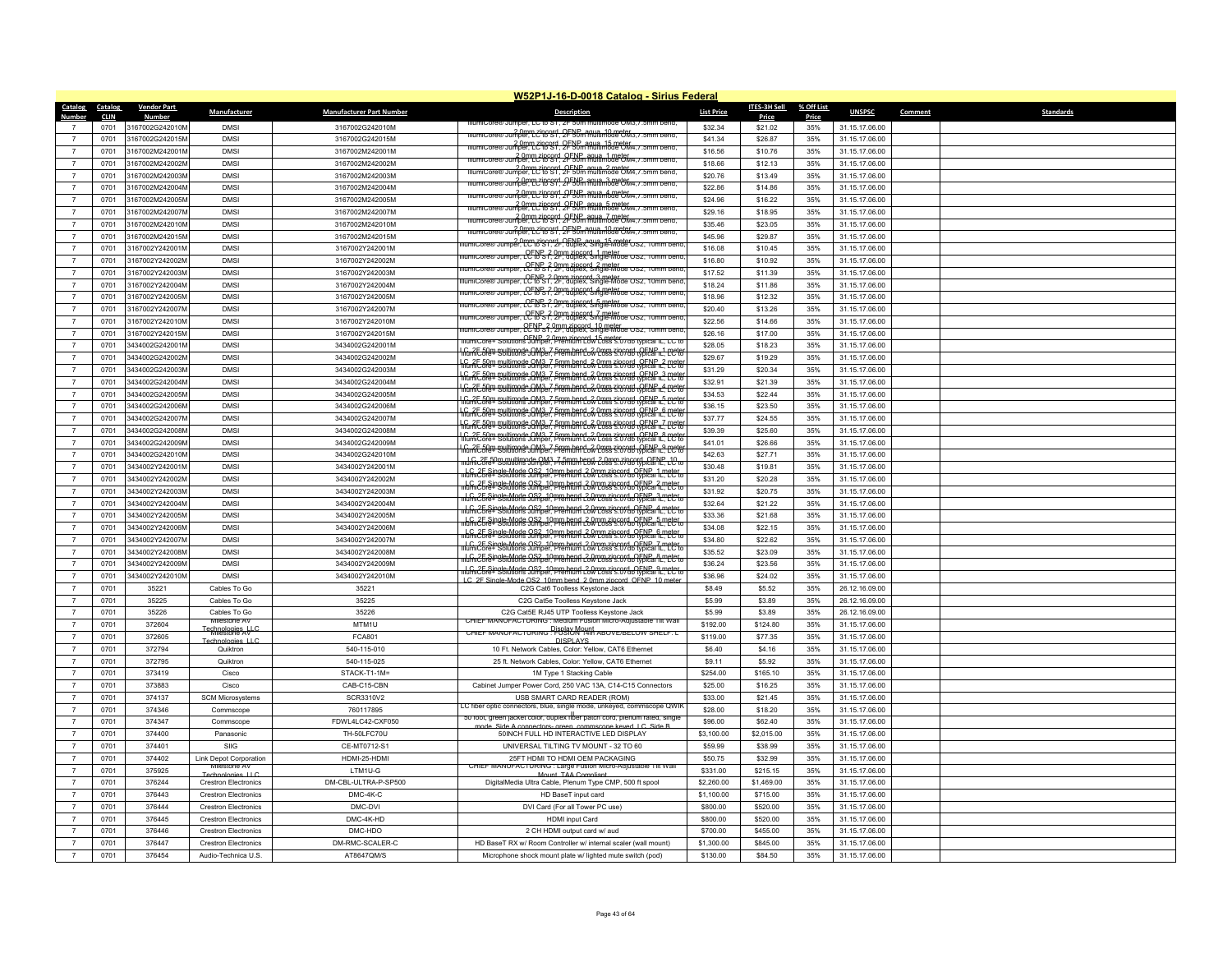|                          | W52P1J-16-D-0018 Catalog - Sirius Federal |                           |                                               |                                 |                                                                                                                                                    |                   |                  |              |                |         |                  |  |
|--------------------------|-------------------------------------------|---------------------------|-----------------------------------------------|---------------------------------|----------------------------------------------------------------------------------------------------------------------------------------------------|-------------------|------------------|--------------|----------------|---------|------------------|--|
| Catalog                  | Catalog                                   | <b>Vendor Part</b>        | Manufacturer                                  | <b>Manufacturer Part Number</b> | <b>Description</b>                                                                                                                                 | <b>List Price</b> | ITES-3H Sell     | % Off List   | <b>UNSPSC</b>  | Comment | <b>Standards</b> |  |
| Number<br>$\overline{7}$ | <b>CLIN</b><br>0701                       | Number<br>3167002G242010M | <b>DMSI</b>                                   | 3167002G242010M                 | iumicore® Jumper. LC to ST. ZF 50                                                                                                                  | \$32.34           | Price<br>\$21.02 | Price<br>35% | 31.15.17.06.00 |         |                  |  |
| $\overline{7}$           | 0701                                      | 3167002G242015M           | <b>DMSI</b>                                   | 3167002G242015M                 | mumicore® Jumper, Lc't6 S1, 2FNP aqua_10 meter. 7.5mm bend,                                                                                        | \$41.34           | \$26.87          | 35%          | 31.15.17.06.00 |         |                  |  |
| $\overline{7}$           | 0701                                      | 3167002M242001N           | <b>DMSI</b>                                   | 3167002M242001M                 | IllumiCore® Jumper, LC to S1, 2F 50m multimode CM4. / . 5mm bend.                                                                                  | \$16.56           | \$10.76          | 35%          | 31.15.17.06.00 |         |                  |  |
| $\overline{7}$           |                                           | 3167002M242002M           | <b>DMSI</b>                                   | 3167002M242002M                 | niumicore® Jumper, LC to S1, 2FNP, agua, 1 meter<br>Illumicore® Jumper, LC to S1, 2F 50m multimode OM4. / .5mm bend.                               | \$18.66           |                  | 35%          |                |         |                  |  |
| $\overline{7}$           | 0701<br>0701                              |                           | <b>DMS</b>                                    |                                 | 2 0mm zincord, OFNP, agua, 2 meter<br>imiCore® Jumper, LC to S1, 2F 50m multimode OM4, 7.5mm bend                                                  |                   | \$12.13          |              | 31.15.17.06.00 |         |                  |  |
|                          |                                           | 3167002M242003M           |                                               | 3167002M242003M                 |                                                                                                                                                    | \$20.76           | \$13.49          | 35%          | 31.15.17.06.00 |         |                  |  |
| $\overline{7}$           | 0701                                      | 3167002M242004M           | <b>DMSI</b>                                   | 3167002M242004M                 | niumicore® Jumper. PC to St. 2F50m multimode OM4. 7.5mm bend.                                                                                      | \$22.86           | \$14.86          | 35%          | 31.15.17.06.00 |         |                  |  |
| $\overline{7}$           | 0701                                      | 3167002M242005M           | <b>DMSI</b>                                   | 3167002M242005M                 | numiCore® Jumper, LCto Str, 2F50m aqua 5 meter                                                                                                     | \$24.96           | \$16.22          | 35%          | 31.15.17.06.00 |         |                  |  |
| $\overline{7}$           | 0701                                      | 3167002M242007M           | <b>DMS</b>                                    | 3167002M242007M                 | 2.0mm zipcord OFNP agus 7 meter<br>umper 1 sipcord OF 50m multimode OM4 7 5mm pend                                                                 | \$29.16           | \$18.95          | 35%          | 31.15.17.06.00 |         |                  |  |
| $\overline{7}$           | 0701                                      | 3167002M242010M           | <b>DMSI</b>                                   | 3167002M242010M                 | 2.0mm zipcord, OFNP, agua, 10 meter<br>IllumiCore® Jumper, LC to S1, 2F 50m multimode OM4. / 5mm bend.                                             | \$35.46           | \$23.05          | 35%          | 31.15.17.06.00 |         |                  |  |
| $\overline{7}$           | 0701                                      | 3167002M242015M           | <b>DMSI</b>                                   | 3167002M242015M                 | per, EC Riggery 2- 9 ENR agua 15 meter USZ                                                                                                         | \$45.96           | \$29.87          | 35%          | 31.15.17.06.00 |         |                  |  |
| $\overline{7}$           | 0701                                      | 3167002Y242001M           | <b>DMS</b>                                    | 3167002Y242001M                 | umiCore® Jumper, CCRB 2, Opm zincord, 1 meter<br>umiCore® Jumper, CCRB 2, 2F, duplex, Single-Mode OS2,                                             | \$16.08           | \$10.45          | 35%          | 31.15.17.06.00 |         |                  |  |
| $\overline{7}$           | 0701                                      | 3167002Y242002M           | <b>DMSI</b>                                   | 3167002Y242002M                 | lumiCore® Jumper, CC to S1, 2P, duplex, Single-Mode US2, 10<br>nm beno                                                                             | \$16.80           | \$10.92          | 35%          | 31.15.17.06.00 |         |                  |  |
| $\overline{7}$           | 0701                                      | 3167002Y242003M           | <b>DMSI</b>                                   | 3167002Y242003M                 | lumiCore® Jumper, LC to S1, 2F, duplex, Single-Mode OS2, 10mm bend                                                                                 | \$17.52           | \$11.39          | 35%          | 31.15.17.06.00 |         |                  |  |
| $\overline{7}$           | 0701                                      | 3167002Y242004M           | <b>DMS</b>                                    | 3167002Y242004M                 | Jumper, LC to S 7, 2F, duplex, Single-Mode OS2,                                                                                                    | \$18.24           | \$11.86          | 35%          | 31.15.17.06.00 |         |                  |  |
| $\overline{7}$           | 0701                                      | 3167002Y242005M           | <b>DMS</b>                                    | 3167002Y242005M                 | Jumber. LCFNPs ? Omm zingerd hameter usz                                                                                                           | \$18.96           | \$12.32          | 35%          | 31.15.17.06.00 |         |                  |  |
| $\overline{7}$           | 0701                                      | 3167002Y242007M           | <b>DMSI</b>                                   | 3167002Y242007M                 | umiCore® Jumper, LCFNB 2, 2mm zincord, 7 meter<br>umiCore® Jumper, LCFtoS 2, 2F, duplex, Single-Mode OS2, 10mm bend                                | \$20.40           | \$13.26          | 35%          | 31.15.17.06.00 |         |                  |  |
| $\overline{7}$           | 0701                                      | 3167002Y242010M           | <b>DMSI</b>                                   | 3167002Y242010M                 |                                                                                                                                                    | \$22.56           | \$14.66          | 35%          | 31.15.17.06.00 |         |                  |  |
| $\overline{7}$           | 0701                                      | 3167002Y242015M           | <b>DMS</b>                                    | 3167002Y242015M                 |                                                                                                                                                    | \$26.16           | \$17.00          | 35%          | 31.15.17.06.00 |         |                  |  |
| $\overline{7}$           | 0701                                      | 3434002G242001M           | <b>DMSI</b>                                   | 3434002G242001M                 | <u>G. 2F 50m multimode OM3, 7 5mm hend 2 0mm zincord QFNP L1 rete</u>                                                                              | \$28.05           | \$18.23          | 35%          | 31.15.17.06.00 |         |                  |  |
| $\overline{7}$           | 0701                                      | 3434002G242002M           | <b>DMS</b>                                    | 3434002G242002M                 | <u> "G. 2008 Salam Baltimode OM3 7 Fram hand 3 Oran sincold Wacal L2 pete</u>                                                                      | \$29.67           | \$19.29          | 35%          | 31.15.17.06.00 |         |                  |  |
| $\overline{7}$           | 0701                                      | 3434002G242003M           | <b>DMS</b>                                    | 3434002G242003M                 | lfumicofe+ Solutions Jumper, Premium Low Loss 3.07db typical iL, LC fr                                                                             | \$31.29           | \$20.34          | 35%          | 31.15.17.06.00 |         |                  |  |
| $\overline{7}$           | 0701                                      | 3434002G242004M           | <b>DMS</b>                                    | 3434002G242004M                 | C. 2E.50m multimode OM3, 7 5mm hend 2.0mm zincode GENP 4 meter                                                                                     | \$32.91           | \$21.39          | 35%          | 31.15.17.06.00 |         |                  |  |
| $\overline{7}$           | 0701                                      | 3434002G242005M           | <b>DMS</b>                                    | 3434002G242005M                 | n.<br>Inumicore+ Solutions Jumper, Premium Low Loss 3:07db typical it. LCN                                                                         | \$34.53           | \$22.44          | 35%          | 31.15.17.06.00 |         |                  |  |
| $\overline{7}$           | 0701                                      | 3434002G242006M           | <b>DMSI</b>                                   | 3434002G242006M                 | n. 2E 50m multimode OM3, 7 5mm hend 2 0mm zincord, OENP i 6 meter.<br>IllumiCore+ Solutions Jumper, Premium Low Loss 3.07db typical iL, LC to      | \$36.15           | \$23.50          | 35%          | 31.15.17.06.00 |         |                  |  |
| $\overline{7}$           | 0701                                      | 3434002G242007M           | <b>DMSI</b>                                   | 3434002G242007M                 | lfu. 2E.50m multimode OM3. 7 5mm hend 2 0mm zincord OENP i 7 rete                                                                                  | \$37.77           | \$24.55          | 35%          | 31.15.17.06.00 |         |                  |  |
| $\overline{7}$           | 0701                                      | 3434002G242008M           | <b>DMSI</b>                                   | 3434002G242008M                 | lfu. 2E.50m multimode OM3, 7 5mm hend 2 0mm zincord, OENP & meter<br>IllumiCore+ Solutions Jumper, Premium Low Loss 3:07db typical iL, LC t        | \$39.39           | \$25.60          | 35%          | 31.15.17.06.00 |         |                  |  |
| $\overline{7}$           | 0701                                      | 3434002G242009M           | <b>DMSI</b>                                   | 3434002G242009M                 | <u>G. 2E 50m multimode OM3, 7 5mm hend 2 0mm zin 646 tvocal L. PC fe</u>                                                                           | \$41.01           | \$26.66          | 35%          | 31.15.17.06.00 |         |                  |  |
| $\overline{7}$           | 0701                                      | 3434002G242010M           | <b>DMSI</b>                                   | 3434002G242010M                 | LC, 2F 50m multimode OM3, 7 5mm hend, 2 0mm zincord, OENP, 10<br>umiCore+ Solutions Jumper, Premium Low Coss s.07db typical IL, LC +               | \$42.63           | \$27.71          | 35%          | 31.15.17.06.00 |         |                  |  |
| $\overline{7}$           | 0701                                      | 3434002Y242001M           | <b>DMSI</b>                                   | 3434002Y242001M                 | <u>LC, 2E Single-Mode OS2, 10mm hend 2.0mm zincord, OENP. 1 meter</u><br>IllumiCore+ Solutions Jumper, Premium Low Loss s.07dp (voical L. LC t     | \$30.48           | \$19.81          | 35%          | 31.15.17.06.00 |         |                  |  |
| $\overline{7}$           | 0701                                      | 3434002Y242002M           | <b>DMSI</b>                                   | 3434002Y242002M                 | ul G. 2E. Single-Mode OS2, 10 mm hend 2.0 mm zincord, OENP, 2 meter.<br>UlumiCore+ Solutions Jumper, Premium Low Loss s.07dp (voical IL, LCC to    | \$31.20           | \$20.28          | 35%          | 31.15.17.06.00 |         |                  |  |
| $\overline{7}$           | 0701                                      | 3434002Y242003M           | <b>DMSI</b>                                   | 3434002Y242003M                 | LC, 2E Single Mode OS2, 10mm hend 2.0mm zincord, OENP, 3 meter.<br>IllumiCore+ Solutions Jumper, Premium Low Loss 3.07db typical IL, LC t          | \$31.92           | \$20.75          | 35%          | 31.15.17.06.00 |         |                  |  |
| $\overline{7}$           | 0701                                      | 3434002Y242004M           | <b>DMS</b>                                    | 3434002Y242004M                 | <u>LC, 2E Single Mode OS2, 10mm hend. 20mm zincord, OENP, 4 meter.</u><br>IlumiCore+ Solutions Jumper, Premium Low Loss 3.07db typical L. LC to    | \$32.64           | \$21.22          | 35%          | 31.15.17.06.00 |         |                  |  |
| $\overline{7}$           | 0701                                      | 3434002Y242005M           | <b>DMSI</b>                                   | 3434002Y242005M                 | <u>LC, 2F Single-Mode OS2, 10mm hend 2.0mm zincord, OENP, 5 meter.</u><br>IllumiCore+ Solutions Jumper, Premium Low Loss 3.07dp (voical L. LC to   | \$33.36           | \$21.68          | 35%          | 31.15.17.06.00 |         |                  |  |
| $\overline{7}$           | 0701                                      | 3434002Y242006M           | <b>DMSI</b>                                   | 3434002Y242006M                 | <u>LC, 2F Single-Mode OS2, 10mm hend 2.0mm zincord, OENP, 6 meter.</u><br>IllumiCore+ Solutions Jumper, Premium Low Loss 3.07dp typical L. LC to   | \$34.08           | \$22.15          | 35%          | 31.15.17.06.00 |         |                  |  |
| $\overline{7}$           | 0701                                      | 3434002Y242007M           | <b>DMSI</b>                                   | 3434002Y242007M                 | LC, 2E Single Mode OS2, 10mm hend, 20mm zincord, OENP, 7 meter.<br>IlumiCore+ Solutions Jumper, Premium Low Loss 3.07db typical IL, LC ti          | \$34.80           | \$22.62          | 35%          | 31.15.17.06.00 |         |                  |  |
| $\overline{7}$           | 0701                                      | 3434002Y242008M           | <b>DMS</b>                                    | 3434002Y242008M                 | <u>ILC, 2E Single Mode OS2, 10 mm hend 2.0mm zincord o CENE a meter.</u><br>IllumiCore+ Solutions Jumper, Premium Low Loss s.07dp (voical L. LC to | \$35.52           | \$23.09          | 35%          | 31.15.17.06.00 |         |                  |  |
| $\overline{7}$           | 0701                                      | 3434002Y242009M           | <b>DMSI</b>                                   | 3434002Y242009M                 | <u>ILC, 2E Single Mode OS2, 10 mm hend 2.0 mm zinc07dp PENE, 9 meter.</u><br>IllumiCore+Solutions Jumper, Premium Low Loss S.07dp Proical L. LC to | \$36.24           | \$23.56          | 35%          | 31.15.17.06.00 |         |                  |  |
| $\overline{7}$           | 0701                                      | 3434002Y242010M           | <b>DMSI</b>                                   | 3434002Y242010M                 | LC 2F Single-Mode OS2 10mm bend 2.0mm zincord OFNP 10 meter                                                                                        | \$36.96           | \$24.02          | 35%          | 31.15.17.06.00 |         |                  |  |
| $\overline{7}$           | 0701                                      | 35221                     | Cables To Go                                  | 35221                           | C2G Cat6 Toolless Keystone Jack                                                                                                                    | \$8.49            | \$5.52           | 35%          | 26.12.16.09.00 |         |                  |  |
| $\overline{7}$           | 0701                                      | 35225                     | Cables To Go                                  | 35225                           | C2G Cat5e Toolless Keystone Jack                                                                                                                   | \$5.99            | \$3.89           | 35%          | 26.12.16.09.00 |         |                  |  |
| $\overline{7}$           | 0701                                      | 35226                     | Cables To Go<br>Milestone AV                  | 35226                           | C2G Cat5E RJ45 UTP Toolless Keystone Jack<br>CHIEF MANUFACTURING: Medium Fusion Micro-Adjustable Tilt Wa                                           | \$5.99            | \$3.89           | 35%          | 26.12.16.09.00 |         |                  |  |
| $\overline{7}$           | 0701                                      | 372604                    | Technologies <sub>A</sub> U-C                 | MTM1U                           | CHIEF MANUFACTURING PISONALLA ABOVE/BELOW SHELF.                                                                                                   | \$192.00          | \$124.80         | 35%          | 31.15.17.06.00 |         |                  |  |
| $\overline{7}$           | 0701                                      | 372605                    | Technologies     0                            | <b>FCA801</b>                   | DISPLAYS                                                                                                                                           | \$119.00          | \$77.35          | 35%          | 31.15.17.06.00 |         |                  |  |
| $\overline{7}$           | 0701                                      | 372794                    | Quiktron                                      | 540-115-010                     | 10 Ft. Network Cables, Color: Yellow, CAT6 Ethernet                                                                                                | \$6.40            | \$4.16           | 35%          | 31.15.17.06.00 |         |                  |  |
| $\overline{7}$           | 0701                                      | 372795                    | Quiktron                                      | 540-115-025                     | 25 ft. Network Cables, Color: Yellow, CAT6 Ethernet                                                                                                | \$9.11            | \$5.92           | 35%          | 31.15.17.06.00 |         |                  |  |
| $\overline{7}$           | 0701                                      | 373419                    | Cisco                                         | STACK-T1-1M=                    | 1M Type 1 Stacking Cable                                                                                                                           | \$254.00          | \$165.10         | 35%          | 31.15.17.06.00 |         |                  |  |
| $\overline{7}$           | 0701                                      | 373883                    | Cisco                                         | CAB-C15-CBN                     | Cabinet Jumper Power Cord, 250 VAC 13A, C14-C15 Connectors                                                                                         | \$25.00           | \$16.25          | 35%          | 31.15.17.06.00 |         |                  |  |
| $\overline{7}$           | 0701                                      | 374137                    | <b>SCM Microsystems</b>                       | SCR3310V2                       | USB SMART CARD READER (ROM)<br>.C fiber optic connectors, blue, single mode, unkeyed, commscope QWII                                               | \$33.00           | \$21.45          | 35%          | 31.15.17.06.00 |         |                  |  |
| $\overline{7}$           | 0701                                      | 374346                    | Commscope                                     | 760117895                       | 50 toot, green jacket color, duplex fiber patch cord, plenum rated, single                                                                         | \$28.00           | \$18.20          | 35%          | 31.15.17.06.00 |         |                  |  |
| $\overline{7}$           | 0701                                      | 374347                    | Commscope                                     | FDWL4LC42-CXF050                | a green commscone keyed LC. Side B                                                                                                                 | \$96.00           | \$62.40          | 35%          | 31.15.17.06.00 |         |                  |  |
| $\overline{7}$           | 0701                                      | 374400                    | Panasonic                                     | TH-50LFC70U                     | 50INCH FULL HD INTERACTIVE LED DISPLAY                                                                                                             | \$3,100.00        | \$2,015.00       | 35%          | 31.15.17.06.00 |         |                  |  |
| $\overline{7}$           | 0701                                      | 374401                    | <b>SIIG</b>                                   | CE-MT0712-S1                    | UNIVERSAL TILTING TV MOUNT - 32 TO 60                                                                                                              | \$59.99           | \$38.99          | 35%          | 31.15.17.06.00 |         |                  |  |
| $\overline{7}$           | 0701                                      | 374402                    | <b>Link Depot Corporation</b><br>Milestone AV | HDMI-25-HDMI                    | 25FT HDMLTO HDMLOFM PACKAGING                                                                                                                      | \$50.75           | \$32.99          | 35%          | 31.15.17.06.00 |         |                  |  |
| $\overline{7}$           | 0701                                      | 375925                    | Technologies LLC                              | LTM1U-G                         | CHIEF MANUFACTURING : Large Fusion Micro-Adjustable Tilt Wall<br>Mount TAA Compliant                                                               | \$331.00          | \$215.15         | 35%          | 31.15.17.06.00 |         |                  |  |
| $\overline{7}$           | 0701                                      | 376244                    | <b>Crestron Electronics</b>                   | DM-CBL-ULTRA-P-SP500            | DigitalMedia Ultra Cable, Plenum Type CMP, 500 ft spool                                                                                            | \$2,260.00        | \$1,469.00       | 35%          | 31.15.17.06.00 |         |                  |  |
| $\overline{7}$           | 0701                                      | 376443                    | <b>Crestron Electronics</b>                   | DMC-4K-C                        | HD BaseT input card                                                                                                                                | \$1,100.00        | \$715.00         | 35%          | 31.15.17.06.00 |         |                  |  |
| $\overline{7}$           | 0701                                      | 376444                    | <b>Crestron Electronics</b>                   | DMC-DVI                         | DVI Card (For all Tower PC use)                                                                                                                    | \$800.00          | \$520.00         | 35%          | 31.15.17.06.00 |         |                  |  |
| $\overline{7}$           | 0701                                      | 376445                    | <b>Crestron Electronics</b>                   | DMC-4K-HD                       | <b>HDMI</b> input Card                                                                                                                             | \$800.00          | \$520.00         | 35%          | 31.15.17.06.00 |         |                  |  |
| $\overline{7}$           | 0701                                      | 376446                    | <b>Crestron Electronics</b>                   | DMC-HDO                         | 2 CH HDMI output card w/ aud                                                                                                                       | \$700.00          | \$455.00         | 35%          | 31.15.17.06.00 |         |                  |  |
| $\overline{7}$           | 0701                                      | 376447                    | <b>Crestron Flectronics</b>                   | DM-RMC-SCALER-C                 | HD BaseT RX w/ Room Controller w/ internal scaler (wall mount)                                                                                     | \$1,300.00        | \$845.00         | 35%          | 31.15.17.06.00 |         |                  |  |
| $\overline{7}$           | 0701                                      | 376454                    | Audio-Technica U.S.                           | AT8647QM/S                      | Microphone shock mount plate w/ lighted mute switch (pod)                                                                                          | \$130.00          | \$84.50          | 35%          | 31.15.17.06.00 |         |                  |  |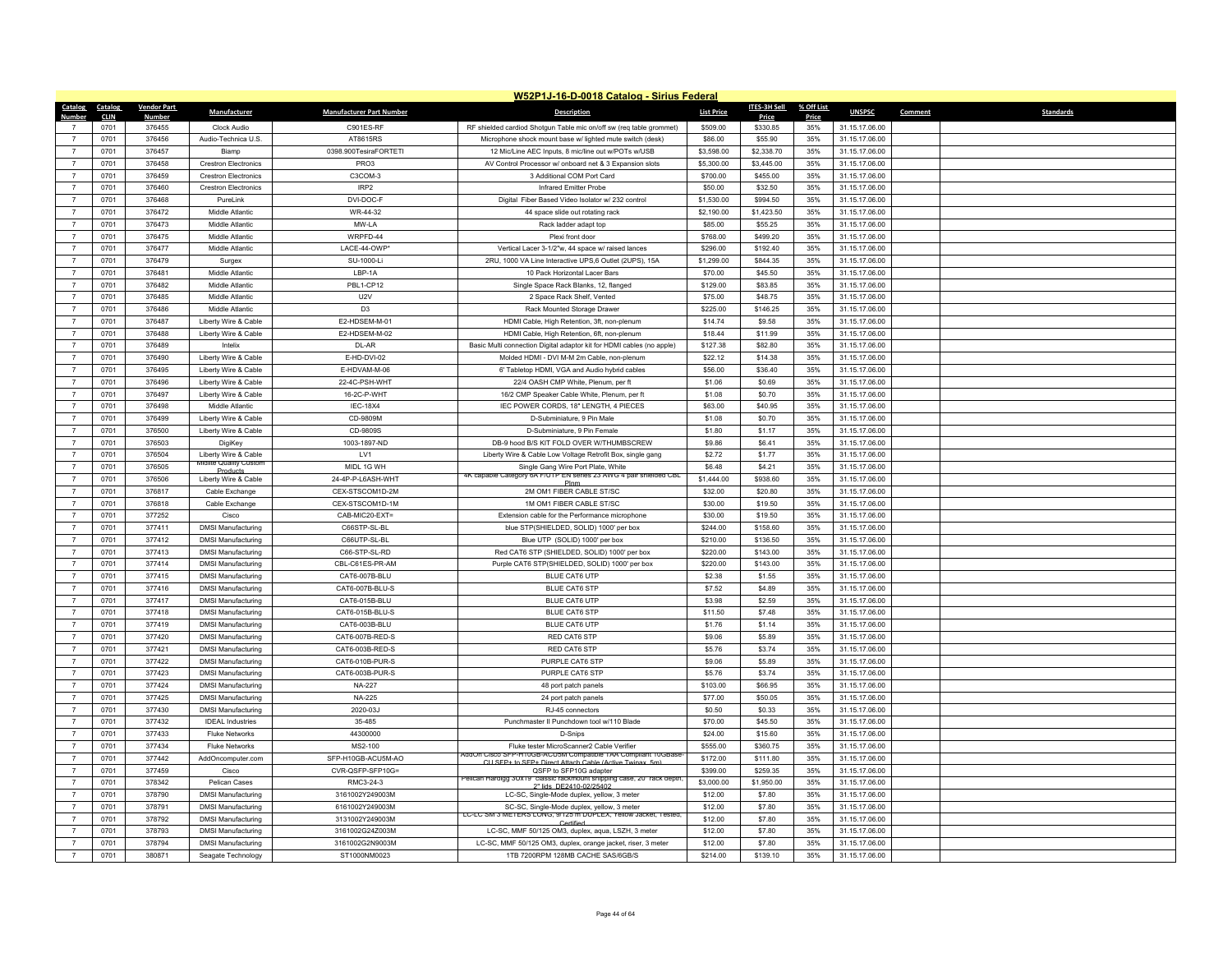|                | W52P1J-16-D-0018 Catalog - Sirius Federal |                    |                                                |                                 |                                                                                                              |                   |              |            |                |         |                  |  |
|----------------|-------------------------------------------|--------------------|------------------------------------------------|---------------------------------|--------------------------------------------------------------------------------------------------------------|-------------------|--------------|------------|----------------|---------|------------------|--|
| Catalog        | Catalog                                   | <b>Vendor Part</b> | Manufacturer                                   | <b>Manufacturer Part Number</b> | Description                                                                                                  | <b>List Price</b> | ITES-3H Sell | % Off List | <b>UNSPSC</b>  | Comment | <b>Standards</b> |  |
| Number         | <b>CLIN</b>                               | <b>Number</b>      |                                                |                                 |                                                                                                              |                   | Price        | Price      |                |         |                  |  |
| $\overline{7}$ | 0701                                      | 376455             | Clock Audio                                    | C901ES-RF                       | RF shielded cardiod Shotgun Table mic on/off sw (req table grommet)                                          | \$509.00          | \$330.85     | 35%        | 31.15.17.06.00 |         |                  |  |
| $\overline{7}$ | 0701                                      | 376456             | Audio-Technica U.S.                            | AT8615RS                        | Microphone shock mount base w/ lighted mute switch (desk)                                                    | \$86.00           | \$55.90      | 35%        | 31.15.17.06.00 |         |                  |  |
| $\overline{7}$ | 0701                                      | 376457             | Biamp                                          | 0398.900TesiraFORTETI           | 12 Mic/Line AEC Inputs, 8 mic/line out w/POTs w/USB                                                          | \$3,598.00        | \$2,338.70   | 35%        | 31.15.17.06.00 |         |                  |  |
| $\overline{7}$ | 0701                                      | 376458             | <b>Crestron Electronics</b>                    | PRO3                            | AV Control Processor w/ onboard net & 3 Expansion slots                                                      | \$5,300.00        | \$3,445.00   | 35%        | 31.15.17.06.00 |         |                  |  |
| $\overline{7}$ | 0701                                      | 376459             | <b>Crestron Electronics</b>                    | C3COM-3                         | 3 Additional COM Port Card                                                                                   | \$700.00          | \$455.00     | 35%        | 31.15.17.06.00 |         |                  |  |
| $\overline{7}$ | 0701                                      | 376460             | <b>Crestron Flectronics</b>                    | IRP <sub>2</sub>                | Infrared Emitter Probe                                                                                       | \$50.00           | \$32.50      | 35%        | 31.15.17.06.00 |         |                  |  |
| $\overline{7}$ | 0701                                      | 376468             | PureLink                                       | DVI-DOC-F                       | Digital Fiber Based Video Isolator w/ 232 control                                                            | \$1,530.00        | \$994.50     | 35%        | 31.15.17.06.00 |         |                  |  |
| $\overline{7}$ | 0701                                      | 376472             | Middle Atlantic                                | WR-44-32                        | 44 space slide out rotating rack                                                                             | \$2,190.00        | \$1,423.50   | 35%        | 31.15.17.06.00 |         |                  |  |
| $\overline{7}$ | 0701                                      | 376473             | Middle Atlantic                                | MW-LA                           | Rack ladder adapt top                                                                                        | \$85.00           | \$55.25      | 35%        | 31.15.17.06.00 |         |                  |  |
| $\overline{7}$ | 0701                                      | 376475             | Middle Atlantic                                | WRPFD-44                        | Plexi front door                                                                                             | \$768.00          | \$499.20     | 35%        | 31.15.17.06.00 |         |                  |  |
| $\overline{7}$ | 0701                                      | 376477             | Middle Atlantic                                | LACE-44-OWP                     | Vertical Lacer 3-1/2"w, 44 space w/ raised lances                                                            | \$296.00          | \$192.40     | 35%        | 31.15.17.06.00 |         |                  |  |
| $\overline{7}$ | 0701                                      | 376479             | Surgex                                         | SU-1000-Li                      | 2RU, 1000 VA Line Interactive UPS,6 Outlet (2UPS), 15A                                                       | \$1,299.00        | \$844.35     | 35%        | 31.15.17.06.00 |         |                  |  |
| $\overline{7}$ | 0701                                      | 376481             | Middle Atlantic                                | LBP-1A                          | 10 Pack Horizontal Lacer Bars                                                                                | \$70.00           | \$45.50      | 35%        | 31.15.17.06.00 |         |                  |  |
| $\overline{7}$ | 0701                                      | 376482             | Middle Atlantic                                | PBL1-CP12                       | Single Space Rack Blanks, 12, flanged                                                                        | \$129.00          | \$83.85      | 35%        | 31.15.17.06.00 |         |                  |  |
| $\overline{7}$ | 0701                                      | 376485             | Middle Atlantic                                | U <sub>2</sub> V                | 2 Space Rack Shelf, Vented                                                                                   | \$75.00           | \$48.75      | 35%        | 31.15.17.06.00 |         |                  |  |
| $\overline{7}$ | 0701                                      | 376486             | Middle Atlantic                                | D <sub>3</sub>                  | Rack Mounted Storage Drawer                                                                                  | \$225.00          | \$146.25     | 35%        | 31.15.17.06.00 |         |                  |  |
| $\overline{7}$ | 0701                                      | 376487             | Liberty Wire & Cable                           | E2-HDSEM-M-01                   | HDMI Cable, High Retention, 3ft, non-plenum                                                                  | \$14.74           | \$9.58       | 35%        | 31.15.17.06.00 |         |                  |  |
| $\overline{7}$ | 0701                                      | 376488             | Liberty Wire & Cable                           | E2-HDSEM-M-02                   | HDMI Cable, High Retention, 6ft, non-plenum                                                                  | \$18.44           | \$11.99      | 35%        | 31.15.17.06.00 |         |                  |  |
| $\overline{7}$ | 0701                                      | 376489             | Intelix                                        | DL-AR                           | Basic Multi connection Digital adaptor kit for HDMI cables (no apple)                                        | \$127.38          | \$82.80      | 35%        | 31.15.17.06.00 |         |                  |  |
| $\overline{7}$ | 0701                                      | 376490             | Liberty Wire & Cable                           | E-HD-DVI-02                     | Molded HDMI - DVI M-M 2m Cable, non-plenum                                                                   | \$22.12           | \$14.38      | 35%        | 31.15.17.06.00 |         |                  |  |
| $\overline{7}$ | 0701                                      | 376495             | Liberty Wire & Cable                           | E-HDVAM-M-06                    | 6' Tabletop HDMI, VGA and Audio hybrid cables                                                                | \$56.00           | \$36.40      | 35%        | 31.15.17.06.00 |         |                  |  |
| $\overline{7}$ | 0701                                      | 376496             | Liberty Wire & Cable                           | 22-4C-PSH-WHT                   | 22/4 OASH CMP White, Plenum, per ft                                                                          | \$1.06            | \$0.69       | 35%        | 31.15.17.06.00 |         |                  |  |
| $\overline{7}$ | 0701                                      | 376497             | Liberty Wire & Cable                           | 16-2C-P-WHT                     | 16/2 CMP Speaker Cable White, Plenum, per ft                                                                 | \$1.08            | \$0.70       | 35%        | 31.15.17.06.00 |         |                  |  |
| $\overline{7}$ | 0701                                      | 376498             | Middle Atlantic                                | <b>IEC-18X4</b>                 | IEC POWER CORDS, 18" LENGTH, 4 PIECES                                                                        | \$63.00           | \$40.95      | 35%        | 31.15.17.06.00 |         |                  |  |
| $\overline{7}$ | 0701                                      | 376499             | Liberty Wire & Cable                           | CD-9809M                        | D-Subminiature, 9 Pin Male                                                                                   | \$1.08            | \$0.70       | 35%        | 31.15.17.06.00 |         |                  |  |
| $\overline{7}$ | 0701                                      | 376500             | Liberty Wire & Cable                           | CD-9809S                        | D-Subminiature, 9 Pin Female                                                                                 | \$1.80            | \$1.17       | 35%        | 31.15.17.06.00 |         |                  |  |
| $\overline{7}$ | 0701                                      | 376503             | DigiKey                                        | 1003-1897-ND                    | DB-9 hood B/S KIT FOLD OVER W/THUMBSCREW                                                                     | \$9.86            | \$6.41       | 35%        | 31.15.17.06.00 |         |                  |  |
| $\overline{7}$ | 0701                                      | 376504             | Liberty Wire & Cable<br>Midlite Quality Custon | LV1                             | Liberty Wire & Cable Low Voltage Retrofit Box, single gang                                                   | \$2.72            | \$1.77       | 35%        | 31.15.17.06.00 |         |                  |  |
| $\overline{7}$ | 0701                                      | 376505             | Products                                       | MIDL 1G WH                      | Single Gang Wire Port Plate, White                                                                           | \$6,48            | \$4.21       | 35%        | 31.15.17.06.00 |         |                  |  |
| $\overline{7}$ | 0701                                      | 376506             | Liberty Wire & Cable                           | 24-4P-P-L6ASH-WHT               | 4K capable Category 6A F/UTP EN series 23 AWG 4 pair shielded CBL                                            | \$1,444.00        | \$938.60     | 35%        | 31.15.17.06.00 |         |                  |  |
| $\overline{7}$ | 0701                                      | 376817             | Cable Exchange                                 | CEX-STSCOM1D-2M                 | 2M OM1 FIBER CABLE ST/SC                                                                                     | \$32.00           | \$20.80      | 35%        | 31.15.17.06.00 |         |                  |  |
| $\overline{7}$ | 0701                                      | 376818             | Cable Exchange                                 | CEX-STSCOM1D-1M                 | 1M OM1 FIBER CABLE ST/SC                                                                                     | \$30.00           | \$19.50      | 35%        | 31.15.17.06.00 |         |                  |  |
| $\overline{7}$ | 0701                                      | 377252             | Cisco                                          | CAB-MIC20-EXT=                  | Extension cable for the Performance microphone                                                               | \$30.00           | \$19.50      | 35%        | 31.15.17.06.00 |         |                  |  |
| $\overline{7}$ | 0701                                      | 377411             | <b>DMSI Manufacturing</b>                      | C66STP-SL-BL                    | blue STP(SHIELDED, SOLID) 1000' per box                                                                      | \$244.00          | \$158.60     | 35%        | 31.15.17.06.00 |         |                  |  |
| $\overline{7}$ | 0701                                      | 377412             | <b>DMSI Manufacturing</b>                      | C66UTP-SL-BL                    | Blue UTP (SOLID) 1000' per box                                                                               | \$210.00          | \$136.50     | 35%        | 31.15.17.06.00 |         |                  |  |
| $\overline{7}$ | 0701                                      | 377413             | <b>DMSI Manufacturing</b>                      | C66-STP-SL-RD                   | Red CAT6 STP (SHIELDED, SOLID) 1000' per box                                                                 | \$220.00          | \$143.00     | 35%        | 31.15.17.06.00 |         |                  |  |
| $\overline{7}$ | 0701                                      | 377414             | <b>DMSI Manufacturing</b>                      | CBL-C61ES-PR-AM                 | Purple CAT6 STP(SHIELDED, SOLID) 1000' per box                                                               | \$220.00          | \$143.00     | 35%        | 31.15.17.06.00 |         |                  |  |
| $\overline{7}$ | 0701                                      | 377415             | <b>DMSI Manufacturing</b>                      | CAT6-007B-BLU                   | <b>BLUE CAT6 UTP</b>                                                                                         | \$2.38            | \$1.55       | 35%        | 31.15.17.06.00 |         |                  |  |
| $\overline{7}$ | 0701                                      | 377416             | <b>DMSI Manufacturing</b>                      | CAT6-007B-BLU-S                 | <b>BLUE CAT6 STP</b>                                                                                         | \$7.52            | \$4.89       | 35%        | 31.15.17.06.00 |         |                  |  |
| $\overline{7}$ | 0701                                      | 377417             | <b>DMSI Manufacturing</b>                      | CAT6-015B-BLU                   | <b>BLUE CAT6 UTP</b>                                                                                         | \$3.98            | \$2.59       | 35%        | 31.15.17.06.00 |         |                  |  |
| $\overline{7}$ | 0701                                      | 377418             | <b>DMSI Manufacturing</b>                      | CAT6-015B-BLU-S                 | <b>BLUE CAT6 STP</b>                                                                                         | \$11.50           | \$7.48       | 35%        | 31.15.17.06.00 |         |                  |  |
| $\overline{7}$ | 0701                                      | 377419             | <b>DMSI Manufacturing</b>                      | CAT6-003B-BLU                   | <b>BLUE CAT6 UTP</b>                                                                                         | \$1.76            | \$1.14       | 35%        | 31.15.17.06.00 |         |                  |  |
| $\overline{7}$ | 0701                                      | 377420             | <b>DMSI Manufacturing</b>                      | CAT6-007B-RED-S                 | RED CAT6 STP                                                                                                 | \$9.06            | \$5.89       | 35%        | 31.15.17.06.00 |         |                  |  |
| $\overline{7}$ | 0701                                      | 377421             | <b>DMSI Manufacturing</b>                      | CAT6-003B-RED-S                 | RED CAT6 STP                                                                                                 | \$5.76            | \$3.74       | 35%        | 31.15.17.06.00 |         |                  |  |
| $\overline{7}$ | 0701                                      | 377422             | <b>DMSI Manufacturing</b>                      | CAT6-010B-PUR-S                 | PURPLE CAT6 STP                                                                                              | \$9.06            | \$5.89       | 35%        | 31.15.17.06.00 |         |                  |  |
| $\overline{7}$ | 0701                                      | 377423             | <b>DMSI Manufacturing</b>                      | CAT6-003B-PUR-S                 | PURPLE CAT6 STP                                                                                              | \$5.76            | \$3.74       | 35%        | 31.15.17.06.00 |         |                  |  |
| $\overline{7}$ | 0701                                      | 377424             | <b>DMSI Manufacturing</b>                      | <b>NA-227</b>                   | 48 port patch panels                                                                                         | \$103.00          | \$66.95      | 35%        | 31.15.17.06.00 |         |                  |  |
| $\overline{7}$ | 0701                                      | 377425             | <b>DMSI Manufacturing</b>                      | <b>NA-225</b>                   | 24 port patch panels                                                                                         | \$77.00           | \$50.05      | 35%        | 31.15.17.06.00 |         |                  |  |
| $\overline{7}$ | 0701                                      | 377430             | <b>DMSI Manufacturing</b>                      | 2020-03J                        | RJ-45 connectors                                                                                             | \$0.50            | \$0.33       | 35%        | 31.15.17.06.00 |         |                  |  |
| $\overline{7}$ | 0701                                      | 377432             | <b>IDEAL</b> Industries                        | 35-485                          | Punchmaster II Punchdown tool w/110 Blade                                                                    | \$70.00           | \$45.50      | 35%        | 31.15.17.06.00 |         |                  |  |
| $\overline{7}$ | 0701                                      | 377433             | <b>Fluke Networks</b>                          | 44300000                        | D-Snips                                                                                                      | \$24.00           | \$15.60      | 35%        | 31.15.17.06.00 |         |                  |  |
| $\overline{7}$ | 0701                                      | 377434             | <b>Fluke Networks</b>                          | MS2-100                         | Fluke tester MicroScanner2 Cable Verifier<br>AddOn Cisco SFP-H10GB-ACU5M Compatible TAA Compliant 10GBase    | \$555.00          | \$360.75     | 35%        | 31.15.17.06.00 |         |                  |  |
| $\overline{7}$ | 0701                                      | 377442             | AddOncomputer.com                              | SFP-H10GB-ACU5M-AO              | CU SEP+ to SEP+ Direct Attach Cable (Active Twinax 5m)                                                       | \$172.00          | \$111.80     | 35%        | 31.15.17.06.00 |         |                  |  |
| $\overline{7}$ | 0701                                      | 377459             | Cisco                                          | CVR-QSFP-SFP10G=                | QSFP to SFP10G adapter                                                                                       | \$399.00          | \$259.35     | 35%        | 31.15.17.06.00 |         |                  |  |
| $\overline{7}$ | 0701                                      | 378342             | Pelican Cases                                  | RMC3-24-3                       | elican Hardigg 3Ux19" classic rackmount shipping case, 20" rack depth<br>2" lids DE2410-02/25401             | \$3,000.00        | \$1,950.00   | 35%        | 31.15.17.06.00 |         |                  |  |
| $\overline{7}$ | 0701                                      | 378790             | <b>DMSI Manufacturing</b>                      | 3161002Y249003M                 | LC-SC, Single-Mode duplex, yellow, 3 meter                                                                   | \$12.00           | \$7.80       | 35%        | 31.15.17.06.00 |         |                  |  |
| $\overline{7}$ | 0701                                      | 378791             | <b>DMSI Manufacturing</b>                      | 6161002Y249003M                 | SC-SC, Single-Mode duplex, yellow, 3 meter<br>LC-LC SM 3 METERS LONG, 9/125 m DUPLEX, Yellow Jacket, Tested, | \$12.00           | \$7.80       | 35%        | 31.15.17.06.00 |         |                  |  |
| $\overline{7}$ | 0701                                      | 378792             | <b>DMSI Manufacturing</b>                      | 3131002Y249003M                 |                                                                                                              | \$12.00           | \$7.80       | 35%        | 31.15.17.06.00 |         |                  |  |
| $\overline{7}$ | 0701                                      | 378793             | <b>DMSI Manufacturing</b>                      | 3161002G24Z003M                 | LC-SC, MMF 50/125 OM3, duplex, aqua, LSZH, 3 meter                                                           | \$12.00           | \$7.80       | 35%        | 31.15.17.06.00 |         |                  |  |
| $\overline{7}$ | 0701                                      | 378794             | <b>DMSI Manufacturing</b>                      | 3161002G2N9003M                 | LC-SC, MMF 50/125 OM3, duplex, orange jacket, riser, 3 meter                                                 | \$12.00           | \$7.80       | 35%        | 31.15.17.06.00 |         |                  |  |
| $\overline{7}$ | 0701                                      | 380871             | Seagate Technology                             | ST1000NM0023                    | 1TB 7200RPM 128MB CACHE SAS/6GB/S                                                                            | \$214.00          | \$139.10     | 35%        | 31.15.17.06.00 |         |                  |  |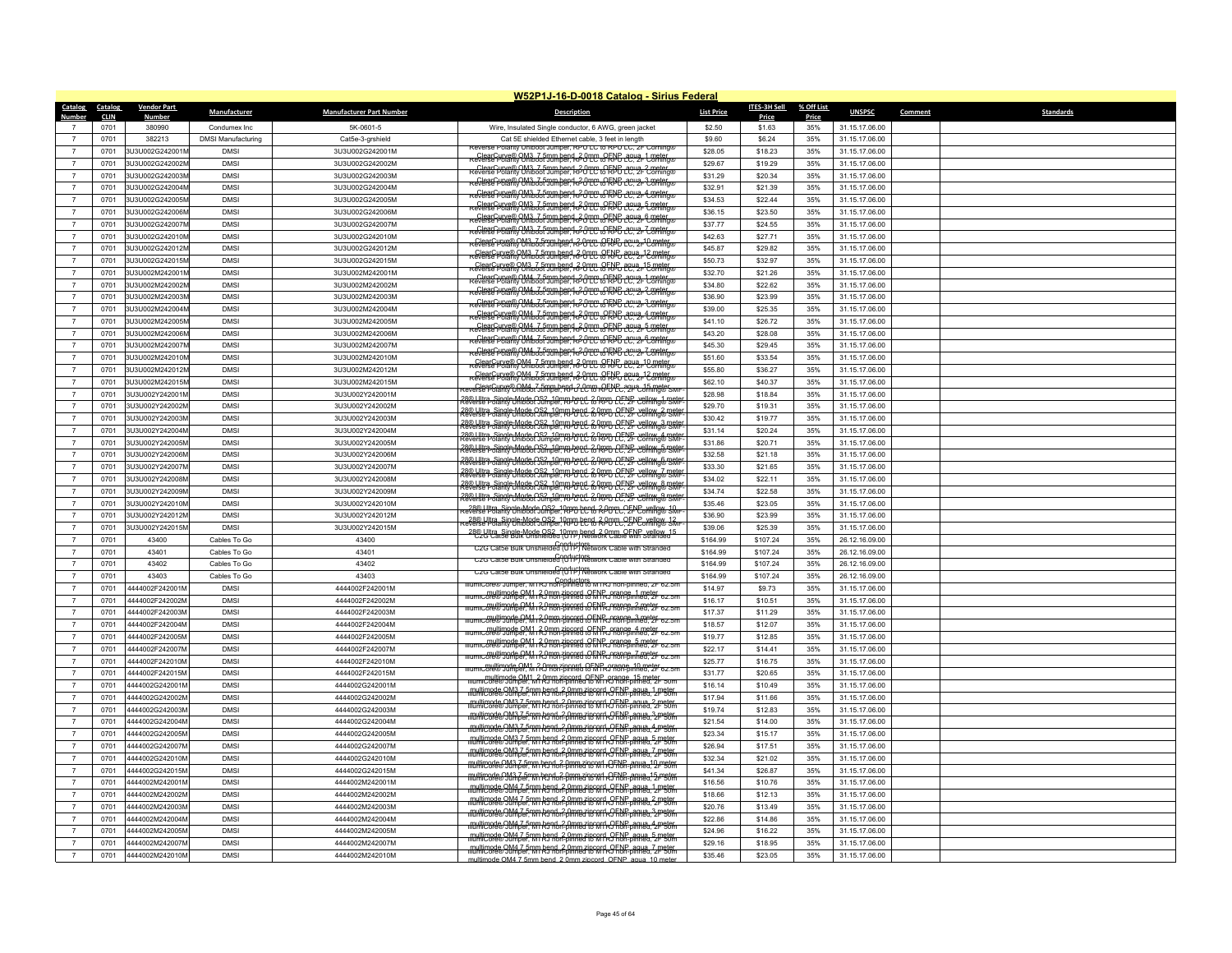|                                  | W52P1J-16-D-0018 Catalog - Sirius Federal |                         |                           |                                 |                                                                                                                                                                 |                   |                     |              |                |                             |  |  |
|----------------------------------|-------------------------------------------|-------------------------|---------------------------|---------------------------------|-----------------------------------------------------------------------------------------------------------------------------------------------------------------|-------------------|---------------------|--------------|----------------|-----------------------------|--|--|
| <b>Catalog</b>                   | Catalog                                   | <b>Vendor Part</b>      | Manufacturer              | <b>Manufacturer Part Number</b> | <b>Description</b>                                                                                                                                              | <b>List Price</b> | <b>ITES-3H Sell</b> | % Off List   | <b>UNSPSC</b>  | <b>Standards</b><br>Comment |  |  |
| Number                           | <b>CLIN</b><br>0701                       | <u>Number</u><br>380990 | Condumex Inc              | 5K-0601-5                       |                                                                                                                                                                 | \$2.50            | Price<br>\$1.63     | Price<br>35% | 31.15.17.06.00 |                             |  |  |
| $\overline{7}$                   | 0701                                      | 382213                  | <b>DMSI Manufacturing</b> | Cat5e-3-grshield                | Wire, Insulated Single conductor, 6 AWG, green jacket<br>Cat 5E shielded Ethernet cable, 3 feet in length                                                       | \$9.60            | \$6.24              | 35%          | 31.15.17.06.00 |                             |  |  |
|                                  | 0701                                      | 3U3U002G242001M         | <b>DMSI</b>               | 3U3U002G242001M                 | Reverse Polarity Uniboot Jumper, RPUTC to RPUTC, 2F Corning                                                                                                     | \$28.05           | \$18.23             | 35%          | 31.15.17.06.00 |                             |  |  |
|                                  |                                           | 3U3U002G242002M         | <b>DMSI</b>               | 3U3U002G242002M                 | ClearCurve® OM3, 7 5mm bend 2 0mm DFNF daug. 1 meter<br>ceverse Polarity Uniboot Jumper. RPU LC to RPU daug. 1 Coming®                                          | \$29.67           |                     | 35%          | 31.15.17.06.00 |                             |  |  |
| $\overline{7}$<br>$\overline{7}$ | 0701<br>0701                              | 3U3U002G242003M         | <b>DMSI</b>               |                                 | ClearCurve® OM3_7 5mm bend 2 0mm OENB 2011 2 meter                                                                                                              |                   | \$19.29             |              |                |                             |  |  |
|                                  |                                           |                         |                           | 3U3U002G242003M                 | Reverse Profit OM3 35 Tum ben R20 TC & RPC 2012 3 meter                                                                                                         | \$31.29           | \$20.34             | 35%          | 31.15.17.06.00 |                             |  |  |
|                                  | 0701                                      | 3U3U002G242004M         | <b>DMSI</b>               | 3U3U002G242004M                 | Reverse Polarity Uniboot Jumber R30 TC + RPG + CC + 2+ Common                                                                                                   | \$32.91           | \$21.39             | 35%          | 31.15.17.06.00 |                             |  |  |
| $\overline{7}$                   | 0701                                      | 3U3U002G242005M         | <b>DMSI</b>               | 3U3U002G242005M                 | keverse Polarity Oniboot Jumper, kP0 TC + GRPG 12, 2- Expeter والمحمد المستعمر                                                                                  | \$34.53           | \$22.44             | 35%          | 31.15.17.06.00 |                             |  |  |
| $\overline{7}$                   | 0701                                      | 3U3U002G242006M         | <b>DMSI</b>               | 3U3U002G242006M                 | ClearCurve® OM3, 7 5mm bend 2 0mm oCENF 1949-6 meter<br>Reverse Polarity Uniboot Jumber RPUTP to RNF 1949-Coming®                                               | \$36.15           | \$23.50             | 35%          | 31.15.17.06.00 |                             |  |  |
|                                  | 0701                                      | 3U3U002G242007N         | <b>DMSI</b>               | 3U3U002G242007M                 | Reverse Polarity Uniboot Jumbert R20 TC to RPP agus. 7 meter                                                                                                    | \$37.77           | \$24.55             | 35%          | 31.15.17.06.00 |                             |  |  |
| $\overline{7}$                   | 0701                                      | 3U3U002G242010M         | <b>DMSI</b>               | 3U3U002G242010M                 | REVERTE PORTA OM3635700 hBBP, RPOPP, OFPPG 2012-10 meter                                                                                                        | \$42.63           | \$27.71             | 35%          | 31.15.17.06.00 |                             |  |  |
| $\overline{7}$                   | 0701                                      | 3U3U002G242012M         | <b>DMSI</b>               | 3U3U002G242012M                 | Reverse Polarity Uniboot Jumper, RPUTC PEND LC 2 PC comings                                                                                                     | \$45.87           | \$29.82             | 35%          | 31.15.17.06.00 |                             |  |  |
| $\overline{7}$                   | 0701                                      | 3U3U002G242015M         | <b>DMSI</b>               | 3U3U002G242015M                 | Reverse Polarity Uniboot Jumber R-UTC (PRPL CC 2-15 meter                                                                                                       | \$50.73           | \$32.97             | 35%          | 31.15.17.06.00 |                             |  |  |
| $\overline{7}$                   | 0701                                      | 3U3U002M242001M         | <b>DMSI</b>               | 3U3U002M242001M                 | ClearCurve® OM4_7 5mm bend 20mm eClear 2012 L Deter                                                                                                             | \$32.70           | \$21.26             | 35%          | 31.15.17.06.00 |                             |  |  |
| $\overline{7}$                   | 0701                                      | 3U3U002M242002I         | <b>DMSI</b>               | 3U3U002M242002M                 | Reference of OM4, 7 Fmm bend R20mm OFNB 10, 2-2 meter<br>Reverse Polarity Oniboot Jumper, R20 LC to RPD 10, 2-2 comings                                         | \$34.80           | \$22.62             | 35%          | 31.15.17.06.00 |                             |  |  |
| $\overline{7}$                   | 0701                                      | 3U3U002M242003N         | <b>DMSI</b>               | 3U3U002M242003M                 | Reverse Horanco OM4 3 From bend 2 Onco RFNB 2012 3 meter                                                                                                        | \$36.90           | \$23.99             | 35%          | 31.15.17.06.00 |                             |  |  |
| $\overline{7}$                   | 0701                                      | 3U3U002M242004N         | <b>DMSI</b>               | 3U3U002M242004M                 | Reverse Polarity Uniboot Jumber 1, 20 TC + CRPG 2C 2- Coming®                                                                                                   | \$39.00           | \$25.35             | 35%          | 31.15.17.06.00 |                             |  |  |
| $\overline{7}$                   | 0701                                      | 3U3U002M242005M         | <b>DMSI</b>               | 3U3U002M242005M                 | Reverse Polarity Ontboot Jumper (R20TC + RPF) 2C, 2F Comings                                                                                                    | \$41.10           | \$26.72             | 35%          | 31.15.17.06.00 |                             |  |  |
| $\overline{7}$                   | 0701                                      | 3U3U002M242006N         | <b>DMSI</b>               | 3U3U002M242006M                 | ClearCurve® OM4_7.5mm bend 220mm PEND day 2-6 meter                                                                                                             | \$43.20           | \$28.08             | 35%          | 31.15.17.06.00 |                             |  |  |
| $\overline{7}$                   | 0701                                      | 3U3U002M242007M         | <b>DMSI</b>               | 3U3U002M242007M                 | ClearCurve®OM4_7.5mm.hend 20th 0CHNC day a 7 meter                                                                                                              | \$45.30           | \$29.45             | 35%          | 31.15.17.06.00 |                             |  |  |
|                                  | 0701                                      | 3U3U002M242010N         | <b>DMSI</b>               | 3U3U002M242010M                 | REVERTE PRETIRY UNIVERSITY IN HER RAPPORT OF THE POLICE TO THE RELEASE                                                                                          | \$51.60           | \$33.54             | 35%          | 31.15.17.06.00 |                             |  |  |
| $\overline{7}$                   | 0701                                      | 3U3U002M242012N         | <b>DMSI</b>               | 3U3U002M242012M                 | Reverse Polarity Uniboot Jumper, RPUTC RFRPUTC, 2FC meter                                                                                                       | \$55.80           | \$36.27             | 35%          | 31.15.17.06.00 |                             |  |  |
| $\overline{7}$                   | 0701                                      | 3U3U002M242015N         | <b>DMSI</b>               | 3U3U002M242015M                 | everse Polarity Uniboot Jumper RPU 2 Pm RPDPC 24 2 25 meter                                                                                                     | \$62.10           | \$40.37             | 35%          | 31.15.17.06.00 |                             |  |  |
| $\overline{7}$                   | 0701                                      | 3U3U002Y242001M         | <b>DMSI</b>               | 3U3U002Y242001M                 | .<br>28:0 Ultra_Single-Mode OS2_10mm bend, <del>2 NPU LC, VF Vellow, 1 met</del><br>reverse Polanty Uniboot Jumper, RPU LC <del>12 NPU LC, VF Velhing® SM</del> | \$28.98           | \$18.84             | 35%          | 31.15.17.06.00 |                             |  |  |
| $\overline{7}$                   | 0701                                      | 3U3U002Y242002M         | <b>DMSI</b>               | 3U3U002Y242002M                 | 28® Liltra, Single-Mode OS2, 10mm bend, 2 PPD DENF, vellow 2 meter<br>Reverse Polarity Uniboot Jumper, RPD LC & RPD DE, 2F Corning® SMF                         | \$29.70           | \$19.31             | 35%          | 31.15.17.06.00 |                             |  |  |
| $\overline{7}$                   | 0701                                      | 3U3U002Y242003M         | <b>DMSI</b>               | 3U3U002Y242003M                 | 28@ Liltra, Single Mode OS2, 10mm bend, 2 RPD CENE vellow 3 meter                                                                                               | \$30.42           | \$19.77             | 35%          | 31.15.17.06.00 |                             |  |  |
| $\overline{7}$                   | 0701                                      | 3U3U002Y242004M         | <b>DMSI</b>               | 3U3U002Y242004M                 | 28@ Liltra, Single, Mode OS2, 10mm bend, 2 RPD DEVE Vellow 4 metr                                                                                               | \$31.14           | \$20.24             | 35%          | 31.15.17.06.00 |                             |  |  |
| $\overline{7}$                   | 0701                                      | 3U3U002Y242005M         | <b>DMSI</b>               | 3U3U002Y242005M                 |                                                                                                                                                                 | \$31.86           | \$20.71             | 35%          | 31.15.17.06.00 |                             |  |  |
| $\overline{7}$                   | 0701                                      | 3U3U002Y242006M         | <b>DMSI</b>               | 3U3U002Y242006M                 | 28@ Liltra, Single, Mode OS2, 10mm bend; & RPD LC, 2F Cellning® SMF                                                                                             | \$32.58           | \$21.18             | 35%          | 31.15.17.06.00 |                             |  |  |
| $\overline{7}$                   | 0701                                      | 3U3U002Y242007M         | <b>DMSI</b>               | 3U3U002Y242007M                 | 28® Liltra, Single-Mode OS2, 10mm bend, 2 PPD CENE, vellow 6 meter<br>Reverse Polarity Uniboot Jumper, RPD LC & RPD CENE, 2F Corning® SMF                       | \$33.30           | \$21.65             | 35%          | 31.15.17.06.00 |                             |  |  |
| $\overline{7}$                   | 0701                                      | 3U3U002Y242008M         | <b>DMSI</b>               | 3U3U002Y242008M                 | 28@ Ultra, Single-Mode OS2, 10mm bend, 20mm PCPP vellow 7 metr                                                                                                  | \$34.02           | \$22.11             | 35%          | 31.15.17.06.00 |                             |  |  |
| $\overline{7}$                   | 0701                                      | 3U3U002Y242009M         | <b>DMSI</b>               | 3U3U002Y242009M                 | 28@ Liltra Single Mode OS2, 10mm bend, 2 RPD CE. LE Cellow & Toth                                                                                               | \$34.74           | \$22.58             | 35%          | 31.15.17.06.00 |                             |  |  |
| $\overline{7}$                   | 0701                                      | 3U3U002Y242010M         | <b>DMSI</b>               | 3U3U002Y242010M                 | 28@ Ultra Single Mode OS2, 10mm bend, 2 RPD CE. LE Cellow & metr                                                                                                | \$35.46           | \$23.05             | 35%          | 31.15.17.06.00 |                             |  |  |
| $\overline{7}$                   | 0701                                      | 3U3U002Y242012M         | <b>DMSI</b>               | 3U3U002Y242012M                 | 28@ Litra_Single-Mode OS2_10pm hend &PmTC PENE vellow 10                                                                                                        | \$36.90           | \$23.99             | 35%          | 31.15.17.06.00 |                             |  |  |
| $\overline{7}$                   | 0701                                      | 3U3U002Y242015M         | <b>DMSI</b>               | 3U3U002Y242015M                 | 28@ Ultra_Single-Mode OS2_10pm bend 20mm OENE vellow 12<br>Reverse Polarity Uniboot Jumper, RPU LC to 2PU LC, 2P Corning® SMH                                   | \$39.06           | \$25.39             | 35%          | 31.15.17.06.00 |                             |  |  |
|                                  | 0701                                      | 43400                   | Cables To Go              | 43400                           | 28% Ultra Single-Mode OS2_10mm bend_2.0mm OENP_vellow_15_<br>C2U Catse Bulk Unshielded (UTP) Network Cable with Stranded                                        | \$164.99          | \$107.24            | 35%          | 26.12.16.09.00 |                             |  |  |
| $\overline{7}$                   | 0701                                      | 43401                   | Cables To Go              | 43401                           | C2G Catse Bulk Unshielded (UTF) Network Cable with Stranded                                                                                                     | \$164.99          | \$107.24            | 35%          | 26.12.16.09.00 |                             |  |  |
| $\overline{7}$                   | 0701                                      | 43402                   | Cables To Go              | 43402                           | C2G Catse Bulk Unshielded (UTIP) Network Cable with Stranded                                                                                                    | \$164.99          | \$107.24            | 35%          | 26.12.16.09.00 |                             |  |  |
| $\overline{7}$                   | 0701                                      | 43403                   | Cables To Go              | 43403                           | C2G Catse Bulk Unshielded (UIIP) Network Cable with Stranded                                                                                                    | \$164.99          | \$107.24            | 35%          | 26.12.16.09.00 |                             |  |  |
| $\overline{7}$                   | 0701                                      | 4444002F242001N         | <b>DMSI</b>               | 4444002F242001M                 | Conductors<br>IllumiCore® Jumper, MTRJ non-pinned to MTRJ non-pinned, 2F 62.5m                                                                                  | \$14.97           | \$9.73              | 35%          | 31.15.17.06.00 |                             |  |  |
|                                  | 0701                                      | 4444002F242002M         | <b>DMSI</b>               | 4444002F242002M                 | mumic.org/0.jumper_0M1_2.0mm zincord_OENPc.orgnge_1_meter_62.5m                                                                                                 | \$16.17           | \$10.51             | 35%          | 31.15.17.06.00 |                             |  |  |
| $\overline{7}$                   | 0701                                      | 4444002F242003M         | <b>DMSI</b>               | 4444002F242003M                 | mumicore® Jumber. Mi RJ non-pinned to MRJ non-pinned. 2F 62.5m                                                                                                  | \$17.37           | \$11.29             | 35%          | 31.15.17.06.00 |                             |  |  |
| $\overline{7}$                   | 0701                                      | 4444002F242004M         | <b>DMSI</b>               | 4444002F242004M                 | mumicore® Jumber, Mi 20mm zincord CFNR Crange 3 meter 62.5n                                                                                                     | \$18.57           | \$12.07             | 35%          | 31.15.17.06.00 |                             |  |  |
| $\overline{7}$                   | 0701                                      | 4444002F242005M         | <b>DMSI</b>               | 4444002F242005M                 | Illumicore® Jumber, M1 RJ non-pinned to MTRJ nange 4 meter<br>Illumicore® Jumber, M1 RJ non-pinned to MTRJ non-pinned, 2F 62.5m                                 | \$19.77           | \$12.85             | 35%          | 31.15.17.06.00 |                             |  |  |
| $\overline{7}$                   | 0701                                      | 4444002F242007M         | <b>DMSI</b>               | 4444002F242007M                 | mumicore® Jumper, Mi 2,0mm zincord, OENP, orange, 5 meter<br>mumicore® Jumper, Mi RJ non-pinned to MTRJ non-pinned, 2F 62.5m                                    | \$22.17           | \$14.41             | 35%          | 31.15.17.06.00 |                             |  |  |
| $\overline{7}$                   | 0701                                      | 4444002F242010M         | <b>DMSI</b>               | 4444002F242010M                 | mumicore® Jumper, Mi 20mm zincord, OENP, orange, 7 meter<br>mumicore® Jumper, Mi 20mm-olnhed to MIRJ hon-pinned, 2F 62.5m                                       | \$25.77           | \$16.75             | 35%          | 31.15.17.06.00 |                             |  |  |
| $\overline{7}$                   | 0701                                      | 4444002F242015M         | <b>DMSI</b>               | 4444002F242015M                 | mumicore® Jumper, M1RJ non-pinned CENP orange_10 meter<br>mumicore® Jumper, M1RJ non-pinned CENP orange_10 meter                                                | \$31.77           | \$20.65             | 35%          | 31.15.17.06.00 |                             |  |  |
| $\overline{7}$                   | 0701                                      | 4444002G242001M         | <b>DMSI</b>               | 4444002G242001M                 | mumicore® Jumper, M1 A7 mon-pinced QENR Arange, 15 meter sum                                                                                                    | \$16.14           | \$10.49             | 35%          | 31.15.17.06.00 |                             |  |  |
| $\overline{7}$                   | 0701                                      | 4444002G242002M         | <b>DMSI</b>               | 4444002G242002M                 | multimode OM3.7 5mm bend, 2 0mm 7 ip 001 + OENP agua, 1 meter.                                                                                                  | \$17.94           | \$11.66             | 35%          | 31.15.17.06.00 |                             |  |  |
| $\overline{7}$                   | 0701                                      | 4444002G242003M         | <b>DMSI</b>               | 4444002G242003M                 | multimode OM3.7 5mm bend 2.0mm zincord, OENP_agua, 2 meter<br>IllumiCore® Jumper, MI RJ Ron-pinned to MTRJ non-pinned, 2F 50m                                   | \$19.74           | \$12.83             | 35%          | 31.15.17.06.00 |                             |  |  |
| $\overline{7}$                   | 0701                                      | 4444002G242004M         | <b>DMSI</b>               | 4444002G242004M                 | multimode OM3.7 5mm bend, 2 0mm zipcord QFNP aqua, 3 meter.<br>IllumiCore® Jumper, MI RJ non-pinned to M1 RJ non-pinned. 2F 50m                                 | \$21.54           | \$14.00             | 35%          | 31.15.17.06.00 |                             |  |  |
| $\overline{7}$                   | 0701                                      | 4444002G242005M         | <b>DMSI</b>               | 4444002G242005M                 | multimode OM3.7 5mm bend, 2 0mm 7 ip 001 + OENP agus, 4 meter.                                                                                                  | \$23.34           | \$15.17             | 35%          | 31.15.17.06.00 |                             |  |  |
| $\overline{7}$                   | 0701                                      | 4444002G242007M         | <b>DMSI</b>               | 4444002G242007M                 | multimode OM3.7 5mm bend, 2 0mm 7 ip 001 k OENP agus, 5 meter.                                                                                                  | \$26.94           | \$17.51             | 35%          | 31.15.17.06.00 |                             |  |  |
| $\overline{7}$                   | 0701                                      | 4444002G242010M         | <b>DMSI</b>               | 4444002G242010M                 | multimode OM3.7-5mm bend, 2.0mm zip cord OENP_aqua_7 meter                                                                                                      | \$32.34           | \$21.02             | 35%          | 31.15.17.06.00 |                             |  |  |
|                                  | 0701                                      | 4444002G242015M         | <b>DMSI</b>               | 4444002G242015M                 | multimode OM3.7 5mm bend, 2 0mm zipcord, OFNP, agua, 10 meter                                                                                                   | \$41.34           | \$26.87             | 35%          | 31.15.17.06.00 |                             |  |  |
| $\overline{7}$                   | 0701                                      | 4444002M242001M         | <b>DMSI</b>               | 4444002M242001M                 | multimode OM3.7 5mm bend. 2 0mm zincord, OFNP, agua. 15 meter<br>IllumiCore® Jumper, MTRJ non-pinned to MTRJ non-pinned, 2F 50m                                 | \$16.56           | \$10.76             | 35%          | 31.15.17.06.00 |                             |  |  |
| $\overline{7}$                   | 0701                                      | 4444002M242002M         | <b>DMSI</b>               | 4444002M242002M                 | multimode 0M4.7-5mm bend, 2 0mm zip or dr. 0ENP, agua, 1 meter.<br>IllumiCore® 0Mmper: M1 R5 non-pinned to M1 RJ non-pinned. 2F 50m                             | \$18.66           | \$12.13             | 35%          | 31.15.17.06.00 |                             |  |  |
|                                  | 0701                                      | 4444002M242003M         | <b>DMSI</b>               | 4444002M242003M                 | multimode 0M4.7-5mm bend, 2.0mm zip ort LOENP agus, 2 meter                                                                                                     | \$20.76           | \$13.49             | 35%          | 31.15.17.06.00 |                             |  |  |
| $\overline{7}$                   | 0701                                      | 4444002M242004M         | <b>DMSI</b>               | 4444002M242004M                 | multimode 0M4.7 5mm bend, 2 0mm 7 ip 0ft of RP agua, 3 meter.                                                                                                   | \$22.86           | \$14.86             | 35%          | 31.15.17.06.00 |                             |  |  |
| $\overline{7}$                   | 0701                                      | 4444002M242005M         | <b>DMSI</b>               | 4444002M242005M                 | multimode OM4.7.5mm bend. 2.0mm zipcord, OENP, agua, 4 meter.<br>IllumiCore® Jumper, MTRJ non-pinned to MTRJ non-pinned, 2F 50m                                 | \$24.96           | \$16.22             | 35%          | 31.15.17.06.00 |                             |  |  |
|                                  | 0701                                      | 4444002M242007M         | <b>DMSI</b>               | 4444002M242007M                 | multimode OM4.7 5mm bend. 2 0mm zipcord OENP, agua, 5 meter.<br>IllumiCore® Jumper, M1 R5 Ron-pinned to M1 RJ Ron-pinned, 2P 50m                                | \$29.16           | \$18.95             | 35%          | 31.15.17.06.00 |                             |  |  |
| $\overline{7}$                   | 0701                                      | 4444002M242010M         | <b>DMSI</b>               | 4444002M242010M                 | multimode OM4.7 5mm bend.2 0mm zipcord ROENP agua 7 meter                                                                                                       | \$35.46           | \$23.05             | 35%          | 31.15.17.06.00 |                             |  |  |
|                                  |                                           |                         |                           |                                 | multimode OM4 7 5mm hend 2 0mm zincord, OENP, agua, 10 meter                                                                                                    |                   |                     |              |                |                             |  |  |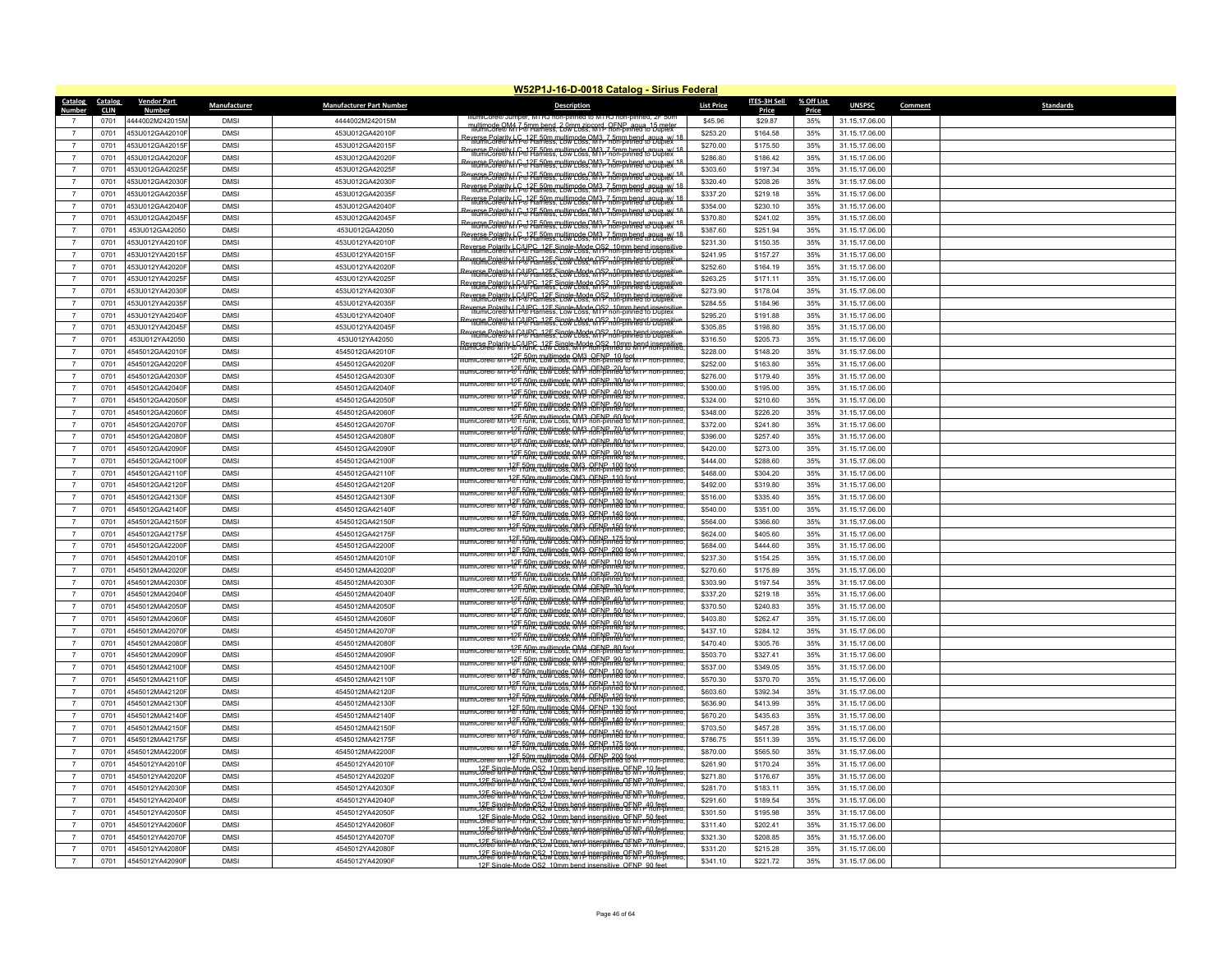|                                  |              |                    |              |                                 | W52P1J-16-D-0018 Catalog - Sirius Federal                                                                                                            |                      |                  |              |                |         |                  |
|----------------------------------|--------------|--------------------|--------------|---------------------------------|------------------------------------------------------------------------------------------------------------------------------------------------------|----------------------|------------------|--------------|----------------|---------|------------------|
| Catalog                          | Catalog      | <b>Vendor Part</b> | Manufacturer | <b>Manufacturer Part Number</b> | <b>Description</b>                                                                                                                                   | <b>List Price</b>    | ITES-3H Sell     | % Off List   | <b>UNSPSC</b>  | Comment | <b>Standards</b> |
|                                  | CLIN<br>0701 | 4444002M242015N    | <b>DMSI</b>  | 4444002M242015M                 | e® Jumper. MTRJ non-pinned to MTRJ non-p                                                                                                             | \$45.96              | Price<br>\$29.87 | Price<br>35% | 31.15.17.06.00 |         |                  |
| $\overline{7}$                   | 0701         | 453U012GA42010F    | <b>DMS</b>   | 453U012GA42010F                 | nultimode QM4 7 5mm hend, 2 0mm zin cord, OENP, agua -15 mete                                                                                        | \$253.20             | \$164.58         | 35%          | 31.15.17.06.00 |         |                  |
| $\overline{7}$                   | 0701         | 453U012GA42015F    | <b>DMSI</b>  | 453U012GA42015F                 | Reverse Polarity   C. 12F 50m multimode OM3, 7 5mm hend, agua, w/ 18<br>IlliumiCore® M   P® Hamess, Low Loss, MTP non-pinned to Duplex               | \$270.00             | \$175.50         | 35%          | 31.15.17.06.00 |         |                  |
| $\overline{7}$                   | 0701         | 453U012GA42020F    | <b>DMSI</b>  | 453U012GA42020F                 | everse Polarity   C. 12E 50m multimode OM3, 7 5mm hend, agua, w/ 18<br>"IllumiCore® M   C. 17E famess, Low Loss, M I P non-pinned to Dublex          | \$286.80             | \$186.42         | 35%          | 31.15.17.06.00 |         |                  |
|                                  |              |                    | <b>DMS</b>   |                                 | Reverse Polarity   C 37E 50m multimode OM3 7.5mm hend, agua w/ 18                                                                                    |                      |                  |              |                |         |                  |
| $\overline{7}$                   | 0701         | 453U012GA42025F    |              | 453U012GA42025F                 | Reverse Polarity   C 12 50m multimode OM3, 7.5mm hend, agua, w/ 18                                                                                   | \$303.60             | \$197.34         | 35%          | 31.15.17.06.00 |         |                  |
| $\overline{7}$<br>$\overline{7}$ | 0701         | 453U012GA42030F    | <b>DMSI</b>  | 453U012GA42030F                 | verse Polarit W G 375 50m multimode OM3, 7 5mm hend, agua, w/ 18                                                                                     | \$320.40             | \$208.26         | 35%          | 31.15.17.06.00 |         |                  |
|                                  | 0701         | 453U012GA42035F    | <b>DMSI</b>  | 453U012GA42035F                 | Reverse Polarity   C 12E 50m multimode OM3, 7 5mm hend, agua, w/ 18                                                                                  | \$337.20             | \$219.18         | 35%          | 31.15.17.06.00 |         |                  |
| $\overline{7}$                   | 0701         | 453U012GA42040F    | <b>DMS</b>   | 453U012GA42040F                 | leverse Polarity   C 32E 50m multimode OM3, 7 5mm hend, agua, w/ 18                                                                                  | \$354.00             | \$230.10         | 35%          | 31.15.17.06.00 |         |                  |
| $\overline{7}$                   | 0701         | 453U012GA42045F    | <b>DMSI</b>  | 453U012GA42045F                 | Reverse Polarity   C. 12E 50m multimode OM3, 7 5mm hend, agua, w/ 18<br>IllumiCore® M   P.® Hamess, Low Loss, M I P non-pinned to Duplex             | \$370.80             | \$241.02         | 35%          | 31.15.17.06.00 |         |                  |
| $\overline{7}$                   | 0701         | 453U012GA42050     | <b>DMS</b>   | 453U012GA42050                  | Reverse Polarity   C 37F 50m multimode OM3, 7 5mm bend agua w/ 18<br>Thum Core® M (P 37F amess, Low Coss, MTP non-pinned to Dublex                   | \$387.60             | \$251.94         | 35%          | 31.15.17.06.00 |         |                  |
| $\overline{7}$                   | 0701         | 453U012YA42010F    | <b>DMSI</b>  | 453U012YA42010F                 | <b>Reverse Polarity LCAUPC, 12E Single Mode OS2, 10mm hend insensitive</b>                                                                           | \$231.30             | \$150.35         | 35%          | 31.15.17.06.00 |         |                  |
| $\overline{7}$                   | 0701         | 453U012YA42015F    | <b>DMSI</b>  | 453U012YA42015F                 | Reverse Polarity   C/UPC, 12F Single-Mode OS2, 10mm bend insensitive<br>  Reverse Polarity   C/W Harness, Low Loss, MTP non-pinned to Dublex         | \$241.95             | \$157.27         | 35%          | 31.15.17.06.00 |         |                  |
| $\overline{7}$                   | 0701         | 453U012YA42020F    | <b>DMS</b>   | 453U012YA42020F                 | Reverse Polarity   CAUPC, 12E Single-Mode OS2, 10mm bend insensitiv                                                                                  | \$252.60             | \$164.19         | 35%          | 31.15.17.06.00 |         |                  |
| -7                               | 0701         | 453U012YA42025F    | <b>DMSI</b>  | 453U012YA42025F                 | werse Polarity   CAUPC, 12E Single Mode OS2, 10mm bend insensit<br>"MumCore® M CA® Harness, Low Loss, MTP non-pinned to Duplex                       | \$263.25             | \$171.11         | 35%          | 31.15.17.06.00 |         |                  |
| $\overline{7}$                   | 0701         | 453U012YA42030F    | <b>DMS</b>   | 453U012YA42030F                 | everse Polarity   CAUPC, 12E Single Mode OS2, 10mm bend insensitiv<br>"IllumiCore® M CA® Harness, Low Loss, MTP non-pinned to Duplex                 | \$273.90             | \$178.04         | 35%          | 31.15.17.06.00 |         |                  |
| $\overline{7}$                   | 0701         | 453U012YA42035F    | <b>DMS</b>   | 453U012YA42035F                 | everse Polarity   C4 JPC, 12E Single Mode OS2, 10mm bend insensitively                                                                               | \$284.55             | \$184.96         | 35%          | 31.15.17.06.00 |         |                  |
| $\overline{7}$                   | 0701         | 453U012YA42040F    | <b>DMS</b>   | 453U012YA42040F                 | Reverse Polarity   C/UPC, 12F Single-Mode OS2, 10mm bend insensitiv<br>IllumiCore® M (P® Harness, Low Loss, MTP non-pinned to Duplex                 | \$295.20             | \$191.88         | 35%          | 31.15.17.06.00 |         |                  |
| $\overline{7}$                   | 0701         | 453U012YA42045F    | DMSI         | 453U012YA42045F                 |                                                                                                                                                      | \$305.85             | \$198.80         | 35%          | 31.15.17.06.00 |         |                  |
| $\overline{7}$                   | 0701         | 453U012YA42050     | <b>DMS</b>   | 453U012YA42050                  | Reverse Polarity   C/UPC, 12F Single-Mode OS2, 10mm bend insensitiv<br>IllumiCore® M IP® Harness, Low Loss, MTP non-pinned to Duplex                 | \$316.50             | \$205.73         | 35%          | 31.15.17.06.00 |         |                  |
| $\overline{7}$                   | 0701         | 4545012GA42010F    | <b>DMS</b>   | 4545012GA42010F                 | Reverse Polarity & CAUPC, 12E Single Mode OS2, 10mm bend insensitive<br>TumiCore®MTP& CHunk, Low Loss, MTP hon-pinned to MTP non-pinned              | \$228.00             | \$148.20         | 35%          | 31.15.17.06.00 |         |                  |
| $\overline{7}$                   | 0701         | 4545012GA42020F    | <b>DMSI</b>  | 4545012GA42020F                 | tumiCore® M i P 87 50m multimode QM3, OENP, 10 foot<br>tumiCore® M i P 8 Frunk, Low Loss, M I P non-pinned to M i P non-pinned                       | \$252.00             | \$163.80         | 35%          | 31.15.17.06.00 |         |                  |
| $\overline{7}$                   | 0701         | 4545012GA42030F    | <b>DMSI</b>  | 4545012GA42030F                 | miCore® MTP® Frühk, Low Loss, M13 OENP 20 foot<br>miCore® MTP® Frühk, Low Loss, M19 non-pinned to MTP n                                              | \$276.00             | \$179.40         | 35%          | 31.15.17.06.00 |         |                  |
| $\overline{7}$                   | 0701         | 4545012GA42040F    | <b>DMSI</b>  | 4545012GA42040F                 | umiCore® M I P F 50m multimode QM3, OENP_30 foot<br>umiCore® M I P F Funk, Low Loss, M I P non-pinned to M I P non-pinned                            | \$300.00             | \$195.00         | 35%          | 31.15.17.06.00 |         |                  |
| $\overline{7}$                   | 0701         | 4545012GA42050F    | <b>DMS</b>   | 4545012GA42050F                 | umiCore® M i P® Frunk. Low Loss. MTP non-binned to M i P_non-pinned<br>I                                                                             | \$324.00             | \$210.60         | 35%          | 31.15.17.06.00 |         |                  |
| $\overline{7}$                   | 0701         | 4545012GA42060F    | <b>DMSI</b>  | 4545012GA42060F                 | umiCore® M i P ® F 50m multimode QM3 .QENP_50 foot<br>umiCore® M i P ® F funk, Low Loss, M 1 P non-pinned to M i P non-pinned                        | \$348.00             | \$226.20         | 35%          | 31.15.17.06.00 |         |                  |
| $\overline{7}$                   | 0701         | 4545012GA42070F    | <b>DMSI</b>  | 4545012GA42070F                 | umicore® M i P & F 50m multimode QM3 QENP 60 f 00 M i P non-pinned                                                                                   | \$372.00             | \$241.80         | 35%          | 31.15.17.06.00 |         |                  |
| $\overline{7}$                   | 0701         | 4545012GA42080F    | <b>DMS</b>   | 4545012GA42080F                 | MIP® Trunk, Low Loss, MTP non-pinned to MIP non-pinned<br>MIP® Trunk, Low Loss, MTP non-pinned to MIP non-pinned                                     | \$396.00             | \$257.40         | 35%          | 31.15.17.06.00 |         |                  |
| $\overline{7}$                   | 0701         | 4545012GA42090F    | <b>DMS</b>   | 4545012GA42090F                 | MIP 850m multimode OM3 OFNP 80 foot                                                                                                                  | \$420.00             | \$273.00         | 35%          | 31.15.17.06.00 |         |                  |
| $\overline{7}$                   | 0701         | 4545012GA42100F    | <b>DMS</b>   | 4545012GA42100F                 | MTP 3F 50m multimode QM3 QENP 90 foot<br>MTP 8 Frunk, Low Loss, MTP non-pinned to MTP non-pinned                                                     | \$444.00             | \$288.60         | 35%          | 31.15.17.06.00 |         |                  |
| $\overline{7}$                   | 0701         | 4545012GA42110F    | <b>DMS</b>   | 4545012GA42110F                 |                                                                                                                                                      | \$468.00             | \$304.20         | 35%          | 31.15.17.06.00 |         |                  |
| $\overline{7}$                   | 0701         | 4545012GA42120F    | <b>DMSI</b>  | 4545012GA42120F                 | tumiCore® M i <del>18F 50m multimode QM3, QENP, 110 font i P</del> non-pinned                                                                        | \$492.00             | \$319.80         | 35%          | 31.15.17.06.00 |         |                  |
| $\overline{7}$                   | 0701         | 4545012GA42130F    | <b>DMS</b>   | 4545012GA42130F                 | M11 <sup>3</sup> Funk, Low Loss, M11 05NP, 120 font IP non-pinned                                                                                    | \$516.00             | \$335.40         | 35%          | 31.15.17.06.00 |         |                  |
| -7                               | 0701         | 4545012GA42140F    | <b>DMSI</b>  | 4545012GA42140F                 | imiCore® M i 12F, 50m multimode QM3, OENP_130 foot<br>imiCore® M i 1® i funk, Low Loss, M i P non-pinned to M i P non-pinned                         | \$540.00             | \$351.00         | 35%          | 31.15.17.06.00 |         |                  |
| $\overline{7}$                   | 0701         | 4545012GA42150F    | <b>DMSI</b>  | 4545012GA42150F                 | MILE 50m multimode QM3, OENP 140 foot                                                                                                                | \$564.00             | \$366.60         | 35%          | 31.15.17.06.00 |         |                  |
| $\overline{7}$                   | 0701         | 4545012GA42175F    | <b>DMS</b>   | 4545012GA42175F                 | MIT 12 50m multimode OM3 OF NE 150 font IP non-pinner                                                                                                | \$624.00             | \$405.60         | 35%          | 31.15.17.06.00 |         |                  |
| $\overline{7}$                   | 0701         | 4545012GA42200F    | <b>DMS</b>   | 4545012GA42200F                 | lumiCore® M i <del>12F 50m multimode OM3, OENP_175 font</del><br>lumiCore® M i <del>12F i funk,</del> Low Loss, M I P non-pinned to M I P non-pinned | \$684.00             | \$444.60         | 35%          | 31.15.17.06.00 |         |                  |
|                                  |              |                    | <b>DMS</b>   |                                 | lumiCore® M i <del>12F 50m multimode OM3, OENP, 200 foot</del><br>lumiCore® M i <del>12F 10</del> mk, Low Loss, M I P non-pinned to M I P non-pinned |                      |                  |              |                |         |                  |
| $\overline{7}$<br>$\overline{7}$ | 0701         | 4545012MA42010F    | <b>DMS</b>   | 4545012MA42010F                 | MIP 8 From multimode RM4 RENP 10 feet in                                                                                                             | \$237.30             | \$154.25         | 35%          | 31.15.17.06.00 |         |                  |
| $\overline{7}$                   | 0701         | 4545012MA42020F    | <b>DMS</b>   | 4545012MA42020F                 | umiCore® M I + 12F 50m multimode OM4_OENP_20 foot<br>umiCore® M I + ® Trunk, Low Loss, M I + non-pinned to M I + non-pinned                          | \$270.60<br>\$303.90 | \$175.89         | 35%          | 31.15.17.06.00 |         |                  |
|                                  | 0701         | 4545012MA42030F    |              | 4545012MA42030F                 | MIP 3F 50m multimode OM4 OFNP 30 foot IIP non-pinned                                                                                                 |                      | \$197.54         | 35%          | 31.15.17.06.00 |         |                  |
| $\overline{7}$<br>$\overline{7}$ | 0701         | 4545012MA42040F    | <b>DMSI</b>  | 4545012MA42040F                 | P& Frunk, Low Loss, M12, OENE, 40 foot, IP non-pinne                                                                                                 | \$337.20             | \$219.18         | 35%          | 31.15.17.06.00 |         |                  |
|                                  | 0701         | 4545012MA42050F    | <b>DMSI</b>  | 4545012MA42050F                 | P&F 50m multimode QM4 QENP 50 for u P non-pinned                                                                                                     | \$370.50             | \$240.83         | 35%          | 31.15.17.06.00 |         |                  |
| $\overline{7}$                   | 0701         | 4545012MA42060F    | <b>DMSI</b>  | 4545012MA42060F                 | MIP 3F 50m multimode OM4_OENP_60 foot<br>MIP 8 Trunk, Low Loss, MIP non-pinned to MIP non-pinned                                                     | \$403.80             | \$262.47         | 35%          | 31.15.17.06.00 |         |                  |
| $\overline{7}$                   | 0701         | 4545012MA42070F    | <b>DMSI</b>  | 4545012MA42070F                 | P&F 50m multimode QM4 QFNP 70 foot                                                                                                                   | \$437.10             | \$284.12         | 35%          | 31.15.17.06.00 |         |                  |
| $\overline{7}$                   | 0701         | 4545012MA42080F    | <b>DMSI</b>  | 4545012MA42080F                 | umiCore® M i P & F 50m multimode QM4 QENP, 80 foot<br>umiCore® M i P & F runk, Low Loss, M1P non-pinned to M i P non-pinned                          | \$470.40             | \$305.76         | 35%          | 31.15.17.06.00 |         |                  |
| $\overline{7}$                   | 0701         | 4545012MA42090F    | <b>DMS</b>   | 4545012MA42090F                 | umiCore® MTP® Trumk, Low Loss, MTP non-pinned to MTP non-pinned.                                                                                     | \$503.70             | \$327.41         | 35%          | 31.15.17.06.00 |         |                  |
| $\overline{7}$                   | 0701         | 4545012MA42100F    | <b>DMS</b>   | 4545012MA42100F                 | umiCore® M i 12F 50m multimode QM4, QENP, 100 foot<br>umiCore® M i 12F i funk, Low Loss, M I P non-pinned to M I P non-pinned                        | \$537.00             | \$349.05         | 35%          | 31.15.17.06.00 |         |                  |
| $\overline{7}$                   | 0701         | 4545012MA42110     | <b>DMS</b>   | 4545012MA42110F                 | MIT 125 50m multimode QM4, OFNP, 110 foot IP non-pinned                                                                                              | \$570.30             | \$370.70         | 35%          | 31.15.17.06.00 |         |                  |
| $\overline{7}$                   | 0701         | 4545012MA42120F    | <b>DMS</b>   | 4545012MA42120F                 | m 12F ROm multimode OM4 OFNP 128 foot r r non-pinne                                                                                                  | \$603.60             | \$392.34         | 35%          | 31.15.17.06.00 |         |                  |
| $\overline{7}$                   | 0701         | 4545012MA42130F    | <b>DMSI</b>  | 4545012MA42130F                 | <u>iumiCore® MTP ซี่ FOm multimode QM4 OENE, 138 forti i P non-pinned</u>                                                                            | \$636.90             | \$413.99         | 35%          | 31.15.17.06.00 |         |                  |
| $\overline{7}$                   | 0701         | 4545012MA42140F    | <b>DMSI</b>  | 4545012MA42140F                 | MIT 16 50m multimode OM4, OENP, 140 foot<br>MIT 16 Frunk, Low Loss, MTP hon-pinned to MTP non-pinned                                                 | \$670.20             | \$435.63         | 35%          | 31.15.17.06.00 |         |                  |
| $\overline{7}$                   | 0701         | 4545012MA42150F    | <b>DMS</b>   | 4545012MA42150F                 | micore@win4&Fifam.multimode.cM4-8FNFm458-f89&n-n                                                                                                     | \$703.50             | \$457.28         | 35%          | 31.15.17.06.00 |         |                  |
| $\overline{7}$                   | 0701         | 4545012MA42175F    | <b>DMSI</b>  | 4545012MA42175F                 | lumiCore® M i <del>1</del> ซ้ Fann multimode QM4, QENP, 175 fe9t i P non-pinned                                                                      | \$786.75             | \$511.39         | 35%          | 31.15.17.06.00 |         |                  |
| $\overline{7}$                   | 0701         | 4545012MA42200F    | <b>DMSI</b>  | 4545012MA42200F                 | irCore® M T P® Thunk, Low Loss, M14 AFNP, 200 foot TP non-pinned                                                                                     | \$870.00             | \$565.50         | 35%          | 31.15.17.06.00 |         |                  |
| $\overline{7}$                   | 0701         | 4545012YA42010F    | <b>DMS</b>   | 4545012YA42010F                 | micore® MIP® Mode OS2_10mm hend insensitive QENP 10 feet                                                                                             | \$261.90             | \$170.24         | 35%          | 31.15.17.06.00 |         |                  |
| $\overline{7}$                   | 0701         | 4545012YA42020F    | <b>DMSI</b>  | 4545012YA42020F                 | micore® M1P® Mode OS2, 10mm hend insensitive OENP_20 feet_<br>umicore® M1P® Mink. Cow Loss. M1P_non-pinned to M1P_non-pinned                         | \$271.80             | \$176.67         | 35%          | 31.15.17.06.00 |         |                  |
| $\overline{7}$                   | 0701         | 4545012YA42030F    | <b>DMS</b>   | 4545012YA42030F                 | <del>. 12Fe Single Mode RS 2. 10 pm hand insansitive a RENR P<sup>3</sup>h feet</del>                                                                | \$281.70             | \$183.11         | 35%          | 31.15.17.06.00 |         |                  |
| $\overline{7}$                   | 0701         | 4545012YA42040F    | <b>DMS</b>   | 4545012YA42040F                 | umicore® M1P® Mode OS2, 10mm hend insensitive OENPL40 feet_<br>umicore® M1P® Mank. Low Loss. M1P non-pinned to M1P non-pinned                        | \$291.60             | \$189.54         | 35%          | 31.15.17.06.00 |         |                  |
| $\overline{7}$                   | 0701         | 4545012YA42050F    | <b>DMSI</b>  | 4545012YA42050F                 | umicore® M1P® 99th CS2, 10mm hend insensitive QENP 50 feet<br>umicore® M1P® 99thR, Low Loss, M1P non-pinned to M1P non-pinned                        | \$301.50             | \$195.98         | 35%          | 31.15.17.06.00 |         |                  |
| $\overline{7}$                   | 0701         | 4545012YA42060F    | <b>DMS</b>   | 4545012YA42060F                 | 12E Single-Mode OS2, 10mm hend insensitive, OENP 60 feet                                                                                             | \$311.40             | \$202.41         | 35%          | 31.15.17.06.00 |         |                  |
| $\overline{7}$                   | 0701         | 4545012YA42070F    | <b>DMSI</b>  | 4545012YA42070F                 | micore® MIP® Mode OS2, 10mm bend insensitive QENP 70 feet                                                                                            | \$321.30             | \$208.85         | 35%          | 31.15.17.06.00 |         |                  |
| $\overline{7}$                   | 0701         | 4545012YA42080F    | <b>DMSI</b>  | 4545012YA42080F                 |                                                                                                                                                      | \$331.20             | \$215.28         | 35%          | 31.15.17.06.00 |         |                  |
| $\overline{7}$                   | 0701         | 4545012YA42090F    | <b>DMS</b>   | 4545012YA42090F                 | <del>J2Fe Single Mode OS 2 J Orng hand insensitive OF NR Phon-pinne</del><br>12E Single Mode OS2 10mm hend insensitive OENP 90 feet                  | \$341.10             | \$221.72         | 35%          | 31.15.17.06.00 |         |                  |
|                                  |              |                    |              |                                 |                                                                                                                                                      |                      |                  |              |                |         |                  |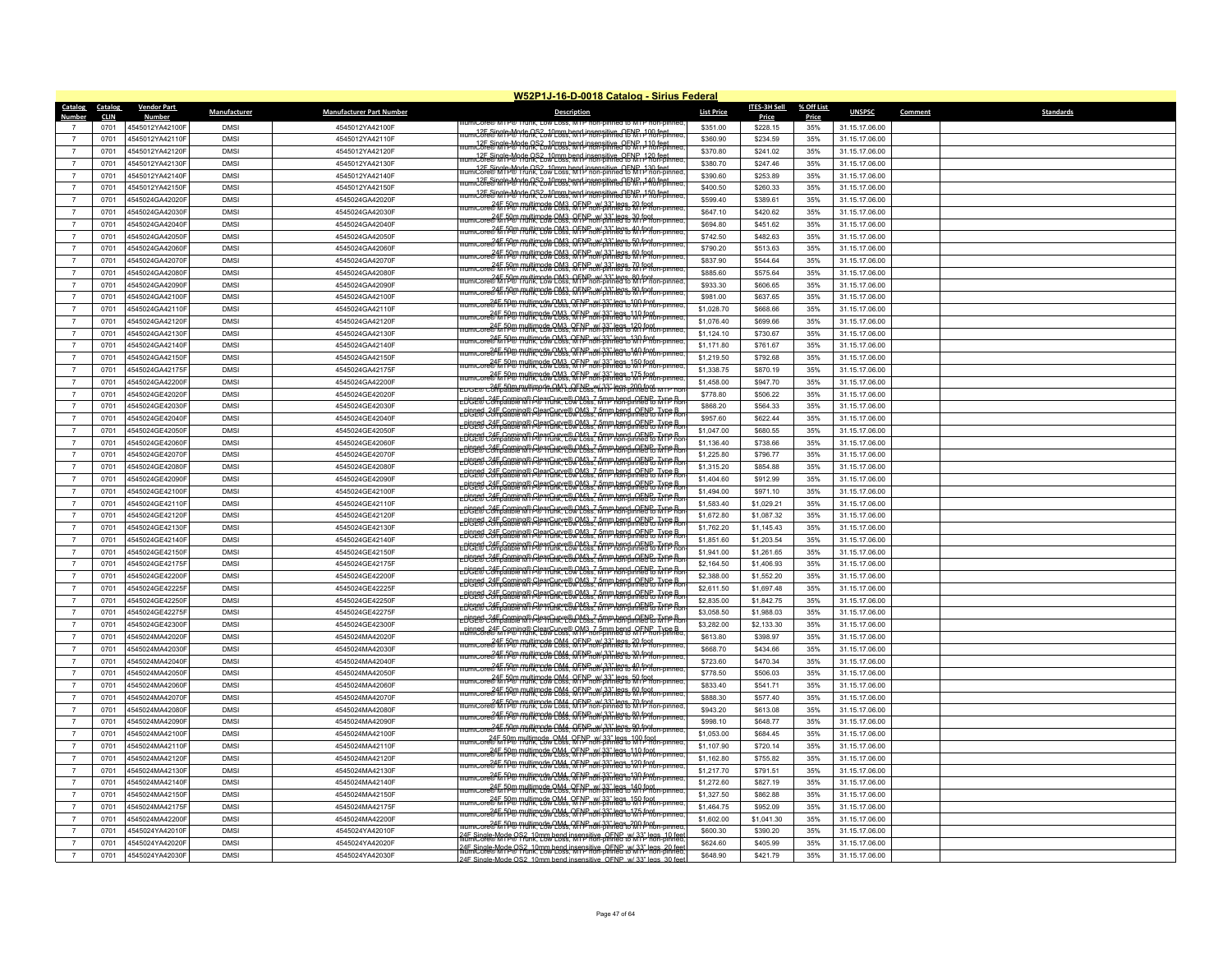| <b>Catalog</b> | W52P1J-16-D-0018 Catalog - Sirius Federal<br>Catalog |                    |              |                                 |                                                                                                                                                                                                        |                   |                              |                     |                |         |                  |  |
|----------------|------------------------------------------------------|--------------------|--------------|---------------------------------|--------------------------------------------------------------------------------------------------------------------------------------------------------------------------------------------------------|-------------------|------------------------------|---------------------|----------------|---------|------------------|--|
| Numbe          | <b>CLIN</b>                                          | <b>Vendor Part</b> | Manufacturer | <b>Manufacturer Part Number</b> | <b>Description</b>                                                                                                                                                                                     | <b>List Price</b> | <b>ITES-3H Sell</b><br>Price | % Off List<br>Price | <b>UNSPSC</b>  | Comment | <b>Standards</b> |  |
|                | 0701                                                 | 4545012YA42100F    | <b>DMS</b>   | 4545012YA42100F                 |                                                                                                                                                                                                        | \$351.00          | \$228.15                     | 35%                 | 31.15.17.06.00 |         |                  |  |
| $\overline{7}$ | 0701                                                 | 4545012YA42110F    | <b>DMSI</b>  | 4545012YA42110F                 |                                                                                                                                                                                                        | \$360.90          | \$234.59                     | 35%                 | 31.15.17.06.00 |         |                  |  |
| $\overline{7}$ | 0701                                                 | 4545012YA42120F    | <b>DMS</b>   | 4545012YA42120F                 | micore® MPP® Think, Cow Loss, MTP non-pinned to MTP non-pinned                                                                                                                                         | \$370.80          | \$241.02                     | 35%                 | 31.15.17.06.00 |         |                  |  |
| $\overline{7}$ | 0701                                                 | 4545012YA42130F    | <b>DMS</b>   | 4545012YA42130F                 | 12E Single-Mode OS2_10mm bend insensitive_OENR_120 feet_<br>jcore® M fP® ffunk. Cow Loss. M f Phon-pinned & M i Phon-pinned                                                                            | \$380.70          | \$247.46                     | 35%                 | 31.15.17.06.00 |         |                  |  |
| $\overline{7}$ | 0701                                                 | 4545012YA42140F    | <b>DMSI</b>  | 4545012YA42140F                 | nicore® Mitchen CS2, 10mm bend insensitive OENP 130 feet                                                                                                                                               | \$390.60          | \$253.89                     | 35%                 | 31.15.17.06.00 |         |                  |  |
| $\overline{7}$ | 0701                                                 | 4545012YA42150F    | <b>DMSI</b>  | 4545012YA42150F                 | . <del>.22FeSingleMode.QS2.JOrgs.hend.insensitive.QENR1.40.fest.j</del>                                                                                                                                | \$400.50          | \$260.33                     | 35%                 | 31.15.17.06.00 |         |                  |  |
| $\overline{7}$ | 0701                                                 | 4545024GA42020F    | <b>DMS</b>   | 4545024GA42020F                 | nicore® M P® Mode OS2, 10mm hend insensitive OENR 150 feet                                                                                                                                             | \$599.40          | \$389.61                     | 35%                 | 31.15.17.06.00 |         |                  |  |
| $\overline{7}$ | 0701                                                 | 4545024GA42030F    | <b>DMSI</b>  | 4545024GA42030F                 | umiCore® Mine Pulltimode CM3, OFNP w/ 33" legs_20 foot<br>umiCore® Mine Pitchk, Low Loss, MTP non-pinned to MTP non-pinner                                                                             | \$647.10          | \$420.62                     | 35%                 | 31.15.17.06.00 |         |                  |  |
| $\overline{7}$ | 0701                                                 | 4545024GA42040F    | <b>DMSI</b>  | 4545024GA42040F                 | umicore® ff rp® multimode OM3, OFNP, w/33" legs, 30 foot<br>umicore® ff rp® multimode Coss, MTP non-pinned to MTP non-pinned                                                                           | \$694.80          | \$451.62                     | 35%                 | 31.15.17.06.00 |         |                  |  |
| $\overline{7}$ | 0701                                                 | 4545024GA42050F    | <b>DMSI</b>  | 4545024GA42050F                 | iumiCore®Min <sup>50</sup> Pulltimode OM3, OFNP w/33" legs, 40 foot.<br>IumiCore®Min9® Punk, Low Coss, MTP non-pinned to MTP non-pinned.                                                               | \$742.50          | \$482.63                     | 35%                 | 31.15.17.06.00 |         |                  |  |
| $\overline{7}$ | 0701                                                 | 4545024GA42060F    | <b>DMS</b>   | 4545024GA42060F                 | ncore& <del>ff pW multimed&amp; CM3. RFNPnoY-317" leg&amp; 50 foot on own</del>                                                                                                                        | \$790.20          | \$513.63                     | 35%                 | 31.15.17.06.00 |         |                  |  |
| $\overline{7}$ | 0701                                                 | 4545024GA42070F    | <b>DMSI</b>  | 4545024GA42070F                 | umicore®15 f9® multimede CM3, QFNP w/ 33" legs, 60 foot.<br>umicore®15 f9® multimede CM3, QFNP non-pinned to MTP non-pinned                                                                            | \$837.90          | \$544.64                     | 35%                 | 31.15.17.06.00 |         |                  |  |
| $\overline{7}$ | 0701                                                 | 4545024GA42080F    | <b>DMS</b>   | 4545024GA42080F                 | umicore® Mi FA® multimede CM3, QFPP pw/33" legs, 70 foot punned.                                                                                                                                       | \$885.60          | \$575.64                     | 35%                 | 31.15.17.06.00 |         |                  |  |
| $\overline{7}$ | 0701                                                 | 4545024GA42090F    | <b>DMSI</b>  | 4545024GA42090F                 | 24F-50m multimode OM3, OFNP, w/ 33" legs, 80 foot<br>24F 50m multimode OM3, OFNP, w/ 33" legs, 90 foot                                                                                                 | \$933.30          | \$606.65                     | 35%                 | 31.15.17.06.00 |         |                  |  |
| $\overline{7}$ | 0701                                                 | 4545024GA42100F    | <b>DMSI</b>  | 4545024GA42100F                 |                                                                                                                                                                                                        | \$981.00          | \$637.65                     | 35%                 | 31.15.17.06.00 |         |                  |  |
| $\overline{7}$ | 0701                                                 | 4545024GA42110F    | <b>DMSI</b>  | 4545024GA42110F                 | umicore@h fP@ THUtimode QM3, QFNP w/ 33" legs 100 fPpt                                                                                                                                                 | \$1,028.70        | \$668.66                     | 35%                 | 31.15.17.06.00 |         |                  |  |
| $\overline{7}$ | 0701                                                 | 4545024GA42120F    | <b>DMS</b>   | 4545024GA42120F                 | 245 PM THIM COM3 OF NP w/33" legs 110 foot                                                                                                                                                             | \$1,076.40        | \$699.66                     | 35%                 | 31.15.17.06.00 |         |                  |  |
| $\overline{7}$ | 0701                                                 | 4545024GA42130F    | <b>DMSI</b>  | 4545024GA42130F                 | umicore® M fP® multimode OM3, OFNP, w/ 33" legs 120 froit.<br>Imicore® M fP® multik, Low Loss, M IP non-pinned to M I P non-pinned                                                                     | \$1,124.10        | \$730.67                     | 35%                 | 31.15.17.06.00 |         |                  |  |
| $\overline{7}$ | 0701                                                 | 4545024GA42140F    | <b>DMS</b>   | 4545024GA42140F                 | amicore®Kippe multimode OM3, OFNP, w/33" legs 130 foot                                                                                                                                                 | \$1,171.80        | \$761.67                     | 35%                 | 31.15.17.06.00 |         |                  |  |
| $\overline{7}$ | 0701                                                 | 4545024GA42150F    | <b>DMSI</b>  | 4545024GA42150F                 | amicore®h fP® multimode OM3, OFNP, w/ 33" legs 140 fpot                                                                                                                                                | \$1,219.50        | \$792.68                     | 35%                 | 31.15.17.06.00 |         |                  |  |
| $\overline{7}$ | 0701                                                 | 4545024GA42175F    | <b>DMSI</b>  | 4545024GA42175F                 | micore@ M 1P® THUllimode OM3 OFNP w/33" lease 150 feat                                                                                                                                                 | \$1,338.75        | \$870.19                     | 35%                 | 31.15.17.06.00 |         |                  |  |
| $\overline{7}$ | 0701                                                 | 4545024GA42200F    | <b>DMS</b>   | 4545024GA42200F                 | umic.org 845 FP 8 multimode OM3, OFNP avi 33" legs 175 foot punned                                                                                                                                     | \$1,458.00        | \$947.70                     | 35%                 | 31.15.17.06.00 |         |                  |  |
| $\overline{7}$ | 0701                                                 | 4545024GE42020F    | <b>DMSI</b>  | 4545024GE42020F                 | DGE® Compatible MIP® Funk, Low Doss, MIP hon-pinned to MIP no-                                                                                                                                         | \$778.80          | \$506.22                     | 35%                 | 31.15.17.06.00 |         |                  |  |
| $\overline{7}$ | 0701                                                 | 4545024GE42030F    | <b>DMS</b>   | 4545024GE42030F                 | -Digged <del>C4E</del> Coming® ClearCurve® OM3, 7 5mm hend, OENP TVP Bo                                                                                                                                | \$868.20          | \$564.33                     | 35%                 | 31.15.17.06.00 |         |                  |  |
| $\overline{7}$ | 0701                                                 | 4545024GE42040F    | <b>DMS</b>   | 4545024GE42040F                 | Dipped 24F Coming® ClearCurve® OM3_7 5mm bend_OENP_Type B<br>DCE® Compatible MTP® Trunk, Low Loss, MTP non-pinned to MTP non-                                                                          | \$957.60          | \$622.44                     | 35%                 | 31.15.17.06.00 |         |                  |  |
| $\overline{7}$ | 0701                                                 | 4545024GE42050F    | <b>DMS</b>   | 4545024GE42050F                 | Dissert Compatible MT Fig. 17 Fig. 2003, 7 Fig. 2 Fig. 2 Fig. 2 Fig. 2 Fig. 2 Fig.                                                                                                                     | \$1,047.00        | \$680.55                     | 35%                 | 31.15.17.06.00 |         |                  |  |
| $\overline{7}$ | 0701                                                 | 4545024GE42060F    | <b>DMSI</b>  | 4545024GE42060F                 | -Di326 Compatible MI F& Trunk Cow Loss, MTP hend, OENE, Type B                                                                                                                                         | \$1,136.40        | \$738.66                     | 35%                 | 31.15.17.06.00 |         |                  |  |
| $\overline{7}$ | 0701                                                 | 4545024GE42070F    | <b>DMS</b>   | 4545024GE42070F                 | Dissert Compatible MT Fig. 11 Fig. 1 February 25, MTP hend, OENE, Type B                                                                                                                               | \$1,225.80        | \$796.77                     | 35%                 | 31.15.17.06.00 |         |                  |  |
| $\overline{7}$ | 0701                                                 | 4545024GE42080F    | <b>DMSI</b>  | 4545024GE42080F                 | -Binned 24E Coming® ClearCurve® OM3, 7 5mm hend, OENP, Type B                                                                                                                                          | \$1,315.20        | \$854.88                     | 35%                 | 31.15.17.06.00 |         |                  |  |
| $\overline{7}$ | 0701                                                 | 4545024GE42090F    | <b>DMSI</b>  | 4545024GE42090F                 | -Digged Cambauble Mi P® Tunk, Low Loss, MTP hon-pinned to MTP ho                                                                                                                                       | \$1,404.60        | \$912.99                     | 35%                 | 31.15.17.06.00 |         |                  |  |
| $\overline{7}$ | 0701                                                 | 4545024GE42100F    | <b>DMSI</b>  | 4545024GE42100F                 | DCES Compatible MI P& TGHK E& CM3 7 5mm hend OEN & TYP R                                                                                                                                               | \$1,494.00        | \$971.10                     | 35%                 | 31.15.17.06.00 |         |                  |  |
| $\overline{7}$ | 0701                                                 | 4545024GE42110F    | <b>DMSI</b>  | 4545024GE42110F                 | -Dissert Companing® GlearCurre® OM3, 7 5mm bend OENP Type Bo                                                                                                                                           | \$1,583.40        | \$1,029.21                   | 35%                 | 31.15.17.06.00 |         |                  |  |
| $\overline{7}$ | 0701                                                 | 4545024GE42120F    | <b>DMSI</b>  | 4545024GE42120F                 | -Dige & Compatible Mil File a Curve ® CM3 - 7 Amp hend CENE Type Ro                                                                                                                                    | \$1,672.80        | \$1,087.32                   | 35%                 | 31.15.17.06.00 |         |                  |  |
| $\overline{7}$ | 0701                                                 | 4545024GE42130F    | <b>DMS</b>   | 4545024GE42130F                 | Digest 24F Coming® ClearCurve® OM3, 7 5mm hend, OENP TVPP Bo<br>Digeed 24F Coming® ClearCurve® OM3, 7 5mm hend, OENP, Type B.<br>Digeed 23F Compatible MT P® Trunk, Low Loss, MTP hon-pinned to MTP Ro | \$1,762.20        | \$1,145.43                   | 35%                 | 31.15.17.06.00 |         |                  |  |
| $\overline{7}$ | 0701                                                 | 4545024GE42140F    | <b>DMS</b>   | 4545024GE42140F                 | Diges Campauple of PearCurre QOM3 7 5mm hend OESP Type Bo                                                                                                                                              | \$1,851.60        | \$1,203.54                   | 35%                 | 31.15.17.06.00 |         |                  |  |
| $\overline{7}$ | 0701                                                 | 4545024GE42150F    | <b>DMSI</b>  | 4545024GE42150F                 |                                                                                                                                                                                                        | \$1,941.00        | \$1,261.65                   | 35%                 | 31.15.17.06.00 |         |                  |  |
| $\overline{7}$ | 0701                                                 | 4545024GE42175F    | <b>DMS</b>   | 4545024GE42175F                 | Dige & Compatible MT P& Trung & OM3 7 5mm hend. OEN & Trip Bord                                                                                                                                        | \$2,164.50        | \$1,406.93                   | 35%                 | 31.15.17.06.00 |         |                  |  |
| $\overline{7}$ | 0701                                                 | 4545024GE42200F    | <b>DMS</b>   | 4545024GE42200F                 | Diges Campauble Mil PortGurye® OM3, 7 5mm hend OEN & Type B<br>-Digged 24F Coming® GlearCurve® OM3, 7 5mm hend, OENP TVPP Bo                                                                           | \$2,388.00        | \$1,552.20                   | 35%                 | 31.15.17.06.00 |         |                  |  |
| $\overline{7}$ | 0701                                                 | 4545024GE42225F    | <b>DMSI</b>  | 4545024GF42225F                 | -Digged 24F Coming® GlearCurve® OM3, 7 5mm hend, OENP TVPP Bo                                                                                                                                          | \$2,611.50        | \$1,697.48                   | 35%                 | 31.15.17.06.00 |         |                  |  |
| $\overline{7}$ | 0701                                                 | 4545024GE42250F    | <b>DMSI</b>  | 4545024GE42250F                 |                                                                                                                                                                                                        | \$2,835.00        | \$1,842.75                   | 35%                 | 31.15.17.06.00 |         |                  |  |
| $\overline{7}$ | 0701                                                 | 4545024GE42275F    | <b>DMSI</b>  | 4545024GE42275F                 |                                                                                                                                                                                                        | \$3,058.50        | \$1,988.03                   | 35%                 | 31.15.17.06.00 |         |                  |  |
| $\overline{7}$ | 0701                                                 | 4545024GE42300F    | <b>DMSI</b>  | 4545024GE42300F                 | -Dicreel <i>Co</i> lf Coming® GlearCurve® OM3-7 5mm hend. OENE Tyme B<br>ninned_24 Frf Proincin ClearCurre® OM3_7 5mm bend OFP Pon-pinned                                                              | \$3,282.00        | \$2,133.30                   | 35%                 | 31.15.17.06.00 |         |                  |  |
| $\overline{7}$ | 0701                                                 | 4545024MA42020F    | <b>DMS</b>   | 4545024MA42020F                 | iumiCore®Min <sup>50</sup> Pulltimode OM4, OFNP w/ 33" legs, 20 foot.<br>IumiCore®Min9® Punk, Low Coss, MTP non-pinned to MTP non-pinned.                                                              | \$613,80          | \$398.97                     | 35%                 | 31.15.17.06.00 |         |                  |  |
| $\overline{7}$ | 0701                                                 | 4545024MA42030F    | <b>DMS</b>   | 4545024MA42030F                 | 24F 50m multimode OM4, OFNP, w/ 33" legs, 30 foot.<br>imicore® M i P® Hunk, Low Loss, M i P non-pinned to M i P non-pinned                                                                             | \$668.70          | \$434.66                     | 35%                 | 31.15.17.06.00 |         |                  |  |
| $\overline{7}$ | 0701                                                 | 4545024MA42040F    | <b>DMS</b>   | 4545024MA42040F                 | umic ore® f F9® multimode OM4 QFNP w/33" legs 40 foot                                                                                                                                                  | \$723.60          | \$470.34                     | 35%                 | 31.15.17.06.00 |         |                  |  |
| $\overline{7}$ | 0701                                                 | 4545024MA42050F    | <b>DMSI</b>  | 4545024MA42050F                 | umicore® Min Pl® Pluhk, Low Loss, MTP non-pinned to M1 P non-pinned                                                                                                                                    | \$778.50          | \$506.03                     | 35%                 | 31.15.17.06.00 |         |                  |  |
| $\overline{7}$ | 0701                                                 | 4545024MA42060F    | <b>DMSI</b>  | 4545024MA42060F                 | umicore® Min Pl® Plunk, Low Loss, MTP non-pinned to MTP non-pinned                                                                                                                                     | \$833.40          | \$541.71                     | 35%                 | 31.15.17.06.00 |         |                  |  |
| $\overline{7}$ | 0701                                                 | 4545024MA42070F    | <b>DMS</b>   | 4545024MA42070F                 | and 245 50m multimode OM4 OFNP w/33" legs 70 foot                                                                                                                                                      | \$888.30          | \$577.40                     | 35%                 | 31.15.17.06.00 |         |                  |  |
| $\overline{7}$ | 0701                                                 | 4545024MA42080F    | <b>DMSI</b>  | 4545024MA42080F                 | umic.org 345.50 multimode 0.044 QFNP w/33" legs 80 foot                                                                                                                                                | \$943.20          | \$613.08                     | 35%                 | 31.15.17.06.00 |         |                  |  |
| $\overline{7}$ | 0701                                                 | 4545024MA42090F    | <b>DMS</b>   | 4545024MA42090F                 | umicore®1\fr <sup>50</sup> % multimode CM4, QFNP w/33" legs, 90 foot.<br>umicore®1\fr <sup>50</sup> % multimode CM4, QFNP non-pinned to MTP non-pinned                                                 | \$998.10          | \$648.77                     | 35%                 | 31.15.17.06.00 |         |                  |  |
| $\overline{7}$ | 0701                                                 | 4545024MA42100F    | <b>DMSI</b>  | 4545024MA42100F                 | micore® M7P® Thutimode, OM4, OFNP, w/33" legs, 100 foot                                                                                                                                                | \$1,053.00        | \$684.45                     | 35%                 | 31.15.17.06.00 |         |                  |  |
| $\overline{7}$ | 0701                                                 | 4545024MA42110F    | <b>DMS</b>   | 4545024MA42110F                 | umicore® M fP® multimode OM4, OFNP w/33" legs_110 from pinner                                                                                                                                          | \$1,107.90        | \$720.14                     | 35%                 | 31.15.17.06.00 |         |                  |  |
| $\overline{7}$ | 0701                                                 | 4545024MA42120F    | <b>DMSI</b>  | 4545024MA42120F                 | at 120 foot and 100 milliprode OM4, OFNP w/33" legs 120 foot                                                                                                                                           | \$1,162.80        | \$755.82                     | 35%                 | 31.15.17.06.00 |         |                  |  |
| $\overline{7}$ | 0701                                                 | 4545024MA42130F    | <b>DMSI</b>  | 4545024MA42130F                 | iumicore@fanp@multimode.cnd_ofFNP_w/33" legs_130 foot_<br>iumicore@fanp@multimode.cnd_cow_coss_MTP_non-pinned_to_MTP_non-pinned                                                                        | \$1,217.70        | \$791.51                     | 35%                 | 31.15.17.06.00 |         |                  |  |
| $\overline{7}$ | 0701                                                 | 4545024MA42140F    | <b>DMSI</b>  | 4545024MA42140F                 |                                                                                                                                                                                                        | \$1,272.60        | \$827.19                     | 35%                 | 31.15.17.06.00 |         |                  |  |
| $\overline{7}$ | 0701                                                 | 4545024MA42150F    | <b>DMS</b>   | 4545024MA42150F                 | umicore&h fP® multimode OM4, OFNP w/33" legs 150 fent pont                                                                                                                                             | \$1,327.50        | \$862.88                     | 35%                 | 31.15.17.06.00 |         |                  |  |
| $\overline{7}$ | 0701                                                 | 4545024MA42175F    | <b>DMSI</b>  | 4545024MA42175F                 |                                                                                                                                                                                                        | \$1,464.75        | \$952.09                     | 35%                 | 31.15.17.06.00 |         |                  |  |
| $\overline{7}$ | 0701                                                 | 4545024MA42200F    | <b>DMS</b>   | 4545024MA42200F                 | micore® MTP® multimode OM4, OFNP_w/ 33" legs_200 foot_<br>micore® MTP® Trunk, Low Loss, MTP non-pinned to MTP non-pinned                                                                               | \$1,602.00        | \$1,041.30                   | 35%                 | 31.15.17.06.00 |         |                  |  |
| $\overline{7}$ | 0701                                                 | 4545024YA42010F    | <b>DMS</b>   | 4545024YA42010F                 | 24E Single-Mode OS2, 10mm bend insensitive, OENP, w/ 33" legs, 10 fee<br>IllumiCore® MTP® Trunk, Low Loss, MTP non-pinned to MTP non-pinned                                                            | \$600.30          | \$390.20                     | 35%                 | 31.15.17.06.00 |         |                  |  |
| $\overline{7}$ | 0701                                                 | 4545024YA42020F    | <b>DMS</b>   | 4545024YA42020F                 | 24E Single-Mode OS2, 10mm hend insensitive, OENP w/ 33" legs, 20 fee<br>IllumiCore® MTP® Trunk, Low Loss, MTP non-pinned to MTP hon-pinned                                                             | \$624.60          | \$405.99                     | 35%                 | 31.15.17.06.00 |         |                  |  |
| $\overline{7}$ | 0701                                                 | 4545024YA42030F    | <b>DMSI</b>  | 4545024YA42030F                 | 24F Single-Mode OS2 10mm hend insensitive OFNP w/ 33" legs 30 fee                                                                                                                                      | \$648.90          | \$421.79                     | 35%                 | 31.15.17.06.00 |         |                  |  |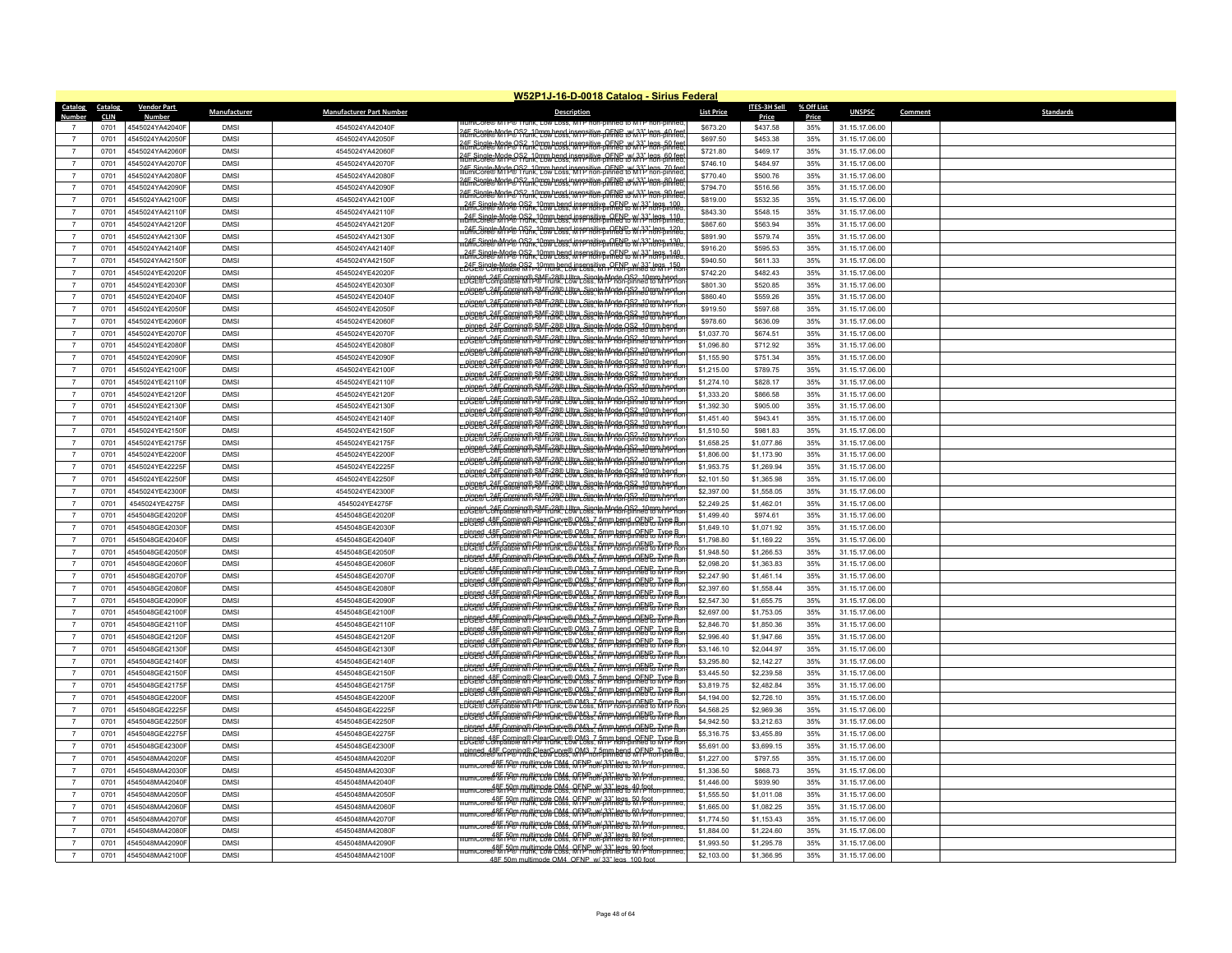| Catalog        | Catalog     | <b>Vendor Part</b> | Manufacturer | <b>Manufacturer Part Number</b> | <b>Description</b>                                                                                                                                         | <b>List Price</b> | ITES-3H Sell | % Off List | <b>UNSPSC</b>  | Comment | <b>Standards</b> |
|----------------|-------------|--------------------|--------------|---------------------------------|------------------------------------------------------------------------------------------------------------------------------------------------------------|-------------------|--------------|------------|----------------|---------|------------------|
| Numhe          | <b>CLIN</b> |                    |              |                                 | IIU.OTAW MIPW TRIAK TOW LOSS MIP AO                                                                                                                        |                   | Price        | Price      |                |         |                  |
|                | 0701        | 1545024YA42040F    | <b>DMSI</b>  | 4545024YA42040F                 | 24E Single-Mode OS2, 10mm hend insensitive, OENB w/33" legs. 40 fer<br>IllumiCore® MTP® Trunk, Low Loss, MTP non-pinned to MTP hon-pinned                  | \$673.20          | \$437.58     | 35%        | 31.15.17.06.00 |         |                  |
| $\overline{7}$ | 0701        | 4545024YA42050F    | <b>DMS</b>   | 4545024YA42050F                 | 24E Single Morte OS2, 10mm hend insensitive, OENP w/ 33" legs, 50 fee<br>IllumiCore® MTP® Trunk, Low Loss, MTP non-pinned to MTP hon-pinned                | \$697.50          | \$453.38     | 35%        | 31.15.17.06.00 |         |                  |
| $\overline{7}$ | 0701        | 4545024YA42060F    | <b>DMSI</b>  | 4545024YA42060F                 | 24E Single-Mode OS2, 10mm hend insensitive OENE W 33" legs, 60 fee<br>IllumiCore® M1P® frunk. Low Loss. M1P non-pinned to M1P non-pinned                   | \$721.80          | \$469.17     | 35%        | 31.15.17.06.00 |         |                  |
| $\overline{7}$ | 0701        | 4545024YA42070F    | <b>DMSI</b>  | 4545024YA42070F                 | 24E Single-Mode OS2, 10mm bend insensitive, OENP w/ 33" legs, 70 fee<br>IllumiCore® MTP® Trunk, Low Loss, MTP non-pinned to MTP non-pinned                 | \$746.10          | \$484.97     | 35%        | 31.15.17.06.00 |         |                  |
| $\overline{7}$ | 0701        | 4545024YA42080F    | <b>DMS</b>   | 4545024YA42080F                 |                                                                                                                                                            | \$770.40          | \$500.76     | 35%        | 31.15.17.06.00 |         |                  |
| $\overline{7}$ | 0701        | 4545024YA42090F    | <b>DMS</b>   | 4545024YA42090F                 | <u>af Single Mode OS2, 10mm hend insensitive OFNE w/33" legs BAfee</u>                                                                                     | \$794.70          | \$516.56     | 35%        | 31.15.17.06.00 |         |                  |
| $\overline{7}$ | 0701        | 4545024YA42100F    | <b>DMSI</b>  | 4545024YA42100F                 | 24E Single Mode OS2, 10mm hend insensitive OENB w/33" legs 90 fee<br>IllumiCore® Mode O Frunk, Low Loss, MTP hon-pinned to MTP hon-pinned                  | \$819.00          | \$532.35     | 35%        | 31.15.17.06.00 |         |                  |
| $\overline{7}$ | 0701        | 4545024YA42110F    | <b>DMS</b>   | 4545024YA42110F                 | 24E Single Mode 0S2, 10mm hend insensitive OENP W/33" legs 100                                                                                             | \$843.30          | \$548.15     | 35%        | 31.15.17.06.00 |         |                  |
| $\overline{7}$ | 0701        | 4545024YA42120F    | <b>DMS</b>   | 4545024YA42120F                 | 24E Single-Mode OS2, 10mm bend insensitive, OENP, W/33" legs, 110<br>jumiCore® MTP® Trunk, Low Loss, MTP non-pinned to MTP non-pinned                      | \$867.60          | \$563.94     | 35%        | 31.15.17.06.00 |         |                  |
| $\overline{7}$ | 0701        | 4545024YA42130F    | <b>DMSI</b>  | 4545024YA42130F                 | 24E Single-Mode OS2, 10mm bend insensitive, OENP, w/33" legs, 120                                                                                          | \$891.90          | \$579.74     | 35%        | 31.15.17.06.00 |         |                  |
| $\overline{7}$ | 0701        | 4545024YA42140F    | <b>DMS</b>   | 4545024YA42140F                 | 2 <del>1 An</del> Single Myde <del>W</del> 28 A 120 Loss, Mysensitive RENE W 23" legs 130                                                                  | \$916.20          | \$595.53     | 35%        | 31.15.17.06.00 |         |                  |
| $\overline{7}$ | 0701        | 4545024YA42150F    | <b>DMS</b>   | 4545024YA42150F                 | 24E Single Mode OS2, 10mm bend insensitive OENP W/33" legs 140<br>jumiCore® M P® Prunk, Low Loss, M IP non-pinned to M IP non-pinned                       | \$940.50          | \$611.33     | 35%        | 31.15.17.06.00 |         |                  |
| $\overline{7}$ | 0701        | 4545024YE42020F    | <b>DMS</b>   | 4545024YF42020F                 | 245 Single Mode OS? 10mm bend insensitive OFNP w/33" legs 150                                                                                              | \$742.20          | \$482.43     | 35%        | 31.15.17.06.00 |         |                  |
| $\overline{7}$ | 0701        | 4545024YE42030F    | <b>DMS</b>   | 4545024YE42030F                 | -pinned_24F_Corning® SMF-28® Ultra_Single-Mode_OS2_10mm hend<br>-DGE® Compatible MTP® Trunk, Low Loss, MTP non-pinned to MTP ho                            | \$801.30          | \$520.85     | 35%        | 31.15.17.06.00 |         |                  |
| $\overline{7}$ | 0701        | 4545024YE42040F    | <b>DMSI</b>  | 4545024YE42040F                 | -DUBLES Corning®SMF-28® Ultra_Single-Mode OS2_10mm hend<br>-DUBLES Compatible MTP® Frunk, Low Loss, MTP non-pinned to MTP ho                               | \$860.40          | \$559.26     | 35%        | 31.15.17.06.00 |         |                  |
| $\overline{7}$ | 0701        | 4545024YE42050F    | <b>DMS</b>   | 4545024YE42050F                 | -Di9E@C34F Corning®SMF-28®LUtra_Single-Mode OS2_10mm hepd.                                                                                                 | \$919.50          | \$597.68     | 35%        | 31.15.17.06.00 |         |                  |
| $\overline{7}$ | 0701        | 4545024YE42060F    | <b>DMSI</b>  | 4545024YE42060F                 | -DGE® C34E Coming® SMF 38® Liltra_Single-Mode 0S3_10mm hepd<br>-DGE® C34E Coming® SMF + & Frünk, Low Loss, MTP non-pinned to MTP no                        | \$978.60          | \$636.09     | 35%        | 31.15.17.06.00 |         |                  |
|                |             |                    |              |                                 | DUBE Campatible MTP Frink, Low Loss, MTP non-pinned to MTP flor-                                                                                           |                   |              |            |                |         |                  |
| $\overline{7}$ | 0701        | 4545024YE42070F    | <b>DMSI</b>  | 4545024YE42070F                 | - pinned-24F Corning® SMF-28® Ultra. Single-Mode OS2, 10mm hend<br>-DGE® Compatible MTP® Frunk. Low Loss. MTP non-pinned to MTP no                         | \$1,037.70        | \$674.51     | 35%        | 31.15.17.06.00 |         |                  |
| $\overline{7}$ | 0701        | 4545024YE42080F    | <b>DMSI</b>  | 4545024YE42080I                 | .pig <u>ped. 24F. Corning® SMF-28® Liltra, Single-Mode OS2, 10mm hend.</u><br>DGE® Compatible MTP® Trunk, Low Loss, MTP non-pinned to MTP ho               | \$1,096.80        | \$712.92     | 35%        | 31.15.17.06.00 |         |                  |
| $\overline{7}$ | 0701        | 4545024YF42090F    | <b>DMS</b>   | 4545024YE42090F                 | .<br>DI9BBd C34F Corping® SMF GAR, LUtra Sigg IG Mode OS2, 10mm hep Ho                                                                                     | \$1,155.90        | \$751.34     | 35%        | 31.15.17.06.00 |         |                  |
| $\overline{7}$ | 0701        | 4545024YE42100F    | <b>DMSI</b>  | 4545024YE42100F                 | EDGE® Cale Coming PD Frink Low Loss, MTP non-pinned to MP ho                                                                                               | \$1,215.00        | \$789.75     | 35%        | 31.15.17.06.00 |         |                  |
| $\overline{7}$ | 0701        | 4545024YE42110F    | <b>DMS</b>   | 4545024YE42110F                 | .<br><del>DCE® C34F Corning® SMF (38® LUtra_Single Mode OS3_10mm hepd.</del>                                                                               | \$1,274.10        | \$828.17     | 35%        | 31.15.17.06.00 |         |                  |
| $\overline{7}$ | 0701        | 4545024YE42120F    | <b>DMSI</b>  | 4545024YE42120F                 | -pinned_24F_Corning® SMF-28® Ultra_Single-Mode_OS2_10mm hend<br>-DGE® Compatible MTP® Trunk, Low Loss, MTP non-pinned to MTP ho                            | \$1,333.20        | \$866.58     | 35%        | 31.15.17.06.00 |         |                  |
| $\overline{7}$ | 0701        | 4545024YE42130F    | <b>DMSI</b>  | 4545024YE42130F                 | -DUBLING CAF Corning® SMF-28® Liltra, Single-Mode OS2, 10mm hend<br>-DUBLING Compatible MTP® Frunk, Low Loss, MTP non-pinned to MTP ho                     | \$1,392.30        | \$905.00     | 35%        | 31.15.17.06.00 |         |                  |
| $\overline{7}$ | 0701        | 4545024YE42140F    | <b>DMS</b>   | 4545024YE42140F                 | -DUBE Compatible MTP& Frink, Low Loss, MTP non-pinned to MTP no                                                                                            | \$1,451.40        | \$943.41     | 35%        | 31.15.17.06.00 |         |                  |
| $\overline{7}$ | 0701        | 4545024YE42150F    | <b>DMS</b>   | 4545024YE42150F                 |                                                                                                                                                            | \$1,510.50        | \$981.83     | 35%        | 31.15.17.06.00 |         |                  |
| -7             | 0701        | 4545024YE42175F    | <b>DMSI</b>  | 4545024YE42175F                 | Dispert Carping SMF-28® Litra Single Mode OS2, 10mm hepd.<br>Dispert Compatible MTP® Frunk, Low Loss, MTP Ron-pinned to MTP Ro.                            | \$1,658.25        | \$1,077.86   | 35%        | 31.15.17.06.00 |         |                  |
| $\overline{7}$ | 0701        | 4545024YE42200F    | <b>DMS</b>   | 4545024YE42200F                 | -DOBE Carning PSMF CAR Liltra Single Mode OS2, 10mm hepd.<br>-DOBE Compatible MTPSMF runk, Low Loss, MTP non-pinned to MTP ho                              | \$1,806.00        | \$1,173.90   | 35%        | 31.15.17.06.00 |         |                  |
| $\overline{7}$ | 0701        | 4545024YE42225F    | <b>DMSI</b>  | 4545024YE42225F                 | Digned 24F Corning®SMF-28® Ultra Single-Mode OS2, 10mm hend<br>Digned Compatible MTP® Frunk, Low Loss, MTP non-pinned to MTP ho                            | \$1,953.75        | \$1,269.94   | 35%        | 31.15.17.06.00 |         |                  |
| $\overline{7}$ | 0701        | 4545024YE42250F    | <b>DMSI</b>  | 4545024YE42250F                 | -pinned-24F Corning® SMF-28® Ultra_Single-Mode OS2_10mm hend<br>-DGE® Compatible MTP® Trunk, Low Loss, MTP non-pinned to MTP no                            | \$2,101.50        | \$1,365.98   | 35%        | 31.15.17.06.00 |         |                  |
| $\overline{7}$ | 0701        | 4545024YE42300F    | <b>DMS</b>   | 4545024YE42300F                 | -Di9Eed-Cale Coming® SME-28® Liltra_Single-Mode-OS2_10mm hend<br>-Di9Eed-Calipatible MTP® Frunk, Low Loss, MTP non-pinned to MTP ho                        | \$2,397.00        | \$1,558.05   | 35%        | 31.15.17.06.00 |         |                  |
| $\overline{7}$ | 0701        | 4545024YE4275F     | <b>DMSI</b>  | 4545024YE4275F                  | -DUBER Carping® SMF-28® Liltra_Single-Mode-OS2_10mm hepd<br>-DUBER Compatible MTP® Frunk, Low Loss, MTP non-pinned to MTP hoi                              | \$2,249.25        | \$1,462.01   | 35%        | 31.15.17.06.00 |         |                  |
| $\overline{7}$ | 0701        | 4545048GE42020F    | <b>DMS</b>   | 4545048GE42020F                 | -DUBLING CAF Corping® SMF-28® Liltra Single-Mode OS2, 10mm hepdo<br>-DUBLING Compatible MTP® Frunk, Low Loss, MTP non-binned to MTP doi                    | \$1,499.40        | \$974.61     | 35%        | 31.15.17.06.00 |         |                  |
| $\overline{7}$ | 0701        | 4545048GF42030F    | <b>DMS</b>   | 4545048GF42030F                 | -Digged 48E Coming® ClearCurve® OM3, 7 5mm hend, OENP TVP B.<br>-Digged 48E Compatible M1 P® Tunk, Low Loss, MTP non-pinned to MTP no                      | \$1,649.10        | \$1,071.92   | 35%        | 31.15.17.06.00 |         |                  |
| $\overline{7}$ | 0701        | 4545048GE42040F    | <b>DMS</b>   | 4545048GE42040F                 | -Binned (85 Coming® GlearCurve® OM3, 7 5mm hend, OENP, Type B                                                                                              | \$1,798.80        | \$1,169.22   | 35%        | 31.15.17.06.00 |         |                  |
| $\overline{7}$ | 0701        | 4545048GE42050F    | <b>DMSI</b>  | 4545048GE42050F                 | DCES Compatible MI P& TGHK E& CM3 7 5mm hend OEN & TYP R                                                                                                   | \$1,948.50        | \$1,266.53   | 35%        | 31.15.17.06.00 |         |                  |
| $\overline{7}$ | 0701        | 4545048GE42060F    | <b>DMS</b>   | 4545048GE42060F                 | Dice & Compatible MTP® Trunk Cow Loss, MTP hon-pinned to MTP ho                                                                                            | \$2,098.20        | \$1,363.83   | 35%        | 31.15.17.06.00 |         |                  |
| $\overline{7}$ | 0701        | 4545048GE42070F    | <b>DMSI</b>  | 4545048GE42070F                 | -Dispert companies of Programme CM3, 7 5mm hend, OENE, Type Bo                                                                                             | \$2,247.90        | \$1,461.14   | 35%        | 31.15.17.06.00 |         |                  |
| $\overline{7}$ | 0701        | 4545048GE42080F    | <b>DMSI</b>  | 4545048GE42080F                 | -Digged 48E Coming® ClearCurve® OM3, 7 5mm hend, OENP TVP B.<br>-Digged 48E Compatible M1 P® Tunk, Low Loss, MTP non-pinned to MTP no                      | \$2,397.60        | \$1,558.44   | 35%        | 31.15.17.06.00 |         |                  |
| $\overline{7}$ |             |                    |              |                                 | -Digged <i>Company</i> ClearCurve® OM3, 7 5mm hend, OENP <sub>c</sub> Type Bor<br>-Digged <i>Company</i> ClearCurve® OM3, 7 5mm hend not Formed to MTP Bor |                   |              |            |                |         |                  |
|                | 0701        | 4545048GE42090F    | <b>DMS</b>   | 4545048GE42090F                 | Digeed compatible MT FierrCurve® OM3 7 5mm hend OEN & Type B                                                                                               | \$2,547.30        | \$1,655.75   | 35%        | 31.15.17.06.00 |         |                  |
| $\overline{7}$ | 0701        | 4545048GE42100F    | <b>DMS</b>   | 4545048GE42100F                 | Digeed Compatible MT Fleet First Cow Loss, MTP hend, OENE, TYPE Ro                                                                                         | \$2,697.00        | \$1,753.05   | 35%        | 31.15.17.06.00 |         |                  |
| $\overline{7}$ | 0701        | 4545048GE42110F    | <b>DMSI</b>  | 4545048GE42110F                 | Dissert Compatible MT Fig. 17 Fig. 2003, 7 Fig. 2 Fig. 2 For Bonding To The Bonding Bonding Bonding Bonding Bo                                             | \$2,846.70        | \$1,850.36   | 35%        | 31.15.17.06.00 |         |                  |
| $\overline{7}$ | 0701        | 4545048GE42120F    | <b>DMSI</b>  | 4545048GE42120F                 | Digged 38E Coming® ClearCurve® OM3_7 5mm hend, OENP, Type B<br>Digged 38E Compatible M1 P® Trunk, Low Loss, M1P hon-pinned to M1P Ro                       | \$2,996.40        | \$1,947.66   | 35%        | 31.15.17.06.00 |         |                  |
| $\overline{7}$ | 0701        | 4545048GE42130F    | <b>DMS</b>   | 4545048GF42130F                 | Digged 38E Coming® ClearCurve® OM3_7 5mm bend, OENP, Type B<br>Digged Compatible MTP® Trunk, Low Loss, MTP hon-pinned to MTP ho                            | \$3,146.10        | \$2,044.97   | 35%        | 31.15.17.06.00 |         |                  |
| $\overline{7}$ | 0701        | 4545048GE42140F    | <b>DMSI</b>  | 4545048GF42140F                 | -Di326 Compatible MTP® Trunce® OM3, 7 5mm hend, OENE TVPP Ro                                                                                               | \$3,295.80        | \$2,142.27   | 35%        | 31.15.17.06.00 |         |                  |
| $\overline{7}$ | 0701        | 4545048GE42150F    | <b>DMS</b>   | 4545048GE42150F                 | DCES Compatible MI P& TGHK E& CM3 7 5mm hend OEN & TYP R                                                                                                   | \$3,445.50        | \$2,239.58   | 35%        | 31.15.17.06.00 |         |                  |
| $\overline{7}$ | 0701        | 4545048GF42175F    | <b>DMS</b>   | 4545048GE42175F                 | pleged <i>Co</i> fficeming® ClearCupye® OM3, 7 fmp hond OENP The B                                                                                         | \$3,819.75        | \$2,482.84   | 35%        | 31.15.17.06.00 |         |                  |
| $\overline{7}$ | 0701        | 4545048GE42200F    | <b>DMS</b>   | 4545048GF42200F                 | -Binned (85 Coming® GlearCurve® OM3, 7 5mm hend, OENP, Type B                                                                                              | \$4,194.00        | \$2,726.10   | 35%        | 31.15.17.06.00 |         |                  |
| $\overline{7}$ | 0701        | 4545048GE42225F    | <b>DMS</b>   | 4545048GE42225F                 | -Bigger (38E Coming® GlearCurve® OM3, 7 5mm hend, OENP, Type B.                                                                                            | \$4,568.25        | \$2,969.36   | 35%        | 31.15.17.06.00 |         |                  |
| $\overline{7}$ | 0701        | 4545048GE42250F    | <b>DMSI</b>  | 4545048GE42250F                 |                                                                                                                                                            | \$4,942.50        | \$3,212.63   | 35%        | 31.15.17.06.00 |         |                  |
| $\overline{7}$ | 070         | 4545048GE42275F    | <b>DMS</b>   | 4545048GE42275F                 | -Dicred <i>C</i> &F Coming® GlearCurve® OM3-7 5mm hend. OENE Tyme B<br>Digeed compatible MT FierrCurve® OM3 7 5mm hend OEN & Type B                        | \$5,316.75        | \$3,455.89   | 35%        | 31.15.17.06.00 |         |                  |
| $\overline{7}$ | 0701        | 4545048GE42300F    | <b>DMS</b>   | 4545048GE42300F                 |                                                                                                                                                            | \$5,691.00        | \$3,699.15   | 35%        | 31.15.17.06.00 |         |                  |
| $\overline{7}$ | 0701        | 4545048MA42020F    | <b>DMSI</b>  | 4545048MA42020F                 | ninned 485 (project LearCurre® OM3, 7 5mm bend OFP Fon-pinned                                                                                              | \$1,227.00        | \$797.55     | 35%        | 31.15.17.06.00 |         |                  |
| $\overline{7}$ | 0701        | 4545048MA42030F    | <b>DMS</b>   | 4545048MA42030F                 | umiCore@MTP@Tulltimode.QM4_QFNP_w/.33" legs_20 foot_<br>umiCore@MTP@Tulik, Low Loss, MTP non-pinned to MTP non-pinned                                      | \$1,336.50        | \$868.73     | 35%        | 31.15.17.06.00 |         |                  |
| $\overline{7}$ | 0701        | 4545048MA42040     | <b>DMS</b>   | 4545048MA42040F                 |                                                                                                                                                            | \$1,446.00        | \$939.90     | 35%        | 31.15.17.06.00 |         |                  |
| $\overline{7}$ | 0701        | 4545048MA42050F    | <b>DMS</b>   | 4545048MA42050F                 | llumiCore®MiP® multimode CM4, QFPP w/33" legs, 40 foot.<br>llumiCore®MiP® rlunk, Cow Coss, MTP non-pinned to MTP non-pinned                                | \$1,555.50        | \$1,011.08   | 35%        | 31.15.17.06.00 |         |                  |
| $\overline{7}$ | 0701        | 4545048MA42060F    | <b>DMS</b>   | 4545048MA42060F                 | umicore®\ffif>@" multimode OM4, OFNP_w/.33" legs_50.fpqt<br>umicore®\ffif>@" munk, Low Coss, MTP non-pinned to MTP non-pinned                              | \$1,665.00        | \$1,082.25   | 35%        | 31.15.17.06.00 |         |                  |
| $\overline{7}$ | 0701        | 4545048MA42070F    | <b>DMS</b>   | 4545048MA42070F                 | umicore®MTP® Pluhk, Cow Coss, MTPP, w/33" legs 60 fpot_<br>umicore®MTP® Pluhk, Cow Coss, MTP non-pinned to MTP non-pinne                                   | \$1,774.50        | \$1,153.43   | 35%        | 31.15.17.06.00 |         |                  |
| $\overline{7}$ | 0701        | 4545048MA42080F    | <b>DMSI</b>  | 4545048MA42080F                 | umiCore® MTP® Pulltimode OM4, OFNP w/ 33" legs. 70 foot<br>umiCore® MTP® Pulltk, Low Loss, MTP non-pinned to MTP non-pinne                                 | \$1,884.00        | \$1,224.60   | 35%        | 31.15.17.06.00 |         |                  |
| $\overline{7}$ | 0701        | 4545048MA42090F    | <b>DMSI</b>  | 4545048MA42090F                 | umiCore®MTP® Pulltimode OM4 OFNP_w/33" legs, 80 foot                                                                                                       | \$1,993.50        | \$1,295.78   | 35%        | 31.15.17.06.00 |         |                  |
| $\overline{7}$ | 0701        | 4545048MA42100F    | <b>DMS</b>   | 4545048MA42100F                 |                                                                                                                                                            | \$2,103.00        | \$1,366.95   |            |                |         |                  |
|                |             |                    |              |                                 | 48F 50m multimode OM4, OENP w/ 33" legs. 100 foot                                                                                                          |                   |              | 35%        | 31.15.17.06.00 |         |                  |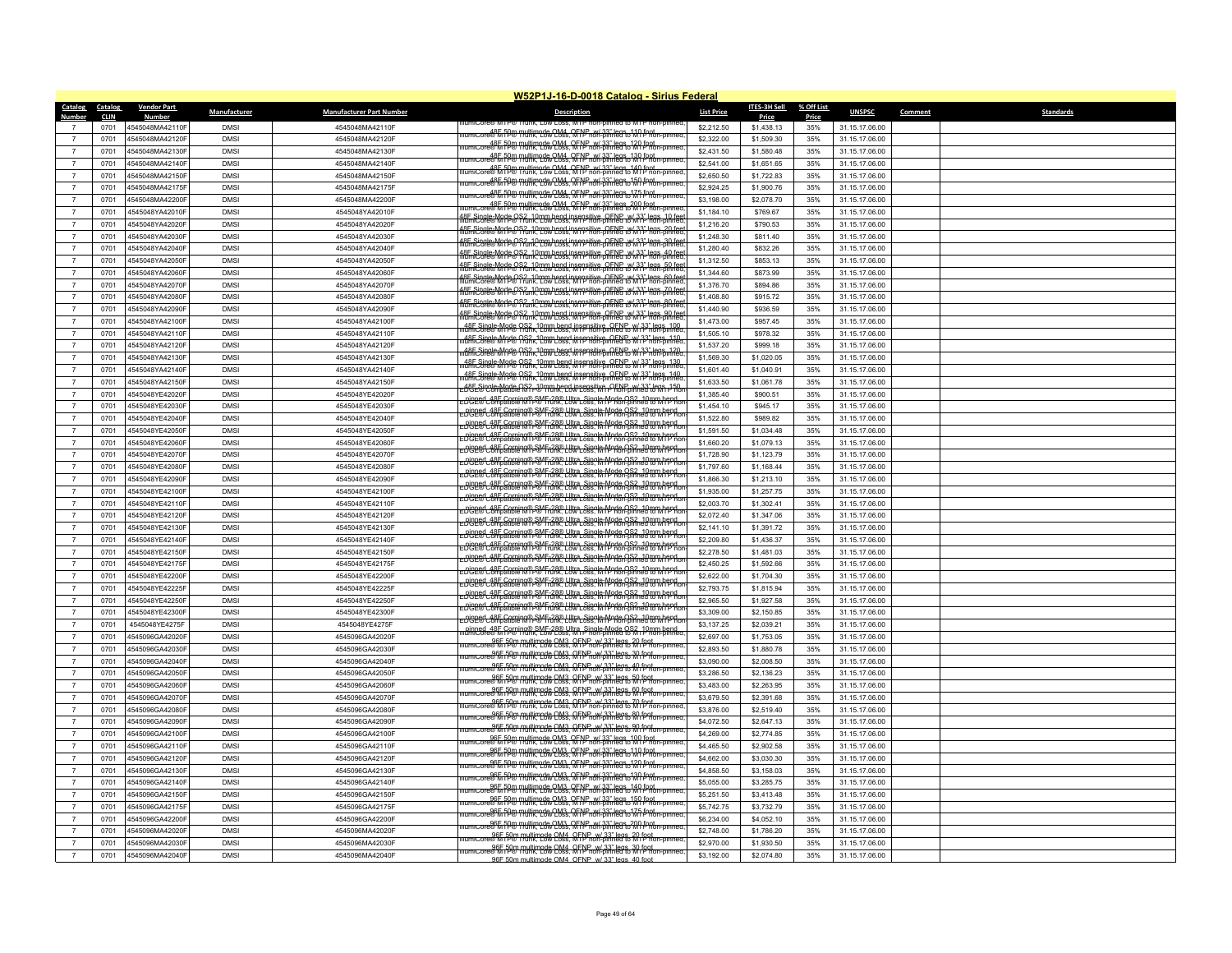|                                  |                        |                                    |                           |                                    | <b>W52P1J-16-D-0018 Catalog - Sirius Federal</b>                                                                                                                                                                          |                          |                              |                     |                                  |         |                  |
|----------------------------------|------------------------|------------------------------------|---------------------------|------------------------------------|---------------------------------------------------------------------------------------------------------------------------------------------------------------------------------------------------------------------------|--------------------------|------------------------------|---------------------|----------------------------------|---------|------------------|
| Catalog<br><b>Number</b>         | Catalog<br><b>CLIN</b> | <b>Vendor Part</b><br>Number       | Manufacturer              | <b>Manufacturer Part Number</b>    | <b>Description</b>                                                                                                                                                                                                        | <b>List Price</b>        | <b>ITES-3H Sell</b><br>Price | % Off List<br>Price | <b>UNSPSC</b>                    | Comment | <b>Standards</b> |
| $\overline{7}$                   | 0701                   | 4545048MA42110F                    | <b>DMSI</b>               | 4545048MA42110F                    | re® M I P® I N⊓K. LO                                                                                                                                                                                                      | \$2,212.50               | \$1,438.13                   | 35%                 | 31.15.17.06.00                   |         |                  |
| $\overline{7}$                   | 0701                   | 4545048MA42120F                    | <b>DMS</b>                | 4545048MA42120F                    |                                                                                                                                                                                                                           | \$2,322.00               | \$1,509.30                   | 35%                 | 31.15.17.06.00                   |         |                  |
| $\overline{7}$                   | 0701                   | 4545048MA42130F                    | <b>DMS</b>                | 4545048MA42130F                    | umicore®h fP® multimode OM4, OFNP w/33" legs, 120 fent<br>umicore®h fP® multik, Low Loss, MTP non-pinned to MTP non-pinned                                                                                                | \$2,431.50               | \$1,580.48                   | 35%                 | 31.15.17.06.00                   |         |                  |
| $\overline{7}$                   | 0701                   | 4545048MA42140F                    | <b>DMSI</b>               | 4545048MA42140F                    | umit ore 00 B FD Pullimode OM4 OFNP w/ 33" legs 130 foot                                                                                                                                                                  | \$2,541.00               | \$1,651.65                   | 35%                 | 31.15.17.06.00                   |         |                  |
| $\overline{7}$                   | 0701                   | 4545048MA42150F                    | <b>DMSI</b>               | 4545048MA42150F                    | iumicore®h fP® multimode OM4, OFNP, w/.33" legs 140 fpot.<br>Iumicore®h fP® multimode OM4, OFNP non-pinned to 140 fpot-pinned                                                                                             | \$2,650.50               | \$1,722.83                   | 35%                 | 31.15.17.06.00                   |         |                  |
| $\overline{7}$                   | 0701                   | 4545048MA42175F                    | <b>DMS</b>                | 4545048MA42175F                    | .ore 85 hP@ THUHR.com CM4, RFNP n81-Bin1895 o150 fPR6n-pmr                                                                                                                                                                | \$2,924.25               | \$1,900.76                   | 35%                 | 31.15.17.06.00                   |         |                  |
| -7                               | 0701                   | 4545048MA42200F                    | <b>DMSI</b>               | 4545048MA42200F                    | umiCore®MinP® Thunk, Low Loss, MTP non-pinned to MTP non-pinned                                                                                                                                                           | \$3,198.00               | \$2,078.70                   | 35%                 | 31.15.17.06.00                   |         |                  |
| $\overline{7}$                   | 0701                   | 4545048YA42010F                    | <b>DMS</b>                | 4545048YA42010F                    | llumiCore®MTP® multimode OM4 OFNP w/33" legs 200 foot                                                                                                                                                                     | \$1,184.10               | \$769.67                     | 35%                 | 31.15.17.06.00                   |         |                  |
| $\overline{7}$                   | 0701                   | 4545048YA42020F                    | <b>DMS</b>                | 4545048YA42020F                    | 18F Single-Mode OS2, 10mm bend insensitive, OENP, w/ 33" legs, 10 fee<br>liumiCore® MTP® Trunk, Low Loss, MTP non-pinned to MTP non-pinned                                                                                | \$1,216.20               | \$790.53                     | 35%                 | 31.15.17.06.00                   |         |                  |
| $\overline{7}$                   | 0701                   | 4545048YA42030F                    | <b>DMS</b>                | 4545048YA42030F                    | 18F Single-Mode OS2, 10mm bend insensitive, OENP w/ 33" legs, 20 fee<br>liumiCore® MTP® Trunk, Low Loss, MTP non-pinned to MTP non-pinned<br><u>18F Single Worle OS? . 10mm bend insensitive OFNE . w/33" legs 30 fee</u> | \$1,248.30               | \$811.40                     | 35%                 | 31.15.17.06.00                   |         |                  |
| $\overline{7}$                   | 0701                   | 4545048YA42040F                    | <b>DMS</b>                | 4545048YA42040F                    | 48E.Single.Mode.OS2_10mm.hend.insensitive_OENE+%(33)" legs_40 fee<br>IllumiCore® MTP® Trunk, Low Loss, MTP non-pinned to MTP non-pinned                                                                                   | \$1,280.40               | \$832.26                     | 35%                 | 31.15.17.06.00                   |         |                  |
| $\overline{7}$                   | 0701                   | 4545048YA42050F                    | <b>DMSI</b>               | 4545048YA42050F                    | 18E Single Mode OS2, 10mm hend insensitive, OENE to (33" legs, 50 fer<br>liumiCore® MTP® Trunk, Low Loss, MTP non-pinned to MTP hon-pinned                                                                                | \$1,312.50               | \$853.13                     | 35%                 | 31.15.17.06.00                   |         |                  |
| $\overline{7}$                   | 0701                   | 4545048YA42060F                    | <b>DMS</b>                | 4545048YA42060F                    | IRE Single-Mode OS2, 10mm hend insensitive, OENP, w/ 33" legs, 60 fee<br>liumiCore® MTP® Trunk, Low Loss, MTP non-pinned to MTP non-pinned                                                                                | \$1,344.60               | \$873.99                     | 35%                 | 31.15.17.06.00                   |         |                  |
| $\overline{7}$                   | 0701                   | 4545048YA42070F                    | <b>DMS</b>                | 4545048YA42070F                    | 48E Single-Mode OS2, 10mm hend insensitive, OENP w/ 33" legs. 70 fee<br>IllumiCore® MTP® Trunk, Low Loss, MTP hon-pinned to MTP hon-pinned                                                                                | \$1,376.70               | \$894.86                     | 35%                 | 31.15.17.06.00                   |         |                  |
| $\overline{7}$                   | 0701                   | 4545048YA42080F                    | <b>DMS</b>                | 4545048YA42080F                    | <u>18E Single-Mode OS2, 10mm bend insepsitive OFNB v/ 33" legs 80 fee</u>                                                                                                                                                 | \$1,408.80               | \$915.72                     | 35%                 | 31.15.17.06.00                   |         |                  |
| $\overline{7}$                   | 0701                   | 4545048YA42090F                    | <b>DMSI</b>               | 4545048YA42090F                    | 18E Single Morte OS2, 10mm hend insensitive, OENP w/ 33" legs, 90 fee<br>IllumiCore® MOP® Trunk, Low Loss, MTP non-pinned to MTP hon-pinned                                                                               | \$1,440.90               | \$936.59                     | 35%                 | 31.15.17.06.00                   |         |                  |
| $\overline{7}$                   | 0701                   | 4545048YA42100F                    | <b>DMS</b>                | 4545048YA42100I                    | 48E Single MOde OS2, 10mm hend insensitive, OENP W 13" legs, 100                                                                                                                                                          | \$1,473.00               | \$957.45                     | 35%                 | 31.15.17.06.00                   |         |                  |
| $\overline{7}$                   | 0701                   | 4545048YA42110F                    | <b>DMSI</b>               | 4545048YA42110F                    | 48F Single-Mode OS2, 10mm bend insensitive, OENP, w/33" legs, 110<br>jumicore® MOde Onnk, Low Loss, MTP non-pinned to MTP non-pinned                                                                                      | \$1,505.10               | \$978.32                     | 35%                 | 31.15.17.06.00                   |         |                  |
| $\overline{7}$                   | 0701                   | 4545048YA42120F                    | <b>DMSI</b>               | 4545048YA42120F                    | 48F Single-Mode OS2, 10mm bend insensitive, OENP W 33" legs, 120.<br>jumiCore® MTP® Prunk, Low Loss, MTP non-pinned to WTP non-pinned                                                                                     | \$1,537.20               | \$999.18                     | 35%                 | 31.15.17.06.00                   |         |                  |
| $\overline{7}$                   | 0701                   | 4545048YA42130F                    | <b>DMSI</b>               | 4545048YA42130F                    | 48FCSipele=Mode OS2_108m bend insensitive_OENP_w/33" legs_130                                                                                                                                                             | \$1,569.30               | \$1,020.05                   | 35%                 | 31.15.17.06.00                   |         |                  |
| $\overline{7}$                   | 0701                   | 4545048YA42140F                    | <b>DMS</b>                | 4545048YA42140F                    | 48E Single Mode OS2, 10mm hend insensitive, OENP w/ 33" legs 140<br>lumiCore® MTP® Trunk, Low Loss, MTP non-pinned to MTP non-pinned                                                                                      | \$1,601.40               | \$1,040.91                   | 35%                 | 31.15.17.06.00                   |         |                  |
| $\overline{7}$                   | 0701                   | 4545048YA42150F                    | <b>DMSI</b>               | 4545048YA42150F                    | -08E-Single-Mode OS? -10mm bend insensitive OENP w/33" legs +150<br>-08E-@J Compatible M ( P @ Trunk, Low Loss, M I P non-pinned to M I P no                                                                              | \$1,633.50               | \$1,061.78                   | 35%                 | 31.15.17.06.00                   |         |                  |
| $\overline{7}$                   | 0701                   | 4545048YE42020F                    | <b>DMS</b>                | 4545048YE42020F                    | -pinned-48F Corning® SMF-28® Ultra_Single-Mode OS2_10mm hend<br>-DGE® Compatible MTP® Trunk, Low Loss, MTP non-pinned to MTP no                                                                                           | \$1,385.40               | \$900.51                     | 35%                 | 31.15.17.06.00                   |         |                  |
| $\overline{7}$                   | 0701                   | 4545048YE42030F                    | <b>DMSI</b>               | 4545048YE42030F                    | -pinned-48F Corning® SMF-28® Ultra_Single-Mode-OS2_10mm hend<br>-DGE® Compatible MTP® Trunk, Low Loss, MTP non-pinned to MTP no                                                                                           | \$1,454.10               | \$945.17                     | 35%                 | 31.15.17.06.00                   |         |                  |
| $\overline{7}$                   | 0701                   | 4545048YE42040F                    | <b>DMSI</b>               | 4545048YE42040F                    | -DUBE Compatible MTP® Frunk, Low Loss, MTP non-pinned to MTP noi                                                                                                                                                          | \$1,522.80               | \$989.82                     | 35%                 | 31.15.17.06.00                   |         |                  |
| $\overline{7}$                   | 0701                   | 4545048YE42050F                    | <b>DMS</b>                | 4545048YE42050F                    | -DUBE Compatible MTP& Frink, Low Loss, MTP non-pinned to MTP no                                                                                                                                                           | \$1,591.50               | \$1,034.48                   | 35%                 | 31.15.17.06.00                   |         |                  |
| $\overline{7}$                   | 0701                   | 4545048YF42060F                    | <b>DMS</b>                | 4545048YF42060F                    | Dispert 48F Corning® SMF-28® Litra Single Mode OS2, 10mm hepd.<br>Dispert Compatible MTP® Frunk, Low Loss, MTP Ron-pinned to MTP Ro.                                                                                      | \$1,660.20               | \$1,079.13                   | 35%                 | 31.15.17.06.00                   |         |                  |
| $\overline{7}$                   | 0701                   | 4545048YE42070F                    | <b>DMSI</b>               | 4545048YE42070F                    | -DUBBE Coming® SMF-28® Liltra, Single-Mode OS2, 10mm hend<br>-DUBBE Compatible MTP® Frunk, Low Loss, MTP non-pinned to MTP ho                                                                                             | \$1,728.90               | \$1,123.79                   | 35%                 | 31.15.17.06.00                   |         |                  |
| $\overline{7}$                   | 0701                   | 4545048YE42080F                    | <b>DMS</b>                | 4545048YE42080F                    | EDGE® Coming® SMF-28® Ultra_Single-Mode OS2_10mm hend<br>EDGE® Compatible MTP® Frunk, Low Loss, MTP non-pinned to MTP no                                                                                                  | \$1,797.60               | \$1.168.44                   | 35%                 | 31.15.17.06.00                   |         |                  |
| $\overline{7}$                   | 0701                   | 4545048YE42090F                    | <b>DMS</b>                | 4545048YE42090F                    | Digeed ARE Corning TDM Frink, Low Loss, MTP non-pinned to MTP hotel                                                                                                                                                       | \$1,866.30               | \$1,213.10                   | 35%                 | 31.15.17.06.00                   |         |                  |
| $\overline{7}$                   | 0701                   | 4545048YE42100F                    | <b>DMS</b>                | 4545048YE42100F                    | -Di3P80 A8E Coming PSM F-28® Liltra Single-Mode OS2, 10mm hepd.                                                                                                                                                           | \$1,935.00               | \$1,257.75                   | 35%                 | 31.15.17.06.00                   |         |                  |
| $\overline{7}$                   | 0701                   | 4545048YE42110F                    | <b>DMS</b>                | 4545048YE42110F                    | EDGE® Compatible MTP® Frunk, Low Loss, MTP non-pinned to MTP noi                                                                                                                                                          | \$2,003.70               | \$1,302.41                   | 35%                 | 31.15.17.06.00                   |         |                  |
| $\overline{7}$                   | 0701                   | 4545048YE42120F                    | <b>DMSI</b>               | 4545048YE42120F                    | -DUBLES Corning® SMF-28® Liltra, Single-Mode OS2, 10mm hend<br>-DUBLES Compatible MTP® Frunk, Low Loss, MTP non-pinned to MTP ho                                                                                          | \$2,072.40               | \$1,347.06                   | 35%                 | 31.15.17.06.00                   |         |                  |
| $\overline{7}$                   | 0701                   | 4545048YE42130F                    | <b>DMS</b>                | 4545048YE42130F                    | -pinned_48F_Corning® SMF-28® Ultra_Single-Mode_OS2_10mm hend<br>-DCE® Compatible MTP® Trunk, Low Loss, MTP non-pinned to MTP no                                                                                           | \$2,141.10               | \$1,391.72                   | 35%                 | 31.15.17.06.00                   |         |                  |
| $\overline{7}$                   | 0701                   | 4545048YF42140F                    | <b>DMS</b>                | 4545048YE42140F                    | -DUBE Compatible MTP Frank Low Loss, MTP non-pinned to MTP no                                                                                                                                                             | \$2,209.80               | \$1,436.37                   | 35%                 | 31.15.17.06.00                   |         |                  |
| $\overline{7}$                   | 0701                   | 4545048YE42150F                    | <b>DMS</b>                | 4545048YE42150F                    | -DUBER Compatible MTP Frank, Low Loss, MTP non-pinned to MTP flor<br>-DUBER Compatible MTP Frank, Low Loss, MTP non-pinned to MTP flor                                                                                    | \$2,278.50               | \$1,481.03                   | 35%                 | 31.15.17.06.00                   |         |                  |
| $\overline{7}$                   | 0701                   | 4545048YE42175F                    | <b>DMS</b>                | 4545048YE42175F                    | -DUBE Compatible MTP Frank Low Loss, MTP non-pinned to MTP no                                                                                                                                                             | \$2,450.25               | \$1,592.66                   | 35%                 | 31.15.17.06.00                   |         |                  |
| $\overline{7}$                   | 0701                   | 4545048YF42200F                    | <b>DMS</b>                | 4545048YE42200F                    | $-$ pinned, 48F Corning® SMF $-28$ ® Ultra, Single-Mode, OS2, 10mm hend                                                                                                                                                   | \$2,622.00               | \$1,704.30                   | 35%                 | 31.15.17.06.00                   |         |                  |
| $\overline{7}$                   | 0701                   | 4545048YE42225F                    | <b>DMSI</b>               | 4545048YE42225F                    | $\frac{1}{10}$                                                                                                                                                                                                            | \$2,793.75               | \$1,815.94                   | 35%                 | 31.15.17.06.00                   |         |                  |
| $\overline{7}$                   | 0701                   | 4545048YE42250F                    | <b>DMSI</b>               | 4545048YE42250F                    | -DGE® Compatible MTP® Frunk, Low Loss, MTP non-pinned to MTP no                                                                                                                                                           | \$2,965.50               | \$1,927.58                   | 35%                 | 31.15.17.06.00                   |         |                  |
| $\overline{7}$                   | 0701                   | 4545048YE42300F                    | <b>DMS</b>                | 4545048YE42300F                    | -DOBE Compatible MTP& Frunk, Low Loss, MTP non-pinned to MTP ho                                                                                                                                                           | \$3,309.00               | \$2,150.85                   | 35%                 | 31.15.17.06.00                   |         |                  |
| $\overline{7}$                   | 0701                   | 4545048YE4275F                     | <b>DMSI</b>               | 4545048YE4275F                     | inned_485 Coming® SME-28® Liltra, Single Mode OS2, 10 mm bend<br>jumiCore® h Coming Low Loss, MTP non-pinned to MTP non-pinned                                                                                            | \$3,137.25               | \$2,039.21                   | 35%                 | 31.15.17.06.00                   |         |                  |
| $\overline{7}$                   | 0701                   | 4545096GA42020F                    | <b>DMSI</b>               | 4545096GA42020F                    | llumiCore®M r <sup>50</sup> m multimode QM3, QFNP w/ 33" legs, 20 foot.<br>llumiCore®M rP® Hunk, Low Loss, MTP non-pinned to MTP non-pinned.                                                                              | \$2,697.00               | \$1,753.05                   | 35%                 | 31.15.17.06.00                   |         |                  |
| $\overline{7}$                   | 0701                   | 4545096GA42030F                    | <b>DMS</b>                | 4545096GA42030F                    | imicore® M i <sup>p</sup> ® multimode OM3, QFNP, w/ 33" legs, 30 foot.<br>imicore® M iP® multimode OM3, MTP non-pinned to M iP non-pinned                                                                                 | \$2,893.50               | \$1,880.78                   | 35%                 | 31.15.17.06.00                   |         |                  |
| $\overline{7}$<br>$\overline{7}$ | 0701                   | 4545096GA42040F                    | <b>DMS</b>                | 4545096GA42040F                    | umicore®MiP® multimede CM3, QFNP w/ 33" legs, 40 foot                                                                                                                                                                     | \$3,090.00               | \$2,008.50                   | 35%                 | 31.15.17.06.00                   |         |                  |
| $\overline{7}$                   | 0701                   | 4545096GA42050F                    | <b>DMSI</b>               | 4545096GA42050F                    | umiCore®M rP® Pultimode CM3, RFNP, w/ 33" legs, 50 fpot                                                                                                                                                                   | \$3,286.50               | \$2,136.23                   | 35%                 | 31.15.17.06.00                   |         |                  |
| $\overline{7}$                   | 0701<br>0701           | 4545096GA42060F<br>4545096GA42070F | <b>DMSI</b><br><b>DMS</b> | 4545096GA42060F<br>4545096GA42070F | umicore®MTP®TRultimode OM3, OFNP, w/33" legs, 60 fpot                                                                                                                                                                     | \$3,483.00<br>\$3,679.50 | \$2,263.95<br>\$2,391.68     | 35%<br>35%          | 31.15.17.06.00<br>31.15.17.06.00 |         |                  |
| $\overline{7}$                   | 0701                   | 4545096GA42080F                    | <b>DMSI</b>               | 4545096GA42080F                    | umiCore®M pulltimode OM3 OFNP_w/33" legs 70.fpot                                                                                                                                                                          | \$3,876.00               | \$2,519.40                   | 35%                 | 31.15.17.06.00                   |         |                  |
| $\overline{7}$                   |                        | 4545096GA42090F                    | <b>DMS</b>                |                                    | llumiCore®M r <sup>50</sup> . Pulltimode QM3, QFNP, w/.33" legs, 80 foot.<br>llumiCore®M rP® Pullti, Low Loss, MTP non-pinned to MTP non-pinned                                                                           |                          |                              |                     |                                  |         |                  |
| $\overline{7}$                   | 0701                   |                                    | <b>DMS</b>                | 4545096GA42090F                    | umicore®MTP® Pulltimode OM3, OFNP, w/ 33" legs, 90 fpot.<br>umicore®MTP® Plunk, Low Loss, MTP non-pinned to MTP non-pinned                                                                                                | \$4,072.50               | \$2,647.13                   | 35%                 | 31.15.17.06.00                   |         |                  |
| $\overline{7}$                   | 0701<br>0701           | 4545096GA42100F<br>4545096GA42110F | <b>DMS</b>                | 4545096GA42100F<br>4545096GA42110F | mic.org 06 5 50 million de OM3, OFNP w/33" legs 100 foot proton-                                                                                                                                                          | \$4,269.00<br>\$4,465.50 | \$2,774.85<br>\$2,902.58     | 35%<br>35%          | 31.15.17.06.00<br>31.15.17.06.00 |         |                  |
| $\overline{7}$                   | 0701                   | 4545096GA42120F                    | <b>DMSI</b>               | 4545096GA42120F                    | lumiCore®MTP® Thultimode OM3, OFNP w/33" legs 110 foot.<br>IumiCore®MTP® Thunk, Low Loss, MTP non-pinned to MTP non-pinned                                                                                                | \$4,662.00               | \$3,030.30                   | 35%                 | 31.15.17.06.00                   |         |                  |
| $\overline{7}$                   | 0701                   | 4545096GA42130F                    | <b>DMSI</b>               | 4545096GA42130F                    | get film multimode OM3, OFNP w/ 33" legs 120 foot                                                                                                                                                                         | \$4,858.50               | \$3,158.03                   | 35%                 | 31.15.17.06.00                   |         |                  |
| $\overline{7}$                   |                        | 4545096GA42140F                    | <b>DMS</b>                | 4545096GA42140F                    | iumicore®h 198 Tullimode OM3, OFNP w/33" legs 130 foot<br>Iumicore®h 198 Tullimode OM3, OFNP non-pinned to MI P non-pinned                                                                                                | \$5,055.00               | \$3,285.75                   | 35%                 | 31.15.17.06.00                   |         |                  |
| $\overline{7}$                   | 0701<br>0701           | 4545096GA42150F                    | <b>DMS</b>                | 4545096GA42150F                    |                                                                                                                                                                                                                           | \$5,251.50               |                              | 35%                 |                                  |         |                  |
| $\overline{7}$                   | 0701                   | 4545096GA42175F                    | <b>DMSI</b>               | 4545096GA42175F                    | umiCore®h fP® multimode OM3, OFNP w/33" legs 150 foot                                                                                                                                                                     | \$5,742.75               | \$3,413.48<br>\$3,732.79     | 35%                 | 31.15.17.06.00<br>31.15.17.06.00 |         |                  |
| $\overline{7}$                   | 0701                   | 4545096GA42200F                    | <b>DMS</b>                | 4545096GA42200F                    | llumiCore®M fP® multimode QM3, QFNP pon-binned to M1 P non-pinned                                                                                                                                                         | \$6,234.00               | \$4,052.10                   | 35%                 | 31.15.17.06.00                   |         |                  |
| $\overline{7}$                   | 0701                   | 4545096MA42020F                    | <b>DMS</b>                | 4545096MA42020F                    | micore® MTP® multimode OM3, OFNP w/ 33" legs 200 foot<br>imicore® MTP® Trufik, Low Loss, MTP non-pinned to MTP non-pinned                                                                                                 | \$2,748.00               | \$1,786.20                   | 35%                 | 31.15.17.06.00                   |         |                  |
| $\overline{7}$                   | 0701                   | 4545096MA42030F                    | <b>DMS</b>                | 4545096MA42030F                    | of FOR multimode OM4 OFNP w/33" legs 20 foot                                                                                                                                                                              | \$2,970.00               | \$1,930.50                   | 35%                 | 31.15.17.06.00                   |         |                  |
| $\overline{7}$                   | 0701                   | 4545096MA42040F                    | <b>DMSI</b>               | 4545096MA42040F                    | llumiCore®标rp® multimode QM4, QFNP w/ 33" legs, 30 foot.<br>llumiCore®标rp® frunk, Low Coss, MTP non-pinned to MTP non-pinned.                                                                                             | \$3,192.00               | \$2,074.80                   | 35%                 | 31.15.17.06.00                   |         |                  |
|                                  |                        |                                    |                           |                                    | 96E 50m multimode OM4, OENP w/ 33" legs. 40 foot                                                                                                                                                                          |                          |                              |                     |                                  |         |                  |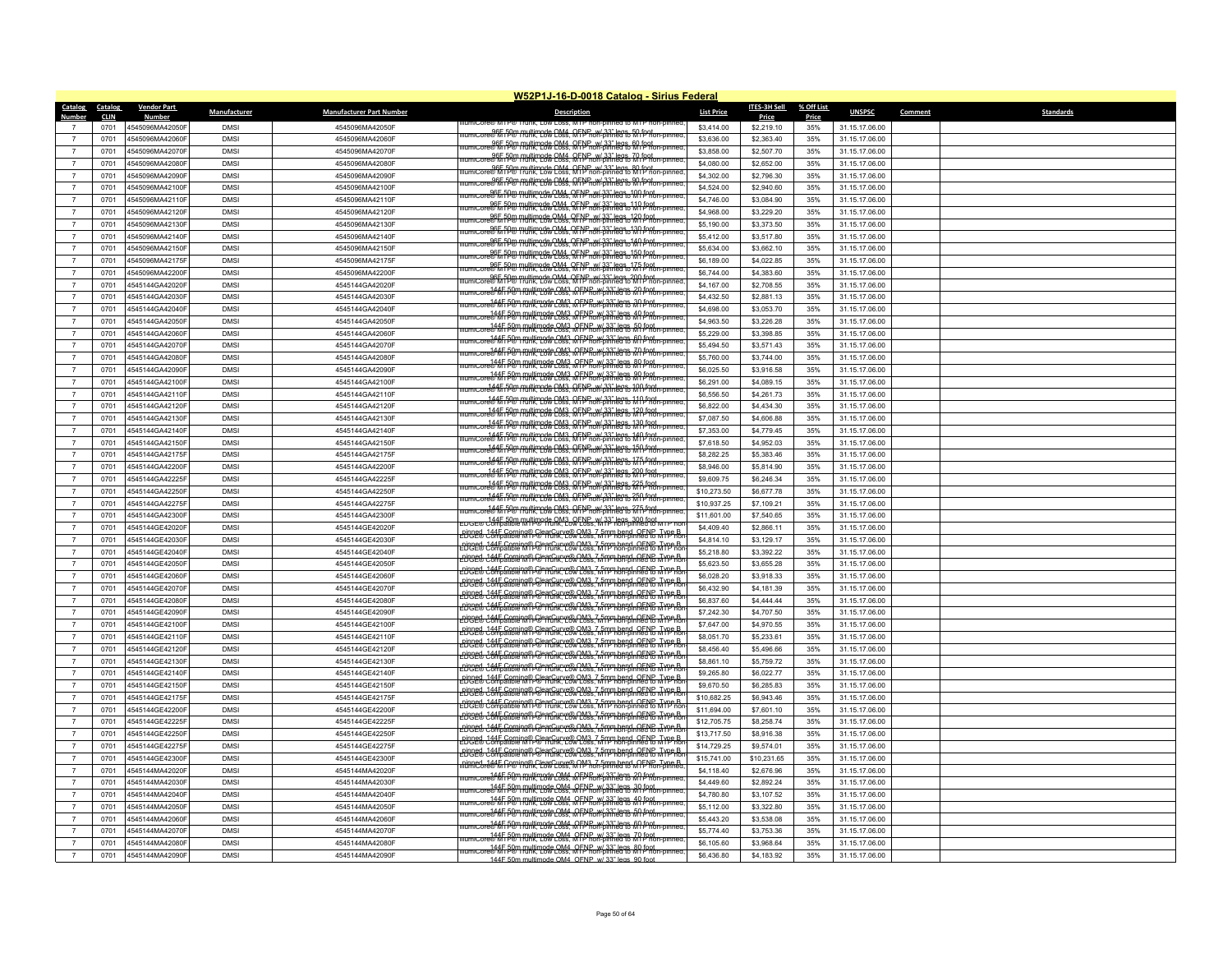|                         |                        |                             |              |                                 | W52P1J-16-D-0018 Catalog - Sirius Federal                                                                                                                                               |                   |                       |                     |                |         |                  |
|-------------------------|------------------------|-----------------------------|--------------|---------------------------------|-----------------------------------------------------------------------------------------------------------------------------------------------------------------------------------------|-------------------|-----------------------|---------------------|----------------|---------|------------------|
| <b>Catalog</b><br>Numbe | Catalog<br><b>CLIN</b> | <b>Vendor Part</b><br>Numbe | Manufacturer | <b>Manufacturer Part Number</b> | <b>Description</b>                                                                                                                                                                      | <b>List Price</b> | ITES-3H Sell<br>Price | % Off List<br>Price | <b>UNSPSC</b>  | Comment | <b>Standards</b> |
|                         | 0701                   | 4545096MA42050F             | <b>DMS</b>   | 4545096MA42050F                 |                                                                                                                                                                                         | \$3,414.00        | \$2,219.10            | 35%                 | 31.15.17.06.00 |         |                  |
| $\overline{7}$          | 0701                   | 4545096MA42060F             | <b>DMSI</b>  | 4545096MA42060F                 |                                                                                                                                                                                         | \$3,636.00        | \$2,363.40            | 35%                 | 31.15.17.06.00 |         |                  |
| $\overline{7}$          | 0701                   | 4545096MA42070F             | <b>DMS</b>   | 4545096MA42070F                 | umicore®MiP® multimode CM4, QFPP on S3" legs, 60 foot                                                                                                                                   | \$3,858.00        | \$2,507.70            | 35%                 | 31.15.17.06.00 |         |                  |
| $\overline{7}$          | 0701                   | 4545096MA42080F             | <b>DMS</b>   | 4545096MA42080F                 | umicore®MTP® [funk, Low Loss, MTP non-pinned to MTP non-pinned<br>umicore®MTP® [funk, Low Loss, MTP non-pinned to MTP non-pinned                                                        | \$4,080.00        | \$2,652.00            | 35%                 | 31.15.17.06.00 |         |                  |
| $\overline{7}$          | 0701                   | 4545096MA42090F             | <b>DMSI</b>  | 4545096MA42090F                 | umic ore 06F 50m multimode OM4 OFNP w/ 33" legs, 80 foot                                                                                                                                | \$4,302.00        | \$2,796.30            | 35%                 | 31.15.17.06.00 |         |                  |
| $\overline{7}$          | 0701                   | 4545096MA42100F             | <b>DMSI</b>  | 4545096MA42100F                 | ncore@for.fP@_multimed&QM4_QFP_non-binne8%QQ_fP9ton-pin                                                                                                                                 | \$4,524.00        | \$2,940.60            | 35%                 | 31.15.17.06.00 |         |                  |
| $\overline{7}$          | 0701                   | 4545096MA42110F             | <b>DMS</b>   | 4545096MA42110F                 | umicore®h fP® multimode OM4 RFNP w/33" legs 100 foot_<br>umicore®h fP® munk, Low Loss, MTP non-pinned to M1 f^non-pinne                                                                 | \$4,746.00        | \$3,084.90            | 35%                 | 31.15.17.06.00 |         |                  |
| $\overline{7}$          | 0701                   | 4545096MA42120F             | <b>DMSI</b>  | 4545096MA42120F                 | lumiCore®h 198 Thultimode OM4 OFNP w/33" legs_110 foot<br>lumiCore®h 198 Thunk, Low Loss, MTP non-pinned to MTP non-pinned                                                              | \$4,968.00        | \$3,229.20            | 35%                 | 31.15.17.06.00 |         |                  |
|                         | 0701                   | 4545096MA42130F             | <b>DMSI</b>  | 4545096MA42130F                 | umiCore®h PD® multimode OM4_OFNP_w/.33" legs_120 foot_<br>umiCore®h PD® multimode OM4_OFNP_non-pinned to M P_non-pinned                                                                 | \$5,190.00        | \$3,373.50            | 35%                 | 31.15.17.06.00 |         |                  |
| $\overline{7}$          | 0701                   | 4545096MA42140F             | <b>DMSI</b>  | 4545096MA42140F                 | umicore®h fP® multimode OM4, OFNP, w/ 33" legs, 130 fpgt<br>umicore®h fP® multimode OM4, OFNP non-pinned to M1 Phon-pinned.                                                             | \$5,412.00        | \$3,517.80            | 35%                 | 31.15.17.06.00 |         |                  |
| $\overline{7}$          | 0701                   | 4545096MA42150F             | <b>DMS</b>   | 4545096MA42150F                 | ncore@h fP@ THUtimede 2M4, OFNP MY 33" legs 340 feet on                                                                                                                                 | \$5,634.00        | \$3,662.10            | 35%                 | 31.15.17.06.00 |         |                  |
| $\overline{7}$          | 0701                   | 4545096MA42175F             | <b>DMSI</b>  | 4545096MA42175F                 | umicore®h fP® multimode OM4, OFNP, w/33" legs 150 from pinned                                                                                                                           | \$6,189.00        | \$4,022.85            | 35%                 | 31.15.17.06.00 |         |                  |
| $\overline{7}$          | 0701                   | 4545096MA42200F             | <b>DMS</b>   | 4545096MA42200F                 | umiCore®MhP® multimode OM4 OFNP w/ 33" legs 175 foot                                                                                                                                    | \$6,744.00        | \$4,383.60            | 35%                 | 31.15.17.06.00 |         |                  |
| $\overline{z}$          | 0701                   | 4545144GA42020F             | <b>DMSI</b>  | 4545144GA42020F                 | micore® MTP® Thultimode OM4 OFNP w/33" legs 200 foot                                                                                                                                    | \$4,167.00        | \$2,708.55            | 35%                 | 31.15.17.06.00 |         |                  |
| $\overline{7}$          | 0701                   | 4545144GA42030F             | <b>DMSI</b>  | 4545144GA42030F                 | umiCore®14Fip®n multimode OM3_OFNP_w/_33" legs_20 feot___________________________<br>umiCore®14Fip®n Runk, Low Loss, MTP_non-pinne816_M1 fron-pinne                                     | \$4,432.50        | \$2.881.13            | 35%                 | 31.15.17.06.00 |         |                  |
| $\overline{7}$          | 0701                   | 4545144GA42040F             | <b>DMSI</b>  | 4545144GA42040F                 | umicore& 4F P&M Rullimode OM3 OFPRox-033" legs 3A Poot -pinned                                                                                                                          | \$4,698.00        | \$3,053.70            | 35%                 | 31.15.17.06.00 |         |                  |
| $\overline{7}$          | 0701                   | 4545144GA42050F             | <b>DMSI</b>  | 4545144GA42050F                 | umicore® MFi P®" Rultimode OM3, OENP, w/ 33" legs 40 foot                                                                                                                               | \$4,963.50        | \$3,226.28            | 35%                 | 31.15.17.06.00 |         |                  |
| $\overline{7}$          | 0701                   | 4545144GA42060F             | <b>DMSI</b>  | 4545144GA42060F                 | micore® MF P® Rultimode OM3 OFNP w/33" legs of P foot                                                                                                                                   | \$5,229.00        | \$3,398.85            | 35%                 | 31.15.17.06.00 |         |                  |
| $\overline{7}$          | 0701                   | 4545144GA42070F             | <b>DMS</b>   | 4545144GA42070F                 | umiCore® MT P® H Rultimode OM3_OFNP_w/_33" legs_60_foot_<br>umiCore® MT P® H Runk, Low Loss, MTP non-pinned to MTP non-pinned                                                           | \$5,494.50        | \$3,571.43            | 35%                 | 31.15.17.06.00 |         |                  |
|                         | 0701                   | 4545144GA42080F             | <b>DMSI</b>  | 4545144GA42080F                 | lumiCore® MT P®" Rilltimode OM3_OENP_w/_33" legs_70 foot_<br>lumiCore® MT P®" Rillk, Low Loss, MTP non-pinned to MTP non-pinned                                                         | \$5,760.00        | \$3,744.00            | 35%                 | 31.15.17.06.00 |         |                  |
| $\overline{7}$          | 0701                   | 4545144GA42090F             | <b>DMSI</b>  | 4545144GA42090F                 | micore®#FFP®91 F0HK, C8W-C8SS, MFPFon-pinhe898 A9 P9Rbn-pinn                                                                                                                            | \$6,025.50        | \$3,916.58            | 35%                 | 31.15.17.06.00 |         |                  |
| $\overline{7}$          | 0701                   | 4545144GA42100F             | <b>DMS</b>   | 4545144GA42100F                 | imit cress 144F 585 millimode OM3 OF PROP-010 edg & 99 foot                                                                                                                             | \$6,291.00        | \$4,089.15            | 35%                 | 31.15.17.06.00 |         |                  |
|                         | 0701                   | 4545144GA42110F             | <b>DMSI</b>  | 4545144GA42110F                 | umicore® MTP® multimode DM3, QFNP w/33" legs 100 Pmd.                                                                                                                                   | \$6,556.50        | \$4,261.73            | 35%                 | 31.15.17.06.00 |         |                  |
| $\overline{7}$          | 0701                   | 4545144GA42120F             | <b>DMSI</b>  | 4545144GA42120F                 | umicore@15 F90 multimode OM3, OFNP w/ 33" legs, 110 foot.<br>umicore@15 F90 Hunk, Low Coss, MTP non-pinned to M1P non-pinned                                                            | \$6,822.00        | \$4,434.30            | 35%                 | 31.15.17.06.00 |         |                  |
| $\overline{7}$          | 0701                   | 4545144GA42130F             | <b>DMS</b>   | 4545144GA42130F                 | niCore® MTP® Trunk, Low Loss, MTP non-pinned to MTP non-pinne<br>miCore® MTP® Trunk, Low Loss, MTP non-pinned to MTP non-pinne                                                          | \$7,087.50        | \$4,606.88            | 35%                 | 31.15.17.06.00 |         |                  |
|                         | 0701                   | 4545144GA42140F             | <b>DMSI</b>  | 4545144GA42140F                 | rumicore® M p® multimode CM3, QFNP non-pinned to M1P non-pinned                                                                                                                         | \$7,353.00        | \$4,779.45            | 35%                 | 31.15.17.06.00 |         |                  |
| $\overline{7}$          | 0701                   | 4545144GA42150F             | <b>DMS</b>   | 4545144GA42150F                 | umicore® fifth multimode CM3, QFNP, w/33" legs, 140 foot.<br>umicore® fifth Funk, Low Coss, MTP non-pinned to MTP non-pinned                                                            | \$7,618.50        | \$4,952.03            | 35%                 | 31.15.17.06.00 |         |                  |
| $\overline{7}$          | 0701                   | 4545144GA42175F             | <b>DMS</b>   | 4545144GA42175F                 | umicore® Min P98 multimode CM3, QFNP w/33" legs 150 foot pinned                                                                                                                         | \$8,282.25        | \$5,383.46            | 35%                 | 31.15.17.06.00 |         |                  |
|                         | 0701                   | 4545144GA42200F             | <b>DMSI</b>  | 4545144GA42200F                 | imic ore % 1445. Pun multimode OM3, OENP w/33" legs, 175 foot                                                                                                                           | \$8,946.00        | \$5,814.90            | 35%                 | 31.15.17.06.00 |         |                  |
| $\overline{7}$          | 0701                   | 4545144GA42225F             | <b>DMSI</b>  | 4545144GA42225F                 | umiCore® ff i <sup>50</sup> tmultimode OM3, OFNP_w/.33" legs, 200 foot<br>umiCore® ff i <sup>50</sup> tmulk. Low Loss, MTP non-pinned to MTP non-pinned                                 | \$9,609.75        | \$6,246.34            | 35%                 | 31.15.17.06.00 |         |                  |
|                         | 0701                   | 4545144GA42250F             | <b>DMS</b>   | 4545144GA42250F                 | imicore® MFP® Pulltimede OM3, OFNP, w/33" leas 22Fi foot                                                                                                                                | \$10,273.50       | \$6,677.78            | 35%                 | 31.15.17.06.00 |         |                  |
| $\overline{7}$          | 0701                   | 4545144GA42275F             | <b>DMSI</b>  | 4545144GA42275F                 | umicore®MiP® multimode CM3, QFPP p.w/33" legs, 250 foot pinner                                                                                                                          | \$10,937.25       | \$7,109.21            | 35%                 | 31.15.17.06.00 |         |                  |
| $\overline{7}$          | 0701                   | 4545144GA42300F             | <b>DMSI</b>  | 4545144GA42300F                 | ilumicore® M iP® multimode CM3, QFPP w/33" legs, 275 foot                                                                                                                               | \$11,601.00       | \$7,540.65            | 35%                 | 31.15.17.06.00 |         |                  |
| $\overline{7}$          | 0701                   | 4545144GE42020F             | <b>DMS</b>   | 4545144GE42020F                 | EDGE® Combatible MI P® CRAIL OF NP_w/33" legs_300 foot<br>EDGE® Combatible MI P® CRAIK, Low Loss, MI P non-pinned to MI P no                                                            | \$4,409.40        | \$2,866.11            | 35%                 | 31.15.17.06.00 |         |                  |
|                         | 0701                   | 4545144GE42030F             | <b>DMS</b>   | 4545144GE42030F                 | pinged, 144F Coming® ClearCurve® OM3, 7 5mm bend, OENE, Type B                                                                                                                          | \$4,814.10        | \$3,129.17            | 35%                 | 31.15.17.06.00 |         |                  |
| $\overline{7}$          | 0701                   | 4545144GE42040F             | <b>DMSI</b>  | 4545144GE42040F                 | PUCE & 244E Coming® ClearCurve® OM3, 7 5mm bend, OENE Type B                                                                                                                            | \$5,218.80        | \$3,392.22            | 35%                 | 31.15.17.06.00 |         |                  |
| $\overline{7}$          | 0701                   | 4545144GE42050F             | <b>DMS</b>   | 4545144GE42050F                 | PUCE & Compatible MTP® Frunk Cow Loss, MTP hon-pinned to MTP hon-                                                                                                                       | \$5,623.50        | \$3,655.28            | 35%                 | 31.15.17.06.00 |         |                  |
| $\overline{7}$          | 0701                   | 4545144GE42060F             | <b>DMS</b>   | 4545144GE42060F                 | PUCE & 244E Coming® ClearCunce® OM3, 7 5mm bend, OENE, Type B.<br>PUCE & Compatible MTP® Trunk, Low Loss, MTP non-pinned to MTP no                                                      | \$6,028.20        | \$3,918.33            | 35%                 | 31.15.17.06.00 |         |                  |
| $\overline{7}$          | 0701                   | 4545144GE42070F             | <b>DMSI</b>  | 4545144GE42070F                 | pinned, 144F Corning® ClearCurve® OM3, 7 5mm bend, OENP, Type B<br>2008 Compatible MTP® Trunk, Low Loss, MTP hon-pinned to MTP ho                                                       | \$6,432.90        | \$4,181.39            | 35%                 | 31.15.17.06.00 |         |                  |
|                         | 0701                   | 4545144GE42080F             | <b>DMSI</b>  | 4545144GE42080F                 | pinged, 144F Coming® ClearCurve® OM3, 7 5mm bend, OENP, Type B.<br>Pinged, 144F Coming® ClearCurve® OM3, 7 5mm bend, OENP, Type B.                                                      | \$6,837.60        | \$4,444.44            | 35%                 | 31.15.17.06.00 |         |                  |
| $\overline{7}$          | 0701                   | 4545144GE42090F             | <b>DMS</b>   | 4545144GE42090F                 | PUCE & Compatible MTP® Flunk, Low Loss, MTP non-pinned to MYP R                                                                                                                         | \$7,242.30        | \$4,707.50            | 35%                 | 31.15.17.06.00 |         |                  |
| $\overline{7}$          | 0701                   | 4545144GE42100F             | <b>DMSI</b>  | 4545144GE42100F                 | PUCE & Compatible MTP® Frunk Cow Loss, MTP hon-pinned to MTP ho                                                                                                                         | \$7,647.00        | \$4,970.55            | 35%                 | 31.15.17.06.00 |         |                  |
|                         | 0701                   | 4545144GE42110F             | <b>DMSI</b>  | 4545144GE42110F                 | PUCE & Compatible MTP Gencurre QUA3 75mm bend OENE TYPE                                                                                                                                 | \$8,051.70        | \$5,233.61            | 35%                 | 31.15.17.06.00 |         |                  |
| $\overline{7}$          | 0701                   | 4545144GE42120F             | <b>DMS</b>   | 4545144GE42120F                 | pipped, 144F Corning® ClearCurve® OM3, 7 5mm bend, OENP, Type B.<br>2002® Compatible MTP® Trunk, Low Loss, MTP non-pinned to MTP no                                                     | \$8,456.40        | \$5,496.66            | 35%                 | 31.15.17.06.00 |         |                  |
| $\overline{7}$          | 0701                   | 4545144GE42130F             | <b>DMS</b>   | 4545144GE42130F                 | pipped, 144F Corning® ClearCurve® OM3, 7 5mm bend, OENP, Type B.<br>2002® Compatible MTP® Trunk, Low Loss, MTP non-pinned to MTP noi                                                    | \$8,861.10        | \$5,759.72            | 35%                 | 31.15.17.06.00 |         |                  |
| $\overline{7}$          | 0701                   | 4545144GE42140F             | <b>DMSI</b>  | 4545144GE42140F                 | PUCE & 244E Coming® ClearCunce® OM3, 7 5mm bend, OENE, Type B.<br>PUCE & Compatible MTP® Trunk, Low Loss, MTP non-pinned to MTP no                                                      | \$9,265.80        | \$6.022.77            | 35%                 | 31.15.17.06.00 |         |                  |
| $\overline{7}$          | 0701                   | 4545144GE42150F             | <b>DMSI</b>  | 4545144GE42150F                 | PUCE & Compatible MTP® Frunk Cow Loss, MTP hon-pinned to MTP ho                                                                                                                         | \$9,670.50        | \$6,285.83            | 35%                 | 31.15.17.06.00 |         |                  |
| $\overline{7}$          | 0701                   | 4545144GE42175F             | <b>DMS</b>   | 4545144GE42175F                 | PUCE & Compatible MTP Fire Frunce OM3, 7 5mm bend, OENE Type B                                                                                                                          | \$10,682.25       | \$6,943.46            | 35%                 | 31.15.17.06.00 |         |                  |
| $\overline{7}$          | 0701                   | 4545144GE42200F             | <b>DMSI</b>  | 4545144GE42200F                 | pinged, 144E Coming® ClearCurve® OM3, 7 5mm bend, OENP, TYpe B                                                                                                                          | \$11,694.00       | \$7,601.10            | 35%                 | 31.15.17.06.00 |         |                  |
| $\overline{7}$          | 0701                   | 4545144GE42225F             | <b>DMSI</b>  | 4545144GE42225F                 | Pinged, 144E Coming® ClearCurve® OM3, 7 5mm bend, OENP, TYPe B                                                                                                                          | \$12,705.75       | \$8,258.74            | 35%                 | 31.15.17.06.00 |         |                  |
| $\overline{7}$          | 0701                   | 4545144GE42250F             | <b>DMSI</b>  | 4545144GE42250F                 | PUCCE Compatible MTP Firm Curve @ OM3, 7 5mm bend, OENE J vpe B                                                                                                                         | \$13,717.50       | \$8,916.38            | 35%                 | 31.15.17.06.00 |         |                  |
| $\overline{7}$          | 0701                   | 4545144GF42275F             | <b>DMS</b>   | 4545144GE42275F                 | pinged 344E Coming® ClearCurre® OM3, 7 5mm bend, OENB J vne B                                                                                                                           | \$14,729.25       | \$9,574.01            | 35%                 | 31.15.17.06.00 |         |                  |
| $\overline{7}$          | 0701                   | 4545144GE42300F             | <b>DMSI</b>  | 4545144GE42300F                 | PUCES 244E Coming® ClearCunc® OM3, 7 5mm bend, OENP TYPE B                                                                                                                              | \$15,741.00       | \$10,231.65           | 35%                 | 31.15.17.06.00 |         |                  |
|                         | 0701                   | 4545144MA42020F             | <b>DMSI</b>  | 4545144MA42020F                 | pinned 1445 Coming® ClearCurve® OM3 7 5mm bend OFNP Type B<br>jumiCore® M [P®   Rink, Low Loss, M   P non-pinned to M   P non-pinned                                                    | \$4,118.40        | \$2,676.96            | 35%                 | 31.15.17.06.00 |         |                  |
| $\overline{7}$          | 0701                   | 4545144MA42030F             | <b>DMSI</b>  | 4545144MA42030F                 | iumicore®MTi <u>P® i ruiltimode OM4, OENP_w/ 33" legs_20 foot</u><br>iumicore®MTi P® i runk, Low Loss, MTP non-pinned to MTP non-pinned                                                 | \$4,449.60        | \$2,892.24            | 35%                 | 31.15.17.06.00 |         |                  |
| $\overline{7}$          | 0701                   | 4545144MA42040F             | <b>DMS</b>   | 4545144MA42040F                 |                                                                                                                                                                                         | \$4,780.80        | \$3,107.52            | 35%                 | 31.15.17.06.00 |         |                  |
|                         | 0701                   | 4545144MA42050F             | <b>DMSI</b>  | 4545144MA42050F                 | umicore&MFD&M multimode OM4 OFNP w/33" legs 40 fent.                                                                                                                                    | \$5,112.00        | \$3,322.80            | 35%                 | 31.15.17.06.00 |         |                  |
| $\overline{7}$          | 0701                   | 4545144MA42060F             | <b>DMSI</b>  | 4545144MA42060F                 | tumiCore&MT p&m multimode OM4 OFNP w/33" legs 50 fept<br>jumiCore&MT p&m runk, Low Loss, MTP hon-pinned to MTP non-pinned                                                               | \$5,443.20        | \$3,538.08            | 35%                 | 31.15.17.06.00 |         |                  |
| $\overline{7}$          | 0701                   | 4545144MA42070F             | <b>DMS</b>   | 4545144MA42070F                 | 144F 50m multimode OM4 OFNP w/ 33" legs 60 foot                                                                                                                                         | \$5,774.40        | \$3,753.36            | 35%                 | 31.15.17.06.00 |         |                  |
|                         | 0701                   | 4545144MA42080F             | <b>DMS</b>   | 4545144MA42080F                 | 1445 50m multimode OM4 OFNP w/33" legs 70 foot                                                                                                                                          | \$6,105.60        | \$3,968.64            | 35%                 | 31.15.17.06.00 |         |                  |
| $\overline{7}$          | 0701                   | 4545144MA42090F             | <b>DMS</b>   | 4545144MA42090F                 | ilumiCore&MFi P&M multimode OM4_OENP_w/ 33" lefts_80 f/pat_<br>ilumiCore&MFi P&M Runk, Low Loss, MTP non-pinned to MTP non-pinned.<br>144F 50m multimode OM4, OENP w/ 33" legs, 90 foot | \$6,436.80        | \$4,183.92            | 35%                 | 31.15.17.06.00 |         |                  |
|                         |                        |                             |              |                                 |                                                                                                                                                                                         |                   |                       |                     |                |         |                  |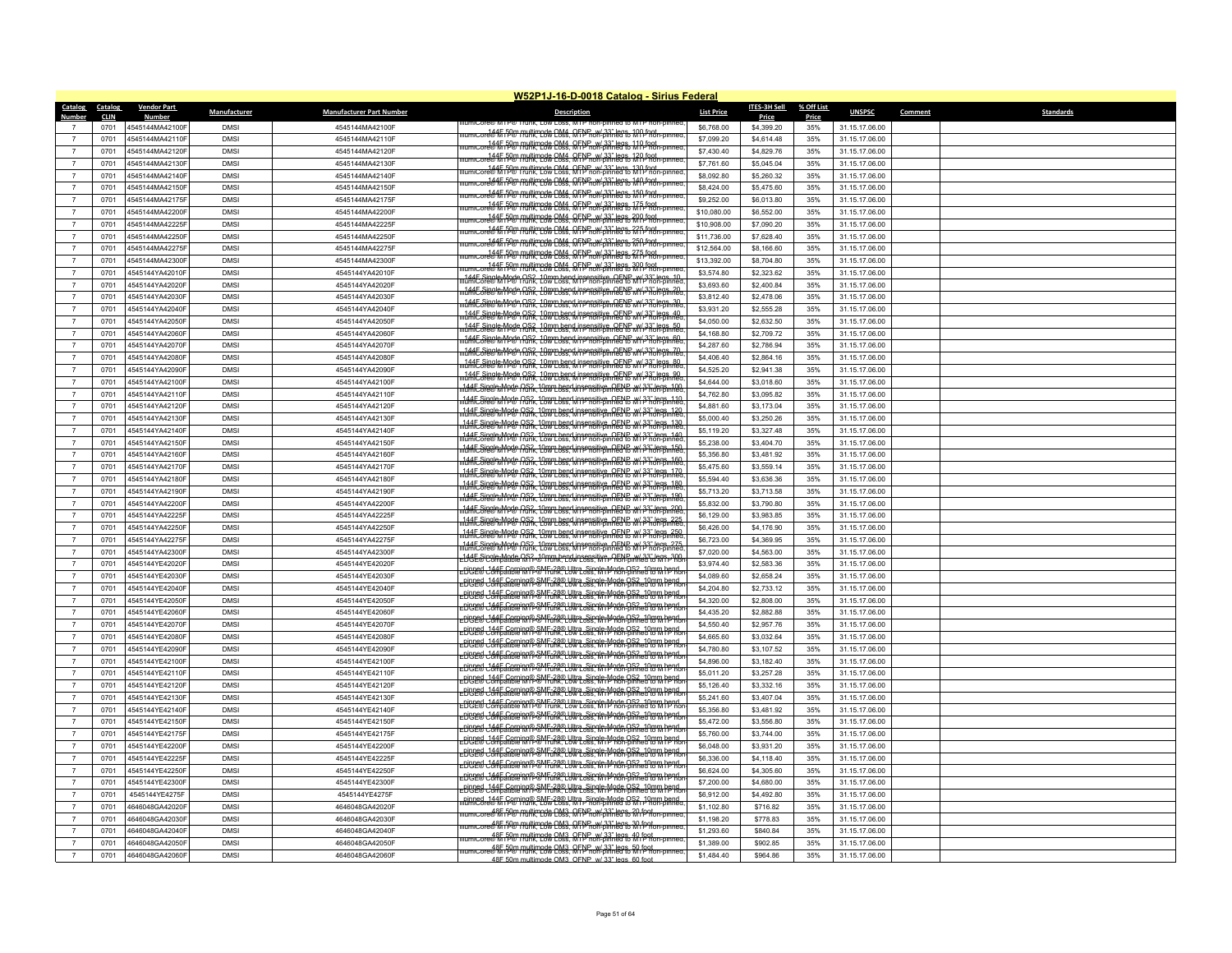|                                  |                        |                                    |                           |                                    | W52P1J-16-D-0018 Catalog - Sirius Federal                                                                                                                                                              |                          |                              |                     |                                  |         |                  |
|----------------------------------|------------------------|------------------------------------|---------------------------|------------------------------------|--------------------------------------------------------------------------------------------------------------------------------------------------------------------------------------------------------|--------------------------|------------------------------|---------------------|----------------------------------|---------|------------------|
| <b>Catalog</b><br>Number         | Catalog<br><b>CLIN</b> | <b>Vendor Part</b>                 | Manufacturer              | <b>Manufacturer Part Number</b>    | <b>Description</b>                                                                                                                                                                                     | <b>List Price</b>        | <b>ITES-3H Sell</b><br>Price | % Off List<br>Price | <b>UNSPSC</b>                    | Comment | <b>Standards</b> |
|                                  | 0701                   | 4545144MA42100F                    | <b>DMS</b>                | 4545144MA42100F                    |                                                                                                                                                                                                        | \$6,768.00               | \$4,399.20                   | 35%                 | 31.15.17.06.00                   |         |                  |
| $\overline{7}$                   | 0701                   | 4545144MA42110F                    | <b>DMSI</b>               | 4545144MA42110F                    | illumiCore®标序® multimode QM4, QFPP aw/33" legs, 100 foot pmed<br>IllumiCore®标序® Hunk, Low Coss, MTP non-pinned to MTP non-pinned                                                                       | \$7,099.20               | \$4,614.48                   | 35%                 | 31.15.17.06.00                   |         |                  |
| $\overline{7}$                   | 0701                   | 4545144MA42120F                    | <b>DMSI</b>               | 4545144MA42120F                    | llumicore®MinP® multimode CM4, QFPP w/33" legs, 110 foot punned                                                                                                                                        | \$7,430.40               | \$4,829.76                   | 35%                 | 31.15.17.06.00                   |         |                  |
| $\overline{7}$                   | 0701                   | 4545144MA42130                     | <b>DMS</b>                | 4545144MA42130F                    |                                                                                                                                                                                                        | \$7,761.60               | \$5,045.04                   | 35%                 | 31.15.17.06.00                   |         |                  |
| $\overline{7}$                   | 0701                   | 4545144MA42140F                    | <b>DMSI</b>               | 4545144MA42140F                    | umiCore® M n <sup>00</sup> Pulltimode QM4, QFNP, w/ 33" legs, 130 foot.<br>umiCore® M n <sup>0</sup> ® Punk, Low Loss, MTP non-pinned to MTP non-pinned                                                | \$8,092.80               | \$5,260.32                   | 35%                 | 31.15.17.06.00                   |         |                  |
| $\overline{7}$                   | 0701                   | 4545144MA42150F                    | <b>DMSI</b>               | 4545144MA42150F                    | <del>.ord\$4F,FQ@ multimed&amp; C&amp;s. QFPF.oX.33" leg&amp; 1.4N f981.commer</del>                                                                                                                   | \$8,424.00               | \$5,475.60                   | 35%                 | 31.15.17.06.00                   |         |                  |
| $\overline{7}$                   | 0701                   | 4545144MA42175F                    | <b>DMS</b>                | 4545144MA42175F                    | imicore® M f <sup>0</sup> ® ffunk, cow Coss, MTPP, w/ 33" legs, 150 foot,<br>http://www.pinnecess.com/pinnecess.com/                                                                                   | \$9,252.00               | \$6,013.80                   | 35%                 | 31.15.17.06.00                   |         |                  |
| $\overline{7}$                   | 0701                   | 4545144MA42200F                    | <b>DMSI</b>               | 4545144MA42200F                    | umicore® MTP® Pulltimode OM4 OFNP w/33" legs 17ft Poth-pinne                                                                                                                                           | \$10,080.00              | \$6,552.00                   | 35%                 | 31.15.17.06.00                   |         |                  |
| $\overline{7}$                   | 0701                   | 4545144MA42225F                    | <b>DMSI</b>               | 4545144MA42225F                    | umicore® ff rp® multimode OM4, OFNP_w/33" legs, 200 foot                                                                                                                                               | \$10,908.00              | \$7,090.20                   | 35%                 | 31.15.17.06.00                   |         |                  |
| $\overline{7}$                   | 0701                   | 4545144MA42250F                    | <b>DMSI</b>               | 4545144MA42250F                    | iumicore® ff r9® multimode QM4, QFNP, w/.33" legs, 225 foot.<br>Iumicore® ff r9® runk. Low Coss, MTP non-pinned to MTP non-pinned                                                                      | \$11,736.00              | \$7,628.40                   | 35%                 | 31.15.17.06.00                   |         |                  |
| $\overline{7}$                   | 0701                   | 4545144MA42275F                    | <b>DMS</b>                | 4545144MA42275F                    | mcore <del>415 PM Multimeds CM4, QFM non-pinneers 250 Protn-pinn</del><br>umicore® MFP® multimode CM4, QFPP_w/33" leg& 271-foot                                                                        | \$12,564.00              | \$8,166.60                   | 35%                 | 31.15.17.06.00                   |         |                  |
| $\overline{7}$                   | 0701                   | 4545144MA42300F                    | <b>DMSI</b>               | 4545144MA42300F                    | rumicore&ff p9@ multimode QM4, QFNP w/ 33" legs, 300 foot pont                                                                                                                                         | \$13,392.00              | \$8,704.80                   | 35%                 | 31.15.17.06.00                   |         |                  |
| $\overline{7}$                   | 0701                   | 4545144YA42010F                    | <b>DMS</b>                | 4545144YA42010F                    | 144E Single-Mode OS2, 10mm bend insensitive, OENP w/33" legs, 10<br>141E Single-Mode Disn, Low Loss, MTP non-pinned to MTP non-pinned                                                                  | \$3,574.80               | \$2,323.62                   | 35%                 | 31.15.17.06.00                   |         |                  |
| $\overline{7}$                   | 0701                   | 4545144YA42020F                    | <b>DMSI</b>               | 4545144YA42020F                    | 144E Single-Mode OS2, 10mm bend insensitive, OENE W/33" legs, 20<br>JumiCore® M Mode Runk, Low Loss, M IP non-pinned to MYP non-pinned                                                                 | \$3,693.60               | \$2,400.84                   | 35%                 | 31.15.17.06.00                   |         |                  |
| $\overline{7}$                   | 0701                   | 4545144YA42030F                    | <b>DMSI</b>               | 4545144YA42030F                    | 144E Siegle Made RS2, 19w coss, whereasity RGENE WY 23" legs, 30                                                                                                                                       | \$3,812.40               | \$2,478.06                   | 35%                 | 31.15.17.06.00                   |         |                  |
| $\overline{7}$                   | 0701                   | 4545144YA42040F                    | <b>DMS</b>                | 4545144YA42040F                    | 144E Single Mode OS2, 10mm bend insensitive OENP w/33" legs 40                                                                                                                                         | \$3,931.20               | \$2,555.28                   | 35%                 | 31.15.17.06.00                   |         |                  |
| $\overline{7}$                   | 0701                   | 4545144YA42050F                    | <b>DMS</b>                | 4545144YA42050F                    | 1445 Single Mode OS2, 10mm bend insensitive, OENP, w/33" legs, 50<br>UmCore® MM9@   Nnk. Low Loss. MTP non-pinned to MTP non-pinned                                                                    | \$4,050.00               | \$2,632.50                   | 35%                 | 31.15.17.06.00                   |         |                  |
| $\overline{7}$                   | 0701                   | 4545144YA42060F                    | <b>DMSI</b>               | 4545144YA42060F                    | 144E Single-Mode OS2, 10mm bend insensitive, OENE W/33" legs, 60.<br>JumiCore® M Mode Runk, Low Loss, M IP non-pinned to M IP non-pinned                                                               | \$4,168.80               | \$2,709.72                   | 35%                 | 31.15.17.06.00                   |         |                  |
| $\overline{7}$                   | 0701                   | 4545144YA42070F                    | <b>DMS</b>                | 4545144YA42070F                    | 144F Single-Mode OS2, 10mm bend insensitive, OFNP, w/33" legs, 70<br>umiCore® MTP® Trunk, Low Loss, MTP non-pinned to MTP non-pinned                                                                   | \$4,287.60               | \$2,786.94                   | 35%                 | 31.15.17.06.00                   |         |                  |
| $\overline{7}$                   | 0701                   | 4545144YA42080F                    | <b>DMSI</b>               | 4545144YA42080F                    | 144E Siegler Mader RGR, 190 m bend insensitive, OENP W/33" legs, 80                                                                                                                                    | \$4,406.40               | \$2,864.16                   | 35%                 | 31.15.17.06.00                   |         |                  |
| $\overline{7}$                   | 0701                   | 4545144YA42090F                    | <b>DMSI</b>               | 4545144YA42090F                    | 1445 Single Mode OS2, 10mm hend insensitive, OENP, w/33" legs, 90<br>lumicare@ MM9@   Runk, Low Loss, MTP non-pinned to MTP non-pinned                                                                 | \$4,525.20               | \$2,941.38                   | 35%                 | 31.15.17.06.00                   |         |                  |
| $\overline{7}$                   | 0701                   | 4545144YA42100F                    | <b>DMS</b>                | 4545144YA42100F                    | L44E Single Mpde AS2, 10mm hend insensitive, OENB W/33" legs. 100<br>umiCore® MTP® Hunk, Low Loss, MTP non-pinned to M/P non-pinned                                                                    | \$4,644.00               | \$3,018.60                   | 35%                 | 31.15.17.06.00                   |         |                  |
| $\overline{7}$                   | 0701                   | 4545144YA42110F                    | <b>DMSI</b>               | 4545144YA42110F                    | 144E Single-Mode OS2, 10mm bend insensitive, OENE W/33" legs, 110<br>lumicore®MMP®   runk, Low Loss, MTP non-pinned to MTP non-pinned                                                                  | \$4,762.80               | \$3,095.82                   | 35%                 | 31.15.17.06.00                   |         |                  |
| $\overline{7}$                   | 0701                   | 4545144YA42120F                    | <b>DMS</b>                | 4545144YA42120F                    | 144F Single-Mode OS2, 10mm bend insensitive, OENP, w/ 33" legs, 120<br>liumiCore® MTP®   fünk, Low Loss, MTP non-pinned to MTP non-pinned                                                              | \$4,881.60               | \$3.173.04                   | 35%                 | 31.15.17.06.00                   |         |                  |
| $\overline{7}$                   | 0701                   | 4545144YA42130F                    | <b>DMS</b>                | 4545144YA42130F                    | 144E Single Mpde OS2, 10mm bend insensitive, OENP w/33" Jegs. 130<br>JumiCore® MPde Punk, Low Loss, MTP non-pinned to MTP non-pinned                                                                   | \$5,000.40               | \$3,250.26                   | 35%                 | 31.15.17.06.00                   |         |                  |
| $\overline{7}$                   | 0701                   | 4545144YA42140F                    | <b>DMS</b>                | 4545144YA42140F                    | 144E Single Mpde RS2, 10mm bend insensitive, OENE W/33" legs, 140                                                                                                                                      | \$5,119.20               | \$3,327.48                   | 35%                 | 31.15.17.06.00                   |         |                  |
| $\overline{7}$                   | 0701                   | 4545144YA42150F                    | <b>DMSI</b>               | 4545144YA42150F                    | 144E Single Mode OS2, 10mm bend insensitive, OENE W 33" legs, 150<br>umiCore® MMP® Ounk, Low Loss, MTP non-pinned to MTP hon-pinned                                                                    | \$5,238.00               | \$3,404.70                   | 35%                 | 31.15.17.06.00                   |         |                  |
| $\overline{7}$<br>$\overline{7}$ | 0701                   | 4545144YA42160F                    | <b>DMS</b>                | 4545144YA42160F                    | 144E Single-Mode OS2, 10mm bend insensitive, OENE, W/33" legs, 160<br>jumicore®MMP®   runk, Low Loss, MTP non-pinned to MTP non-pinned                                                                 | \$5,356.80               | \$3,481.92                   | 35%                 | 31.15.17.06.00                   |         |                  |
|                                  | 0701                   | 4545144YA42170F                    | <b>DMSI</b>               | 4545144YA42170F                    | 144F Single-Mode OS2, 10mm bend insensitive, OENP, w/33" legs, 170                                                                                                                                     | \$5,475.60               | \$3,559.14                   | 35%                 | 31.15.17.06.00                   |         |                  |
| $\overline{7}$<br>$\overline{7}$ | 0701                   | 4545144YA42180F                    | <b>DMSI</b>               | 4545144YA42180F                    | 144E Single Mode OS2, 10mm bend insensitive, OENP w/33" legs. 180                                                                                                                                      | \$5,594.40               | \$3,636.36                   | 35%                 | 31.15.17.06.00                   |         |                  |
| $\overline{7}$                   | 0701<br>0701           | 4545144YA42190F<br>4545144YA42200F | <b>DMS</b><br><b>DMSI</b> | 4545144YA42190F<br>4545144YA42200F | 144E Single-Mode OS2, 10mm bend insensitive, OENP w/ 33" legs, 190<br>lumiCore® MTP®   runk, Low Loss, MTP non-pinned to MTP non-pinned                                                                | \$5,713.20<br>\$5,832.00 | \$3,713.58<br>\$3,790.80     | 35%<br>35%          | 31.15.17.06.00<br>31.15.17.06.00 |         |                  |
| $\overline{7}$                   | 0701                   | 4545144YA42225F                    | <b>DMSI</b>               | 4545144YA42225F                    | 144E Single-Mode OS2, 10mm bend insensitive, OENP w/ 33" legs, 200<br>lumiCore® MTP®   runk, Low Loss, MTP non-pinned to MTP non-pinned                                                                | \$6,129.00               | \$3,983.85                   | 35%                 | 31.15.17.06.00                   |         |                  |
| $\overline{7}$                   | 0701                   | 4545144YA42250F                    | <b>DMS</b>                | 4545144YA42250F                    | 144F Single-Mode OS2, 10mm bend insensitive, OENP, w/ 33" legs, 225                                                                                                                                    | \$6,426.00               | \$4,176.90                   | 35%                 | 31.15.17.06.00                   |         |                  |
| $\overline{7}$                   | 0701                   | 4545144YA42275F                    | <b>DMSI</b>               | 4545144YA42275F                    | 144F Single-Mode OS2, 10mm bend insensitive, OFNP, w/ 33" legs, 250<br>liumiCore® MTP® Trunk, Low Loss, MTP non-pinned to MTP non-pinned                                                               | \$6,723.00               | \$4,369.95                   | 35%                 | 31.15.17.06.00                   |         |                  |
| $\overline{7}$                   | 0701                   | 4545144YA42300F                    | <b>DMSI</b>               | 4545144YA42300F                    | 144E Single Mode CS2, 10mm bend insensitive, OENP w/33" legs 275                                                                                                                                       | \$7,020.00               | \$4,563.00                   | 35%                 | 31.15.17.06.00                   |         |                  |
| $\overline{7}$                   | 0701                   | 4545144YE42020F                    | <b>DMS</b>                | 4545144YE42020F                    | 166 Single Mode OS2 10mm bend insensitive OENP w/33" legs 300                                                                                                                                          | \$3,974.40               | \$2,583.36                   | 35%                 | 31.15.17.06.00                   |         |                  |
| $\overline{7}$                   | 0701                   | 4545144YE42030F                    | <b>DMS</b>                | 4545144YF42030F                    | -DCPEd Campatible MTP® Tunk, Low Loss, MTP non-pinned to MTP no                                                                                                                                        | \$4,089.60               | \$2,658.24                   | 35%                 | 31.15.17.06.00                   |         |                  |
| $\overline{7}$                   | 0701                   | 4545144YE42040F                    | <b>DMSI</b>               | 4545144YE42040F                    | PIPPER (144E Corning® SME-28® Ultra_Single-Mode OS2_10mm bend<br>PIPPER (144E Corning® SME-28® Ultra_Single-Mode OS2_10mm bend                                                                         | \$4,204.80               | \$2,733.12                   | 35%                 | 31.15.17.06.00                   |         |                  |
| $\overline{7}$                   | 0701                   | 4545144YE42050F                    | <b>DMSI</b>               | 4545144YE42050F                    | -Digeed 244E Corning® SMF-28® Ultra Single-Mode OS2 10mm bend.<br>-Digeed 23mpatible MTP® Trink. Low Loss. MTP non-pinned to MTP no                                                                    | \$4,320.00               | \$2,808.00                   | 35%                 | 31.15.17.06.00                   |         |                  |
| $\overline{7}$                   | 0701                   | 4545144YE42060F                    | <b>DMSI</b>               | 4545144YE42060F                    | DCE J44F Corning® SMF-28® Liltra_Single Mode OS2_10mm hend                                                                                                                                             | \$4,435.20               | \$2,882.88                   | 35%                 | 31.15.17.06.00                   |         |                  |
| $\overline{7}$                   | 0701                   | 4545144YE42070F                    | <b>DMSI</b>               | 4545144YE42070F                    | <u>-DCCEd Jaar Corning®SMF-2R® Llltra SinglerMade OS2-10mm hend.</u>                                                                                                                                   | \$4,550.40               | \$2,957.76                   | 35%                 | 31.15.17.06.00                   |         |                  |
| $\overline{7}$                   | 0701                   | 4545144YE42080F                    | <b>DMS</b>                | 4545144YE42080F                    | -Digged J44E Corning® SMF-28® Liltra Single Mode OS2, 10mm hend.<br>-Digged Jompatible MTP® Funk. Low Loss. MrP non-binned to M hend.                                                                  | \$4,665.60               | \$3,032.64                   | 35%                 | 31.15.17.06.00                   |         |                  |
| $\overline{7}$                   | 0701                   | 4545144YE42090F                    | <b>DMS</b>                | 4545144YE42090F                    | -Digged J44E Corning® SMF-28® Ultra_Single-Mode OS2_10mm hend<br>-Digged Jompatible MTP® Funk. Low Loss. MTP non-pinned to M hend                                                                      | \$4,780.80               | \$3,107.52                   | 35%                 | 31.15.17.06.00                   |         |                  |
| $\overline{7}$                   | 0701                   | 4545144YF42100F                    | <b>DMS</b>                | 4545144YE42100F                    | -Digned J44F Corning® SMF-28® Ultra_Single-Mode OS2_10mm bend<br>-Dignes Jompatible MTP® Trunk, Low Loss, MTP non-pinned to MTP no<br>-Dispert (144E Corning® SME-28® Liltra Single Mode OS2-10mm bend | \$4,896.00               | \$3,182.40                   | 35%                 | 31.15.17.06.00                   |         |                  |
| $\overline{7}$                   | 0701                   | 4545144YE42110F                    | <b>DMSI</b>               | 4545144YF42110F                    | -Dicred J44E Corning® SMF-28® Liltra Single Mode OS2, 10mm hend<br>-Dicred Jompatible MTP® Trunk, Low Loss, MTP non-pinned to MTP no                                                                   | \$5,011.20               | \$3,257.28                   | 35%                 | 31.15.17.06.00                   |         |                  |
| $\overline{7}$                   | 0701                   | 4545144YE42120F                    | <b>DMSI</b>               | 4545144YE42120F                    | -Dicred J44E Corning® SMF-28® Liltra_Single-Mode OS2_10mm hend<br>-Dicred Jompatible MTP® Funk, Low Loss, MTP non-pinned to MTP noi                                                                    | \$5,126.40               | \$3,332.16                   | 35%                 | 31.15.17.06.00                   |         |                  |
| $\overline{7}$                   | 0701                   | 4545144YE42130F                    | <b>DMS</b>                | 4545144YE42130F                    | .<br>Diched J44F Corning® SMF-28® Ultra_Single-Mode OS2_10mm bend.<br>Diched to MTP® Trunk, Low Loss, MTP non-pinned to MTP no                                                                         | \$5,241.60               | \$3,407.04                   | 35%                 | 31.15.17.06.00                   |         |                  |
| $\overline{7}$                   | 0701                   | 4545144YE42140F                    | <b>DMSI</b>               | 4545144YF42140F                    | -Digged J44E Corning® SMF-28® Ultra_Single-Mode OS2_10mm hend<br>-Digged Jompatible MTP® Funk. Low Loss. MTP non-pinned to M hend                                                                      | \$5,356.80               | \$3.481.92                   | 35%                 | 31.15.17.06.00                   |         |                  |
| $\overline{7}$                   | 0701                   | 4545144YE42150F                    | <b>DMS</b>                | 4545144YE42150F                    |                                                                                                                                                                                                        | \$5,472.00               | \$3,556.80                   | 35%                 | 31.15.17.06.00                   |         |                  |
| $\overline{7}$                   | 0701                   | 4545144YE42175F                    | <b>DMSI</b>               | 4545144YE42175F                    | picced J44E Corping® SME-28® Liltra Single Mode OS2, 10mm hend.<br>Dicced Jompatible MTP SMEunk, Low Loss, MTP non-pinned to MTP no                                                                    | \$5,760.00               | \$3,744.00                   | 35%                 | 31.15.17.06.00                   |         |                  |
| $\overline{7}$                   | 0701                   | 4545144YF42200F                    | <b>DMS</b>                | 4545144YE42200F                    |                                                                                                                                                                                                        | \$6,048.00               | \$3,931.20                   | 35%                 | 31.15.17.06.00                   |         |                  |
| $\overline{7}$                   | 0701                   | 4545144YE42225F                    | <b>DMSI</b>               | 4545144YE42225F                    | -Digned J44E Corning®&ME-28® Ultra_Single-Mode OS2_10mm hend<br>-Digned Jompatible MTP&MFunk, Low Loss, MTP non-pinned to MTP noi                                                                      | \$6,336.00               | \$4,118.40                   | 35%                 | 31.15.17.06.00                   |         |                  |
| $\overline{7}$                   | 0701                   | 4545144YE42250F                    | <b>DMSI</b>               | 4545144YE42250F                    | -pinned -144F Corning® SMF-28® Ultra_Single-Mode OS2_10mm bend<br>-DiCle® Compatible MTP® Trunk, Low Loss, MTP non-pinned to MTP no                                                                    | \$6,624.00               | \$4,305.60                   | 35%                 | 31.15.17.06.00                   |         |                  |
| $\overline{7}$                   | 0701                   | 4545144YE42300F                    | <b>DMSI</b>               | 4545144YE42300F                    | -Dicred J44E Corning®&ME-28® Ultra_Single-Mode OS2_10mm hend<br>-Dicred Jombatible MTP&M runk, Low Loss, MTP non-binned to MTP no                                                                      | \$7,200.00               | \$4,680.00                   | 35%                 | 31.15.17.06.00                   |         |                  |
| $\overline{7}$                   | 0701                   | 4545144YE4275F                     | <b>DMS</b>                | 4545144YE4275F                     | ninned 1445 Gorring® SME-28® Ultra Single Mode OS2, 10mm bend<br>jumiCore®M (P®") runk, Low Loss, M1P non-pinned to M1P non-pinned                                                                     | \$6,912.00               | \$4,492.80                   | 35%                 | 31.15.17.06.00                   |         |                  |
| $\overline{7}$                   | 0701                   | 4646048GA42020F                    | <b>DMSI</b>               | 4646048GA42020F                    |                                                                                                                                                                                                        | \$1,102.80               | \$716.82                     | 35%                 | 31.15.17.06.00                   |         |                  |
| $\overline{7}$<br>$\overline{7}$ | 0701                   | 4646048GA42030F<br>4646048GA42040F | <b>DMS</b><br><b>DMS</b>  | 4646048GA42030F                    | 48F 50m multimode OM3, OFNP w/ 33" legs. 30 foot<br>imiCore® MTP® Trunk, Low Loss, MTP non-pinned to MTP non-pinned                                                                                    | \$1,198.20               | \$778.83                     | 35%                 | 31.15.17.06.00                   |         |                  |
| $\overline{7}$                   | 0701                   |                                    | <b>DMS</b>                | 4646048GA42040F                    | 48E 50m multimode OM3 OFNP w/33" legs 40 foot                                                                                                                                                          | \$1,293.60               | \$840.84                     | 35%                 | 31.15.17.06.00                   |         |                  |
| $\overline{7}$                   | 0701<br>0701           | 4646048GA42050F<br>4646048GA42060F | <b>DMSI</b>               | 4646048GA42050F<br>4646048GA42060F | ilumiCore®MTP® Pluhk, Low Loss, MTP non-pinned to MTP non-pinned.                                                                                                                                      | \$1,389.00<br>\$1,484.40 | \$902.85<br>\$964.86         | 35%<br>35%          | 31.15.17.06.00<br>31.15.17.06.00 |         |                  |
|                                  |                        |                                    |                           |                                    | 48E 50m multimode OM3, OENP w/ 33" legs, 60 foot                                                                                                                                                       |                          |                              |                     |                                  |         |                  |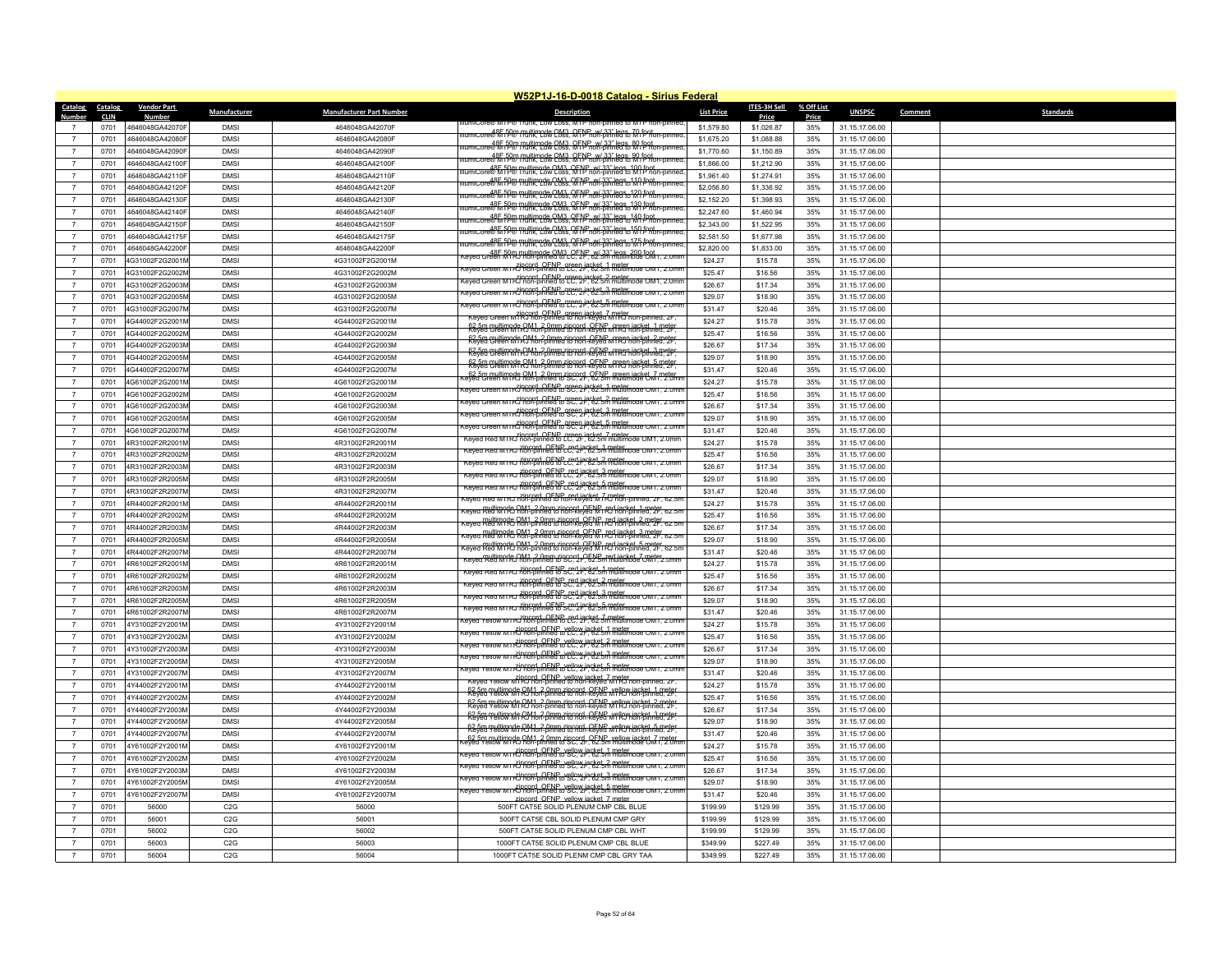|                                  |                        |                                    |                            |                                    | W52P1J-16-D-0018 Catalog - Sirius Federal                                                                                                                                                                                        |                    |                       |                     |                                  |         |                  |
|----------------------------------|------------------------|------------------------------------|----------------------------|------------------------------------|----------------------------------------------------------------------------------------------------------------------------------------------------------------------------------------------------------------------------------|--------------------|-----------------------|---------------------|----------------------------------|---------|------------------|
| <b>Catalog</b><br>Number         | Catalog<br><b>CLIN</b> | <b>Vendor Part</b>                 | Manufacturer               | <b>Manufacturer Part Number</b>    | <b>Description</b>                                                                                                                                                                                                               | <b>List Price</b>  | ITES-3H Sell<br>Price | % Off List<br>Price | <b>UNSPSC</b>                    | Comment | <b>Standards</b> |
|                                  | 0701                   | 4646048GA42070F                    | <b>DMSI</b>                | 4646048GA42070F                    | umicore یا umicore است است) umicore                                                                                                                                                                                              | \$1,579.80         | \$1.026.87            | 35%                 | 31.15.17.06.00                   |         |                  |
| $\overline{7}$                   | 0701                   | 4646048GA42080F                    | <b>DMSI</b>                | 4646048GA42080F                    | illumiCore&MiTP® Trunk. Low Loss, MTP non-pinned to MTP non-pinned                                                                                                                                                               | \$1,675.20         | \$1,088.88            | 35%                 | 31.15.17.06.00                   |         |                  |
| $\overline{7}$                   | 0701                   | 4646048GA42090F                    | <b>DMS</b>                 | 4646048GA42090F                    | ilumiCore®M iP® multimode CM3, QFPP w/33" legs, 80 foot.<br>IlumiCore®M iP® runk, Cow Coss, MTP non-pinned to MTP non-pinned                                                                                                     | \$1,770.60         | \$1,150.89            | 35%                 | 31.15.17.06.00                   |         |                  |
| $\overline{7}$                   | 0701                   | 4646048GA42100F                    | <b>DMSI</b>                | 4646048GA42100F                    | llumiCore® M i P®   ruiltimode OM3, OFNP, w/.33" legs, 90 foot<br>llumiCore® M i P®   runk, Low Loss, M i P non-pinned to M i P non-pinned                                                                                       | \$1,866.00         | \$1,212.90            | 35%                 | 31.15.17.06.00                   |         |                  |
| $\overline{7}$                   | 0701                   | 4646048GA42110F                    | <b>DMSI</b>                | 4646048GA42110F                    | lumiCore®MTP® multimode OM3, OFNP w/33" legs, 100 foot                                                                                                                                                                           | \$1,961.40         | \$1,274.91            | 35%                 | 31.15.17.06.00                   |         |                  |
| $\overline{7}$                   | 0701                   | 4646048GA42120F                    | <b>DMSI</b>                | 4646048GA42120F                    | imicore®h fP® multimode OM3, OFNP w/ 33" legs 110 fept connect                                                                                                                                                                   | \$2,056.80         | \$1,336.92            | 35%                 | 31.15.17.06.00                   |         |                  |
| $\overline{7}$                   | 0701                   | 4646048GA42130F                    | <b>DMS</b>                 | 4646048GA42130F                    | umiCore®MinP® multimode OM3, OFNP, w/ 33" legs 120 froit.<br>IumiCore®MinP® munk, Low Loss, MTP non-pinned to MTP non-pinned                                                                                                     | \$2,152.20         | \$1,398.93            | 35%                 | 31.15.17.06.00                   |         |                  |
| $\overline{7}$                   | 0701                   | 4646048GA42140F                    | <b>DMSI</b>                | 4646048GA42140F                    | umiCore®MinP® multimode OM3, OFNP, w/33" legs, 130 foot                                                                                                                                                                          | \$2,247.60         | \$1,460.94            | 35%                 | 31.15.17.06.00                   |         |                  |
| $\overline{7}$                   | 0701                   | 4646048GA42150F                    | <b>DMS</b>                 | 4646048GA42150F                    | iumicore@h fP@ multimode.OM3, QFNP, w/33" legs, 140 fpot                                                                                                                                                                         | \$2,343.00         | \$1,522.95            | 35%                 | 31.15.17.06.00                   |         |                  |
| $\overline{7}$                   | 0701                   | 4646048GA42175F                    | <b>DMSI</b>                | 4646048GA42175F                    | llumiCore®MTP® multimode OM3_OFNP_w/33" legs_150 foot_<br>llumiCore®MTP® munk, Low Loss, MTP non-pinned to MTP non-pinned.                                                                                                       | \$2,581.50         | \$1,677.98            | 35%                 | 31.15.17.06.00                   |         |                  |
| $\overline{7}$                   | 0701                   | 4646048GA42200F                    | <b>DMS</b>                 | 4646048GA42200F                    |                                                                                                                                                                                                                                  | \$2,820.00         | \$1,833.00            | 35%                 | 31.15.17.06.00                   |         |                  |
| $\overline{7}$                   | 0701                   | 4G31002F2G2001M                    | <b>DMSI</b>                | 4G31002F2G2001M                    | ceved Greef MTR multimode QM3 LC 2F, 62.5m multimode OM1, 2.0mr                                                                                                                                                                  | \$24.27            | \$15.78               | 35%                 | 31.15.17.06.00                   |         |                  |
| $\overline{7}$                   | 0701                   | 4G31002F2G2002M                    | <b>DMSI</b>                | 4G31002F2G2002M                    | keyed Green MTR Thond OFNP green jacket, 1 meter<br>Reyed Green MTR Thon-pinned to LC, 2F, 62.5m multimode OM1, 2.0mr                                                                                                            | \$25.47            | \$16.56               | 35%                 | 31.15.17.06.00                   |         |                  |
| $\overline{7}$                   | 0701                   | 4G31002F2G2003M                    | <b>DMSI</b>                | 4G31002F2G2003M                    | keyed Green MTRJ non-d_OENP_green jacket_2 meter<br>Keyed Green MTRJ non-pinned to LC, 2F, 62.5m multimode OM1, 2.0mi                                                                                                            | \$26.67            | \$17.34               | 35%                 | 31.15.17.06.00                   |         |                  |
| $\overline{7}$                   | 0701                   | 4G31002F2G2005M                    | <b>DMS</b>                 | 4G31002F2G2005M                    |                                                                                                                                                                                                                                  | \$29.07            | \$18.90               | 35%                 | 31.15.17.06.00                   |         |                  |
| $\overline{7}$                   | 0701                   | 4G31002F2G2007N                    | <b>DMSI</b>                | 4G31002F2G2007M                    | keyea Green אחר ל Rond, OENP, areen jacket, 5 mater.<br>לאור השפט האיז ל האליך לא האליך או האליך לא האליך לא האליך לא האליך לא האליך לא האליך לא האליך לא האליך לא האל                                                           | \$31.47            | \$20.46               | 35%                 | 31.15.17.06.00                   |         |                  |
| $\overline{7}$                   | 0701                   | 4G44002F2G2001I                    | <b>DMS</b>                 | 4G44002F2G2001M                    | Keyed Green MTRJ non-binned to non-keyed MTRJ non-pinned. 2F.                                                                                                                                                                    | \$24.27            | \$15.78               | 35%                 | 31.15.17.06.00                   |         |                  |
| $\overline{7}$                   | 0701                   | 4G44002F2G2002M                    | <b>DMSI</b>                | 4G44002F2G2002M                    | Reveal Creen MIRJ non-pinned to non-keyed MIRJ non-pinned. 2F.                                                                                                                                                                   | \$25.47            | \$16.56               | 35%                 | 31.15.17.06.00                   |         |                  |
| $\overline{7}$                   | 0701                   | 4G44002F2G2003M                    | <b>DMSI</b>                | 4G44002F2G2003M                    | 62.5m multimode OM1, 2.0mm zipcord, OENP, orgen jacket, 2 meter                                                                                                                                                                  | \$26.67            | \$17.34               | 35%                 | 31.15.17.06.00                   |         |                  |
| $\overline{7}$                   | 0701                   | 4G44002F2G2005M                    | <b>DMSI</b>                | 4G44002F2G2005M                    | Reveal cultimode OM1, 2 0mm zipcord, OENP areen jacket, 3 meter                                                                                                                                                                  | \$29.07            | \$18.90               | 35%                 | 31.15.17.06.00                   |         |                  |
| $\overline{7}$                   | 0701                   | 4G44002F2G2007N                    | <b>DMS</b>                 | 4G44002F2G2007M                    | R& Fe Cyllimode RM1 2 Amme 7 18 A64 RENP with a cyclin Templer                                                                                                                                                                   | \$31.47            | \$20.46               | 35%                 | 31.15.17.06.00                   |         |                  |
| $\overline{7}$                   | 0701                   | 4G61002F2G2001N                    | <b>DMSI</b>                | 4G61002F2G2001M                    |                                                                                                                                                                                                                                  | \$24.27            | \$15.78               | 35%                 | 31.15.17.06.00                   |         |                  |
| $\overline{7}$                   | 0701                   | 4G61002F2G2002M                    | <b>DMS</b>                 | 4G61002F2G2002M                    | .<br>Keyed Green M I RJ non-pinned to SC, 2F, 62.5m multimode OM1, 2.0mr                                                                                                                                                         | \$25.47            | \$16.56               | 35%                 | 31.15.17.06.00                   |         |                  |
| $\overline{7}$                   | 0701                   | 4G61002F2G2003M                    | <b>DMSI</b>                | 4G61002F2G2003M                    | The Transform of the Paris of the Transform of the SC, 21, 62.5m multimode OM1, 2.0mm                                                                                                                                            | \$26.67            | \$17.34               | 35%                 | 31.15.17.06.00                   |         |                  |
| $\overline{7}$                   | 0701                   | 4G61002F2G2005M                    | <b>DMS</b>                 | 4G61002F2G2005M                    | keyed Green MTRJ non-d_OENP_green.jacket_3_meter_<br>Keyed Green MTRJ non-pinned to SC, 2F, 62.5m multimode OM1, 2.0mr                                                                                                           | \$29.07            | \$18.90               | 35%                 | 31.15.17.06.00                   |         |                  |
| $\overline{7}$                   | 0701                   | 4G61002F2G2007M                    | <b>DMSI</b>                | 4G61002F2G2007M                    | keyed Green MTR2incord, OENP, green jacket, 5 meter<br>Keyed Green MTR2incord, DENP, arc 2C, 2F, 62.5m multimode OM1, 2.0mr                                                                                                      | \$31.47            | \$20.46               | 35%                 | 31.15.17.06.00                   |         |                  |
| $\overline{7}$                   | 0701                   | 4R31002F2R2001M                    | <b>DMSI</b>                | 4R31002F2R2001M                    | keved Red MTRJ hon-pinned to LC. 21, 62.5m multimode OM1, 2.0mm                                                                                                                                                                  | \$24.27            | \$15.78               | 35%                 | 31.15.17.06.00                   |         |                  |
| $\overline{7}$                   | 0701                   | 4R31002F2R2002M                    | <b>DMS</b>                 | 4R31002F2R2002M                    |                                                                                                                                                                                                                                  | \$25.47            | \$16.56               | 35%                 | 31.15.17.06.00                   |         |                  |
| $\overline{7}$                   | 0701                   | 4R31002F2R2003M                    | <b>DMSI</b>                | 4R31002F2R2003M                    | zincord_OENP_red_jacket_2_meter_<br>Keyed Red MTRJ non-pinned to LC, 2F, 62.5m multimode OM1, 2.0mm                                                                                                                              | \$26.67            | \$17.34               | 35%                 | 31.15.17.06.00                   |         |                  |
| $\overline{7}$                   | 0701                   | 4R31002F2R2005M                    | <b>DMS</b>                 | 4R31002F2R2005M                    | Keyed Red MTRJ zincord, OENP, red jacket, 3 meter<br>Keyed Red MTRJ non-pinned to LC, 2P, 62.5m multimode OM1, 2.0mm                                                                                                             | \$29.07            | \$18.90               | 35%                 | 31.15.17.06.00                   |         |                  |
| $\overline{7}$                   | 0701                   | 4R31002F2R2007M                    | <b>DMSI</b>                | 4R31002F2R2007M                    | Keyed Red MTRJ zincord OENP (ed jacket 5 meter<br>Keyed Red MTRJ non-pinned to LC, 2F, 62.5m multimode OM1, 2.0mm                                                                                                                | \$31.47            | \$20.46               | 35%                 | 31.15.17.06.00                   |         |                  |
| $\overline{7}$                   | 0701                   | 4R44002F2R2001M                    | <b>DMS</b>                 | 4R44002F2R2001M                    | Keyed Red MTRJ non-pinned to non-keyed MTRJ non-pinned, 2F, 62.5n                                                                                                                                                                | \$24.27            | \$15.78               | 35%                 | 31.15.17.06.00                   |         |                  |
| $\overline{7}$                   | 0701                   | 4R44002F2R2002M                    | <b>DMSI</b>                | 4R44002F2R2002M                    | eved Red M1RJ non-pinned to hon-keved M1RJ non-pinned, 2F, 62.5                                                                                                                                                                  | \$25.47            | \$16.56               | 35%                 | 31.15.17.06.00                   |         |                  |
| $\overline{7}$                   | 0701                   | 4R44002F2R2003M                    | <b>DMSI</b>                | 4R44002F2R2003M                    | eved Red MIRJ Roh-pinned to hon-keved Mr Rightacket 2 meter والمستخدمة المستخدمة المستخدمة المستخدمة<br>Reved Red MIRJ Roh-pinned to hon-keved Mr RJ Roh-pinned. 2F. 62.5n                                                       | \$26.67            | \$17.34               | 35%                 | 31.15.17.06.00                   |         |                  |
| $\overline{7}$                   | 0701                   | 4R44002F2R2005M                    | <b>DMSI</b>                | 4R44002F2R2005M                    | keyed Red MTRJ non-pinned to non-keyed MTRJ non-pinned, 2F, 62.5n<br>Keyed Red MTRJ non-pinned to non-keyed MTRJ non-pinned, 2F, 62.5n                                                                                           | \$29.07            | \$18.90               | 35%                 | 31.15.17.06.00                   |         |                  |
| $\overline{7}$                   | 0701                   | 4R44002F2R2007M                    | <b>DMS</b>                 |                                    | eyed Red M1RJ Roh-pinned to hon-keyed M1RJ hon-pinned, 2F, 62.5n دوم المسلم المسلم بالمسلم المسلم بالمسلم المس<br>حوالي المسلم المسلم المسلم المسلم المسلم المسلم المسلم المسلم المسلم المسلم المسلم المسلم المسلم المسلم المسلم | \$31.47            |                       |                     |                                  |         |                  |
| $\overline{7}$                   | 0701                   | 4R61002F2R2001M                    | <b>DMS</b>                 | 4R44002F2R2007M<br>4R61002F2R2001M | keyed Red M1RJ hon-pinned to SC, 2r, 62.5m multimode OM1, 2.0mm                                                                                                                                                                  | \$24.27            | \$20.46<br>\$15.78    | 35%<br>35%          | 31.15.17.06.00<br>31.15.17.06.00 |         |                  |
| $\overline{7}$                   | 0701                   | 4R61002F2R2002M                    | <b>DMSI</b>                | 4R61002F2R2002M                    | Keyed Red MTRJ zincord, OENP Ced jacket, 1 meter<br>Keyed Red MTRJ non-pinned to SC, 2F, 62.5m multimode OM1, 2.0mm                                                                                                              | \$25.47            | \$16.56               | 35%                 | 31.15.17.06.00                   |         |                  |
| $\overline{7}$                   | 0701                   | 4R61002F2R2003M                    | <b>DMS</b>                 |                                    | Keyed Red MTRJ rincord, OFNP, red jacket, 2 meter<br>Keyed Red MTRJ non-pinned to SC, 2F, 62.5m multimode OM1, 2.0mm                                                                                                             | \$26.67            | \$17.34               | 35%                 |                                  |         |                  |
| $\overline{7}$                   | 0701                   | 4R61002F2R2005M                    | <b>DMS</b>                 | 4R61002F2R2003M<br>4R61002F2R2005M | .<br>Teyed Red MTRJ non-pinned to SC, 2F, 62.5m multimode OM?                                                                                                                                                                    | \$29.07            | \$18.90               | 35%                 | 31.15.17.06.00<br>31.15.17.06.00 |         |                  |
| $\overline{7}$                   | 0701                   | 4R61002F2R2007M                    | <b>DMS</b>                 | 4R61002F2R2007M                    | Keyed Red MTRJ zincord_OENP ced_iacket_5 meter<br>Keyed Red MTRJ non-pinned to SC, 2P, 62.5m multimode OM1, 2.0mm                                                                                                                | \$31.47            | \$20.46               | 35%                 | 31.15.17.06.00                   |         |                  |
| $\overline{7}$                   | 0701                   | 4Y31002F2Y2001N                    | <b>DMS</b>                 |                                    | keyed Yellow MTRJ incord. OENB_ted iacket_7 meter<br>Reyed Yellow MTRJ non-pinned to LC, 2F, 62.5m multimode OM1, 2.0mr                                                                                                          | \$24.27            |                       | 35%                 |                                  |         |                  |
| $\overline{7}$                   | 0701                   | 4Y31002F2Y2002M                    | <b>DMSI</b>                | 4Y31002F2Y2001M<br>4Y31002F2Y2002M | eyed Yellow MTRJncord, OENP vellow jacket, 1 meter web comt, 2.0mm كeyed Yellow                                                                                                                                                  | \$25.47            | \$15.78<br>\$16.56    | 35%                 | 31.15.17.06.00<br>31.15.17.06.00 |         |                  |
| $\overline{7}$                   |                        |                                    |                            |                                    | keyed Yellow M LKJ non-pinned to LC, 2F, 62.5m multimode OM1, 2.0mm                                                                                                                                                              |                    |                       |                     |                                  |         |                  |
| $\overline{7}$                   | 0701<br>0701           | 4Y31002F2Y2003M<br>4Y31002F2Y2005M | <b>DMSI</b><br><b>DMSI</b> | 4Y31002F2Y2003M<br>4Y31002F2Y2005M | ceved Yellow MinkJ non-pinned to LC: 2F, 62.5m multimode OM1, 2.0mm هو المسلمين                                                                                                                                                  | \$26.67<br>\$29.07 | \$17.34<br>\$18.90    | 35%<br>35%          | 31.15.17.06.00<br>31.15.17.06.00 |         |                  |
|                                  |                        |                                    |                            |                                    | ceyed Yellow MTR/Drord, OENR vellow jacket & meter دو wellow MTR/Dron-pinned to LC, 2-, 62.5m multimode                                                                                                                          |                    |                       |                     |                                  |         |                  |
| $\overline{7}$<br>$\overline{7}$ | 0701<br>0701           | 4Y31002F2Y2007M<br>4Y44002F2Y2001M | <b>DMSI</b><br><b>DMSI</b> | 4Y31002F2Y2007M<br>4Y44002F2Y2001M | Keyed Yellow MTRT non-pinned to non-keyed MTRT non-pinned, 2F,                                                                                                                                                                   | \$31.47<br>\$24.27 | \$20.46<br>\$15.78    | 35%<br>35%          | 31.15.17.06.00<br>31.15.17.06.00 |         |                  |
|                                  |                        |                                    |                            |                                    | 62.5m multimode OM1, 2.0mm zincord, OENR vellow jacket, 1 meter                                                                                                                                                                  |                    |                       |                     |                                  |         |                  |
| $\overline{7}$                   | 0701                   | 4Y44002F2Y2002M                    | <b>DMSI</b>                | 4Y44002F2Y2002M                    | 62.5m multimode OM1, 2.0mm zipcord, OENP, vellow jacket, 2 meter<br>Reved Yellow MTRJ non-pinned to non-keyed MTRJ non-pinned. 2F                                                                                                | \$25.47            | \$16.56               | 35%                 | 31.15.17.06.00                   |         |                  |
| $\overline{7}$                   | 0701                   | 4Y44002F2Y2003M                    | <b>DMS</b>                 | 4Y44002F2Y2003M                    | 62.5m multimode QM1, 2.0mm zipcord, QENP wellow jacket, 3 meter                                                                                                                                                                  | \$26.67            | \$17.34               | 35%                 | 31.15.17.06.00                   |         |                  |
| $\overline{7}$<br>$\overline{7}$ | 0701                   | 4Y44002F2Y2005M                    | <b>DMS</b>                 | 4Y44002F2Y2005M                    | 62-5m multimode QM1, 2 0mm zincord, QENR Wellow jacket, 5 meter                                                                                                                                                                  | \$29.07            | \$18.90               | 35%                 | 31.15.17.06.00                   |         |                  |
|                                  | 0701                   | 4Y44002F2Y2007M                    | <b>DMSI</b>                | 4Y44002F2Y2007M                    | eyed Yellow MTRJ non-pinned to SC, 2- OENP vellow jacket, 7 meter.<br>eyed Yellow MTRJ non-pinned to SC, 2- 62.5m multimode OM1, 2.0mm                                                                                           | \$31.47            | \$20.46               | 35%                 | 31.15.17.06.00                   |         |                  |
| $\overline{7}$<br>$\overline{7}$ | 0701                   | 4Y61002F2Y2001M                    | <b>DMSI</b>                | 4Y61002F2Y2001M                    | .<br>Reyed Yellow MTRJ hon-pinned to SC, 2F, 62.5m multimode OM1, 2.0m                                                                                                                                                           | \$24.27            | \$15.78               | 35%                 | 31.15.17.06.00                   |         |                  |
|                                  | 0701                   | 4Y61002F2Y2002M                    | <b>DMSI</b>                | 4Y61002F2Y2002M                    | eyed Yellow MTRU Thond OFNP vellow jacket 2 meter.<br>eyed Yellow MTRU hon-pinned to SC, 2F, 62.5m multimode OM1, 2.0mi                                                                                                          | \$25.47            | \$16.56               | 35%                 | 31.15.17.06.00                   |         |                  |
| $\overline{7}$                   | 0701                   | 4Y61002F2Y2003M                    | <b>DMSI</b>                | 4Y61002F2Y2003M                    | .<br>Keyed Yellow M i KJ non-pinned to SC, 2F, 62.5m multimode OM1, 2.0mm د.                                                                                                                                                     | \$26.67            | \$17.34               | 35%                 | 31.15.17.06.00                   |         |                  |
| $\overline{7}$                   | 0701                   | 4Y61002F2Y2005M                    | <b>DMS</b>                 | 4Y61002F2Y2005M                    | keyed Yellow MTRJnford, OENP, vellow jacket, 5 meter.<br>Reyed Yellow MTRJnfon-pinned to SC, 2F, 62.5m multimode OM1, 2.0mr                                                                                                      | \$29.07            | \$18.90               | 35%                 | 31.15.17.06.00                   |         |                  |
| $\overline{7}$                   | 0701                   | 4Y61002F2Y2007M                    | <b>DMSI</b>                | 4Y61002F2Y2007M                    | zincord OFNP vellow jacket 7 meter                                                                                                                                                                                               | \$31.47            | \$20.46               | 35%                 | 31.15.17.06.00                   |         |                  |
| $\overline{7}$                   | 0701                   | 56000                              | C2G                        | 56000                              | 500FT CAT5E SOLID PLENUM CMP CBL BLUE                                                                                                                                                                                            | \$199.99           | \$129.99              | 35%                 | 31.15.17.06.00                   |         |                  |
| $\overline{7}$                   | 0701                   | 56001                              | C2G                        | 56001                              | 500FT CAT5E CBL SOLID PLENUM CMP GRY                                                                                                                                                                                             | \$199.99           | \$129.99              | 35%                 | 31.15.17.06.00                   |         |                  |
|                                  | 0701                   | 56002                              | C2G                        | 56002                              | 500FT CAT5E SOLID PLENUM CMP CBL WHT                                                                                                                                                                                             | \$199.99           | \$129.99              | 35%                 | 31.15.17.06.00                   |         |                  |
| $\overline{7}$                   | 0701                   | 56003                              | C2G                        | 56003                              | 1000FT CAT5E SOLID PLENUM CMP CBL BLUE                                                                                                                                                                                           | \$349.99           | \$227.49              | 35%                 | 31.15.17.06.00                   |         |                  |
| $\overline{7}$                   | 0701                   | 56004                              | C2G                        | 56004                              | 1000FT CAT5E SOLID PLENM CMP CBL GRY TAA                                                                                                                                                                                         | \$349.99           | \$227.49              | 35%                 | 31.15.17.06.00                   |         |                  |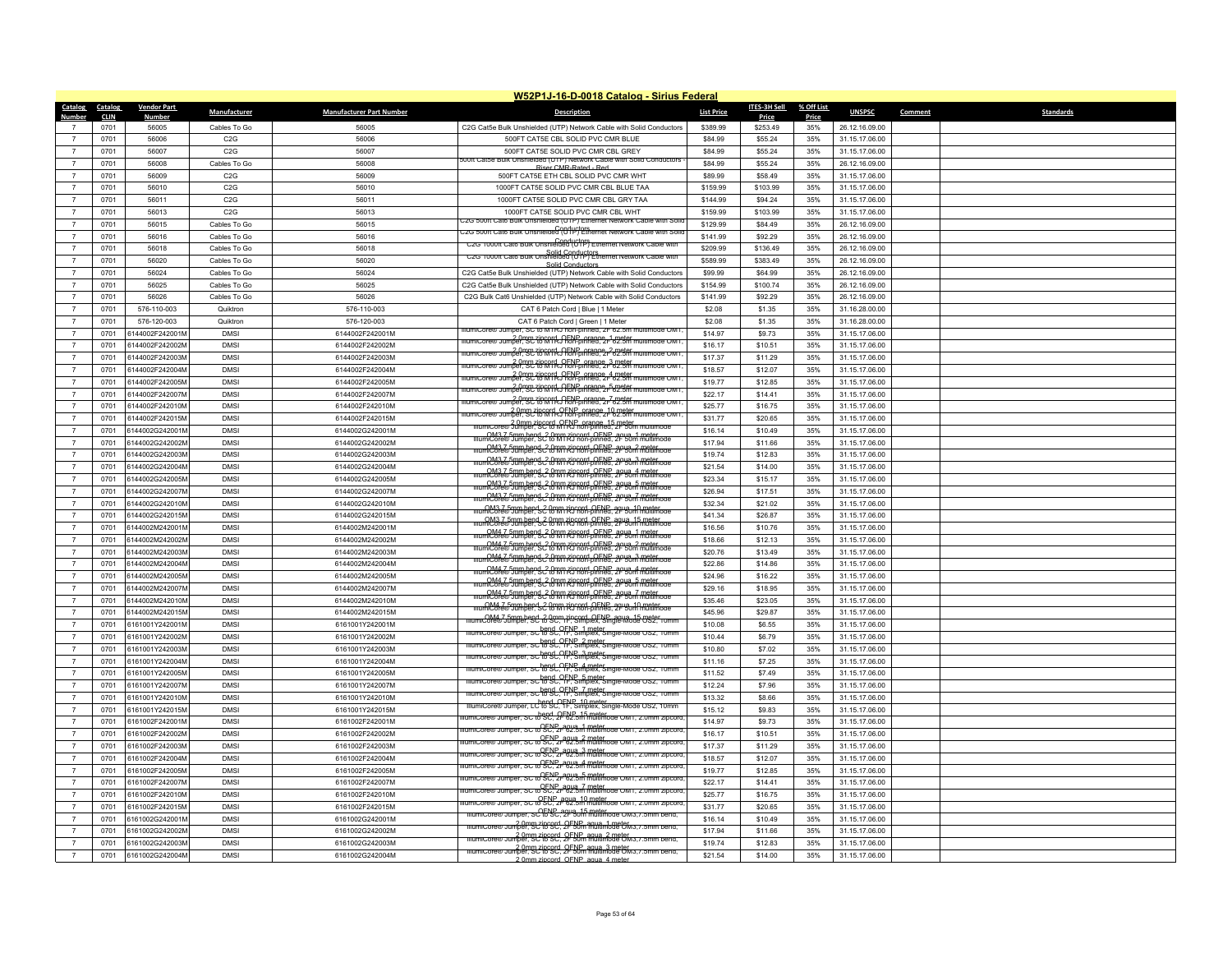|                 |             |                    |                  |                                 | W52P1J-16-D-0018 Catalog - Sirius Federal                                                                                       |                   |              |            |                |         |                  |
|-----------------|-------------|--------------------|------------------|---------------------------------|---------------------------------------------------------------------------------------------------------------------------------|-------------------|--------------|------------|----------------|---------|------------------|
| Catalog Catalog |             | <b>Vendor Part</b> | Manufacturer     | <b>Manufacturer Part Number</b> | Description                                                                                                                     | <b>List Price</b> | ITES-3H Sell | % Off List | <b>UNSPSC</b>  | Comment | <b>Standards</b> |
| Number          | <b>CLIN</b> | <b>Number</b>      |                  |                                 |                                                                                                                                 |                   | Price        | Price      |                |         |                  |
| $\overline{7}$  | 0701        | 56005              | Cables To Go     | 56005                           | C2G Cat5e Bulk Unshielded (UTP) Network Cable with Solid Conductors                                                             | \$389.99          | \$253.49     | 35%        | 26.12.16.09.00 |         |                  |
| $\overline{7}$  | 0701        | 56006              | C <sub>2</sub> G | 56006                           | 500FT CAT5E CBL SOLID PVC CMR BLUE                                                                                              | \$84.99           | \$55.24      | 35%        | 31.15.17.06.00 |         |                  |
| $\overline{7}$  | 0701        | 56007              | C2G              | 56007                           | 500FT CAT5E SOLID PVC CMR CBL GREY<br>500ft Cat5e Bulk Unshielded (UTP) Network Cable with Solid Conductors                     | \$84.99           | \$55.24      | 35%        | 31.15.17.06.00 |         |                  |
| $\overline{7}$  | 0701        | 56008              | Cables To Go     | 56008                           | Riser CMR-Rated - Red                                                                                                           | \$84.99           | \$55.24      | 35%        | 26.12.16.09.00 |         |                  |
| $\overline{7}$  | 0701        | 56009              | C2G              | 56009                           | 500FT CAT5E ETH CBL SOLID PVC CMR WHT                                                                                           | \$89.99           | \$58.49      | 35%        | 31.15.17.06.00 |         |                  |
| $\overline{7}$  | 0701        | 56010              | C <sub>2</sub> G | 56010                           | 1000FT CAT5E SOLID PVC CMR CBL BLUE TAA                                                                                         | \$159.99          | \$103.99     | 35%        | 31.15.17.06.00 |         |                  |
| $\overline{7}$  | 0701        | 56011              | C2G              | 56011                           | 1000FT CAT5E SOLID PVC CMR CBL GRY TAA                                                                                          | \$144.99          | \$94.24      | 35%        | 31.15.17.06.00 |         |                  |
| $\overline{7}$  | 0701        | 56013              | C2G              | 56013                           | 1000FT CAT5E SOLID PVC CMR CBL WHT<br>22G 500ft Cat6 Bulk Unshielded (UTP) Ethernet Network Cable with Sol                      | \$159.99          | \$103.99     | 35%        | 31.15.17.06.00 |         |                  |
| $\overline{7}$  | 0701        | 56015              | Cables To Go     | 56015                           | Conductors.<br>ZG 500ft Cat6 Bulk Unshielded (UTP) Ethernet Network Cable with Solid                                            | \$129.99          | \$84.49      | 35%        | 26.12.16.09.00 |         |                  |
| $\overline{7}$  | 0701        | 56016              | Cables To Go     | 56016                           | C2G 1000ft Cate Buik Onsnie 6886 (CPP)                                                                                          | \$141.99          | \$92.29      | 35%        | 26.12.16.09.00 |         |                  |
| $\overline{7}$  | 0701        | 56018              | Cables To Go     | 56018                           | C2G 1000ft Cat6 Bulk Unshielded (UTP) Ethernet Network Cable with                                                               | \$209.99          | \$136.49     | 35%        | 26.12.16.09.00 |         |                  |
| $\overline{7}$  | 0701        | 56020              | Cables To Go     | 56020                           | Solid Conductor                                                                                                                 | \$589.99          | \$383.49     | 35%        | 26.12.16.09.00 |         |                  |
| $\overline{7}$  | 0701        | 56024              | Cables To Go     | 56024                           | C2G Cat5e Bulk Unshielded (UTP) Network Cable with Solid Conductors                                                             | \$99.99           | \$64.99      | 35%        | 26.12.16.09.00 |         |                  |
| $\overline{7}$  | 0701        | 56025              | Cables To Go     | 56025                           | C2G Cat5e Bulk Unshielded (UTP) Network Cable with Solid Conductors                                                             | \$154.99          | \$100.74     | 35%        | 26.12.16.09.00 |         |                  |
| $\overline{7}$  | 0701        | 56026              | Cables To Go     | 56026                           | C2G Bulk Cat6 Unshielded (UTP) Network Cable with Solid Conductors                                                              | \$141.99          | \$92.29      | 35%        | 26.12.16.09.00 |         |                  |
| $\overline{7}$  | 0701        | 576-110-003        | Quiktron         | 576-110-003                     | CAT 6 Patch Cord   Blue   1 Meter                                                                                               | \$2.08            | \$1.35       | 35%        | 31.16.28.00.00 |         |                  |
| $\overline{7}$  | 0701        | 576-120-003        | Quiktron         | 576-120-003                     | CAT 6 Patch Cord   Green   1 Meter<br>llumiCore® Jumper, SC to MTRJ non-pinned, 2F 62.5m multimode OM1                          | \$2.08            | \$1.35       | 35%        | 31.16.28.00.00 |         |                  |
| $\overline{7}$  | 0701        | 6144002F242001M    | <b>DMSI</b>      | 6144002F242001M                 | 2.0mm zipcord, OENP, orange, 1 meter<br>nper, SC to MTRJ non-pinned, 21-62.5mm                                                  | \$14.97           | \$9.73       | 35%        | 31.15.17.06.00 |         |                  |
| $\overline{7}$  | 0701        | 6144002F242002M    | <b>DMS</b>       | 6144002F242002M                 | numiCore® Jumper. 3C to MIR, OFNP arange_2 meter<br>IllumiCore® Jumper. 3C to MIR, OFNP pinned. 2F 62.5m multimode OM1          | \$16.17           | \$10.51      | 35%        | 31.15.17.06.00 |         |                  |
| $\overline{7}$  | 0701        | 6144002F242003M    | <b>DMSI</b>      | 6144002F242003M                 | rumrcore@ Jumper, SC 78 KATA J Fon-pinned, 2r <sup>3</sup> 62.5ff                                                               | \$17.37           | \$11.29      | 35%        | 31.15.17.06.00 |         |                  |
| $\overline{7}$  | 0701        | 6144002F242004M    | <b>DMS</b>       | 6144002F242004M                 | lumiCore® Jumper, SC to MTRJ non-pinned, 2r 62.5m mul<br>ode OM                                                                 | \$18.57           | \$12.07      | 35%        | 31.15.17.06.00 |         |                  |
| $\overline{7}$  | 0701        | 6144002F242005M    | <b>DMS</b>       | 6144002F242005M                 | rumiCore® Jumper. SC to MTRJ RENP arange 5 meter multimode OM1                                                                  | \$19.77           | \$12.85      | 35%        | 31.15.17.06.00 |         |                  |
| $\overline{7}$  | 0701        | 6144002F242007M    | <b>DMSI</b>      | 6144002F242007M                 | ilumiCore® Jumper. St. 20mm algorid, OENP, orange, 7 meter<br>IlumiCore® Jumper. St. 20 MTRJ hon-pinned. 2F 62.5m multimode OM1 | \$22.17           | \$14.41      | 35%        | 31.15.17.06.00 |         |                  |
| $\overline{7}$  | 0701        | 6144002F242010M    | <b>DMSI</b>      | 6144002F242010M                 | 2.0mm 2.0mm 7ipcord OENP_orange_10 meter<br>umiCore® Jumper, SC to MTRJ non-pinned, 2F 62.5m multimode OM1                      | \$25.77           | \$16.75      | 35%        | 31.15.17.06.00 |         |                  |
| $\overline{7}$  | 0701        | 6144002F242015M    | <b>DMSI</b>      | 6144002F242015M                 | Illumicore® 3ummer 9C 16 MFNP of ange 15 meter multimode                                                                        | \$31.77           | \$20.65      | 35%        | 31.15.17.06.00 |         |                  |
| $\overline{7}$  | 0701        | 6144002G242001M    | <b>DMSI</b>      | 6144002G242001M                 | <u>mumiCore® Jumber SC to MIRJ non-oinned. 2F 50m muttimode</u>                                                                 | \$16.14           | \$10.49      | 35%        | 31.15.17.06.00 |         |                  |
| $\overline{7}$  | 0701        | 6144002G242002M    | <b>DMSI</b>      | 6144002G242002M                 | numiCore® Jumper Sc <sup>2</sup> t0 MTRJ non-pinned, 2F 50m multimode                                                           | \$17.94           | \$11.66      | 35%        | 31.15.17.06.00 |         |                  |
| $\overline{7}$  | 0701        | 6144002G242003M    | <b>DMS</b>       | 6144002G242003M                 | <u>numiCore® Jumber SC (Imm zincord, OENP, agua, 3 meter</u><br>llumiCore® Jumber SC (Imm RJ non-pinned, 2F 50m multimode       | \$19.74           | \$12.83      | 35%        | 31.15.17.06.00 |         |                  |
| $\overline{7}$  | 0701        | 6144002G242004M    | <b>DMSI</b>      | 6144002G242004M                 | OM3.7.5mm.bend 2.0mm.ripcord_OENP_aqua_4_meter_<br>llumiCore®Jumber, SC to MTRJ non-pinned, 2F 50m multimode                    | \$21.54           | \$14.00      | 35%        | 31.15.17.06.00 |         |                  |
| $\overline{7}$  | 0701        | 6144002G242005M    | <b>DMSI</b>      | 6144002G242005M                 | OM3.7 5mm bend C 0mm zincord OENP agus 5 meter<br>IllumiCore® Jumper, SC to M1 RJ non-pinned, 2F 50m multimode                  | \$23.34           | \$15.17      | 35%        | 31.15.17.06.00 |         |                  |
| $\overline{7}$  | 0701        | 6144002G242007M    | <b>DMS</b>       | 6144002G242007M                 | umCore®Jumber Sc? (amm zincord OENP, agua, 7 meter.org                                                                          | \$26.94           | \$17.51      | 35%        | 31.15.17.06.00 |         |                  |
| $\overline{7}$  | 0701        | 6144002G242010M    | <b>DMSI</b>      | 6144002G242010M                 | <u>ilumiCore® Jumber 52 font rin cort. OENP, agus 10 meter og</u>                                                               | \$32.34           | \$21.02      | 35%        | 31.15.17.06.00 |         |                  |
| $\overline{7}$  | 0701        | 6144002G242015M    | <b>DMSI</b>      | 6144002G242015M                 | OM3.7.5mm bend 32 0mm zincord, OENP, agua, 15 meter<br>JurniCore® Jumber: SC 0mm RJ non-pinned. 2F 50m multimode                | \$41.34           | \$26.87      | 35%        | 31.15.17.06.00 |         |                  |
| $\overline{7}$  | 0701        | 6144002M242001N    | <b>DMSI</b>      | 6144002M242001M                 | numiCore® Jumper, Sc to M1 RJ non-DENP_aqua_1 meter<br>IlumiCore® Jumper, Sc to M1 RJ non-pinned, 2F 50m multimode              | \$16.56           | \$10.76      | 35%        | 31.15.17.06.00 |         |                  |
| $\overline{7}$  | 0701        | 6144002M242002M    | <b>DMSI</b>      | 6144002M242002M                 | numiCore® Jumper, SC to MTRJ non-pinned, 2F 50m multimode                                                                       | \$18.66           | \$12.13      | 35%        | 31.15.17.06.00 |         |                  |
| $\overline{7}$  | 0701        | 6144002M242003M    | <b>DMSI</b>      | 6144002M242003M                 | <u>numiCore® Jumbend, 2 0mm zincord, OENP, agua, 3 meter.</u><br>IlumiCore® Jumber, SC to MTRJ non-pinned. 2F 50m multimode     | \$20.76           | \$13.49      | 35%        | 31.15.17.06.00 |         |                  |
| $\overline{7}$  | 0701        | 6144002M242004N    | <b>DMSI</b>      | 6144002M242004M                 | numiCore® Jumper SC to MI RJ non-pinned, 2F 50m multimode                                                                       | \$22.86           | \$14.86      | 35%        | 31.15.17.06.00 |         |                  |
| $\overline{7}$  | 0701        | 6144002M242005N    | <b>DMS</b>       | 6144002M242005M                 | OM4 7.5mm bend, 2.0mm zincord, OENP, agua, 5 meter<br>imiCore® Jumper, SC to MTRJ non-pinned. 2F 50m multimode                  | \$24.96           | \$16.22      | 35%        | 31.15.17.06.00 |         |                  |
| $\overline{7}$  | 0701        | 6144002M242007N    | <b>DMSI</b>      | 6144002M242007M                 | OM4 7.5mm bend 2.0mm zincord OENP agua 7 meter<br>IllumiCore® Jumper, SC to MTRJ non-pinned. 2F 50m multimode                   | \$29.16           | \$18.95      | 35%        | 31.15.17.06.00 |         |                  |
| $\overline{7}$  | 0701        | 6144002M242010M    | <b>DMSI</b>      | 6144002M242010M                 | mumiCore® Jumper SC RMM RD GRAP agus 10 meter<br>mumiCore® Jumper SC RMM RD Gon-pinned, 2F 50m multimode                        | \$35.46           | \$23.05      | 35%        | 31.15.17.06.00 |         |                  |
| $\overline{7}$  | 0701        | 6144002M242015M    | <b>DMSI</b>      | 6144002M242015M                 | mumiCore®Jumper, SC to Scripting and OFNP agua 15 mster.<br>MumiCore®Jumper, SC to Scripting Simplex, Single-Mode OS2, 10mm     | \$45.96           | \$29.87      | 35%        | 31.15.17.06.00 |         |                  |
| $\overline{7}$  | 0701        | 6161001Y242001M    | <b>DMSI</b>      | 6161001Y242001M                 | IllumiCore® Jumper, SC to SC, TF, Simplex, Single-Mode OS2, 10mm                                                                | \$10.08           | \$6.55       | 35%        | 31.15.17.06.00 |         |                  |
| $\overline{7}$  | 0701        | 6161001Y242002M    | <b>DMSI</b>      | 6161001Y242002M                 | IllumiCore® Jumper, SC to SC, TF, Simplex, Single-Mode OS2, 10mm                                                                | \$10.44           | \$6.79       | 35%        | 31.15.17.06.00 |         |                  |
| $\overline{7}$  | 0701        | 6161001Y242003M    | <b>DMSI</b>      | 6161001Y242003M                 | llumiCore® Jumper, SC to SC, 1F, Simplex, Single-Mode OS2, 10mm                                                                 | \$10.80           | \$7.02       | 35%        | 31.15.17.06.00 |         |                  |
| $\overline{7}$  | 0701        | 6161001Y242004M    | <b>DMSI</b>      | 6161001Y242004M                 | illumiCore® Jumper, SC to SC, TF, Simplex, Single-Mode OS2, 10mm                                                                | \$11.16           | \$7.25       | 35%        | 31.15.17.06.00 |         |                  |
| $\overline{7}$  | 0701        | 6161001Y242005M    | <b>DMSI</b>      | 6161001Y242005M                 | IllumiCore® Jumper, SC to SC, 1F, Simplex, Single-Mode OS2, 10mm                                                                | \$11.52           | \$7.49       | 35%        | 31.15.17.06.00 |         |                  |
| $\overline{7}$  | 0701        | 6161001Y242007M    | <b>DMSI</b>      | 6161001Y242007M                 | lllumiCore® Jumper, SC <sup>1</sup> t6°SC, TF, Simplex, Single-Mode OS2, 10mm                                                   | \$12.24           | \$7.96       | 35%        | 31.15.17.06.00 |         |                  |
| $\overline{7}$  | 0701        | 6161001Y242010M    | <b>DMSI</b>      | 6161001Y242010M                 |                                                                                                                                 | \$13.32           | \$8.66       | 35%        | 31.15.17.06.00 |         |                  |
| $\overline{7}$  | 0701        | 6161001Y242015M    | <b>DMSI</b>      | 6161001Y242015M                 | Jumper, SC to SC, 2F 62.5m multimode OM1, 2.0mm zipcord<br>llumit ore                                                           | \$15.12           | \$9.83       | 35%        | 31.15.17.06.00 |         |                  |
| $\overline{7}$  | 0701        | 6161002F242001M    | <b>DMSI</b>      | 6161002F242001M                 | nper, SC to SC, 2r <sup>2</sup> 62.3m multimode OM1, 2.0mm                                                                      | \$14.97           | \$9.73       | 35%        | 31.15.17.06.00 |         |                  |
| $\overline{7}$  | 0701        | 6161002F242002M    | <b>DMS</b>       | 6161002F242002M                 | SC to SEC 2r <sup>8023</sup> meter own, 2.0ml                                                                                   | \$16.17           | \$10.51      | 35%        | 31.15.17.06.00 |         |                  |
| $\overline{7}$  | 0701        | 6161002F242003M    | <b>DMSI</b>      | 6161002F242003M                 | lumiCore® Jumper, SC to SC, 2r 62.5m multimode OM1, 2.0mm zipcore                                                               | \$17.37           | \$11.29      | 35%        | 31.15.17.06.00 |         |                  |
| $\overline{7}$  | 0701        | 6161002F242004M    | <b>DMSI</b>      | 6161002F242004M                 | LumiCore® Jumper, SC to SC, 2F 62.5m multimode OM1, 2.0mm zipcord                                                               | \$18.57           | \$12.07      | 35%        | 31.15.17.06.00 |         |                  |
| $\overline{7}$  | 0701        | 6161002F242005M    | <b>DMS</b>       | 6161002F242005M                 | Jumper, SC to SC, 2F 62.5m multimode OM1, 2.0mm zipcord                                                                         | \$19.77           | \$12.85      | 35%        | 31.15.17.06.00 |         |                  |
| $\overline{7}$  | 0701        | 6161002F242007M    | <b>DMSI</b>      | 6161002F242007M                 | lumiCore® Jumper, SC to SC, 2r 62.5m multimode OM1, 2.0mm zipcord                                                               | \$22.17           | \$14.41      | 35%        | 31.15.17.06.00 |         |                  |
| $\overline{7}$  | 0701        | 6161002F242010M    | <b>DMSI</b>      | 6161002F242010M                 | umiCore® Jumper, SC to SC, 2F 62.5m multimode OM1, 2.0mm zipcore                                                                | \$25.77           | \$16.75      | 35%        | 31.15.17.06.00 |         |                  |
| $\overline{7}$  | 0701        | 6161002F242015M    | <b>DMSI</b>      | 6161002F242015M                 | illumiCore® Jumper, SC to SC, 2F 50m multimode OM3, / 5mm bend,                                                                 | \$31.77           | \$20.65      | 35%        | 31.15.17.06.00 |         |                  |
| $\overline{7}$  | 0701        | 6161002G242001M    | <b>DMSI</b>      | 6161002G242001M                 | niumiCore® Jumper, SC to SC, 2F SUm multimode OM3, 7.5mm bend                                                                   | \$16.14           | \$10.49      | 35%        | 31.15.17.06.00 |         |                  |
| $\overline{7}$  | 0701        | 6161002G242002M    | <b>DMSI</b>      | 6161002G242002M                 | niumicore® Jumper. Scribcord. OFNP aqua. 2 meter                                                                                | \$17.94           | \$11.66      | 35%        | 31.15.17.06.00 |         |                  |
| $\overline{7}$  | 0701        | 6161002G242003M    | <b>DMSI</b>      | 6161002G242003M                 | niumiCore® Jumper, SC to SC, 2F 50m multimode CM3, 7.5mm bend,                                                                  | \$19.74           | \$12.83      | 35%        | 31.15.17.06.00 |         |                  |
| $\overline{7}$  | 0701        | 6161002G242004M    | <b>DMSI</b>      | 6161002G242004M                 | 2.0mm zincord, OENP, agua, 4 meter                                                                                              | \$21.54           | \$14.00      | 35%        | 31.15.17.06.00 |         |                  |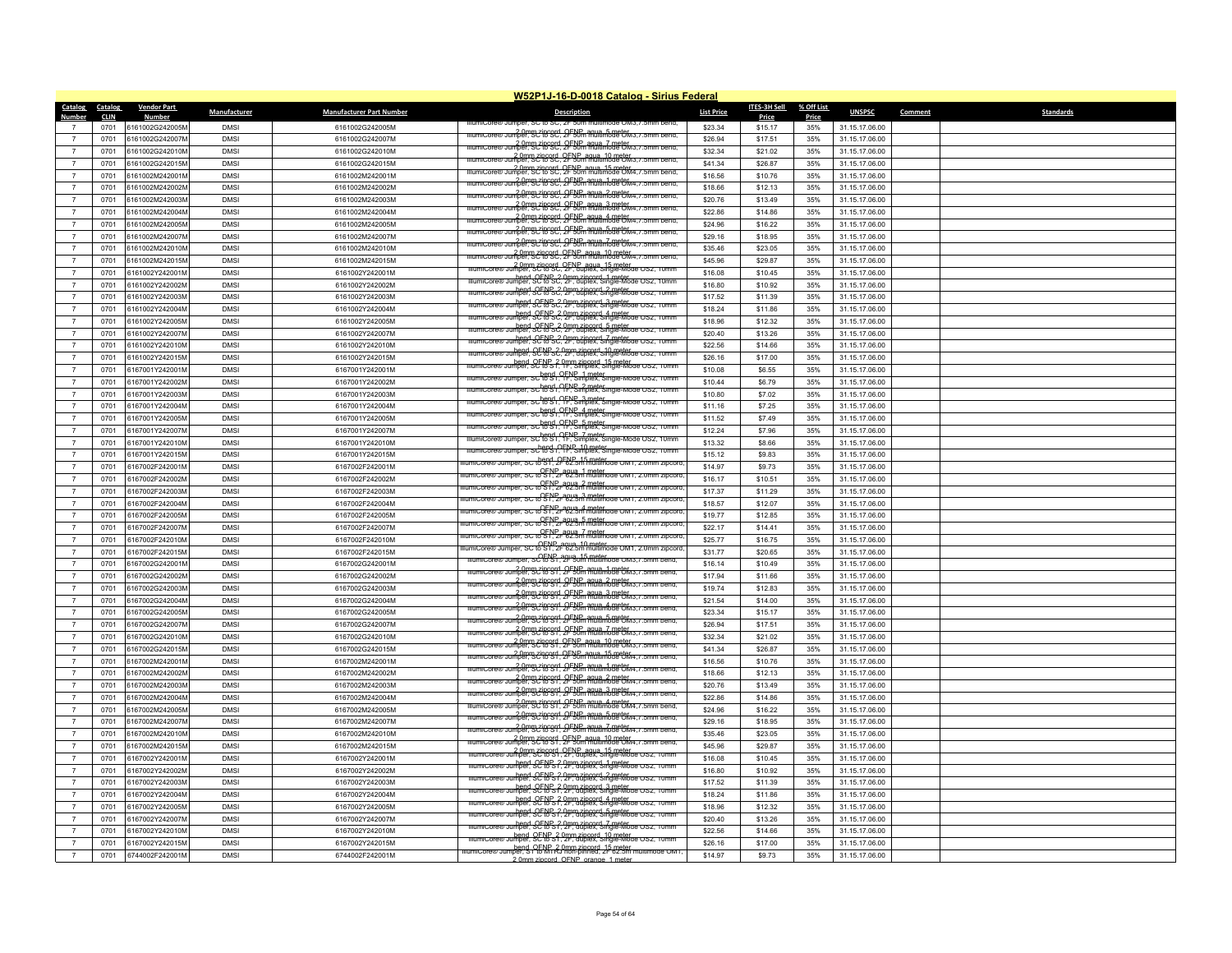|                          |                        |                                    |              |                                 | W52P1J-16-D-0018 Catalog - Sirius Federal                                                                                                                                                                                                                                                                                                                       |                   |                       |                     |                |         |                  |
|--------------------------|------------------------|------------------------------------|--------------|---------------------------------|-----------------------------------------------------------------------------------------------------------------------------------------------------------------------------------------------------------------------------------------------------------------------------------------------------------------------------------------------------------------|-------------------|-----------------------|---------------------|----------------|---------|------------------|
| <b>Catalog</b><br>Number | Catalog<br><b>CLIN</b> | <b>Vendor Part</b><br><b>Numbe</b> | Manufacturer | <b>Manufacturer Part Number</b> | <b>Description</b>                                                                                                                                                                                                                                                                                                                                              | <b>List Price</b> | ITES-3H Sell<br>Price | % Off List<br>Price | <b>UNSPSC</b>  | Comment | <b>Standards</b> |
|                          | 0701                   | 6161002G242005M                    | <b>DMS</b>   | 6161002G242005M                 | iumiCore® Jumper, SC to SC, ZF 50m r                                                                                                                                                                                                                                                                                                                            | \$23.34           | \$15.17               | 35%                 | 31.15.17.06.00 |         |                  |
| $\overline{7}$           | 0701                   | 6161002G242007M                    | <b>DMSI</b>  | 6161002G242007M                 | IllumiCore® Jumper SC to SC 2FSDm multimode OM3. / .5mm bend.                                                                                                                                                                                                                                                                                                   | \$26.94           | \$17.51               | 35%                 | 31.15.17.06.00 |         |                  |
| $\overline{7}$           | 0701                   | 6161002G242010M                    | <b>DMS</b>   | 6161002G242010M                 | niumicore® Jumper Scrib GC 2FNP agua_7 meter<br>mutimode CM3.7.5mm bend.                                                                                                                                                                                                                                                                                        | \$32.34           | \$21.02               | 35%                 | 31.15.17.06.00 |         |                  |
| $\overline{7}$           | 0701                   | 6161002G242015M                    | <b>DMSI</b>  | 6161002G242015M                 | 2.0mm zipcord, OFNP agua, 10 meter<br>IllumiCore® Jumper, SC to SC, 2F 50m multimode CM3, 7.5mm bend,                                                                                                                                                                                                                                                           | \$41.34           | \$26.87               | 35%                 | 31.15.17.06.00 |         |                  |
| $\overline{7}$           | 0701                   | 6161002M242001M                    | <b>DMSI</b>  | 6161002M242001M                 | 2.0mm zipcord, OFNP, agua, 15 meter<br>IllumiCore® Jumper, SC to SC, 2F 50m multimode CM4, 7.5mm bend.                                                                                                                                                                                                                                                          | \$16.56           | \$10.76               | 35%                 | 31.15.17.06.00 |         |                  |
| $\overline{7}$           | 0701                   | 6161002M242002M                    | <b>DMSI</b>  | 6161002M242002M                 | Jumber 92 1899 4 2FNPm ARVA mbartok                                                                                                                                                                                                                                                                                                                             | \$18.66           | \$12.13               | 35%                 | 31.15.17.06.00 |         |                  |
| $\overline{7}$           | 0701                   | 6161002M242003M                    | <b>DMS</b>   | 6161002M242003M                 | Jumper, SC 18 SC, 2FSUm multimode CM4, / . 5m                                                                                                                                                                                                                                                                                                                   | \$20.76           | \$13.49               | 35%                 | 31.15.17.06.00 |         |                  |
| $\overline{7}$           | 0701                   | 6161002M242004M                    | <b>DMSI</b>  | 6161002M242004M                 | ommy riprord, OFNP mula 3 meter<br>IllumiCore® Jumper, SC to SC, 2F 50m multimode CM4, / .5mm bend,                                                                                                                                                                                                                                                             | \$22.86           | \$14.86               | 35%                 | 31.15.17.06.00 |         |                  |
|                          | 0701                   | 6161002M242005M                    | <b>DMSI</b>  | 6161002M242005M                 | omm zincord, OFNP any 4 meter (2.5mm bend)                                                                                                                                                                                                                                                                                                                      | \$24.96           | \$16.22               | 35%                 | 31.15.17.06.00 |         |                  |
| $\overline{7}$           | 0701                   | 6161002M242007M                    | <b>DMSI</b>  | 6161002M242007M                 | niumicore® Jumper, Scrib Scrib Street, agua, 5 meter.<br>Illumicore® Jumper, Scrib Scrib Street, 2F 50m multimode OM4. / 5mm bend.                                                                                                                                                                                                                              | \$29.16           | \$18.95               | 35%                 | 31.15.17.06.00 |         |                  |
| $\overline{7}$           | 0701                   | 6161002M242010M                    | <b>DMS</b>   | 6161002M242010M                 | Junnel Bridge Ler Stein Annual Tourism                                                                                                                                                                                                                                                                                                                          | \$35.46           | \$23.05               | 35%                 | 31.15.17.06.00 |         |                  |
| $\overline{7}$           | 0701                   | 6161002M242015M                    | <b>DMSI</b>  | 6161002M242015M                 | numiCore® Jumper BCtocsd OFNB agua_10 meter<br>IllumiCore® Jumper SCtocsd OF 50m multimode CM4. / 5mm bend.                                                                                                                                                                                                                                                     | \$45.96           | \$29.87               | 35%                 | 31.15.17.06.00 |         |                  |
| $\overline{7}$           | 0701                   | 6161002Y242001M                    | <b>DMS</b>   | 6161002Y242001M                 | ew Jumper, SC to SC, 2F, duplex, Single-Mode OS2,<br>lllumit.com                                                                                                                                                                                                                                                                                                | \$16.08           | \$10.45               | 35%                 | 31.15.17.06.00 |         |                  |
| $\overline{z}$           | 0701                   | 6161002Y242002M                    | <b>DMSI</b>  | 6161002Y242002M                 | bend QFNP32 0mm zincord 1 meter<br>Jumper, SC to Sc, 2F, duplex, Single-Mode OS2,                                                                                                                                                                                                                                                                               | \$16.80           | \$10.92               | 35%                 | 31.15.17.06.00 |         |                  |
| $\overline{7}$           | 0701                   | 6161002Y242003M                    | <b>DMSI</b>  | 6161002Y242003M                 |                                                                                                                                                                                                                                                                                                                                                                 | \$17.52           | \$11.39               | 35%                 | 31.15.17.06.00 |         |                  |
| $\overline{7}$           | 0701                   | 6161002Y242004M                    | <b>DMSI</b>  | 6161002Y242004M                 | bend OFNS 2,9pm zincord 3 methode USz, Tumm                                                                                                                                                                                                                                                                                                                     | \$18.24           | \$11.86               | 35%                 | 31.15.17.06.00 |         |                  |
| $\overline{7}$           | 0701                   | 6161002Y242005M                    | <b>DMSI</b>  | 6161002Y242005M                 | llumicore® Jumper, SC to SC, 2P, auplex, Single-Mode OS2,                                                                                                                                                                                                                                                                                                       | \$18.96           | \$12.32               | 35%                 | 31.15.17.06.00 |         |                  |
| $\overline{7}$           | 0701                   | 6161002Y242007M                    | <b>DMSI</b>  | 6161002Y242007M                 | hend OFN S.C. 2P. adplex. Single-Mode Ox                                                                                                                                                                                                                                                                                                                        | \$20.40           | \$13.26               | 35%                 | 31.15.17.06.00 |         |                  |
| $\overline{7}$           | 0701                   | 6161002Y242010M                    | <b>DMS</b>   | 6161002Y242010M                 | bend, OENB 2,0mm zincord, 7 meter<br>Jumper, SC to Sc, 2F, duplex, Single-Mode OS2,                                                                                                                                                                                                                                                                             | \$22.56           | \$14.66               | 35%                 | 31.15.17.06.00 |         |                  |
| $\overline{7}$           | 0701                   | 6161002Y242015M                    | <b>DMSI</b>  | 6161002Y242015M                 | litumiCore® Jumper, SC to SC, 2F, duplex, Single-Mode OS2, 10mm                                                                                                                                                                                                                                                                                                 | \$26.16           | \$17.00               | 35%                 | 31.15.17.06.00 |         |                  |
| $\overline{7}$           | 0701                   | 6167001Y242001M                    | <b>DMSI</b>  | 6167001Y242001M                 | uuhper, SCT8Ps ?, Imm zingerd, Stage Mode Osz, Tumm                                                                                                                                                                                                                                                                                                             | \$10.08           | \$6.55                | 35%                 | 31.15.17.06.00 |         |                  |
| $\overline{7}$           | 0701                   | 6167001Y242002M                    | <b>DMS</b>   | 6167001Y242002M                 | lllumiCore® Jumper, SC to ST, TF, Simplex, Single-Mode OS2, 10mm                                                                                                                                                                                                                                                                                                | \$10.44           | \$6.79                | 35%                 | 31.15.17.06.00 |         |                  |
| $\overline{7}$           | 0701                   | 6167001Y242003M                    | <b>DMSI</b>  | 6167001Y242003M                 | IllumiCore® Jumper, SC <sup>hend</sup> , OFNB 2 meter.<br>IllumiCore® Jumper, SChend, OFF, Simplex, Single-Mode OS2, 10mm                                                                                                                                                                                                                                       | \$10.80           | \$7.02                | 35%                 | 31.15.17.06.00 |         |                  |
| $\overline{7}$           | 0701                   | 6167001Y242004M                    | <b>DMSI</b>  | 6167001Y242004M                 | IllumiCore® Jumper, SC <sup>hend</sup> , OFNB, 3 meter.<br>IllumiCore® Jumper, SC <sup>heng</sup> L. T. Simplex, Single-Mode OS2, 10mm                                                                                                                                                                                                                          | \$11.16           | \$7.25                | 35%                 | 31.15.17.06.00 |         |                  |
| $\overline{7}$           | 0701                   | 6167001Y242005M                    | <b>DMS</b>   | 6167001Y242005M                 | Jumper, SC hend, OFNB 4 meter<br>Jumper, SC to S1, 1F, Simplex, Single-M                                                                                                                                                                                                                                                                                        | \$11.52           | \$7.49                | 35%                 | 31.15.17.06.00 |         |                  |
|                          | 0701                   | 6167001Y242007M                    | <b>DMSI</b>  | 6167001Y242007M                 | IllumiCore® Jumper, SC to S1, TF, Simplex, Single-Mode OS2, 10mm                                                                                                                                                                                                                                                                                                | \$12.24           | \$7.96                | 35%                 | 31.15.17.06.00 |         |                  |
| $\overline{7}$           | 0701                   | 6167001Y242010M                    | <b>DMS</b>   | 6167001Y242010M                 | IllumiCore® Jumper, SC to S1, 1F, Simplex, Single-Mode OS2, 10mm                                                                                                                                                                                                                                                                                                | \$13.32           | \$8.66                | 35%                 | 31.15.17.06.00 |         |                  |
| $\overline{7}$           | 0701                   | 6167001Y242015M                    | <b>DMS</b>   | 6167001Y242015M                 | Jumper, sc <sup>b</sup> fold, OFNP, 10 meter<br>Jumper, sc <sup>b</sup> fold, TF, Simplex, Single-Mode OS2, 10mm                                                                                                                                                                                                                                                | \$15.12           | \$9.83                | 35%                 | 31.15.17.06.00 |         |                  |
| $\overline{7}$           | 0701                   | 6167002F242001M                    | <b>DMSI</b>  | 6167002F242001M                 | umper, SC to ST, 2F 62.5m multimode OM1, 2.0mm zipcoro                                                                                                                                                                                                                                                                                                          | \$14.97           | \$9.73                | 35%                 | 31.15.17.06.00 |         |                  |
| $\overline{7}$           | 0701                   | 6167002F242002M                    | <b>DMSI</b>  | 6167002F242002M                 | Jumper, SC to ST, 2F 62.5m multimode OM1, 2.0mm zipcoro                                                                                                                                                                                                                                                                                                         | \$16.17           | \$10.51               | 35%                 | 31.15.17.06.00 |         |                  |
| $\overline{7}$           | 0701                   | 6167002F242003M                    | <b>DMS</b>   | 6167002F242003M                 | mper, SC to ST, 2r 62.5m multimode OM1, 2.0mm zipcor                                                                                                                                                                                                                                                                                                            | \$17.37           | \$11.29               | 35%                 | 31.15.17.06.00 |         |                  |
| $\overline{7}$           | 0701                   | 6167002F242004M                    | <b>DMS</b>   | 6167002F242004M                 | Jumper, SC to ST, 2r 62.5m multimode OM1, 2.0mm zipcoro                                                                                                                                                                                                                                                                                                         | \$18.57           | \$12.07               | 35%                 | 31.15.17.06.00 |         |                  |
| $\overline{7}$           | 0701                   | 6167002F242005M                    | <b>DMSI</b>  | 6167002F242005M                 | llumiCore® Jumper, SC to ST, 2F 62.5m multimode OM1, 2.0mm zipcord                                                                                                                                                                                                                                                                                              | \$19.77           | \$12.85               | 35%                 | 31.15.17.06.00 |         |                  |
| $\overline{7}$           | 0701                   | 6167002F242007M                    | <b>DMS</b>   | 6167002F242007M                 | lumiCore® Jumper, SC to ST, 2F 62.5m multimode OM1, 2.0mm zipcoro                                                                                                                                                                                                                                                                                               | \$22.17           | \$14.41               | 35%                 | 31.15.17.06.00 |         |                  |
|                          | 0701                   | 6167002F242010M                    | <b>DMS</b>   | 6167002F242010M                 | Jumper, SC to ST, 2F 62.5m multimode OM1, 2.0mm zipcord                                                                                                                                                                                                                                                                                                         | \$25.77           | \$16.75               | 35%                 | 31.15.17.06.00 |         |                  |
| $\overline{7}$           | 0701                   | 6167002F242015M                    | <b>DMSI</b>  | 6167002F242015M                 | lumiCore® Jumper, SC to S1, 2F 62.5m multimode OM1, 2.0mm zipcoro                                                                                                                                                                                                                                                                                               | \$31.77           | \$20.65               | 35%                 | 31.15.17.06.00 |         |                  |
| $\overline{7}$           | 0701                   | 6167002G242001M                    | <b>DMS</b>   | 6167002G242001M                 | IllumiCore® Jumper, SC to S1, 2H 30m multimode OM3, 7.5mm bend,                                                                                                                                                                                                                                                                                                 | \$16.14           | \$10.49               | 35%                 | 31.15.17.06.00 |         |                  |
| $\overline{7}$           | 0701                   | 6167002G242002M                    | <b>DMS</b>   | 6167002G242002M                 | nlumiCore® Jumper, SC to St1, 2F 50m multimode CM3, 7.5mm bend,                                                                                                                                                                                                                                                                                                 | \$17.94           | \$11.66               | 35%                 | 31.15.17.06.00 |         |                  |
| $\overline{7}$           | 0701                   | 6167002G242003M                    | <b>DMSI</b>  | 6167002G242003M                 | omm zincord, OFNP agua_2 meter<br>IllumiCore® Jumper, SC to S1, 2F 50m multimode OM3, 7.5mm bend,                                                                                                                                                                                                                                                               | \$19.74           | \$12.83               | 35%                 | 31.15.17.06.00 |         |                  |
|                          | 0701                   | 6167002G242004M                    | <b>DMSI</b>  | 6167002G242004M                 | numicore® Jumper. Betererd OFNP aqua 3 meter<br>Multimode CM3. 7.5mm bend.                                                                                                                                                                                                                                                                                      | \$21.54           | \$14.00               | 35%                 | 31.15.17.06.00 |         |                  |
| $\overline{7}$           | 0701                   | 6167002G242005M                    | <b>DMS</b>   | 6167002G242005M                 | 2.0mg/zipc9rf, 2FNP agua. 4 metros, 7.5mm bend,                                                                                                                                                                                                                                                                                                                 | \$23.34           | \$15.17               | 35%                 | 31.15.17.06.00 |         |                  |
| $\overline{7}$           | 0701                   | 6167002G242007M                    | <b>DMSI</b>  | 6167002G242007M                 | 20mm 716°ST. 2F5Um multimode OM3.7.5mm                                                                                                                                                                                                                                                                                                                          | \$26.94           | \$17.51               | 35%                 | 31.15.17.06.00 |         |                  |
|                          | 0701                   | 6167002G242010M                    | <b>DMSI</b>  | 6167002G242010M                 | Illumicore® Jumper. Scrib Strict OF NP Rule 7 meters / 5mm bend.                                                                                                                                                                                                                                                                                                | \$32.34           | \$21.02               | 35%                 | 31.15.17.06.00 |         |                  |
| $\overline{7}$           | 0701                   | 6167002G242015M                    | <b>DMS</b>   | 6167002G242015M                 | illumicore® Jumper, SC16CS1, 2FNP, aqua, 10 meter<br>Illumicore® Jumper, SC16CS1, 2FS0m multimode OM3. / .5mm bend.                                                                                                                                                                                                                                             | \$41.34           | \$26.87               | 35%                 | 31.15.17.06.00 |         |                  |
| $\overline{7}$           | 0701                   | 6167002M242001M                    | <b>DMS</b>   | 6167002M242001M                 | er 20mm zincord, OFNP aqua 15 meter<br>er Jumper, SC to S1, OF 50m multimode OM4, / .5mm                                                                                                                                                                                                                                                                        | \$16.56           | \$10.76               | 35%                 | 31.15.17.06.00 |         |                  |
| $\overline{7}$           | 0701                   | 6167002M242002M                    | <b>DMSI</b>  | 6167002M242002M                 | Illumit ore w. Jumper St. To Str. OF NB aqua 1 meter / 5mm bend                                                                                                                                                                                                                                                                                                 | \$18.66           | \$12.13               | 35%                 | 31.15.17.06.00 |         |                  |
| $\overline{7}$           | 0701                   | 6167002M242003M                    | <b>DMSI</b>  | 6167002M242003M                 | numicore® Jumper Scripcord OFNP aqua 2 meter comm bend                                                                                                                                                                                                                                                                                                          | \$20.76           | \$13.49               | 35%                 | 31.15.17.06.00 |         |                  |
| $\overline{7}$           | 0701                   | 6167002M242004M                    | <b>DMSI</b>  | 6167002M242004M                 | ew Jumper, SC to ST, 2FNP, agus, 3 meter.<br>ew Jumper, SC to ST, 2F50m multimode OM4, 7.5mm bend,<br>2.0mm zipcord, OFNP aqua, 4 meter<br>nper. SC to St1, OFNP aqua, 4 meter                                                                                                                                                                                  | \$22.86           | \$14.86               | 35%                 | 31.15.17.06.00 |         |                  |
| $\overline{7}$           | 0701                   | 6167002M242005M                    | <b>DMSI</b>  | 6167002M242005M                 |                                                                                                                                                                                                                                                                                                                                                                 | \$24.96           | \$16.22               | 35%                 | 31.15.17.06.00 |         |                  |
| $\overline{7}$           | 0701                   | 6167002M242007M                    | <b>DMSI</b>  | 6167002M242007M                 | $\frac{20 \text{mm}}{\text{mum} \cdot \text{core}}$ $\frac{20 \text{mm}}{\text{cm} \cdot \text{sec}}$ $\frac{10 \text{mm}}{\text{cm} \cdot \text{sec}}$ $\frac{10 \text{mm}}{\text{cm} \cdot \text{sec}}$ $\frac{10 \text{mm}}{\text{cm} \cdot \text{sec}}$ $\frac{10 \text{mm}}{\text{cm} \cdot \text{sec}}$ $\frac{10 \text{mm}}{\text{cm} \cdot \text{sec}}$ | \$29.16           | \$18.95               | 35%                 | 31.15.17.06.00 |         |                  |
| $\overline{7}$           | 0701                   | 6167002M242010M                    | <b>DMSI</b>  | 6167002M242010M                 | niumiCore® Jumber. SC to St1. 2F 50m multimode OM4. / .5mm bend.                                                                                                                                                                                                                                                                                                | \$35.46           | \$23.05               | 35%                 | 31.15.17.06.00 |         |                  |
| $\overline{7}$           | 0701                   | 6167002M242015M                    | <b>DMSI</b>  | 6167002M242015M                 | 2.0mm zincord, QENB, agua, 10 meter<br>Jumper, SC to S1, QE 50m multimode OM4, / 5mm pend.                                                                                                                                                                                                                                                                      | \$45.96           | \$29.87               | 35%                 | 31.15.17.06.00 |         |                  |
| $\overline{7}$           | 0701                   | 6167002Y242001M                    | <b>DMSI</b>  | 6167002Y242001M                 | <u>, 20mm Zincerd, OENR agus 15 meter.</u><br>Jumber: SChord, OENR agus 3 maie-Mode OSZ. 10mm                                                                                                                                                                                                                                                                   | \$16.08           | \$10.45               | 35%                 | 31.15.17.06.00 |         |                  |
|                          | 0701                   | 6167002Y242002M                    | <b>DMSI</b>  | 6167002Y242002M                 | bend SCFNS 2 0mm zincord, 1 meter<br>Jumper: SCFNS 2, 2F, duplex, Single-Mode OS2, 10mm                                                                                                                                                                                                                                                                         | \$16.80           | \$10.92               | 35%                 | 31.15.17.06.00 |         |                  |
| $\overline{7}$           | 0701                   | 6167002Y242003M                    | <b>DMSI</b>  | 6167002Y242003M                 | ere Jumper, SC RPS 2, Omm zincord, 2 meter.<br>ere Jumper, SC RPS 2, 2F, auplex, Single-Mode OS2, 10mm                                                                                                                                                                                                                                                          | \$17.52           | \$11.39               | 35%                 | 31.15.17.06.00 |         |                  |
| $\overline{7}$           | 0701                   | 6167002Y242004M                    | <b>DMS</b>   | 6167002Y242004M                 | IllumiCore® Jumper, SCFNB ?, Omm Zincerd, 3 meter Mode OS2, 10mm                                                                                                                                                                                                                                                                                                | \$18.24           | \$11.86               | 35%                 | 31.15.17.06.00 |         |                  |
| $\overline{7}$           | 0701                   | 6167002Y242005M                    | <b>DMSI</b>  | 6167002Y242005M                 | mumicore® Jumper, SCFNB 2.0mm zincord, 4 meter<br>mumicore® Jumper, SCFNB 2.2F, duplex, Single-Mode OS2, 10mm                                                                                                                                                                                                                                                   | \$18.96           | \$12.32               | 35%                 | 31.15.17.06.00 |         |                  |
| $\overline{7}$           | 0701                   | 6167002Y242007M                    | <b>DMSI</b>  | 6167002Y242007M                 | mumicore® Jumper, SCFNB 2.0mm zincord, 5 meter<br>mumicore® Jumper, SCFNB 2.2F, duplex, Single-Mode OS2, 10mm                                                                                                                                                                                                                                                   | \$20.40           | \$13.26               | 35%                 | 31.15.17.06.00 |         |                  |
| $\overline{7}$           | 0701                   | 6167002Y242010M                    | <b>DMS</b>   | 6167002Y242010M                 | bend QFNP 2 0mm zincord_7 meter<br>ilumiCore® Jumper, SC to S 1, 2F, duplex, Single-Mode OS2, 10mm                                                                                                                                                                                                                                                              | \$22.56           | \$14.66               | 35%                 | 31.15.17.06.00 |         |                  |
|                          | 0701                   | 6167002Y242015M                    | <b>DMS</b>   | 6167002Y242015M                 | Illumicore® Jumper, SCNP S1, 2F, duplex, Single-Mode OS2, 10mn                                                                                                                                                                                                                                                                                                  | \$26.16           | \$17.00               | 35%                 | 31.15.17.06.00 |         |                  |
| $\overline{7}$           | 0701                   | 6744002F242001M                    | <b>DMSI</b>  | 6744002F242001M                 | llumiCore® Jumper, S ( ISM RJ non-zincord, 15 meter<br>llumiCore® Jumper, S ( ISM RJ non-pinned, 2F 62.5m multimode OM 1,<br>2.0mm zincord, OENP, orange, 1 meter                                                                                                                                                                                               | \$14.97           | \$9.73                | 35%                 | 31.15.17.06.00 |         |                  |
|                          |                        |                                    |              |                                 |                                                                                                                                                                                                                                                                                                                                                                 |                   |                       |                     |                |         |                  |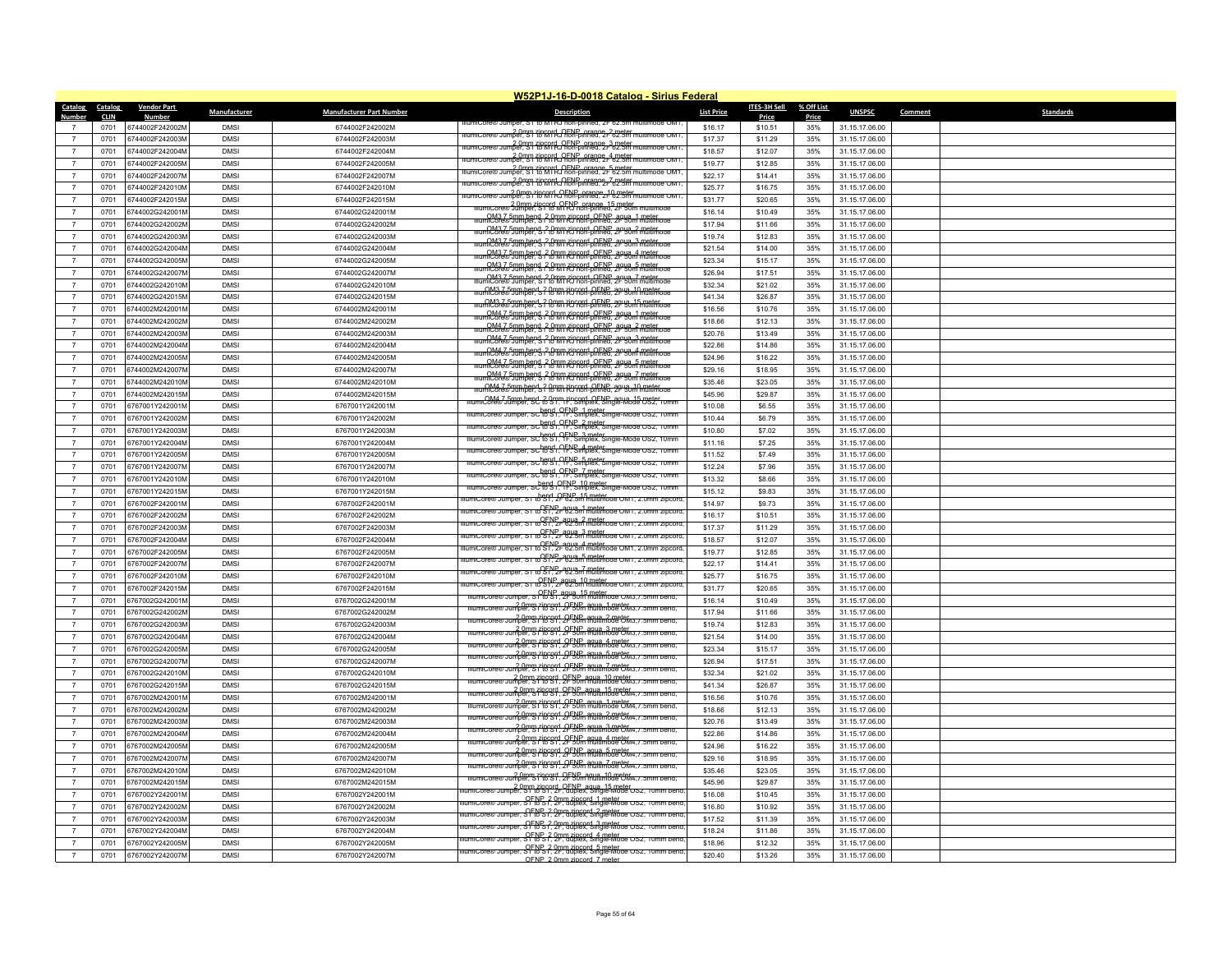|                                  |                        |                                    |                            |                                    | W52P1J-16-D-0018 Catalog - Sirius Federal                                                                                               |                    |                       |                     |                                  |         |                  |
|----------------------------------|------------------------|------------------------------------|----------------------------|------------------------------------|-----------------------------------------------------------------------------------------------------------------------------------------|--------------------|-----------------------|---------------------|----------------------------------|---------|------------------|
| <b>Catalog</b><br>Number         | Catalog<br><b>CLIN</b> | <b>Vendor Part</b>                 | Manufacturer               | <b>Manufacturer Part Number</b>    | <b>Description</b>                                                                                                                      | <b>List Price</b>  | ITES-3H Sell<br>Price | % Off List<br>Price | <b>UNSPSC</b>                    | Comment | <b>Standards</b> |
|                                  | 0701                   | 6744002F242002M                    | <b>DMS</b>                 | 6744002F242002M                    |                                                                                                                                         | \$16.17            | \$10.51               | 35%                 | 31.15.17.06.00                   |         |                  |
| $\overline{7}$                   | 0701                   | 6744002F242003M                    | <b>DMSI</b>                | 6744002F242003M                    | illumiCore® Jumper. ST {bronrd, OENP, orange, 2 meter<br>IllumiCore® Jumper. ST {bronrd, OENP, orange 2F 62.5m multimode OM1            | \$17.37            | \$11.29               | 35%                 | 31.15.17.06.00                   |         |                  |
| $\overline{7}$                   | 0701                   | 6744002F242004M                    | <b>DMS</b>                 | 6744002F242004M                    | llumiCore® Jumper. 91 Text Text CENP orange 3 meter                                                                                     | \$18.57            | \$12.07               | 35%                 | 31.15.17.06.00                   |         |                  |
| $\overline{7}$                   | 0701                   | 6744002F242005M                    | <b>DMS</b>                 | 6744002F242005M                    | 10mm zincord, OENP, orange, 4 meter<br>10Mm Turnicore® Jumper, ST to MTRJ non-pinned, 2F 62.5m multimode OM1                            | \$19.77            | \$12.85               | 35%                 | 31.15.17.06.00                   |         |                  |
| $\overline{7}$                   | 0701                   | 6744002F242007M                    | <b>DMSI</b>                | 6744002F242007M                    | lumiCore® Jumper, Street OFNP orange, 5 meter<br>lumiCore® Jumper, Street to MTRJ non-pinned, 2F 62.5m multimode OM1                    | \$22.17            | \$14.41               | 35%                 | 31.15.17.06.00                   |         |                  |
| $\overline{7}$                   | 0701                   | 6744002F242010M                    | <b>DMSI</b>                | 6744002F242010M                    | umicore® Jumper SP 710 ROTA RENE prance 7 02.5m                                                                                         | \$25.77            |                       | 35%                 | 31.15.17.06.00                   |         |                  |
| $\overline{7}$                   | 0701                   | 6744002F242015M                    | <b>DMS</b>                 | 6744002F242015M                    | umiCore® Jumper. St To MTRJ hon-pinned. 2F 62.5m multimode OM1                                                                          | \$31.77            | \$16.75<br>\$20.65    | 35%                 | 31.15.17.06.00                   |         |                  |
| $\overline{7}$                   | 0701                   | 6744002G242001M                    | <b>DMSI</b>                | 6744002G242001M                    | lumiCore® Jumper, ST16 MTRJ hon-pinned, 2F 50m multii                                                                                   | \$16.14            | \$10.49               | 35%                 | 31.15.17.06.00                   |         |                  |
| $\overline{7}$                   | 0701                   | 6744002G242002M                    | <b>DMSI</b>                | 6744002G242002M                    | <u>CM3 7 5mm bend 20mm zincord, OENP, agua 1 meter</u><br>umiCore® Jumper, S 2 0 M RJ 600-pinned, 2F 50m multimode                      | \$17.94            | \$11.66               | 35%                 | 31.15.17.06.00                   |         |                  |
| $7\phantom{.0}$                  | 0701                   | 6744002G242003M                    | <b>DMSI</b>                | 6744002G242003M                    | <u>numiCore®Jumbend 20mm zincord OENP agua 2 meter</u><br>jumiCore®Jumber S 20mm RJ non-pinned. 2F 50m multimode                        | \$19.74            | \$12.83               | 35%                 | 31.15.17.06.00                   |         |                  |
| $\overline{7}$                   | 0701                   | 6744002G242004M                    | <b>DMS</b>                 | 6744002G242004M                    | <u>mnCore®50mber s 20mm zinggri OENP agus 3 matemaa</u>                                                                                 | \$21.54            | \$14.00               | 35%                 | 31.15.17.06.00                   |         |                  |
| $\overline{7}$                   | 0701                   | 6744002G242005M                    | <b>DMSI</b>                | 6744002G242005M                    | <u>numiCore® Jumber &amp; 2 0 mm zin sort-ol FNP, agua 4 meter og e</u>                                                                 | \$23.34            | \$15.17               | 35%                 | 31.15.17.06.00                   |         |                  |
| $\overline{7}$                   | 0701                   | 6744002G242007M                    | <b>DMS</b>                 | 6744002G242007M                    | <u>numiCore® Jumbend, 2 0 mm zincord, OENP, agua, 5 moter, or</u>                                                                       | \$26.94            | \$17.51               | 35%                 | 31.15.17.06.00                   |         |                  |
| $\overline{7}$                   | 0701                   | 6744002G242010M                    | <b>DMSI</b>                | 6744002G242010M                    | OM3 7 5mm bend 2 0mm zincord, OENP, agua 7 meter<br>umiCore® Jumper, S 2 to MTRJ non-pinned, 2F 50m multimode                           | \$32.34            | \$21.02               | 35%                 | 31.15.17.06.00                   |         |                  |
| $\overline{7}$                   | 0701                   | 6744002G242015M                    | <b>DMSI</b>                | 6744002G242015M                    | OM3.7 5mm bend - 2 0mm zincord OENP agua, 10 meter                                                                                      | \$41.34            | \$26.87               | 35%                 | 31.15.17.06.00                   |         |                  |
| $\overline{7}$                   | 0701                   | 6744002M242001N                    | <b>DMSI</b>                | 6744002M242001M                    | mlCore®tinibend ? Omn Richard DENE, 2018 17 millimore                                                                                   | \$16.56            | \$10.76               | 35%                 | 31.15.17.06.00                   |         |                  |
| $\overline{7}$                   | 0701                   | 6744002M242002M                    | <b>DMS</b>                 | 6744002M242002M                    | umiCore® Jumper, S1 to MTRJ non-pinned, 2F 50m multimode                                                                                | \$18.66            | \$12.13               | 35%                 | 31.15.17.06.00                   |         |                  |
| $\overline{7}$                   | 0701                   | 6744002M242003M                    | <b>DMSI</b>                | 6744002M242003M                    | umiCore®50mbend 20mm zincord OENP agua 2 meter.org                                                                                      | \$20.76            | \$13.49               | 35%                 | 31.15.17.06.00                   |         |                  |
| $\overline{7}$                   | 0701                   | 6744002M242004M                    | <b>DMSI</b>                | 6744002M242004M                    | <u>CM4.7 5mm bend. 2 0mm zincord, OENP, agua, 3 meter.</u><br>umiCore® Jumper, S ( CM) RJ 606-pinned, 2F 50m multimode                  | \$22.86            | \$14.86               | 35%                 | 31.15.17.06.00                   |         |                  |
| $\overline{7}$                   | 0701                   | 6744002M242005M                    | <b>DMSI</b>                | 6744002M242005M                    | <u>lumiCore®Jumbend 2.0mm zincord OENP agua 4 meter</u><br>lumiCore®Jumber S 2.0mm RJ non-pinned. 2F 50m multimode                      | \$24.96            | \$16.22               | 35%                 | 31.15.17.06.00                   |         |                  |
| $\overline{7}$                   | 0701                   | 6744002M242007M                    | <b>DMSI</b>                | 6744002M242007M                    | m <u>C&amp;Ae&amp;Stum.bend 2.0mm zincord of ENP, agua. 5 militimode</u>                                                                | \$29.16            | \$18.95               | 35%                 | 31.15.17.06.00                   |         |                  |
| $\overline{7}$                   | 0701                   | 6744002M242010M                    | <b>DMS</b>                 | 6744002M242010M                    | <u>numiCore®Jumper Sir to MTRJ Rond OENP agus 7 mater.</u>                                                                              | \$35.46            | \$23.05               | 35%                 | 31.15.17.06.00                   |         |                  |
| $\overline{7}$                   | 0701                   | 6744002M242015N                    | <b>DMSI</b>                | 6744002M242015M                    | <u>iumiCore®Jumber S? {8mm zin 661 OENB agus 10 meter</u>                                                                               | \$45.96            | \$29.87               | 35%                 | 31.15.17.06.00                   |         |                  |
| $\overline{7}$                   | 0701                   | 6767001Y242001M                    | <b>DMS</b>                 | 6767001Y242001M                    | mumiCore®Jumper, SC & ST., Tr. Simplex, Single-Mode OS2, 10mm                                                                           | \$10.08            | \$6.55                | 35%                 | 31.15.17.06.00                   |         |                  |
| $\overline{7}$                   | 0701                   | 6767001Y242002M                    | <b>DMS</b>                 | 6767001Y242002M                    | IllumiCore® Jumper, SC to S1, 1F, Simplex, Single-Mode OS2, 10mm                                                                        | \$10.44            | \$6.79                | 35%                 | 31.15.17.06.00                   |         |                  |
| $\overline{7}$                   | 0701                   | 6767001Y242003M                    | <b>DMS</b>                 | 6767001Y242003M                    | IllumiCore® Jumper, SC <sup>hend</sup> , OFNB 2 meter.<br>IllumiCore® Jumper, SChend, OFF, Simplex, Single-Mode OS2, 10mm               | \$10.80            | \$7.02                | 35%                 | 31.15.17.06.00                   |         |                  |
| $\overline{7}$                   | 0701                   | 6767001Y242004M                    | <b>DMSI</b>                | 6767001Y242004M                    | IllumiCore® Jumper, SC to S1, TF Simplex, Single-Mode OS2, 10mm                                                                         | \$11.16            | \$7.25                | 35%                 | 31.15.17.06.00                   |         |                  |
| $\overline{7}$                   | 0701                   | 6767001Y242005M                    | <b>DMS</b>                 | 6767001Y242005M                    | imper, SC <sup>heng</sup> t, <sup>OEN</sup> S implex, Single-Mode OS2, 10mm                                                             | \$11.52            | \$7.49                | 35%                 | 31.15.17.06.00                   |         |                  |
| $\overline{7}$                   | 0701                   | 6767001Y242007M                    | <b>DMSI</b>                | 6767001Y242007M                    | Jumper, SC to St. Tr. Simplex, Single-Mode OS2, 10mm                                                                                    | \$12.24            | \$7.96                | 35%                 | 31.15.17.06.00                   |         |                  |
| $\overline{7}$                   | 0701                   | 6767001Y242010M                    | <b>DMSI</b>                | 6767001Y242010M                    | illumiCore® Jumper, SC to St. 1F, Simplex, Single-Mode OS2, 10mm                                                                        | \$13.32            | \$8.66                | 35%                 | 31.15.17.06.00                   |         |                  |
| $\overline{7}$                   | 0701                   | 6767001Y242015M                    | <b>DMSI</b>                | 6767001Y242015M                    | 80 Jumper, SC to S I ( FNP, 10 meter<br>80 Jumper, SC to S I ( FF, Simplex, Single-Mode OS2, 10mm                                       | \$15.12            | \$9.83                | 35%                 | 31.15.17.06.00                   |         |                  |
| $\overline{7}$                   | 0701                   | 6767002F242001M                    | <b>DMSI</b>                | 6767002F242001M                    | Jumper. ST to ST, 2F 62.5m multimode OM1, 2.0mm zipcor                                                                                  | \$14.97            | \$9.73                | 35%                 | 31.15.17.06.00                   |         |                  |
| $\overline{7}$                   | 0701                   | 6767002F242002M                    | <b>DMSI</b>                | 6767002F242002M                    | ilumiCore® Jumper. S1 to S1. 2F 62.5m müttmode OM1. 2.0mm zipcord<br>llumiCore® Jumper, ST to ST, 2F 62.5m multimode OM1, 2.0mm zipcoro | \$16.17            | \$10.51               | 35%                 | 31.15.17.06.00                   |         |                  |
| $\overline{7}$                   | 0701                   | 6767002F242003M                    | <b>DMS</b>                 | 6767002F242003M                    | nper. ST to ST. 2F 62.5m multimode OM1. 2.0r                                                                                            | \$17.37            | \$11.29               | 35%                 | 31.15.17.06.00                   |         |                  |
| $\overline{7}$                   | 0701                   | 6767002F242004M                    | <b>DMSI</b>                | 6767002F242004M                    | llumiCore® Jumper, ST to ST, 2r 62.5m multimode OM1, 2.0mm zipcord                                                                      | \$18.57            | \$12.07               | 35%                 | 31.15.17.06.00                   |         |                  |
| $\overline{7}$                   | 0701                   | 6767002F242005M                    | <b>DMSI</b>                | 6767002F242005M                    | lumiCore® Jumper, ST to ST, 2r 62.5m multimode OM1, 2.0mm zipcord                                                                       | \$19.77            | \$12.85               | 35%                 | 31.15.17.06.00                   |         |                  |
| $\overline{7}$                   | 0701                   | 6767002F242007M                    | <b>DMS</b>                 | 6767002F242007M                    | llumiCore® Jumper, ST to ST, 2r-62.5m multimode OM1, 2.0mm zipcord                                                                      | \$22.17            | \$14.41               | 35%                 | 31.15.17.06.00                   |         |                  |
| $\overline{7}$                   | 0701                   | 6767002F242010M                    | <b>DMS</b>                 | 6767002F242010M                    | OFNP_aqua_10 meter<br>umiCore® Jumper, ST to ST, 2F 62.5m multimode OM1, 2.0mm zipcoro                                                  | \$25.77            | \$16.75               | 35%                 | 31.15.17.06.00                   |         |                  |
| $\overline{7}$                   | 0701                   | 6767002F242015M                    | <b>DMSI</b>                | 6767002F242015M                    | IllumiCore® Jumper, SOENP, agua, 15 meter<br>IllumiCore® Jumper, SOENP, 2F 50m multimode OM3. / .5mm bend.                              | \$31.77            | \$20.65               | 35%                 | 31.15.17.06.00                   |         |                  |
| $\overline{7}$                   | 0701                   | 6767002G242001M                    | <b>DMSI</b>                | 6767002G242001M                    | nlumiCore® Jumper, S116 Sf1, 2F50m aqua, 1 meter.<br>MumiCore® Jumper, S116 Sf1, 2F50m multimode OM3, / .5mm bend,                      | \$16.14            | \$10.49               | 35%                 | 31.15.17.06.00                   |         |                  |
| $\overline{7}$                   | 0701                   | 6767002G242002M                    | <b>DMSI</b>                | 6767002G242002M                    | IllumiCore® Jumper, S1'to S1', 2F50m multimode OM3, / .5mm bend                                                                         | \$17.94            | \$11.66               | 35%                 | 31.15.17.06.00                   |         |                  |
| $\overline{7}$                   | 0701                   | 6767002G242003M                    | <b>DMSI</b>                | 6767002G242003M                    | Illumicore® Jumper, S716 Stri 2F50m multimode OM3. / 5mm bend.                                                                          | \$19.74            | \$12.83               | 35%                 | 31.15.17.06.00                   |         |                  |
| $\overline{7}$                   | 0701                   | 6767002G242004N                    | <b>DMSI</b>                | 6767002G242004M                    | niumicore® Jumper. S716 S1, 2FNP, agua, 4 meter.<br>Illumicore® Jumper. S716 S1, 2F50m multimode OM3. / .5mm bend.                      | \$21.54            | \$14.00               | 35%                 | 31.15.17.06.00                   |         |                  |
| $\overline{7}$                   | 0701                   | 6767002G242005M                    | DMSI                       | 6767002G242005M                    | 2.0mm zipcord, OFNP, agua, 5 meter<br>IllumiCore® Jumper, ST to ST, 2F 50m multimode OM3, 7.5mm bend,                                   | \$23.34            | \$15.17               | 35%                 | 31.15.17.06.00                   |         |                  |
| $\overline{7}$                   | 0701                   | 6767002G242007M                    | <b>DMS</b>                 | 6767002G242007M                    | Illumit core w. Jumper St To Std - OFNP aqua - 7 meters / 5 mm bend                                                                     | \$26.94            | \$17.51               | 35%                 | 31.15.17.06.00                   |         |                  |
| $\overline{7}$                   | 0701                   | 6767002G242010M                    | <b>DMSI</b>                | 6767002G242010M                    | llumit ore w. Jumper Stroogd OF Som multimode OM3 / 5mm bend                                                                            | \$32.34            | \$21.02               | 35%                 | 31.15.17.06.00                   |         |                  |
| $\overline{7}$<br>$\overline{7}$ | 0701                   | 6767002G242015M<br>6767002M242001M | <b>DMSI</b><br><b>DMSI</b> | 6767002G242015M                    | nlumiCore® Jumper, ST16 ST, 2F 50m multimode OM4, / .5mm bend,                                                                          | \$41.34<br>\$16.56 | \$26.87               | 35%<br>35%          | 31.15.17.06.00                   |         |                  |
| $\overline{7}$                   | 0701<br>0701           | 6767002M242002M                    | <b>DMSI</b>                | 6767002M242001M<br>6767002M242002M | 2.0mm zincord, OFNP, aqua, 1 meter<br>imper. ST to ST, 2F 50m multimode OM4, 7.5mm bend                                                 | \$18.66            | \$10.76<br>\$12.13    | 35%                 | 31.15.17.06.00<br>31.15.17.06.00 |         |                  |
| $\overline{7}$                   |                        |                                    | <b>DMS</b>                 |                                    | 2.0mm zincord QENP, aqua 2 meter<br>IllumiCore® Jumper S 710 Sf1 QENP, aqua 2 meter                                                     |                    |                       |                     |                                  |         |                  |
| $\overline{7}$                   | 0701<br>0701           | 6767002M242003M<br>6767002M242004N | <b>DMSI</b>                | 6767002M242003M<br>6767002M242004M | niumicore® Jumper. Si to St. 2F50m multimode OM4. / .5mm bend.                                                                          | \$20.76<br>\$22.86 | \$13.49<br>\$14.86    | 35%<br>35%          | 31.15.17.06.00<br>31.15.17.06.00 |         |                  |
| $\overline{7}$                   | 0701                   | 6767002M242005M                    | <b>DMSI</b>                | 6767002M242005M                    | 20mm 7ipcstd of BUL and the CM4. / .pmm bend.                                                                                           | \$24.96            | \$16.22               | 35%                 | 31.15.17.06.00                   |         |                  |
| $\overline{7}$                   | 0701                   | 6767002M242007M                    | <b>DMSI</b>                | 6767002M242007M                    | 2.0mm zipcerd, OFNP anua 5 meter.<br>umper, ST16 ST1, 2F50m multimode OM4.7.5mm bend.                                                   | \$29.16            | \$18.95               | 35%                 | 31.15.17.06.00                   |         |                  |
| $\overline{7}$                   | 0701                   | 6767002M242010M                    | <b>DMSI</b>                | 6767002M242010M                    | Illumic.org/P. Jumper St. Thomas OFNP agus 7 meter.                                                                                     | \$35.46            | \$23.05               | 35%                 | 31.15.17.06.00                   |         |                  |
| $\overline{7}$                   | 0701                   | 6767002M242015M                    | <b>DMSI</b>                | 6767002M242015M                    | illumicore® Jumper, ST to ST, 2F 50m multimode OM4. (.5mm bend.                                                                         | \$45.96            | \$29.87               | 35%                 | 31.15.17.06.00                   |         |                  |
| $\overline{7}$                   | 0701                   | 6767002Y242001M                    | <b>DMS</b>                 | 6767002Y242001M                    | lumiCore® Jumper, ST & ST, 2F, duplex, Single-Mode OS2, 10mm benc                                                                       | \$16.08            | \$10.45               | 35%                 | 31.15.17.06.00                   |         |                  |
| $\overline{7}$                   | 0701                   | 6767002Y242002M                    | <b>DMSI</b>                | 6767002Y242002M                    | umiCore® Jumper, SF18B ? Opmazincord, 1 meter.<br>ImmiCore® Jumper, SF18B ? 2P. aublex, Single-Mode OS2.<br>mm beno                     | \$16.80            | \$10.92               | 35%                 | 31.15.17.06.00                   |         |                  |
| $\overline{7}$                   | 0701                   | 6767002Y242003M                    | <b>DMSI</b>                | 6767002Y242003M                    | lumiCore® Jumper, SFRB 2.0pm zincord, 2 meter<br>lumiCore® Jumper, SFRB 3.2P, duplex, Single-Mode OS2.                                  | \$17.52            | \$11.39               | 35%                 | 31.15.17.06.00                   |         |                  |
| $\overline{7}$                   | 0701                   | 6767002Y242004M                    | <b>DMS</b>                 | 6767002Y242004M                    | umiCore® Jumper, ST to ST, 2F, duplex, Single-Mode OS2, 10mm benc                                                                       | \$18.24            | \$11.86               | 35%                 | 31.15.17.06.00                   |         |                  |
| $\overline{7}$                   | 0701                   | 6767002Y242005M                    | <b>DMS</b>                 | 6767002Y242005M                    | umiCore® Jumper, SFRP, 2 0mm zincord, 4 meter<br>JumiCore® Jumper, SFRS (, 2F, duplex, Single-Mode OS2, 10mm beng                       | \$18.96            | \$12.32               | 35%                 | 31.15.17.06.00                   |         |                  |
| $\overline{7}$                   | 0701                   | 6767002Y242007M                    | <b>DMSI</b>                | 6767002Y242007M                    | llumiCore® Jumper, SFMS ? 2mm zincord, 5 meter<br>llumiCore® Jumper, SFMS ?, 2F, duplex, Single-Mode OS2, 10mm bend,                    | \$20.40            | \$13.26               | 35%                 | 31.15.17.06.00                   |         |                  |
|                                  |                        |                                    |                            |                                    | OENP 2.0mm zincord 7 meter                                                                                                              |                    |                       |                     |                                  |         |                  |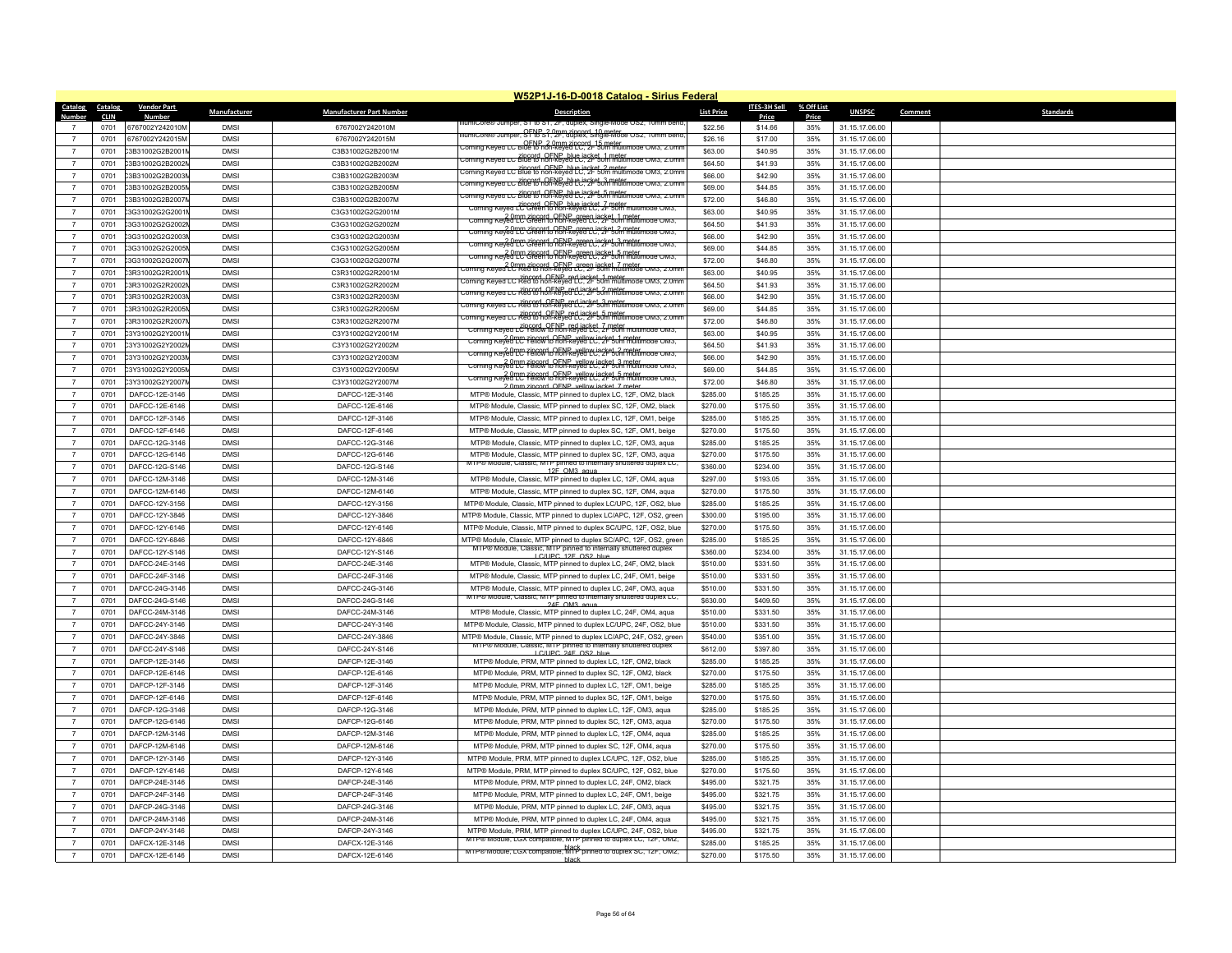| <b>Catalog</b> | Catalog      | <b>Vendor Part</b> |                          |                                  | W52P1J-16-D-0018 Catalog - Sirius Federal                                                                                |                   | <b>ITES-3H Sell</b> | % Off List |                |         |                  |
|----------------|--------------|--------------------|--------------------------|----------------------------------|--------------------------------------------------------------------------------------------------------------------------|-------------------|---------------------|------------|----------------|---------|------------------|
| <b>Number</b>  | <b>CLIN</b>  | <b>Number</b>      | Manufacturer             | <b>Manufacturer Part Number</b>  | <b>Description</b>                                                                                                       | <b>List Price</b> | Price               | Price      | <b>UNSPSC</b>  | Comment | <b>Standards</b> |
| $\overline{7}$ | 0701         | 6767002Y242010M    | <b>DMSI</b>              | 6767002Y242010M                  | umicore with umper, sit to sit, zir, auplex, single-ivit                                                                 | \$22.56           | \$14.66             | 35%        | 31.15.17.06.00 |         |                  |
| $\overline{7}$ | 0701         | 6767002Y242015M    | <b>DMS</b>               | 6767002Y242015M                  | llumiCore® Jumper, SF18-S? Omm zincord, 10 meter.<br>llumiCore® Jumper, SF18-S?, 2F, duplex, Single-Mode OS2, 10mm bend. | \$26.16           | \$17.00             | 35%        | 31.15.17.06.00 |         |                  |
| $\overline{7}$ | 0701         | C3B31002G2B2001    | <b>DMS</b>               | C3B31002G2B2001M                 | .<br>Corning Keyed LC Blue to non-keyed LC, 21-50m multimode OM3, 2.0mr                                                  | \$63.00           | \$40.95             | 35%        | 31.15.17.06.00 |         |                  |
| $\overline{7}$ | 0701         | C3B31002G2B2002    | <b>DMSI</b>              | C3B31002G2B2002M                 | .<br>Torning Keyed LC Blue to non-keyed LC, 2F 50m multimode OM3, 2.0mm                                                  | \$64.50           | \$41.93             | 35%        | 31.15.17.06.00 |         |                  |
| $\overline{7}$ | 0701         | C3B31002G2B2003    | <b>DMSI</b>              | C3B31002G2B2003M                 | .<br>Corning Keved LC Blue to non-keved LC: 2F 50m multimode OM3, 2.0mm                                                  | \$66.00           | \$42.90             | 35%        | 31.15.17.06.00 |         |                  |
| $\overline{7}$ | 0701         | C3B31002G2B2005    | <b>DMS</b>               | C3B31002G2B2005M                 | <u>ing Keyea LC Bille to non-keyed LC, 2F sun militimoae Oms, 2.0m</u>                                                   | \$69.00           | \$44.85             | 35%        | 31.15.17.06.00 |         |                  |
| $\overline{7}$ | 0701         | C3B31002G2B2007    | <b>DMSI</b>              | C3B31002G2B2007M                 | .<br>Corning Keyed LC Blue to non-keyed LC, 2F 50m multimode OM3, 2.0mm                                                  | \$72.00           | \$46.80             | 35%        | 31.15.17.06.00 |         |                  |
| $\overline{7}$ | 0701         | 3G31002G2G2001     | <b>DMS</b>               | C3G31002G2G2001M                 | Corning Keyed LC Green to non-keyed LC, 2- 50m multimode OM3,                                                            | \$63.00           | \$40.95             | 35%        | 31.15.17.06.00 |         |                  |
| $\overline{7}$ | 0701         | 3G31002G2G2002     | <b>DMSI</b>              | C3G31002G2G2002M                 | Corning Keyed LC Green to non-keyed LC, 2F 50m multimode OM3,                                                            | \$64.50           | \$41.93             | 35%        | 31.15.17.06.00 |         |                  |
| $\overline{7}$ | 0701         | 3G31002G2G2003     | <b>DMS</b>               | C3G31002G2G2003M                 | Corning Keyed LC Green to non-keyed LC, 2F 50m multimode OM3,                                                            | \$66.00           | \$42.90             | 35%        | 31.15.17.06.00 |         |                  |
| $\overline{7}$ | 0701         | 23G31002G2G2005    | <b>DMS</b>               | C3G31002G2G2005M                 | <del>coming Keved LC Cleen to RENP ergen Lacket 3 meter mode Owis.</del>                                                 | \$69.00           | \$44.85             | 35%        | 31.15.17.06.00 |         |                  |
| $\overline{7}$ | 0701         | 3G31002G2G2007     | <b>DMSI</b>              | C3G31002G2G2007M                 | Coming Keyed LC Green to hon-keyed LC: 24 50m multimode OM3.                                                             | \$72.00           | \$46.80             | 35%        | 31.15.17.06.00 |         |                  |
| $\overline{7}$ |              | C3R31002G2R2001    | <b>DMSI</b>              | C3R31002G2R2001M                 | coming Keved LC Red to non-keved LC. 2F 50m multimode OM3, 2.0mm                                                         | \$63.00           | \$40.95             | 35%        | 31.15.17.06.00 |         |                  |
| $\overline{7}$ | 0701<br>0701 | 23R31002G2R2002    | <b>DMS</b>               | C3R31002G2R2002M                 | .<br>Forning Keyed LC Red to hon-keyed LC, 2F 50m multimode OM3, 2.0m                                                    | \$64.50           | \$41.93             | 35%        |                |         |                  |
|                |              |                    |                          |                                  | Coming Keyed LC Red to hon-keyed LC, 2F 50m multimode OM3, 2.0mm سان Coming Keyed LC                                     |                   |                     |            | 31.15.17.06.00 |         |                  |
| $\overline{7}$ | 0701         | C3R31002G2R2003    | <b>DMS</b>               | C3R31002G2R2003M                 | <u>zomina kevea LC Rea (a hon-Revert direket 3 metat impore Owis, 2.0m</u>                                               | \$66.00           | \$42.90             | 35%        | 31.15.17.06.00 |         |                  |
| $\overline{7}$ | 0701         | C3R31002G2R2005    | <b>DMSI</b>              | C3R31002G2R2005M                 | oming Keyed LC Red to hon-keyed LC, 2F 50m multimode OM3, 2.0m                                                           | \$69.00           | \$44.85             | 35%        | 31.15.17.06.00 |         |                  |
| $\overline{7}$ | 0701         | C3R31002G2R2007    | <b>DMS</b>               | C3R31002G2R2007M                 | Corning Keyed LC Yellow to non-keyed LC, 2r 50m multimode OM3,                                                           | \$72.00           | \$46.80             | 35%        | 31.15.17.06.00 |         |                  |
| $\overline{7}$ | 0701         | C3Y31002G2Y2001    | <b>DMSI</b>              | C3Y31002G2Y2001M                 | Corning Keyed LC Yellow to non-keyed LC, 2F 50m multimode OM3,                                                           | \$63.00           | \$40.95             | 35%        | 31.15.17.06.00 |         |                  |
| $\overline{7}$ | 0701         | C3Y31002G2Y2002    | <b>DMSI</b>              | C3Y31002G2Y2002M                 | Corning Keyed LC Yellow to hon-keyed LC, 2F 50m multimode OM3,                                                           | \$64.50           | \$41.93             | 35%        | 31.15.17.06.00 |         |                  |
| $\overline{7}$ | 0701         | C3Y31002G2Y2003    | <b>DMS</b>               | C3Y31002G2Y2003M                 | Coming Reveal LC Felfalvio REN-Revelove inclusion multimode Owis,                                                        | \$66.00           | \$42.90             | 35%        | 31.15.17.06.00 |         |                  |
| $\overline{7}$ | 0701         | C3Y31002G2Y2005    | <b>DMS</b>               | C3Y31002G2Y2005M                 | Corning Keyed LC Yellow to hon-keyed LC, 2F 50m multimode OM3,                                                           | \$69.00           | \$44.85             | 35%        | 31.15.17.06.00 |         |                  |
| $\overline{7}$ | 0701         | C3Y31002G2Y2007    | <b>DMS</b>               | C3Y31002G2Y2007M                 | 2 0mm zincord OENP vellow jacket 7 meter                                                                                 | \$72.00           | \$46.80             | 35%        | 31.15.17.06.00 |         |                  |
| $\overline{7}$ | 0701         | DAFCC-12E-3146     | <b>DMSI</b>              | DAFCC-12E-3146                   | MTP® Module, Classic, MTP pinned to duplex LC, 12F, OM2, black                                                           | \$285.00          | \$185.25            | 35%        | 31.15.17.06.00 |         |                  |
| $\overline{7}$ | 0701         | DAFCC-12E-6146     | <b>DMSI</b>              | DAFCC-12E-6146                   | MTP® Module, Classic, MTP pinned to duplex SC, 12F, OM2, black                                                           | \$270.00          | \$175.50            | 35%        | 31.15.17.06.00 |         |                  |
| $\overline{7}$ | 0701         | DAFCC-12F-3146     | <b>DMS</b>               | DAFCC-12F-3146                   | MTP® Module, Classic, MTP pinned to duplex LC, 12F, OM1, beige                                                           | \$285.00          | \$185.25            | 35%        | 31.15.17.06.00 |         |                  |
| $\overline{7}$ | 0701         | DAFCC-12F-6146     | <b>DMS</b>               | DAFCC-12F-6146                   | MTP® Module, Classic, MTP pinned to duplex SC, 12F, OM1, beige                                                           | \$270.00          | \$175.50            | 35%        | 31.15.17.06.00 |         |                  |
| $\overline{7}$ | 0701         | DAFCC-12G-3146     | <b>DMS</b>               | DAFCC-12G-3146                   | MTP® Module, Classic, MTP pinned to duplex LC, 12F, OM3, agua                                                            | \$285.00          | \$185.25            | 35%        | 31.15.17.06.00 |         |                  |
| $\overline{7}$ | 0701         | DAFCC-12G-6146     | <b>DMS</b>               | DAFCC-12G-6146                   | MTP® Module, Classic, MTP pinned to duplex SC, 12F, OM3, aqua                                                            | \$270.00          | \$175.50            | 35%        | 31.15.17.06.00 |         |                  |
| $\overline{7}$ | 0701         | DAFCC-12G-S146     | <b>DMSI</b>              | DAFCC-12G-S146                   | MTP® Module, Classic, MTP pinned to internally shuttered duplex LC,<br>12F OM3 agua                                      | \$360.00          | \$234.00            | 35%        | 31.15.17.06.00 |         |                  |
| $\overline{7}$ | 0701         | DAFCC-12M-3146     | <b>DMSI</b>              | DAFCC-12M-3146                   | MTP® Module, Classic, MTP pinned to duplex LC, 12F, OM4, aqua                                                            | \$297.00          | \$193.05            | 35%        | 31.15.17.06.00 |         |                  |
| $\overline{7}$ | 0701         | DAFCC-12M-6146     | <b>DMS</b>               | DAFCC-12M-6146                   | MTP® Module, Classic, MTP pinned to duplex SC, 12F, OM4, aqua                                                            | \$270.00          | \$175.50            | 35%        | 31.15.17.06.00 |         |                  |
| $\overline{7}$ | 0701         | DAFCC-12Y-3156     | <b>DMSI</b>              | DAFCC-12Y-3156                   | MTP® Module, Classic, MTP pinned to duplex LC/UPC, 12F, OS2, blue                                                        | \$285.00          | \$185.25            | 35%        | 31.15.17.06.00 |         |                  |
| $\overline{7}$ | 0701         | DAFCC-12Y-3846     | <b>DMSI</b>              | DAFCC-12Y-3846                   | MTP® Module, Classic, MTP pinned to duplex LC/APC, 12F, OS2, green                                                       | \$300.00          | \$195.00            | 35%        | 31.15.17.06.00 |         |                  |
| $\overline{7}$ | 0701         | DAFCC-12Y-6146     | <b>DMS</b>               | DAFCC-12Y-6146                   | MTP® Module, Classic, MTP pinned to duplex SC/UPC, 12F, OS2, blue                                                        | \$270.00          | \$175.50            | 35%        | 31.15.17.06.00 |         |                  |
| $\overline{7}$ | 0701         | DAFCC-12Y-6846     | <b>DMSI</b>              | DAFCC-12Y-6846                   | MTP® Module, Classic, MTP pinned to duplex SC/APC, 12F, OS2, green                                                       | \$285.00          | \$185.25            | 35%        | 31.15.17.06.00 |         |                  |
| $\overline{7}$ | 0701         | DAFCC-12Y-S146     | <b>DMSI</b>              | DAFCC-12Y-S146                   | MIP® Module, Classic, MIP pinned to internally shuttered duplex                                                          | \$360.00          | \$234.00            | 35%        | 31.15.17.06.00 |         |                  |
| $\overline{7}$ | 0701         | DAFCC-24E-3146     | <b>DMSI</b>              | DAFCC-24E-3146                   | LC/LIPC 12E OS2 blue<br>MTP® Module, Classic, MTP pinned to duplex LC, 24F, OM2, black                                   | \$510.00          | \$331.50            | 35%        | 31.15.17.06.00 |         |                  |
| $\overline{7}$ | 0701         | DAFCC-24F-3146     | <b>DMS</b>               | DAFCC-24F-3146                   | MTP® Module, Classic, MTP pinned to duplex LC, 24F, OM1, beige                                                           | \$510.00          | \$331.50            | 35%        | 31.15.17.06.00 |         |                  |
| $\overline{7}$ | 0701         | DAFCC-24G-3146     | <b>DMS</b>               | DAFCC-24G-3146                   | MTP® Module, Classic, MTP pinned to duplex LC, 24F, OM3, agua                                                            | \$510.00          | \$331.50            | 35%        | 31.15.17.06.00 |         |                  |
| $\overline{7}$ | 0701         | DAFCC-24G-S146     | <b>DMS</b>               | DAFCC-24G-S146                   | MTP® Module, Classic, MTP pinned to internally shuttered duplex LC,                                                      | \$630.00          | \$409.50            | 35%        | 31.15.17.06.00 |         |                  |
| $\overline{7}$ | 0701         | DAFCC-24M-3146     | <b>DMSI</b>              | DAFCC-24M-3146                   | 24F OM3 agua<br>MTP® Module, Classic, MTP pinned to duplex LC, 24F, OM4, aqua                                            | \$510.00          | \$331.50            | 35%        | 31.15.17.06.00 |         |                  |
| $\overline{7}$ | 0701         | DAFCC-24Y-3146     | <b>DMS</b>               | DAFCC-24Y-3146                   | MTP® Module, Classic, MTP pinned to duplex LC/UPC, 24F, OS2, blue                                                        | \$510.00          | \$331.50            | 35%        | 31.15.17.06.00 |         |                  |
| $\overline{7}$ | 0701         | DAFCC-24Y-3846     | <b>DMS</b>               | DAFCC-24Y-3846                   | MTP® Module, Classic, MTP pinned to duplex LC/APC, 24F, OS2, green                                                       | \$540.00          | \$351.00            | 35%        | 31.15.17.06.00 |         |                  |
| $\overline{7}$ | 0701         | DAFCC-24Y-S146     | <b>DMSI</b>              | DAFCC-24Y-S146                   | MIP® Module, Classic, MIP pinned to internally shuttered duplex                                                          | \$612.00          | \$397.80            | 35%        | 31.15.17.06.00 |         |                  |
| $\overline{7}$ | 0701         | DAFCP-12E-3146     | <b>DMSI</b>              |                                  | LC/HPC 24F OS2 blue                                                                                                      | \$285.00          | \$185.25            | 35%        | 31.15.17.06.00 |         |                  |
| $\overline{7}$ | 0701         | DAFCP-12E-6146     | <b>DMSI</b>              | DAFCP-12E-3146<br>DAFCP-12E-6146 | MTP® Module, PRM, MTP pinned to duplex LC, 12F, OM2, black<br>MTP® Module, PRM, MTP pinned to duplex SC, 12F, OM2, black | \$270.00          | \$175.50            | 35%        | 31.15.17.06.00 |         |                  |
| $\overline{7}$ | 0701         | DAFCP-12F-3146     | <b>DMSI</b>              | DAFCP-12F-3146                   | MTP® Module, PRM, MTP pinned to duplex LC, 12F, OM1, beige                                                               | \$285.00          | \$185.25            | 35%        | 31.15.17.06.00 |         |                  |
| $\overline{7}$ |              |                    |                          |                                  |                                                                                                                          |                   |                     |            |                |         |                  |
|                | 0701         | DAFCP-12F-6146     | <b>DMS</b><br><b>DMS</b> | DAFCP-12F-6146                   | MTP® Module, PRM, MTP pinned to duplex SC, 12F, OM1, beige                                                               | \$270.00          | \$175.50            | 35%        | 31.15.17.06.00 |         |                  |
| $\overline{7}$ | 0701         | DAFCP-12G-3146     |                          | DAFCP-12G-3146                   | MTP® Module, PRM, MTP pinned to duplex LC, 12F, OM3, aqua                                                                | \$285.00          | \$185.25            | 35%        | 31.15.17.06.00 |         |                  |
| $\overline{7}$ | 0701         | DAFCP-12G-6146     | <b>DMSI</b>              | DAFCP-12G-6146                   | MTP® Module, PRM, MTP pinned to duplex SC, 12F, OM3, aqua                                                                | \$270.00          | \$175.50            | 35%        | 31.15.17.06.00 |         |                  |
| $\overline{7}$ | 0701         | DAFCP-12M-3146     | <b>DMS</b>               | DAFCP-12M-3146                   | MTP® Module, PRM, MTP pinned to duplex LC, 12F, OM4, aqua                                                                | \$285.00          | \$185.25            | 35%        | 31.15.17.06.00 |         |                  |
| $\overline{7}$ | 0701         | DAFCP-12M-6146     | <b>DMSI</b>              | DAFCP-12M-6146                   | MTP® Module, PRM, MTP pinned to duplex SC, 12F, OM4, aqua                                                                | \$270.00          | \$175.50            | 35%        | 31.15.17.06.00 |         |                  |
| $\overline{7}$ | 0701         | DAFCP-12Y-3146     | <b>DMS</b>               | DAFCP-12Y-3146                   | MTP® Module, PRM, MTP pinned to duplex LC/UPC, 12F, OS2, blue                                                            | \$285.00          | \$185.25            | 35%        | 31.15.17.06.00 |         |                  |
| $\overline{7}$ | 0701         | DAFCP-12Y-6146     | <b>DMS</b>               | DAFCP-12Y-6146                   | MTP® Module, PRM, MTP pinned to duplex SC/UPC, 12F, OS2, blue                                                            | \$270.00          | \$175.50            | 35%        | 31.15.17.06.00 |         |                  |
| $\overline{7}$ | 0701         | DAFCP-24E-3146     | <b>DMSI</b>              | DAFCP-24E-3146                   | MTP® Module, PRM, MTP pinned to duplex LC, 24F, OM2, black                                                               | \$495.00          | \$321.75            | 35%        | 31.15.17.06.00 |         |                  |
| $\overline{7}$ | 0701         | DAFCP-24F-3146     | <b>DMS</b>               | DAFCP-24F-3146                   | MTP® Module, PRM, MTP pinned to duplex LC, 24F, OM1, beige                                                               | \$495.00          | \$321.75            | 35%        | 31.15.17.06.00 |         |                  |
| $\overline{7}$ | 0701         | DAFCP-24G-3146     | <b>DMSI</b>              | DAFCP-24G-3146                   | MTP® Module, PRM, MTP pinned to duplex LC, 24F, OM3, aqua                                                                | \$495.00          | \$321.75            | 35%        | 31.15.17.06.00 |         |                  |
| $\overline{7}$ | 0701         | DAFCP-24M-3146     | <b>DMSI</b>              | DAFCP-24M-3146                   | MTP® Module, PRM, MTP pinned to duplex LC, 24F, OM4, aqua                                                                | \$495.00          | \$321.75            | 35%        | 31.15.17.06.00 |         |                  |
| $\overline{7}$ | 0701         | DAFCP-24Y-3146     | <b>DMS</b>               | DAFCP-24Y-3146                   | MTP® Module, PRM, MTP pinned to duplex LC/UPC, 24F, OS2, blue                                                            | \$495.00          | \$321.75            | 35%        | 31.15.17.06.00 |         |                  |
| $\overline{7}$ | 0701         | DAFCX-12F-3146     | <b>DMS</b>               | DAFCX-12F-3146                   | MTP® Module, LGX compatible, MTP pinned to duplex LC, 12F, OM2                                                           | \$285.00          | \$185.25            | 35%        | 31.15.17.06.00 |         |                  |
| $\overline{7}$ | 0701         | DAFCX-12E-6146     | <b>DMS</b>               | DAFCX-12E-6146                   | MTP® Module, LGX compatible, MTP pinned to duplex SC, 12F, OM2,<br>hlack                                                 | \$270.00          | \$175.50            | 35%        | 31.15.17.06.00 |         |                  |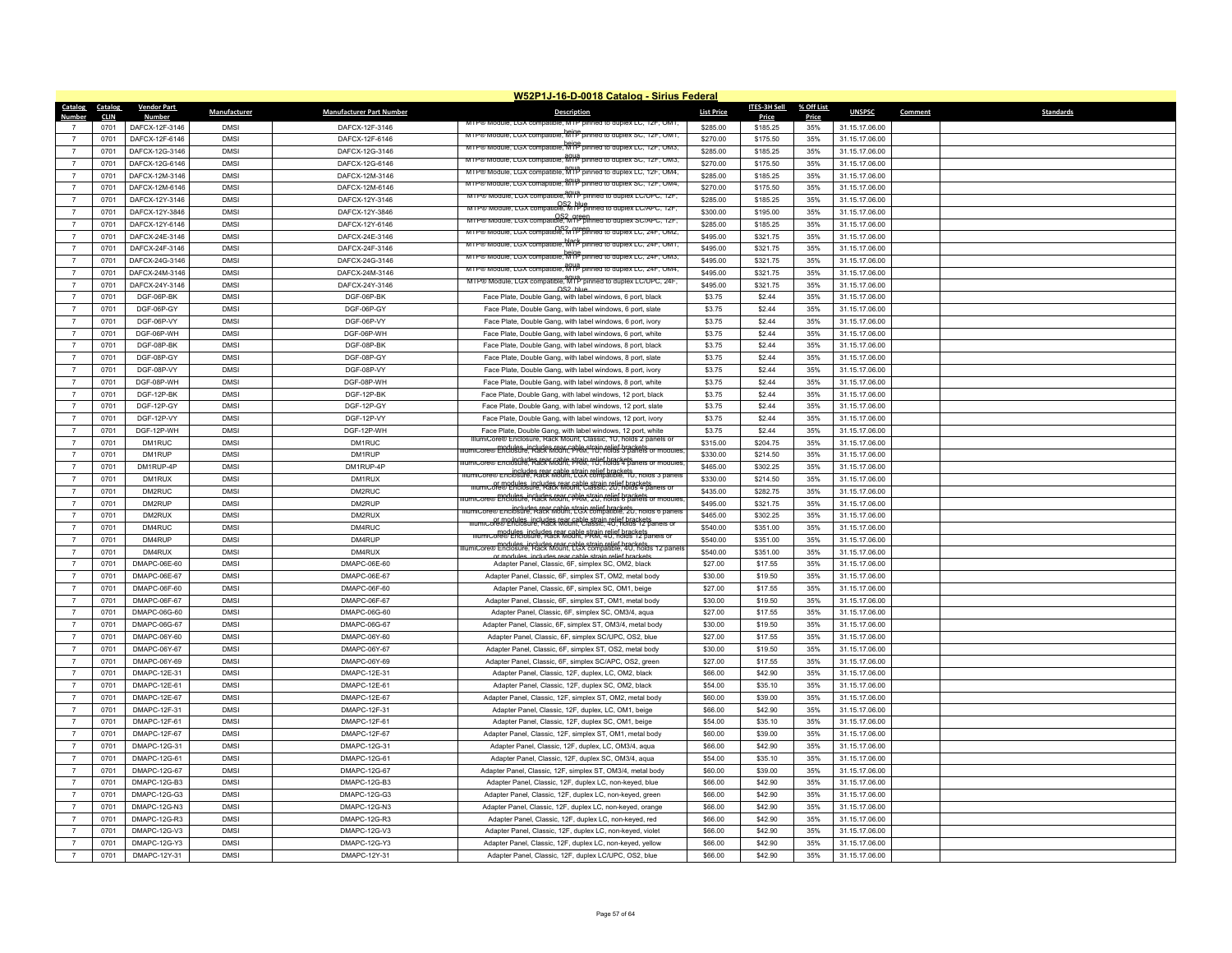|                         |                        |                             |              |                                 | W52P1J-16-D-0018 Catalog - Sirius Federal                                                                                                    |                   |                       |                     |                |                             |  |
|-------------------------|------------------------|-----------------------------|--------------|---------------------------------|----------------------------------------------------------------------------------------------------------------------------------------------|-------------------|-----------------------|---------------------|----------------|-----------------------------|--|
| <b>Catalog</b><br>Numbe | Catalog<br><b>CLIN</b> | <b>Vendor Part</b><br>Numbe | Manufacturer | <b>Manufacturer Part Number</b> | <b>Description</b>                                                                                                                           | <b>List Price</b> | ITES-3H Sell<br>Price | % Off List<br>Price | <b>UNSPSC</b>  | <b>Standards</b><br>Comment |  |
|                         | 0701                   | DAFCX-12F-3146              | <b>DMSI</b>  | DAFCX-12F-3146                  | wirrow module, LGX compatible, MTP pinned to duplex LC, 12F, OM1,                                                                            | \$285.00          | \$185.25              | 35%                 | 31.15.17.06.00 |                             |  |
| $\overline{7}$          | 0701                   | DAFCX-12F-6146              | <b>DMSI</b>  | DAFCX-12F-6146                  | MIP® Module, LGX compatible, MIP pinned to duplex SC, 12F, OM1,                                                                              | \$270.00          | \$175.50              | 35%                 | 31.15.17.06.00 |                             |  |
| $\overline{7}$          | 0701                   | DAFCX-12G-3146              | <b>DMSI</b>  | DAFCX-12G-3146                  | MTP® Module, LGX compatible, MTP pinned to duplex LC, 12F, OM3,                                                                              | \$285.00          | \$185.25              | 35%                 | 31.15.17.06.00 |                             |  |
| $\overline{7}$          | 0701                   | DAFCX-12G-6146              | <b>DMSI</b>  | DAFCX-12G-6146                  | MTP® Module, LGX compatible, MTP pinned to duplex SC, 12F, OM3,                                                                              | \$270.00          | \$175.50              | 35%                 | 31.15.17.06.00 |                             |  |
| $\overline{7}$          | 0701                   | DAFCX-12M-3146              | <b>DMSI</b>  | DAFCX-12M-3146                  | MTP® Module, LGX compatible, MTP pinned to duplex LC, 12F, OM4,                                                                              | \$285.00          | \$185.25              | 35%                 | 31.15.17.06.00 |                             |  |
| $\overline{7}$          |                        | DAFCX-12M-6146              | <b>DMSI</b>  | DAFCX-12M-6146                  | MTP® Module, LGX comaptible, MTP pinned to duplex SC, T2F, OM4                                                                               | \$270.00          |                       | 35%                 | 31.15.17.06.00 |                             |  |
| $\overline{7}$          | 0701<br>0701           | DAFCX-12Y-3146              | <b>DMSI</b>  | DAFCX-12Y-3146                  | MTP® Module, LGX compatible, MTP pinned to duplex LC/UPC, 12F,                                                                               | \$285.00          | \$175.50<br>\$185.25  | 35%                 | 31.15.17.06.00 |                             |  |
| $\overline{7}$          | 0701                   | DAFCX-12Y-3846              | <b>DMSI</b>  | DAFCX-12Y-3846                  | MTP® Module, LGX compatible, MIP pinned to duplex LC/APC, 12F,                                                                               | \$300.00          | \$195.00              | 35%                 | 31.15.17.06.00 |                             |  |
| $\overline{7}$          | 0701                   | DAFCX-12Y-6146              | <b>DMSI</b>  | DAFCX-12Y-6146                  | OS2 orgen<br>MTP® Module, LGX compatible, MTP pinned to duplex SC/APC, 12F,                                                                  | \$285.00          | \$185.25              | 35%                 | 31.15.17.06.00 |                             |  |
| $\overline{7}$          | 0701                   | DAFCX-24E-3146              | <b>DMSI</b>  | DAFCX-24E-3146                  | MTP® Module, LGX compatible, MTP pinned to duplex LC, 24F, OM2,                                                                              | \$495.00          | \$321.75              | 35%                 | 31.15.17.06.00 |                             |  |
| $\overline{7}$          | 0701                   | DAFCX-24F-3146              | <b>DMSI</b>  | DAFCX-24F-3146                  | MTP® Module, LGX compatible, MTP pinned to duplex LC, Z4F, OMT                                                                               | \$495.00          | \$321.75              | 35%                 | 31.15.17.06.00 |                             |  |
| $\overline{7}$          | 0701                   | DAFCX-24G-3146              | <b>DMSI</b>  | DAFCX-24G-3146                  | MTP® Module, LGX compatible, MTP pinned to duplex LC, 24F, OM3,                                                                              | \$495.00          | \$321.75              | 35%                 | 31.15.17.06.00 |                             |  |
| $\overline{7}$          | 0701                   | DAFCX-24M-3146              | <b>DMSI</b>  | DAFCX-24M-3146                  | MTP® Module, LGX compatible, MTP pinned to duplex LC, 24F, OM4.                                                                              | \$495.00          | \$321.75              | 35%                 | 31.15.17.06.00 |                             |  |
| $\overline{7}$          | 0701                   | DAFCX-24Y-3146              | <b>DMSI</b>  | DAFCX-24Y-3146                  | MTP® Module, LGX compatible, MTP pinned to duplex LC/UPC, 24F,                                                                               | \$495.00          | \$321.75              | 35%                 | 31.15.17.06.00 |                             |  |
| $\overline{7}$          | 0701                   | DGF-06P-BK                  | <b>DMSI</b>  | DGF-06P-BK                      | OS2 blue<br>Face Plate, Double Gang, with label windows, 6 port, black                                                                       | \$3.75            | \$2.44                | 35%                 | 31.15.17.06.00 |                             |  |
| $\overline{7}$          | 0701                   | DGF-06P-GY                  | <b>DMSI</b>  | DGF-06P-GY                      | Face Plate, Double Gang, with label windows, 6 port, slate                                                                                   | \$3.75            | \$2.44                | 35%                 | 31.15.17.06.00 |                             |  |
| $\overline{7}$          | 0701                   | DGF-06P-VY                  | <b>DMSI</b>  | DGF-06P-VY                      | Face Plate, Double Gang, with label windows, 6 port, ivory                                                                                   | \$3.75            | \$2.44                | 35%                 | 31.15.17.06.00 |                             |  |
| $\overline{7}$          | 0701                   | DGF-06P-WH                  | <b>DMSI</b>  | DGF-06P-WH                      | Face Plate, Double Gang, with label windows, 6 port, white                                                                                   | \$3.75            | \$2.44                | 35%                 | 31.15.17.06.00 |                             |  |
| $\overline{7}$          | 0701                   | DGF-08P-BK                  | <b>DMSI</b>  | DGF-08P-BK                      | Face Plate, Double Gang, with label windows, 8 port, black                                                                                   | \$3.75            | \$2.44                | 35%                 | 31.15.17.06.00 |                             |  |
| $\overline{7}$          | 0701                   | DGF-08P-GY                  | <b>DMSI</b>  | DGF-08P-GY                      | Face Plate, Double Gang, with label windows, 8 port, slate                                                                                   | \$3.75            | \$2.44                | 35%                 | 31.15.17.06.00 |                             |  |
| $\overline{7}$          | 0701                   | DGF-08P-VY                  | <b>DMSI</b>  | DGF-08P-VY                      | Face Plate, Double Gang, with label windows, 8 port, ivory                                                                                   | \$3.75            | \$2.44                | 35%                 | 31.15.17.06.00 |                             |  |
| $\overline{7}$          | 0701                   | DGF-08P-WH                  | <b>DMSI</b>  | DGF-08P-WH                      | Face Plate, Double Gang, with label windows, 8 port, white                                                                                   | \$3.75            | \$2.44                | 35%                 | 31.15.17.06.00 |                             |  |
| $\overline{7}$          | 0701                   | DGF-12P-BK                  | <b>DMSI</b>  | DGF-12P-BK                      | Face Plate, Double Gang, with label windows, 12 port, black                                                                                  | \$3.75            | \$2.44                | 35%                 | 31.15.17.06.00 |                             |  |
| $\overline{7}$          | 0701                   | DGF-12P-GY                  | <b>DMSI</b>  | DGF-12P-GY                      | Face Plate, Double Gang, with label windows, 12 port, slate                                                                                  | \$3.75            | \$2.44                | 35%                 | 31.15.17.06.00 |                             |  |
| $\overline{z}$          | 0701                   | DGF-12P-VY                  | <b>DMSI</b>  | DGF-12P-VY                      | Face Plate, Double Gang, with label windows, 12 port, ivory                                                                                  | \$3.75            | \$2.44                | 35%                 | 31.15.17.06.00 |                             |  |
| $\overline{7}$          | 0701                   | DGF-12P-WH                  | <b>DMSI</b>  | DGF-12P-WH                      | Face Plate, Double Gang, with label windows, 12 port, white                                                                                  | \$3.75            | \$2.44                | 35%                 | 31.15.17.06.00 |                             |  |
| $\overline{7}$          | 0701                   | DM1RUC                      | <b>DMSI</b>  | DM1RUC                          | umiCore® Enclosure, Rack Mount, Classic, 1U, holds 2 panels or                                                                               | \$315.00          | \$204.75              | 35%                 | 31.15.17.06.00 |                             |  |
| $\overline{7}$          | 0701                   | DM1RUP                      | <b>DMSI</b>  | DM1RUP                          | <u>lumiCore® modules, includes rear cable strain relief brackets.</u><br>lumiCore® Enclosure, Rack Mount, PRM, 1U, holds 3 panels or modules | \$330.00          | \$214.50              | 35%                 | 31.15.17.06.00 |                             |  |
| $\overline{7}$          | 0701                   | DM1RUP-4P                   | <b>DMSI</b>  | DM1RUP-4P                       | includes rear cable strain relief brackets.<br>IumiCore® Enclosure, Rack Mount, PRM, 1U, holds 4 panels or modules                           | \$465.00          | \$302.25              | 35%                 | 31.15.17.06.00 |                             |  |
| $\overline{7}$          | 0701                   | DM1RUX                      | <b>DMSI</b>  | DM1RUX                          | includes rear cable strain relief brackets.<br>IllumiCore® Enclosure, Rack Mount, LGX compatible, 1U, holds 3 panels                         | \$330.00          | \$214.50              | 35%                 | 31.15.17.06.00 |                             |  |
| $\overline{7}$          | 0701                   | DM2RUC                      | <b>DMSI</b>  | DM2RUC                          | Illumicore® Enclosure, Rack Mount, Classic, 2U, holds 4 panels or                                                                            | \$435.00          | \$282.75              | 35%                 | 31.15.17.06.00 |                             |  |
| $\overline{7}$          | 0701                   | DM2RUP                      | <b>DMSI</b>  | DM2RUP                          | lumiCore® Enclosure, Rack Mount, PRM, 2U, holds 6 panels or module                                                                           | \$495.00          | \$321.75              | 35%                 | 31.15.17.06.00 |                             |  |
| $\overline{7}$          | 0701                   | DM2RUX                      | <b>DMSI</b>  | DM2RUX                          | includes rear cable strain relief brackets.<br>IlumiCore® Enclosure, Rack Mount, LGX compatible, 2U, holds 6 panels                          | \$465.00          | \$302.25              | 35%                 | 31.15.17.06.00 |                             |  |
| $\overline{7}$          | 0701                   | DM4RUC                      | <b>DMSI</b>  | DM4RUC                          | nr modules, includes rear cable strain relief brackets.<br>IllumiCore® Enclosure, Rack Mount, Classic, 4U, holds 12 panels or                | \$540.00          | \$351.00              | 35%                 | 31.15.17.06.00 |                             |  |
| $\overline{7}$          | 0701                   | DM4RUP                      | <b>DMSI</b>  | DM4RUP                          | modules_includes.rear.cable.strain.relief.brackets<br>IllumiCore® Enclosure, Rack Mount, PRM, 40, holds 12 panels or                         | \$540.00          | \$351.00              | 35%                 | 31.15.17.06.00 |                             |  |
| $\overline{7}$          | 0701                   | DM4RUX                      | <b>DMSI</b>  | DM4RUX                          | llumiCore® modules, includes rear cable strain relief brackets.<br>llumiCore® Enclosure, Rack Mount, LGX compatible, 4U, holds 12 panel      | \$540.00          | \$351.00              | 35%                 | 31.15.17.06.00 |                             |  |
| $\overline{7}$          | 0701                   | DMAPC-06E-60                | <b>DMSI</b>  | DMAPC-06E-60                    | r modules includes rear cable strain relief bracket<br>Adapter Panel, Classic, 6F, simplex SC, OM2, black                                    | \$27.00           | \$17.55               | 35%                 | 31.15.17.06.00 |                             |  |
| $\overline{7}$          | 0701                   | DMAPC-06E-67                | <b>DMSI</b>  | DMAPC-06E-67                    | Adapter Panel, Classic, 6F, simplex ST, OM2, metal body                                                                                      | \$30.00           | \$19.50               | 35%                 | 31.15.17.06.00 |                             |  |
| $\overline{7}$          | 0701                   | DMAPC-06F-60                | <b>DMSI</b>  | DMAPC-06E-60                    | Adapter Panel, Classic, 6F, simplex SC, OM1, beige                                                                                           | \$27.00           | \$17.55               | 35%                 | 31.15.17.06.00 |                             |  |
| $\overline{7}$          | 0701                   | DMAPC-06F-67                | <b>DMSI</b>  | DMAPC-06F-67                    | Adapter Panel, Classic, 6F, simplex ST, OM1, metal body                                                                                      | \$30.00           | \$19.50               | 35%                 | 31.15.17.06.00 |                             |  |
| $\overline{7}$          | 0701                   | DMAPC-06G-60                | <b>DMSI</b>  | DMAPC-06G-60                    | Adapter Panel, Classic, 6F, simplex SC, OM3/4, aqua                                                                                          | \$27.00           | \$17.55               | 35%                 | 31.15.17.06.00 |                             |  |
| $\overline{7}$          | 0701                   | DMAPC-06G-67                | <b>DMSI</b>  | DMAPC-06G-67                    | Adapter Panel, Classic, 6F, simplex ST, OM3/4, metal body                                                                                    | \$30.00           | \$19.50               | 35%                 | 31.15.17.06.00 |                             |  |
| $\overline{7}$          | 0701                   | DMAPC-06Y-60                | <b>DMSI</b>  | DMAPC-06Y-60                    | Adapter Panel, Classic, 6F, simplex SC/UPC, OS2, blue                                                                                        | \$27.00           | \$17.55               | 35%                 | 31.15.17.06.00 |                             |  |
| $\overline{7}$          | 0701                   | DMAPC-06Y-67                | <b>DMSI</b>  | DMAPC-06Y-67                    | Adapter Panel, Classic, 6F, simplex ST, OS2, metal body                                                                                      | \$30.00           | \$19.50               | 35%                 | 31.15.17.06.00 |                             |  |
| $\overline{7}$          | 0701                   | DMAPC-06Y-69                | <b>DMSI</b>  | DMAPC-06Y-69                    | Adapter Panel, Classic, 6F, simplex SC/APC, OS2, green                                                                                       | \$27.00           | \$17.55               | 35%                 | 31.15.17.06.00 |                             |  |
| $\overline{7}$          | 0701                   | DMAPC-12E-31                | <b>DMSI</b>  | DMAPC-12E-31                    | Adapter Panel, Classic, 12F, duplex, LC, OM2, black                                                                                          | \$66.00           | \$42.90               | 35%                 | 31.15.17.06.00 |                             |  |
| $\overline{7}$          | 0701                   | DMAPC-12E-61                | <b>DMSI</b>  | DMAPC-12E-61                    | Adapter Panel, Classic, 12F, duplex SC, OM2, black                                                                                           | \$54.00           | \$35.10               | 35%                 | 31.15.17.06.00 |                             |  |
| $\overline{7}$          | 0701                   | DMAPC-12E-67                | <b>DMSI</b>  | DMAPC-12E-67                    | Adapter Panel, Classic, 12F, simplex ST, OM2, metal body                                                                                     | \$60.00           | \$39.00               | 35%                 | 31.15.17.06.00 |                             |  |
| $\overline{7}$          | 0701                   | DMAPC-12F-31                | <b>DMSI</b>  | DMAPC-12F-31                    | Adapter Panel, Classic, 12F, duplex, LC, OM1, beige                                                                                          | \$66.00           | \$42.90               | 35%                 | 31.15.17.06.00 |                             |  |
| $\overline{7}$          | 0701                   | DMAPC-12F-61                | <b>DMSI</b>  | DMAPC-12F-61                    | Adapter Panel, Classic, 12F, duplex SC, OM1, beige                                                                                           | \$54.00           | \$35.10               | 35%                 | 31.15.17.06.00 |                             |  |
|                         | 0701                   | DMAPC-12F-67                | <b>DMSI</b>  | DMAPC-12F-67                    | Adapter Panel, Classic, 12F, simplex ST, OM1, metal body                                                                                     | \$60.00           | \$39.00               | 35%                 | 31.15.17.06.00 |                             |  |
| $\overline{7}$          | 0701                   | DMAPC-12G-31                | <b>DMSI</b>  | DMAPC-12G-31                    | Adapter Panel, Classic, 12F, duplex, LC, OM3/4, aqua                                                                                         | \$66.00           | \$42.90               | 35%                 | 31.15.17.06.00 |                             |  |
| $\overline{7}$          | 0701                   | DMAPC-12G-61                | <b>DMSI</b>  | DMAPC-12G-61                    | Adapter Panel, Classic, 12F, duplex SC, OM3/4, aqua                                                                                          | \$54.00           | \$35.10               | 35%                 | 31.15.17.06.00 |                             |  |
| $\overline{7}$          | 0701                   | DMAPC-12G-67                | <b>DMSI</b>  | <b>DMAPC-12G-67</b>             | Adapter Panel, Classic, 12F, simplex ST, OM3/4, metal body                                                                                   | \$60.00           | \$39.00               | 35%                 | 31.15.17.06.00 |                             |  |
| $\overline{7}$          | 0701                   | DMAPC-12G-B3                | <b>DMSI</b>  | DMAPC-12G-B3                    | Adapter Panel, Classic, 12F, duplex LC, non-keyed, blue                                                                                      | \$66.00           | \$42.90               | 35%                 | 31.15.17.06.00 |                             |  |
| $\overline{7}$          | 0701                   | DMAPC-12G-G3                | <b>DMSI</b>  | DMAPC-12G-G3                    | Adapter Panel, Classic, 12F, duplex LC, non-keyed, green                                                                                     | \$66.00           | \$42.90               | 35%                 | 31.15.17.06.00 |                             |  |
|                         | 0701                   | DMAPC-12G-N3                | <b>DMSI</b>  | DMAPC-12G-N3                    | Adapter Panel, Classic, 12F, duplex LC, non-keyed, orange                                                                                    | \$66.00           | \$42.90               | 35%                 | 31.15.17.06.00 |                             |  |
| $\overline{7}$          | 0701                   | DMAPC-12G-R3                | <b>DMSI</b>  | DMAPC-12G-R3                    | Adapter Panel, Classic, 12F, duplex LC, non-keyed, red                                                                                       | \$66.00           | \$42.90               | 35%                 | 31.15.17.06.00 |                             |  |
| $\overline{7}$          | 0701                   | DMAPC-12G-V3                | <b>DMSI</b>  | DMAPC-12G-V3                    | Adapter Panel, Classic, 12F, duplex LC, non-keyed, violet                                                                                    | \$66.00           | \$42.90               | 35%                 | 31.15.17.06.00 |                             |  |
| $\overline{7}$          | 0701                   | DMAPC-12G-Y3                | <b>DMSI</b>  | DMAPC-12G-Y3                    | Adapter Panel, Classic, 12F, duplex LC, non-keyed, yellow                                                                                    | \$66.00           | \$42.90               | 35%                 | 31.15.17.06.00 |                             |  |
| $\overline{7}$          | 0701                   | DMAPC-12Y-31                | <b>DMSI</b>  | DMAPC-12Y-31                    | Adapter Panel, Classic, 12F, duplex LC/UPC, OS2, blue                                                                                        | \$66.00           | \$42.90               | 35%                 | 31.15.17.06.00 |                             |  |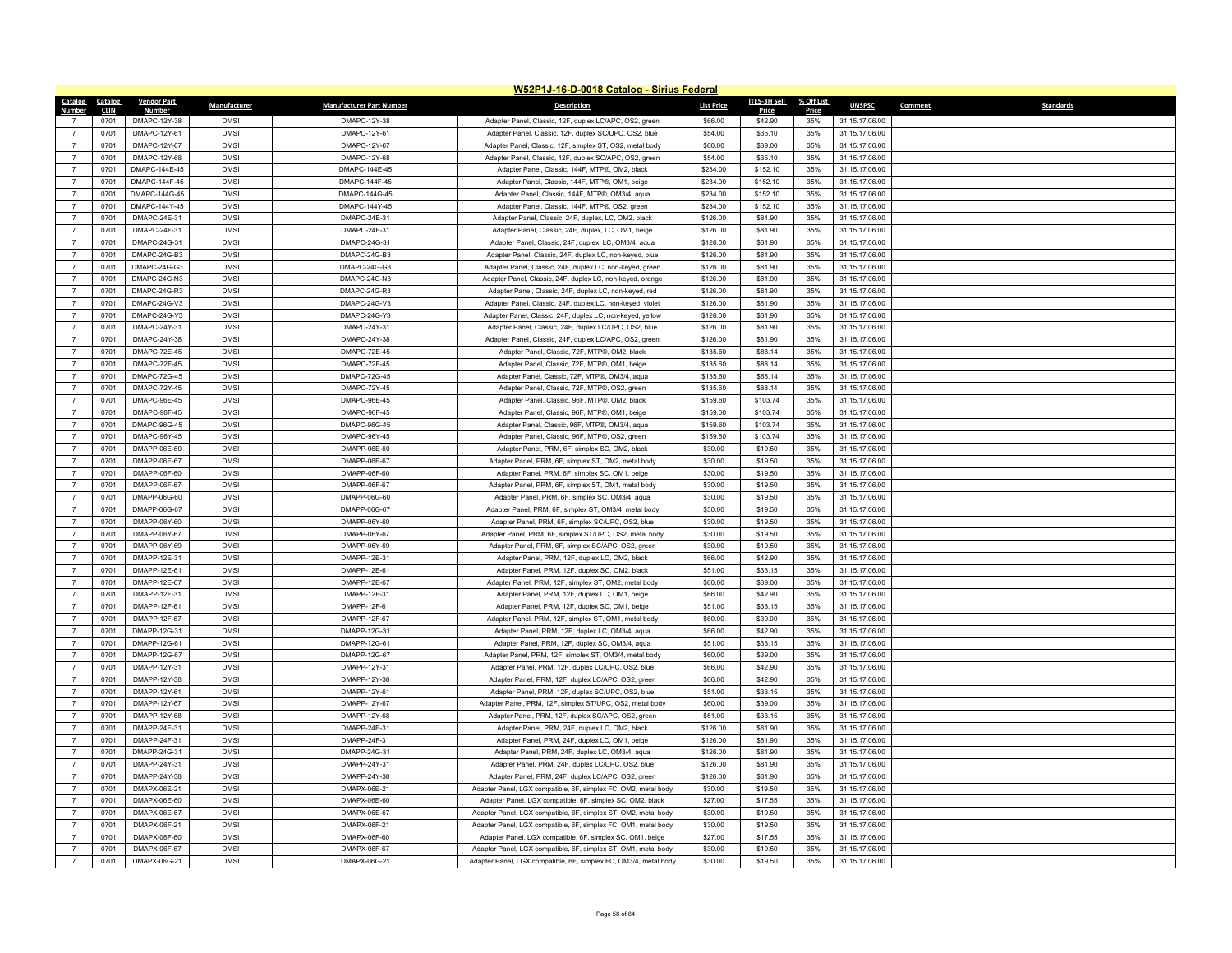|                |                     |                              |              |                                 | W52P1J-16-D-0018 Catalog - Sirius Federal                                                            |                   |                    |              |                                  |         |                  |
|----------------|---------------------|------------------------------|--------------|---------------------------------|------------------------------------------------------------------------------------------------------|-------------------|--------------------|--------------|----------------------------------|---------|------------------|
|                | Catalog Catalog     | <b>Vendor Part</b>           | Manufacturer | <b>Manufacturer Part Number</b> | <b>Description</b>                                                                                   | <b>List Price</b> | ITES-3H Sell       | % Off List   | <b>UNSPSC</b>                    | Comment | <b>Standards</b> |
| Number         | <b>CLIN</b><br>0701 | <b>Numbe</b><br>DMAPC-12Y-38 | <b>DMSI</b>  | DMAPC-12Y-38                    | Adapter Panel, Classic, 12F, duplex LC/APC, OS2, green                                               | \$66.00           | Price<br>\$42.90   | Price<br>35% | 31.15.17.06.00                   |         |                  |
| $\overline{7}$ | 0701                | DMAPC-12Y-61                 | <b>DMSI</b>  | DMAPC-12Y-61                    |                                                                                                      | \$54.00           | \$35.10            | 35%          |                                  |         |                  |
|                |                     |                              |              |                                 | Adapter Panel, Classic, 12F, duplex SC/UPC, OS2, blue                                                |                   |                    |              | 31.15.17.06.00                   |         |                  |
| $\overline{7}$ | 0701                | DMAPC-12Y-67                 | <b>DMSI</b>  | DMAPC-12Y-67                    | Adapter Panel, Classic, 12F, simplex ST, OS2, metal body                                             | \$60.00           | \$39.00            | 35%          | 31.15.17.06.00                   |         |                  |
| $\overline{7}$ | 0701                | DMAPC-12Y-68                 | <b>DMSI</b>  | DMAPC-12Y-68                    | Adapter Panel, Classic, 12F, duplex SC/APC, OS2, green                                               | \$54.00           | \$35.10            | 35%          | 31.15.17.06.00                   |         |                  |
| $\overline{7}$ | 0701                | DMAPC-144E-45                | <b>DMSI</b>  | DMAPC-144E-45                   | Adapter Panel, Classic, 144F, MTP®, OM2, black                                                       | \$234.00          | \$152.10           | 35%          | 31.15.17.06.00                   |         |                  |
| $\overline{7}$ | 0701                | DMAPC-144F-45                | <b>DMSI</b>  | DMAPC-144F-45                   | Adapter Panel, Classic, 144F, MTP®, OM1, beige                                                       | \$234.00          | \$152.10           | 35%          | 31.15.17.06.00                   |         |                  |
| $\overline{7}$ | 0701                | DMAPC-144G-45                | <b>DMSI</b>  | DMAPC-144G-45                   | Adapter Panel, Classic, 144F, MTP®, OM3/4, aqua                                                      | \$234.00          | \$152.10           | 35%          | 31.15.17.06.00                   |         |                  |
| $\overline{7}$ | 0701                | DMAPC-144Y-45                | <b>DMSI</b>  | DMAPC-144Y-45                   | Adapter Panel, Classic, 144F, MTP®, OS2, green                                                       | \$234.00          | \$152.10           | 35%          | 31.15.17.06.00                   |         |                  |
| $\overline{7}$ | 0701                | DMAPC-24F-31                 | <b>DMSI</b>  | DMAPC-24E-31                    | Adapter Panel, Classic, 24F, duplex, LC, OM2, black                                                  | \$126.00          | \$81.90            | 35%          | 31.15.17.06.00                   |         |                  |
| $\overline{7}$ | 0701                | DMAPC-24F-31                 | <b>DMSI</b>  | DMAPC-24F-31                    | Adapter Panel, Classic, 24F, duplex, LC, OM1, beige                                                  | \$126.00          | \$81.90            | 35%          | 31.15.17.06.00                   |         |                  |
| $\overline{7}$ | 0701                | DMAPC-24G-31                 | <b>DMSI</b>  | DMAPC-24G-31                    | Adapter Panel, Classic, 24F, duplex, LC, OM3/4, aqua                                                 | \$126.00          | \$81.90            | 35%          | 31.15.17.06.00                   |         |                  |
| $\overline{7}$ | 0701                | DMAPC-24G-B3                 | <b>DMSI</b>  | DMAPC-24G-B3                    | Adapter Panel, Classic, 24F, duplex LC, non-keyed, blue                                              | \$126.00          | \$81.90            | 35%          | 31.15.17.06.00                   |         |                  |
| $\overline{7}$ | 0701                | DMAPC-24G-G3                 | <b>DMSI</b>  | DMAPC-24G-G3                    | Adapter Panel, Classic, 24F, duplex LC, non-keyed, green                                             | \$126.00          | \$81.90            | 35%          | 31.15.17.06.00                   |         |                  |
| $\overline{7}$ | 0701                | DMAPC-24G-N3                 | <b>DMSI</b>  | DMAPC-24G-N3                    | Adapter Panel, Classic, 24F, duplex LC, non-keyed, orange                                            | \$126.00          | \$81.90            | 35%          | 31.15.17.06.00                   |         |                  |
| $\overline{7}$ | 0701                | DMAPC-24G-R3                 | <b>DMSI</b>  | DMAPC-24G-R3                    | Adapter Panel, Classic, 24F, duplex LC, non-keyed, red                                               | \$126.00          | \$81.90            | 35%          | 31.15.17.06.00                   |         |                  |
| $\overline{7}$ | 0701                | DMAPC-24G-V3                 | <b>DMSI</b>  | DMAPC-24G-V3                    | Adapter Panel, Classic, 24F, duplex LC, non-keyed, violet                                            | \$126.00          | \$81.90            | 35%          | 31.15.17.06.00                   |         |                  |
| $\overline{7}$ | 0701                | DMAPC-24G-Y3                 | <b>DMSI</b>  | DMAPC-24G-Y3                    | Adapter Panel, Classic, 24F, duplex LC, non-keyed, yellow                                            | \$126.00          | \$81.90            | 35%          | 31.15.17.06.00                   |         |                  |
| $\overline{7}$ | 0701                | DMAPC-24Y-31                 | <b>DMSI</b>  | DMAPC-24Y-31                    | Adapter Panel, Classic, 24F, duplex LC/UPC, OS2, blue                                                | \$126.00          | \$81.90            | 35%          | 31.15.17.06.00                   |         |                  |
| $\overline{7}$ | 0701                | DMAPC-24Y-38                 | <b>DMSI</b>  | DMAPC-24Y-38                    | Adapter Panel, Classic, 24F, duplex LC/APC, OS2, green                                               | \$126.00          | \$81.90            | 35%          | 31.15.17.06.00                   |         |                  |
| $\overline{7}$ | 0701                | <b>DMAPC-72E-45</b>          | <b>DMSI</b>  | <b>DMAPC-72E-45</b>             | Adapter Panel, Classic, 72F, MTP®, OM2, black                                                        | \$135.60          | \$88.14            | 35%          | 31.15.17.06.00                   |         |                  |
| $\overline{7}$ | 0701                | DMAPC-72F-45                 | <b>DMSI</b>  | DMAPC-72F-45                    | Adapter Panel, Classic, 72F, MTP®, OM1, beige                                                        | \$135.60          | \$88.14            | 35%          | 31.15.17.06.00                   |         |                  |
| $\overline{7}$ | 0701                | <b>DMAPC-72G-45</b>          | <b>DMSI</b>  | <b>DMAPC-72G-45</b>             | Adapter Panel, Classic, 72F, MTP®, OM3/4, aqua                                                       | \$135.60          | \$88.14            | 35%          | 31.15.17.06.00                   |         |                  |
| $\overline{7}$ | 0701                | DMAPC-72Y-45                 | <b>DMSI</b>  | <b>DMAPC-72Y-45</b>             | Adapter Panel, Classic, 72F, MTP®, OS2, green                                                        | \$135.60          | \$88.14            | 35%          | 31.15.17.06.00                   |         |                  |
| $\overline{7}$ | 0701                | DMAPC-96E-45                 | <b>DMSI</b>  | DMAPC-96E-45                    | Adapter Panel, Classic, 96F, MTP®, OM2, black                                                        | \$159.60          | \$103.74           | 35%          | 31.15.17.06.00                   |         |                  |
| $\overline{7}$ | 0701                | DMAPC-96F-45                 | <b>DMSI</b>  | DMAPC-96F-45                    | Adapter Panel, Classic, 96F, MTP®, OM1, beige                                                        | \$159.60          | \$103.74           | 35%          | 31.15.17.06.00                   |         |                  |
|                | 0701                | DMAPC-96G-45                 | <b>DMSI</b>  | DMAPC-96G-45                    | Adapter Panel, Classic, 96F, MTP®, OM3/4, aqua                                                       | \$159.60          | \$103.74           | 35%          | 31.15.17.06.00                   |         |                  |
| $\overline{7}$ | 0701                | DMAPC-96Y-45                 | <b>DMSI</b>  | DMAPC-96Y-45                    | Adapter Panel, Classic, 96F, MTP®, OS2, green                                                        | \$159.60          | \$103.74           | 35%          | 31.15.17.06.00                   |         |                  |
| $\overline{7}$ | 0701                | DMAPP-06F-60                 | <b>DMSI</b>  | DMAPP-06E-60                    | Adapter Panel, PRM, 6F, simplex SC, OM2, black                                                       | \$30.00           | \$19.50            | 35%          | 31.15.17.06.00                   |         |                  |
| $\overline{7}$ | 0701                | DMAPP-06F-67                 | <b>DMSI</b>  | DMAPP-06E-67                    | Adapter Panel, PRM, 6F, simplex ST, OM2, metal body                                                  | \$30.00           | \$19.50            | 35%          | 31.15.17.06.00                   |         |                  |
| $\overline{7}$ | 0701                | DMAPP-06F-60                 | <b>DMSI</b>  | DMAPP-06F-60                    | Adapter Panel, PRM, 6F, simplex SC, OM1, beige                                                       | \$30.00           | \$19.50            | 35%          | 31.15.17.06.00                   |         |                  |
| $\overline{7}$ | 0701                | DMAPP-06F-67                 | <b>DMSI</b>  | DMAPP-06F-67                    | Adapter Panel, PRM, 6F, simplex ST, OM1, metal body                                                  | \$30.00           | \$19.50            | 35%          | 31.15.17.06.00                   |         |                  |
| $\overline{7}$ | 0701                | DMAPP-06G-60                 | <b>DMSI</b>  | DMAPP-06G-60                    | Adapter Panel, PRM, 6F, simplex SC, OM3/4, aqua                                                      | \$30.00           | \$19.50            | 35%          | 31.15.17.06.00                   |         |                  |
| $\overline{7}$ | 0701                | DMAPP-06G-67                 | <b>DMSI</b>  | DMAPP-06G-67                    | Adapter Panel, PRM, 6F, simplex ST, OM3/4, metal body                                                | \$30.00           | \$19.50            | 35%          | 31.15.17.06.00                   |         |                  |
| $\overline{7}$ | 0701                | DMAPP-06Y-60                 | <b>DMSI</b>  | DMAPP-06Y-60                    | Adapter Panel, PRM, 6F, simplex SC/UPC, OS2, blue                                                    | \$30.00           | \$19.50            | 35%          | 31.15.17.06.00                   |         |                  |
| $\overline{7}$ | 0701                | DMAPP-06Y-67                 | <b>DMSI</b>  | DMAPP-06Y-67                    | Adapter Panel, PRM, 6F, simplex ST/UPC, OS2, metal body                                              | \$30.00           | \$19.50            | 35%          | 31.15.17.06.00                   |         |                  |
| $\overline{7}$ | 0701                | DMAPP-06Y-69                 | <b>DMSI</b>  | DMAPP-06Y-69                    | Adapter Panel, PRM, 6F, simplex SC/APC, OS2, green                                                   | \$30.00           | \$19.50            | 35%          | 31.15.17.06.00                   |         |                  |
| $\overline{7}$ | 0701                | DMAPP-12E-31                 | <b>DMSI</b>  | DMAPP-12E-31                    | Adapter Panel, PRM, 12F, duplex LC, OM2, black                                                       | \$66.00           | \$42.90            | 35%          | 31.15.17.06.00                   |         |                  |
| $\overline{7}$ | 0701                | DMAPP-12E-61                 | <b>DMSI</b>  | DMAPP-12E-61                    | Adapter Panel, PRM, 12F, duplex SC, OM2, black                                                       | \$51.00           | \$33.15            | 35%          | 31.15.17.06.00                   |         |                  |
| $\overline{7}$ | 0701                | DMAPP-12E-67                 | <b>DMSI</b>  | DMAPP-12E-67                    | Adapter Panel, PRM, 12F, simplex ST, OM2, metal body                                                 | \$60.00           | \$39.00            | 35%          | 31.15.17.06.00                   |         |                  |
| $\overline{7}$ | 0701                | DMAPP-12F-31                 | <b>DMSI</b>  | DMAPP-12F-31                    | Adapter Panel, PRM, 12F, duplex LC, OM1, beige                                                       | \$66.00           | \$42.90            | 35%          | 31.15.17.06.00                   |         |                  |
| $\overline{7}$ | 0701                | DMAPP-12F-61                 | <b>DMSI</b>  | DMAPP-12F-61                    | Adapter Panel, PRM, 12F, duplex SC, OM1, beige                                                       | \$51.00           | \$33.15            | 35%          | 31.15.17.06.00                   |         |                  |
| $\overline{7}$ | 0701                | DMAPP-12F-67                 | <b>DMSI</b>  | DMAPP-12F-67                    | Adapter Panel, PRM, 12F, simplex ST, OM1, metal body                                                 | \$60.00           | \$39.00            | 35%          | 31.15.17.06.00                   |         |                  |
| $\overline{7}$ | 0701                | DMAPP-12G-31                 | <b>DMSI</b>  | DMAPP-12G-31                    | Adapter Panel, PRM, 12F, duplex LC, OM3/4, aqua                                                      | \$66.00           | \$42.90            | 35%          | 31.15.17.06.00                   |         |                  |
| $\overline{7}$ | 0701                | DMAPP-12G-61                 | <b>DMSI</b>  | DMAPP-12G-61                    | Adapter Panel, PRM, 12F, duplex SC, OM3/4, aqua                                                      | \$51.00           | \$33.15            | 35%          | 31.15.17.06.00                   |         |                  |
| $\overline{7}$ | 0701                | DMAPP-12G-67                 | <b>DMSI</b>  | DMAPP-12G-67                    | Adapter Panel, PRM, 12F, simplex ST, OM3/4, metal body                                               | \$60.00           | \$39.00            | 35%          | 31.15.17.06.00                   |         |                  |
| $\overline{7}$ | 0701                | DMAPP-12Y-31                 | <b>DMSI</b>  | DMAPP-12Y-31                    | Adapter Panel, PRM, 12F, duplex LC/UPC, OS2, blue                                                    | \$66.00           | \$42.90            | 35%          | 31.15.17.06.00                   |         |                  |
| $\overline{7}$ | 0701                | DMAPP-12Y-38                 | <b>DMSI</b>  | DMAPP-12Y-38                    | Adapter Panel, PRM, 12F, duplex LC/APC, OS2, green                                                   | \$66.00           | \$42.90            | 35%          | 31.15.17.06.00                   |         |                  |
| $\overline{7}$ | 0701                | DMAPP-12Y-61                 | <b>DMSI</b>  | DMAPP-12Y-61                    | Adapter Panel, PRM, 12F, duplex SC/UPC, OS2, blue                                                    | \$51.00           | \$33.15            | 35%          | 31.15.17.06.00                   |         |                  |
| $\overline{7}$ | 0701                | DMAPP-12Y-67                 | <b>DMSI</b>  | DMAPP-12Y-67                    | Adapter Panel, PRM, 12F, simplex ST/UPC, OS2, metal body                                             | \$60.00           | \$39.00            | 35%          | 31.15.17.06.00                   |         |                  |
| $\overline{7}$ | 0701                | DMAPP-12Y-68                 | <b>DMSI</b>  | DMAPP-12Y-68                    |                                                                                                      | \$51.00           |                    | 35%          |                                  |         |                  |
| $\overline{7}$ | 0701                | DMAPP-24E-31                 | <b>DMSI</b>  | DMAPP-24E-31                    | Adapter Panel, PRM, 12F, duplex SC/APC, OS2, green<br>Adapter Panel, PRM, 24F, duplex LC, OM2, black | \$126.00          | \$33.15<br>\$81.90 | 35%          | 31.15.17.06.00<br>31.15.17.06.00 |         |                  |
| $\overline{7}$ | 0701                | DMAPP-24F-31                 | <b>DMSI</b>  | DMAPP-24F-31                    | Adapter Panel, PRM, 24F, duplex LC, OM1, beige                                                       | \$126.00          | \$81.90            | 35%          | 31.15.17.06.00                   |         |                  |
| $\overline{7}$ |                     |                              |              |                                 |                                                                                                      |                   |                    |              |                                  |         |                  |
|                | 0701                | DMAPP-24G-31                 | <b>DMSI</b>  | DMAPP-24G-31                    | Adapter Panel, PRM, 24F, duplex LC, OM3/4, aqua                                                      | \$126.00          | \$81.90            | 35%          | 31.15.17.06.00                   |         |                  |
| $\overline{7}$ | 0701                | DMAPP-24Y-31                 | <b>DMSI</b>  | DMAPP-24Y-31                    | Adapter Panel, PRM, 24F, duplex LC/UPC, OS2, blue                                                    | \$126.00          | \$81.90            | 35%          | 31.15.17.06.00                   |         |                  |
| $\overline{7}$ | 0701                | DMAPP-24Y-38                 | <b>DMSI</b>  | DMAPP-24Y-38                    | Adapter Panel, PRM, 24F, duplex LC/APC, OS2, green                                                   | \$126.00          | \$81.90            | 35%          | 31.15.17.06.00                   |         |                  |
| $\overline{7}$ | 0701                | DMAPX-06E-21                 | <b>DMSI</b>  | DMAPX-06E-21                    | Adapter Panel, LGX compatible, 6F, simplex FC, OM2, metal body                                       | \$30.00           | \$19.50            | 35%          | 31.15.17.06.00                   |         |                  |
| $\overline{7}$ | 0701                | DMAPX-06F-60                 | <b>DMSI</b>  | DMAPX-06E-60                    | Adapter Panel, LGX compatible, 6F, simplex SC, OM2, black                                            | \$27.00           | \$17.55            | 35%          | 31.15.17.06.00                   |         |                  |
|                | 0701                | DMAPX-06E-67                 | <b>DMSI</b>  | DMAPX-06E-67                    | Adapter Panel, LGX compatible, 6F, simplex ST, OM2, metal body                                       | \$30.00           | \$19.50            | 35%          | 31.15.17.06.00                   |         |                  |
| $\overline{7}$ | 0701                | DMAPX-06F-21                 | <b>DMSI</b>  | DMAPX-06F-21                    | Adapter Panel, LGX compatible, 6F, simplex FC, OM1, metal body                                       | \$30.00           | \$19.50            | 35%          | 31.15.17.06.00                   |         |                  |
|                | 0701                | DMAPX-06F-60                 | <b>DMSI</b>  | DMAPX-06F-60                    | Adapter Panel, LGX compatible, 6F, simplex SC, OM1, beige                                            | \$27.00           | \$17.55            | 35%          | 31.15.17.06.00                   |         |                  |
|                | 0701                | DMAPX-06F-67                 | <b>DMSI</b>  | DMAPX-06F-67                    | Adapter Panel, LGX compatible, 6F, simplex ST, OM1, metal body                                       | \$30.00           | \$19.50            | 35%          | 31.15.17.06.00                   |         |                  |
| $\overline{7}$ | 0701                | DMAPX-06G-21                 | <b>DMSI</b>  | DMAPX-06G-21                    | Adapter Panel, LGX compatible, 6F, simplex FC, OM3/4, metal body                                     | \$30.00           | \$19.50            | 35%          | 31.15.17.06.00                   |         |                  |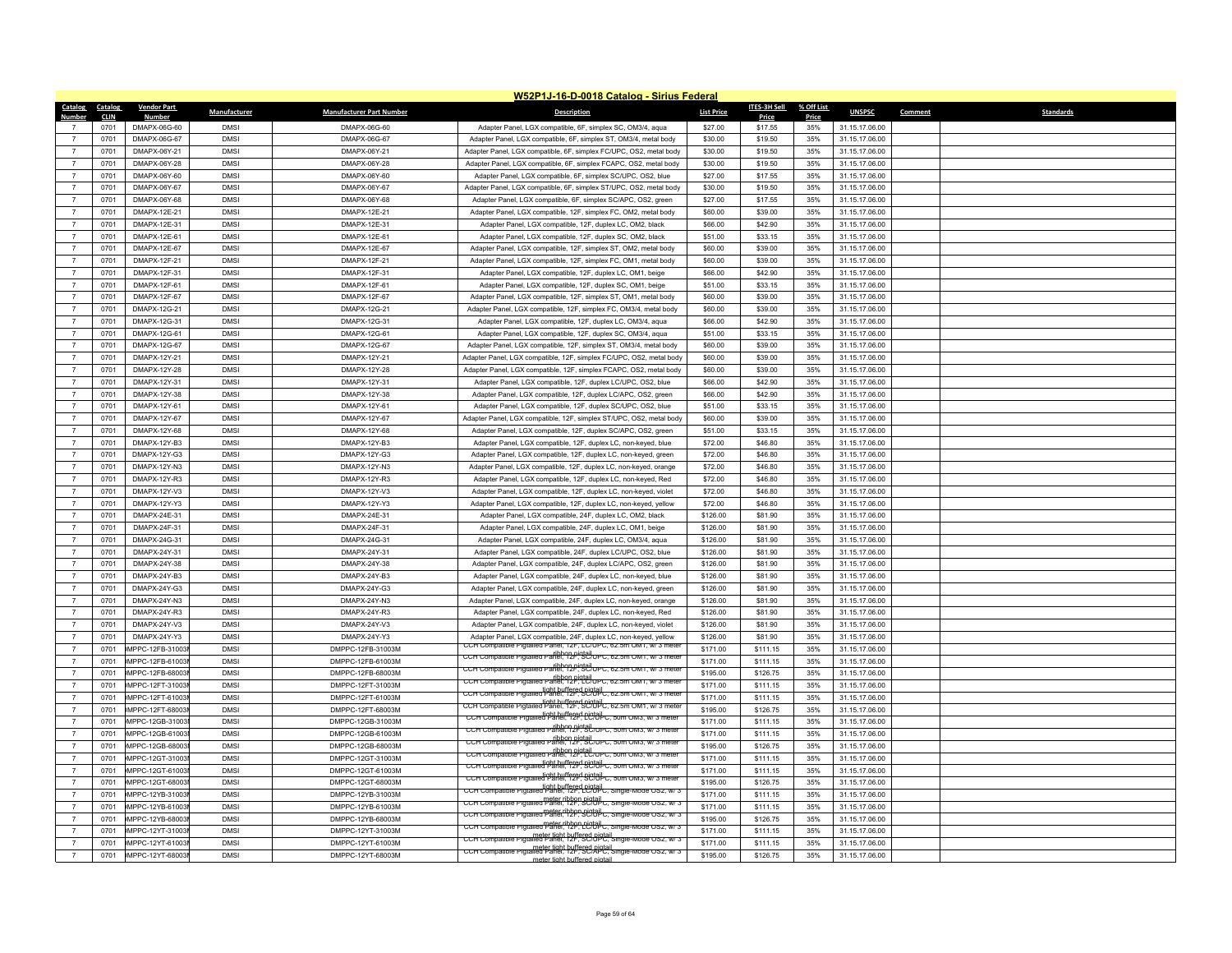|                                  | W52P1J-16-D-0018 Catalog - Sirius Federal |                                    |                            |                                        |                                                                                                                                   |                      |                      |            |                                  |                             |  |
|----------------------------------|-------------------------------------------|------------------------------------|----------------------------|----------------------------------------|-----------------------------------------------------------------------------------------------------------------------------------|----------------------|----------------------|------------|----------------------------------|-----------------------------|--|
|                                  | Catalog Catalog                           | <b>Vendor Part</b>                 | Manufacturer               | <b>Manufacturer Part Number</b>        | <b>Description</b>                                                                                                                | <b>List Price</b>    | ITES-3H Sell         | % Off List | <b>UNSPSC</b>                    | Comment<br><b>Standards</b> |  |
| Number                           | <b>CLIN</b>                               | <b>Number</b>                      |                            |                                        |                                                                                                                                   |                      | Price                | Price      |                                  |                             |  |
| $\overline{7}$                   | 0701<br>0701                              | DMAPX-06G-60<br>DMAPX-06G-67       | <b>DMSI</b><br><b>DMSI</b> | DMAPX-06G-60<br>DMAPX-06G-67           | Adapter Panel, LGX compatible, 6F, simplex SC, OM3/4, aqua<br>Adapter Panel, LGX compatible, 6F, simplex ST, OM3/4, metal body    | \$27.00<br>\$30.00   | \$17.55<br>\$19.50   | 35%<br>35% | 31.15.17.06.00                   |                             |  |
|                                  |                                           |                                    |                            |                                        |                                                                                                                                   |                      |                      |            | 31.15.17.06.00                   |                             |  |
|                                  | 0701                                      | DMAPX-06Y-21                       | <b>DMSI</b>                | DMAPX-06Y-21                           | Adapter Panel, LGX compatible, 6F, simplex FC/UPC, OS2, metal body                                                                | \$30.00              | \$19.50              | 35%        | 31.15.17.06.00                   |                             |  |
| $\overline{7}$                   | 0701                                      | DMAPX-06Y-28                       | <b>DMSI</b>                | DMAPX-06Y-28                           | Adapter Panel, LGX compatible, 6F, simplex FCAPC, OS2, metal body                                                                 | \$30.00              | \$19.50              | 35%        | 31.15.17.06.00                   |                             |  |
| $\overline{7}$                   | 0701                                      | DMAPX-06Y-60                       | <b>DMSI</b>                | DMAPX-06Y-60                           | Adapter Panel, LGX compatible, 6F, simplex SC/UPC, OS2, blue                                                                      | \$27.00              | \$17.55              | 35%        | 31.15.17.06.00                   |                             |  |
| $\overline{7}$                   | 0701                                      | DMAPX-06Y-67                       | <b>DMSI</b>                | DMAPX-06Y-67                           | Adapter Panel, LGX compatible, 6F, simplex ST/UPC, OS2, metal body                                                                | \$30.00              | \$19.50              | 35%        | 31.15.17.06.00                   |                             |  |
| $\overline{7}$                   | 0701                                      | DMAPX-06Y-68                       | <b>DMSI</b>                | DMAPX-06Y-68                           | Adapter Panel, LGX compatible, 6F, simplex SC/APC, OS2, green                                                                     | \$27.00              | \$17.55              | 35%        | 31.15.17.06.00                   |                             |  |
| $\overline{7}$                   | 0701                                      | DMAPX-12E-21                       | <b>DMSI</b>                | DMAPX-12E-21                           | Adapter Panel, LGX compatible, 12F, simplex FC, OM2, metal body                                                                   | \$60.00              | \$39.00              | 35%        | 31.15.17.06.00                   |                             |  |
| $\overline{7}$                   | 0701                                      | DMAPX-12F-31                       | <b>DMSI</b>                | DMAPX-12E-31                           | Adapter Panel, LGX compatible, 12F, duplex LC, OM2, black                                                                         | \$66.00              | \$42.90              | 35%        | 31.15.17.06.00                   |                             |  |
| $\overline{7}$                   | 0701                                      | DMAPX-12E-61                       | <b>DMSI</b>                | DMAPX-12E-61                           | Adapter Panel, LGX compatible, 12F, duplex SC, OM2, black                                                                         | \$51.00              | \$33.15              | 35%        | 31.15.17.06.00                   |                             |  |
| $\overline{7}$                   | 0701<br>0701                              | DMAPX-12E-67<br>DMAPX-12F-21       | <b>DMSI</b><br><b>DMSI</b> | DMAPX-12E-67<br>DMAPX-12F-21           | Adapter Panel, LGX compatible, 12F, simplex ST, OM2, metal body                                                                   | \$60.00<br>\$60.00   | \$39.00<br>\$39.00   | 35%<br>35% | 31.15.17.06.00<br>31.15.17.06.00 |                             |  |
| $\overline{7}$<br>$\overline{7}$ |                                           |                                    | <b>DMSI</b>                |                                        | Adapter Panel, LGX compatible, 12F, simplex FC, OM1, metal body                                                                   |                      |                      | 35%        |                                  |                             |  |
|                                  | 0701                                      | DMAPX-12F-31                       |                            | DMAPX-12F-31                           | Adapter Panel, LGX compatible, 12F, duplex LC, OM1, beige                                                                         | \$66.00              | \$42.90              |            | 31.15.17.06.00                   |                             |  |
| $\overline{7}$                   | 0701                                      | DMAPX-12F-61                       | <b>DMSI</b>                | DMAPX-12F-61                           | Adapter Panel, LGX compatible, 12F, duplex SC, OM1, beige                                                                         | \$51.00              | \$33.15              | 35%        | 31.15.17.06.00                   |                             |  |
| $\overline{7}$                   | 0701                                      | DMAPX-12F-67                       | <b>DMSI</b>                | DMAPX-12F-67                           | Adapter Panel, LGX compatible, 12F, simplex ST, OM1, metal body                                                                   | \$60.00              | \$39.00              | 35%        | 31.15.17.06.00                   |                             |  |
| $\overline{7}$                   | 0701                                      | DMAPX-12G-21                       | <b>DMSI</b>                | DMAPX-12G-21                           | Adapter Panel, LGX compatible, 12F, simplex FC, OM3/4, metal body                                                                 | \$60.00              | \$39.00              | 35%        | 31.15.17.06.00                   |                             |  |
|                                  | 0701                                      | DMAPX-12G-31                       | <b>DMSI</b><br><b>DMSI</b> | DMAPX-12G-31                           | Adapter Panel, LGX compatible, 12F, duplex LC, OM3/4, aqua                                                                        | \$66.00              | \$42.90              | 35%        | 31.15.17.06.00                   |                             |  |
| $\overline{7}$                   | 0701                                      | DMAPX-12G-61                       |                            | DMAPX-12G-61                           | Adapter Panel, LGX compatible, 12F, duplex SC, OM3/4, aqua                                                                        | \$51.00              | \$33.15              | 35%        | 31.15.17.06.00                   |                             |  |
| $\overline{7}$                   | 0701                                      | DMAPX-12G-67                       | <b>DMSI</b>                | DMAPX-12G-67                           | Adapter Panel, LGX compatible, 12F, simplex ST, OM3/4, metal body                                                                 | \$60.00              | \$39.00              | 35%        | 31.15.17.06.00                   |                             |  |
| $\overline{7}$                   | 0701                                      | DMAPX-12Y-21                       | <b>DMSI</b>                | DMAPX-12Y-21                           | Adapter Panel, LGX compatible, 12F, simplex FC/UPC, OS2, metal body                                                               | \$60.00              | \$39.00              | 35%        | 31.15.17.06.00                   |                             |  |
| $\overline{7}$<br>$\overline{7}$ | 0701<br>0701                              | DMAPX-12Y-28<br>DMAPX-12Y-31       | <b>DMSI</b><br><b>DMSI</b> | DMAPX-12Y-28                           | Adapter Panel, LGX compatible, 12F, simplex FCAPC, OS2, metal body                                                                | \$60.00              | \$39.00              | 35%        | 31.15.17.06.00                   |                             |  |
|                                  |                                           |                                    |                            | DMAPX-12Y-31                           | Adapter Panel, LGX compatible, 12F, duplex LC/UPC, OS2, blue                                                                      | \$66.00              | \$42.90              | 35%        | 31.15.17.06.00                   |                             |  |
|                                  | 0701                                      | DMAPX-12Y-38                       | <b>DMSI</b>                | DMAPX-12Y-38                           | Adapter Panel, LGX compatible, 12F, duplex LC/APC, OS2, green                                                                     | \$66.00              | \$42.90              | 35%        | 31.15.17.06.00                   |                             |  |
| $\overline{7}$                   | 0701                                      | DMAPX-12Y-61                       | <b>DMSI</b>                | DMAPX-12Y-61                           | Adapter Panel, LGX compatible, 12F, duplex SC/UPC, OS2, blue                                                                      | \$51.00              | \$33.15              | 35%        | 31.15.17.06.00                   |                             |  |
| $\overline{7}$                   | 0701                                      | DMAPX-12Y-67                       | <b>DMSI</b>                | DMAPX-12Y-67                           | Adapter Panel, LGX compatible, 12F, simplex ST/UPC, OS2, metal body                                                               | \$60.00              | \$39.00              | 35%        | 31.15.17.06.00                   |                             |  |
| $\overline{7}$                   | 0701                                      | DMAPX-12Y-68                       | <b>DMSI</b>                | DMAPX-12Y-68                           | Adapter Panel, LGX compatible, 12F, duplex SC/APC, OS2, green                                                                     | \$51.00              | \$33.15              | 35%        | 31.15.17.06.00                   |                             |  |
| $\overline{7}$                   | 0701                                      | DMAPX-12Y-B3                       | <b>DMSI</b>                | DMAPX-12Y-B3                           | Adapter Panel, LGX compatible, 12F, duplex LC, non-keyed, blue                                                                    | \$72.00              | \$46.80              | 35%        | 31.15.17.06.00                   |                             |  |
| $\overline{7}$                   | 0701                                      | DMAPX-12Y-G3                       | <b>DMSI</b>                | DMAPX-12Y-G3                           | Adapter Panel, LGX compatible, 12F, duplex LC, non-keyed, green                                                                   | \$72.00              | \$46.80              | 35%        | 31.15.17.06.00                   |                             |  |
| $\overline{7}$                   | 0701                                      | DMAPX-12Y-N3                       | <b>DMSI</b>                | DMAPX-12Y-N3                           | Adapter Panel, LGX compatible, 12F, duplex LC, non-keyed, orange                                                                  | \$72.00              | \$46.80              | 35%        | 31.15.17.06.00                   |                             |  |
| $\overline{7}$                   | 0701                                      | DMAPX-12Y-R3                       | <b>DMSI</b>                | DMAPX-12Y-R3                           | Adapter Panel, LGX compatible, 12F, duplex LC, non-keyed, Red                                                                     | \$72.00              | \$46.80              | 35%        | 31.15.17.06.00                   |                             |  |
| $\overline{7}$                   | 0701<br>0701                              | DMAPX-12Y-V3<br>DMAPX-12Y-Y3       | <b>DMSI</b><br><b>DMSI</b> | DMAPX-12Y-V3<br>DMAPX-12Y-Y3           | Adapter Panel, LGX compatible, 12F, duplex LC, non-keyed, violet                                                                  | \$72.00<br>\$72.00   | \$46.80<br>\$46.80   | 35%<br>35% | 31.15.17.06.00<br>31.15.17.06.00 |                             |  |
| $\overline{7}$                   |                                           |                                    | <b>DMSI</b>                |                                        | Adapter Panel, LGX compatible, 12F, duplex LC, non-keyed, yellow                                                                  |                      |                      |            |                                  |                             |  |
| $\overline{7}$                   | 0701                                      | DMAPX-24E-31                       |                            | DMAPX-24E-31                           | Adapter Panel, LGX compatible, 24F, duplex LC, OM2, black                                                                         | \$126.00             | \$81.90              | 35%        | 31.15.17.06.00                   |                             |  |
| $\overline{7}$                   | 0701                                      | DMAPX-24F-31                       | <b>DMSI</b>                | DMAPX-24F-31                           | Adapter Panel, LGX compatible, 24F, duplex LC, OM1, beige                                                                         | \$126.00             | \$81.90              | 35%        | 31.15.17.06.00                   |                             |  |
| $\overline{7}$<br>$\overline{7}$ | 0701                                      | DMAPX-24G-31                       | <b>DMSI</b>                | DMAPX-24G-31                           | Adapter Panel, LGX compatible, 24F, duplex LC, OM3/4, aqua                                                                        | \$126.00             | \$81.90              | 35%        | 31.15.17.06.00                   |                             |  |
|                                  | 0701                                      | DMAPX-24Y-31                       | <b>DMSI</b>                | DMAPX-24Y-31                           | Adapter Panel, LGX compatible, 24F, duplex LC/UPC, OS2, blue                                                                      | \$126.00             | \$81.90              | 35%        | 31.15.17.06.00                   |                             |  |
|                                  | 0701                                      | DMAPX-24Y-38                       | <b>DMSI</b><br><b>DMSI</b> | DMAPX-24Y-38                           | Adapter Panel, LGX compatible, 24F, duplex LC/APC, OS2, green                                                                     | \$126.00             | \$81.90              | 35%        | 31.15.17.06.00                   |                             |  |
| $\overline{7}$<br>$\overline{7}$ | 0701<br>0701                              | DMAPX-24Y-B3<br>DMAPX-24Y-G3       | <b>DMSI</b>                | DMAPX-24Y-B3<br>DMAPX-24Y-G3           | Adapter Panel, LGX compatible, 24F, duplex LC, non-keyed, blue                                                                    | \$126.00             | \$81.90              | 35%        | 31.15.17.06.00                   |                             |  |
|                                  |                                           |                                    | <b>DMSI</b>                |                                        | Adapter Panel, LGX compatible, 24F, duplex LC, non-keyed, green                                                                   | \$126.00             | \$81.90              | 35%        | 31.15.17.06.00                   |                             |  |
| $\overline{7}$                   | 0701                                      | DMAPX-24Y-N3                       |                            | DMAPX-24Y-N3                           | Adapter Panel, LGX compatible, 24F, duplex LC, non-keyed, orange                                                                  | \$126.00             | \$81.90              | 35%        | 31.15.17.06.00                   |                             |  |
| $\overline{7}$<br>$\overline{7}$ | 0701<br>0701                              | DMAPX-24Y-R3<br>DMAPX-24Y-V3       | <b>DMSI</b><br><b>DMSI</b> | DMAPX-24Y-R3<br>DMAPX-24Y-V3           | Adapter Panel, LGX compatible, 24F, duplex LC, non-keyed, Red<br>Adapter Panel, LGX compatible, 24F, duplex LC, non-keved, violet | \$126.00<br>\$126.00 | \$81.90<br>\$81.90   | 35%<br>35% | 31.15.17.06.00                   |                             |  |
| $\overline{7}$                   | 0701                                      | DMAPX-24Y-Y3                       | <b>DMSI</b>                | DMAPX-24Y-Y3                           | Adapter Panel, LGX compatible, 24F, duplex LC, non-keyed, yellow                                                                  | \$126.00             | \$81.90              | 35%        | 31.15.17.06.00<br>31.15.17.06.00 |                             |  |
| $\overline{7}$                   | 0701                                      | MPPC-12FB-31003                    | <b>DMSI</b>                | DMPPC-12FB-31003M                      | CCH Compatible Pigtailed Panel, 12F, LC/UPC, 62.5m OM1, w/3 meter                                                                 | \$171.00             |                      | 35%        | 31.15.17.06.00                   |                             |  |
| $\overline{7}$                   |                                           |                                    |                            |                                        | CCH Compatible Pigtailed Panel, 12F, SC/UPC, 62.5m OM1, w/ 3 meter                                                                |                      | \$111.15             |            |                                  |                             |  |
|                                  | 0701<br>0701                              | MPPC-12FB-61003<br>MPPC-12FB-68003 | <b>DMSI</b><br><b>DMSI</b> | DMPPC-12FB-61003M<br>DMPPC-12FB-68003M | CCH Compatible Pigtailed Panel, 12F, SC/UPC, 62.5m OM1, w/3 mete                                                                  | \$171.00<br>\$195.00 | \$111.15<br>\$126.75 | 35%<br>35% | 31.15.17.06.00<br>31.15.17.06.00 |                             |  |
| $\overline{7}$                   | 0701                                      | MPPC-12FT-31003                    | <b>DMSI</b>                | DMPPC-12FT-31003M                      | CCH Compatible Pictailed Panel. 12P. LC/UPC, 62.5m OM1, w/3 meter                                                                 | \$171.00             | \$111.15             | 35%        | 31.15.17.06.00                   |                             |  |
| $\overline{7}$                   | 0701                                      | MPPC-12FT-61003                    | <b>DMSI</b>                | DMPPC-12FT-61003M                      | CCH Compatible Pigtailed Panel, 12F, SCOBC, 62.5m OM1, w/3 meter                                                                  | \$171.00             | \$111.15             | 35%        | 31.15.17.06.00                   |                             |  |
| $\overline{7}$                   | 0701                                      | MPPC-12FT-68003                    | <b>DMSI</b>                | DMPPC-12FT-68003M                      | CCH Compatible Pigtailed Panel, 12F, SC/UPC, 62.5m OM1, w/ 3 meter                                                                | \$195.00             | \$126.75             | 35%        | 31.15.17.06.00                   |                             |  |
| $\overline{7}$                   | 0701                                      | MPPC-12GB-31003                    | <b>DMSI</b>                | DMPPC-12GB-31003M                      | CCH Compatible Pigtailed Panel. 12P. LC/OPC. 50m OM3. W/ 3 meter                                                                  | \$171.00             | \$111.15             | 35%        | 31.15.17.06.00                   |                             |  |
|                                  | 0701                                      | MPPC-12GB-61003                    | <b>DMSI</b>                | DMPPC-12GB-61003M                      | CCH Compatible Pigtailed Panel, 12F, SC/UPC, 50m OM3, w/ 3 meter                                                                  | \$171.00             | \$111.15             | 35%        | 31.15.17.06.00                   |                             |  |
| $\overline{7}$                   | 0701                                      | MPPC-12GB-68003                    | <b>DMSI</b>                | DMPPC-12GB-68003M                      | CCH Compatible Pigtailed Panel, 12F, SC/UPC, 50m OM3, w/3 meter                                                                   | \$195.00             | \$126.75             | 35%        | 31.15.17.06.00                   |                             |  |
| $\overline{7}$                   | 0701                                      | MPPC-12GT-31003                    | <b>DMSI</b>                | DMPPC-12GT-31003M                      | CCH Compatible Pigtailed Panel, 12F, LC/UPC, 50m OM3, W/3 meter                                                                   | \$171.00             | \$111.15             | 35%        | 31.15.17.06.00                   |                             |  |
| $\overline{7}$                   | 0701                                      | MPPC-12GT-61003                    | <b>DMSI</b>                | DMPPC-12GT-61003M                      | CCH Compatible Pigtailed Panel, 12F, SCOPC, 50m OM3, w/3 meter                                                                    | \$171.00             | \$111.15             | 35%        | 31.15.17.06.00                   |                             |  |
| $\overline{7}$                   | 0701                                      | MPPC-12GT-68003                    | <b>DMSI</b>                | DMPPC-12GT-68003M                      | tight buffered bigtail-c. sum OM3, w/3 meter<br>CCH Compatible Pigtailed Panel, 12P, SC/OPC, 50m OM3, w/3 meter                   | \$195.00             | \$126.75             | 35%        | 31.15.17.06.00                   |                             |  |
| $\overline{7}$                   | 0701                                      | MPPC-12YB-31003                    | <b>DMSI</b>                | DMPPC-12YB-31003M                      | CCH Compatible Pigtailed Panel, 12F, LC/UPC, Single-Mode OS2, w/3                                                                 | \$171.00             | \$111.15             | 35%        | 31.15.17.06.00                   |                             |  |
|                                  | 0701                                      | MPPC-12YB-61003                    | <b>DMSI</b>                | DMPPC-12YB-61003M                      | CCH Compatible Pigtailed Panel, 12P, SCIUPC, Single-Mode OS2, W/3                                                                 | \$171.00             | \$111.15             | 35%        | 31.15.17.06.00                   |                             |  |
| $\overline{7}$                   | 0701                                      | MPPC-12YB-68003                    | <b>DMSI</b>                | DMPPC-12YB-68003M                      | CCH Compatible Pigtailed Panel, 12P, SCIUPC, Single-Mode OS2, W/3                                                                 | \$195.00             | \$126.75             | 35%        | 31.15.17.06.00                   |                             |  |
| $\overline{7}$                   | 0701                                      | MPPC-12YT-31003                    | <b>DMSI</b>                | DMPPC-12YT-31003M                      | CCH Compatible Pigtailed Panel, 12F, LC/UPC, Single-Mode OS2, w/3                                                                 | \$171.00             | \$111.15             | 35%        | 31.15.17.06.00                   |                             |  |
|                                  | 0701                                      | MPPC-12YT-61003                    | <b>DMSI</b>                | DMPPC-12YT-61003M                      | meter tight buffered pigtail.<br>CCH Compatible Pigtailed Panel, 12F, SC/UPC, Single-Mode OS2, wi 3                               | \$171.00             | \$111.15             | 35%        | 31.15.17.06.00                   |                             |  |
| $\overline{7}$                   | 0701                                      | MPPC-12YT-68003                    | <b>DMSI</b>                | DMPPC-12YT-68003M                      | CCH Compatible Pigtailed Panel, 12F, SC/APC, Single-Mode OS2, w/3                                                                 | \$195.00             | \$126.75             | 35%        | 31.15.17.06.00                   |                             |  |
|                                  |                                           |                                    |                            |                                        | meter tight buffered nintail                                                                                                      |                      |                      |            |                                  |                             |  |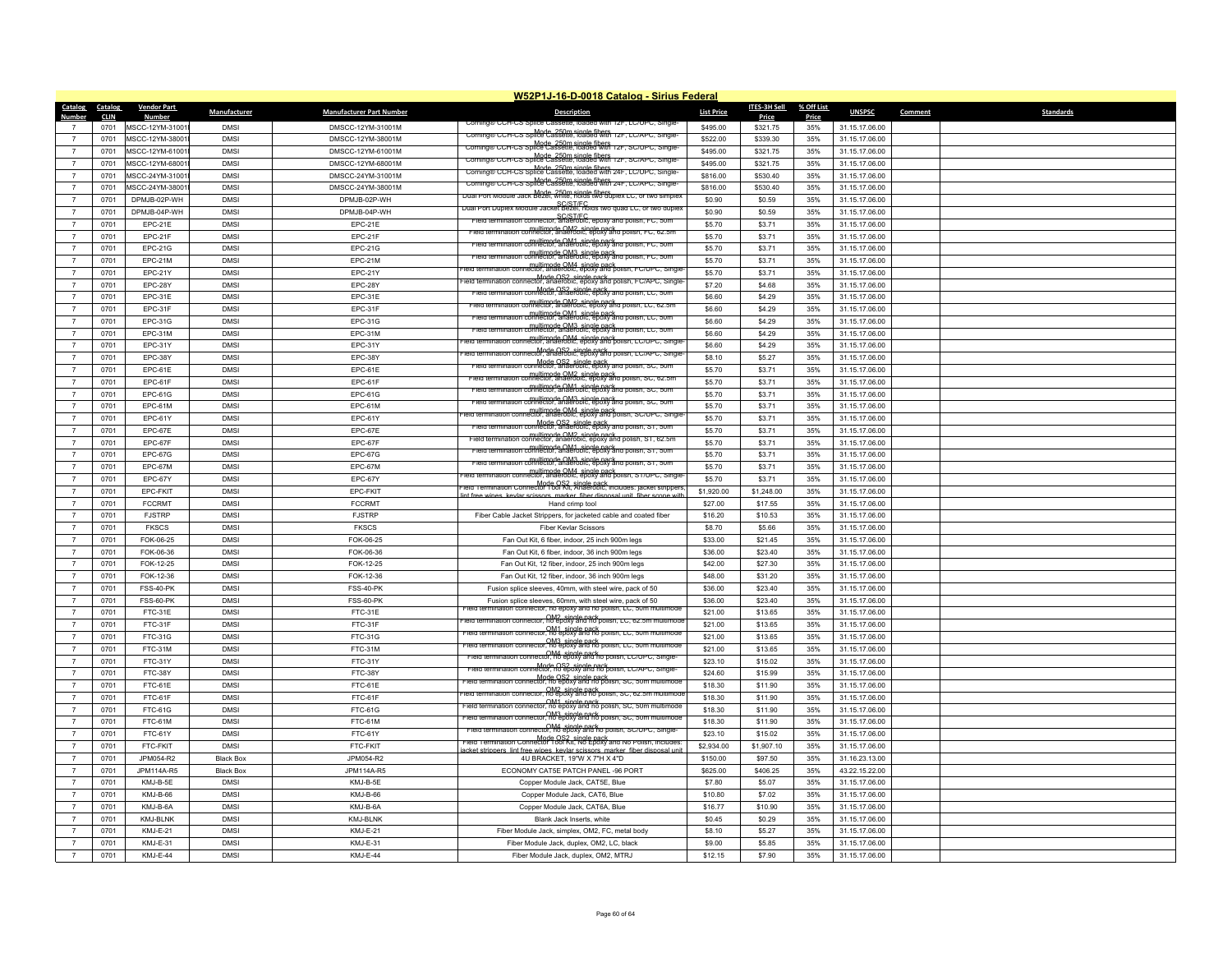|                                  |                     |                           |                  |                                   | W52P1J-16-D-0018 Catalog - Sirius Federal                                                                     |                   |                          |              |                |         |                  |
|----------------------------------|---------------------|---------------------------|------------------|-----------------------------------|---------------------------------------------------------------------------------------------------------------|-------------------|--------------------------|--------------|----------------|---------|------------------|
| Catalog                          | Catalog             | <b>Vendor Part</b>        | Manufacturer     | <b>Manufacturer Part Number</b>   | <b>Description</b>                                                                                            | <b>List Price</b> | <b>ITES-3H Sell</b>      | % Off List   | <b>UNSPSC</b>  | Comment | <b>Standards</b> |
| <b>Number</b><br>$\overline{7}$  | <b>CLIN</b><br>0701 | Number<br>MSCC-12YM-31001 | <b>DMSI</b>      | DMSCC-12YM-31001M                 | Corning® CCH-CS Splice Cas                                                                                    | \$495.00          | <b>Price</b><br>\$321.75 | Price<br>35% | 31.15.17.06.00 |         |                  |
| $\overline{7}$                   | 0701                | MSCC-12YM-38001           | <b>DMSI</b>      | DMSCC-12YM-38001M                 | Corning® CCH-CS Splice Cassette, loaded with 12F, LC/APC, Single-                                             | \$522.00          | \$339.30                 | 35%          | 31.15.17.06.00 |         |                  |
| $\overline{7}$                   | 0701                | MSCC-12YM-61001           | <b>DMSI</b>      | DMSCC-12YM-61001M                 | Corning® CCH-CS Splice Cassette, loaded with 12F, SC/UPC, Single                                              | \$495.00          | \$321.75                 | 35%          | 31.15.17.06.00 |         |                  |
| $\overline{7}$                   | 0701                | MSCC-12YM-68001           | <b>DMSI</b>      | DMSCC-12YM-68001M                 | Mode 250m single fibers<br>Corning® CCH-CS Splice Cassette, loaded with 12F, SC/APC, Single-                  | \$495.00          | \$321.75                 | 35%          | 31.15.17.06.00 |         |                  |
| $\overline{7}$                   | 0701                | MSCC-24YM-31001           | <b>DMS</b>       | DMSCC-24YM-31001M                 | ng® CCH-CS Splice Cassette, loaded with 24F. LC/UP                                                            | \$816.00          | \$530.40                 | 35%          | 31.15.17.06.00 |         |                  |
|                                  |                     | MSCC-24YM-38001           | <b>DMSI</b>      |                                   | Coming CCH-CS Spile Cassette, idaded With Z4F. LC/APC.                                                        | \$816.00          | \$530.40                 |              | 31.15.17.06.00 |         |                  |
| $\overline{7}$<br>$\overline{7}$ | 0701<br>0701        | DPMJB-02P-WH              | <b>DMSI</b>      | DMSCC-24YM-38001M<br>DPMJB-02P-WH | Dual Port Module Jack Bezel, white, holds two duplex LC, or two simplex                                       | \$0.90            |                          | 35%<br>35%   | 31.15.17.06.00 |         |                  |
| $\overline{7}$                   | 0701                | DPMJB-04P-WH              | <b>DMS</b>       | DPMJB-04P-WH                      | ر SC/ST/FC<br>Dual Port Duplex Module Jacket Bezel, holds two quad LC, or two duple:                          | \$0.90            | \$0.59<br>\$0.59         | 35%          | 31.15.17.06.00 |         |                  |
| $\overline{7}$                   | 0701                | EPC-21E                   | <b>DMSI</b>      | $EPC-21E$                         | SC/ST/EC<br>mination connector, anaerobic, epoxy and polish. EC, 50m                                          | \$5.70            | \$3.71                   | 35%          | 31.15.17.06.00 |         |                  |
| $\overline{7}$                   | 0701                | EPC-21F                   | <b>DMSI</b>      | EPC-21F                           | multimode OM2, single pack<br>nnector, anaerobic, epoxy and polish,                                           | \$5.70            | \$3.71                   | 35%          | 31.15.17.06.00 |         |                  |
| $\overline{7}$                   | 0701                | EPC-21G                   | <b>DMS</b>       | EPC-21G                           | .<br><del>.comector, anaeropic, epoxy and</del>                                                               | \$5.70            | \$3.71                   | 35%          | 31.15.17.06.00 |         |                  |
| $\overline{7}$                   | 0701                | EPC-21M                   | <b>DMS</b>       | EPC-21M                           | mination connector, anaerobic, epoxy and polish, FC, 50m                                                      | \$5.70            | \$3.71                   | 35%          | 31.15.17.06.00 |         |                  |
| $\overline{7}$                   | 0701                | EPC-21Y                   | <b>DMSI</b>      | EPC-21Y                           | multimode OM4, single nack<br>rector, anaerobic, epoxy and polish, FC/UPC, Single                             | \$5.70            | \$3.71                   | 35%          | 31.15.17.06.00 |         |                  |
| $\overline{7}$                   | 0701                | EPC-28Y                   | <b>DMS</b>       | EPC-28Y                           | Mode OS2 single pack<br>nnector, anaerobic, epoxy and polish, FC/APC, Single                                  | \$7.20            | \$4.68                   | 35%          | 31.15.17.06.00 |         |                  |
| $\overline{7}$                   | 0701                | EPC-31E                   | <b>DMSI</b>      | EPC-31E                           | Mode OS2 single pack<br>connector, anaerobic, epoxy and polish, LC, 50m                                       | \$6.60            | \$4.29                   | 35%          | 31.15.17.06.00 |         |                  |
| $\overline{7}$                   | 0701                | EPC-31F                   | <b>DMS</b>       | EPC-31F                           | <br>multimode OM2, single pack<br>multimode OM2, spoxy and polish, LC, 62.5m                                  | \$6.60            | \$4.29                   | 35%          | 31.15.17.06.00 |         |                  |
| $\overline{7}$                   | 0701                | EPC-31G                   | <b>DMSI</b>      | EPC-31G                           | multimode OM1, single pack<br>connector, anaerobic, epoxy and polish, LC, 50m                                 | \$6.60            | \$4.29                   | 35%          | 31.15.17.06.00 |         |                  |
| $\overline{7}$                   | 0701                | EPC-31M                   | <b>DMSI</b>      | EPC-31M                           | multimode OM3, single pack<br>connector, anaerobic, epoxy and polish,                                         | \$6.60            | \$4.29                   | 35%          | 31.15.17.06.00 |         |                  |
| $\overline{7}$                   | 0701                | EPC-31Y                   | <b>DMSI</b>      | EPC-31Y                           | ----<br>_multimode OM4_single_pack<br>lector, anaerobic, epoxy and polish, LC/UPC, Single                     | \$6.60            | \$4.29                   | 35%          | 31.15.17.06.00 |         |                  |
| $\overline{7}$                   | 0701                | EPC-38Y                   | <b>DMSI</b>      | EPC-38Y                           | Mode OS2 single pack<br>connector, anaerobic, epoxy and polish, LC/APC, Single                                | \$8.10            | \$5.27                   | 35%          | 31.15.17.06.00 |         |                  |
| $\overline{7}$                   | 0701                | EPC-61E                   | <b>DMSI</b>      | EPC-61E                           | , Mode OS2, single B86ky and poiisn, S⊂, sun<br>mector, anaerobic, eβ6xy and poiisn, S⊂, sun                  | \$5.70            | \$3.71                   | 35%          | 31.15.17.06.00 |         |                  |
| $\overline{7}$                   | 0701                | EPC-61F                   | <b>DMSI</b>      | EPC-61F                           | multimode OM2 single pack<br>pnnector, anaerobic, epoxy and polish,                                           | \$5.70            | \$3.71                   | 35%          | 31.15.17.06.00 |         |                  |
| $\overline{7}$                   | 0701                | EPC-61G                   | <b>DMSI</b>      | EPC-61G                           | rield termination connector, anaerobic, epoxy and polish, SC, 50n                                             | \$5.70            | \$3.71                   | 35%          | 31.15.17.06.00 |         |                  |
| $\overline{7}$                   | 0701                | EPC-61M                   | <b>DMSI</b>      | EPC-61M                           | multimode OM3, single pack<br>connector, anaerobic, epoxy and polish, SC, 50m                                 | \$5.70            | \$3.71                   | 35%          | 31.15.17.06.00 |         |                  |
| $\overline{7}$                   | 0701                | EPC-61Y                   | <b>DMS</b>       | EPC-61Y                           | multimode OM4 single pack<br>nector, anaerobic, epoxy and polish, SC/UP                                       | \$5.70            | \$3.71                   | 35%          | 31.15.17.06.00 |         |                  |
| $\overline{7}$                   | 0701                | EPC-67E                   | <b>DMSI</b>      | EPC-67E                           | Mode OS2, single pack<br>reid termination connector, anaerobic, epoxy and polish, S1, 50m                     | \$5.70            | \$3.71                   | 35%          | 31.15.17.06.00 |         |                  |
| $7\phantom{.0}$                  | 0701                | EPC-67F                   | <b>DMSI</b>      | EPC-67F                           | multimode OM2, single pack<br>connector, anaeropic, epoxy and polish, S.I. 62.5m                              | \$5.70            | \$3.71                   | 35%          | 31.15.17.06.00 |         |                  |
| $\overline{7}$                   | 0701                | EPC-67G                   | <b>DMS</b>       | EPC-67G                           | multimode OM1, single pack<br>ion connector, anaerobic, epoxy and polish, ST.                                 | \$5.70            | \$3.71                   | 35%          | 31.15.17.06.00 |         |                  |
| $\overline{7}$                   | 0701                | EPC-67M                   | <b>DMSI</b>      | EPC-67M                           | multimode OM3 single pack<br>connector anaeropic epoxy and polish ST 50m                                      | \$5.70            | \$3.71                   | 35%          | 31.15.17.06.00 |         |                  |
| $\overline{7}$                   | 0701                | EPC-67Y                   | <b>DMSI</b>      | EPC-67Y                           | multimode OM4 single pack<br>connector, anaerobic, epoxy and polish, ST/UPC, Single                           | \$5.70            | \$3.71                   | 35%          | 31.15.17.06.00 |         |                  |
| $\overline{7}$                   | 0701                | EPC-FKIT                  | <b>DMS</b>       | EPC-FKIT                          | Mode OS2, single pack<br>Connector Tool Rit, Anaerobic, includes: jacket stripper<br>rs marker fiber dis      | \$1,920.00        | \$1,248.00               | 35%          | 31.15.17.06.00 |         |                  |
| $\overline{7}$                   | 0701                | <b>FCCRMT</b>             | <b>DMSI</b>      | <b>FCCRMT</b>                     | Hand crimp tool                                                                                               | \$27.00           | \$17.55                  | 35%          | 31.15.17.06.00 |         |                  |
| $\overline{7}$                   | 0701                | <b>FJSTRP</b>             | <b>DMSI</b>      | <b>FJSTRP</b>                     | Fiber Cable Jacket Strippers, for jacketed cable and coated fiber                                             | \$16.20           | \$10.53                  | 35%          | 31.15.17.06.00 |         |                  |
| $\overline{7}$                   | 0701                | <b>FKSCS</b>              | <b>DMSI</b>      | <b>FKSCS</b>                      | <b>Fiber Kevlar Scissors</b>                                                                                  | \$8.70            | \$5.66                   | 35%          | 31.15.17.06.00 |         |                  |
| $\overline{7}$                   | 0701                | FOK-06-25                 | <b>DMSI</b>      | FOK-06-25                         | Fan Out Kit, 6 fiber, indoor, 25 inch 900m legs                                                               | \$33.00           | \$21.45                  | 35%          | 31.15.17.06.00 |         |                  |
| $\overline{7}$                   | 0701                | FOK-06-36                 | <b>DMSI</b>      | FOK-06-36                         | Fan Out Kit, 6 fiber, indoor, 36 inch 900m legs                                                               | \$36.00           | \$23.40                  | 35%          | 31.15.17.06.00 |         |                  |
| $\overline{7}$                   | 0701                | FOK-12-25                 | <b>DMSI</b>      | FOK-12-25                         | Fan Out Kit, 12 fiber, indoor, 25 inch 900m legs                                                              | \$42.00           | \$27.30                  | 35%          | 31.15.17.06.00 |         |                  |
| $\overline{7}$                   | 0701                | FOK-12-36                 | <b>DMS</b>       | FOK-12-36                         | Fan Out Kit, 12 fiber, indoor, 36 inch 900m legs                                                              | \$48.00           | \$31.20                  | 35%          | 31.15.17.06.00 |         |                  |
| $\overline{7}$                   | 0701                | FSS-40-PK                 | <b>DMSI</b>      | <b>FSS-40-PK</b>                  | Fusion splice sleeves, 40mm, with steel wire, pack of 50                                                      | \$36.00           | \$23.40                  | 35%          | 31.15.17.06.00 |         |                  |
| $\overline{7}$                   | 0701                | <b>FSS-60-PK</b>          | <b>DMSI</b>      | <b>FSS-60-PK</b>                  | Fusion splice sleeves, 60mm, with steel wire, pack of 50                                                      | \$36.00           | \$23.40                  | 35%          | 31.15.17.06.00 |         |                  |
| $\overline{7}$                   | 0701                | FTC-31E                   | <b>DMSI</b>      | FTC-31E                           | ermination connector, no epoxy and no polish, LC, 50m multimode                                               | \$21.00           | \$13.65                  | 35%          | 31.15.17.06.00 |         |                  |
| $\overline{7}$                   | 0701                | FTC-31F                   | <b>DMSI</b>      | FTC-31F                           | connector, no epoxy and no polish, LC, 62.5m multimod<br>connector, no epoxy and no polish, LC, 50m multimode | \$21.00           | \$13.65                  | 35%          | 31.15.17.06.00 |         |                  |
| $\overline{7}$                   | 0701                | FTC-31G                   | <b>DMSI</b>      | FTC-31G                           | OM3_single.pack<br>rector, no epoxy and no polish, LC, 50m multimode                                          | \$21.00           | \$13.65                  | 35%          | 31.15.17.06.00 |         |                  |
| $7\phantom{.0}$                  | 0701                | FTC-31M                   | <b>DMSI</b>      | FTC-31M                           | n connector, no epoxy and no polish, LC/UPC,<br>in connector, no epoxy and no polish, LC/UPC,                 | \$21.00           | \$13.65                  | 35%          | 31.15.17.06.00 |         |                  |
| $\overline{7}$                   | 0701                | FTC-31Y                   | <b>DMSI</b>      | FTC-31Y                           | Field termination connector, no epoxy and no bolish. LC/APC, Single-                                          | \$23.10           | \$15.02                  | 35%          | 31.15.17.06.00 |         |                  |
| $\overline{7}$                   | 0701                | FTC-38Y                   | <b>DMSI</b>      | FTC-38Y                           | Mode OS2, single pack<br>connector, no epoxy and no polish, SC, 50m i                                         | \$24.60           | \$15.99                  | 35%          | 31.15.17.06.00 |         |                  |
| $\overline{7}$                   | 0701                | FTC-61E                   | <b>DMSI</b>      | FTC-61E                           | onnector, no epoxy and no polish, SC, 62.5m                                                                   | \$18.30           | \$11.90                  | 35%          | 31.15.17.06.00 |         |                  |
| $\overline{7}$                   | 0701                | FTC-61F                   | <b>DMS</b>       | FTC-61F                           | OM1_single.pack<br>onnector, no epoxy and no polish, SC, 50m multimode                                        | \$18.30           | \$11.90                  | 35%          | 31.15.17.06.00 |         |                  |
| $\overline{7}$                   | 0701                | <b>FTC-61G</b>            | <b>DMSI</b>      | FTC-61G                           | OM3_single.pack<br>onnector, no epoxy and no polish, SC, 50m is<br>nultimode                                  | \$18.30           | \$11.90                  | 35%          | 31.15.17.06.00 |         |                  |
| $\overline{7}$                   | 0701                | FTC-61M                   | <b>DMSI</b>      | FTC-61M                           | connector, no epoxy and ho polish,                                                                            | \$18.30           | \$11.90                  | 35%          | 31.15.17.06.00 |         |                  |
| $\overline{7}$                   | 0701                | FTC-61Y                   | <b>DMS</b>       | FTC-61Y                           | Mode OS2 single pack<br>Field Termination Connector Tool Kit, No Epoxy and No Polish, includes                | \$23.10           | \$15.02                  | 35%          | 31.15.17.06.00 |         |                  |
| $\overline{7}$                   | 0701                | FTC-FKIT                  | <b>DMSI</b>      | FTC-FKIT                          |                                                                                                               | \$2,934.00        | \$1,907.10               | 35%          | 31.15.17.06.00 |         |                  |
| $\overline{7}$                   | 0701                | JPM054-R2                 | <b>Black Box</b> | JPM054-R2                         | 4U BRACKET, 19"W X 7"H X 4"D                                                                                  | \$150.00          | \$97.50                  | 35%          | 31.16.23.13.00 |         |                  |
| $\overline{7}$                   | 0701                | JPM114A-R5                | <b>Black Box</b> | JPM114A-R5                        | ECONOMY CAT5E PATCH PANEL -96 PORT                                                                            | \$625.00          | \$406.25                 | 35%          | 43.22.15.22.00 |         |                  |
| $\overline{7}$                   | 0701                | KMJ-B-5E                  | <b>DMSI</b>      | KMJ-B-5E                          | Copper Module Jack, CAT5E, Blue                                                                               | \$7.80            | \$5.07                   | 35%          | 31.15.17.06.00 |         |                  |
| $\overline{7}$                   | 0701                | KMJ-B-66                  | <b>DMSI</b>      | KMJ-B-66                          | Copper Module Jack, CAT6, Blue                                                                                | \$10.80           | \$7.02                   | 35%          | 31.15.17.06.00 |         |                  |
| $\overline{7}$                   | 0701                | KMJ-B-6A                  | <b>DMSI</b>      | KMJ-B-6A                          | Copper Module Jack, CAT6A, Blue                                                                               | \$16.77           | \$10.90                  | 35%          | 31.15.17.06.00 |         |                  |
| $\overline{7}$                   | 0701                | KMJ-BLNK                  | <b>DMSI</b>      | KMJ-BLNK                          | Blank Jack Inserts, white                                                                                     | \$0.45            | \$0.29                   | 35%          | 31.15.17.06.00 |         |                  |
| $\overline{7}$                   | 0701                | KMJ-E-21                  | <b>DMSI</b>      | KMJ-E-21                          | Fiber Module Jack, simplex, OM2, FC, metal body                                                               | \$8.10            | \$5.27                   | 35%          | 31.15.17.06.00 |         |                  |
| $\overline{7}$                   | 0701                | KMJ-E-31                  | <b>DMSI</b>      | KMJ-E-31                          | Fiber Module Jack, duplex, OM2, LC, black                                                                     | \$9.00            | \$5.85                   | 35%          | 31.15.17.06.00 |         |                  |
| $\overline{7}$                   | 0701                | KMJ-E-44                  | <b>DMSI</b>      | KMJ-E-44                          | Fiber Module Jack, duplex, OM2, MTRJ                                                                          | \$12.15           | \$7.90                   | 35%          | 31.15.17.06.00 |         |                  |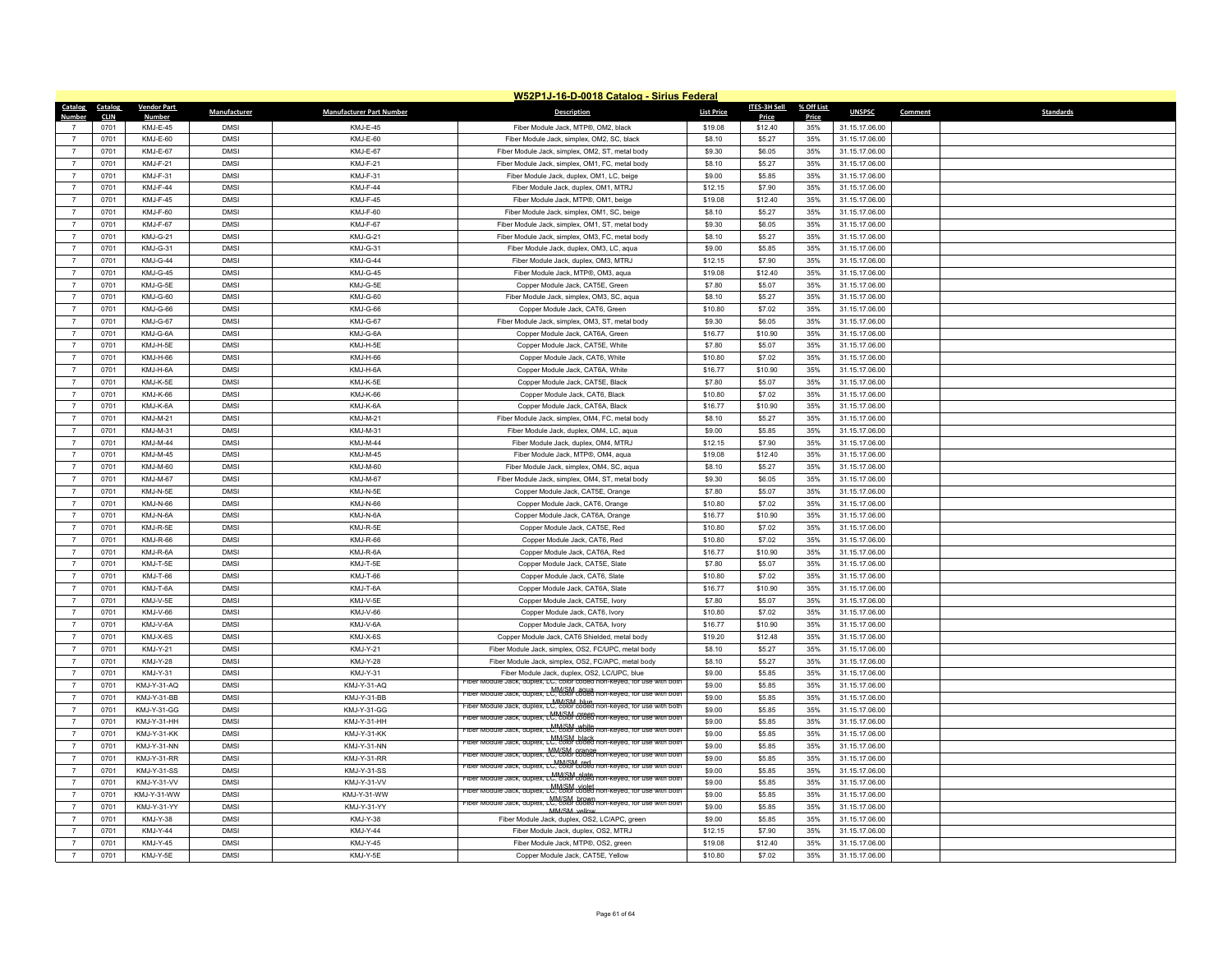|                                  | W52P1J-16-D-0018 Catalog - Sirius Federal |                    |                            |                                 |                                                                                         |                   |              |            |                |                             |
|----------------------------------|-------------------------------------------|--------------------|----------------------------|---------------------------------|-----------------------------------------------------------------------------------------|-------------------|--------------|------------|----------------|-----------------------------|
| Catalog                          | Catalog                                   | <b>Vendor Part</b> | Manufacturer               | <b>Manufacturer Part Number</b> | <b>Description</b>                                                                      | <b>List Price</b> | ITES-3H Sell | % Off List | <b>UNSPSC</b>  | Comment<br><b>Standards</b> |
| Number                           | <b>CLIN</b>                               | <b>Number</b>      |                            |                                 |                                                                                         |                   | Price        | Price      |                |                             |
|                                  | 0701                                      | KMJ-E-45           | <b>DMSI</b>                | KMJ-E-45                        | Fiber Module Jack, MTP®, OM2, black                                                     | \$19.08           | \$12.40      | 35%        | 31.15.17.06.00 |                             |
| $\overline{7}$                   | 0701                                      | KMJ-F-60           | <b>DMSI</b>                | KMJ-E-60                        | Fiber Module Jack, simplex, OM2, SC, black                                              | \$8.10            | \$5.27       | 35%        | 31.15.17.06.00 |                             |
| $\overline{7}$                   | 0701                                      | KM.I-F-67          | <b>DMSI</b>                | KMJ-E-67                        | Fiber Module Jack, simplex, OM2, ST, metal body                                         | \$9.30            | \$6.05       | 35%        | 31.15.17.06.00 |                             |
| $\overline{7}$                   | 0701                                      | KMJ-F-21           | <b>DMSI</b>                | KMJ-F-21                        | Fiber Module Jack, simplex, OM1, FC, metal body                                         | \$8.10            | \$5.27       | 35%        | 31.15.17.06.00 |                             |
| $\overline{7}$                   | 0701                                      | KMJ-F-31           | <b>DMSI</b>                | KMJ-F-31                        | Fiber Module Jack, duplex, OM1, LC, beige                                               | \$9.00            | \$5.85       | 35%        | 31.15.17.06.00 |                             |
| $\overline{7}$                   | 0701                                      | KMJ-F-44           | <b>DMSI</b>                | KMJ-F-44                        | Fiber Module Jack, duplex, OM1, MTRJ                                                    | \$12.15           | \$7.90       | 35%        | 31.15.17.06.00 |                             |
| $\overline{7}$                   | 0701                                      | KMJ-F-45           | <b>DMSI</b>                | KMJ-F-45                        | Fiber Module Jack, MTP®, OM1, beige                                                     | \$19.08           | \$12.40      | 35%        | 31.15.17.06.00 |                             |
| $\overline{7}$                   | 0701                                      | KMJ-F-60           | <b>DMSI</b>                | KMJ-F-60                        | Fiber Module Jack, simplex, OM1, SC, beige                                              | \$8.10            | \$5.27       | 35%        | 31.15.17.06.00 |                             |
| $\overline{7}$                   | 0701                                      | KMJ-F-67           | <b>DMSI</b>                | KMJ-F-67                        | Fiber Module Jack, simplex, OM1, ST, metal body                                         | \$9.30            | \$6.05       | 35%        | 31.15.17.06.00 |                             |
| $\overline{7}$                   | 0701                                      | KMJ-G-21           | <b>DMSI</b>                | KMJ-G-21                        | Fiber Module Jack, simplex, OM3, FC, metal body                                         | \$8.10            | \$5.27       | 35%        | 31.15.17.06.00 |                             |
| $\overline{7}$                   | 0701                                      | KMJ-G-31           | <b>DMSI</b>                | KMJ-G-31                        | Fiber Module Jack, duplex, OM3, LC, aqua                                                | \$9.00            | \$5.85       | 35%        | 31.15.17.06.00 |                             |
| $\overline{7}$                   | 0701                                      | KMJ-G-44           | <b>DMSI</b>                | KMJ-G-44                        | Fiber Module Jack, duplex, OM3, MTRJ                                                    | \$12.15           | \$7.90       | 35%        | 31.15.17.06.00 |                             |
| $\overline{7}$                   | 0701                                      | KMJ-G-45           | <b>DMSI</b>                | KMJ-G-45                        | Fiber Module Jack, MTP®, OM3, aqua                                                      | \$19.08           | \$12.40      | 35%        | 31.15.17.06.00 |                             |
| $\overline{7}$                   | 0701                                      | KMJ-G-5E           | <b>DMSI</b>                | KMJ-G-5E                        | Copper Module Jack, CAT5E, Green                                                        | \$7.80            | \$5.07       | 35%        | 31.15.17.06.00 |                             |
| $\overline{7}$                   | 0701                                      | KMJ-G-60           | <b>DMSI</b>                | KMJ-G-60                        | Fiber Module Jack, simplex, OM3, SC, aqua                                               | \$8.10            | \$5.27       | 35%        | 31.15.17.06.00 |                             |
| $\overline{7}$                   | 0701                                      | KMJ-G-66           | <b>DMSI</b>                | KMJ-G-66                        | Copper Module Jack, CAT6, Green                                                         | \$10.80           | \$7.02       | 35%        | 31.15.17.06.00 |                             |
| $\overline{7}$                   | 0701                                      | KMJ-G-67           | <b>DMSI</b>                | KMJ-G-67                        | Fiber Module Jack, simplex, OM3, ST, metal body                                         | \$9.30            | \$6.05       | 35%        | 31.15.17.06.00 |                             |
| $\overline{7}$                   | 0701                                      | KMJ-G-6A           | <b>DMSI</b>                | KMJ-G-6A                        | Copper Module Jack, CAT6A, Green                                                        | \$16.77           | \$10.90      | 35%        | 31.15.17.06.00 |                             |
| $\overline{7}$                   | 0701                                      | KMJ-H-5E           | <b>DMSI</b>                | KMJ-H-5E                        | Copper Module Jack, CAT5E, White                                                        | \$7.80            | \$5.07       | 35%        | 31.15.17.06.00 |                             |
| $\overline{7}$                   | 0701                                      | KMJ-H-66           | <b>DMSI</b>                | KMJ-H-66                        | Copper Module Jack, CAT6, White                                                         | \$10.80           | \$7.02       | 35%        | 31.15.17.06.00 |                             |
| $\boldsymbol{7}$                 | 0701                                      | KMJ-H-6A           | <b>DMSI</b>                | KMJ-H-6A                        | Copper Module Jack, CAT6A, White                                                        | \$16.77           | \$10.90      | 35%        | 31.15.17.06.00 |                             |
| $\overline{7}$                   | 0701                                      | KMJ-K-5E           | <b>DMSI</b>                | KMJ-K-5E                        | Copper Module Jack, CAT5E, Black                                                        | \$7.80            | \$5.07       | 35%        | 31.15.17.06.00 |                             |
| $\overline{7}$                   | 0701                                      | <b>KMJ-K-66</b>    | <b>DMSI</b>                | KMJ-K-66                        | Copper Module Jack, CAT6, Black                                                         | \$10.80           | \$7.02       | 35%        | 31.15.17.06.00 |                             |
| $\overline{7}$                   | 0701                                      | KMJ-K-6A           | <b>DMSI</b>                | KMJ-K-6A                        | Copper Module Jack, CAT6A, Black                                                        | \$16.77           | \$10.90      | 35%        | 31.15.17.06.00 |                             |
| $\overline{7}$                   | 0701                                      | KMJ-M-21           | <b>DMSI</b>                | <b>KMJ-M-21</b>                 | Fiber Module Jack, simplex, OM4, FC, metal body                                         | \$8.10            | \$5.27       | 35%        | 31.15.17.06.00 |                             |
| $\overline{7}$                   | 0701                                      | KMJ-M-31           | <b>DMSI</b>                | KMJ-M-31                        | Fiber Module Jack, duplex, OM4, LC, aqua                                                | \$9.00            | \$5.85       | 35%        | 31.15.17.06.00 |                             |
| $\overline{7}$                   | 0701                                      | KMJ-M-44           | <b>DMSI</b>                | KMJ-M-44                        | Fiber Module Jack, duplex, OM4, MTRJ                                                    | \$12.15           | \$7.90       | 35%        | 31.15.17.06.00 |                             |
| $\overline{7}$                   | 0701                                      | KMJ-M-45           | <b>DMSI</b>                | KMJ-M-45                        | Fiber Module Jack, MTP®, OM4, aqua                                                      | \$19.08           | \$12.40      | 35%        | 31.15.17.06.00 |                             |
| $\overline{7}$                   | 0701                                      | KMJ-M-60           | <b>DMSI</b>                | KMJ-M-60                        | Fiber Module Jack, simplex, OM4, SC, agua                                               | \$8.10            | \$5.27       | 35%        | 31.15.17.06.00 |                             |
| $\overline{7}$                   | 0701                                      | KMJ-M-67           | <b>DMSI</b>                | KMJ-M-67                        | Fiber Module Jack, simplex, OM4, ST, metal body                                         | \$9.30            | \$6.05       | 35%        | 31.15.17.06.00 |                             |
| $\overline{7}$                   | 0701                                      | KMJ-N-5E           | <b>DMSI</b>                | KMJ-N-5E                        | Copper Module Jack, CAT5E, Orange                                                       | \$7.80            | \$5.07       | 35%        | 31.15.17.06.00 |                             |
| $\overline{7}$                   | 0701                                      | <b>KMJ-N-66</b>    | <b>DMSI</b>                | <b>KMJ-N-66</b>                 | Copper Module Jack, CAT6, Orange                                                        | \$10.80           | \$7.02       | 35%        | 31.15.17.06.00 |                             |
| $\overline{7}$                   | 0701                                      | KMJ-N-6A           | <b>DMSI</b>                | KMJ-N-6A                        | Copper Module Jack, CAT6A, Orange                                                       | \$16.77           | \$10.90      | 35%        | 31.15.17.06.00 |                             |
| $\overline{7}$                   | 0701                                      | KMJ-R-5E           | <b>DMSI</b>                | KMJ-R-5E                        | Copper Module Jack, CAT5E, Red                                                          | \$10.80           | \$7.02       | 35%        | 31.15.17.06.00 |                             |
| $\overline{7}$                   | 0701                                      | KM.I-R-66          | <b>DMSI</b>                | KMJ-R-66                        | Copper Module Jack, CAT6, Red                                                           | \$10.80           | \$7.02       | 35%        | 31.15.17.06.00 |                             |
| $\overline{7}$                   | 0701                                      | KMJ-R-6A           | <b>DMSI</b>                | KMJ-R-6A                        | Copper Module Jack, CAT6A, Red                                                          | \$16.77           | \$10.90      | 35%        | 31.15.17.06.00 |                             |
| $\overline{7}$                   | 0701                                      | KMJ-T-5E           | <b>DMSI</b>                | KMJ-T-5E                        | Copper Module Jack, CAT5E, Slate                                                        | \$7.80            | \$5.07       | 35%        | 31.15.17.06.00 |                             |
| $\overline{7}$                   | 0701                                      | KMJ-T-66           | <b>DMSI</b>                | KMJ-T-66                        | Copper Module Jack, CAT6, Slate                                                         | \$10.80           | \$7.02       | 35%        | 31.15.17.06.00 |                             |
| $\overline{7}$                   | 0701                                      | KMJ-T-6A           | <b>DMSI</b>                | KMJ-T-6A                        | Copper Module Jack, CAT6A, Slate                                                        | \$16,77           | \$10.90      | 35%        | 31.15.17.06.00 |                             |
| $\overline{7}$                   | 0701                                      | KMJ-V-5E           | <b>DMSI</b>                | KMJ-V-5E                        | Copper Module Jack, CAT5E, Ivory                                                        | \$7.80            | \$5.07       | 35%        | 31.15.17.06.00 |                             |
| $\overline{7}$                   | 0701                                      | KMJ-V-66           | <b>DMSI</b>                | KMJ-V-66                        | Copper Module Jack, CAT6, Ivory                                                         | \$10.80           | \$7.02       | 35%        | 31.15.17.06.00 |                             |
| $\overline{7}$                   | 0701                                      | KMJ-V-6A           | <b>DMSI</b>                | KMJ-V-6A                        | Copper Module Jack, CAT6A, Ivory                                                        | \$16.77           | \$10.90      | 35%        | 31.15.17.06.00 |                             |
| $\overline{7}$                   | 0701                                      | $KM.I-X-6S$        | <b>DMSI</b>                | KMJ-X-6S                        | Copper Module Jack, CAT6 Shielded, metal body                                           | \$19.20           | \$12.48      | 35%        | 31.15.17.06.00 |                             |
| $\boldsymbol{7}$                 | 0701                                      | <b>KMJ-Y-21</b>    | <b>DMSI</b>                | KMJ-Y-21                        | Fiber Module Jack, simplex, OS2, FC/UPC, metal body                                     | \$8.10            | \$5.27       | 35%        | 31.15.17.06.00 |                             |
| $\overline{7}$                   | 0701                                      | KMJ-Y-28           | <b>DMSI</b>                | KMJ-Y-28                        | Fiber Module Jack, simplex, OS2, FC/APC, metal body                                     | \$8.10            | \$5.27       | 35%        | 31.15.17.06.00 |                             |
| $\overline{7}$                   | 0701                                      | KMJ-Y-31           | <b>DMSI</b>                | KMJ-Y-31                        | Fiber Module Jack, duplex, OS2, LC/UPC, blue                                            | \$9.00            | \$5.85       | 35%        | 31.15.17.06.00 |                             |
| $\overline{7}$                   | 0701                                      | KMJ-Y-31-AQ        | <b>DMSI</b>                | KMJ-Y-31-AQ                     | Hber Module Jack, duplex, LC, color coded non-keyed, for use with both                  | \$9.00            | \$5.85       | 35%        | 31.15.17.06.00 |                             |
| $\overline{7}$                   | 0701                                      | KMJ-Y-31-BB        | <b>DMSI</b>                | KMJ-Y-31-BB                     | Fiber Module Jack, duplex, LC, color coded non-keyed, for use with both                 | \$9.00            | \$5.85       | 35%        | 31.15.17.06.00 |                             |
| $\overline{7}$                   | 0701                                      | KMJ-Y-31-GG        | <b>DMSI</b>                | KMJ-Y-31-GG                     | MM/SM_blue<br>Fiber Module Jack, duplex, LC, color coded non-keyed, for use with both   | \$9.00            | \$5.85       | 35%        | 31.15.17.06.00 |                             |
| $\overline{7}$                   | 0701                                      | KMJ-Y-31-HH        | <b>DMSI</b>                | KMJ-Y-31-HH                     | hiber Module Jack, duplex, LC, color coded non-keyed, for use<br>nth both               | \$9.00            | \$5.85       | 35%        | 31.15.17.06.00 |                             |
| $\overline{7}$                   | 0701                                      | KMJ-Y-31-KK        | <b>DMSI</b>                | KMJ-Y-31-KK                     | MM/SM_white<br>Fiber Module Jack, duplex, LC, color coded non-keyed                     | \$9.00            | \$5.85       | 35%        | 31.15.17.06.00 |                             |
|                                  | 0701                                      | KMJ-Y-31-NN        | <b>DMSI</b>                | KMJ-Y-31-NN                     | MM/SM_black<br>Fiber Module Jack, duplex, LC, color coded non-keyed,                    | \$9.00            | \$5.85       | 35%        | 31.15.17.06.00 |                             |
| $\overline{7}$                   | 0701                                      | KMJ-Y-31-RR        | <b>DMSI</b>                | KMJ-Y-31-RR                     | MM/SM_crange<br>Fiber Module Jack, duplex, LC, color coded non-keyed, for use with both | \$9.00            | \$5.85       | 35%        | 31.15.17.06.00 |                             |
| $\overline{7}$                   |                                           |                    | <b>DMSI</b>                | <b>KMJ-Y-31-SS</b>              | MM/SM_red_<br>Fiber Module Jack, duplex, LC, color coded non-keyed, for use with both   |                   | \$5.85       |            |                |                             |
|                                  | 0701                                      | <b>KMJ-Y-31-SS</b> | <b>DMSI</b>                |                                 |                                                                                         | \$9.00            |              | 35%        | 31.15.17.06.00 |                             |
| $\overline{7}$                   | 0701                                      | KMJ-Y-31-VV        |                            | KMJ-Y-31-VV                     | MM/SM_violet<br>Fiber Module Jack, duplex, LC, color coded non-keyed, for use with both | \$9.00            | \$5.85       | 35%        | 31.15.17.06.00 |                             |
| $\overline{7}$<br>$\overline{7}$ | 0701                                      | KMJ-Y-31-WW        | <b>DMSI</b>                | KMJ-Y-31-WW                     | MM/SM brown<br>Fiber Module Jack, duplex, LC, color coded non-keyed, for use with both  | \$9.00            | \$5.85       | 35%        | 31.15.17.06.00 |                             |
|                                  | 0701                                      | KMJ-Y-31-YY        | <b>DMSI</b><br><b>DMSI</b> | KMJ-Y-31-YY                     | MM/SM vello                                                                             | \$9.00            | \$5.85       | 35%        | 31.15.17.06.00 |                             |
| $\overline{7}$                   | 0701                                      | KMJ-Y-38           |                            | KMJ-Y-38                        | Fiber Module Jack, duplex, OS2, LC/APC, green                                           | \$9.00            | \$5.85       | 35%        | 31.15.17.06.00 |                             |
|                                  | 0701                                      | KMJ-Y-44           | <b>DMSI</b>                | KMJ-Y-44                        | Fiber Module Jack, duplex, OS2, MTRJ                                                    | \$12.15           | \$7.90       | 35%        | 31.15.17.06.00 |                             |
| $\overline{7}$                   | 0701                                      | KMJ-Y-45           | <b>DMSI</b>                | KMJ-Y-45                        | Fiber Module Jack, MTP®, OS2, green                                                     | \$19.08           | \$12.40      | 35%        | 31.15.17.06.00 |                             |
| $\overline{7}$                   | 0701                                      | KMJ-Y-5E           | <b>DMSI</b>                | KMJ-Y-5E                        | Copper Module Jack, CAT5E, Yellow                                                       | \$10.80           | \$7.02       | 35%        | 31.15.17.06.00 |                             |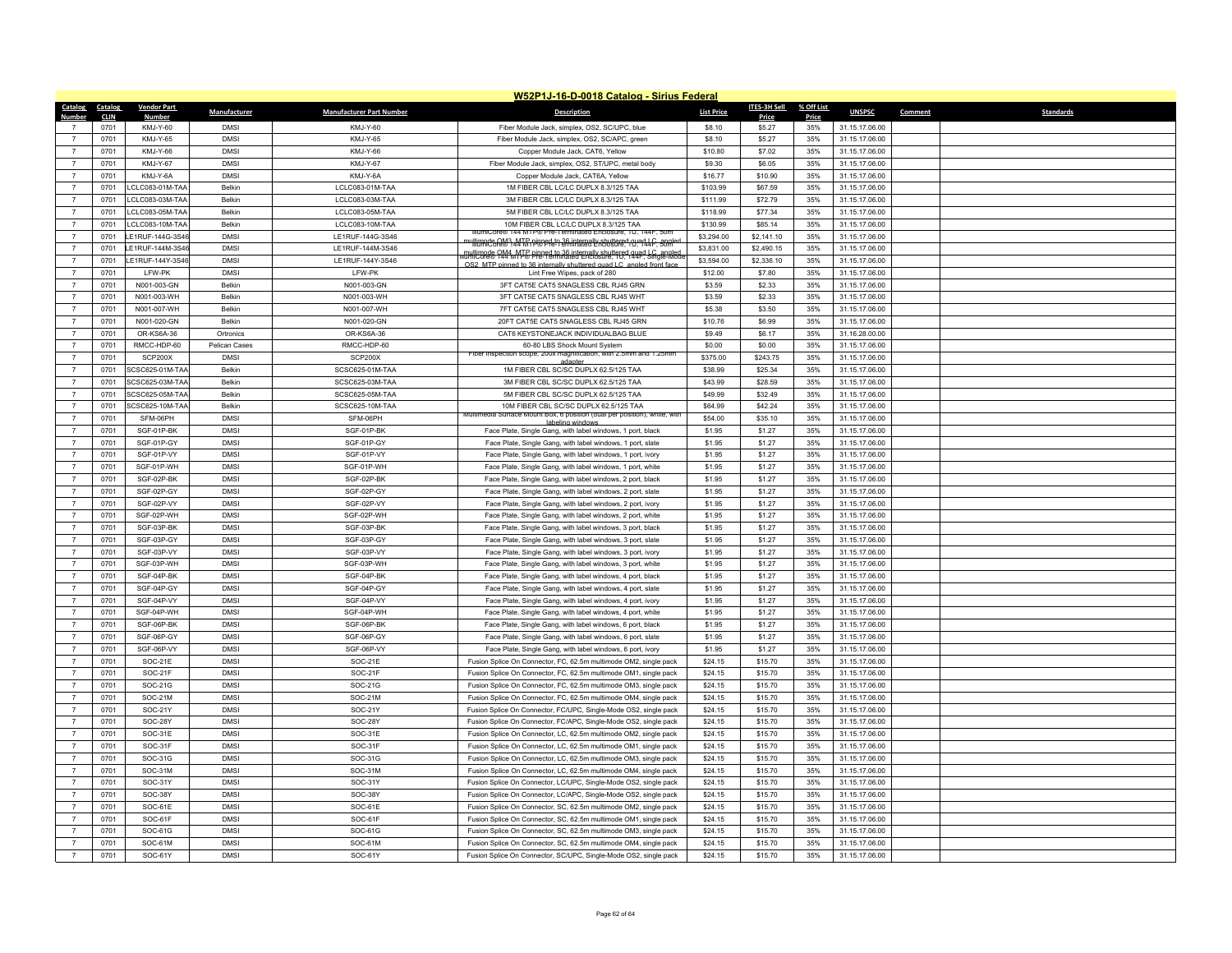|                                  | W52P1J-16-D-0018 Catalog - Sirius Federal |                    |               |                                 |                                                                                                                     |                   |                     |            |                |                             |
|----------------------------------|-------------------------------------------|--------------------|---------------|---------------------------------|---------------------------------------------------------------------------------------------------------------------|-------------------|---------------------|------------|----------------|-----------------------------|
| Catalog Catalog                  |                                           | <b>Vendor Part</b> | Manufacturer  | <b>Manufacturer Part Number</b> | <b>Description</b>                                                                                                  | <b>List Price</b> | <b>ITES-3H Sell</b> | % Off List | <b>UNSPSC</b>  | Comment<br><b>Standards</b> |
| Number                           | <b>CLIN</b>                               | <b>Numbe</b>       |               |                                 |                                                                                                                     |                   | Price               | Price      |                |                             |
|                                  | 0701                                      | KMJ-Y-60           | <b>DMSI</b>   | KMJ-Y-60                        | Fiber Module Jack, simplex, OS2, SC/UPC, blue                                                                       | \$8.10            | \$5.27              | 35%        | 31.15.17.06.00 |                             |
| $\overline{7}$                   | 0701                                      | KMJ-Y-65           | <b>DMSI</b>   | KM.I-Y-65                       | Fiber Module Jack, simplex, OS2, SC/APC, green                                                                      | \$8.10            | \$5.27              | 35%        | 31.15.17.06.00 |                             |
| $\overline{7}$                   | 0701                                      | KMJ-Y-66           | <b>DMSI</b>   | KMJ-Y-66                        | Copper Module Jack, CAT6, Yellow                                                                                    | \$10.80           | \$7.02              | 35%        | 31.15.17.06.00 |                             |
| $\overline{7}$                   | 0701                                      | KMJ-Y-67           | <b>DMSI</b>   | KM.I-Y-67                       | Fiber Module Jack, simplex, OS2, ST/UPC, metal body                                                                 | \$9.30            | \$6.05              | 35%        | 31.15.17.06.00 |                             |
| $\overline{7}$                   | 0701                                      | KMJ-Y-6A           | <b>DMSI</b>   | KMJ-Y-6A                        | Copper Module Jack, CAT6A, Yellow                                                                                   | \$16.77           | \$10.90             | 35%        | 31.15.17.06.00 |                             |
| $\overline{7}$                   | 0701                                      | LCLC083-01M-TAA    | <b>Belkin</b> | I CLC083-01M-TAA                | 1M FIBER CBL LC/LC DUPLX 8.3/125 TAA                                                                                | \$103.99          | \$67.59             | 35%        | 31.15.17.06.00 |                             |
| $\overline{7}$                   | 0701                                      | LCLC083-03M-TAA    | Belkin        | LCLC083-03M-TAA                 | 3M FIBER CBL LC/LC DUPLX 8.3/125 TAA                                                                                | \$111.99          | \$72.79             | 35%        | 31.15.17.06.00 |                             |
| $\overline{7}$                   | 0701                                      | LCLC083-05M-TAA    | Belkin        | LCLC083-05M-TAA                 | 5M FIBER CBL LC/LC DUPLX 8.3/125 TAA                                                                                | \$118.99          | \$77.34             | 35%        | 31.15.17.06.00 |                             |
| $\overline{7}$                   | 0701                                      | LCLC083-10M-TAA    | <b>Belkin</b> | I CLC083-10M-TAA                | 10M FIBER CBL LC/LC DUPLX 8 3/125 TAA<br>e® 144 MTP® Pre-Terminated Enclosure, 1U, 144F, 50n                        | \$130.99          | \$85.14             | 35%        | 31.15.17.06.00 |                             |
| $\overline{7}$                   | 0701                                      | LE1RUF-144G-3S46   | <b>DMSI</b>   | LE1RUF-144G-3S46                | multimade RM3 44 TR pinned in 36 internally shuttered quad LC, somled                                               | \$3,294.00        | \$2,141.10          | 35%        | 31.15.17.06.00 |                             |
| $\overline{7}$                   | 0701                                      | LE1RUF-144M-3S4    | <b>DMSI</b>   | LE1RUF-144M-3S46                | multimode 944 MTC pipped to 36 internally shuttered quad LC, angled                                                 | \$3,831.00        | \$2,490.15          | 35%        | 31.15.17.06.00 |                             |
| $\overline{7}$<br>$\overline{7}$ | 0701                                      | LE1RUF-144Y-3S46   | <b>DMSI</b>   | LE1RUF-144Y-3S46                | OS2 MTP ninned to 36 internally shuttered quad LC, angled front face                                                | \$3,594.00        | \$2,336.10          | 35%        | 31.15.17.06.00 |                             |
|                                  | 0701                                      | I FW-PK            | <b>DMSI</b>   | I FW-PK                         | Lint Free Wipes, pack of 280                                                                                        | \$12.00           | \$7.80              | 35%        | 31.15.17.06.00 |                             |
| $\overline{7}$                   | 0701                                      | N001-003-GN        | Belkin        | N001-003-GN                     | 3FT CAT5E CAT5 SNAGLESS CBL RJ45 GRN                                                                                | \$3.59            | \$2.33              | 35%        | 31.15.17.06.00 |                             |
| $\overline{7}$                   | 0701                                      | N001-003-WH        | Belkin        | N001-003-WH                     | 3FT CAT5E CAT5 SNAGLESS CBL RJ45 WHT                                                                                | \$3.59            | \$2.33              | 35%        | 31.15.17.06.00 |                             |
| $\overline{7}$                   | 0701                                      | N001-007-WH        | Belkin        | N001-007-WH                     | 7FT CAT5E CAT5 SNAGLESS CBL RJ45 WHT                                                                                | \$5.38            | \$3.50              | 35%        | 31.15.17.06.00 |                             |
| $\overline{7}$                   | 0701                                      | N001-020-GN        | <b>Belkin</b> | N001-020-GN                     | 20FT CAT5E CAT5 SNAGLESS CBL RJ45 GRN                                                                               | \$10.76           | \$6.99              | 35%        | 31.15.17.06.00 |                             |
| $\overline{7}$                   | 0701                                      | OR-KS6A-36         | Ortronics     | OR-KS6A-36                      | CAT6 KEYSTONEJACK INDIVIDUALBAG BLUE                                                                                | \$9.49            | \$6.17              | 35%        | 31.16.28.00.00 |                             |
| $\overline{7}$                   | 0701                                      | RMCC-HDP-60        | Pelican Cases | RMCC-HDP-60                     | 60-80 LBS Shock Mount System<br>Fiber inspection scope, 200x magnification, with 2.5mm and 1.25mm                   | \$0.00            | \$0.00              | 35%        | 31.15.17.06.00 |                             |
| $\overline{7}$                   | 0701                                      | SCP200X            | <b>DMSI</b>   | SCP200X                         |                                                                                                                     | \$375.00          | \$243.75            | 35%        | 31.15.17.06.00 |                             |
| $\overline{7}$                   | 0701                                      | SCSC625-01M-TAA    | <b>Belkin</b> | SCSC625-01M-TAA                 | 1M FIBER CBL SC/SC DUPLX 62.5/125 TAA                                                                               | \$38.99           | \$25.34             | 35%        | 31.15.17.06.00 |                             |
| $\overline{7}$                   | 0701                                      | SCSC625-03M-TAA    | Belkin        | SCSC625-03M-TAA                 | 3M FIBER CBL SC/SC DUPLX 62.5/125 TAA                                                                               | \$43.99           | \$28.59             | 35%        | 31.15.17.06.00 |                             |
| $\overline{7}$                   | 0701                                      | SCSC625-05M-TAA    | <b>Belkin</b> | SCSC625-05M-TAA                 | 5M FIBER CBL SC/SC DUPLX 62.5/125 TAA                                                                               | \$49.99           | \$32.49             | 35%        | 31.15.17.06.00 |                             |
| $\overline{7}$                   | 0701                                      | SCSC625-10M-TAA    | <b>Belkin</b> | SCSC625-10M-TAA                 | 10M FIBER CBL SC/SC DUPLX 62.5/125 TAA<br>Multimedia Surface Mount Box, 6 position (dual per position), white, with | \$64.99           | \$42.24             | 35%        | 31.15.17.06.00 |                             |
| $\overline{7}$                   | 0701                                      | SFM-06PH           | <b>DMSI</b>   | SFM-06PH                        |                                                                                                                     | \$54.00           | \$35.10             | 35%        | 31.15.17.06.00 |                             |
| $\overline{7}$                   | 0701                                      | SGF-01P-BK         | <b>DMSI</b>   | SGF-01P-BK                      | Face Plate, Single Gang, with label windows, 1 port, black                                                          | \$1.95            | \$1.27              | 35%        | 31.15.17.06.00 |                             |
| $\overline{7}$                   | 0701                                      | SGF-01P-GY         | <b>DMSI</b>   | SGF-01P-GY                      | Face Plate, Single Gang, with label windows, 1 port, slate                                                          | \$1.95            | \$1.27              | 35%        | 31.15.17.06.00 |                             |
| $\overline{7}$                   | 0701                                      | SGF-01P-VY         | <b>DMSI</b>   | SGF-01P-VY                      | Face Plate, Single Gang, with label windows, 1 port, ivory                                                          | \$1.95            | \$1.27              | 35%        | 31.15.17.06.00 |                             |
| $\overline{7}$                   | 0701                                      | SGF-01P-WH         | <b>DMSI</b>   | SGF-01P-WH                      | Face Plate, Single Gang, with label windows, 1 port, white                                                          | \$1.95            | \$1.27              | 35%        | 31.15.17.06.00 |                             |
| $\overline{7}$                   | 0701                                      | SGF-02P-BK         | <b>DMSI</b>   | SGF-02P-BK                      | Face Plate, Single Gang, with label windows, 2 port, black                                                          | \$1.95            | \$1.27              | 35%        | 31.15.17.06.00 |                             |
| $\overline{7}$                   | 0701                                      | SGF-02P-GY         | <b>DMSI</b>   | SGF-02P-GY                      | Face Plate, Single Gang, with label windows, 2 port, slate                                                          | \$1.95            | \$1.27              | 35%        | 31.15.17.06.00 |                             |
| $\overline{7}$                   | 0701                                      | SGF-02P-VY         | <b>DMSI</b>   | SGF-02P-VY                      | Face Plate, Single Gang, with label windows, 2 port, ivory                                                          | \$1.95            | \$1.27              | 35%        | 31.15.17.06.00 |                             |
| $\overline{7}$                   | 0701                                      | SGF-02P-WH         | <b>DMSI</b>   | SGF-02P-WH                      | Face Plate, Single Gang, with label windows, 2 port, white                                                          | \$1.95            | \$1.27              | 35%        | 31.15.17.06.00 |                             |
| $\overline{7}$                   | 0701                                      | SGF-03P-BK         | <b>DMSI</b>   | SGF-03P-BK                      | Face Plate, Single Gang, with label windows, 3 port, black                                                          | \$1.95            | \$1.27              | 35%        | 31.15.17.06.00 |                             |
| $\overline{7}$                   | 0701                                      | SGF-03P-GY         | <b>DMSI</b>   | SGF-03P-GY                      | Face Plate, Single Gang, with label windows, 3 port, slate                                                          | \$1.95            | \$1.27              | 35%        | 31.15.17.06.00 |                             |
| $\overline{7}$                   | 0701                                      | SGF-03P-VY         | <b>DMSI</b>   | SGF-03P-VY                      | Face Plate, Single Gang, with label windows, 3 port, ivory                                                          | \$1.95            | \$1.27              | 35%        | 31.15.17.06.00 |                             |
| $\overline{7}$                   | 0701                                      | SGF-03P-WH         | <b>DMSI</b>   | SGF-03P-WH                      | Face Plate, Single Gang, with label windows, 3 port, white                                                          | \$1.95            | \$1.27              | 35%        | 31.15.17.06.00 |                             |
| $\overline{7}$                   | 0701                                      | SGF-04P-BK         | <b>DMSI</b>   | SGF-04P-BK                      | Face Plate, Single Gang, with label windows, 4 port, black                                                          | \$1.95            | \$1.27              | 35%        | 31.15.17.06.00 |                             |
| $\overline{7}$                   | 0701                                      | SGF-04P-GY         | <b>DMSI</b>   | SGF-04P-GY                      | Face Plate, Single Gang, with label windows, 4 port, slate                                                          | \$1.95            | \$1.27              | 35%        | 31.15.17.06.00 |                             |
| $\overline{7}$                   | 0701                                      | SGF-04P-VY         | <b>DMSI</b>   | SGF-04P-VY                      | Face Plate, Single Gang, with label windows, 4 port, ivory                                                          | \$1.95            | \$1.27              | 35%        | 31.15.17.06.00 |                             |
| $\overline{7}$                   | 0701                                      | SGF-04P-WH         | <b>DMSI</b>   | SGF-04P-WH                      | Face Plate, Single Gang, with label windows, 4 port, white                                                          | \$1.95            | \$1.27              | 35%        | 31.15.17.06.00 |                             |
| $\overline{7}$                   | 0701                                      | SGF-06P-BK         | <b>DMSI</b>   | SGF-06P-BK                      | Face Plate, Single Gang, with label windows, 6 port, black                                                          | \$1.95            | \$1.27              | 35%        | 31.15.17.06.00 |                             |
| $\overline{7}$                   | 0701                                      | SGF-06P-GY         | <b>DMSI</b>   | SGF-06P-GY                      | Face Plate, Single Gang, with label windows, 6 port, slate                                                          | \$1.95            | \$1.27              | 35%        | 31.15.17.06.00 |                             |
| $\overline{7}$                   | 0701                                      | SGF-06P-VY         | <b>DMSI</b>   | SGF-06P-VY                      | Face Plate, Single Gang, with label windows, 6 port, ivory                                                          | \$1.95            | \$1.27              | 35%        | 31.15.17.06.00 |                             |
| $\overline{7}$                   | 0701                                      | SOC-21E            | <b>DMSI</b>   | SOC-21E                         | Fusion Splice On Connector, FC, 62.5m multimode OM2, single pack                                                    | \$24.15           | \$15.70             | 35%        | 31.15.17.06.00 |                             |
| $\overline{7}$                   | 0701                                      | SOC-21F            | <b>DMSI</b>   | SOC-21F                         | Fusion Splice On Connector, FC, 62.5m multimode OM1, single pack                                                    | \$24.15           | \$15.70             | 35%        | 31.15.17.06.00 |                             |
| $\overline{7}$                   | 0701                                      | SOC-21G            | <b>DMSI</b>   | SOC-21G                         | Fusion Splice On Connector, FC, 62.5m multimode OM3, single pack                                                    | \$24.15           | \$15.70             | 35%        | 31.15.17.06.00 |                             |
| $\overline{7}$                   | 0701                                      | <b>SOC-21M</b>     | <b>DMSI</b>   | <b>SOC-21M</b>                  | Fusion Splice On Connector, FC, 62.5m multimode OM4, single pack                                                    | \$24.15           | \$15.70             | 35%        | 31.15.17.06.00 |                             |
| $\overline{7}$                   | 0701                                      | SOC-21Y            | <b>DMSI</b>   | SOC-21Y                         | Fusion Splice On Connector, FC/UPC, Single-Mode OS2, single pack                                                    | \$24.15           | \$15.70             | 35%        | 31.15.17.06.00 |                             |
| $\overline{7}$                   | 0701                                      | SOC-28Y            | <b>DMSI</b>   | SOC-28Y                         | Fusion Splice On Connector, FC/APC, Single-Mode OS2, single pack                                                    | \$24.15           | \$15.70             | 35%        | 31.15.17.06.00 |                             |
| $\overline{7}$                   | 0701                                      | SOC-31E            | <b>DMSI</b>   | SOC-31E                         | Fusion Splice On Connector, LC, 62.5m multimode OM2, single pack                                                    | \$24.15           | \$15.70             | 35%        | 31.15.17.06.00 |                             |
| $\overline{7}$                   | 0701                                      | SOC-31F            | <b>DMSI</b>   | SOC-31F                         | Fusion Splice On Connector, LC, 62.5m multimode OM1, single pack                                                    | \$24.15           | \$15.70             | 35%        | 31.15.17.06.00 |                             |
| $\overline{7}$                   | 0701                                      | SOC-31G            | <b>DMSI</b>   | SOC-31G                         | Fusion Splice On Connector, LC, 62.5m multimode OM3, single pack                                                    | \$24.15           | \$15.70             | 35%        | 31.15.17.06.00 |                             |
| $\overline{7}$                   | 0701                                      | SOC-31M            | <b>DMSI</b>   | SOC-31M                         | Fusion Splice On Connector, LC, 62.5m multimode OM4, single pack                                                    | \$24.15           | \$15.70             | 35%        | 31.15.17.06.00 |                             |
| $\overline{7}$                   | 0701                                      | SOC-31Y            | <b>DMSI</b>   | SOC-31Y                         | Fusion Splice On Connector, LC/UPC, Single-Mode OS2, single pack                                                    | \$24.15           | \$15.70             | 35%        | 31.15.17.06.00 |                             |
| $\overline{7}$                   | 0701                                      | SOC-38Y            | <b>DMSI</b>   | SOC-38Y                         | Fusion Splice On Connector, LC/APC, Single-Mode OS2, single pack                                                    | \$24.15           | \$15.70             | 35%        | 31.15.17.06.00 |                             |
| $\overline{7}$                   | 0701                                      | SOC-61E            | <b>DMSI</b>   | SOC-61E                         | Fusion Splice On Connector, SC, 62.5m multimode OM2, single pack                                                    | \$24.15           | \$15.70             | 35%        | 31.15.17.06.00 |                             |
| $\overline{7}$                   | 0701                                      | SOC-61F            | <b>DMSI</b>   | SOC-61F                         | Fusion Splice On Connector, SC, 62.5m multimode OM1, single pack                                                    | \$24.15           | \$15.70             | 35%        | 31.15.17.06.00 |                             |
| $\overline{7}$                   | 0701                                      | SOC-61G            | <b>DMSI</b>   | SOC-61G                         | Fusion Splice On Connector, SC, 62.5m multimode OM3, single pack                                                    | \$24.15           | \$15.70             | 35%        | 31.15.17.06.00 |                             |
| $\overline{7}$                   | 0701                                      | SOC-61M            | <b>DMSI</b>   | SOC-61M                         | Fusion Splice On Connector, SC, 62.5m multimode OM4, single pack                                                    | \$24.15           | \$15.70             | 35%        | 31.15.17.06.00 |                             |
| $\overline{7}$                   | 0701                                      | SOC-61Y            | <b>DMSI</b>   | SOC-61Y                         | Fusion Splice On Connector, SC/UPC, Single-Mode OS2, single pack                                                    | \$24.15           | \$15.70             | 35%        | 31.15.17.06.00 |                             |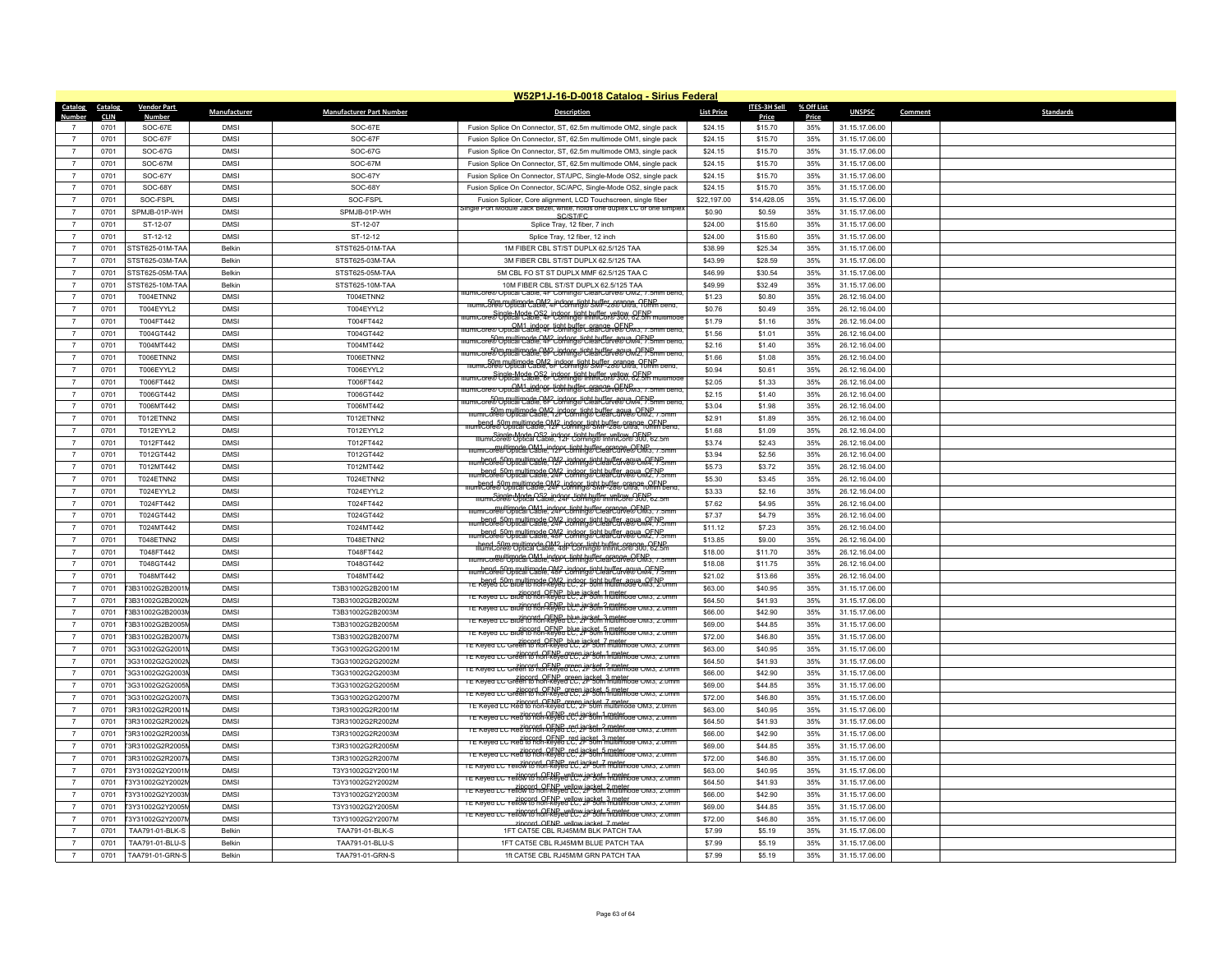|                                  | W52P1J-16-D-0018 Catalog - Sirius Federal |                                     |                            |                                    |                                                                                                                                           |                    |                    |            |                                  |                             |
|----------------------------------|-------------------------------------------|-------------------------------------|----------------------------|------------------------------------|-------------------------------------------------------------------------------------------------------------------------------------------|--------------------|--------------------|------------|----------------------------------|-----------------------------|
| Catalog                          | Catalog                                   | <b>Vendor Part</b>                  | Manufacturer               | <b>Manufacturer Part Number</b>    | <b>Description</b>                                                                                                                        | <b>List Price</b>  | ITES-3H Sell       | % Off List | <b>UNSPSC</b>                    | <b>Standards</b><br>Comment |
| Number                           | <b>CLIN</b>                               | <b>Number</b>                       |                            |                                    |                                                                                                                                           |                    | Price              | Price      |                                  |                             |
| $\overline{7}$                   | 0701<br>0701                              | SOC-67E<br>SOC-67F                  | <b>DMSI</b><br><b>DMSI</b> | SOC-67E<br>SOC-67F                 | Fusion Splice On Connector, ST, 62.5m multimode OM2, single pack                                                                          | \$24.15<br>\$24.15 | \$15.70            | 35%<br>35% | 31.15.17.06.00                   |                             |
|                                  |                                           |                                     |                            |                                    | Fusion Splice On Connector, ST, 62.5m multimode OM1, single pack                                                                          |                    | \$15.70            |            | 31.15.17.06.00                   |                             |
| $\overline{7}$                   | 0701                                      | $SOC-67G$                           | <b>DMSI</b>                | SOC-67G                            | Fusion Splice On Connector, ST, 62.5m multimode OM3, single pack                                                                          | \$24.15            | \$15.70            | 35%        | 31.15.17.06.00                   |                             |
| $\overline{7}$                   | 0701                                      | SOC-67M                             | <b>DMSI</b>                | SOC-67M                            | Fusion Splice On Connector, ST, 62.5m multimode OM4, single pack                                                                          | \$24.15            | \$15.70            | 35%        | 31.15.17.06.00                   |                             |
| $\overline{7}$                   | 0701                                      | SOC-67Y                             | <b>DMSI</b>                | SOC-67Y                            | Fusion Splice On Connector, ST/UPC, Single-Mode OS2, single pack                                                                          | \$24.15            | \$15.70            | 35%        | 31.15.17.06.00                   |                             |
| $\overline{7}$                   | 0701                                      | SOC-68Y                             | <b>DMSI</b>                | SOC-68Y                            | Fusion Splice On Connector, SC/APC, Single-Mode OS2, single pack                                                                          | \$24.15            | \$15.70            | 35%        | 31.15.17.06.00                   |                             |
| $\overline{7}$                   | 0701                                      | SOC-FSPL                            | <b>DMSI</b>                | SOC-FSPL                           | Fusion Splicer, Core alignment, LCD Touchscreen, single fiber<br>single Port Module Jack Bezel, white, holds one duplex LC or one simplex | \$22,197.00        | \$14,428.05        | 35%        | 31.15.17.06.00                   |                             |
| $\overline{7}$                   | 0701                                      | SPMJB-01P-WH                        | <b>DMSI</b>                | SPMJB-01P-WH                       | SC/ST/FC                                                                                                                                  | \$0.90             | \$0.59             | 35%        | 31.15.17.06.00                   |                             |
| $\overline{7}$                   | 0701                                      | ST-12-07                            | <b>DMSI</b>                | ST-12-07                           | Splice Trav. 12 fiber. 7 inch                                                                                                             | \$24.00            | \$15.60            | 35%        | 31.15.17.06.00                   |                             |
| $\overline{7}$                   | 0701                                      | ST-12-12                            | <b>DMSI</b>                | ST-12-12                           | Splice Tray, 12 fiber, 12 inch                                                                                                            | \$24.00            | \$15.60            | 35%        | 31.15.17.06.00                   |                             |
| $\overline{7}$                   | 0701<br>0701                              | STST625-01M-TAA<br>STST625-03M-TAA  | Belkin<br><b>Belkin</b>    | STST625-01M-TAA<br>STST625-03M-TAA | 1M FIBER CBL ST/ST DUPLX 62.5/125 TAA<br>3M FIBER CBL ST/ST DUPLX 62.5/125 TAA                                                            | \$38.99<br>\$43.99 | \$25.34<br>\$28.59 | 35%<br>35% | 31.15.17.06.00<br>31.15.17.06.00 |                             |
| $\overline{7}$<br>$\overline{7}$ |                                           | STST625-05M-TAA                     | <b>Belkin</b>              |                                    | 5M CBL FO ST ST DUPLX MMF 62.5/125 TAA C                                                                                                  | \$46.99            |                    |            |                                  |                             |
| $\overline{7}$                   | 0701                                      |                                     |                            | STST625-05M-TAA                    |                                                                                                                                           |                    | \$30.54            | 35%        | 31.15.17.06.00                   |                             |
| $\overline{7}$                   | 0701                                      | STST625-10M-TAA<br><b>T004FTNN2</b> | Belkin<br><b>DMSI</b>      | STST625-10M-TAA<br>T004ETNN2       | 10M FIBER CBL ST/ST DUPLX 62.5/125 TAA<br>llumiCore® Optical Cable, 4F Corning® ClearCurve® OM2, 7.5mm benc                               | \$49.99<br>\$1.23  | \$32.49<br>\$0.80  | 35%<br>35% | 31.15.17.06.00                   |                             |
| $\overline{7}$                   | 0701<br>0701                              | T004EYYL2                           | <b>DMSI</b>                | T004EYYL2                          | mumic50ee/"UblicanCable, 4F Confingle SMF-280 Uffa, 9ENP, pend                                                                            | \$0.76             | \$0.49             | 35%        | 26.12.16.04.00                   |                             |
| $\overline{7}$                   | 0701                                      | T004FT442                           | <b>DMSI</b>                | T004FT442                          | llumiCore® Optical Cable, 4F Corning® InfiniCor® 300, 62.5m multimode                                                                     | \$1.79             | \$1.16             | 35%        | 26.12.16.04.00<br>26.12.16.04.00 |                             |
| $\overline{7}$                   | 0701                                      | T004GT442                           | <b>DMSI</b>                | T004GT442                          | llumiCore® Optical Cable, 4F Corning® ClearCurve® OM3, 7.5mm bend                                                                         | \$1.56             | \$1.01             | 35%        | 26.12.16.04.00                   |                             |
| $\overline{7}$                   | 0701                                      | T004MT442                           | <b>DMSI</b>                | T004MT442                          | nenne er er<br>ilumiCore® Optical Cable, 4F Coming® ClearCurve® OM4, 7.5mm                                                                | \$2.16             | \$1.40             | 35%        | 26.12.16.04.00                   |                             |
| $\overline{7}$                   |                                           | <b>T006FTNN2</b>                    | <b>DMSI</b>                | <b>T006ETNN2</b>                   | <u>numicore® Onited Politicode OM2</u> indoor tight buffer agua OFNP<br>Ilumicore® Onited Lable, 6F Coming® ClearCurve® OM2, 7.5mm bend   | \$1.66             |                    | 35%        |                                  |                             |
| $\overline{7}$                   | 0701                                      |                                     | <b>DMSI</b>                |                                    | mumic50e9/TUHilearce OM2, indoor, tight buffer arange. 9ENP pend.                                                                         |                    | \$1.08             |            | 26.12.16.04.00                   |                             |
| $\overline{7}$                   | 0701<br>0701                              | T006EYYL2<br>T006FT442              | <b>DMSI</b>                | T006EYYL2<br>T006FT442             | rumiCore® Optical Cable, 6F Corning® InfiniCor® 300, 62.5m multimode                                                                      | \$0.94<br>\$2.05   | \$0.61<br>\$1.33   | 35%<br>35% | 26.12.16.04.00<br>26.12.16.04.00 |                             |
| $\overline{7}$                   | 0701                                      | T006GT442                           | <b>DMSI</b>                | T006GT442                          | llumiCore® Optical Cable 8F Corning® ClearCurve® OM3, 7.5mm bend                                                                          | \$2.15             | \$1.40             | 35%        | 26.12.16.04.00                   |                             |
| $\overline{7}$                   | 0701                                      | T006MT442                           | <b>DMSI</b>                | T006MT442                          | for multimode OM2 indoor tight buffer agua. OFNP<br>llumiCore® Optical Cable, 6F Coming® ClearCurve® OM4, 7.5mm bend                      | \$3.04             | \$1.98             | 35%        | 26.12.16.04.00                   |                             |
| $\overline{7}$                   | 0701                                      |                                     | <b>DMSI</b>                | <b>T012ETNN2</b>                   | Form multimode OM2 indoor tight buffer agua. OENP<br>Illumicore® Optical Cable, 12F Coming® Clear curve® OM2, 7.5mm                       | \$2.91             | \$1.89             | 35%        |                                  |                             |
| $\overline{7}$                   | 0701                                      | T012ETNN2<br>T012EYYL2              | <b>DMSI</b>                | T012EYYL2                          | mumicore® Obtical Cable . 9M2 - indone tight huffer orange OENP                                                                           | \$1.68             | \$1.09             | 35%        | 26.12.16.04.00<br>26.12.16.04.00 |                             |
| $\overline{7}$                   | 0701                                      | T012FT442                           | <b>DMSI</b>                | T012FT442                          | Single-Mode OS2 indoor tight buffer vellow OENP<br>IllumiCore® Optical Cable, 12F Corning® IntifilCor® 300, 62.5m                         | \$3.74             | \$2.43             | 35%        | 26.12.16.04.00                   |                             |
| $\overline{7}$                   | 0701                                      | T012GT442                           | <b>DMSI</b>                | T012GT442                          | mumicore® Optical Cable, 12F Coming® ClearCurve® OM3, 7.5mm                                                                               | \$3.94             | \$2.56             | 35%        | 26.12.16.04.00                   |                             |
| $\overline{7}$                   | 0701                                      | T012MT442                           | <b>DMSI</b>                | T012MT442                          | mumiCore® Optical Cable, 12F Coming® ClearCurve® OM4, 7.5mm                                                                               | \$5.73             | \$3.72             | 35%        | 26.12.16.04.00                   |                             |
| $\overline{7}$                   | 0701                                      | T024ETNN2                           | <b>DMSI</b>                | T024ETNN2                          | liumiCore® Optical Cable, 24F Coming® ClearCurve® OM2, 7.5mm                                                                              | \$5.30             | \$3.45             | 35%        | 26.12.16.04.00                   |                             |
| $\overline{7}$                   | 0701                                      | T024EYYL2                           | <b>DMSI</b>                | T024EYYL2                          | mumicore® Optical Cable, 24F Coming® SMF-28® Oftra, 10mm bend                                                                             | \$3.33             | \$2.16             | 35%        | 26.12.16.04.00                   |                             |
| $\overline{7}$                   | 0701                                      | T024FT442                           | <b>DMSI</b>                | T024FT442                          | mumiCore® Obtical Cable, 24F Coming® Intificor® 300, 62.5n                                                                                | \$7.62             | \$4.95             | 35%        | 26.12.16.04.00                   |                             |
| $\overline{7}$                   | 0701                                      | T024GT442                           | <b>DMSI</b>                | T024GT442                          | mumicore® Optical Cable, 24F Coming® ClearCurve® OM3, 7.5mm                                                                               | \$7.37             | \$4.79             | 35%        | 26.12.16.04.00                   |                             |
| $\overline{7}$                   | 0701                                      | T024MT442                           | <b>DMSI</b>                | T024MT442                          | hend_50m multimode OM2_indoor_tight buffer_agua_OENP_<br>illumiCore® Optical Cable, 24F_Coming® ClearCurve® OM4, 7.5mm                    | \$11.12            | \$7.23             | 35%        | 26.12.16.04.00                   |                             |
| $\overline{7}$                   | 0701                                      | T048FTNN2                           | <b>DMSI</b>                | T048ETNN2                          | hend_50m multimode OM2_indoor_tight_buffer_agua_OENP_<br>illumiCore® Optical Cable, 48F_Coming® ClearCurve® OM2, 7.5mm                    | \$13.85            | \$9.00             | 35%        | 26.12.16.04.00                   |                             |
| $\overline{7}$                   | 0701                                      | T048FT442                           | <b>DMSI</b>                | T048FT442                          | hend, 50m multimode OM2, indoor, tight buffer, orange, OENP                                                                               | \$18.00            | \$11.70            | 35%        | 26.12.16.04.00                   |                             |
| $\overline{7}$                   | 0701                                      | T048GT442                           | <b>DMSI</b>                | T048GT442                          | mumicore® Obtical Cable, 48F Coming® ClearCurce® ENR3, 7.5mm                                                                              | \$18.08            | \$11.75            | 35%        | 26.12.16.04.00                   |                             |
| $\overline{7}$                   | 0701                                      | T048MT442                           | <b>DMSI</b>                | <b>T048MT442</b>                   | mumhcode® Obtical cable. 48F Coming® ClearCurve® OM4. 7.5mm                                                                               | \$21.02            | \$13.66            | 35%        | 26.12.16.04.00                   |                             |
| $\overline{7}$                   | 0701                                      | T3B31002G2B2001                     | <b>DMSI</b>                | T3B31002G2B2001M                   | hend 50m multimode OM2 indogr tight buffer agua OENP                                                                                      | \$63.00            | \$40.95            | 35%        | 31.15.17.06.00                   |                             |
| $\overline{7}$                   | 0701                                      | T3B31002G2B2002                     | <b>DMSI</b>                | T3B31002G2B2002M                   | TE Keved LC Blue to non-keved LC. 2F 50m multimode OM3, 2.0mm                                                                             | \$64.50            | \$41.93            | 35%        | 31.15.17.06.00                   |                             |
| $\overline{7}$                   | 0701                                      | T3B31002G2B2003M                    | <b>DMSI</b>                | T3B31002G2B2003M                   | TE Keyed LC Blue to non-keyed LUC 2P Som multimode OM3, 2.0mm                                                                             | \$66.00            | \$42.90            | 35%        | 31.15.17.06.00                   |                             |
| $\overline{7}$                   | 0701                                      | T3B31002G2B2005M                    | <b>DMSI</b>                | T3B31002G2B2005M                   | TE Keyed LC Blue to non-keyed LUC 2P 50m multimode OM3, 2.0mm                                                                             | \$69.00            | \$44.85            | 35%        | 31.15.17.06.00                   |                             |
|                                  | 0701                                      | T3B31002G2B2007                     | <b>DMSI</b>                | T3B31002G2B2007M                   | TE Keyed LC Blue to non-keyed LC, 2F 50m multimode OM3, 2.0mm                                                                             | \$72.00            | \$46.80            | 35%        | 31.15.17.06.00                   |                             |
| $\overline{7}$                   | 0701                                      | T3G31002G2G2001                     | <b>DMSI</b>                | T3G31002G2G2001M                   | TE Reved LC Green to non-keyed LC, 2F 50m multimode OM3, 2.0mm                                                                            | \$63.00            | \$40.95            | 35%        | 31.15.17.06.00                   |                             |
| $\overline{7}$                   | 0701                                      | 3G31002G2G2002                      | <b>DMSI</b>                | T3G31002G2G2002M                   | TE Keyed LC Green to hon-keyed LC, 2F 50m multimode OM3, 2.0mm                                                                            | \$64.50            | \$41.93            | 35%        | 31.15.17.06.00                   |                             |
| $\overline{7}$                   | 0701                                      | 3G31002G2G2003                      | <b>DMSI</b>                | T3G31002G2G2003M                   | TE Keyed LC Green to hon-keyed LC, 2F 50m multimode OM3, 2.0mm                                                                            | \$66.00            | \$42.90            | 35%        | 31.15.17.06.00                   |                             |
| $\overline{7}$                   | 0701                                      | T3G31002G2G2005                     | <b>DMSI</b>                | T3G31002G2G2005M                   | TE Keyed LC Green to hon-keyed LC, 2F 50m multimode OM3, 2.0mm                                                                            | \$69.00            | \$44.85            | 35%        | 31.15.17.06.00                   |                             |
| $\overline{7}$                   | 0701                                      | 3G31002G2G2007                      | <b>DMSI</b>                | T3G31002G2G2007M                   | TE Keyed LC Green to hon-keyed LC, 2F 50m multimode OM3, 2.0mm                                                                            | \$72.00            | \$46.80            | 35%        | 31.15.17.06.00                   |                             |
| $\overline{7}$                   | 0701                                      | T3R31002G2R2001                     | <b>DMSI</b>                | T3R31002G2R2001M                   | TE Keyed LC Red to non-keyed LC, 2F 50m multimode OM3, 2.0mm                                                                              | \$63.00            | \$40.95            | 35%        | 31.15.17.06.00                   |                             |
| $\overline{7}$                   | 0701                                      | T3R31002G2R2002                     | <b>DMSI</b>                | T3R31002G2R2002M                   | TE Reved LC Red to non-keyed LC. 2F 50m multimode OM3, 2.0mm                                                                              | \$64.50            | \$41.93            | 35%        | 31.15.17.06.00                   |                             |
| $\overline{7}$                   | 0701                                      | T3R31002G2R2003                     | <b>DMSI</b>                | T3R31002G2R2003M                   | TE Keyed LC Red to non-keyed LC, 2F 50m multimode OM3, 2.0mm                                                                              | \$66.00            | \$42.90            | 35%        | 31.15.17.06.00                   |                             |
|                                  | 0701                                      | T3R31002G2R2005M                    | <b>DMSI</b>                | T3R31002G2R2005M                   | IE Keyed LC Red to non-keyed LC, 2F 50m multimode OM3, 2.0mm                                                                              | \$69.00            | \$44.85            | 35%        | 31.15.17.06.00                   |                             |
| $\overline{7}$                   | 0701                                      | T3R31002G2R2007                     | <b>DMSI</b>                | T3R31002G2R2007M                   | IE Keyed LC Red to non-keyed LC, 2F 50m multimode OM3, 2.0mm                                                                              | \$72.00            | \$46.80            | 35%        | 31.15.17.06.00                   |                             |
| $\overline{7}$                   | 0701                                      | T3Y31002G2Y2001M                    | <b>DMSI</b>                | T3Y31002G2Y2001M                   | TE Keyed LC Yellow to non-keyed LC, 2F 50m multimode OM3, 2.0mm                                                                           | \$63.00            | \$40.95            | 35%        | 31.15.17.06.00                   |                             |
| $\overline{7}$                   | 0701                                      | T3Y31002G2Y2002M                    | <b>DMSI</b>                | T3Y31002G2Y2002M                   | TE Keyed LC Yellow to non-keyed LC, 2F 50m multimode OM3, 2.0mm                                                                           | \$64.50            | \$41.93            | 35%        | 31.15.17.06.00                   |                             |
| $\overline{7}$                   | 0701                                      | T3Y31002G2Y2003M                    | <b>DMSI</b>                | T3Y31002G2Y2003M                   | TE Reved LC Yellow to non-keved LC. 2F 50th multimode OM3, 2.0mm                                                                          | \$66.00            | \$42.90            | 35%        | 31.15.17.06.00                   |                             |
| $\overline{7}$                   | 0701                                      | T3Y31002G2Y2005M                    | <b>DMSI</b>                | T3Y31002G2Y2005M                   | TE Keyed LC Yellow to non-keyed LC, 2F 50m multimode OM3, 2.0mm                                                                           | \$69.00            | \$44.85            | 35%        | 31.15.17.06.00                   |                             |
|                                  | 0701                                      | T3Y31002G2Y2007M                    | <b>DMSI</b>                | T3Y31002G2Y2007M                   | TE Keyed LC Yellow to non-keyed LC, 2F 50m multimode OM3, 2.0mm<br>rincord OFNP vellow jacket 7 meter                                     | \$72.00            | \$46.80            | 35%        | 31.15.17.06.00                   |                             |
|                                  | 0701                                      | TAA791-01-BLK-S                     | Belkin                     | TAA791-01-BLK-S                    | 1FT CAT5E CBL RJ45M/M BLK PATCH TAA                                                                                                       | \$7.99             | \$5.19             | 35%        | 31.15.17.06.00                   |                             |
|                                  | 0701                                      | TAA791-01-BLU-S                     | Belkin                     | TAA791-01-BLU-S                    | 1FT CAT5E CBL RJ45M/M BLUE PATCH TAA                                                                                                      | \$7.99             | \$5.19             | 35%        | 31.15.17.06.00                   |                             |
| $\overline{7}$                   | 0701                                      | TAA791-01-GRN-S                     | Belkin                     | TAA791-01-GRN-S                    | 1ft CAT5E CBL RJ45M/M GRN PATCH TAA                                                                                                       | \$7.99             | \$5.19             | 35%        | 31.15.17.06.00                   |                             |
|                                  |                                           |                                     |                            |                                    |                                                                                                                                           |                    |                    |            |                                  |                             |